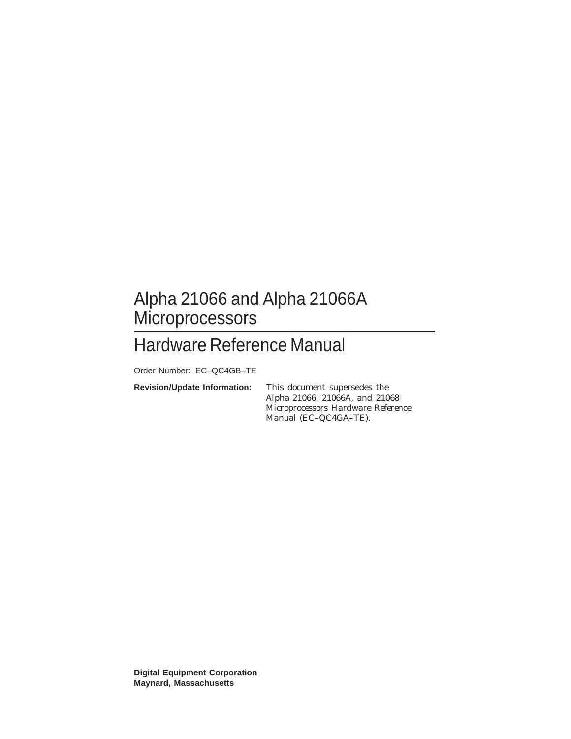## Alpha 21066 and Alpha 21066A **Microprocessors**

## Hardware Reference Manual

Order Number: EC–QC4GB–TE

**Revision/Update Information:** This document supersedes the

*Alpha 21066, 21066A, and 21068 Microprocessors Hardware Reference Manual* (EC–QC4GA–TE).

**Digital Equipment Corporation Maynard, Massachusetts**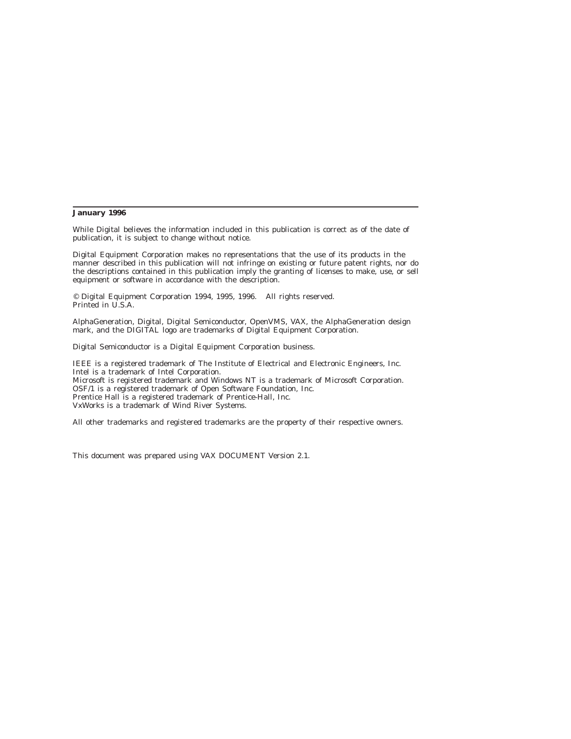#### **January 1996**

While Digital believes the information included in this publication is correct as of the date of publication, it is subject to change without notice.

Digital Equipment Corporation makes no representations that the use of its products in the manner described in this publication will not infringe on existing or future patent rights, nor do the descriptions contained in this publication imply the granting of licenses to make, use, or sell equipment or software in accordance with the description.

© Digital Equipment Corporation 1994, 1995, 1996. All rights reserved. Printed in U.S.A.

AlphaGeneration, Digital, Digital Semiconductor, OpenVMS, VAX, the AlphaGeneration design mark, and the DIGITAL logo are trademarks of Digital Equipment Corporation.

Digital Semiconductor is a Digital Equipment Corporation business.

IEEE is a registered trademark of The Institute of Electrical and Electronic Engineers, Inc. Intel is a trademark of Intel Corporation.

Microsoft is registered trademark and Windows NT is a trademark of Microsoft Corporation. OSF/1 is a registered trademark of Open Software Foundation, Inc. Prentice Hall is a registered trademark of Prentice-Hall, Inc.

VxWorks is a trademark of Wind River Systems.

All other trademarks and registered trademarks are the property of their respective owners.

This document was prepared using VAX DOCUMENT Version 2.1.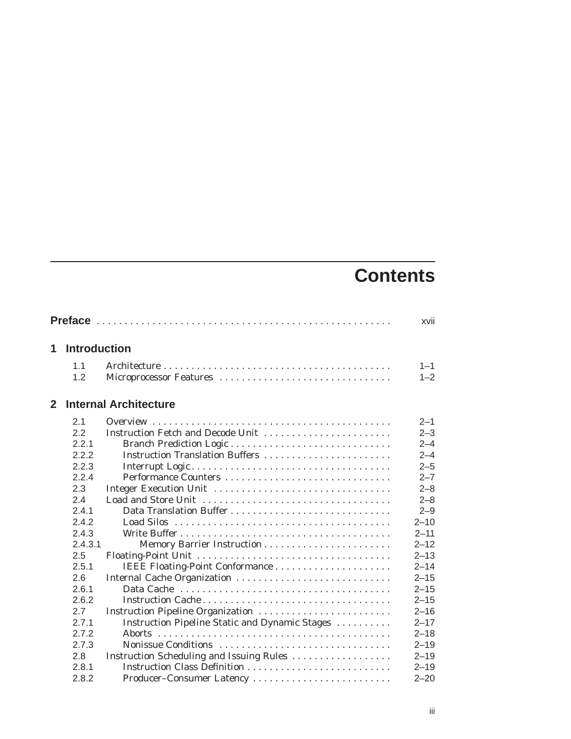# **Contents**

|              |         |                                                | xvii     |
|--------------|---------|------------------------------------------------|----------|
| 1            |         | <b>Introduction</b>                            |          |
|              | 1.1     |                                                | $1 - 1$  |
|              | 1.2     | Microprocessor Features                        | $1 - 2$  |
| $\mathbf{2}$ |         | <b>Internal Architecture</b>                   |          |
|              | 2.1     |                                                | $2 - 1$  |
|              | 2.2     | Instruction Fetch and Decode Unit              | $2 - 3$  |
|              | 2.2.1   |                                                | $2 - 4$  |
|              | 2.2.2   | Instruction Translation Buffers                | $2 - 4$  |
|              | 2.2.3   |                                                | $2 - 5$  |
|              | 2.2.4   |                                                | $2 - 7$  |
|              | 2.3     | Integer Execution Unit                         | $2 - 8$  |
|              | 2.4     |                                                | $2 - 8$  |
|              | 2.4.1   | Data Translation Buffer                        | $2 - 9$  |
|              | 2.4.2   |                                                | $2 - 10$ |
|              | 2.4.3   |                                                | $2 - 11$ |
|              | 2.4.3.1 |                                                | $2 - 12$ |
|              | 2.5     |                                                | $2 - 13$ |
|              | 2.5.1   |                                                | $2 - 14$ |
|              | 2.6     |                                                | $2 - 15$ |
|              | 2.6.1   |                                                | $2 - 15$ |
|              | 2.6.2   |                                                | $2 - 15$ |
|              | 2.7     | Instruction Pipeline Organization              | $2 - 16$ |
|              | 2.7.1   | Instruction Pipeline Static and Dynamic Stages | $2 - 17$ |
|              | 2.7.2   |                                                | $2 - 18$ |
|              | 2.7.3   | Nonissue Conditions                            | $2 - 19$ |
|              | 2.8     | Instruction Scheduling and Issuing Rules       | $2 - 19$ |
|              | 2.8.1   |                                                | $2 - 19$ |
|              | 2.8.2   | Producer-Consumer Latency                      | $2 - 20$ |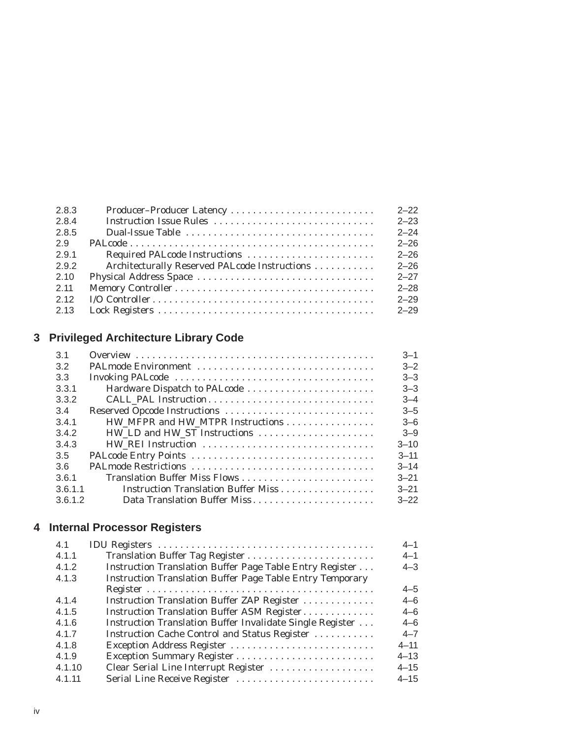|                                               | $2 - 22$                  |
|-----------------------------------------------|---------------------------|
|                                               | $2 - 23$                  |
|                                               | $2 - 24$                  |
|                                               | $2 - 26$                  |
|                                               | $2 - 26$                  |
| Architecturally Reserved PALcode Instructions | $2 - 26$                  |
|                                               | $2 - 27$                  |
|                                               | $2 - 28$                  |
|                                               | $2 - 29$                  |
|                                               | $2 - 29$                  |
|                                               | Producer-Producer Latency |

## **3 Privileged Architecture Library Code**

| 3.1                                            | $3 - 1$  |
|------------------------------------------------|----------|
| 3.2                                            | $3 - 2$  |
| 3.3                                            | $3 - 3$  |
| 3.3.1<br>Hardware Dispatch to PALcode          | $3 - 3$  |
| 3.3.2<br>CALL_PAL Instruction                  | $3 - 4$  |
| 3.4                                            | $3 - 5$  |
| 3.4.1<br>HW_MFPR and HW_MTPR Instructions      | $3 - 6$  |
| 3.4.2<br>HW_LD and HW_ST Instructions          | $3 - 9$  |
| 3.4.3                                          | $3 - 10$ |
| 3.5                                            | $3 - 11$ |
| 3.6                                            | $3 - 14$ |
| 3.6.1<br>Translation Buffer Miss Flows         | $3 - 21$ |
| Instruction Translation Buffer Miss<br>3.6.1.1 | $3 - 21$ |
| 3.6.1.2<br>Data Translation Buffer Miss        | $3 - 22$ |

## **4 Internal Processor Registers**

| 4.1    |                                                                  | $4 - 1$  |
|--------|------------------------------------------------------------------|----------|
| 4.1.1  |                                                                  | $4 - 1$  |
| 4.1.2  | Instruction Translation Buffer Page Table Entry Register         | $4 - 3$  |
| 4.1.3  | <b>Instruction Translation Buffer Page Table Entry Temporary</b> |          |
|        |                                                                  | $4 - 5$  |
| 4.1.4  | Instruction Translation Buffer ZAP Register                      | $4 - 6$  |
| 4.1.5  | Instruction Translation Buffer ASM Register                      | $4 - 6$  |
| 4.1.6  | Instruction Translation Buffer Invalidate Single Register        | $4 - 6$  |
| 4.1.7  | Instruction Cache Control and Status Register                    | $4 - 7$  |
| 4.1.8  |                                                                  | $4 - 11$ |
| 4.1.9  |                                                                  | $4 - 13$ |
| 4.1.10 | Clear Serial Line Interrupt Register                             | $4 - 15$ |
| 4.1.11 | Serial Line Receive Register                                     | $4 - 15$ |
|        |                                                                  |          |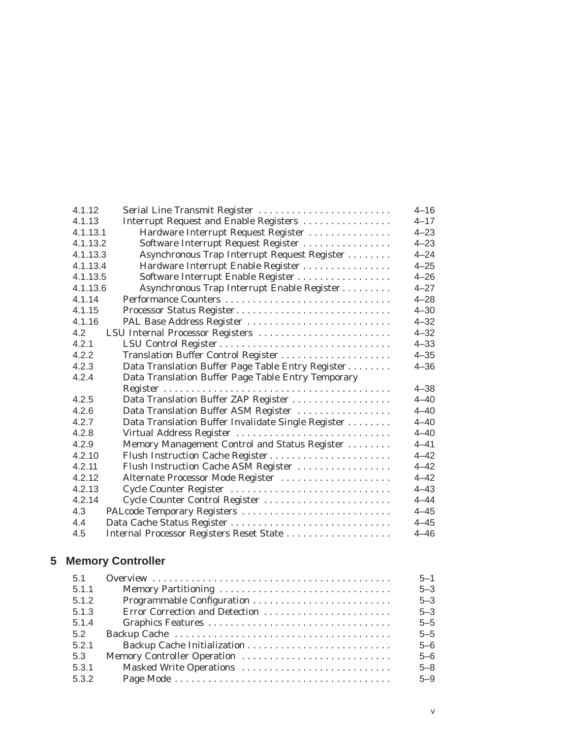| 4.1.12   | Serial Line Transmit Register                      | $4 - 16$ |
|----------|----------------------------------------------------|----------|
| 4.1.13   | Interrupt Request and Enable Registers             | $4 - 17$ |
| 4.1.13.1 | Hardware Interrupt Request Register                | $4 - 23$ |
| 4.1.13.2 | Software Interrupt Request Register                | $4 - 23$ |
| 4.1.13.3 | Asynchronous Trap Interrupt Request Register       | $4 - 24$ |
| 4.1.13.4 | Hardware Interrupt Enable Register                 | $4 - 25$ |
| 4.1.13.5 | Software Interrupt Enable Register                 | $4 - 26$ |
| 4.1.13.6 | Asynchronous Trap Interrupt Enable Register        | $4 - 27$ |
| 4.1.14   |                                                    | $4 - 28$ |
| 4.1.15   | Processor Status Register                          | $4 - 30$ |
| 4.1.16   | PAL Base Address Register                          | $4 - 32$ |
| 4.2      | LSU Internal Processor Registers                   | $4 - 32$ |
| 4.2.1    |                                                    | $4 - 33$ |
| 4.2.2    |                                                    | $4 - 35$ |
| 4.2.3    | Data Translation Buffer Page Table Entry Register  | $4 - 36$ |
| 4.2.4    | Data Translation Buffer Page Table Entry Temporary |          |
|          |                                                    | $4 - 38$ |
| 4.2.5    | Data Translation Buffer ZAP Register               | $4 - 40$ |
| 4.2.6    | Data Translation Buffer ASM Register               | $4 - 40$ |
| 4.2.7    | Data Translation Buffer Invalidate Single Register | $4 - 40$ |
| 4.2.8    | Virtual Address Register                           | $4 - 40$ |
| 4.2.9    | Memory Management Control and Status Register      | $4 - 41$ |
| 4.2.10   | Flush Instruction Cache Register                   | $4 - 42$ |
| 4.2.11   | Flush Instruction Cache ASM Register               | $4 - 42$ |
| 4.2.12   | Alternate Processor Mode Register                  | $4 - 42$ |
| 4.2.13   | Cycle Counter Register                             | $4 - 43$ |
| 4.2.14   | Cycle Counter Control Register                     | $4 - 44$ |
| 4.3      | PALcode Temporary Registers                        | $4 - 45$ |
| 4.4      |                                                    | $4 - 45$ |
| 4.5      |                                                    | $4 - 46$ |
|          | Internal Processor Registers Reset State           |          |

## **5 Memory Controller**

| 5.1   | $5 - 1$ |
|-------|---------|
| 5.1.1 | $5 - 3$ |
| 5.1.2 | $5 - 3$ |
| 5.1.3 | $5 - 3$ |
| 5.1.4 | $5 - 5$ |
| 5.2   | $5 - 5$ |
| 5.2.1 | $5 - 6$ |
| 5.3   | $5 - 6$ |
| 5.3.1 | $5 - 8$ |
| 5.3.2 | $5 - 9$ |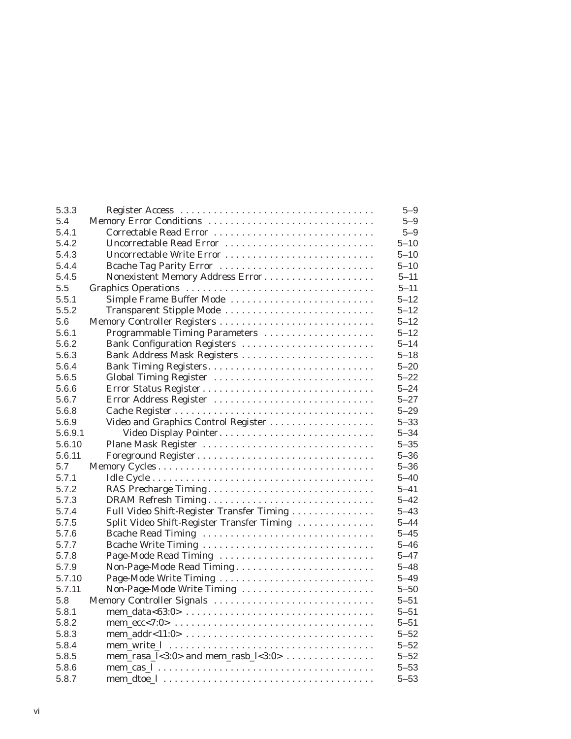| 5.3.3   |                                                         | $5 - 9$  |
|---------|---------------------------------------------------------|----------|
| 5.4     | Memory Error Conditions                                 | $5 - 9$  |
| 5.4.1   | Correctable Read Error                                  | $5 - 9$  |
| 5.4.2   | Uncorrectable Read Error                                | $5 - 10$ |
| 5.4.3   | Uncorrectable Write Error                               | $5 - 10$ |
| 5.4.4   | Bcache Tag Parity Error                                 | $5 - 10$ |
| 5.4.5   |                                                         | $5 - 11$ |
| 5.5     |                                                         | $5 - 11$ |
| 5.5.1   | Simple Frame Buffer Mode                                | $5 - 12$ |
| 5.5.2   | Transparent Stipple Mode                                | $5 - 12$ |
| 5.6     | Memory Controller Registers                             | $5 - 12$ |
| 5.6.1   | Programmable Timing Parameters                          | $5 - 12$ |
| 5.6.2   | Bank Configuration Registers                            | $5 - 14$ |
| 5.6.3   | Bank Address Mask Registers                             | $5 - 18$ |
| 5.6.4   | Bank Timing Registers                                   | $5 - 20$ |
| 5.6.5   | Global Timing Register                                  | $5 - 22$ |
| 5.6.6   | Error Status Register                                   | $5 - 24$ |
| 5.6.7   | Error Address Register                                  | $5 - 27$ |
| 5.6.8   |                                                         | $5 - 29$ |
| 5.6.9   | Video and Graphics Control Register                     | $5 - 33$ |
| 5.6.9.1 | Video Display Pointer                                   | $5 - 34$ |
| 5.6.10  | Plane Mask Register                                     | $5 - 35$ |
| 5.6.11  | Foreground Register                                     | $5 - 36$ |
| 5.7     |                                                         | $5 - 36$ |
| 5.7.1   |                                                         | $5 - 40$ |
| 5.7.2   | RAS Precharge Timing                                    | $5 - 41$ |
| 5.7.3   |                                                         | $5 - 42$ |
| 5.7.4   | Full Video Shift-Register Transfer Timing               | $5 - 43$ |
| 5.7.5   | Split Video Shift-Register Transfer Timing              | $5 - 44$ |
| 5.7.6   | Bcache Read Timing                                      | $5 - 45$ |
| 5.7.7   | Bcache Write Timing                                     | $5 - 46$ |
| 5.7.8   | Page-Mode Read Timing                                   | $5 - 47$ |
| 5.7.9   |                                                         | $5 - 48$ |
| 5.7.10  | Page-Mode Write Timing                                  | $5 - 49$ |
| 5.7.11  | Non-Page-Mode Write Timing                              | $5 - 50$ |
| 5.8     | Memory Controller Signals                               | $5 - 51$ |
| 5.8.1   |                                                         | $5 - 51$ |
| 5.8.2   |                                                         | $5 - 51$ |
| 5.8.3   |                                                         | $5 - 52$ |
| 5.8.4   |                                                         | $5 - 52$ |
| 5.8.5   | mem_rasa_ $\frac{1}{3:0}$ and mem_rasb_ $\frac{1}{3:0}$ | $5 - 52$ |
| 5.8.6   |                                                         | $5 - 53$ |
| 5.8.7   |                                                         | $5 - 53$ |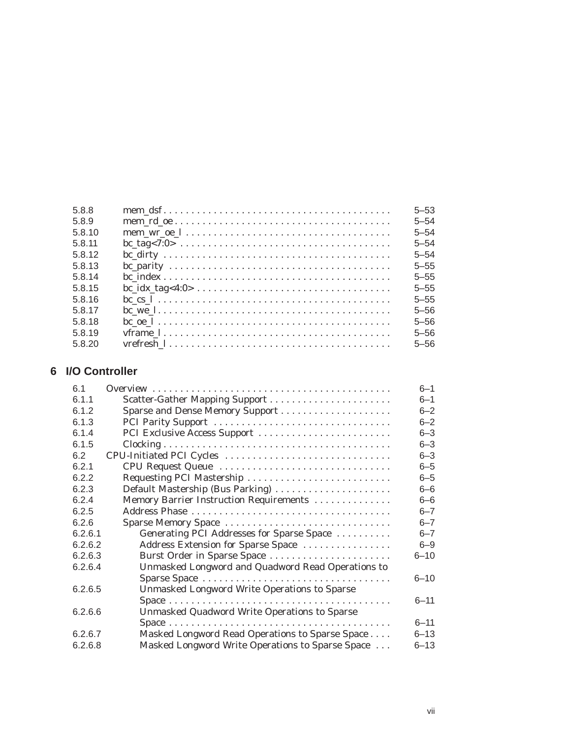| 5.8.8  | $\text{mem\_dsf} \ldots \ldots \ldots \ldots \ldots \ldots \ldots \ldots \ldots \ldots \ldots$ | $5 - 53$ |
|--------|------------------------------------------------------------------------------------------------|----------|
| 5.8.9  | $\text{mem\_rd\_oe}\dots\dots\dots\dots\dots\dots\dots\dots\dots\dots\dots\dots\dots\dots$     | $5 - 54$ |
| 5.8.10 |                                                                                                | $5 - 54$ |
| 5.8.11 | $bc\_tag < 7:0 > \ldots \ldots \ldots \ldots \ldots \ldots \ldots \ldots \ldots$               | $5 - 54$ |
| 5.8.12 |                                                                                                | $5 - 54$ |
| 5.8.13 |                                                                                                | $5 - 55$ |
| 5.8.14 |                                                                                                | $5 - 55$ |
| 5.8.15 | $bc\_idx\_tag < 4:0 > \ldots \ldots \ldots \ldots \ldots \ldots \ldots \ldots$                 | $5 - 55$ |
| 5.8.16 |                                                                                                | $5 - 55$ |
| 5.8.17 |                                                                                                | $5 - 56$ |
| 5.8.18 |                                                                                                | $5 - 56$ |
| 5.8.19 |                                                                                                | $5 - 56$ |
| 5.8.20 |                                                                                                | $5 - 56$ |
|        |                                                                                                |          |

## **6 I/O Controller**

| 61      |                                                     | $6 - 1$  |
|---------|-----------------------------------------------------|----------|
| 6.1.1   | Scatter-Gather Mapping Support                      | $6 - 1$  |
| 6.1.2   |                                                     | $6 - 2$  |
| 6.1.3   | PCI Parity Support                                  | $6 - 2$  |
| 6.1.4   | PCI Exclusive Access Support                        | $6 - 3$  |
| 6.1.5   |                                                     | $6 - 3$  |
| 6.2     | CPU-Initiated PCI Cycles                            | $6 - 3$  |
| 6.2.1   |                                                     | $6 - 5$  |
| 6.2.2   | Requesting PCI Mastership                           | $6 - 5$  |
| 6.2.3   | Default Mastership (Bus Parking)                    | $6 - 6$  |
| 6.2.4   | Memory Barrier Instruction Requirements             | $6 - 6$  |
| 6.2.5   |                                                     | $6 - 7$  |
| 6.2.6   | Sparse Memory Space                                 | $6 - 7$  |
| 6.2.6.1 | Generating PCI Addresses for Sparse Space           | $6 - 7$  |
| 6.2.6.2 | Address Extension for Sparse Space                  | $6 - 9$  |
| 6.2.6.3 | Burst Order in Sparse Space                         | $6 - 10$ |
| 6.2.6.4 | Unmasked Longword and Quadword Read Operations to   |          |
|         |                                                     | $6 - 10$ |
| 6.2.6.5 | <b>Unmasked Longword Write Operations to Sparse</b> |          |
|         |                                                     | $6 - 11$ |
| 6.2.6.6 | Unmasked Quadword Write Operations to Sparse        |          |
|         |                                                     | $6 - 11$ |
| 6.2.6.7 | Masked Longword Read Operations to Sparse Space     | $6 - 13$ |
| 6.2.6.8 | Masked Longword Write Operations to Sparse Space    | $6 - 13$ |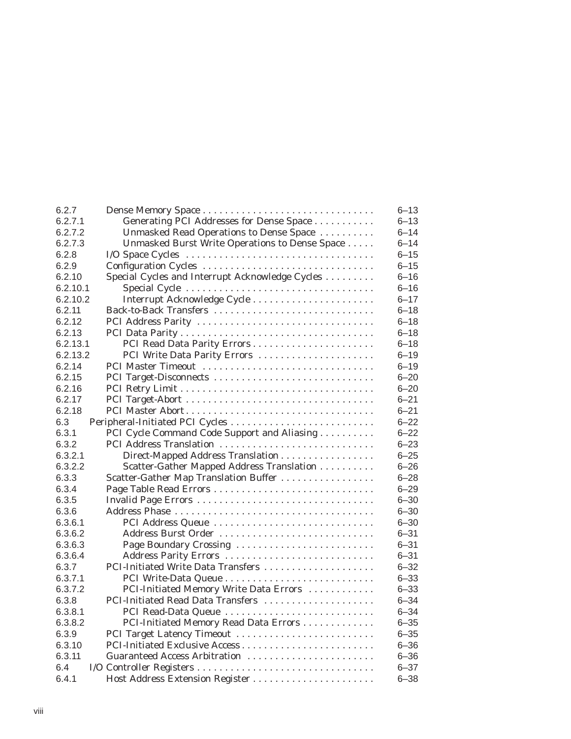| 6.2.7    |                                                 | $6 - 13$ |
|----------|-------------------------------------------------|----------|
| 6.2.7.1  | Generating PCI Addresses for Dense Space        | $6 - 13$ |
| 6.2.7.2  | Unmasked Read Operations to Dense Space         | $6 - 14$ |
| 6.2.7.3  | Unmasked Burst Write Operations to Dense Space  | $6 - 14$ |
| 6.2.8    |                                                 | $6 - 15$ |
| 6.2.9    | Configuration Cycles                            | $6 - 15$ |
| 6.2.10   | Special Cycles and Interrupt Acknowledge Cycles | $6 - 16$ |
| 6.2.10.1 |                                                 | $6 - 16$ |
| 6.2.10.2 |                                                 | $6 - 17$ |
| 6.2.11   | Back-to-Back Transfers                          | $6 - 18$ |
| 6.2.12   | PCI Address Parity                              | $6 - 18$ |
| 6.2.13   |                                                 | $6 - 18$ |
| 6.2.13.1 |                                                 | $6 - 18$ |
| 6.2.13.2 | PCI Write Data Parity Errors                    | $6 - 19$ |
| 6.2.14   | PCI Master Timeout                              | $6 - 19$ |
| 6.2.15   | PCI Target-Disconnects                          | $6 - 20$ |
| 6.2.16   |                                                 | $6 - 20$ |
| 6.2.17   |                                                 | $6 - 21$ |
| 6.2.18   |                                                 | $6 - 21$ |
| 6.3      | Peripheral-Initiated PCI Cycles                 | $6 - 22$ |
| 6.3.1    | PCI Cycle Command Code Support and Aliasing     | $6 - 22$ |
| 6.3.2    | PCI Address Translation                         | $6 - 23$ |
| 6.3.2.1  | Direct-Mapped Address Translation               | $6 - 25$ |
| 6.3.2.2  | Scatter-Gather Mapped Address Translation       | $6 - 26$ |
| 6.3.3    | Scatter-Gather Map Translation Buffer           | $6 - 28$ |
| 6.3.4    |                                                 | $6 - 29$ |
| 6.3.5    |                                                 | $6 - 30$ |
| 6.3.6    |                                                 | $6 - 30$ |
| 6.3.6.1  | PCI Address Queue                               | $6 - 30$ |
| 6.3.6.2  | Address Burst Order                             | $6 - 31$ |
| 6.3.6.3  | Page Boundary Crossing                          | $6 - 31$ |
| 6.3.6.4  | Address Parity Errors                           | $6 - 31$ |
| 6.3.7    | PCI-Initiated Write Data Transfers              | $6 - 32$ |
| 6.3.7.1  |                                                 | $6 - 33$ |
| 6.3.7.2  | PCI-Initiated Memory Write Data Errors          | $6 - 33$ |
| 6.3.8    | PCI-Initiated Read Data Transfers               | $6 - 34$ |
| 6.3.8.1  | PCI Read-Data Queue                             | $6 - 34$ |
| 6.3.8.2  | PCI-Initiated Memory Read Data Errors           | $6 - 35$ |
| 6.3.9    | PCI Target Latency Timeout                      | $6 - 35$ |
| 6.3.10   |                                                 | $6 - 36$ |
| 6.3.11   | Guaranteed Access Arbitration                   | $6 - 36$ |
| 6.4      |                                                 | $6 - 37$ |
| 6.4.1    | Host Address Extension Register                 | $6 - 38$ |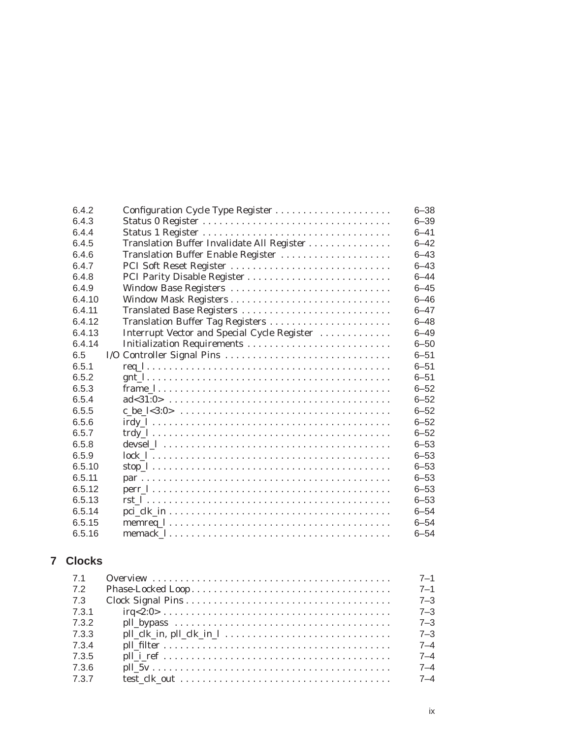| 6.4.2  | Configuration Cycle Type Register                                                               | $6 - 38$ |
|--------|-------------------------------------------------------------------------------------------------|----------|
| 6.4.3  |                                                                                                 | $6 - 39$ |
| 6.4.4  |                                                                                                 | $6 - 41$ |
| 6.4.5  | Translation Buffer Invalidate All Register                                                      | $6 - 42$ |
| 6.4.6  | Translation Buffer Enable Register                                                              | $6 - 43$ |
| 6.4.7  | PCI Soft Reset Register                                                                         | $6 - 43$ |
| 6.4.8  |                                                                                                 | $6 - 44$ |
| 6.4.9  | Window Base Registers                                                                           | $6 - 45$ |
| 6.4.10 |                                                                                                 | $6 - 46$ |
| 6.4.11 | Translated Base Registers                                                                       | $6 - 47$ |
| 6.4.12 |                                                                                                 | $6 - 48$ |
| 6.4.13 | Interrupt Vector and Special Cycle Register                                                     | $6 - 49$ |
| 6.4.14 | Initialization Requirements                                                                     | $6 - 50$ |
| 6.5    | I/O Controller Signal Pins                                                                      | $6 - 51$ |
| 6.5.1  |                                                                                                 | $6 - 51$ |
| 6.5.2  |                                                                                                 | $6 - 51$ |
| 6.5.3  |                                                                                                 | $6 - 52$ |
| 6.5.4  |                                                                                                 | $6 - 52$ |
| 6.5.5  |                                                                                                 | $6 - 52$ |
| 6.5.6  |                                                                                                 | $6 - 52$ |
| 6.5.7  |                                                                                                 | $6 - 52$ |
| 6.5.8  |                                                                                                 | $6 - 53$ |
| 6.5.9  |                                                                                                 | $6 - 53$ |
| 6.5.10 |                                                                                                 | $6 - 53$ |
| 6.5.11 |                                                                                                 | $6 - 53$ |
| 6.5.12 |                                                                                                 | $6 - 53$ |
| 6.5.13 |                                                                                                 | $6 - 53$ |
| 6.5.14 |                                                                                                 | $6 - 54$ |
| 6.5.15 | $\text{memreq}\_1 \ldots \ldots \ldots \ldots \ldots \ldots \ldots \ldots \ldots \ldots \ldots$ | $6 - 54$ |
| 6.5.16 |                                                                                                 | $6 - 54$ |

## **7 Clocks**

| 7.1   |                                                                                                                                                          | $7 - 1$ |
|-------|----------------------------------------------------------------------------------------------------------------------------------------------------------|---------|
| 7.2   |                                                                                                                                                          | $7 - 1$ |
| 7.3   |                                                                                                                                                          | $7 - 3$ |
| 7.3.1 | $irq<2:0> \ldots \ldots \ldots \ldots \ldots \ldots \ldots \ldots \ldots \ldots \ldots \ldots \ldots$                                                    | $7 - 3$ |
| 7.3.2 |                                                                                                                                                          | $7 - 3$ |
| 7.3.3 | $\text{pll}\_ \text{clk}\_ \text{in},\ \text{pll}\_ \text{clk}\_ \text{in}\_ \ \ldots\ldots\ldots\ldots\ldots\ldots\ldots\ldots\ldots\ldots\ldots\ldots$ | $7 - 3$ |
| 7.3.4 |                                                                                                                                                          | $7 - 4$ |
| 7.3.5 |                                                                                                                                                          | $7 - 4$ |
| 7.3.6 |                                                                                                                                                          | $7 - 4$ |
| 7.3.7 |                                                                                                                                                          | $7 - 4$ |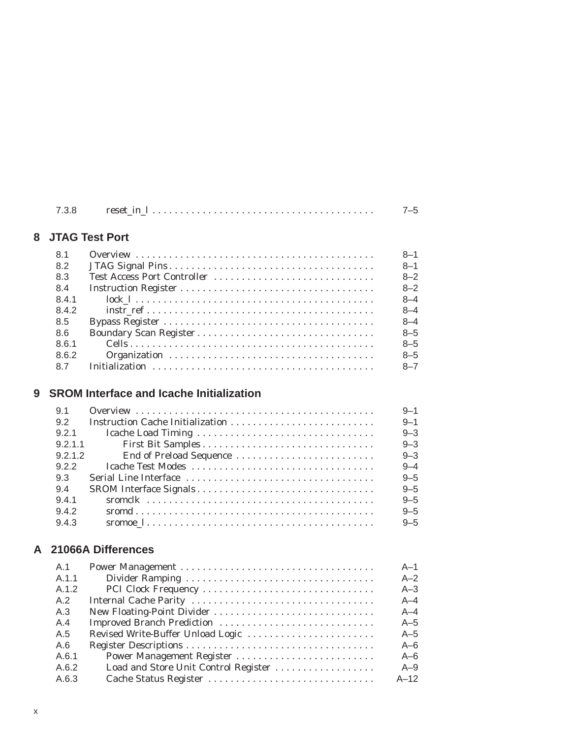| 7.3.8 |  |
|-------|--|
|       |  |

## **8 JTAG Test Port**

| 8.1   |                             | $8 - 1$ |
|-------|-----------------------------|---------|
| 8.2   |                             | $8 - 1$ |
| 8.3   | Test Access Port Controller | $8 - 2$ |
| 8.4   |                             | $8 - 2$ |
| 8.4.1 |                             | $8 - 4$ |
| 8.4.2 |                             | $8 - 4$ |
| 8.5   |                             | $8 - 4$ |
| 8.6   |                             | $8 - 5$ |
| 8.6.1 |                             | $8 - 5$ |
| 8.6.2 |                             | $8 - 5$ |
| 87    |                             | $8 - 7$ |

## **9 SROM Interface and Icache Initialization**

| 9.1     |                         | $9 - 1$ |
|---------|-------------------------|---------|
| 9.2     |                         | $9 - 1$ |
| 9.2.1   |                         | $9 - 3$ |
| 9.2.1.1 |                         | $9 - 3$ |
| 9.2.1.2 | End of Preload Sequence | $9 - 3$ |
| 9.2.2   |                         | $9 - 4$ |
| 9.3     |                         | $9 - 5$ |
| 9.4     |                         | $9 - 5$ |
| 9.4.1   |                         | $9 - 5$ |
| 9.4.2   |                         | $9 - 5$ |
| 9.4.3   |                         | $9 - 5$ |

## **A 21066A Differences**

| A.1   |                                      | $A-1$   |
|-------|--------------------------------------|---------|
| A.1.1 |                                      | $A-2$   |
| A.1.2 | PCI Clock Frequency                  | $A - 3$ |
| A.2   |                                      | $A - 4$ |
| A.3   |                                      | $A - 4$ |
| A.4   | Improved Branch Prediction           | $A-5$   |
| A.5   | Revised Write-Buffer Unload Logic    | $A-5$   |
| A.6   |                                      | $A-6$   |
| A.6.1 | Power Management Register            | $A-6$   |
| A.6.2 | Load and Store Unit Control Register | $A-9$   |
| A.6.3 | Cache Status Register                | $A-12$  |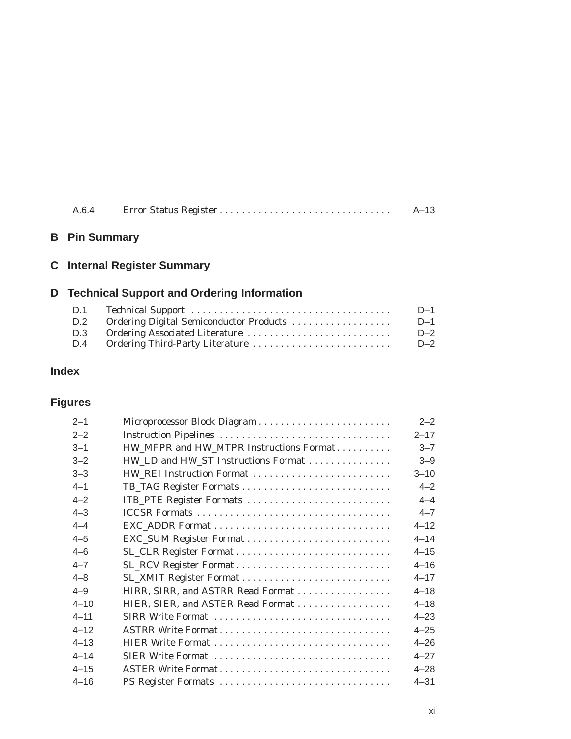|  | $A - 13$ |
|--|----------|
|  |          |

## **B Pin Summary**

## **C Internal Register Summary**

## **D Technical Support and Ordering Information**

| D.1 |                                         | $D-1$ |
|-----|-----------------------------------------|-------|
| D.2 | Ordering Digital Semiconductor Products | $D-1$ |
| D.3 |                                         | $D-2$ |
| D.4 |                                         | $D-2$ |

## **Index**

## **Figures**

| $2 - 1$  |                                         | $2 - 2$  |
|----------|-----------------------------------------|----------|
| $2 - 2$  |                                         | $2 - 17$ |
| $3 - 1$  | HW_MFPR and HW_MTPR Instructions Format | $3 - 7$  |
| $3 - 2$  | HW_LD and HW_ST Instructions Format     | $3 - 9$  |
| $3 - 3$  |                                         | $3 - 10$ |
| $4 - 1$  |                                         | $4 - 2$  |
| $4 - 2$  | ITB_PTE Register Formats                | $4 - 4$  |
| $4 - 3$  |                                         | $4 - 7$  |
| $4 - 4$  |                                         | $4 - 12$ |
| $4 - 5$  |                                         | $4 - 14$ |
| $4 - 6$  |                                         | $4 - 15$ |
| $4 - 7$  | SL_RCV Register Format                  | $4 - 16$ |
| $4 - 8$  |                                         | $4 - 17$ |
| $4 - 9$  | HIRR, SIRR, and ASTRR Read Format       | $4 - 18$ |
| $4 - 10$ | HIER, SIER, and ASTER Read Format       | $4 - 18$ |
| $4 - 11$ |                                         | $4 - 23$ |
| $4 - 12$ | ASTRR Write Format                      | $4 - 25$ |
| $4 - 13$ |                                         | $4 - 26$ |
| $4 - 14$ | SIER Write Format                       | $4 - 27$ |
| $4 - 15$ | ASTER Write Format                      | $4 - 28$ |
| $4 - 16$ | PS Register Formats                     | $4 - 31$ |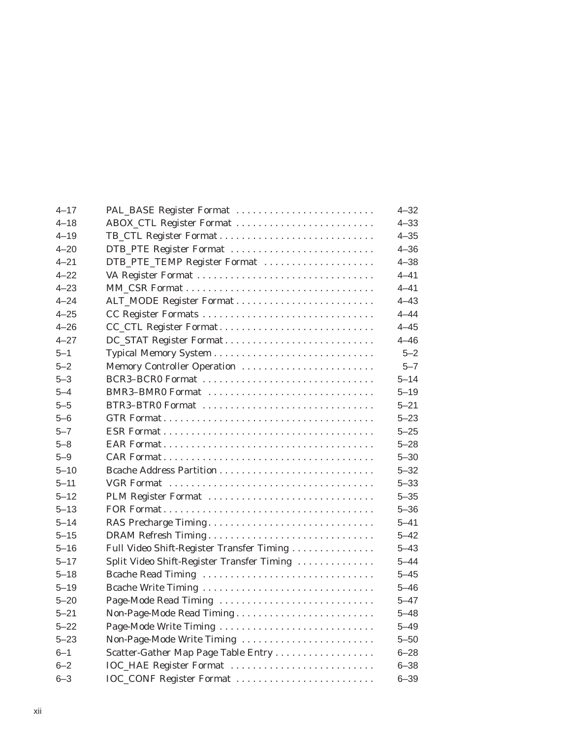| $4 - 17$ | PAL_BASE Register Format                   | $4 - 32$ |
|----------|--------------------------------------------|----------|
| $4 - 18$ | ABOX_CTL Register Format                   | $4 - 33$ |
| $4 - 19$ | TB_CTL Register Format                     | $4 - 35$ |
| $4 - 20$ | DTB_PTE Register Format                    | $4 - 36$ |
| $4 - 21$ | DTB_PTE_TEMP Register Format               | $4 - 38$ |
| $4 - 22$ |                                            | $4 - 41$ |
| $4 - 23$ |                                            | $4 - 41$ |
| $4 - 24$ |                                            | $4 - 43$ |
| $4 - 25$ | CC Register Formats                        | $4 - 44$ |
| $4 - 26$ | CC_CTL Register Format                     | $4 - 45$ |
| $4 - 27$ |                                            | $4 - 46$ |
| $5 - 1$  |                                            | $5 - 2$  |
| $5 - 2$  | Memory Controller Operation                | $5 - 7$  |
| $5 - 3$  | BCR3-BCR0 Format                           | $5 - 14$ |
| $5 - 4$  | BMR3-BMR0 Format                           | $5 - 19$ |
| $5 - 5$  | BTR3-BTR0 Format                           | $5 - 21$ |
| $5 - 6$  |                                            | $5 - 23$ |
| $5 - 7$  |                                            | $5 - 25$ |
| $5 - 8$  |                                            | $5 - 28$ |
| $5 - 9$  |                                            | $5 - 30$ |
| $5 - 10$ |                                            | $5 - 32$ |
| $5 - 11$ |                                            | $5 - 33$ |
| $5 - 12$ | PLM Register Format                        | $5 - 35$ |
| $5 - 13$ |                                            | $5 - 36$ |
| $5 - 14$ | RAS Precharge Timing                       | $5 - 41$ |
| $5 - 15$ |                                            | $5 - 42$ |
| $5 - 16$ | Full Video Shift-Register Transfer Timing  | $5 - 43$ |
| $5 - 17$ | Split Video Shift-Register Transfer Timing | $5 - 44$ |
| $5 - 18$ | Bcache Read Timing                         | $5 - 45$ |
| $5 - 19$ |                                            | $5 - 46$ |
| $5 - 20$ | Page-Mode Read Timing                      | $5 - 47$ |
| $5 - 21$ |                                            | $5 - 48$ |
| $5 - 22$ | Page-Mode Write Timing                     | $5 - 49$ |
| $5 - 23$ | Non-Page-Mode Write Timing                 | $5 - 50$ |
| $6 - 1$  | Scatter-Gather Map Page Table Entry        | $6 - 28$ |
| $6 - 2$  | IOC_HAE Register Format                    | $6 - 38$ |
| $6 - 3$  | IOC_CONF Register Format                   | $6 - 39$ |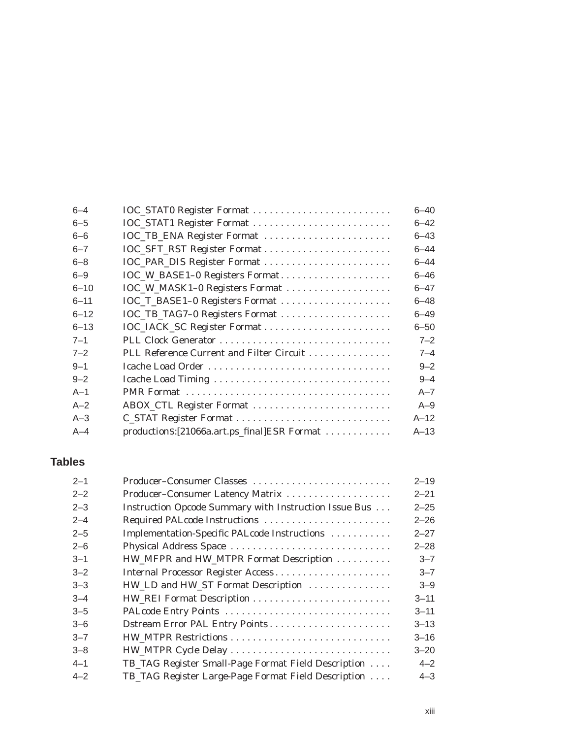| $6 - 4$  | IOC_STAT0 Register Format                    | $6 - 40$ |
|----------|----------------------------------------------|----------|
| $6 - 5$  |                                              | $6 - 42$ |
| $6 - 6$  | IOC_TB_ENA Register Format                   | $6 - 43$ |
| $6 - 7$  |                                              | 6–44     |
| $6 - 8$  |                                              | $6 - 44$ |
| $6 - 9$  | IOC_W_BASE1-0 Registers Format               | $6 - 46$ |
| $6 - 10$ | IOC_W_MASK1-0 Registers Format               | $6 - 47$ |
| $6 - 11$ |                                              | $6 - 48$ |
| $6 - 12$ |                                              | $6 - 49$ |
| $6 - 13$ |                                              | $6 - 50$ |
| $7 - 1$  |                                              | $7 - 2$  |
| $7 - 2$  | PLL Reference Current and Filter Circuit     | $7 - 4$  |
| $9 - 1$  | Icache Load Order                            | $9 - 2$  |
| $9 - 2$  |                                              | $9 - 4$  |
| $A-1$    |                                              | $A - 7$  |
| $A-2$    |                                              | $A - 9$  |
| $A-3$    |                                              | $A-12$   |
| $A-4$    | production\$:[21066a.art.ps_final]ESR Format | $A-13$   |

## **Tables**

| $2 - 1$ | Producer-Consumer Classes                             | $2 - 19$ |
|---------|-------------------------------------------------------|----------|
| $2 - 2$ | Producer-Consumer Latency Matrix                      | $2 - 21$ |
| $2 - 3$ | Instruction Opcode Summary with Instruction Issue Bus | $2 - 25$ |
| $2 - 4$ | Required PALcode Instructions                         | $2 - 26$ |
| $2 - 5$ | Implementation-Specific PALcode Instructions          | $2 - 27$ |
| $2 - 6$ | Physical Address Space                                | $2 - 28$ |
| $3 - 1$ | HW_MFPR and HW_MTPR Format Description                | $3 - 7$  |
| $3 - 2$ | Internal Processor Register Access                    | $3 - 7$  |
| $3 - 3$ | HW_LD and HW_ST Format Description                    | $3 - 9$  |
| $3 - 4$ |                                                       | $3 - 11$ |
| $3 - 5$ |                                                       | $3 - 11$ |
| $3 - 6$ | Dstream Error PAL Entry Points                        | $3 - 13$ |
| $3 - 7$ |                                                       | $3 - 16$ |
| $3 - 8$ | HW_MTPR Cycle Delay                                   | $3 - 20$ |
| $4 - 1$ | TB_TAG Register Small-Page Format Field Description   | $4 - 2$  |
| $4 - 2$ | TB_TAG Register Large-Page Format Field Description   | $4 - 3$  |
|         |                                                       |          |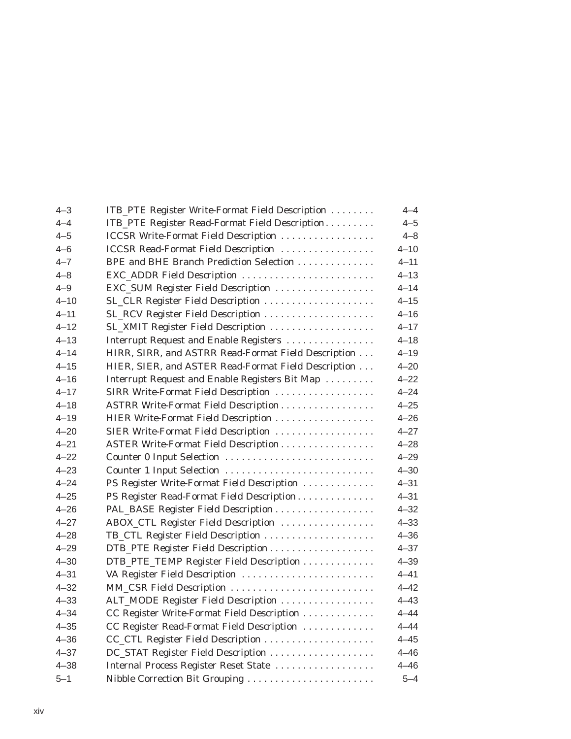| $4 - 3$  | ITB_PTE Register Write-Format Field Description     | $4 - 4$  |
|----------|-----------------------------------------------------|----------|
| 4–4      | ITB_PTE Register Read-Format Field Description      | $4 - 5$  |
| $4 - 5$  | <b>ICCSR Write-Format Field Description </b>        | $4 - 8$  |
| $4 - 6$  | <b>ICCSR Read-Format Field Description </b>         | $4 - 10$ |
| $4 - 7$  | BPE and BHE Branch Prediction Selection             | $4 - 11$ |
| $4 - 8$  | EXC_ADDR Field Description                          | $4 - 13$ |
| $4 - 9$  | EXC_SUM Register Field Description                  | $4 - 14$ |
| $4 - 10$ | SL_CLR Register Field Description                   | $4 - 15$ |
| $4 - 11$ |                                                     | $4 - 16$ |
| $4 - 12$ |                                                     | $4 - 17$ |
| $4 - 13$ | Interrupt Request and Enable Registers              | $4 - 18$ |
| $4 - 14$ | HIRR, SIRR, and ASTRR Read-Format Field Description | $4 - 19$ |
| $4 - 15$ | HIER, SIER, and ASTER Read-Format Field Description | $4 - 20$ |
| $4 - 16$ | Interrupt Request and Enable Registers Bit Map      | $4 - 22$ |
| $4 - 17$ | SIRR Write-Format Field Description                 | $4 - 24$ |
| $4 - 18$ | ASTRR Write-Format Field Description                | $4 - 25$ |
| $4 - 19$ | HIER Write-Format Field Description                 | $4 - 26$ |
| $4 - 20$ | SIER Write-Format Field Description                 | $4 - 27$ |
| $4 - 21$ | ASTER Write-Format Field Description                | $4 - 28$ |
| $4 - 22$ | Counter 0 Input Selection                           | $4 - 29$ |
| $4 - 23$ | Counter 1 Input Selection                           | $4 - 30$ |
| $4 - 24$ | PS Register Write-Format Field Description          | $4 - 31$ |
| $4 - 25$ | PS Register Read-Format Field Description           | $4 - 31$ |
| $4 - 26$ | PAL_BASE Register Field Description                 | $4 - 32$ |
| $4 - 27$ | ABOX_CTL Register Field Description                 | $4 - 33$ |
| $4 - 28$ | TB_CTL Register Field Description                   | $4 - 36$ |
| $4 - 29$ |                                                     | $4 - 37$ |
| $4 - 30$ | DTB_PTE_TEMP Register Field Description             | $4 - 39$ |
| $4 - 31$ | VA Register Field Description                       | $4 - 41$ |
| $4 - 32$ | MM_CSR Field Description                            | $4 - 42$ |
| $4 - 33$ | ALT_MODE Register Field Description                 | $4 - 43$ |
| $4 - 34$ | CC Register Write-Format Field Description          | $4 - 44$ |
| $4 - 35$ | CC Register Read-Format Field Description           | $4 - 44$ |
| $4 - 36$ |                                                     | $4 - 45$ |
| $4 - 37$ |                                                     | $4 - 46$ |
| $4 - 38$ | Internal Process Register Reset State               | $4 - 46$ |
| $5 - 1$  | Nibble Correction Bit Grouping                      | $5 - 4$  |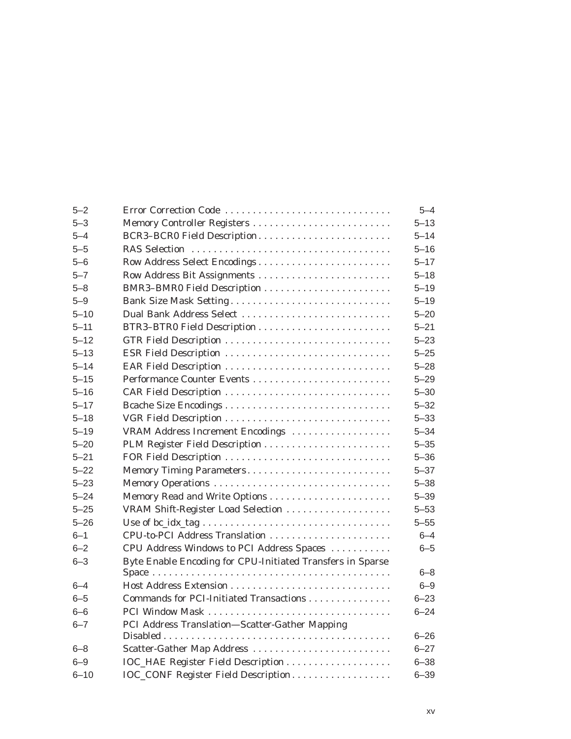| $5 - 2$  | Error Correction Code                                      | $5 - 4$  |
|----------|------------------------------------------------------------|----------|
| $5 - 3$  | Memory Controller Registers                                | $5 - 13$ |
| $5 - 4$  | BCR3-BCR0 Field Description                                | $5 - 14$ |
| $5 - 5$  |                                                            | $5 - 16$ |
| $5 - 6$  | Row Address Select Encodings                               | $5 - 17$ |
| $5 - 7$  |                                                            | $5 - 18$ |
| $5 - 8$  | BMR3-BMR0 Field Description                                | $5 - 19$ |
| $5 - 9$  | Bank Size Mask Setting                                     | $5 - 19$ |
| $5 - 10$ | Dual Bank Address Select                                   | $5 - 20$ |
| $5 - 11$ |                                                            | $5 - 21$ |
| $5 - 12$ |                                                            | $5 - 23$ |
| $5 - 13$ | ESR Field Description                                      | $5 - 25$ |
| $5 - 14$ |                                                            | $5 - 28$ |
| $5 - 15$ |                                                            | $5 - 29$ |
| $5 - 16$ |                                                            | $5 - 30$ |
| $5 - 17$ |                                                            | $5 - 32$ |
| $5 - 18$ |                                                            | $5 - 33$ |
| $5 - 19$ | VRAM Address Increment Encodings                           | $5 - 34$ |
| $5 - 20$ |                                                            | $5 - 35$ |
| $5 - 21$ |                                                            | $5 - 36$ |
| $5 - 22$ | Memory Timing Parameters                                   | $5 - 37$ |
| $5 - 23$ |                                                            | $5 - 38$ |
| $5 - 24$ |                                                            | $5 - 39$ |
| $5 - 25$ | VRAM Shift-Register Load Selection                         | $5 - 53$ |
| $5 - 26$ |                                                            | $5 - 55$ |
| $6 - 1$  | CPU-to-PCI Address Translation                             | $6 - 4$  |
| $6 - 2$  | CPU Address Windows to PCI Address Spaces                  | $6 - 5$  |
| $6 - 3$  | Byte Enable Encoding for CPU-Initiated Transfers in Sparse |          |
|          |                                                            | $6 - 8$  |
| $6 - 4$  |                                                            | $6 - 9$  |
| $6 - 5$  | Commands for PCI-Initiated Transactions                    | $6 - 23$ |
| $6 - 6$  |                                                            | $6 - 24$ |
| $6 - 7$  | PCI Address Translation-Scatter-Gather Mapping             |          |
|          |                                                            | $6 - 26$ |
| $6 - 8$  | Scatter-Gather Map Address                                 | $6 - 27$ |
| $6 - 9$  |                                                            | $6 - 38$ |
| $6 - 10$ | IOC_CONF Register Field Description                        | $6 - 39$ |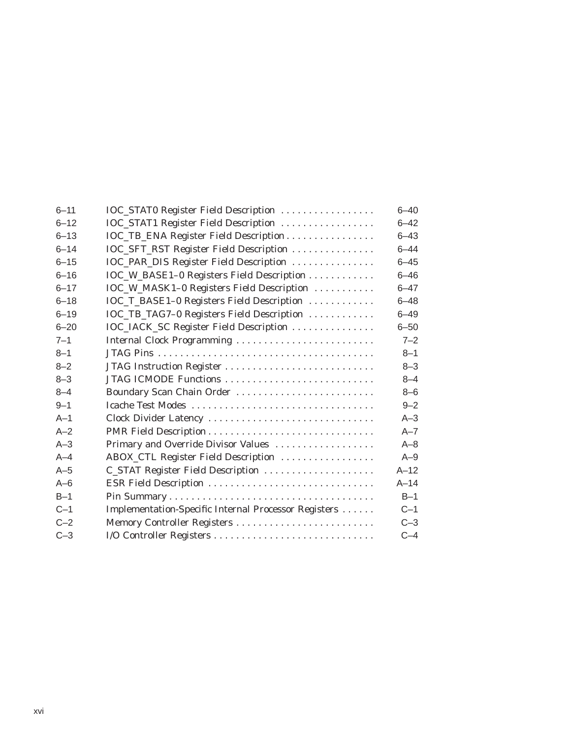| $6 - 11$ | IOC_STAT0 Register Field Description                 | $6 - 40$ |
|----------|------------------------------------------------------|----------|
| $6 - 12$ | IOC_STAT1 Register Field Description                 | $6 - 42$ |
| $6 - 13$ | IOC_TB_ENA Register Field Description                | $6 - 43$ |
| $6 - 14$ | IOC_SFT_RST Register Field Description               | $6 - 44$ |
| $6 - 15$ | IOC_PAR_DIS Register Field Description               | $6 - 45$ |
| $6 - 16$ | IOC_W_BASE1-0 Registers Field Description            | $6 - 46$ |
| $6 - 17$ | IOC_W_MASK1-0 Registers Field Description            | $6 - 47$ |
| $6 - 18$ | IOC_T_BASE1-0 Registers Field Description            | $6 - 48$ |
| $6 - 19$ | IOC_TB_TAG7-0 Registers Field Description            | $6 - 49$ |
| $6 - 20$ | IOC_IACK_SC Register Field Description               | $6 - 50$ |
| $7 - 1$  | Internal Clock Programming                           | $7 - 2$  |
| $8 - 1$  |                                                      | $8 - 1$  |
| $8 - 2$  |                                                      | $8 - 3$  |
| $8 - 3$  | JTAG ICMODE Functions                                | $8 - 4$  |
| $8 - 4$  | Boundary Scan Chain Order                            | $8 - 6$  |
| $9 - 1$  | Icache Test Modes                                    | $9 - 2$  |
| $A-1$    | Clock Divider Latency                                | $A-3$    |
| $A - 2$  |                                                      | $A - 7$  |
| $A-3$    | Primary and Override Divisor Values                  | $A - 8$  |
| $A-4$    | ABOX_CTL Register Field Description                  | $A-9$    |
| $A-5$    | C_STAT Register Field Description                    | $A-12$   |
| $A-6$    |                                                      | $A-14$   |
| $B-1$    |                                                      | $B-1$    |
| $C-1$    | Implementation-Specific Internal Processor Registers | $C-1$    |
| $C-2$    | Memory Controller Registers                          | $C-3$    |
| $C-3$    | I/O Controller Registers                             | $C-4$    |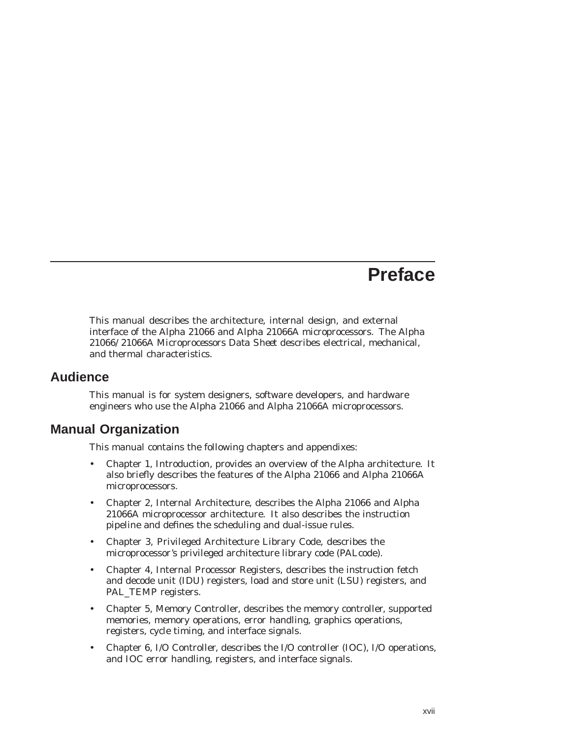## **Preface**

This manual describes the architecture, internal design, and external interface of the Alpha 21066 and Alpha 21066A microprocessors. The *Alpha 21066/21066A Microprocessors Data Sheet* describes electrical, mechanical, and thermal characteristics.

### **Audience**

This manual is for system designers, software developers, and hardware engineers who use the Alpha 21066 and Alpha 21066A microprocessors.

### **Manual Organization**

This manual contains the following chapters and appendixes:

- Chapter 1, Introduction, provides an overview of the Alpha architecture. It also briefly describes the features of the Alpha 21066 and Alpha 21066A microprocessors.
- Chapter 2, Internal Architecture, describes the Alpha 21066 and Alpha 21066A microprocessor architecture. It also describes the instruction pipeline and defines the scheduling and dual-issue rules.
- Chapter 3, Privileged Architecture Library Code, describes the microprocessor's privileged architecture library code (PALcode).
- Chapter 4, Internal Processor Registers, describes the instruction fetch and decode unit (IDU) registers, load and store unit (LSU) registers, and PAL\_TEMP registers.
- Chapter 5, Memory Controller, describes the memory controller, supported memories, memory operations, error handling, graphics operations, registers, cycle timing, and interface signals.
- Chapter 6, I/O Controller, describes the I/O controller (IOC), I/O operations, and IOC error handling, registers, and interface signals.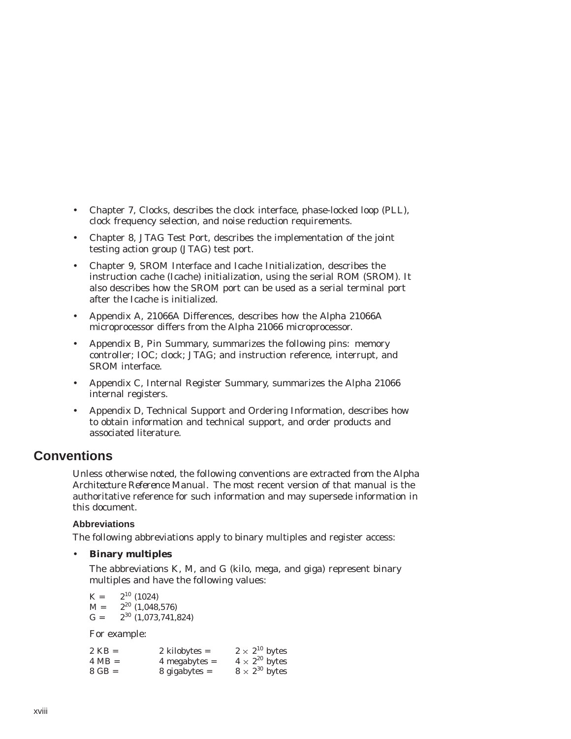- Chapter 7, Clocks, describes the clock interface, phase-locked loop (PLL), clock frequency selection, and noise reduction requirements.
- Chapter 8, JTAG Test Port, describes the implementation of the joint testing action group (JTAG) test port.
- Chapter 9, SROM Interface and Icache Initialization, describes the instruction cache (Icache) initialization, using the serial ROM (SROM). It also describes how the SROM port can be used as a serial terminal port after the Icache is initialized.
- Appendix A, 21066A Differences, describes how the Alpha 21066A microprocessor differs from the Alpha 21066 microprocessor.
- Appendix B, Pin Summary, summarizes the following pins: memory controller; IOC; clock; JTAG; and instruction reference, interrupt, and SROM interface.
- Appendix C, Internal Register Summary, summarizes the Alpha 21066 internal registers.
- Appendix D, Technical Support and Ordering Information, describes how to obtain information and technical support, and order products and associated literature.

### **Conventions**

Unless otherwise noted, the following conventions are extracted from the *Alpha Architecture Reference Manual.* The most recent version of that manual is the authoritative reference for such information and may supersede information in this document.

#### **Abbreviations**

The following abbreviations apply to binary multiples and register access:

#### • **Binary multiples**

The abbreviations K, M, and G (kilo, mega, and giga) represent binary multiples and have the following values:

 $K =$   $2^{10}$  (1024)<br>  $M =$   $2^{20}$  (1.048)  $2^{20}$  (1,048,576)  $G = 2^{30} (1,073,741,824)$ 

For example:

| 2 KB = | 2 kilobytes $=$ |  | $2 \times 2^{10}$ bytes |  |
|--------|-----------------|--|-------------------------|--|
| 4 MB = | $4$ megabytes = |  | $4 \times 2^{20}$ bytes |  |
| 8 GB = | $8$ gigabytes = |  | $8 \times 2^{30}$ bytes |  |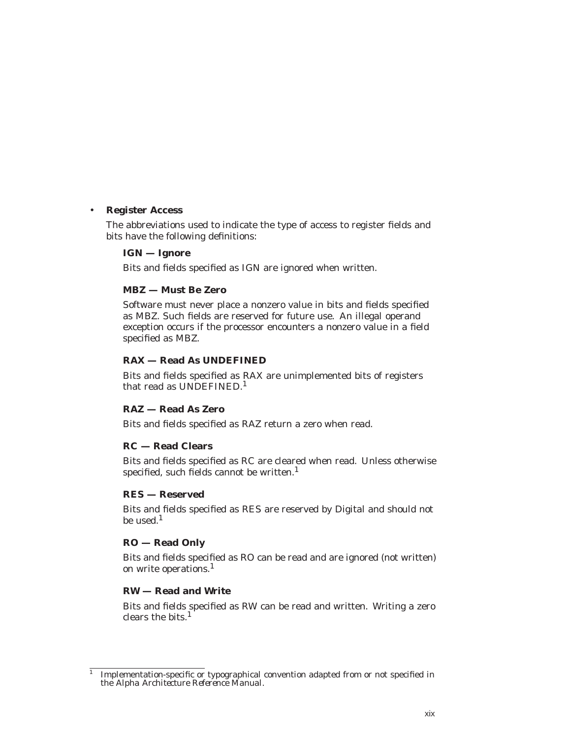#### • **Register Access**

The abbreviations used to indicate the type of access to register fields and bits have the following definitions:

#### **IGN — Ignore**

Bits and fields specified as IGN are ignored when written.

#### **MBZ — Must Be Zero**

Software must never place a nonzero value in bits and fields specified as MBZ. Such fields are reserved for future use. An illegal operand exception occurs if the processor encounters a nonzero value in a field specified as MBZ.

#### **RAX — Read As UNDEFINED**

Bits and fields specified as RAX are unimplemented bits of registers that read as UNDEFINED.<sup>1</sup>

#### **RAZ — Read As Zero**

Bits and fields specified as RAZ return a zero when read.

#### **RC — Read Clears**

Bits and fields specified as RC are cleared when read. Unless otherwise specified, such fields cannot be written.<sup>1</sup>

#### **RES — Reserved**

Bits and fields specified as RES are reserved by Digital and should not be used.<sup>1</sup>

#### **RO — Read Only**

Bits and fields specified as RO can be read and are ignored (not written) on write operations.<sup>1</sup>

#### **RW — Read and Write**

Bits and fields specified as RW can be read and written. Writing a zero clears the bits. $<sup>1</sup>$ </sup>

 $\overline{1}$  Implementation-specific or typographical convention adapted from or not specified in the *Alpha Architecture Reference Manual.*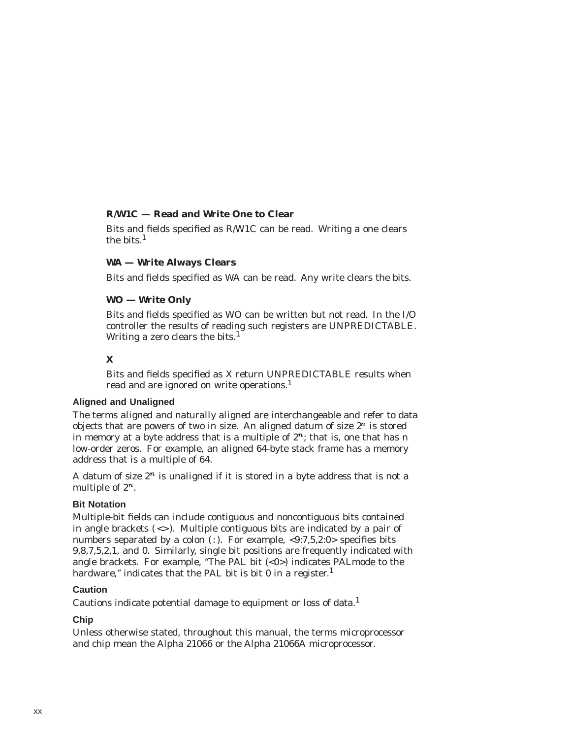#### **R/W1C — Read and Write One to Clear**

Bits and fields specified as R/W1C can be read. Writing a one clears the bits. $<sup>1</sup>$ </sup>

#### **WA — Write Always Clears**

Bits and fields specified as WA can be read. Any write clears the bits.

#### **WO — Write Only**

Bits and fields specified as WO can be written but not read. In the I/O controller the results of reading such registers are UNPREDICTABLE. Writing a zero clears the bits.<sup>1</sup>

#### **X**

Bits and fields specified as X return UNPREDICTABLE results when read and are ignored on write operations.<sup>1</sup>

#### **Aligned and Unaligned**

The terms *aligned* and *naturally aligned* are interchangeable and refer to data objects that are powers of two in size. An aligned datum of size  $2^n$  is stored in memory at a byte address that is a multiple of  $2<sup>n</sup>$ ; that is, one that has *n* low-order zeros. For example, an aligned 64-byte stack frame has a memory address that is a multiple of 64.

A datum of size  $2^n$  is *unaligned* if it is stored in a byte address that is not a multiple of  $2^n$ .

#### **Bit Notation**

Multiple-bit fields can include contiguous and noncontiguous bits contained in angle brackets  $(\langle \rangle)$ . Multiple contiguous bits are indicated by a pair of numbers separated by a colon (:). For example,  $\langle 9:7,5,2:0 \rangle$  specifies bits 9,8,7,5,2,1, and 0. Similarly, single bit positions are frequently indicated with angle brackets. For example, "The PAL bit  $( $0$ )$  indicates PALmode to the hardware," indicates that the PAL bit is bit 0 in a register. $<sup>1</sup>$ </sup>

#### **Caution**

Cautions indicate potential damage to equipment or loss of data.<sup>1</sup>

#### **Chip**

Unless otherwise stated, throughout this manual, the terms microprocessor and chip mean the Alpha 21066 or the Alpha 21066A microprocessor.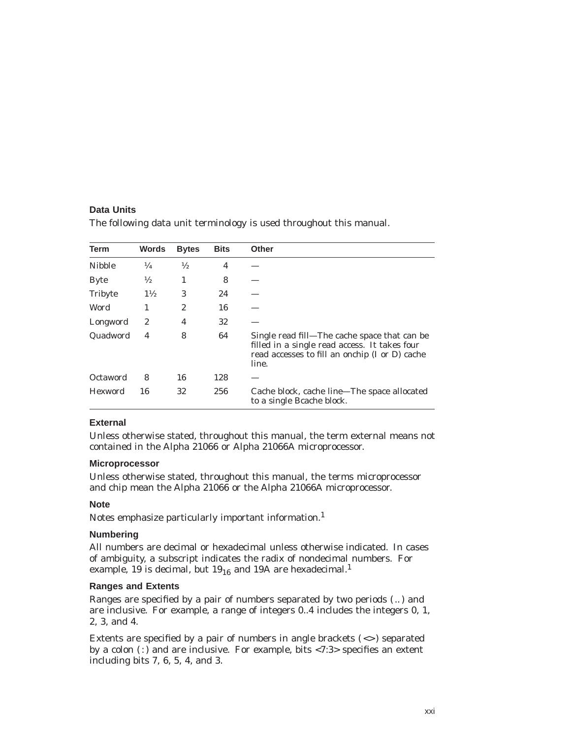#### **Data Units**

| Term           | <b>Words</b>   | <b>Bytes</b>  | <b>Bits</b> | <b>Other</b>                                                                                                                                             |
|----------------|----------------|---------------|-------------|----------------------------------------------------------------------------------------------------------------------------------------------------------|
| <b>Nibble</b>  | $\frac{1}{4}$  | $\frac{1}{2}$ | 4           |                                                                                                                                                          |
| <b>Byte</b>    | $\frac{1}{2}$  | 1             | 8           |                                                                                                                                                          |
| <b>Tribyte</b> | $1\frac{1}{2}$ | 3             | 24          |                                                                                                                                                          |
| Word           | 1              | 2             | 16          |                                                                                                                                                          |
| Longword       | 2              | 4             | 32          |                                                                                                                                                          |
| Quadword       | 4              | 8             | 64          | Single read fill—The cache space that can be<br>filled in a single read access. It takes four<br>read accesses to fill an onchip (I or D) cache<br>line. |
| Octaword       | 8              | 16            | 128         |                                                                                                                                                          |
| <b>Hexword</b> | 16             | 32            | 256         | Cache block, cache line—The space allocated<br>to a single Beache block.                                                                                 |

The following data unit terminology is used throughout this manual.

#### **External**

Unless otherwise stated, throughout this manual, the term external means not contained in the Alpha 21066 or Alpha 21066A microprocessor.

#### **Microprocessor**

Unless otherwise stated, throughout this manual, the terms microprocessor and chip mean the Alpha 21066 or the Alpha 21066A microprocessor.

#### **Note**

Notes emphasize particularly important information.<sup>1</sup>

#### **Numbering**

All numbers are decimal or hexadecimal unless otherwise indicated. In cases of ambiguity, a subscript indicates the radix of nondecimal numbers. For example, 19 is decimal, but  $19_{16}$  and 19A are hexadecimal.<sup>1</sup>

#### **Ranges and Extents**

Ranges are specified by a pair of numbers separated by two periods ( .. ) and are inclusive. For example, a range of integers 0..4 includes the integers 0, 1, 2, 3, and 4.

Extents are specified by a pair of numbers in angle brackets  $(\le)$  separated by a colon  $($ :) and are inclusive. For example, bits <7:3> specifies an extent including bits 7, 6, 5, 4, and 3.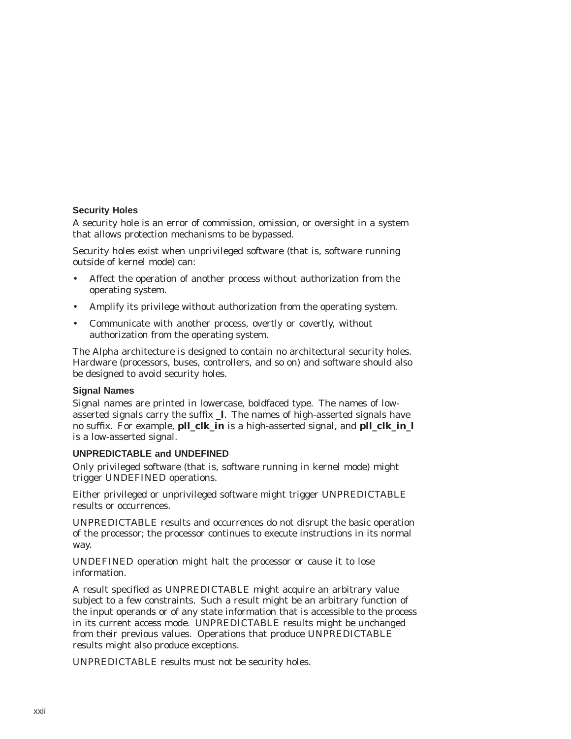#### **Security Holes**

A security hole is an error of commission, omission, or oversight in a system that allows protection mechanisms to be bypassed.

Security holes exist when unprivileged software (that is, software running outside of kernel mode) can:

- Affect the operation of another process without authorization from the operating system.
- Amplify its privilege without authorization from the operating system.
- Communicate with another process, overtly or covertly, without authorization from the operating system.

The Alpha architecture is designed to contain no architectural security holes. Hardware (processors, buses, controllers, and so on) and software should also be designed to avoid security holes.

#### **Signal Names**

Signal names are printed in lowercase, boldfaced type. The names of lowasserted signals carry the suffix **\_l**. The names of high-asserted signals have no suffix. For example, **pll\_clk\_in** is a high-asserted signal, and **pll\_clk\_in\_l** is a low-asserted signal.

#### **UNPREDICTABLE and UNDEFINED**

Only privileged software (that is, software running in kernel mode) might trigger UNDEFINED operations.

Either privileged or unprivileged software might trigger UNPREDICTABLE results or occurrences.

UNPREDICTABLE results and occurrences do not disrupt the basic operation of the processor; the processor continues to execute instructions in its normal way.

UNDEFINED operation might halt the processor or cause it to lose information.

A result specified as UNPREDICTABLE might acquire an arbitrary value subject to a few constraints. Such a result might be an arbitrary function of the input operands or of any state information that is accessible to the process in its current access mode. UNPREDICTABLE results might be unchanged from their previous values. Operations that produce UNPREDICTABLE results might also produce exceptions.

UNPREDICTABLE results must not be security holes.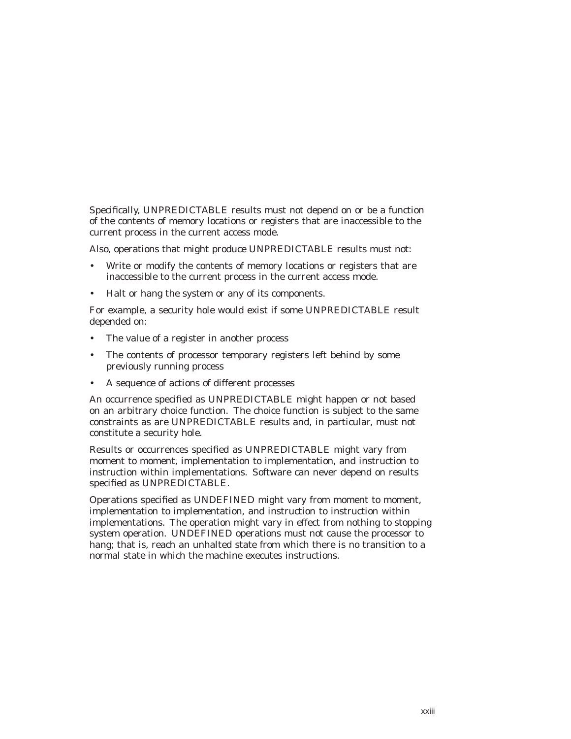Specifically, UNPREDICTABLE results must not depend on or be a function of the contents of memory locations or registers that are inaccessible to the current process in the current access mode.

Also, operations that might produce UNPREDICTABLE results must not:

- Write or modify the contents of memory locations or registers that are inaccessible to the current process in the current access mode.
- Halt or hang the system or any of its components.

For example, a security hole would exist if some UNPREDICTABLE result depended on:

- The value of a register in another process
- The contents of processor temporary registers left behind by some previously running process
- A sequence of actions of different processes

An occurrence specified as UNPREDICTABLE might happen or not based on an arbitrary choice function. The choice function is subject to the same constraints as are UNPREDICTABLE results and, in particular, must not constitute a security hole.

Results or occurrences specified as UNPREDICTABLE might vary from moment to moment, implementation to implementation, and instruction to instruction within implementations. Software can never depend on results specified as UNPREDICTABLE.

Operations specified as UNDEFINED might vary from moment to moment, implementation to implementation, and instruction to instruction within implementations. The operation might vary in effect from nothing to stopping system operation. UNDEFINED operations must not cause the processor to hang; that is, reach an unhalted state from which there is no transition to a normal state in which the machine executes instructions.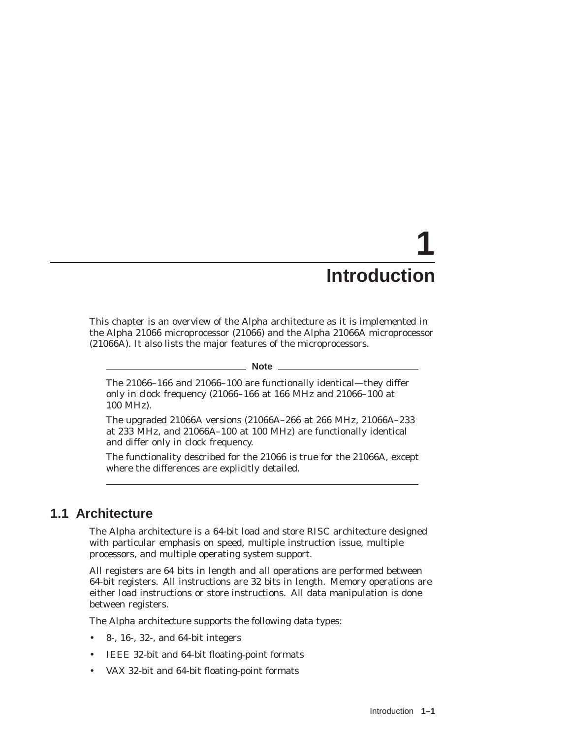# **1 Introduction**

This chapter is an overview of the Alpha architecture as it is implemented in the Alpha 21066 microprocessor (21066) and the Alpha 21066A microprocessor (21066A). It also lists the major features of the microprocessors.

#### **Note**

The 21066–166 and 21066–100 are functionally identical—they differ only in clock frequency (21066–166 at 166 MHz and 21066–100 at 100 MHz).

The upgraded 21066A versions (21066A–266 at 266 MHz, 21066A–233 at 233 MHz, and 21066A–100 at 100 MHz) are functionally identical and differ only in clock frequency.

The functionality described for the 21066 is true for the 21066A, except where the differences are explicitly detailed.

## **1.1 Architecture**

The Alpha architecture is a 64-bit load and store RISC architecture designed with particular emphasis on speed, multiple instruction issue, multiple processors, and multiple operating system support.

All registers are 64 bits in length and all operations are performed between 64-bit registers. All instructions are 32 bits in length. Memory operations are either load instructions or store instructions. All data manipulation is done between registers.

The Alpha architecture supports the following data types:

- 8-, 16-, 32-, and 64-bit integers
- IEEE 32-bit and 64-bit floating-point formats
- VAX 32-bit and 64-bit floating-point formats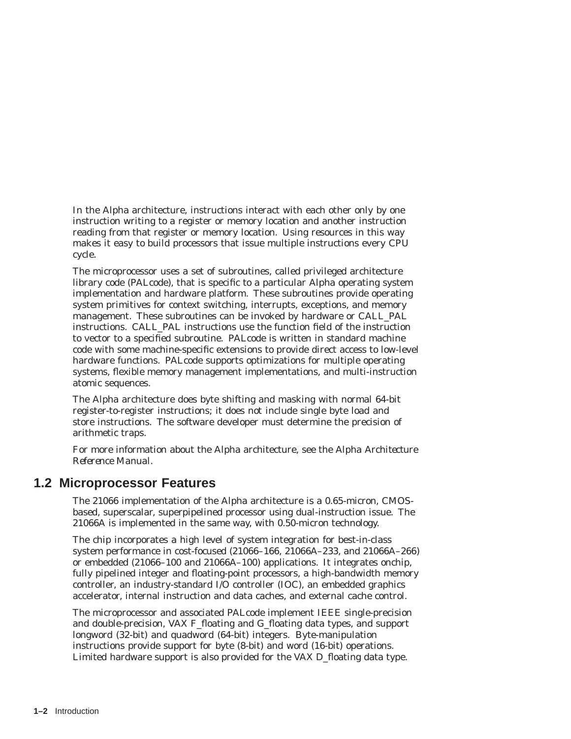In the Alpha architecture, instructions interact with each other only by one instruction writing to a register or memory location and another instruction reading from that register or memory location. Using resources in this way makes it easy to build processors that issue multiple instructions every CPU cycle.

The microprocessor uses a set of subroutines, called privileged architecture library code (PALcode), that is specific to a particular Alpha operating system implementation and hardware platform. These subroutines provide operating system primitives for context switching, interrupts, exceptions, and memory management. These subroutines can be invoked by hardware or CALL\_PAL instructions. CALL\_PAL instructions use the function field of the instruction to vector to a specified subroutine. PALcode is written in standard machine code with some machine-specific extensions to provide direct access to low-level hardware functions. PALcode supports optimizations for multiple operating systems, flexible memory management implementations, and multi-instruction atomic sequences.

The Alpha architecture does byte shifting and masking with normal 64-bit register-to-register instructions; it does not include single byte load and store instructions. The software developer must determine the precision of arithmetic traps.

For more information about the Alpha architecture, see the *Alpha Architecture Reference Manual*.

#### **1.2 Microprocessor Features**

The 21066 implementation of the Alpha architecture is a 0.65-micron, CMOSbased, superscalar, superpipelined processor using dual-instruction issue. The 21066A is implemented in the same way, with 0.50-micron technology.

The chip incorporates a high level of system integration for best-in-class system performance in cost-focused (21066–166, 21066A–233, and 21066A–266) or embedded (21066–100 and 21066A–100) applications. It integrates onchip, fully pipelined integer and floating-point processors, a high-bandwidth memory controller, an industry-standard I/O controller (IOC), an embedded graphics accelerator, internal instruction and data caches, and external cache control.

The microprocessor and associated PALcode implement IEEE single-precision and double-precision, VAX F\_floating and G\_floating data types, and support longword (32-bit) and quadword (64-bit) integers. Byte-manipulation instructions provide support for byte (8-bit) and word (16-bit) operations. Limited hardware support is also provided for the VAX D\_floating data type.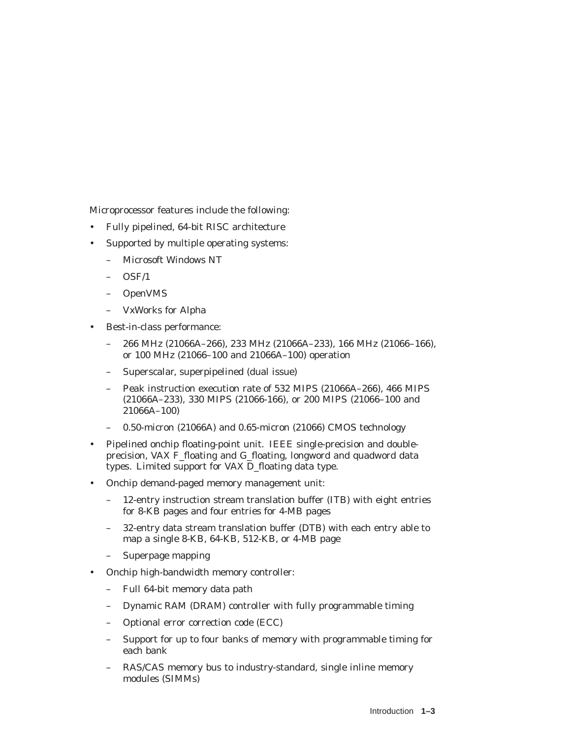Microprocessor features include the following:

- Fully pipelined, 64-bit RISC architecture
- Supported by multiple operating systems:
	- Microsoft Windows NT
	- OSF/1
	- OpenVMS
	- VxWorks for Alpha
- Best-in-class performance:
	- 266 MHz (21066A–266), 233 MHz (21066A–233), 166 MHz (21066–166), or 100 MHz (21066–100 and 21066A–100) operation
	- Superscalar, superpipelined (dual issue)
	- Peak instruction execution rate of 532 MIPS (21066A–266), 466 MIPS (21066A–233), 330 MIPS (21066-166), or 200 MIPS (21066–100 and 21066A–100)
	- 0.50-micron (21066A) and 0.65-micron (21066) CMOS technology
- Pipelined onchip floating-point unit. IEEE single-precision and doubleprecision, VAX F\_floating and G\_floating, longword and quadword data types. Limited support for VAX D\_floating data type.
- Onchip demand-paged memory management unit:
	- 12-entry instruction stream translation buffer (ITB) with eight entries for 8-KB pages and four entries for 4-MB pages
	- 32-entry data stream translation buffer (DTB) with each entry able to map a single 8-KB, 64-KB, 512-KB, or 4-MB page
	- Superpage mapping
- Onchip high-bandwidth memory controller:
	- Full 64-bit memory data path
	- Dynamic RAM (DRAM) controller with fully programmable timing
	- Optional error correction code (ECC)
	- Support for up to four banks of memory with programmable timing for each bank
	- RAS/CAS memory bus to industry-standard, single inline memory modules (SIMMs)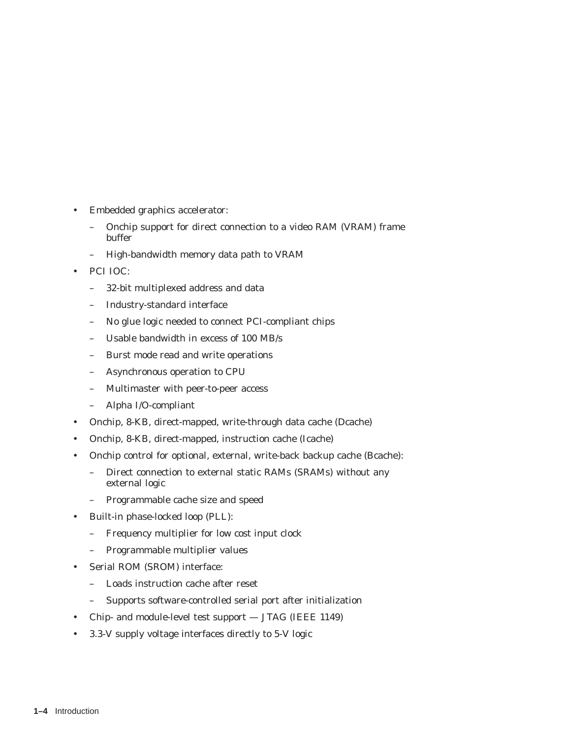- Embedded graphics accelerator:
	- Onchip support for direct connection to a video RAM (VRAM) frame buffer
	- High-bandwidth memory data path to VRAM
- PCI IOC:
	- 32-bit multiplexed address and data
	- Industry-standard interface
	- No glue logic needed to connect PCI-compliant chips
	- Usable bandwidth in excess of 100 MB/s
	- Burst mode read and write operations
	- Asynchronous operation to CPU
	- Multimaster with peer-to-peer access
	- Alpha I/O-compliant
- Onchip, 8-KB, direct-mapped, write-through data cache (Dcache)
- Onchip, 8-KB, direct-mapped, instruction cache (Icache)
- Onchip control for optional, external, write-back backup cache (Bcache):
	- Direct connection to external static RAMs (SRAMs) without any external logic
	- Programmable cache size and speed
- Built-in phase-locked loop (PLL):
	- Frequency multiplier for low cost input clock
	- Programmable multiplier values
- Serial ROM (SROM) interface:
	- Loads instruction cache after reset
	- Supports software-controlled serial port after initialization
- Chip- and module-level test support JTAG (IEEE 1149)
- 3.3-V supply voltage interfaces directly to 5-V logic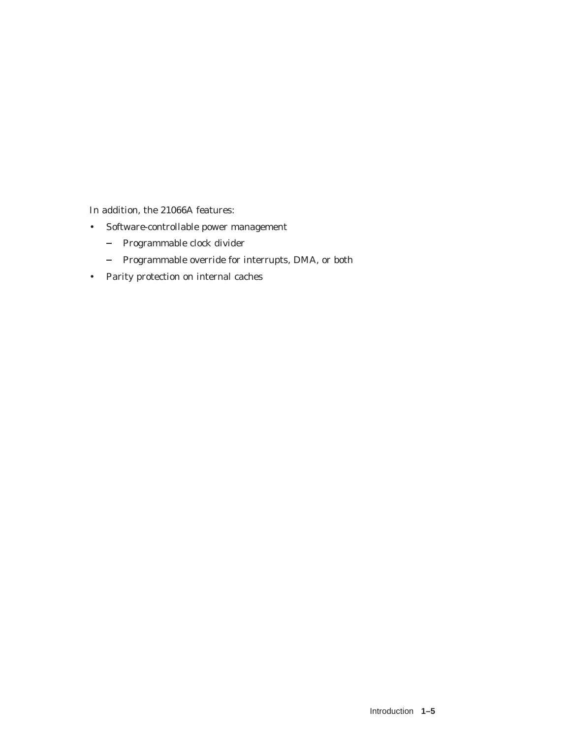In addition, the 21066A features:

- Software-controllable power management
	- Programmable clock divider
	- Programmable override for interrupts, DMA, or both
- Parity protection on internal caches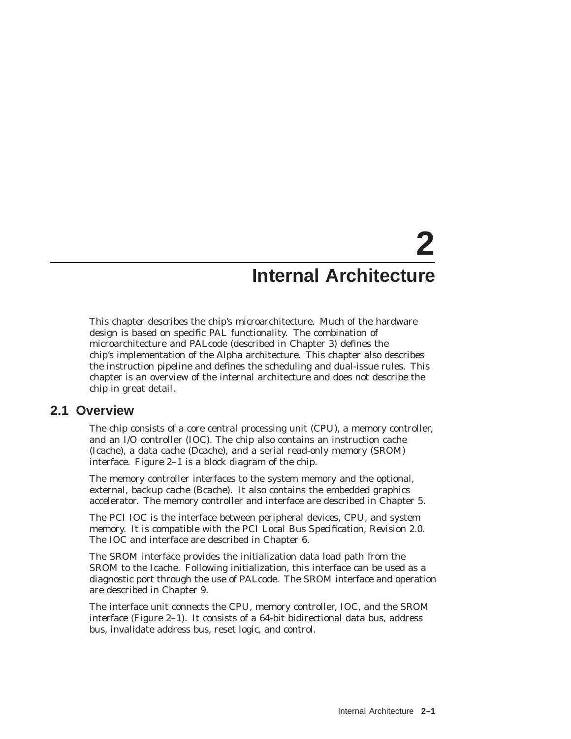# **2 Internal Architecture**

This chapter describes the chip's microarchitecture. Much of the hardware design is based on specific PAL functionality. The combination of microarchitecture and PALcode (described in Chapter 3) defines the chip's implementation of the Alpha architecture. This chapter also describes the instruction pipeline and defines the scheduling and dual-issue rules. This chapter is an overview of the internal architecture and does not describe the chip in great detail.

#### **2.1 Overview**

The chip consists of a core central processing unit (CPU), a memory controller, and an I/O controller (IOC). The chip also contains an instruction cache (Icache), a data cache (Dcache), and a serial read-only memory (SROM) interface. Figure 2–1 is a block diagram of the chip.

The memory controller interfaces to the system memory and the optional, external, backup cache (Bcache). It also contains the embedded graphics accelerator. The memory controller and interface are described in Chapter 5.

The PCI IOC is the interface between peripheral devices, CPU, and system memory. It is compatible with the *PCI Local Bus Specification, Revision 2.0*. The IOC and interface are described in Chapter 6.

The SROM interface provides the initialization data load path from the SROM to the Icache. Following initialization, this interface can be used as a diagnostic port through the use of PALcode. The SROM interface and operation are described in Chapter 9.

The interface unit connects the CPU, memory controller, IOC, and the SROM interface (Figure 2–1). It consists of a 64-bit bidirectional data bus, address bus, invalidate address bus, reset logic, and control.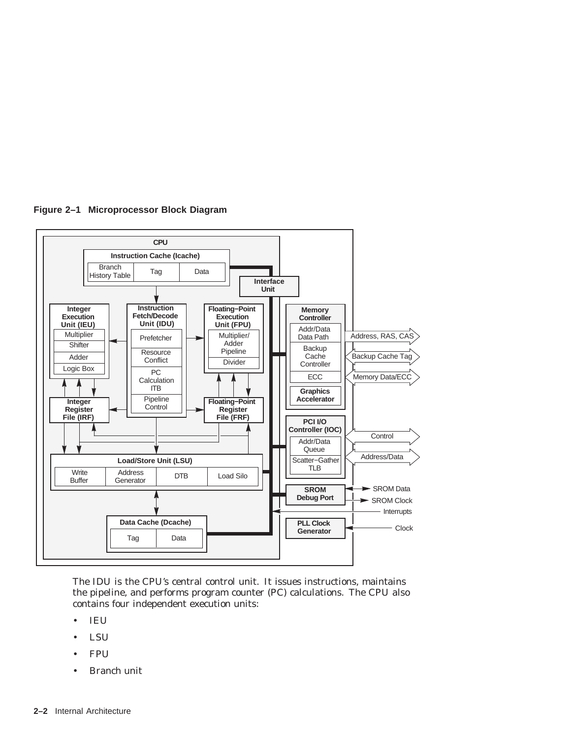

**Figure 2–1 Microprocessor Block Diagram**

The IDU is the CPU's central control unit. It issues instructions, maintains the pipeline, and performs program counter (PC) calculations. The CPU also contains four independent execution units:

- IEU
- LSU
- FPU
- Branch unit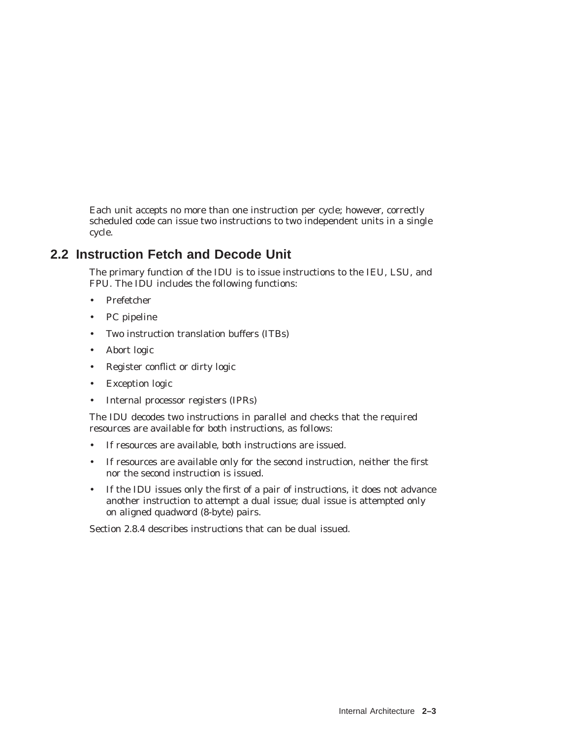Each unit accepts no more than one instruction per cycle; however, correctly scheduled code can issue two instructions to two independent units in a single cycle.

## **2.2 Instruction Fetch and Decode Unit**

The primary function of the IDU is to issue instructions to the IEU, LSU, and FPU. The IDU includes the following functions:

- Prefetcher
- PC pipeline
- Two instruction translation buffers (ITBs)
- Abort logic
- Register conflict or dirty logic
- Exception logic
- Internal processor registers (IPRs)

The IDU decodes two instructions in parallel and checks that the required resources are available for both instructions, as follows:

- If resources are available, both instructions are issued.
- If resources are available only for the second instruction, neither the first nor the second instruction is issued.
- If the IDU issues only the first of a pair of instructions, it does not advance another instruction to attempt a dual issue; dual issue is attempted only on aligned quadword (8-byte) pairs.

Section 2.8.4 describes instructions that can be dual issued.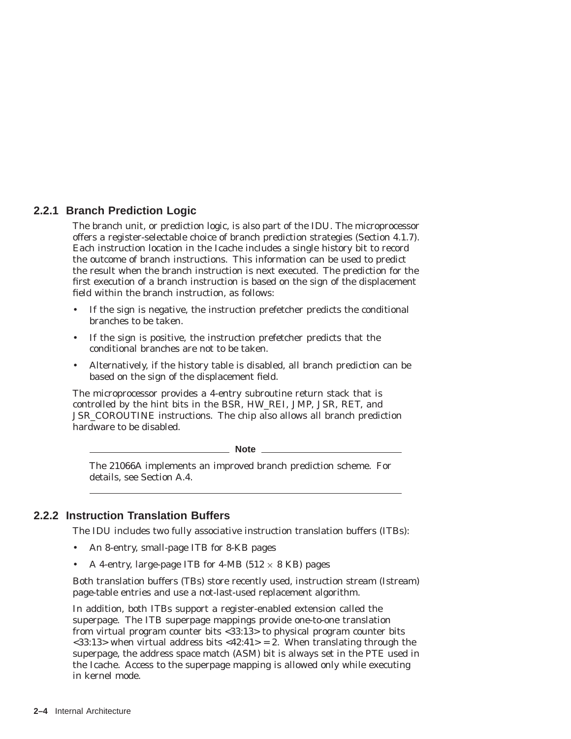#### **2.2.1 Branch Prediction Logic**

The branch unit, or prediction logic, is also part of the IDU. The microprocessor offers a register-selectable choice of branch prediction strategies (Section 4.1.7). Each instruction location in the Icache includes a single history bit to record the outcome of branch instructions. This information can be used to predict the result when the branch instruction is next executed. The prediction for the first execution of a branch instruction is based on the sign of the displacement field within the branch instruction, as follows:

- If the sign is negative, the instruction prefetcher predicts the conditional branches to be taken.
- If the sign is positive, the instruction prefetcher predicts that the conditional branches are not to be taken.
- Alternatively, if the history table is disabled, all branch prediction can be based on the sign of the displacement field.

The microprocessor provides a 4-entry subroutine return stack that is controlled by the hint bits in the BSR, HW\_REI, JMP, JSR, RET, and JSR\_COROUTINE instructions. The chip also allows all branch prediction hardware to be disabled.

\_\_ Note \_\_\_\_\_

The 21066A implements an improved branch prediction scheme. For details, see Section A.4.

#### **2.2.2 Instruction Translation Buffers**

The IDU includes two fully associative instruction translation buffers (ITBs):

- An 8-entry, small-page ITB for 8-KB pages
- A 4-entry, large-page ITB for 4-MB  $(512 \times 8 \text{ KB})$  pages

Both translation buffers (TBs) store recently used, instruction stream (Istream) page-table entries and use a not-last-used replacement algorithm.

In addition, both ITBs support a register-enabled extension called the superpage. The ITB superpage mappings provide one-to-one translation from virtual program counter bits <33:13> to physical program counter bits  $\langle 33:13 \rangle$  when virtual address bits  $\langle 42:41 \rangle = 2$ . When translating through the superpage, the address space match (ASM) bit is always set in the PTE used in the Icache. Access to the superpage mapping is allowed only while executing in kernel mode.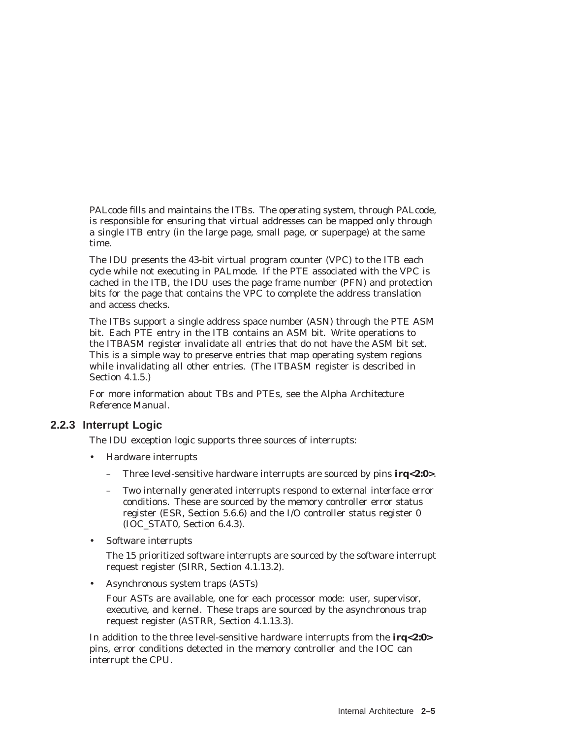PALcode fills and maintains the ITBs. The operating system, through PALcode, is responsible for ensuring that virtual addresses can be mapped only through a single ITB entry (in the large page, small page, or superpage) at the same time.

The IDU presents the 43-bit virtual program counter (VPC) to the ITB each cycle while not executing in PALmode. If the PTE associated with the VPC is cached in the ITB, the IDU uses the page frame number (PFN) and protection bits for the page that contains the VPC to complete the address translation and access checks.

The ITBs support a single address space number (ASN) through the PTE ASM bit. Each PTE entry in the ITB contains an ASM bit. Write operations to the ITBASM register invalidate all entries that do not have the ASM bit set. This is a simple way to preserve entries that map operating system regions while invalidating all other entries. (The ITBASM register is described in Section 4.1.5.)

For more information about TBs and PTEs, see the *Alpha Architecture Reference Manual*.

#### **2.2.3 Interrupt Logic**

The IDU exception logic supports three sources of interrupts:

- Hardware interrupts
	- Three level-sensitive hardware interrupts are sourced by pins **irq<2:0>**.
	- Two internally generated interrupts respond to external interface error conditions. These are sourced by the memory controller error status register (ESR, Section 5.6.6) and the I/O controller status register 0 (IOC\_STAT0, Section 6.4.3).
- Software interrupts

The 15 prioritized software interrupts are sourced by the software interrupt request register (SIRR, Section 4.1.13.2).

• Asynchronous system traps (ASTs)

Four ASTs are available, one for each processor mode: user, supervisor, executive, and kernel. These traps are sourced by the asynchronous trap request register (ASTRR, Section 4.1.13.3).

In addition to the three level-sensitive hardware interrupts from the **irq<2:0>** pins, error conditions detected in the memory controller and the IOC can interrupt the CPU.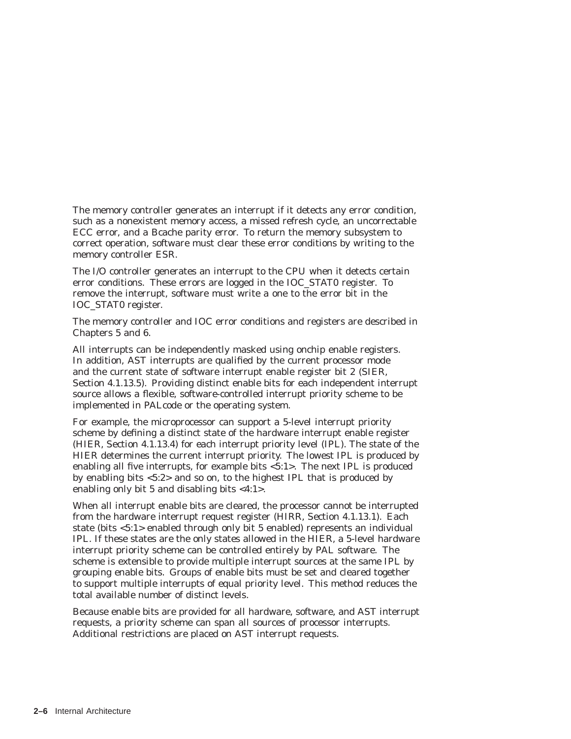The memory controller generates an interrupt if it detects any error condition, such as a nonexistent memory access, a missed refresh cycle, an uncorrectable ECC error, and a Bcache parity error. To return the memory subsystem to correct operation, software must clear these error conditions by writing to the memory controller ESR.

The I/O controller generates an interrupt to the CPU when it detects certain error conditions. These errors are logged in the IOC\_STAT0 register. To remove the interrupt, software must write a one to the error bit in the IOC\_STAT0 register.

The memory controller and IOC error conditions and registers are described in Chapters 5 and 6.

All interrupts can be independently masked using onchip enable registers. In addition, AST interrupts are qualified by the current processor mode and the current state of software interrupt enable register bit 2 (SIER, Section 4.1.13.5). Providing distinct enable bits for each independent interrupt source allows a flexible, software-controlled interrupt priority scheme to be implemented in PALcode or the operating system.

For example, the microprocessor can support a 5-level interrupt priority scheme by defining a distinct state of the hardware interrupt enable register (HIER, Section 4.1.13.4) for each interrupt priority level (IPL). The state of the HIER determines the current interrupt priority. The lowest IPL is produced by enabling all five interrupts, for example bits <5:1>. The next IPL is produced by enabling bits <5:2> and so on, to the highest IPL that is produced by enabling only bit 5 and disabling bits <4:1>.

When all interrupt enable bits are cleared, the processor cannot be interrupted from the hardware interrupt request register (HIRR, Section 4.1.13.1). Each state (bits <5:1> enabled through only bit 5 enabled) represents an individual IPL. If these states are the only states allowed in the HIER, a 5-level hardware interrupt priority scheme can be controlled entirely by PAL software. The scheme is extensible to provide multiple interrupt sources at the same IPL by grouping enable bits. Groups of enable bits must be set and cleared together to support multiple interrupts of equal priority level. This method reduces the total available number of distinct levels.

Because enable bits are provided for all hardware, software, and AST interrupt requests, a priority scheme can span all sources of processor interrupts. Additional restrictions are placed on AST interrupt requests.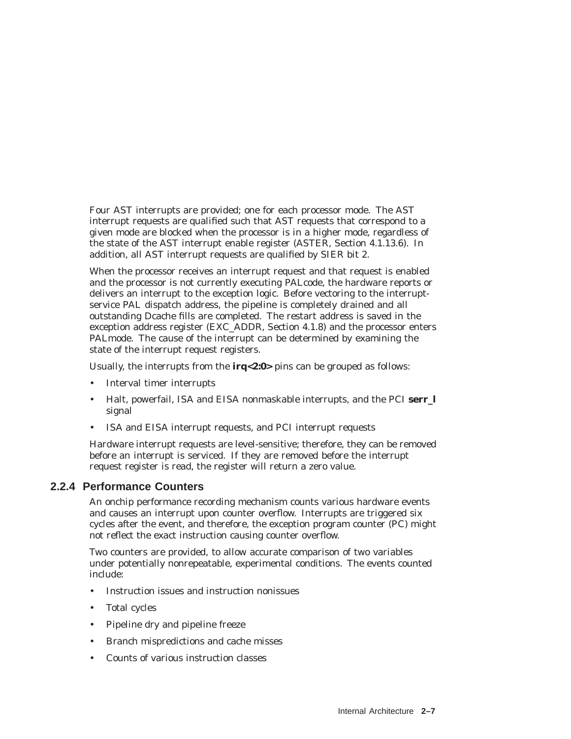Four AST interrupts are provided; one for each processor mode. The AST interrupt requests are qualified such that AST requests that correspond to a given mode are blocked when the processor is in a higher mode, regardless of the state of the AST interrupt enable register (ASTER, Section 4.1.13.6). In addition, all AST interrupt requests are qualified by SIER bit 2.

When the processor receives an interrupt request and that request is enabled and the processor is not currently executing PALcode, the hardware reports or delivers an interrupt to the exception logic. Before vectoring to the interruptservice PAL dispatch address, the pipeline is completely drained and all outstanding Dcache fills are completed. The restart address is saved in the exception address register (EXC\_ADDR, Section 4.1.8) and the processor enters PALmode. The cause of the interrupt can be determined by examining the state of the interrupt request registers.

Usually, the interrupts from the **irq<2:0>** pins can be grouped as follows:

- Interval timer interrupts
- Halt, powerfail, ISA and EISA nonmaskable interrupts, and the PCI **serr\_l** signal
- ISA and EISA interrupt requests, and PCI interrupt requests

Hardware interrupt requests are level-sensitive; therefore, they can be removed before an interrupt is serviced. If they are removed before the interrupt request register is read, the register will return a zero value.

#### **2.2.4 Performance Counters**

An onchip performance recording mechanism counts various hardware events and causes an interrupt upon counter overflow. Interrupts are triggered six cycles after the event, and therefore, the exception program counter (PC) might not reflect the exact instruction causing counter overflow.

Two counters are provided, to allow accurate comparison of two variables under potentially nonrepeatable, experimental conditions. The events counted include:

- Instruction issues and instruction nonissues
- Total cycles
- Pipeline dry and pipeline freeze
- Branch mispredictions and cache misses
- Counts of various instruction classes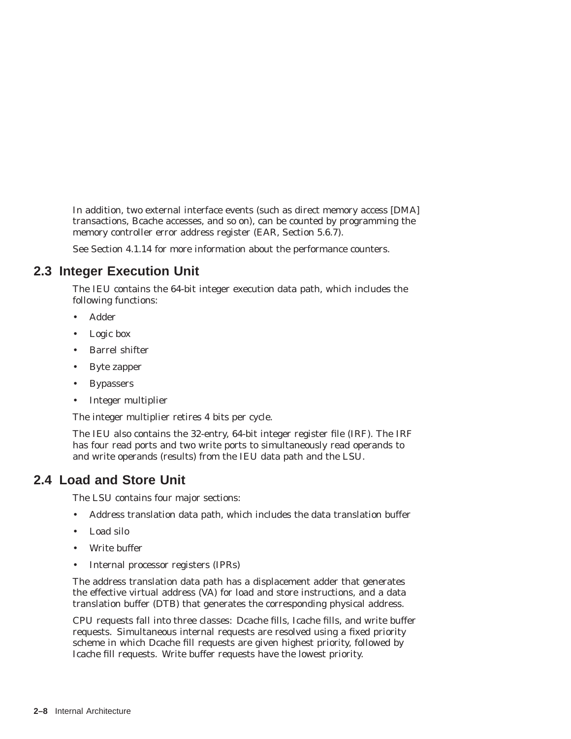In addition, two external interface events (such as direct memory access [DMA] transactions, Bcache accesses, and so on), can be counted by programming the memory controller error address register (EAR, Section 5.6.7).

See Section 4.1.14 for more information about the performance counters.

# **2.3 Integer Execution Unit**

The IEU contains the 64-bit integer execution data path, which includes the following functions:

- Adder
- Logic box
- Barrel shifter
- Byte zapper
- Bypassers
- Integer multiplier

The integer multiplier retires 4 bits per cycle.

The IEU also contains the 32-entry, 64-bit integer register file (IRF). The IRF has four read ports and two write ports to simultaneously read operands to and write operands (results) from the IEU data path and the LSU.

# **2.4 Load and Store Unit**

The LSU contains four major sections:

- Address translation data path, which includes the data translation buffer
- Load silo
- Write buffer
- Internal processor registers (IPRs)

The address translation data path has a displacement adder that generates the effective virtual address (VA) for load and store instructions, and a data translation buffer (DTB) that generates the corresponding physical address.

CPU requests fall into three classes: Dcache fills, Icache fills, and write buffer requests. Simultaneous internal requests are resolved using a fixed priority scheme in which Dcache fill requests are given highest priority, followed by Icache fill requests. Write buffer requests have the lowest priority.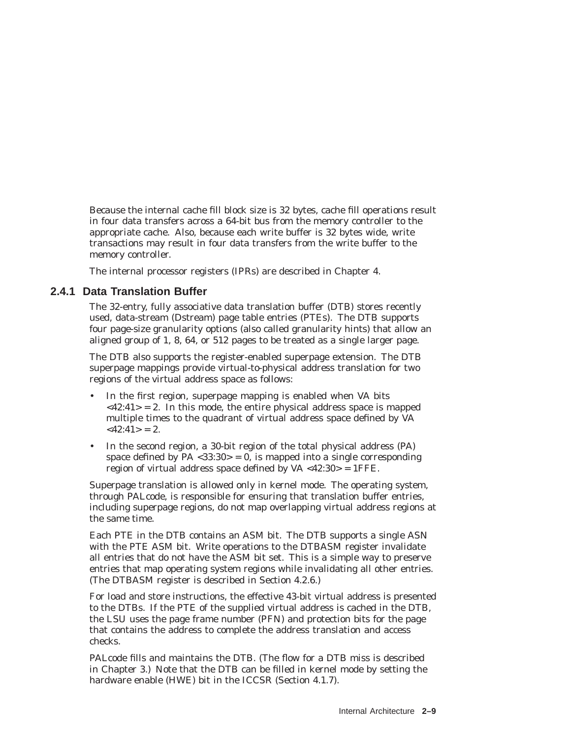Because the internal cache fill block size is 32 bytes, cache fill operations result in four data transfers across a 64-bit bus from the memory controller to the appropriate cache. Also, because each write buffer is 32 bytes wide, write transactions may result in four data transfers from the write buffer to the memory controller.

The internal processor registers (IPRs) are described in Chapter 4.

#### **2.4.1 Data Translation Buffer**

The 32-entry, fully associative data translation buffer (DTB) stores recently used, data-stream (Dstream) page table entries (PTEs). The DTB supports four page-size granularity options (also called granularity hints) that allow an aligned group of 1, 8, 64, or 512 pages to be treated as a single larger page.

The DTB also supports the register-enabled superpage extension. The DTB superpage mappings provide virtual-to-physical address translation for two regions of the virtual address space as follows:

- In the first region, superpage mapping is enabled when VA bits  $\langle 42:41 \rangle = 2$ . In this mode, the entire physical address space is mapped multiple times to the quadrant of virtual address space defined by VA  $<42.41>$  = 2.
- In the second region, a 30-bit region of the total physical address (PA) space defined by PA <33:30> = 0, is mapped into a single corresponding region of virtual address space defined by  $VA < 42:30 > 1$  FFE.

Superpage translation is allowed only in kernel mode. The operating system, through PALcode, is responsible for ensuring that translation buffer entries, including superpage regions, do not map overlapping virtual address regions at the same time.

Each PTE in the DTB contains an ASM bit. The DTB supports a single ASN with the PTE ASM bit. Write operations to the DTBASM register invalidate all entries that do not have the ASM bit set. This is a simple way to preserve entries that map operating system regions while invalidating all other entries. (The DTBASM register is described in Section 4.2.6.)

For load and store instructions, the effective 43-bit virtual address is presented to the DTBs. If the PTE of the supplied virtual address is cached in the DTB, the LSU uses the page frame number (PFN) and protection bits for the page that contains the address to complete the address translation and access checks.

PALcode fills and maintains the DTB. (The flow for a DTB miss is described in Chapter 3.) Note that the DTB can be filled in kernel mode by setting the hardware enable (HWE) bit in the ICCSR (Section 4.1.7).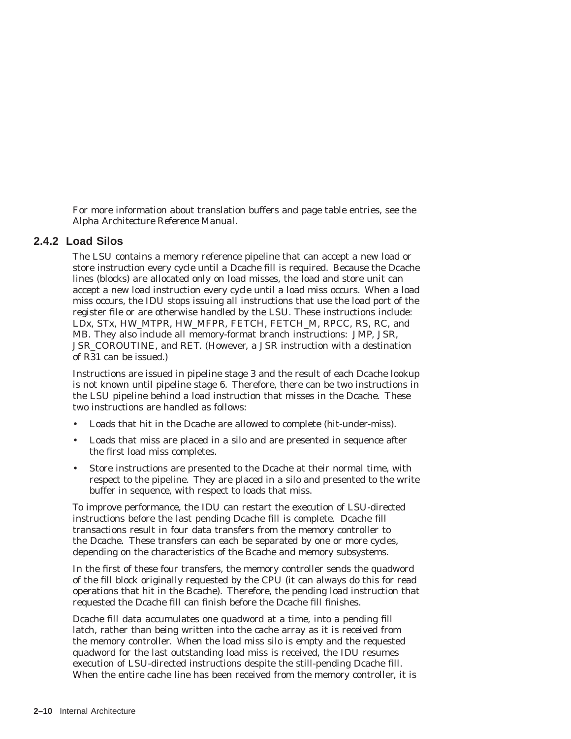For more information about translation buffers and page table entries, see the *Alpha Architecture Reference Manual*.

#### **2.4.2 Load Silos**

The LSU contains a memory reference pipeline that can accept a new load or store instruction every cycle until a Dcache fill is required. Because the Dcache lines (blocks) are allocated only on load misses, the load and store unit can accept a new load instruction every cycle until a load miss occurs. When a load miss occurs, the IDU stops issuing all instructions that use the load port of the register file or are otherwise handled by the LSU. These instructions include: LDx, STx, HW\_MTPR, HW\_MFPR, FETCH, FETCH\_M, RPCC, RS, RC, and MB. They also include all memory-format branch instructions: JMP, JSR, JSR\_COROUTINE, and RET. (However, a JSR instruction with a destination of R31 can be issued.)

Instructions are issued in pipeline stage 3 and the result of each Dcache lookup is not known until pipeline stage 6. Therefore, there can be two instructions in the LSU pipeline behind a load instruction that misses in the Dcache. These two instructions are handled as follows:

- Loads that hit in the Dcache are allowed to complete (hit-under-miss).
- Loads that miss are placed in a silo and are presented in sequence after the first load miss completes.
- Store instructions are presented to the Dcache at their normal time, with respect to the pipeline. They are placed in a silo and presented to the write buffer in sequence, with respect to loads that miss.

To improve performance, the IDU can restart the execution of LSU-directed instructions before the last pending Dcache fill is complete. Dcache fill transactions result in four data transfers from the memory controller to the Dcache. These transfers can each be separated by one or more cycles, depending on the characteristics of the Bcache and memory subsystems.

In the first of these four transfers, the memory controller sends the quadword of the fill block originally requested by the CPU (it can always do this for read operations that hit in the Bcache). Therefore, the pending load instruction that requested the Dcache fill can finish before the Dcache fill finishes.

Dcache fill data accumulates one quadword at a time, into a pending fill latch, rather than being written into the cache array as it is received from the memory controller. When the load miss silo is empty and the requested quadword for the last outstanding load miss is received, the IDU resumes execution of LSU-directed instructions despite the still-pending Dcache fill. When the entire cache line has been received from the memory controller, it is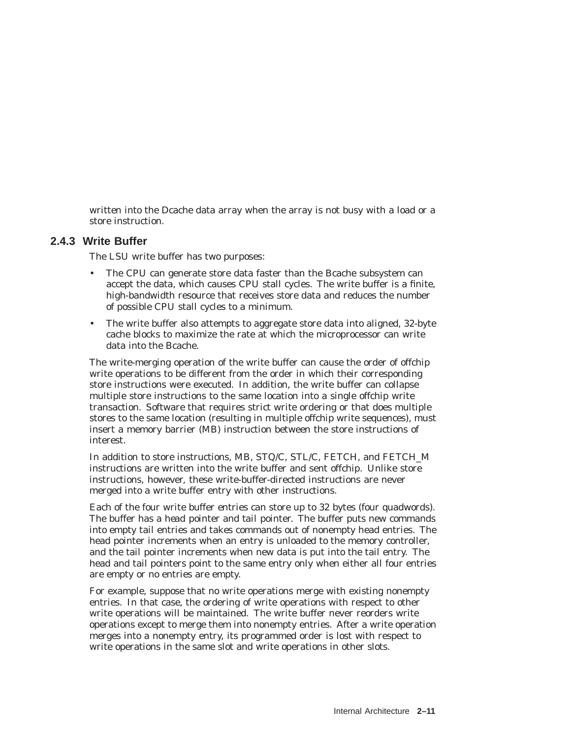written into the Dcache data array when the array is not busy with a load or a store instruction.

#### **2.4.3 Write Buffer**

The LSU write buffer has two purposes:

- The CPU can generate store data faster than the Bcache subsystem can accept the data, which causes CPU stall cycles. The write buffer is a finite, high-bandwidth resource that receives store data and reduces the number of possible CPU stall cycles to a minimum.
- The write buffer also attempts to aggregate store data into aligned, 32-byte cache blocks to maximize the rate at which the microprocessor can write data into the Bcache.

The write-merging operation of the write buffer can cause the order of offchip write operations to be different from the order in which their corresponding store instructions were executed. In addition, the write buffer can collapse multiple store instructions to the same location into a single offchip write transaction. Software that requires strict write ordering or that does multiple stores to the same location (resulting in multiple offchip write sequences), must insert a memory barrier (MB) instruction between the store instructions of interest.

In addition to store instructions, MB, STQ/C, STL/C, FETCH, and FETCH\_M instructions are written into the write buffer and sent offchip. Unlike store instructions, however, these write-buffer-directed instructions are never merged into a write buffer entry with other instructions.

Each of the four write buffer entries can store up to 32 bytes (four quadwords). The buffer has a *head* pointer and *tail* pointer. The buffer puts new commands into empty tail entries and takes commands out of nonempty head entries. The head pointer increments when an entry is unloaded to the memory controller, and the tail pointer increments when new data is put into the tail entry. The head and tail pointers point to the same entry only when either all four entries are empty or no entries are empty.

For example, suppose that no write operations merge with existing nonempty entries. In that case, the ordering of write operations with respect to other write operations will be maintained. The write buffer never reorders write operations except to merge them into nonempty entries. After a write operation merges into a nonempty entry, its programmed order is lost with respect to write operations in the same slot and write operations in other slots.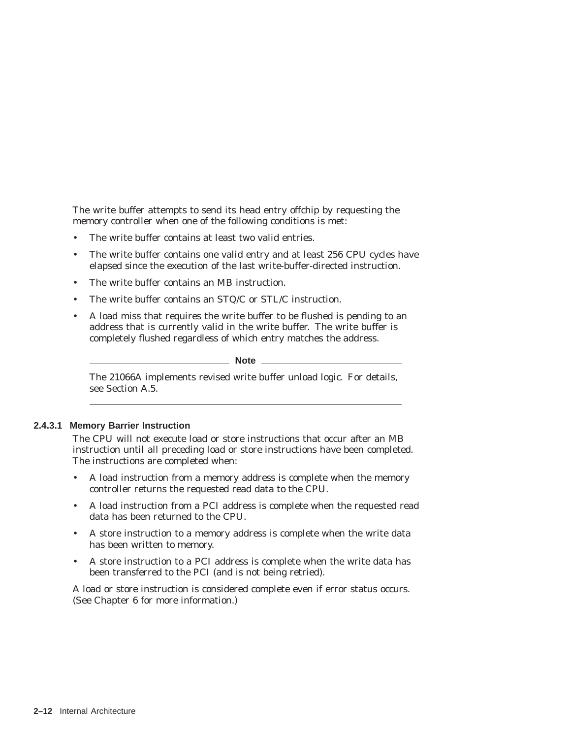The write buffer attempts to send its head entry offchip by requesting the memory controller when one of the following conditions is met:

- The write buffer contains at least two valid entries.
- The write buffer contains one valid entry and at least 256 CPU cycles have elapsed since the execution of the last write-buffer-directed instruction.
- The write buffer contains an MB instruction.
- The write buffer contains an STQ/C or STL/C instruction.
- A load miss that requires the write buffer to be flushed is pending to an address that is currently valid in the write buffer. The write buffer is completely flushed regardless of which entry matches the address.

**Note**

The 21066A implements revised write buffer unload logic. For details, see Section A.5.

#### **2.4.3.1 Memory Barrier Instruction**

The CPU will not execute load or store instructions that occur after an MB instruction until all preceding load or store instructions have been completed. The instructions are completed when:

- A load instruction from a memory address is complete when the memory controller returns the requested read data to the CPU.
- A load instruction from a PCI address is complete when the requested read data has been returned to the CPU.
- A store instruction to a memory address is complete when the write data has been written to memory.
- A store instruction to a PCI address is complete when the write data has been transferred to the PCI (and is not being retried).

A load or store instruction is considered complete even if error status occurs. (See Chapter 6 for more information.)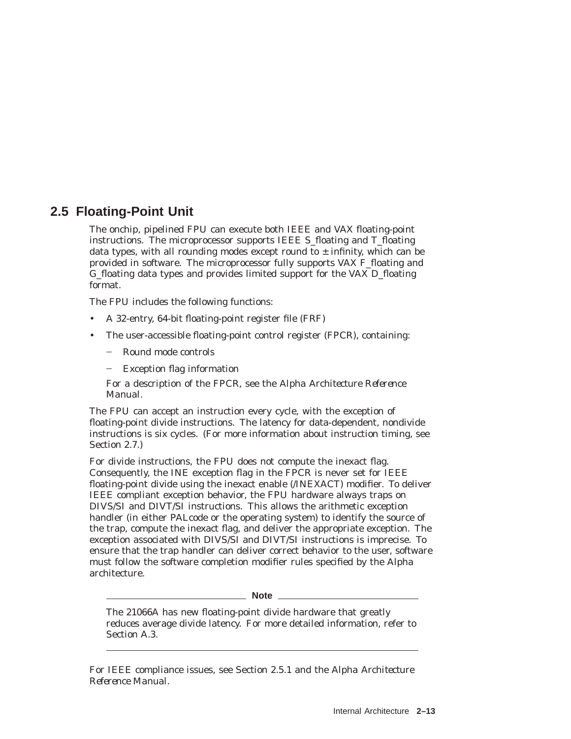# **2.5 Floating-Point Unit**

The onchip, pipelined FPU can execute both IEEE and VAX floating-point instructions. The microprocessor supports IEEE S\_floating and T\_floating data types, with all rounding modes except round to  $\pm$  infinity, which can be provided in software. The microprocessor fully supports VAX F\_floating and G\_floating data types and provides limited support for the VAX D\_floating format.

The FPU includes the following functions:

- A 32-entry, 64-bit floating-point register file (FRF)
- The user-accessible floating-point control register (FPCR), containing:
	- Round mode controls
	- Exception flag information

For a description of the FPCR, see the *Alpha Architecture Reference Manual*.

The FPU can accept an instruction every cycle, with the exception of floating-point divide instructions. The latency for data-dependent, nondivide instructions is six cycles. (For more information about instruction timing, see Section 2.7.)

For divide instructions, the FPU does not compute the inexact flag. Consequently, the INE exception flag in the FPCR is never set for IEEE floating-point divide using the inexact enable (/INEXACT) modifier. To deliver IEEE compliant exception behavior, the FPU hardware always traps on DIVS/SI and DIVT/SI instructions. This allows the arithmetic exception handler (in either PALcode or the operating system) to identify the source of the trap, compute the inexact flag, and deliver the appropriate exception. The exception associated with DIVS/SI and DIVT/SI instructions is imprecise. To ensure that the trap handler can deliver correct behavior to the user, software must follow the software completion modifier rules specified by the Alpha architecture.

\_ Note \_\_\_\_

The 21066A has new floating-point divide hardware that greatly reduces average divide latency. For more detailed information, refer to Section A.3.

For IEEE compliance issues, see Section 2.5.1 and the *Alpha Architecture Reference Manual*.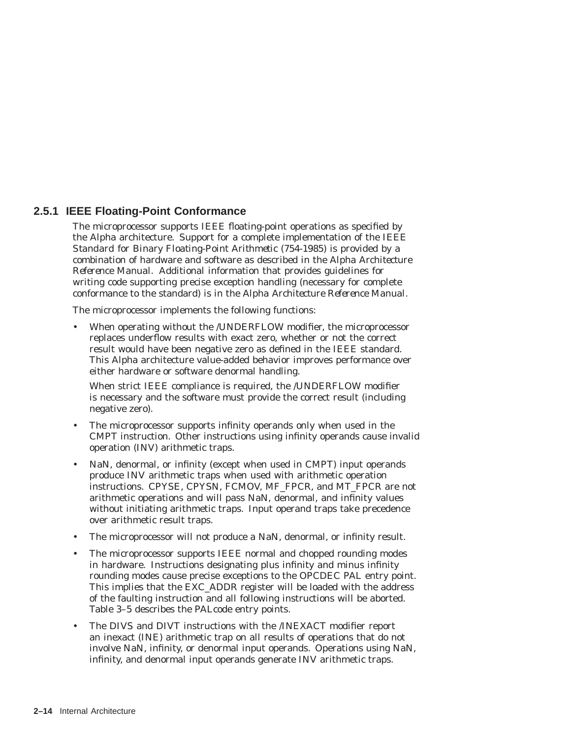# **2.5.1 IEEE Floating-Point Conformance**

The microprocessor supports IEEE floating-point operations as specified by the Alpha architecture. Support for a complete implementation of the *IEEE Standard for Binary Floating-Point Arithmetic (754-1985)* is provided by a combination of hardware and software as described in the *Alpha Architecture Reference Manual*. Additional information that provides guidelines for writing code supporting precise exception handling (necessary for complete conformance to the standard) is in the *Alpha Architecture Reference Manual*.

The microprocessor implements the following functions:

When operating without the /UNDERFLOW modifier, the microprocessor replaces underflow results with exact zero, whether or not the correct result would have been negative zero as defined in the IEEE standard. This Alpha architecture value-added behavior improves performance over either hardware or software denormal handling.

When strict IEEE compliance is required, the /UNDERFLOW modifier is necessary and the software must provide the correct result (including negative zero).

- The microprocessor supports infinity operands only when used in the CMPT instruction. Other instructions using infinity operands cause invalid operation (INV) arithmetic traps.
- NaN, denormal, or infinity (except when used in CMPT) input operands produce INV arithmetic traps when used with arithmetic operation instructions. CPYSE, CPYSN, FCMOV, MF\_FPCR, and MT\_FPCR are not arithmetic operations and will pass NaN, denormal, and infinity values without initiating arithmetic traps. Input operand traps take precedence over arithmetic result traps.
- The microprocessor will not produce a NaN, denormal, or infinity result.
- The microprocessor supports IEEE normal and chopped rounding modes in hardware. Instructions designating plus infinity and minus infinity rounding modes cause precise exceptions to the OPCDEC PAL entry point. This implies that the EXC\_ADDR register will be loaded with the address of the faulting instruction and all following instructions will be aborted. Table 3–5 describes the PALcode entry points.
- The DIVS and DIVT instructions with the /INEXACT modifier report an inexact (INE) arithmetic trap on all results of operations that do not involve NaN, infinity, or denormal input operands. Operations using NaN, infinity, and denormal input operands generate INV arithmetic traps.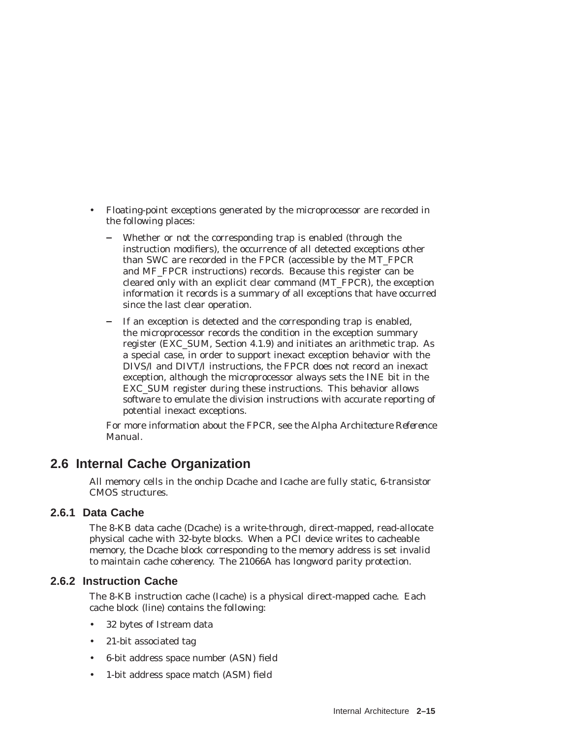- Floating-point exceptions generated by the microprocessor are recorded in the following places:
	- Whether or not the corresponding trap is enabled (through the instruction modifiers), the occurrence of all detected exceptions other than SWC are recorded in the FPCR (accessible by the MT\_FPCR and MF\_FPCR instructions) records. Because this register can be cleared only with an explicit clear command (MT\_FPCR), the exception information it records is a summary of all exceptions that have occurred since the last clear operation.
	- If an exception is detected and the corresponding trap is enabled, the microprocessor records the condition in the exception summary register (EXC\_SUM, Section 4.1.9) and initiates an arithmetic trap. As a special case, in order to support inexact exception behavior with the DIVS/I and DIVT/I instructions, the FPCR does not record an inexact exception, although the microprocessor always sets the INE bit in the EXC\_SUM register during these instructions. This behavior allows software to emulate the division instructions with accurate reporting of potential inexact exceptions.

For more information about the FPCR, see the *Alpha Architecture Reference Manual*.

# **2.6 Internal Cache Organization**

All memory cells in the onchip Dcache and Icache are fully static, 6-transistor CMOS structures.

# **2.6.1 Data Cache**

The 8-KB data cache (Dcache) is a write-through, direct-mapped, read-allocate physical cache with 32-byte blocks. When a PCI device writes to cacheable memory, the Dcache block corresponding to the memory address is set invalid to maintain cache coherency. The 21066A has longword parity protection.

# **2.6.2 Instruction Cache**

The 8-KB instruction cache (Icache) is a physical direct-mapped cache. Each cache block (line) contains the following:

- 32 bytes of Istream data
- 21-bit associated tag
- 6-bit address space number (ASN) field
- 1-bit address space match (ASM) field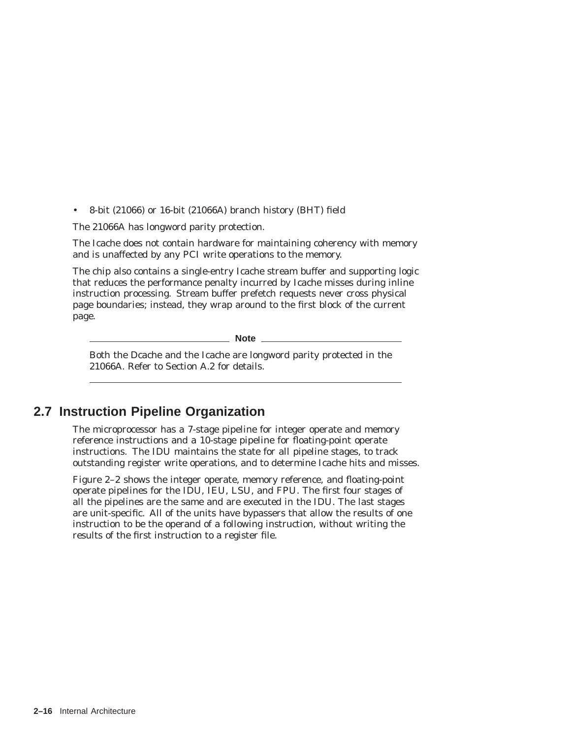• 8-bit (21066) or 16-bit (21066A) branch history (BHT) field

The 21066A has longword parity protection.

The Icache does not contain hardware for maintaining coherency with memory and is unaffected by any PCI write operations to the memory.

The chip also contains a single-entry Icache stream buffer and supporting logic that reduces the performance penalty incurred by Icache misses during inline instruction processing. Stream buffer prefetch requests never cross physical page boundaries; instead, they wrap around to the first block of the current page.

**Note**

Both the Dcache and the Icache are longword parity protected in the 21066A. Refer to Section A.2 for details.

# **2.7 Instruction Pipeline Organization**

The microprocessor has a 7-stage pipeline for integer operate and memory reference instructions and a 10-stage pipeline for floating-point operate instructions. The IDU maintains the state for all pipeline stages, to track outstanding register write operations, and to determine Icache hits and misses.

Figure 2–2 shows the integer operate, memory reference, and floating-point operate pipelines for the IDU, IEU, LSU, and FPU. The first four stages of all the pipelines are the same and are executed in the IDU. The last stages are unit-specific. All of the units have bypassers that allow the results of one instruction to be the operand of a following instruction, without writing the results of the first instruction to a register file.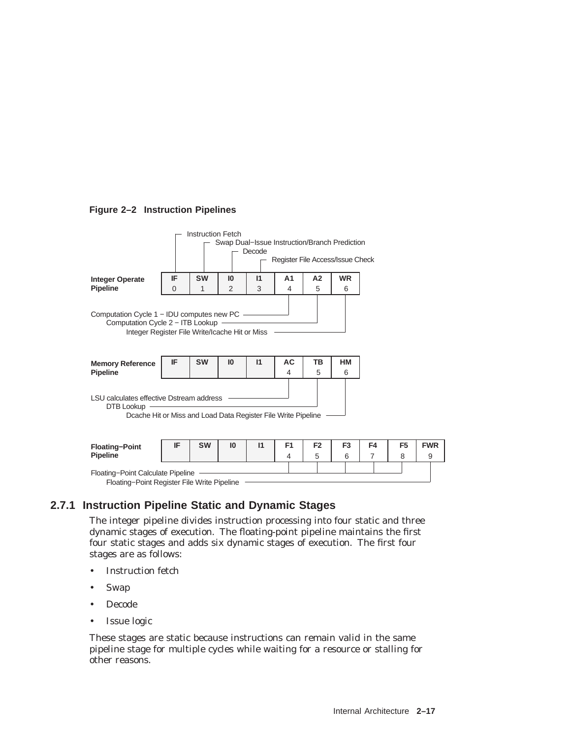#### **Figure 2–2 Instruction Pipelines**



| <b>Floating-Point</b><br><b>Pipeline</b>                                         | <b>SW</b> | 10 |  | F <sub>2</sub> |  | <b>FWR</b> |
|----------------------------------------------------------------------------------|-----------|----|--|----------------|--|------------|
| Floating-Point Calculate Pipeline<br>Floating-Point Register File Write Pipeline |           |    |  |                |  |            |

**2.7.1 Instruction Pipeline Static and Dynamic Stages**

The integer pipeline divides instruction processing into four static and three dynamic stages of execution. The floating-point pipeline maintains the first four static stages and adds six dynamic stages of execution. The first four stages are as follows:

- Instruction fetch
- Swap
- Decode
- Issue logic

These stages are static because instructions can remain valid in the same pipeline stage for multiple cycles while waiting for a resource or stalling for other reasons.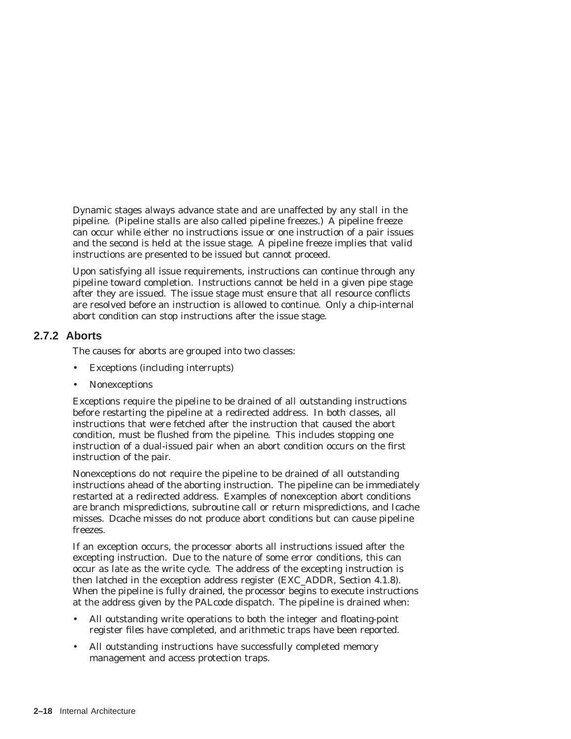Dynamic stages always advance state and are unaffected by any stall in the pipeline. (Pipeline stalls are also called pipeline freezes.) A pipeline freeze can occur while either no instructions issue or one instruction of a pair issues and the second is held at the issue stage. A pipeline freeze implies that valid instructions are presented to be issued but cannot proceed.

Upon satisfying all issue requirements, instructions can continue through any pipeline toward completion. Instructions cannot be held in a given pipe stage after they are issued. The issue stage must ensure that all resource conflicts are resolved before an instruction is allowed to continue. Only a chip-internal abort condition can stop instructions after the issue stage.

#### **2.7.2 Aborts**

The causes for aborts are grouped into two classes:

- Exceptions (including interrupts)
- Nonexceptions

Exceptions require the pipeline to be drained of all outstanding instructions before restarting the pipeline at a redirected address. In both classes, all instructions that were fetched after the instruction that caused the abort condition, must be flushed from the pipeline. This includes stopping one instruction of a dual-issued pair when an abort condition occurs on the first instruction of the pair.

Nonexceptions do not require the pipeline to be drained of all outstanding instructions ahead of the aborting instruction. The pipeline can be immediately restarted at a redirected address. Examples of nonexception abort conditions are branch mispredictions, subroutine call or return mispredictions, and Icache misses. Dcache misses do not produce abort conditions but can cause pipeline freezes.

If an exception occurs, the processor aborts all instructions issued after the excepting instruction. Due to the nature of some error conditions, this can occur as late as the write cycle. The address of the excepting instruction is then latched in the exception address register (EXC\_ADDR, Section 4.1.8). When the pipeline is fully drained, the processor begins to execute instructions at the address given by the PALcode dispatch. The pipeline is drained when:

- All outstanding write operations to both the integer and floating-point register files have completed, and arithmetic traps have been reported.
- All outstanding instructions have successfully completed memory management and access protection traps.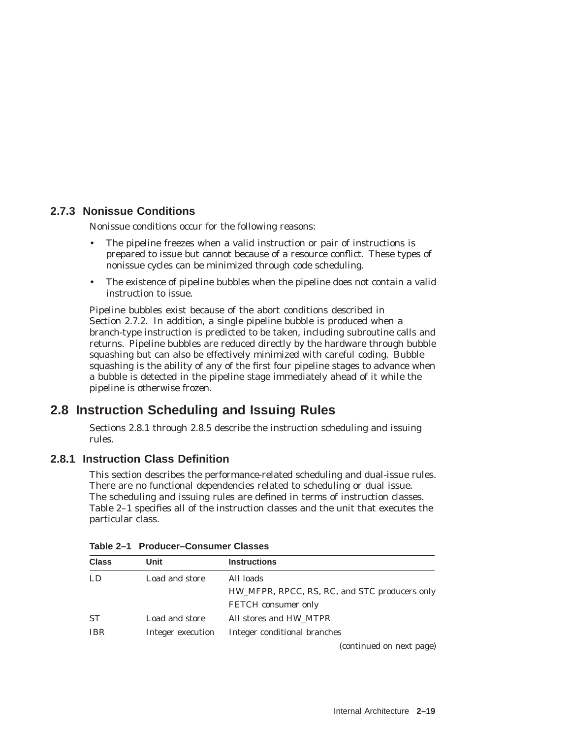# **2.7.3 Nonissue Conditions**

Nonissue conditions occur for the following reasons:

- The pipeline freezes when a valid instruction or pair of instructions is prepared to issue but cannot because of a resource conflict. These types of nonissue cycles can be minimized through code scheduling.
- The existence of pipeline *bubbles* when the pipeline does not contain a valid instruction to issue.

Pipeline bubbles exist because of the abort conditions described in Section 2.7.2. In addition, a single pipeline bubble is produced when a branch-type instruction is predicted to be taken, including subroutine calls and returns. Pipeline bubbles are reduced directly by the hardware through *bubble squashing* but can also be effectively minimized with careful coding. Bubble squashing is the ability of any of the first four pipeline stages to advance when a bubble is detected in the pipeline stage immediately ahead of it while the pipeline is otherwise frozen.

# **2.8 Instruction Scheduling and Issuing Rules**

Sections 2.8.1 through 2.8.5 describe the instruction scheduling and issuing rules.

# **2.8.1 Instruction Class Definition**

This section describes the performance-related scheduling and dual-issue rules. There are no functional dependencies related to scheduling or dual issue. The scheduling and issuing rules are defined in terms of instruction classes. Table 2–1 specifies all of the instruction classes and the unit that executes the particular class.

| <b>Class</b> | Unit              | <b>Instructions</b>                           |
|--------------|-------------------|-----------------------------------------------|
| LD.          | Load and store    | All loads                                     |
|              |                   | HW_MFPR, RPCC, RS, RC, and STC producers only |
|              |                   | <b>FETCH</b> consumer only                    |
| <b>ST</b>    | Load and store    | All stores and HW_MTPR                        |
| <b>IBR</b>   | Integer execution | Integer conditional branches                  |
|              |                   | (continued on next page)                      |

**Table 2–1 Producer–Consumer Classes**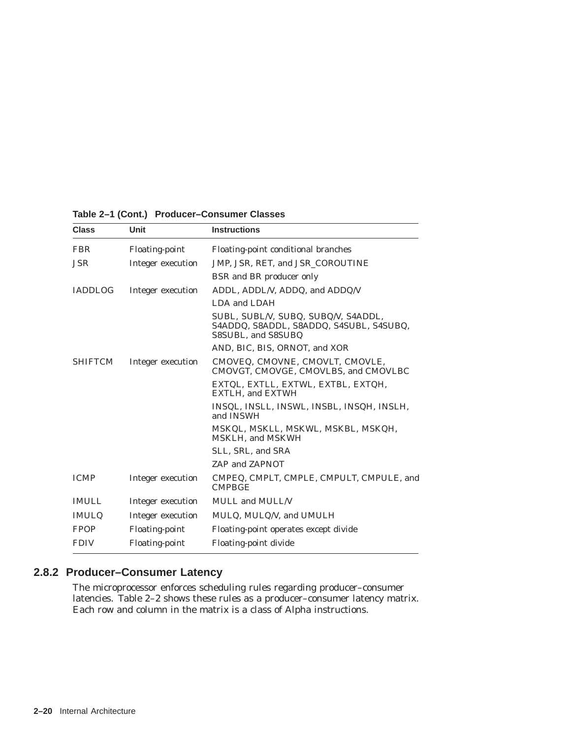| <b>Class</b>   | Unit                  | <b>Instructions</b>                                                                                  |
|----------------|-----------------------|------------------------------------------------------------------------------------------------------|
| <b>FBR</b>     | <b>Floating-point</b> | Floating-point conditional branches                                                                  |
| <b>JSR</b>     | Integer execution     | JMP, JSR, RET, and JSR_COROUTINE                                                                     |
|                |                       | <b>BSR</b> and BR producer only                                                                      |
| <b>IADDLOG</b> | Integer execution     | ADDL, ADDL/V, ADDQ, and ADDQ/V                                                                       |
|                |                       | LDA and LDAH                                                                                         |
|                |                       | SUBL, SUBL/V, SUBQ, SUBQ/V, S4ADDL,<br>S4ADDQ, S8ADDL, S8ADDQ, S4SUBL, S4SUBQ,<br>S8SUBL, and S8SUBQ |
|                |                       | AND, BIC, BIS, ORNOT, and XOR                                                                        |
| <b>SHIFTCM</b> | Integer execution     | CMOVEQ, CMOVNE, CMOVLT, CMOVLE,<br>CMOVGT, CMOVGE, CMOVLBS, and CMOVLBC                              |
|                |                       | EXTQL, EXTLL, EXTWL, EXTBL, EXTQH,<br><b>EXTLH.</b> and <b>EXTWH</b>                                 |
|                |                       | INSQL, INSLL, INSWL, INSBL, INSQH, INSLH,<br>and INSWH                                               |
|                |                       | MSKQL, MSKLL, MSKWL, MSKBL, MSKQH,<br><b>MSKLH, and MSKWH</b>                                        |
|                |                       | SLL, SRL, and SRA                                                                                    |
|                |                       | ZAP and ZAPNOT                                                                                       |
| <b>ICMP</b>    | Integer execution     | CMPEQ, CMPLT, CMPLE, CMPULT, CMPULE, and<br><b>CMPBGE</b>                                            |
| <b>IMULL</b>   | Integer execution     | <b>MULL</b> and <b>MULL/V</b>                                                                        |
| <b>IMULQ</b>   | Integer execution     | MULQ, MULQ/V, and UMULH                                                                              |
| <b>FPOP</b>    | <b>Floating-point</b> | Floating-point operates except divide                                                                |
| <b>FDIV</b>    | <b>Floating-point</b> | Floating-point divide                                                                                |
|                |                       |                                                                                                      |

**Table 2–1 (Cont.) Producer–Consumer Classes**

# **2.8.2 Producer–Consumer Latency**

The microprocessor enforces scheduling rules regarding producer–consumer latencies. Table 2–2 shows these rules as a producer–consumer latency matrix. Each row and column in the matrix is a class of Alpha instructions.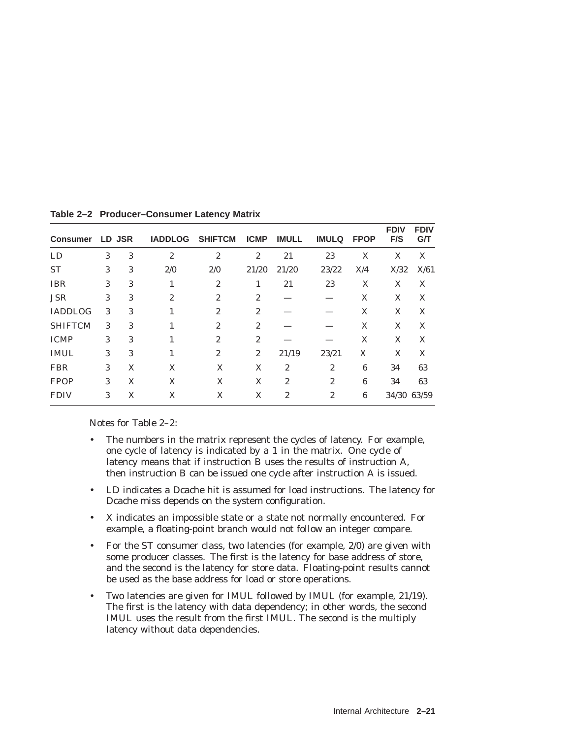| <b>Consumer</b> |   | LD JSR | <b>IADDLOG</b> | <b>SHIFTCM</b> | <b>ICMP</b>      | <b>IMULL</b>     | <b>IMULQ</b>   | <b>FPOP</b> | <b>FDIV</b><br>F/S | <b>FDIV</b><br><b>G/T</b> |
|-----------------|---|--------|----------------|----------------|------------------|------------------|----------------|-------------|--------------------|---------------------------|
| <b>LD</b>       | 3 | 3      | $\overline{2}$ | $\overline{2}$ | $\boldsymbol{2}$ | 21               | 23             | X           | X                  | X                         |
| <b>ST</b>       | 3 | 3      | 2/0            | 2/0            | 21/20            | 21/20            | 23/22          | X/4         | X/32               | X/61                      |
| <b>IBR</b>      | 3 | 3      |                | $\mathbf{2}$   | 1                | 21               | 23             | X           | X                  | X                         |
| <b>JSR</b>      | 3 | 3      | $\overline{2}$ | $\mathbf{2}$   | $\overline{c}$   |                  |                | X           | X                  | X                         |
| <b>IADDLOG</b>  | 3 | 3      | 1              | $\mathbf{2}$   | $\overline{2}$   |                  |                | X           | X                  | X                         |
| <b>SHIFTCM</b>  | 3 | 3      | 1              | $\mathbf{2}$   | $\overline{2}$   |                  |                | X           | X                  | X                         |
| <b>ICMP</b>     | 3 | 3      | 1              | $\mathbf{2}$   | $\overline{2}$   |                  |                | X           | X                  | X                         |
| <b>IMUL</b>     | 3 | 3      | 1              | $\overline{2}$ | $\overline{c}$   | 21/19            | 23/21          | X           | X                  | X                         |
| <b>FBR</b>      | 3 | X      | X              | X              | X                | $\overline{2}$   | $\overline{2}$ | 6           | 34                 | 63                        |
| <b>FPOP</b>     | 3 | X      | X              | X              | X                | $\boldsymbol{2}$ | $\overline{2}$ | 6           | 34                 | 63                        |
| <b>FDIV</b>     | 3 | X      | X              | X              | X                | $\overline{2}$   | $\overline{2}$ | 6           | 34/30 63/59        |                           |

**Table 2–2 Producer–Consumer Latency Matrix**

Notes for Table 2–2:

- The numbers in the matrix represent the cycles of latency. For example, one cycle of latency is indicated by a 1 in the matrix. One cycle of latency means that if instruction B uses the results of instruction A, then instruction B can be issued one cycle after instruction A is issued.
- LD indicates a Dcache hit is assumed for load instructions. The latency for Dcache miss depends on the system configuration.
- X indicates an impossible state or a state not normally encountered. For example, a floating-point branch would not follow an integer compare.
- For the ST consumer class, two latencies (for example, 2/0) are given with some producer classes. The first is the latency for base address of store, and the second is the latency for store data. Floating-point results cannot be used as the base address for load or store operations.
- Two latencies are given for IMUL followed by IMUL (for example, 21/19). The first is the latency with data dependency; in other words, the second IMUL uses the result from the first IMUL. The second is the multiply latency without data dependencies.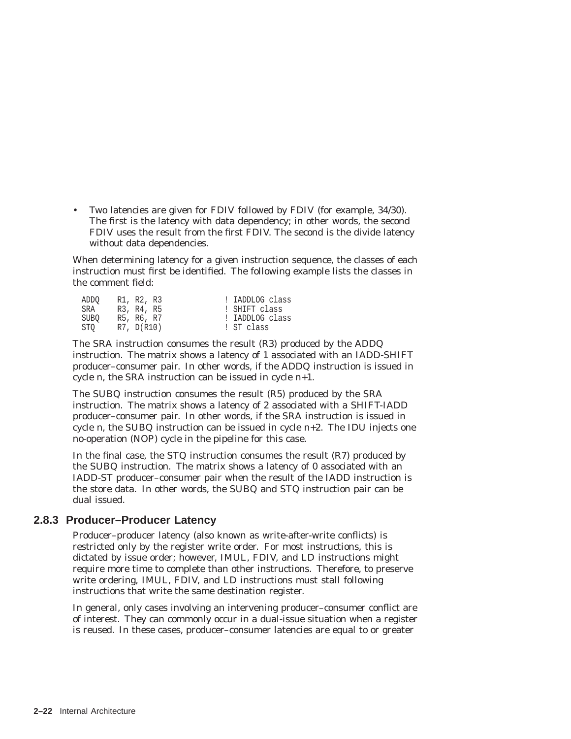• Two latencies are given for FDIV followed by FDIV (for example, 34/30). The first is the latency with data dependency; in other words, the second FDIV uses the result from the first FDIV. The second is the divide latency without data dependencies.

When determining latency for a given instruction sequence, the classes of each instruction must first be identified. The following example lists the classes in the comment field:

| ADDO | R1, R2, R3 | ! IADDLOG class |
|------|------------|-----------------|
| SRA  | R3, R4, R5 | ! SHIFT class   |
| SUBO | R5, R6, R7 | ! IADDLOG class |
| STO  | R7, D(R10) | ! ST class      |

The SRA instruction consumes the result (R3) produced by the ADDQ instruction. The matrix shows a latency of 1 associated with an IADD-SHIFT producer–consumer pair. In other words, if the ADDQ instruction is issued in cycle *n,* the SRA instruction can be issued in cycle *n*+1.

The SUBQ instruction consumes the result (R5) produced by the SRA instruction. The matrix shows a latency of 2 associated with a SHIFT-IADD producer–consumer pair. In other words, if the SRA instruction is issued in cycle *n*, the SUBQ instruction can be issued in cycle *n+2*. The IDU injects one no-operation (NOP) cycle in the pipeline for this case.

In the final case, the STQ instruction consumes the result (R7) produced by the SUBQ instruction. The matrix shows a latency of 0 associated with an IADD-ST producer–consumer pair when the result of the IADD instruction is the store data. In other words, the SUBQ and STQ instruction pair can be dual issued.

#### **2.8.3 Producer–Producer Latency**

Producer–producer latency (also known as write-after-write conflicts) is restricted only by the register write order. For most instructions, this is dictated by issue order; however, IMUL, FDIV, and LD instructions might require more time to complete than other instructions. Therefore, to preserve write ordering, IMUL, FDIV, and LD instructions must stall following instructions that write the same destination register.

In general, only cases involving an intervening producer–consumer conflict are of interest. They can commonly occur in a dual-issue situation when a register is reused. In these cases, producer–consumer latencies are equal to or greater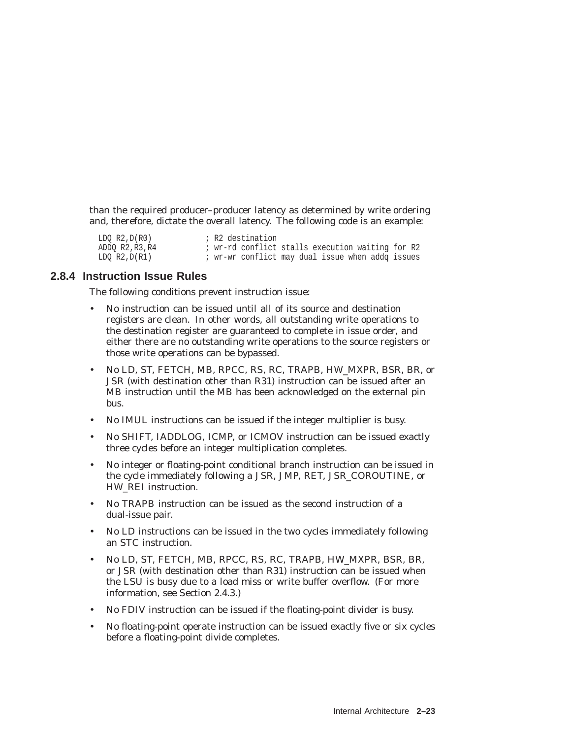than the required producer–producer latency as determined by write ordering and, therefore, dictate the overall latency. The following code is an example:

| LDO R2, D(R0) |  | ; R2 destination                                 |  |  |  |  |
|---------------|--|--------------------------------------------------|--|--|--|--|
| ADDO R2,R3,R4 |  | ; wr-rd conflict stalls execution waiting for R2 |  |  |  |  |
| LDO R2,D(R1)  |  | ; wr-wr conflict may dual issue when addq issues |  |  |  |  |

#### **2.8.4 Instruction Issue Rules**

The following conditions prevent instruction issue:

- No instruction can be issued until all of its source and destination registers are clean. In other words, all outstanding write operations to the destination register are guaranteed to complete in issue order, and either there are no outstanding write operations to the source registers or those write operations can be bypassed.
- No LD, ST, FETCH, MB, RPCC, RS, RC, TRAPB, HW\_MXPR, BSR, BR, or JSR (with destination other than R31) instruction can be issued after an MB instruction until the MB has been acknowledged on the external pin bus.
- No IMUL instructions can be issued if the integer multiplier is busy.
- No SHIFT, IADDLOG, ICMP, or ICMOV instruction can be issued exactly three cycles before an integer multiplication completes.
- No integer or floating-point conditional branch instruction can be issued in the cycle immediately following a JSR, JMP, RET, JSR\_COROUTINE, or HW\_REI instruction.
- No TRAPB instruction can be issued as the second instruction of a dual-issue pair.
- No LD instructions can be issued in the two cycles immediately following an STC instruction.
- No LD, ST, FETCH, MB, RPCC, RS, RC, TRAPB, HW\_MXPR, BSR, BR, or JSR (with destination other than R31) instruction can be issued when the LSU is busy due to a load miss or write buffer overflow. (For more information, see Section 2.4.3.)
- No FDIV instruction can be issued if the floating-point divider is busy.
- No floating-point operate instruction can be issued exactly five or six cycles before a floating-point divide completes.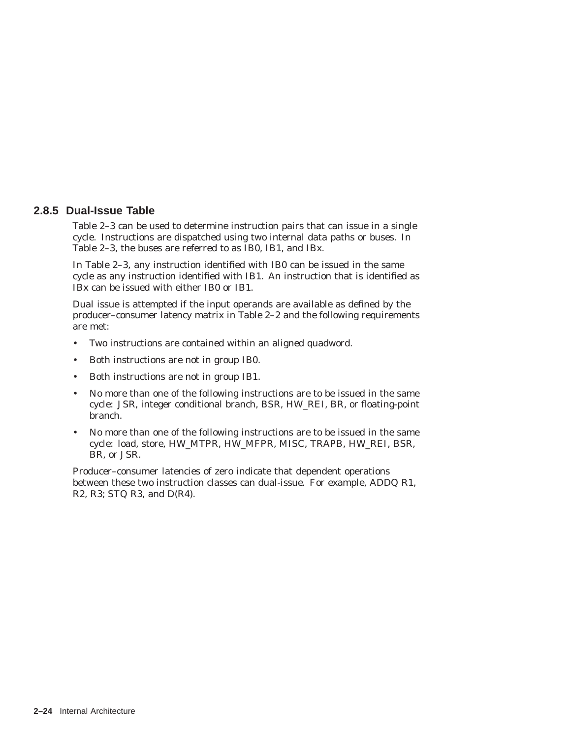#### **2.8.5 Dual-Issue Table**

Table 2–3 can be used to determine instruction pairs that can issue in a single cycle. Instructions are dispatched using two internal data paths or buses. In Table 2–3, the buses are referred to as IB0, IB1, and IBx.

In Table 2–3, any instruction identified with IB0 can be issued in the same cycle as any instruction identified with IB1. An instruction that is identified as IBx can be issued with either IB0 or IB1.

Dual issue is attempted if the input operands are available as defined by the producer–consumer latency matrix in Table 2–2 and the following requirements are met:

- Two instructions are contained within an aligned quadword.
- Both instructions are not in group IB0.
- Both instructions are not in group IB1.
- No more than one of the following instructions are to be issued in the same cycle: JSR, integer conditional branch, BSR, HW\_REI, BR, or floating-point branch.
- No more than one of the following instructions are to be issued in the same cycle: load, store, HW\_MTPR, HW\_MFPR, MISC, TRAPB, HW\_REI, BSR, BR, or JSR.

Producer–consumer latencies of zero indicate that dependent operations between these two instruction classes can dual-issue. For example, ADDQ R1, R2, R3; STQ R3, and D(R4).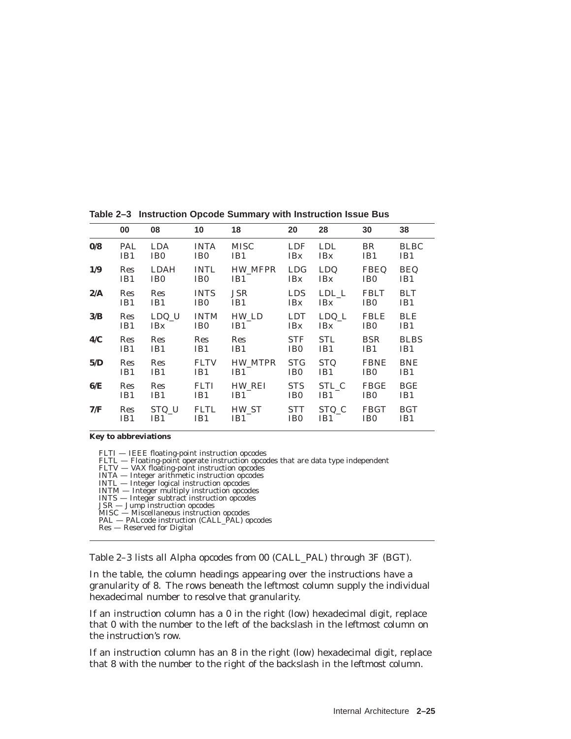|                         | 00         | 08              | 10              | 18          | 20              | 28              | 30              | 38          |
|-------------------------|------------|-----------------|-----------------|-------------|-----------------|-----------------|-----------------|-------------|
| $\mathbf{0}/\mathbf{8}$ | PAL        | <b>LDA</b>      | <b>INTA</b>     | <b>MISC</b> | <b>LDF</b>      | <b>LDL</b>      | BR              | <b>BLBC</b> |
|                         | IB1        | IB <sub>0</sub> | IB <sub>0</sub> | IB1         | <b>IBx</b>      | <b>IBx</b>      | IB1             | IB1         |
| 1/9                     | Res        | <b>LDAH</b>     | <b>INTL</b>     | HW_MFPR     | <b>LDG</b>      | <b>LDQ</b>      | <b>FBEQ</b>     | <b>BEQ</b>  |
|                         | IB1        | IB <sub>0</sub> | IB <sub>0</sub> | IB1         | <b>IBx</b>      | <b>IBx</b>      | IB <sub>0</sub> | IB1         |
| 2/A                     | <b>Res</b> | Res             | <b>INTS</b>     | <b>JSR</b>  | <b>LDS</b>      | $LDL_L$         | <b>FBLT</b>     | <b>BLT</b>  |
|                         | IB1        | IB <sub>1</sub> | IB <sub>0</sub> | IB1         | <b>IBx</b>      | <b>IBx</b>      | IB <sub>0</sub> | IB1         |
| 3/B                     | Res        | LDQ_U           | <b>INTM</b>     | HW LD       | <b>LDT</b>      | $LDQ_L$         | <b>FBLE</b>     | <b>BLE</b>  |
|                         | IB1        | <b>IBx</b>      | IB <sub>0</sub> | IB1         | <b>IBx</b>      | <b>IBx</b>      | IB <sub>0</sub> | IB1         |
| 4/C                     | Res        | Res             | Res             | <b>Res</b>  | <b>STF</b>      | <b>STL</b>      | <b>BSR</b>      | <b>BLBS</b> |
|                         | IB1        | IB1             | IB1             | IB1         | IB <sub>0</sub> | IB1             | IB1             | IB1         |
| 5/D                     | Res        | Res             | <b>FLTV</b>     | HW MTPR     | <b>STG</b>      | <b>STQ</b>      | <b>FBNE</b>     | <b>BNE</b>  |
|                         | IB1        | IB1             | IB1             | IB1         | IB <sub>0</sub> | IB <sub>1</sub> | IB <sub>0</sub> | IB1         |
| 6/E                     | Res        | Res             | <b>FLTI</b>     | HW REI      | <b>STS</b>      | STL_C           | <b>FBGE</b>     | <b>BGE</b>  |
|                         | IB1        | IB1             | IB1             | IB1         | IB <sub>0</sub> | IB1             | IB <sub>0</sub> | IB1         |
| 7/F                     | Res        | STQ_U           | <b>FLTL</b>     | HW ST       | STT             | STQ_C           | <b>FBGT</b>     | <b>BGT</b>  |
|                         | IB1        | IB1             | IB1             | IB1         | IB <sub>0</sub> | IB1             | IB <sub>0</sub> | IB1         |

**Table 2–3 Instruction Opcode Summary with Instruction Issue Bus**

**Key to abbreviations**

- FLTI IEEE floating-point instruction opcodes<br>FLTL Floating-point operate instruction opcodes that are data type independent<br>FLTV VAX floating-point instruction opcodes<br>INTA Integer arithmetic instruction opcodes<br>IN
- 
- 
- 
- 
- 
- 
- MISC Miscellaneous instruction opcodes PAL PALcode instruction (CALL\_PAL) opcodes
- 
- Res Reserved for Digital

Table 2–3 lists all Alpha opcodes from 00 (CALL\_PAL) through 3F (BGT).

In the table, the column headings appearing over the instructions have a granularity of 8. The rows beneath the leftmost column supply the individual hexadecimal number to resolve that granularity.

If an instruction column has a 0 in the right (low) hexadecimal digit, replace that 0 with the number to the left of the backslash in the leftmost column on the instruction's row.

If an instruction column has an 8 in the right (low) hexadecimal digit, replace that 8 with the number to the right of the backslash in the leftmost column.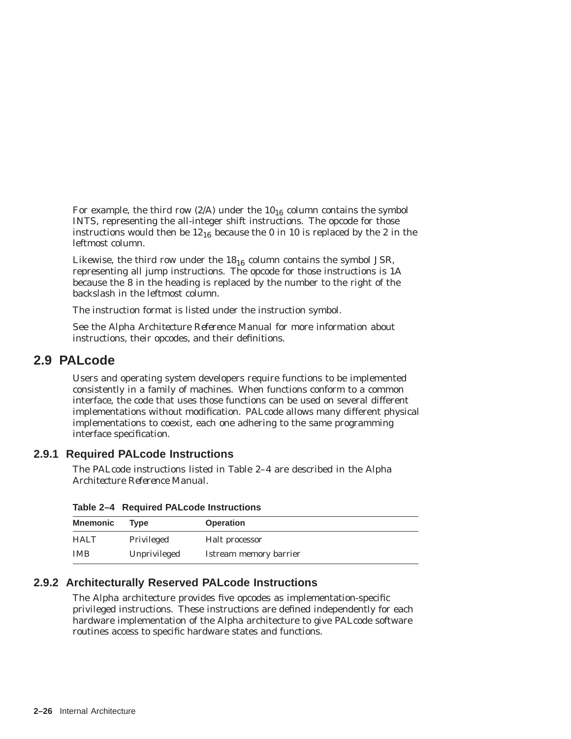For example, the third row  $(2/A)$  under the  $10_{16}$  column contains the symbol INTS, representing the all-integer shift instructions. The opcode for those instructions would then be  $12_{16}$  because the 0 in 10 is replaced by the 2 in the leftmost column.

Likewise, the third row under the  $18_{16}$  column contains the symbol JSR, representing all jump instructions. The opcode for those instructions is 1A because the 8 in the heading is replaced by the number to the right of the backslash in the leftmost column.

The instruction format is listed under the instruction symbol.

See the *Alpha Architecture Reference Manual* for more information about instructions, their opcodes, and their definitions.

# **2.9 PALcode**

Users and operating system developers require functions to be implemented consistently in a family of machines. When functions conform to a common interface, the code that uses those functions can be used on several different implementations without modification. PALcode allows many different physical implementations to coexist, each one adhering to the same programming interface specification.

# **2.9.1 Required PALcode Instructions**

The PALcode instructions listed in Table 2–4 are described in the *Alpha Architecture Reference Manual*.

| <b>Mnemonic</b> | Tvpe         | <b>Operation</b>       |
|-----------------|--------------|------------------------|
| <b>HALT</b>     | Privileged   | Halt processor         |
| <b>IMB</b>      | Unprivileged | Istream memory barrier |

**Table 2–4 Required PALcode Instructions**

# **2.9.2 Architecturally Reserved PALcode Instructions**

The Alpha architecture provides five opcodes as implementation-specific privileged instructions. These instructions are defined independently for each hardware implementation of the Alpha architecture to give PALcode software routines access to specific hardware states and functions.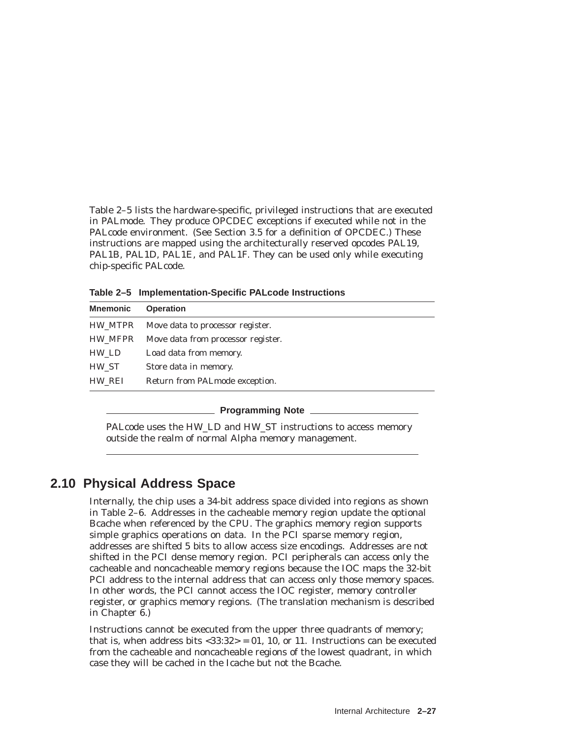Table 2–5 lists the hardware-specific, privileged instructions that are executed in PALmode. They produce OPCDEC exceptions if executed while not in the PALcode environment. (See Section 3.5 for a definition of OPCDEC.) These instructions are mapped using the architecturally reserved opcodes PAL19, PAL1B, PAL1D, PAL1E, and PAL1F. They can be used only while executing chip-specific PALcode.

**Table 2–5 Implementation-Specific PALcode Instructions**

| <b>Mnemonic</b> | <b>Operation</b>                   |  |
|-----------------|------------------------------------|--|
| HW MTPR         | Move data to processor register.   |  |
| HW MFPR         | Move data from processor register. |  |
| HW LD           | Load data from memory.             |  |
| HW ST           | Store data in memory.              |  |
| HW REI          | Return from PALmode exception.     |  |

#### **Programming Note**

PALcode uses the HW\_LD and HW\_ST instructions to access memory outside the realm of normal Alpha memory management.

# **2.10 Physical Address Space**

Internally, the chip uses a 34-bit address space divided into regions as shown in Table 2–6. Addresses in the cacheable memory region update the optional Bcache when referenced by the CPU. The graphics memory region supports simple graphics operations on data. In the PCI sparse memory region, addresses are shifted 5 bits to allow access size encodings. Addresses are not shifted in the PCI dense memory region. PCI peripherals can access only the cacheable and noncacheable memory regions because the IOC maps the 32-bit PCI address to the internal address that can access only those memory spaces. In other words, the PCI cannot access the IOC register, memory controller register, or graphics memory regions. (The translation mechanism is described in Chapter 6.)

Instructions cannot be executed from the upper three quadrants of memory; that is, when address bits  $<$ 33:32> = 01, 10, or 11. Instructions can be executed from the cacheable and noncacheable regions of the lowest quadrant, in which case they will be cached in the Icache but not the Bcache.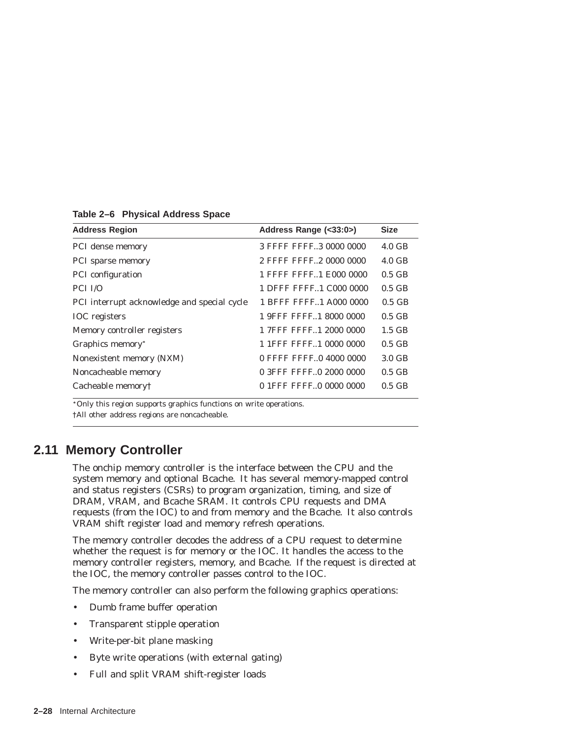| <b>Address Region</b>                       | Address Range (<33:0>)   | <b>Size</b>      |
|---------------------------------------------|--------------------------|------------------|
| PCI dense memory                            | 3 FFFF FFFF3 0000 0000   | $4.0 \text{ GB}$ |
| <b>PCI</b> sparse memory                    | 2 FFFF FFFF2 0000 0000   | $4.0 \text{ GB}$ |
| <b>PCI</b> configuration                    | 1 FFFF FFFF1 E000 0000   | $0.5$ GB         |
| PCI I/O                                     | 1 DFFF FFFF. 1 C000 0000 | $0.5$ GB         |
| PCI interrupt acknowledge and special cycle | 1 BFFF FFFF. 1 A000 0000 | $0.5$ GB         |
| <b>IOC</b> registers                        | 1 9FFF FFFF1 8000 0000   | $0.5$ GB         |
| Memory controller registers                 | 1 7FFF FFFF. 1 2000 0000 | $1.5$ GB         |
| Graphics memory <sup>*</sup>                | 1 1 FFF FFFF1 0000 0000  | $0.5$ GB         |
| Nonexistent memory (NXM)                    | 0 FFFF FFFF0 4000 0000   | 3.0 GB           |
| Noncacheable memory                         | 0 3FFF FFFF.0 2000 0000  | $0.5$ GB         |
| Cacheable memory†                           | 0 1 FFF FFFF 0 0000 0000 | $0.5$ GB         |
|                                             |                          |                  |

**Table 2–6 Physical Address Space**

Only this region supports graphics functions on write operations.

†All other address regions are noncacheable.

# **2.11 Memory Controller**

The onchip memory controller is the interface between the CPU and the system memory and optional Bcache. It has several memory-mapped control and status registers (CSRs) to program organization, timing, and size of DRAM, VRAM, and Bcache SRAM. It controls CPU requests and DMA requests (from the IOC) to and from memory and the Bcache. It also controls VRAM shift register load and memory refresh operations.

The memory controller decodes the address of a CPU request to determine whether the request is for memory or the IOC. It handles the access to the memory controller registers, memory, and Bcache. If the request is directed at the IOC, the memory controller passes control to the IOC.

The memory controller can also perform the following graphics operations:

- Dumb frame buffer operation
- Transparent stipple operation
- Write-per-bit plane masking
- Byte write operations (with external gating)
- Full and split VRAM shift-register loads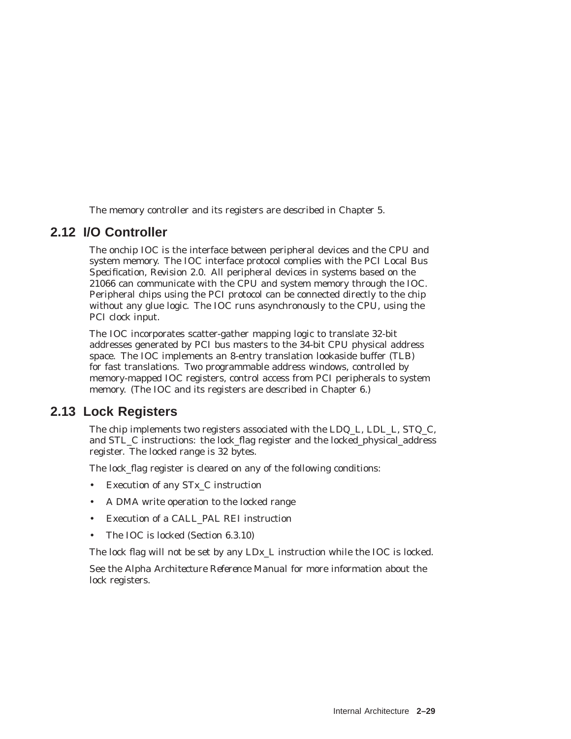The memory controller and its registers are described in Chapter 5.

# **2.12 I/O Controller**

The onchip IOC is the interface between peripheral devices and the CPU and system memory. The IOC interface protocol complies with the *PCI Local Bus Specification, Revision 2.0*. All peripheral devices in systems based on the 21066 can communicate with the CPU and system memory through the IOC. Peripheral chips using the PCI protocol can be connected directly to the chip without any glue logic. The IOC runs asynchronously to the CPU, using the PCI clock input.

The IOC incorporates scatter-gather mapping logic to translate 32-bit addresses generated by PCI bus masters to the 34-bit CPU physical address space. The IOC implements an 8-entry translation lookaside buffer (TLB) for fast translations. Two programmable address windows, controlled by memory-mapped IOC registers, control access from PCI peripherals to system memory. (The IOC and its registers are described in Chapter 6.)

# **2.13 Lock Registers**

The chip implements two registers associated with the LDQ\_L, LDL\_L, STQ\_C, and STL\_C instructions: the lock\_flag register and the locked\_physical\_address register. The locked range is 32 bytes.

The lock flag register is cleared on any of the following conditions:

- Execution of any ST<sub>x</sub> C instruction
- A DMA write operation to the locked range
- Execution of a CALL\_PAL REI instruction
- The IOC is locked (Section 6.3.10)

The lock flag will not be set by any LDx\_L instruction while the IOC is locked.

See the *Alpha Architecture Reference Manual* for more information about the lock registers.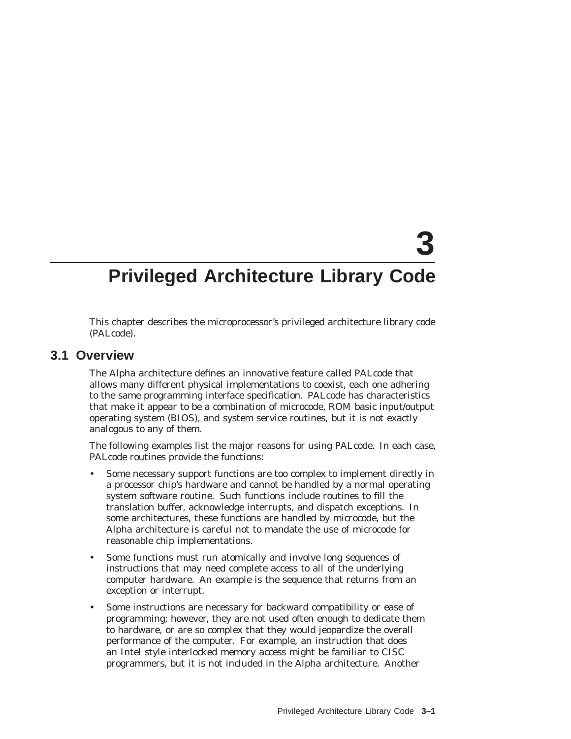# **3**

# **Privileged Architecture Library Code**

This chapter describes the microprocessor's privileged architecture library code (PALcode).

# **3.1 Overview**

The Alpha architecture defines an innovative feature called PALcode that allows many different physical implementations to coexist, each one adhering to the same programming interface specification. PALcode has characteristics that make it appear to be a combination of microcode, ROM basic input/output operating system (BIOS), and system service routines, but it is not exactly analogous to any of them.

The following examples list the major reasons for using PALcode. In each case, PALcode routines provide the functions:

- Some necessary support functions are too complex to implement directly in a processor chip's hardware and cannot be handled by a normal operating system software routine. Such functions include routines to fill the translation buffer, acknowledge interrupts, and dispatch exceptions. In some architectures, these functions are handled by microcode, but the Alpha architecture is careful not to mandate the use of microcode for reasonable chip implementations.
- Some functions must run atomically and involve long sequences of instructions that may need complete access to all of the underlying computer hardware. An example is the sequence that returns from an exception or interrupt.
- Some instructions are necessary for backward compatibility or ease of programming; however, they are not used often enough to dedicate them to hardware, or are so complex that they would jeopardize the overall performance of the computer. For example, an instruction that does an Intel style interlocked memory access might be familiar to CISC programmers, but it is not included in the Alpha architecture. Another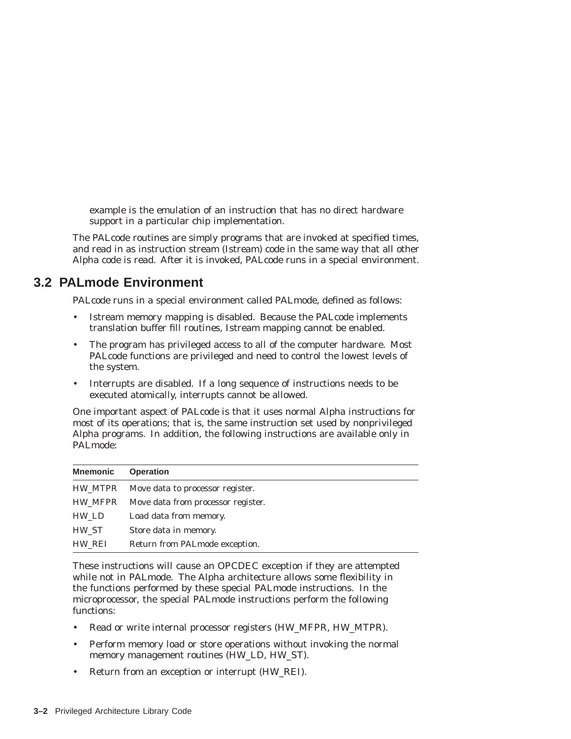example is the emulation of an instruction that has no direct hardware support in a particular chip implementation.

The PALcode routines are simply programs that are invoked at specified times, and read in as instruction stream (Istream) code in the same way that all other Alpha code is read. After it is invoked, PALcode runs in a special environment.

# **3.2 PALmode Environment**

PALcode runs in a special environment called PALmode, defined as follows:

- Istream memory mapping is disabled. Because the PALcode implements translation buffer fill routines, Istream mapping cannot be enabled.
- The program has privileged access to all of the computer hardware. Most PALcode functions are privileged and need to control the lowest levels of the system.
- Interrupts are disabled. If a long sequence of instructions needs to be executed atomically, interrupts cannot be allowed.

One important aspect of PALcode is that it uses normal Alpha instructions for most of its operations; that is, the same instruction set used by nonprivileged Alpha programs. In addition, the following instructions are available only in PALmode:

| <b>Mnemonic</b> | <b>Operation</b>                   |
|-----------------|------------------------------------|
| HW MTPR         | Move data to processor register.   |
| HW MFPR         | Move data from processor register. |
| HW LD           | Load data from memory.             |
| HW_ST           | Store data in memory.              |
| HW REI          | Return from PALmode exception.     |

These instructions will cause an OPCDEC exception if they are attempted while not in PALmode. The Alpha architecture allows some flexibility in the functions performed by these special PALmode instructions. In the microprocessor, the special PALmode instructions perform the following functions:

- Read or write internal processor registers (HW\_MFPR, HW\_MTPR).
- Perform memory load or store operations without invoking the normal memory management routines (HW\_LD, HW\_ST).
- Return from an exception or interrupt (HW\_REI).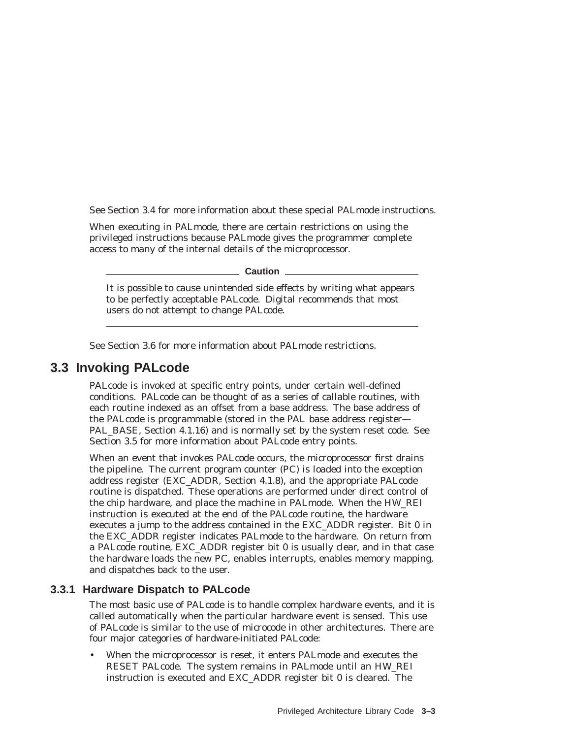See Section 3.4 for more information about these special PALmode instructions.

When executing in PALmode, there are certain restrictions on using the privileged instructions because PALmode gives the programmer complete access to many of the internal details of the microprocessor.

**Caution**

It is possible to cause unintended side effects by writing what appears to be perfectly acceptable PALcode. Digital recommends that most users do not attempt to change PALcode.

See Section 3.6 for more information about PALmode restrictions.

# **3.3 Invoking PALcode**

PALcode is invoked at specific entry points, under certain well-defined conditions. PALcode can be thought of as a series of callable routines, with each routine indexed as an offset from a base address. The base address of the PALcode is programmable (stored in the PAL base address register— PAL\_BASE, Section 4.1.16) and is normally set by the system reset code. See Section 3.5 for more information about PALcode entry points.

When an event that invokes PALcode occurs, the microprocessor first drains the pipeline. The current program counter (PC) is loaded into the exception address register (EXC\_ADDR, Section 4.1.8), and the appropriate PALcode routine is dispatched. These operations are performed under direct control of the chip hardware, and place the machine in PALmode. When the HW\_REI instruction is executed at the end of the PALcode routine, the hardware executes a jump to the address contained in the EXC\_ADDR register. Bit 0 in the EXC\_ADDR register indicates PALmode to the hardware. On return from a PALcode routine, EXC\_ADDR register bit 0 is usually clear, and in that case the hardware loads the new PC, enables interrupts, enables memory mapping, and dispatches back to the user.

# **3.3.1 Hardware Dispatch to PALcode**

The most basic use of PALcode is to handle complex hardware events, and it is called automatically when the particular hardware event is sensed. This use of PALcode is similar to the use of microcode in other architectures. There are four major categories of hardware-initiated PALcode:

• When the microprocessor is reset, it enters PALmode and executes the RESET PALcode. The system remains in PALmode until an HW\_REI instruction is executed and EXC\_ADDR register bit 0 is cleared. The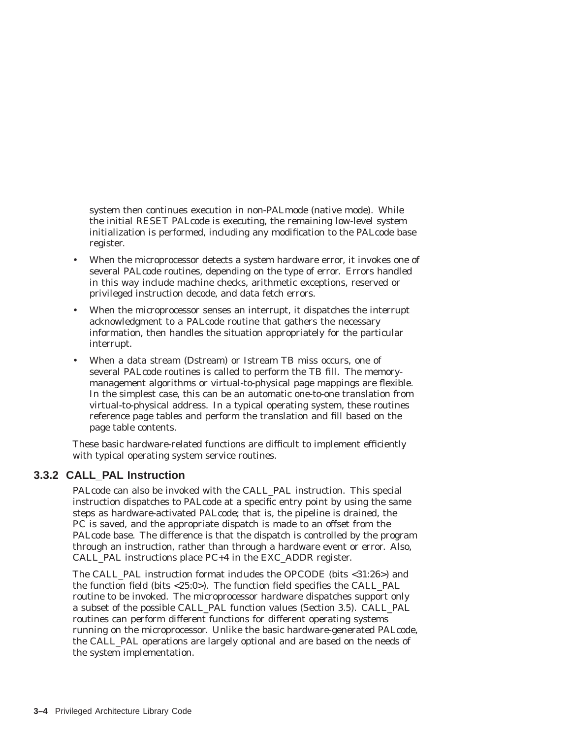system then continues execution in non-PALmode (native mode). While the initial RESET PALcode is executing, the remaining low-level system initialization is performed, including any modification to the PALcode base register.

- When the microprocessor detects a system hardware error, it invokes one of several PALcode routines, depending on the type of error. Errors handled in this way include machine checks, arithmetic exceptions, reserved or privileged instruction decode, and data fetch errors.
- When the microprocessor senses an interrupt, it dispatches the interrupt acknowledgment to a PALcode routine that gathers the necessary information, then handles the situation appropriately for the particular interrupt.
- When a data stream (Dstream) or Istream TB miss occurs, one of several PALcode routines is called to perform the TB fill. The memorymanagement algorithms or virtual-to-physical page mappings are flexible. In the simplest case, this can be an automatic one-to-one translation from virtual-to-physical address. In a typical operating system, these routines reference page tables and perform the translation and fill based on the page table contents.

These basic hardware-related functions are difficult to implement efficiently with typical operating system service routines.

# **3.3.2 CALL\_PAL Instruction**

PALcode can also be invoked with the CALL\_PAL instruction. This special instruction dispatches to PALcode at a specific entry point by using the same steps as hardware-activated PALcode; that is, the pipeline is drained, the PC is saved, and the appropriate dispatch is made to an offset from the PALcode base. The difference is that the dispatch is controlled by the program through an instruction, rather than through a hardware event or error. Also, CALL\_PAL instructions place PC+4 in the EXC\_ADDR register.

The CALL\_PAL instruction format includes the OPCODE (bits <31:26>) and the function field (bits <25:0>). The function field specifies the CALL\_PAL routine to be invoked. The microprocessor hardware dispatches support only a subset of the possible CALL\_PAL function values (Section 3.5). CALL\_PAL routines can perform different functions for different operating systems running on the microprocessor. Unlike the basic hardware-generated PALcode, the CALL\_PAL operations are largely optional and are based on the needs of the system implementation.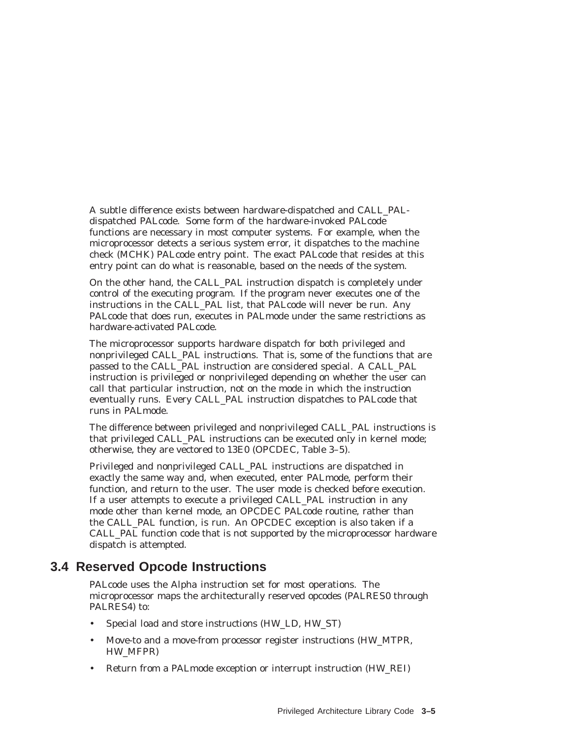A subtle difference exists between hardware-dispatched and CALL\_PALdispatched PALcode. Some form of the hardware-invoked PALcode functions are necessary in most computer systems. For example, when the microprocessor detects a serious system error, it dispatches to the machine check (MCHK) PALcode entry point. The exact PALcode that resides at this entry point can do what is reasonable, based on the needs of the system.

On the other hand, the CALL\_PAL instruction dispatch is completely under control of the executing program. If the program never executes one of the instructions in the CALL\_PAL list, that PALcode will never be run. Any PALcode that does run, executes in PALmode under the same restrictions as hardware-activated PALcode.

The microprocessor supports hardware dispatch for both privileged and nonprivileged CALL\_PAL instructions. That is, some of the functions that are passed to the CALL\_PAL instruction are considered special. A CALL\_PAL instruction is privileged or nonprivileged depending on whether the user can call that particular instruction, not on the mode in which the instruction eventually runs. Every CALL\_PAL instruction dispatches to PALcode that runs in PALmode.

The difference between privileged and nonprivileged CALL\_PAL instructions is that privileged CALL\_PAL instructions can be executed only in kernel mode; otherwise, they are vectored to 13E0 (OPCDEC, Table 3–5).

Privileged and nonprivileged CALL\_PAL instructions are dispatched in exactly the same way and, when executed, enter PALmode, perform their function, and return to the user. The user mode is checked before execution. If a user attempts to execute a privileged CALL\_PAL instruction in any mode other than kernel mode, an OPCDEC PALcode routine, rather than the CALL\_PAL function, is run. An OPCDEC exception is also taken if a CALL\_PAL function code that is not supported by the microprocessor hardware dispatch is attempted.

# **3.4 Reserved Opcode Instructions**

PALcode uses the Alpha instruction set for most operations. The microprocessor maps the architecturally reserved opcodes (PALRES0 through PALRES4) to:

- Special load and store instructions (HW\_LD, HW\_ST)
- Move-to and a move-from processor register instructions (HW\_MTPR, HW\_MFPR)
- Return from a PALmode exception or interrupt instruction (HW\_REI)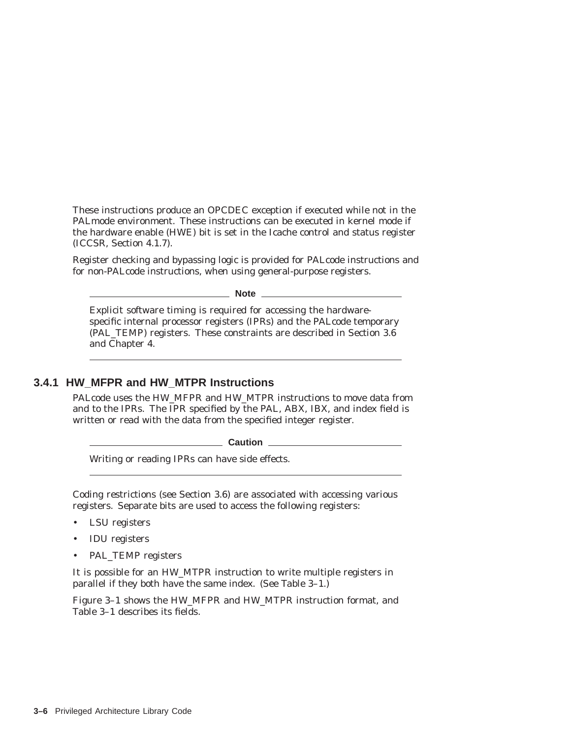These instructions produce an OPCDEC exception if executed while not in the PALmode environment. These instructions can be executed in kernel mode if the hardware enable (HWE) bit is set in the Icache control and status register (ICCSR, Section 4.1.7).

Register checking and bypassing logic is provided for PALcode instructions and for non-PALcode instructions, when using general-purpose registers.

**Note**

Explicit software timing is required for accessing the hardwarespecific internal processor registers (IPRs) and the PALcode temporary (PAL\_TEMP) registers. These constraints are described in Section 3.6 and Chapter 4.

# **3.4.1 HW\_MFPR and HW\_MTPR Instructions**

PALcode uses the HW\_MFPR and HW\_MTPR instructions to move data from and to the IPRs. The IPR specified by the PAL, ABX, IBX, and index field is written or read with the data from the specified integer register.

Laution L

Writing or reading IPRs can have side effects.

Coding restrictions (see Section 3.6) are associated with accessing various registers. Separate bits are used to access the following registers:

- LSU registers
- IDU registers
- PAL\_TEMP registers

It is possible for an HW\_MTPR instruction to write multiple registers in parallel if they both have the same index. (See Table 3–1.)

Figure 3–1 shows the HW\_MFPR and HW\_MTPR instruction format, and Table 3–1 describes its fields.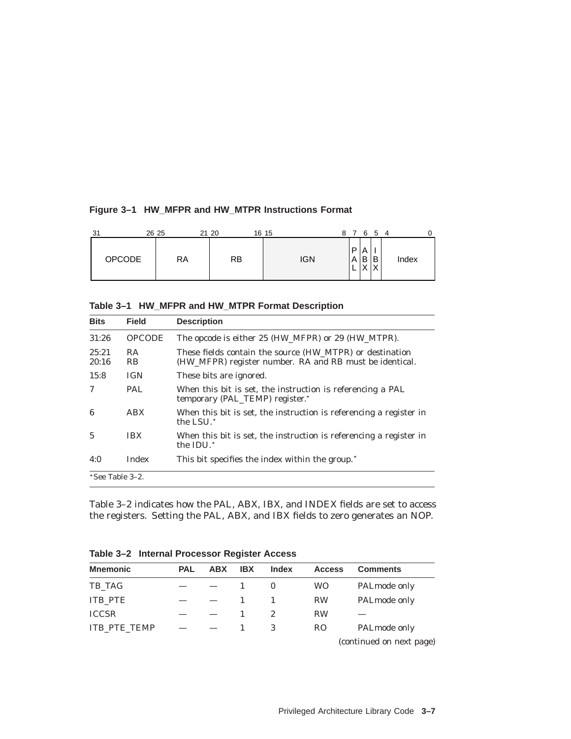| 31            | 26 25 | 21 20     | 16 15      |        | 6                      | 5                 | 4 |       |  |
|---------------|-------|-----------|------------|--------|------------------------|-------------------|---|-------|--|
| <b>OPCODE</b> | RA    | <b>RB</b> | <b>IGN</b> | P<br>A | Α<br>B<br>$\checkmark$ | В<br>$\checkmark$ |   | Index |  |

**Table 3–1 HW\_MFPR and HW\_MTPR Format Description**

| <b>Bits</b>     | <b>Field</b>  | <b>Description</b>                                                                                                  |
|-----------------|---------------|---------------------------------------------------------------------------------------------------------------------|
| 31:26           | <b>OPCODE</b> | The opcode is either 25 (HW_MFPR) or 29 (HW_MTPR).                                                                  |
| 25:21<br>20:16  | RA.<br>RB.    | These fields contain the source (HW_MTPR) or destination<br>(HW_MFPR) register number. RA and RB must be identical. |
| 15:8            | <b>IGN</b>    | These bits are ignored.                                                                                             |
| 7               | <b>PAL</b>    | When this bit is set, the instruction is referencing a PAL<br>temporary (PAL_TEMP) register.*                       |
| 6               | ABX           | When this bit is set, the instruction is referencing a register in<br>the LSU. <sup>*</sup>                         |
| $\mathbf{5}$    | <b>IBX</b>    | When this bit is set, the instruction is referencing a register in<br>the IDU.*                                     |
| 4:0             | <b>Index</b>  | This bit specifies the index within the group. <sup>*</sup>                                                         |
| *See Table 3-2. |               |                                                                                                                     |

Table 3–2 indicates how the PAL, ABX, IBX, and INDEX fields are set to access the registers. Setting the PAL, ABX, and IBX fields to zero generates an NOP.

| <b>Mnemonic</b>     | <b>PAL</b> | <b>ABX</b> | <b>IBX</b> | <b>Index</b> | <b>Access</b> | <b>Comments</b>          |
|---------------------|------------|------------|------------|--------------|---------------|--------------------------|
| TB_TAG              |            |            |            | $\theta$     | <b>WO</b>     | PALmode only             |
| <b>ITB_PTE</b>      |            |            |            |              | <b>RW</b>     | PALmode only             |
| <b>ICCSR</b>        |            |            |            | 2            | <b>RW</b>     |                          |
| <b>ITB PTE TEMP</b> |            |            |            |              | <b>RO</b>     | PALmode only             |
|                     |            |            |            |              |               | (continued on next page) |

**Table 3–2 Internal Processor Register Access**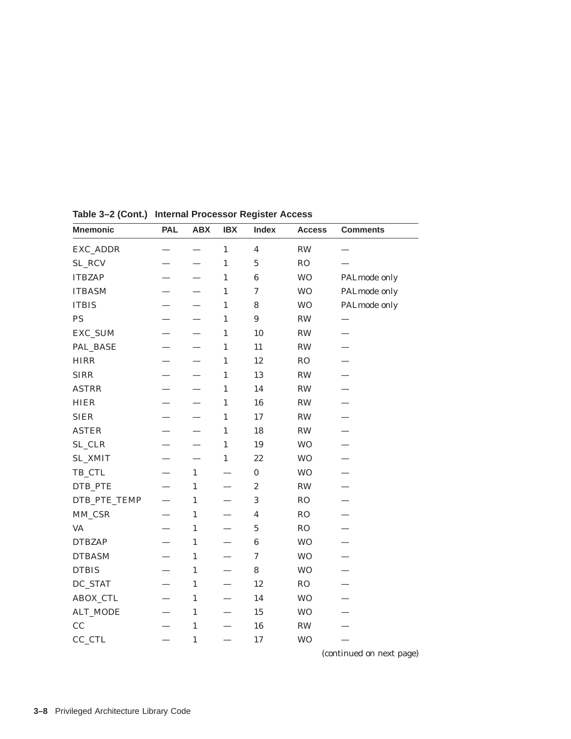| <b>Mnemonic</b> | <b>PAL</b> | <b>ABX</b>               | <b>IBX</b>   | <b>Index</b>            | <b>Access</b>  | <b>Comments</b> |
|-----------------|------------|--------------------------|--------------|-------------------------|----------------|-----------------|
| EXC_ADDR        |            |                          | $\mathbf{1}$ | $\overline{\mathbf{4}}$ | <b>RW</b>      |                 |
| SL_RCV          |            |                          | $\mathbf{1}$ | $\mathbf 5$             | RO             |                 |
| <b>ITBZAP</b>   |            |                          | $\mathbf{1}$ | $\bf 6$                 | <b>WO</b>      | PALmode only    |
| <b>ITBASM</b>   |            |                          | $\mathbf{1}$ | $\boldsymbol{7}$        | <b>WO</b>      | PALmode only    |
| <b>ITBIS</b>    |            |                          | $\mathbf{1}$ | 8                       | <b>WO</b>      | PALmode only    |
| PS              |            |                          | $\mathbf{1}$ | $\boldsymbol{9}$        | <b>RW</b>      |                 |
| EXC_SUM         |            |                          | $\mathbf{1}$ | 10                      | $\mathbf{RW}$  |                 |
| PAL_BASE        |            |                          | $\mathbf{1}$ | 11                      | <b>RW</b>      |                 |
| <b>HIRR</b>     |            |                          | $\mathbf{1}$ | 12                      | R <sub>O</sub> |                 |
| <b>SIRR</b>     |            |                          | $\mathbf{1}$ | 13                      | <b>RW</b>      |                 |
| <b>ASTRR</b>    |            |                          | $\mathbf{1}$ | 14                      | <b>RW</b>      |                 |
| <b>HIER</b>     |            |                          | $\mathbf{1}$ | 16                      | RW             |                 |
| <b>SIER</b>     |            |                          | $\mathbf{1}$ | 17                      | <b>RW</b>      |                 |
| <b>ASTER</b>    |            | $\overline{\phantom{0}}$ | $\mathbf{1}$ | 18                      | <b>RW</b>      |                 |
| SL_CLR          |            | $\overline{\phantom{0}}$ | $\mathbf{1}$ | 19                      | <b>WO</b>      |                 |
| <b>SL_XMIT</b>  |            |                          | $\mathbf{1}$ | 22                      | <b>WO</b>      |                 |
| TB_CTL          |            | $\mathbf{1}$             |              | $\pmb{0}$               | <b>WO</b>      |                 |
| DTB_PTE         |            | $\mathbf{1}$             |              | $\boldsymbol{2}$        | RW             |                 |
| DTB_PTE_TEMP    |            | $\mathbf{1}$             |              | $\sqrt{3}$              | <b>RO</b>      |                 |
| MM_CSR          |            | $\mathbf{1}$             |              | $\boldsymbol{4}$        | RO             |                 |
| <b>VA</b>       |            | $\mathbf{1}$             |              | $\mathbf 5$             | <b>RO</b>      |                 |
| <b>DTBZAP</b>   |            | $\mathbf{1}$             |              | $\bf 6$                 | <b>WO</b>      |                 |
| <b>DTBASM</b>   |            | $\mathbf{1}$             |              | $\boldsymbol{7}$        | <b>WO</b>      |                 |
| <b>DTBIS</b>    |            | $\mathbf{1}$             |              | 8                       | <b>WO</b>      |                 |
| DC_STAT         |            | $\mathbf{1}$             |              | $12\,$                  | RO             |                 |
| ABOX_CTL        |            | $\mathbf{1}$             |              | 14                      | <b>WO</b>      |                 |
| <b>ALT_MODE</b> |            | $\mathbf{1}$             |              | 15                      | <b>WO</b>      |                 |
| CC              |            | $\mathbf{1}$             |              | 16                      | <b>RW</b>      |                 |
| CC_CTL          |            | $\mathbf{1}$             |              | 17                      | <b>WO</b>      |                 |

**Table 3–2 (Cont.) Internal Processor Register Access**

(continued on next page)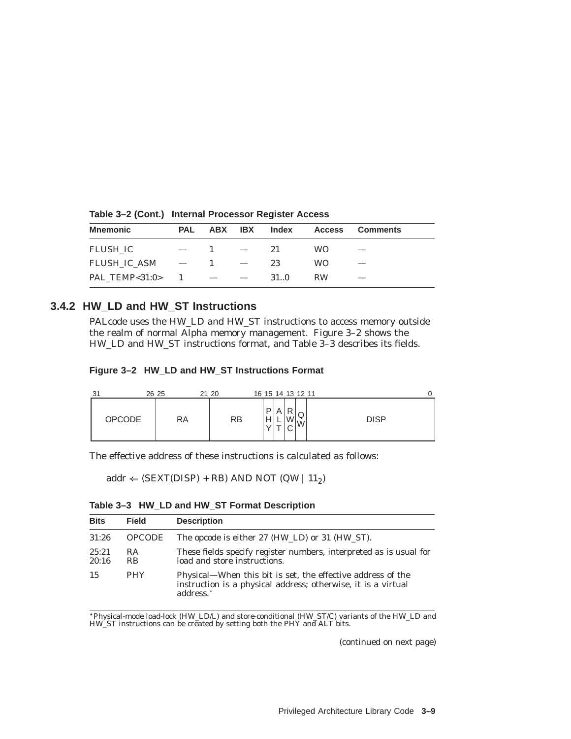| <b>Mnemonic</b> | PAL | ABX                           | <b>IBX</b>               | Index | <b>Access</b> | <b>Comments</b> |
|-----------------|-----|-------------------------------|--------------------------|-------|---------------|-----------------|
| FLUSH IC        |     |                               |                          | 21    | <b>WO</b>     |                 |
| FLUSH IC ASM —  |     | $\mathbf{1}$                  | $\overline{\phantom{0}}$ | 23    | WO.           |                 |
| PAL TEMP<31:0>  |     | $\sim$ 1 $\sim$ $\sim$ $\sim$ |                          | 31.0  | <b>RW</b>     |                 |

**Table 3–2 (Cont.) Internal Processor Register Access**

#### **3.4.2 HW\_LD and HW\_ST Instructions**

PALcode uses the HW\_LD and HW\_ST instructions to access memory outside the realm of normal Alpha memory management. Figure 3–2 shows the HW\_LD and HW\_ST instructions format, and Table 3–3 describes its fields.

|  |  |  |  |  | Figure 3-2 HW_LD and HW_ST Instructions Format |  |
|--|--|--|--|--|------------------------------------------------|--|
|--|--|--|--|--|------------------------------------------------|--|

| 21<br>ັ       | 26 25 | 21 20     | 16 15 14 13 12 11                    |             |
|---------------|-------|-----------|--------------------------------------|-------------|
| <b>OPCODE</b> | RA    | <b>RB</b> | D<br>P<br>A<br>ى<br>Н<br>W<br>$\sim$ | <b>DISP</b> |

The effective address of these instructions is calculated as follows:

 $addr \leftarrow (SEXT(DISP) + RB) AND NOT (QW | 11<sub>2</sub>)$ 

| <b>Bits</b>    | <b>Field</b>     | <b>Description</b>                                                                                                                                    |
|----------------|------------------|-------------------------------------------------------------------------------------------------------------------------------------------------------|
| 31:26          | <b>OPCODE</b>    | The opcode is either 27 (HW_LD) or 31 (HW_ST).                                                                                                        |
| 25:21<br>20:16 | RA.<br><b>RB</b> | These fields specify register numbers, interpreted as is usual for<br>load and store instructions.                                                    |
| 15             | <b>PHY</b>       | Physical—When this bit is set, the effective address of the<br>instruction is a physical address; otherwise, it is a virtual<br>address. <sup>*</sup> |

Physical-mode load-lock (HW\_LD/L) and store-conditional (HW\_ST/C) variants of the HW\_LD and HW\_ST instructions can be created by setting both the PHY and ALT bits.

(continued on next page)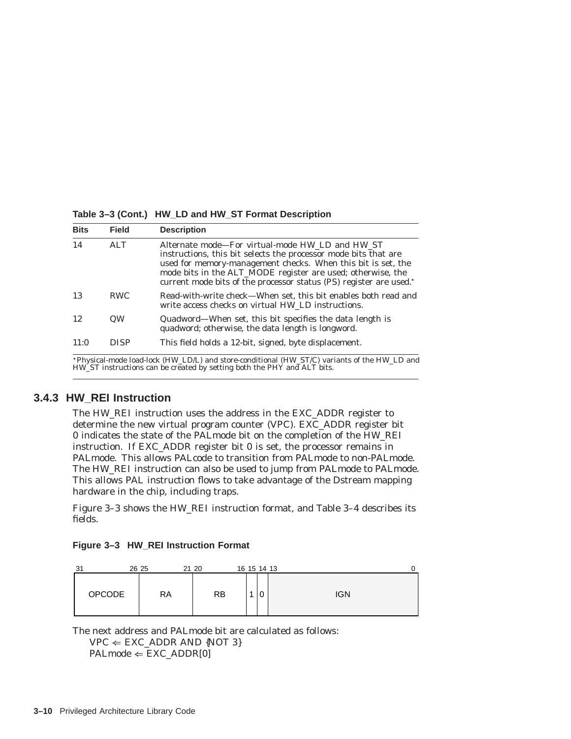**Table 3–3 (Cont.) HW\_LD and HW\_ST Format Description**

| <b>Bits</b>         | <b>Field</b> | <b>Description</b>                                                                                                                                                                                                                                                                                                                                                                               |
|---------------------|--------------|--------------------------------------------------------------------------------------------------------------------------------------------------------------------------------------------------------------------------------------------------------------------------------------------------------------------------------------------------------------------------------------------------|
| 14                  | ATT          | Alternate mode—For virtual-mode HW LD and HW ST<br>instructions, this bit selects the processor mode bits that are<br>used for memory-management checks. When this bit is set, the<br>mode bits in the ALT_MODE register are used; otherwise, the<br>current mode bits of the processor status (PS) register are used."                                                                          |
| 13                  | <b>RWC</b>   | Read-with-write check—When set, this bit enables both read and<br>write access checks on virtual HW_LD instructions.                                                                                                                                                                                                                                                                             |
| 12                  | QW           | Quadword-When set, this bit specifies the data length is<br>quadword; otherwise, the data length is longword.                                                                                                                                                                                                                                                                                    |
| 11:0                | <b>DISP</b>  | This field holds a 12-bit, signed, byte displacement.                                                                                                                                                                                                                                                                                                                                            |
| $\cdots$ m $\bf{1}$ |              | $\mathbf{1}$ $\mathbf{1}$ $\mathbf{1}$ $\mathbf{1}$ $\mathbf{1}$ $\mathbf{1}$ $\mathbf{1}$ $\mathbf{1}$ $\mathbf{1}$ $\mathbf{1}$ $\mathbf{1}$ $\mathbf{1}$ $\mathbf{1}$ $\mathbf{1}$ $\mathbf{1}$ $\mathbf{1}$ $\mathbf{1}$ $\mathbf{1}$ $\mathbf{1}$ $\mathbf{1}$ $\mathbf{1}$ $\mathbf{1}$ $\mathbf{1}$ $\mathbf{1}$ $\mathbf{$<br>$1 1$ $(11111)^{n}$ $(1111)^{n}$ $(1111)^{n}$ $(1111)^{n}$ |

Physical-mode load-lock (HW\_LD/L) and store-conditional (HW\_ST/C) variants of the HW\_LD and HW\_ST instructions can be created by setting both the PHY and ALT bits.

#### **3.4.3 HW\_REI Instruction**

The HW\_REI instruction uses the address in the EXC\_ADDR register to determine the new virtual program counter (VPC). EXC\_ADDR register bit 0 indicates the state of the PALmode bit on the completion of the HW\_REI instruction. If EXC\_ADDR register bit 0 is set, the processor remains in PALmode. This allows PALcode to transition from PALmode to non-PALmode. The HW\_REI instruction can also be used to jump from PALmode to PALmode. This allows PAL instruction flows to take advantage of the Dstream mapping hardware in the chip, including traps.

Figure 3–3 shows the HW\_REI instruction format, and Table 3–4 describes its fields.

| Figure 3-3 HW_REI Instruction Format |  |  |  |  |  |
|--------------------------------------|--|--|--|--|--|
|--------------------------------------|--|--|--|--|--|

| 31 |               | 26 25 | 21 20     | 16 15 14 13 |   | 0          |
|----|---------------|-------|-----------|-------------|---|------------|
|    | <b>OPCODE</b> | RA    | <b>RB</b> |             | 0 | <b>IGN</b> |

The next address and PALmode bit are calculated as follows:

 $VPC \Leftarrow EXC_ADDR AND \{NOT \}$ 

 $PALmode \Leftarrow EXC_ADDR[0]$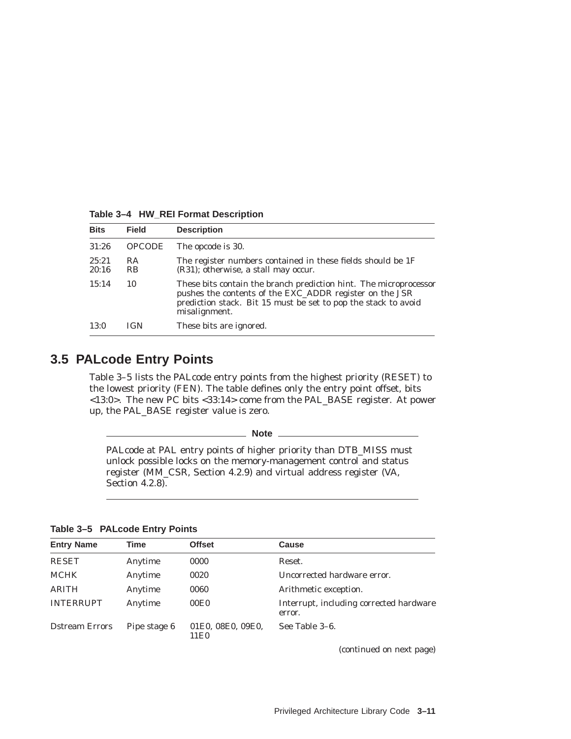| <b>Bits</b>    | <b>Field</b>                | <b>Description</b>                                                                                                                                                                                              |
|----------------|-----------------------------|-----------------------------------------------------------------------------------------------------------------------------------------------------------------------------------------------------------------|
| 31:26          | <b>OPCODE</b>               | The opcode is 30.                                                                                                                                                                                               |
| 25:21<br>20:16 | <b>RA</b><br>R <sub>B</sub> | The register numbers contained in these fields should be 1F<br>(R31); otherwise, a stall may occur.                                                                                                             |
| 15:14          | 10                          | These bits contain the branch prediction hint. The microprocessor<br>pushes the contents of the EXC_ADDR register on the JSR<br>prediction stack. Bit 15 must be set to pop the stack to avoid<br>misalignment. |
| 13:0           | IGN                         | These bits are ignored.                                                                                                                                                                                         |

**Table 3–4 HW\_REI Format Description**

# **3.5 PALcode Entry Points**

Table 3–5 lists the PALcode entry points from the highest priority (RESET) to the lowest priority (FEN). The table defines only the entry point offset, bits <13:0>. The new PC bits <33:14> come from the PAL\_BASE register. At power up, the PAL\_BASE register value is zero.

**Note**

PALcode at PAL entry points of higher priority than DTB\_MISS must unlock possible locks on the memory-management control and status register (MM\_CSR, Section 4.2.9) and virtual address register (VA, Section 4.2.8).

|  | Table 3-5 PALcode Entry Points |  |  |
|--|--------------------------------|--|--|
|--|--------------------------------|--|--|

| <b>Entry Name</b>      | Time         | <b>Offset</b>             | Cause                                             |
|------------------------|--------------|---------------------------|---------------------------------------------------|
| <b>RESET</b>           | Anytime      | 0000                      | Reset.                                            |
| <b>MCHK</b>            | Anytime      | 0020                      | Uncorrected hardware error.                       |
| <b>ARITH</b>           | Anytime      | 0060                      | Arithmetic exception.                             |
| <b>INTERRUPT</b>       | Anytime      | 00E0                      | Interrupt, including corrected hardware<br>error. |
| <b>D</b> stream Errors | Pipe stage 6 | 01E0, 08E0, 09E0,<br>11E0 | See Table 3–6.                                    |

(continued on next page)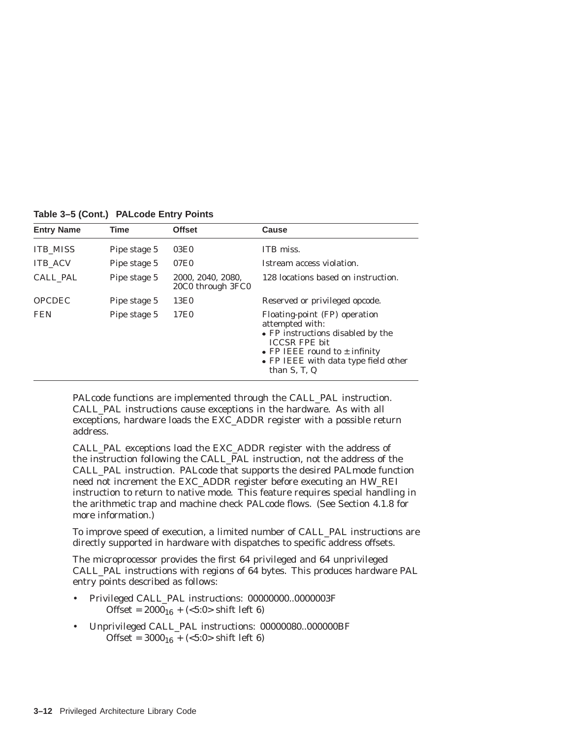| <b>Entry Name</b> | Time         | <b>Offset</b>                          | Cause                                                                                                                                                                                                              |
|-------------------|--------------|----------------------------------------|--------------------------------------------------------------------------------------------------------------------------------------------------------------------------------------------------------------------|
| <b>ITB_MISS</b>   | Pipe stage 5 | 03E0                                   | ITB miss.                                                                                                                                                                                                          |
| <b>ITB ACV</b>    | Pipe stage 5 | 07E0                                   | Istream access violation.                                                                                                                                                                                          |
| CALL PAL          | Pipe stage 5 | 2000, 2040, 2080,<br>20C0 through 3FC0 | 128 locations based on instruction.                                                                                                                                                                                |
| <b>OPCDEC</b>     | Pipe stage 5 | 13E0                                   | Reserved or privileged opcode.                                                                                                                                                                                     |
| <b>FEN</b>        | Pipe stage 5 | 17E0                                   | Floating-point (FP) operation<br>attempted with:<br>• FP instructions disabled by the<br><b>ICCSR FPE bit</b><br>• FP IEEE round to $\pm$ infinity<br>• FP IEEE with data type field other<br>than $S$ , $T$ , $Q$ |

**Table 3–5 (Cont.) PALcode Entry Points**

PALcode functions are implemented through the CALL\_PAL instruction. CALL\_PAL instructions cause exceptions in the hardware. As with all exceptions, hardware loads the EXC\_ADDR register with a possible return address.

CALL\_PAL exceptions load the EXC\_ADDR register with the address of the instruction following the CALL\_PAL instruction, not the address of the CALL\_PAL instruction. PALcode that supports the desired PALmode function need not increment the EXC\_ADDR register before executing an HW\_REI instruction to return to native mode. This feature requires special handling in the arithmetic trap and machine check PALcode flows. (See Section 4.1.8 for more information.)

To improve speed of execution, a limited number of CALL\_PAL instructions are directly supported in hardware with dispatches to specific address offsets.

The microprocessor provides the first 64 privileged and 64 unprivileged CALL\_PAL instructions with regions of 64 bytes. This produces hardware PAL entry points described as follows:

- Privileged CALL\_PAL instructions: 00000000..0000003F Offset =  $2000_{16}$  + (<5:0> shift left 6)
- Unprivileged CALL\_PAL instructions: 00000080..000000BF Offset =  $3000_{16}$  + (<5:0> shift left 6)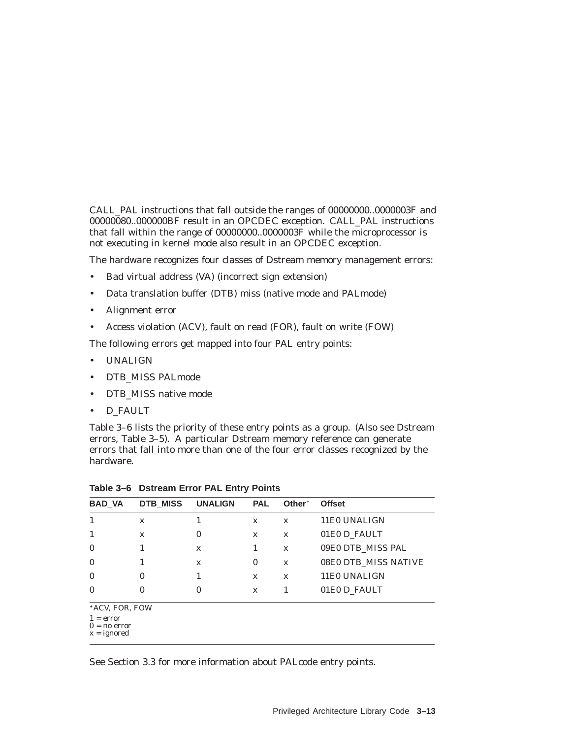CALL\_PAL instructions that fall outside the ranges of 00000000..0000003F and 00000080..000000BF result in an OPCDEC exception. CALL\_PAL instructions that fall within the range of  $00000000...0000003\overline{F}$  while the microprocessor is not executing in kernel mode also result in an OPCDEC exception.

The hardware recognizes four classes of Dstream memory management errors:

- Bad virtual address (VA) (incorrect sign extension)
- Data translation buffer (DTB) miss (native mode and PALmode)
- Alignment error
- Access violation (ACV), fault on read (FOR), fault on write (FOW)

The following errors get mapped into four PAL entry points:

- UNALIGN
- DTB\_MISS PALmode
- DTB\_MISS native mode
- D\_FAULT

Table 3–6 lists the priority of these entry points as a group. (Also see Dstream errors, Table 3–5). A particular Dstream memory reference can generate errors that fall into more than one of the four error classes recognized by the hardware.

| <b>BAD VA</b>                                                    | DTB MISS | <b>UNALIGN</b> | <b>PAL</b>   | Other <sup>*</sup> | <b>Offset</b>        |
|------------------------------------------------------------------|----------|----------------|--------------|--------------------|----------------------|
|                                                                  | X        |                | $\mathbf x$  | $\mathbf x$        | 11E0 UNALIGN         |
|                                                                  | X        | 0              | $\mathbf x$  | $\mathbf x$        | 01E0 D_FAULT         |
| $\mathbf{0}$                                                     |          | $\mathbf x$    | 1            | $\mathbf x$        | 09E0 DTB_MISS PAL    |
| $\mathbf{0}$                                                     |          | $\mathbf x$    | $\bf{0}$     | X                  | 08E0 DTB MISS NATIVE |
| $\mathbf{0}$                                                     | 0        |                | $\mathbf{x}$ | $\mathbf x$        | 11E0 UNALIGN         |
| $\mathbf{0}$                                                     | $\bf{0}$ | 0              | $\mathbf x$  |                    | 01E0 D_FAULT         |
| *ACV, FOR, FOW<br>$1 = error$<br>$0 = no error$<br>$x = ignored$ |          |                |              |                    |                      |

**Table 3–6 Dstream Error PAL Entry Points**

See Section 3.3 for more information about PALcode entry points.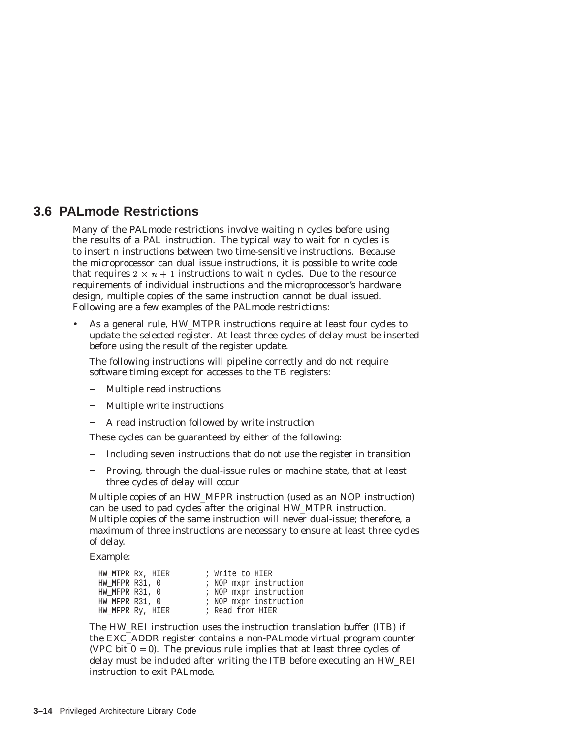# **3.6 PALmode Restrictions**

Many of the PALmode restrictions involve waiting *n* cycles before using the results of a PAL instruction. The typical way to wait for *n* cycles is to insert *n* instructions between two time-sensitive instructions. Because the microprocessor can dual issue instructions, it is possible to write code that requires  $2 \times n + 1$  instructions to wait *n* cycles. Due to the resource requirements of individual instructions and the microprocessor's hardware design, multiple copies of the same instruction cannot be dual issued. Following are a few examples of the PALmode restrictions:

• As a general rule, HW\_MTPR instructions require at least four cycles to update the selected register. At least three cycles of delay must be inserted before using the result of the register update.

The following instructions will pipeline correctly and do not require software timing except for accesses to the TB registers:

- Multiple read instructions
- Multiple write instructions
- A read instruction followed by write instruction

These cycles can be guaranteed by either of the following:

- Including seven instructions that do not use the register in transition
- Proving, through the dual-issue rules or machine state, that at least three cycles of delay will occur

Multiple copies of an HW\_MFPR instruction (used as an NOP instruction) can be used to pad cycles after the original HW\_MTPR instruction. Multiple copies of the same instruction will never dual-issue; therefore, a maximum of three instructions are necessary to ensure at least three cycles of delay.

Example:

| HW MTPR Rx, HIER | ; Write to HIER  |                        |
|------------------|------------------|------------------------|
| HW MFPR R31, 0   |                  | ; NOP mxpr instruction |
| HW MFPR R31, 0   |                  | ; NOP mxpr instruction |
| HW MFPR R31, 0   |                  | ; NOP mxpr instruction |
| HW_MFPR Ry, HIER | ; Read from HIER |                        |

The HW\_REI instruction uses the instruction translation buffer (ITB) if the EXC\_ADDR register contains a non-PALmode virtual program counter (VPC bit  $0 = 0$ ). The previous rule implies that at least three cycles of delay must be included after writing the ITB before executing an HW\_REI instruction to exit PALmode.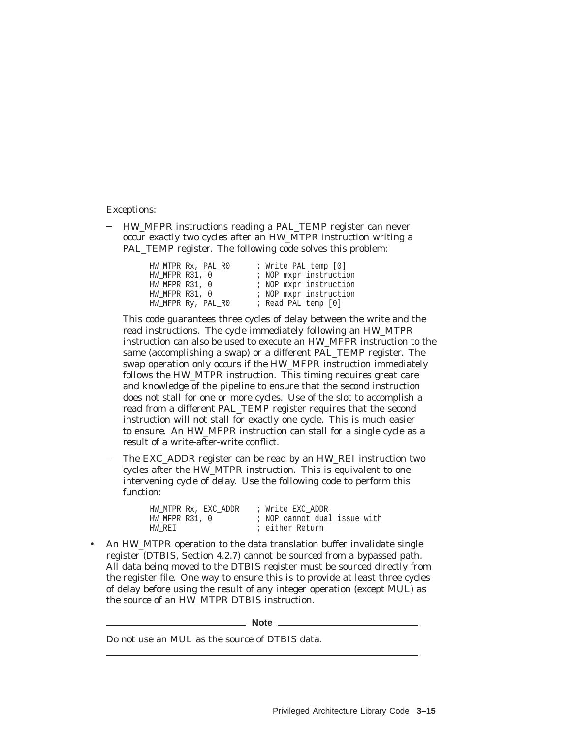Exceptions:

- HW\_MFPR instructions reading a PAL\_TEMP register can never occur exactly two cycles after an HW\_MTPR instruction writing a PAL TEMP register. The following code solves this problem:

| HW MTPR Rx, PAL RO | ; Write PAL temp [0]   |
|--------------------|------------------------|
| HW MFPR R31, 0     | ; NOP mxpr instruction |
| HW MFPR R31, 0     | ; NOP mxpr instruction |
| HW MFPR R31, 0     | ; NOP mxpr instruction |
| HW MFPR Ry, PAL RO | ; Read PAL temp [0]    |

This code guarantees three cycles of delay between the write and the read instructions. The cycle immediately following an HW\_MTPR instruction can also be used to execute an HW\_MFPR instruction to the same (accomplishing a swap) or a different PAL\_TEMP register. The swap operation only occurs if the HW\_MFPR instruction immediately follows the HW\_MTPR instruction. This timing requires great care and knowledge of the pipeline to ensure that the second instruction does not stall for one or more cycles. Use of the slot to accomplish a read from a different PAL\_TEMP register requires that the second instruction will not stall for exactly one cycle. This is much easier to ensure. An HW\_MFPR instruction can stall for a single cycle as a result of a write-after-write conflict.

The EXC\_ADDR register can be read by an HW\_REI instruction two cycles after the HW\_MTPR instruction. This is equivalent to one intervening cycle of delay. Use the following code to perform this function:

| HW MTPR Rx, EXC ADDR | ; Write EXC ADDR             |
|----------------------|------------------------------|
| HW MFPR R31, 0       | ; NOP cannot dual issue with |
| HW REI               | ; either Return              |

• An HW\_MTPR operation to the data translation buffer invalidate single register (DTBIS, Section 4.2.7) cannot be sourced from a bypassed path. All data being moved to the DTBIS register must be sourced directly from the register file. One way to ensure this is to provide at least three cycles of delay before using the result of any integer operation (except MUL) as the source of an HW\_MTPR DTBIS instruction.

\_ Note \_

Do not use an MUL as the source of DTBIS data.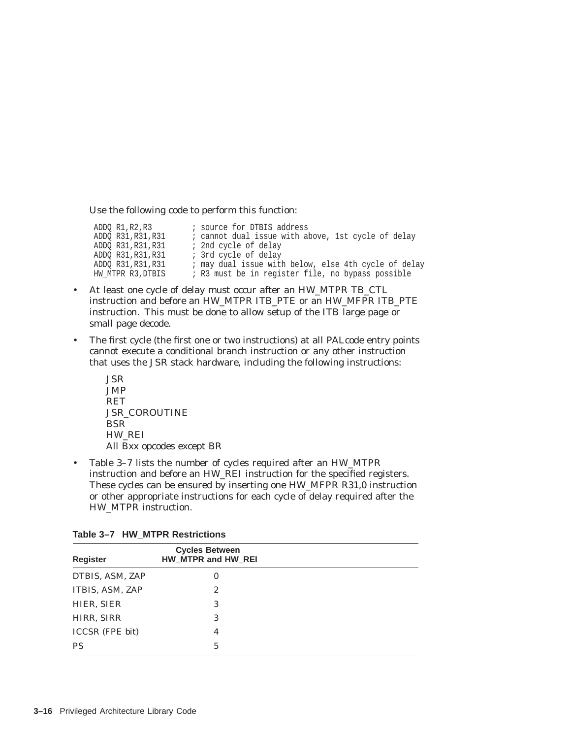Use the following code to perform this function:

ADDQ R1,R2,R3 <br>ADDQ R31,R31,R31 <br>*i* cannot dual issue with a ; cannot dual issue with above, 1st cycle of delay ADDQ R31, R31, R31 ; 2nd cycle of delay ADDQ R31, R31, R31 ; 3rd cycle of delay ADDQ R31,R31,R31 ; may dual issue with below, else 4th cycle of delay HW\_MTPR R3, DTBIS : R3 must be in register file, no bypass possible

- At least one cycle of delay must occur after an HW\_MTPR TB\_CTL instruction and before an HW\_MTPR ITB\_PTE or an HW\_MFPR ITB\_PTE instruction. This must be done to allow setup of the ITB large page or small page decode.
- The first cycle (the first one or two instructions) at all PALcode entry points cannot execute a conditional branch instruction or any other instruction that uses the JSR stack hardware, including the following instructions:
	- JSR JMP RET JSR\_COROUTINE BSR HW\_REI All Bxx opcodes except BR
- Table 3–7 lists the number of cycles required after an HW\_MTPR instruction and before an HW\_REI instruction for the specified registers. These cycles can be ensured by inserting one HW\_MFPR R31,0 instruction or other appropriate instructions for each cycle of delay required after the HW\_MTPR instruction.

| <b>Register</b>        | <b>Cycles Between</b><br>HW_MTPR and HW_REI |  |
|------------------------|---------------------------------------------|--|
| DTBIS, ASM, ZAP        | $\bf{0}$                                    |  |
| ITBIS, ASM, ZAP        | 2                                           |  |
| HIER, SIER             | 3                                           |  |
| HIRR, SIRR             | 3                                           |  |
| <b>ICCSR</b> (FPE bit) | 4                                           |  |
| <b>PS</b>              | 5                                           |  |

|  |  |  | Table 3–7 HW MTPR Restrictions |
|--|--|--|--------------------------------|
|--|--|--|--------------------------------|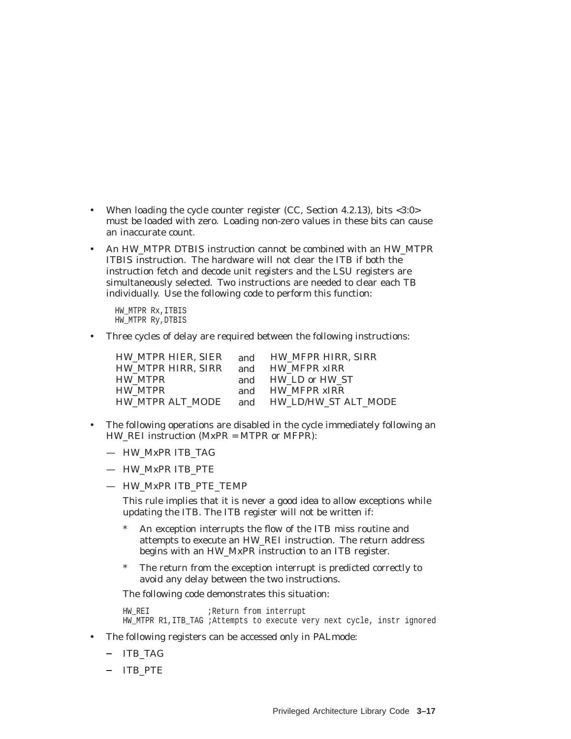- When loading the cycle counter register (CC, Section 4.2.13), bits <3:0> must be loaded with zero. Loading non-zero values in these bits can cause an inaccurate count.
- An HW\_MTPR DTBIS instruction cannot be combined with an HW\_MTPR ITBIS instruction. The hardware will not clear the ITB if both the instruction fetch and decode unit registers and the LSU registers are simultaneously selected. Two instructions are needed to clear each TB individually. Use the following code to perform this function:

HW\_MTPR Rx,ITBIS HW\_MTPR Ry,DTBIS

• Three cycles of delay are required between the following instructions:

| HW MTPR HIER, SIER | and | HW MFPR HIRR. SIRR       |
|--------------------|-----|--------------------------|
| HW MTPR HIRR. SIRR | and | <b>HW_MFPR_xIRR</b>      |
| HW MTPR            |     | and HW LD or HW ST       |
| <b>HW MTPR</b>     | and | <b>HW MFPR xIRR</b>      |
| HW MTPR ALT MODE   |     | and HW LD/HW ST ALT MODE |

- The following operations are disabled in the cycle immediately following an HW\_REI instruction (MxPR = MTPR or MFPR):
	- HW\_MxPR ITB\_TAG
	- HW\_MxPR ITB\_PTE
	- HW\_MxPR ITB\_PTE\_TEMP

This rule implies that it is never a good idea to allow exceptions while updating the ITB. The ITB register will not be written if:

- An exception interrupts the flow of the ITB miss routine and attempts to execute an HW\_REI instruction. The return address begins with an HW\_MxPR instruction to an ITB register.
- \* The return from the exception interrupt is predicted correctly to avoid any delay between the two instructions.

The following code demonstrates this situation:

HW\_REI  $;$  ;Return from interrupt HW MTPR R1, ITB TAG ;Attempts to execute very next cycle, instr ignored

- The following registers can be accessed only in PALmode:
	- ITB\_TAG
	- ITB\_PTE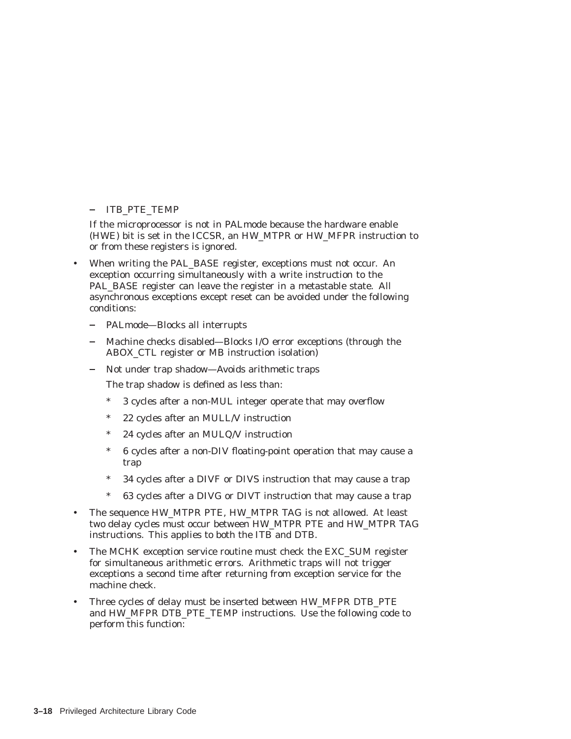#### - ITB PTE TEMP

If the microprocessor is not in PALmode because the hardware enable (HWE) bit is set in the ICCSR, an HW\_MTPR or HW\_MFPR instruction to or from these registers is ignored.

- When writing the PAL\_BASE register, exceptions must not occur. An exception occurring simultaneously with a write instruction to the PAL BASE register can leave the register in a metastable state. All asynchronous exceptions except reset can be avoided under the following conditions:
	- PALmode—Blocks all interrupts
	- Machine checks disabled—Blocks I/O error exceptions (through the ABOX\_CTL register or MB instruction isolation)
	- $\frac{1}{2}$ Not under trap shadow—Avoids arithmetic traps
		- The trap shadow is defined as less than:
		- \* 3 cycles after a non-MUL integer operate that may overflow
		- 22 cycles after an MULL/V instruction
		- 24 cycles after an MULQ/V instruction
		- \* 6 cycles after a non-DIV floating-point operation that may cause a trap
		- \* 34 cycles after a DIVF or DIVS instruction that may cause a trap
		- 63 cycles after a DIVG or DIVT instruction that may cause a trap
- The sequence HW\_MTPR PTE, HW\_MTPR TAG is not allowed. At least two delay cycles must occur between HW\_MTPR PTE and HW\_MTPR TAG instructions. This applies to both the ITB and DTB.
- The MCHK exception service routine must check the EXC SUM register for simultaneous arithmetic errors. Arithmetic traps will not trigger exceptions a second time after returning from exception service for the machine check.
- Three cycles of delay must be inserted between HW\_MFPR DTB\_PTE and HW\_MFPR DTB\_PTE\_TEMP instructions. Use the following code to perform this function: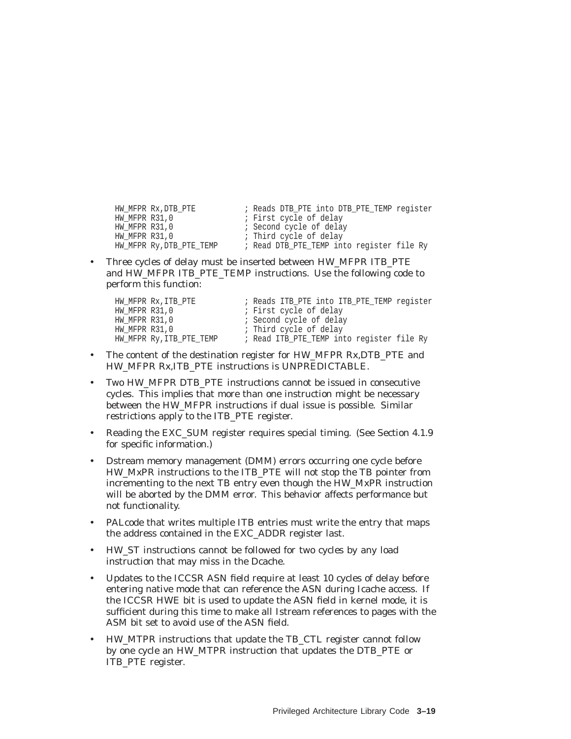; Reads DTB\_PTE into DTB\_PTE\_TEMP register<br>; First cycle of delay HW\_MFPR Rx,DTB\_PTE<br>HW\_MFPR R31,0<br>HW\_MFPR R31,0<br>HW\_MFPR R31,0 HW\_MFPR R31,0 ; Second cycle of delay HW\_MFPR R31,0 ; Third cycle of delay HW\_MFPR Ry,DTB\_PTE\_TEMP ; Read DTB\_PTE\_TEMP into register file Ry

• Three cycles of delay must be inserted between HW\_MFPR ITB\_PTE and HW\_MFPR ITB\_PTE\_TEMP instructions. Use the following code to perform this function:

| HW MFPR Rx, ITB PTE      | ; Reads ITB_PTE into ITB_PTE_TEMP reqister |
|--------------------------|--------------------------------------------|
| HW MFPR R31,0            | ; First cycle of delay                     |
| HW MFPR R31,0            | ; Second cycle of delay                    |
| HW MFPR R31,0            | ; Third cycle of delay                     |
| HW MFPR Ry, ITB PTE TEMP | ; Read ITB PTE TEMP into register file Ry  |

- The content of the destination register for HW\_MFPR Rx,DTB\_PTE and HW\_MFPR Rx,ITB\_PTE instructions is UNPREDICTABLE.
- Two HW\_MFPR DTB\_PTE instructions cannot be issued in consecutive cycles. This implies that more than one instruction might be necessary between the HW\_MFPR instructions if dual issue is possible. Similar restrictions apply to the ITB\_PTE register.
- Reading the EXC\_SUM register requires special timing. (See Section 4.1.9 for specific information.)
- Dstream memory management (DMM) errors occurring one cycle before HW\_MxPR instructions to the ITB\_PTE will not stop the TB pointer from incrementing to the next TB entry even though the HW\_MxPR instruction will be aborted by the DMM error. This behavior affects performance but not functionality.
- PALcode that writes multiple ITB entries must write the entry that maps the address contained in the EXC\_ADDR register last.
- HW\_ST instructions cannot be followed for two cycles by any load instruction that may miss in the Dcache.
- Updates to the ICCSR ASN field require at least 10 cycles of delay before entering native mode that can reference the ASN during Icache access. If the ICCSR HWE bit is used to update the ASN field in kernel mode, it is sufficient during this time to make all Istream references to pages with the ASM bit set to avoid use of the ASN field.
- HW\_MTPR instructions that update the TB\_CTL register cannot follow by one cycle an HW\_MTPR instruction that updates the DTB\_PTE or ITB\_PTE register.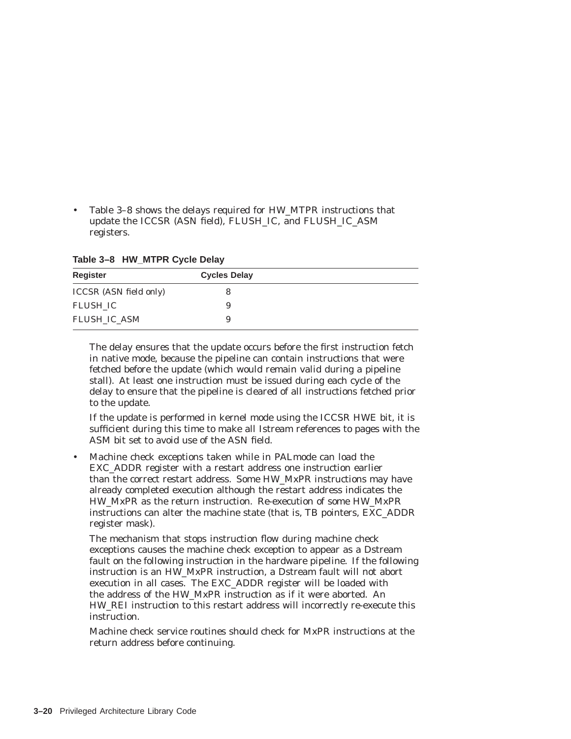• Table 3–8 shows the delays required for HW\_MTPR instructions that update the ICCSR (ASN field), FLUSH\_IC, and FLUSH\_IC\_ASM registers.

**Table 3–8 HW\_MTPR Cycle Delay**

| Register                      | <b>Cycles Delay</b> |  |
|-------------------------------|---------------------|--|
| <b>ICCSR</b> (ASN field only) |                     |  |
| FLUSH IC                      |                     |  |
| FLUSH IC ASM                  |                     |  |

The delay ensures that the update occurs before the first instruction fetch in native mode, because the pipeline can contain instructions that were fetched before the update (which would remain valid during a pipeline stall). At least one instruction must be issued during each cycle of the delay to ensure that the pipeline is cleared of all instructions fetched prior to the update.

If the update is performed in kernel mode using the ICCSR HWE bit, it is sufficient during this time to make all Istream references to pages with the ASM bit set to avoid use of the ASN field.

• Machine check exceptions taken while in PALmode can load the EXC\_ADDR register with a restart address one instruction earlier than the correct restart address. Some HW\_MxPR instructions may have already completed execution although the restart address indicates the HW\_MxPR as the return instruction. Re-execution of some HW\_MxPR instructions can alter the machine state (that is, TB pointers, EXC\_ADDR register mask).

The mechanism that stops instruction flow during machine check exceptions causes the machine check exception to appear as a Dstream fault on the following instruction in the hardware pipeline. If the following instruction is an HW\_MxPR instruction, a Dstream fault will not abort execution in all cases. The EXC\_ADDR register will be loaded with the address of the HW\_MxPR instruction as if it were aborted. An HW\_REI instruction to this restart address will incorrectly re-execute this instruction.

Machine check service routines should check for MxPR instructions at the return address before continuing.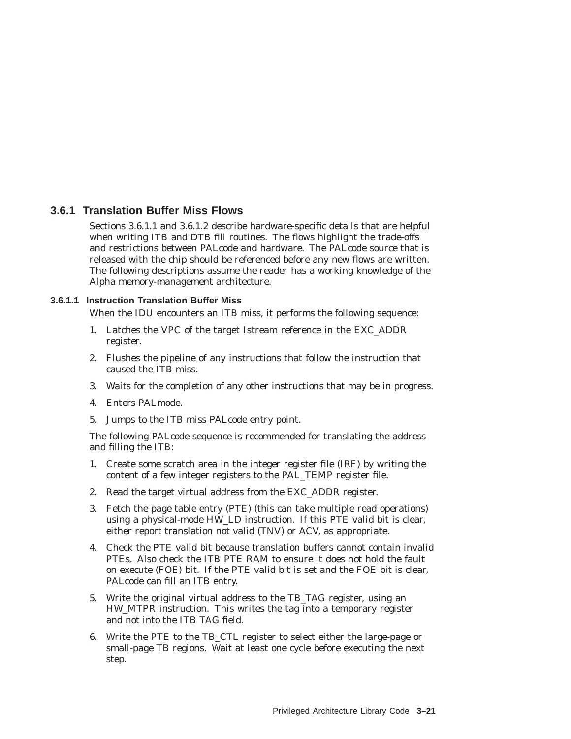# **3.6.1 Translation Buffer Miss Flows**

Sections 3.6.1.1 and 3.6.1.2 describe hardware-specific details that are helpful when writing ITB and DTB fill routines. The flows highlight the trade-offs and restrictions between PALcode and hardware. The PALcode source that is released with the chip should be referenced before any new flows are written. The following descriptions assume the reader has a working knowledge of the Alpha memory-management architecture.

## **3.6.1.1 Instruction Translation Buffer Miss**

When the IDU encounters an ITB miss, it performs the following sequence:

- 1. Latches the VPC of the target Istream reference in the EXC\_ADDR register.
- 2. Flushes the pipeline of any instructions that follow the instruction that caused the ITB miss.
- 3. Waits for the completion of any other instructions that may be in progress.
- 4. Enters PALmode.
- 5. Jumps to the ITB miss PALcode entry point.

The following PALcode sequence is recommended for translating the address and filling the ITB:

- 1. Create some scratch area in the integer register file (IRF) by writing the content of a few integer registers to the PAL\_TEMP register file.
- 2. Read the target virtual address from the EXC\_ADDR register.
- 3. Fetch the page table entry (PTE) (this can take multiple read operations) using a physical-mode HW\_LD instruction. If this PTE valid bit is clear, either report translation not valid (TNV) or ACV, as appropriate.
- 4. Check the PTE valid bit because translation buffers cannot contain invalid PTEs. Also check the ITB PTE RAM to ensure it does not hold the fault on execute (FOE) bit. If the PTE valid bit is set and the FOE bit is clear, PALcode can fill an ITB entry.
- 5. Write the original virtual address to the TB\_TAG register, using an HW\_MTPR instruction. This writes the tag into a temporary register and not into the ITB TAG field.
- 6. Write the PTE to the TB\_CTL register to select either the large-page or small-page TB regions. Wait at least one cycle before executing the next step.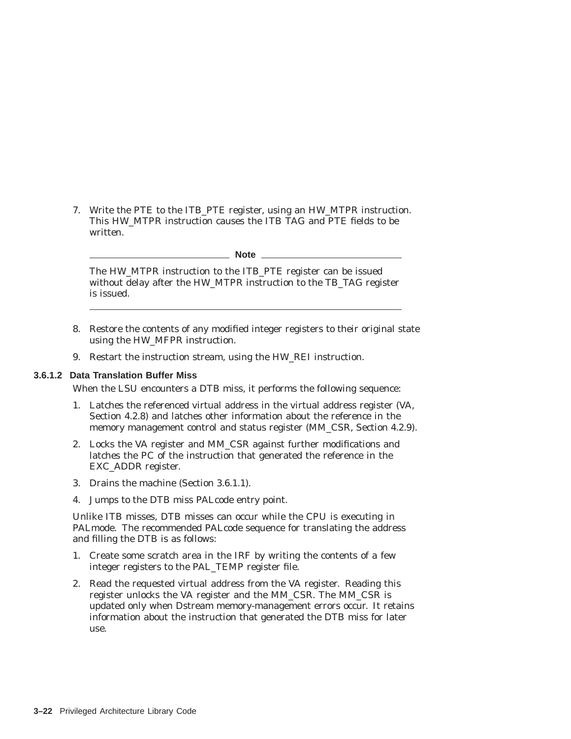7. Write the PTE to the ITB\_PTE register, using an HW\_MTPR instruction. This HW\_MTPR instruction causes the ITB TAG and PTE fields to be written.

**Note** \_\_\_\_

The HW\_MTPR instruction to the ITB\_PTE register can be issued without delay after the HW\_MTPR instruction to the TB\_TAG register is issued.

- 8. Restore the contents of any modified integer registers to their original state using the HW\_MFPR instruction.
- 9. Restart the instruction stream, using the HW\_REI instruction.

#### **3.6.1.2 Data Translation Buffer Miss**

When the LSU encounters a DTB miss, it performs the following sequence:

- 1. Latches the referenced virtual address in the virtual address register (VA, Section 4.2.8) and latches other information about the reference in the memory management control and status register (MM\_CSR, Section 4.2.9).
- 2. Locks the VA register and MM\_CSR against further modifications and latches the PC of the instruction that generated the reference in the EXC\_ADDR register.
- 3. Drains the machine (Section 3.6.1.1).
- 4. Jumps to the DTB miss PALcode entry point.

Unlike ITB misses, DTB misses can occur while the CPU is executing in PALmode. The recommended PALcode sequence for translating the address and filling the DTB is as follows:

- 1. Create some scratch area in the IRF by writing the contents of a few integer registers to the PAL\_TEMP register file.
- 2. Read the requested virtual address from the VA register. Reading this register unlocks the VA register and the MM\_CSR. The MM\_CSR is updated only when Dstream memory-management errors occur. It retains information about the instruction that generated the DTB miss for later use.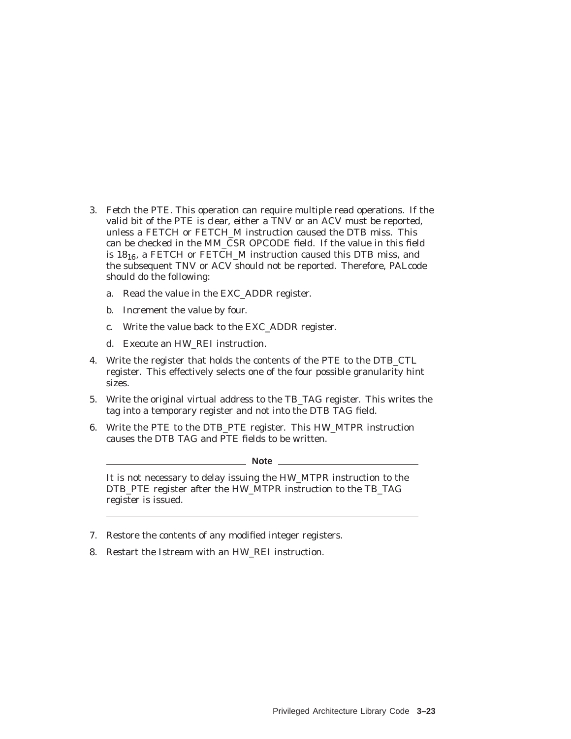- 3. Fetch the PTE. This operation can require multiple read operations. If the valid bit of the PTE is clear, either a TNV or an ACV must be reported, unless a FETCH or FETCH\_M instruction caused the DTB miss. This can be checked in the MM\_CSR OPCODE field. If the value in this field is  $18_{16}$ , a FETCH or FETCH\_M instruction caused this DTB miss, and the subsequent TNV or ACV should not be reported. Therefore, PALcode should do the following:
	- a. Read the value in the EXC\_ADDR register.
	- b. Increment the value by four.
	- c. Write the value back to the EXC\_ADDR register.
	- d. Execute an HW\_REI instruction.
- 4. Write the register that holds the contents of the PTE to the DTB\_CTL register. This effectively selects one of the four possible granularity hint sizes.
- 5. Write the original virtual address to the TB\_TAG register. This writes the tag into a temporary register and not into the DTB TAG field.
- 6. Write the PTE to the DTB\_PTE register. This HW\_MTPR instruction causes the DTB TAG and PTE fields to be written.

**Note**

It is not necessary to delay issuing the HW\_MTPR instruction to the DTB\_PTE register after the HW\_MTPR instruction to the TB\_TAG register is issued.

- 7. Restore the contents of any modified integer registers.
- 8. Restart the Istream with an HW\_REI instruction.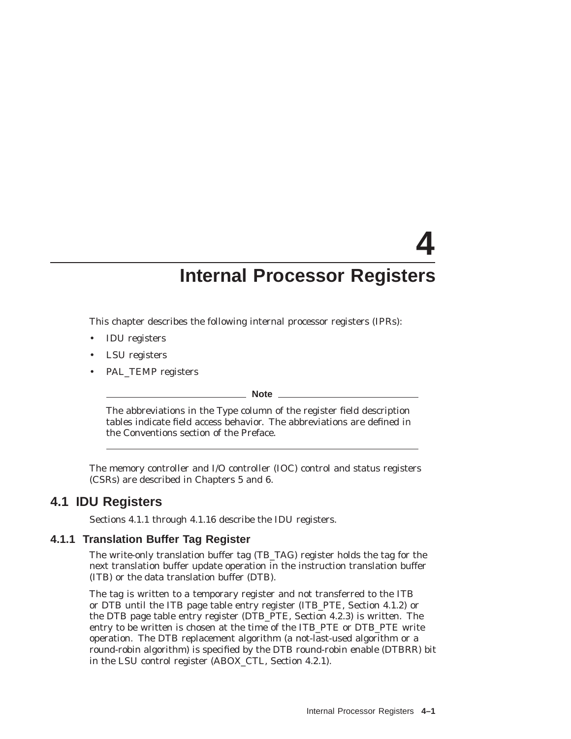# **4 Internal Processor Registers**

This chapter describes the following internal processor registers (IPRs):

- IDU registers
- LSU registers
- PAL\_TEMP registers

**Note**

The abbreviations in the Type column of the register field description tables indicate field access behavior. The abbreviations are defined in the Conventions section of the Preface.

The memory controller and I/O controller (IOC) control and status registers (CSRs) are described in Chapters 5 and 6.

# **4.1 IDU Registers**

Sections 4.1.1 through 4.1.16 describe the IDU registers.

# **4.1.1 Translation Buffer Tag Register**

The write-only translation buffer tag (TB\_TAG) register holds the tag for the next translation buffer update operation in the instruction translation buffer (ITB) or the data translation buffer (DTB).

The tag is written to a temporary register and not transferred to the ITB or DTB until the ITB page table entry register (ITB\_PTE, Section 4.1.2) or the DTB page table entry register (DTB\_PTE, Section 4.2.3) is written. The entry to be written is chosen at the time of the ITB\_PTE or DTB\_PTE write operation. The DTB replacement algorithm (a not-last-used algorithm or a round-robin algorithm) is specified by the DTB round-robin enable (DTBRR) bit in the LSU control register (ABOX\_CTL, Section 4.2.1).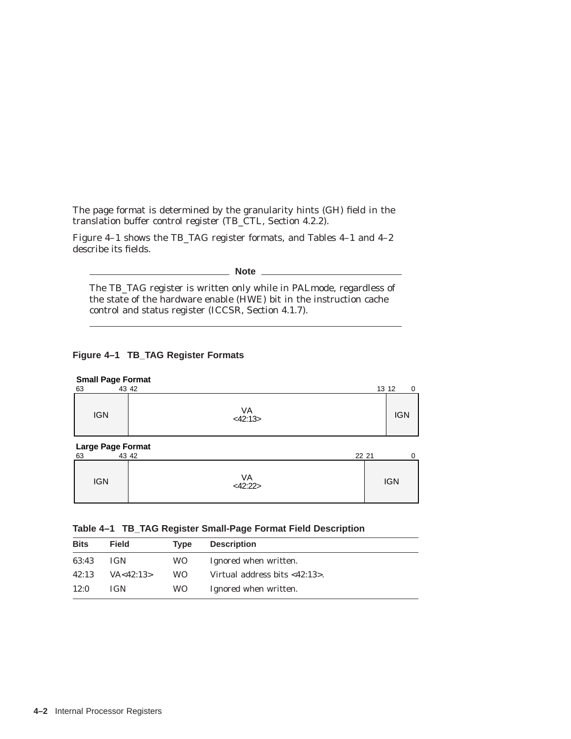The page format is determined by the granularity hints (GH) field in the translation buffer control register (TB\_CTL, Section 4.2.2).

Figure 4–1 shows the TB\_TAG register formats, and Tables 4–1 and 4–2 describe its fields.

**Note**

The TB\_TAG register is written only while in PALmode, regardless of the state of the hardware enable (HWE) bit in the instruction cache control and status register (ICCSR, Section 4.1.7).

## **Figure 4–1 TB\_TAG Register Formats**

| <b>Small Page Format</b><br>43 42<br>63                           |               | 13 12      | $\Omega$ |
|-------------------------------------------------------------------|---------------|------------|----------|
| <b>IGN</b>                                                        | VA<br><42:13> | <b>IGN</b> |          |
| <b>Large Page Format</b><br>$\overline{A2}$ $\overline{A2}$<br>63 | 22.21         |            | $\cap$   |

| 63 |            | 22 21<br>43 42 |            |  |
|----|------------|----------------|------------|--|
|    | <b>IGN</b> | VA<br><42:22>  | <b>IGN</b> |  |

|  |  | Table 4-1 TB_TAG Register Small-Page Format Field Description |  |  |
|--|--|---------------------------------------------------------------|--|--|
|  |  |                                                               |  |  |

| <b>Bits</b> | <b>Field</b> | Type | <b>Description</b>               |
|-------------|--------------|------|----------------------------------|
| 63:43       | <b>IGN</b>   | WO.  | Ignored when written.            |
| 42:13       | VA < 42:13>  | WO.  | Virtual address bits $<$ 42:13>. |
| 12:0        | <b>IGN</b>   | WO.  | Ignored when written.            |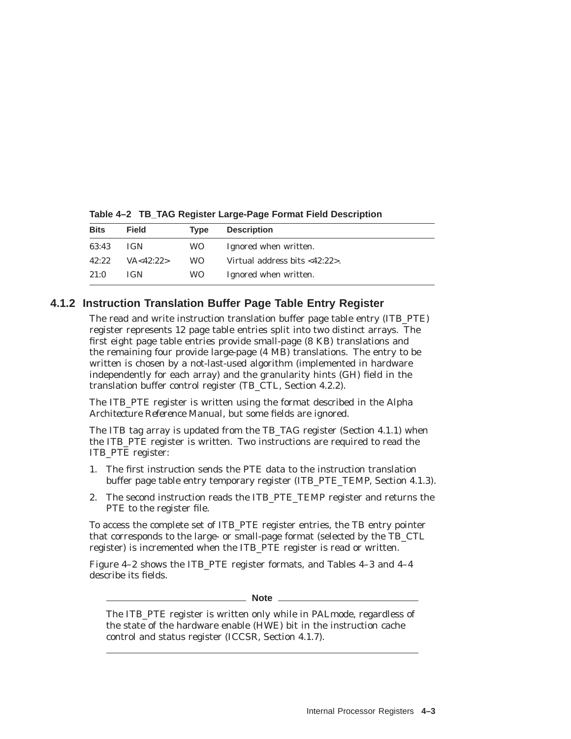| <b>Bits</b> | <b>Field</b> | Tvpe | <b>Description</b>                   |
|-------------|--------------|------|--------------------------------------|
| 63:43       | <b>IGN</b>   | WO.  | Ignored when written.                |
| 42:22       | VA < 42:22>  | WO.  | Virtual address bits $<$ 42:22 $>$ . |
| 21:0        | <b>IGN</b>   | WO.  | Ignored when written.                |

**Table 4–2 TB\_TAG Register Large-Page Format Field Description**

# **4.1.2 Instruction Translation Buffer Page Table Entry Register**

The read and write instruction translation buffer page table entry (ITB\_PTE) register represents 12 page table entries split into two distinct arrays. The first eight page table entries provide small-page (8 KB) translations and the remaining four provide large-page (4 MB) translations. The entry to be written is chosen by a not-last-used algorithm (implemented in hardware independently for each array) and the granularity hints (GH) field in the translation buffer control register (TB\_CTL, Section 4.2.2).

The ITB\_PTE register is written using the format described in the *Alpha Architecture Reference Manual*, but some fields are ignored.

The ITB tag array is updated from the TB\_TAG register (Section 4.1.1) when the ITB\_PTE register is written. Two instructions are required to read the ITB\_PTE register:

- 1. The first instruction sends the PTE data to the instruction translation buffer page table entry temporary register (ITB\_PTE\_TEMP, Section 4.1.3).
- 2. The second instruction reads the ITB\_PTE\_TEMP register and returns the PTE to the register file.

To access the complete set of ITB\_PTE register entries, the TB entry pointer that corresponds to the large- or small-page format (selected by the TB\_CTL register) is incremented when the ITB\_PTE register is read or written.

Figure 4–2 shows the ITB\_PTE register formats, and Tables 4–3 and 4–4 describe its fields.

**Note**

The ITB\_PTE register is written only while in PALmode, regardless of the state of the hardware enable (HWE) bit in the instruction cache control and status register (ICCSR, Section 4.1.7).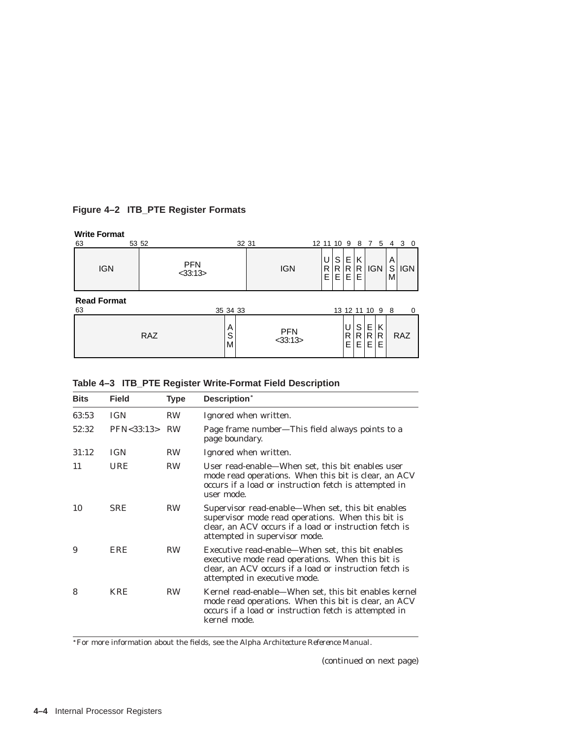# **Figure 4–2 ITB\_PTE Register Formats**

#### **Write Format**

| 63                       | 53 52                       |             | 32 31                       | 12 11 10 9 |              |             | 87              |                | 5           | 4 3         | - 0        |
|--------------------------|-----------------------------|-------------|-----------------------------|------------|--------------|-------------|-----------------|----------------|-------------|-------------|------------|
| <b>IGN</b>               | <b>PFN</b><br>$<$ 33:13 $>$ |             | <b>IGN</b>                  | R<br>E     | S<br>R<br>E. | Е<br>R<br>E | K<br>R<br>E     | <b>IGN</b>     |             | A<br>S<br>M | <b>IGN</b> |
| <b>Read Format</b><br>63 |                             | 35 34 33    |                             |            |              |             | 13 12 11 10 9 8 |                |             |             | $\Omega$   |
|                          | RAZ                         | Α<br>S<br>M | <b>PFN</b><br>$<$ 33:13 $>$ |            |              | U<br>R<br>Е | S<br>R<br>Е     | E.<br>R.<br>E. | Κ<br>R<br>Е |             | <b>RAZ</b> |

|  | Table 4-3 ITB_PTE Register Write-Format Field Description |  |
|--|-----------------------------------------------------------|--|
|  |                                                           |  |

| <b>Bits</b> | <b>Field</b>     | <b>Type</b> | Description*                                                                                                                                                                                      |
|-------------|------------------|-------------|---------------------------------------------------------------------------------------------------------------------------------------------------------------------------------------------------|
| 63:53       | <b>IGN</b>       | <b>RW</b>   | Ignored when written.                                                                                                                                                                             |
| 52:32       | PFN < 33:13 > RW |             | Page frame number—This field always points to a<br>page boundary.                                                                                                                                 |
| 31:12       | <b>IGN</b>       | <b>RW</b>   | Ignored when written.                                                                                                                                                                             |
| 11          | <b>URE</b>       | <b>RW</b>   | User read-enable—When set, this bit enables user<br>mode read operations. When this bit is clear, an ACV<br>occurs if a load or instruction fetch is attempted in<br>user mode.                   |
| 10          | <b>SRE</b>       | <b>RW</b>   | Supervisor read-enable—When set, this bit enables<br>supervisor mode read operations. When this bit is<br>clear, an ACV occurs if a load or instruction fetch is<br>attempted in supervisor mode. |
| 9           | ERE              | <b>RW</b>   | Executive read-enable—When set, this bit enables<br>executive mode read operations. When this bit is<br>clear, an ACV occurs if a load or instruction fetch is<br>attempted in executive mode.    |
| 8           | <b>KRE</b>       | <b>RW</b>   | Kernel read-enable—When set, this bit enables kernel<br>mode read operations. When this bit is clear, an ACV<br>occurs if a load or instruction fetch is attempted in<br>kernel mode.             |

For more information about the fields, see the *Alpha Architecture Reference Manual*.

(continued on next page)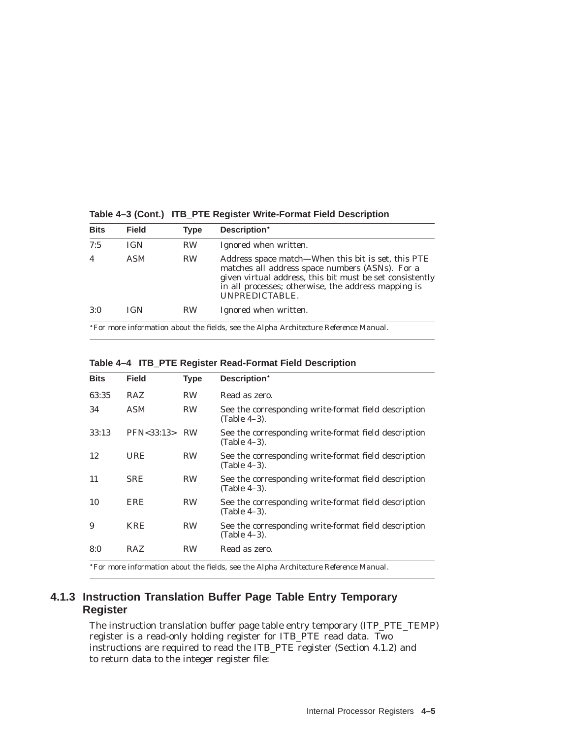| <b>Bits</b> | <b>Field</b>                                                                                 | Type      | Description*                                                                                                                                                                                                                               |  |  |  |  |  |  |
|-------------|----------------------------------------------------------------------------------------------|-----------|--------------------------------------------------------------------------------------------------------------------------------------------------------------------------------------------------------------------------------------------|--|--|--|--|--|--|
| 7:5         | <b>IGN</b>                                                                                   | <b>RW</b> | Ignored when written.                                                                                                                                                                                                                      |  |  |  |  |  |  |
| 4           | ASM                                                                                          | <b>RW</b> | Address space match—When this bit is set, this PTE<br>matches all address space numbers (ASNs). For a<br>given virtual address, this bit must be set consistently<br>in all processes; otherwise, the address mapping is<br>UNPREDICTABLE. |  |  |  |  |  |  |
| 3:0         | <b>IGN</b>                                                                                   | <b>RW</b> | Ignored when written.                                                                                                                                                                                                                      |  |  |  |  |  |  |
|             | *For more information about the fields, see the <i>Alpha Architecture Reference Manual</i> . |           |                                                                                                                                                                                                                                            |  |  |  |  |  |  |

**Table 4–3 (Cont.) ITB\_PTE Register Write-Format Field Description**

| Table 4-4 ITB_PTE Register Read-Format Field Description |  |  |  |  |
|----------------------------------------------------------|--|--|--|--|
|                                                          |  |  |  |  |

| <b>Bits</b> | <b>Field</b>     | <b>Type</b> | Description*                                                         |
|-------------|------------------|-------------|----------------------------------------------------------------------|
| 63:35       | RAZ              | <b>RW</b>   | Read as zero.                                                        |
| 34          | <b>ASM</b>       | <b>RW</b>   | See the corresponding write-format field description<br>(Table 4–3). |
| 33:13       | PFN < 33:13 > RW |             | See the corresponding write-format field description<br>(Table 4–3). |
| 12          | URE              | <b>RW</b>   | See the corresponding write-format field description<br>(Table 4–3). |
| 11          | <b>SRE</b>       | <b>RW</b>   | See the corresponding write-format field description<br>(Table 4–3). |
| 10          | ERE              | <b>RW</b>   | See the corresponding write-format field description<br>(Table 4–3). |
| 9           | KRE              | <b>RW</b>   | See the corresponding write-format field description<br>(Table 4–3). |
| 8:0         | <b>RAZ</b>       | <b>RW</b>   | Read as zero.                                                        |
|             |                  |             |                                                                      |

For more information about the fields, see the *Alpha Architecture Reference Manual*.

# **4.1.3 Instruction Translation Buffer Page Table Entry Temporary Register**

The instruction translation buffer page table entry temporary (ITP\_PTE\_TEMP) register is a read-only holding register for ITB\_PTE read data. Two instructions are required to read the ITB\_PTE register (Section 4.1.2) and to return data to the integer register file: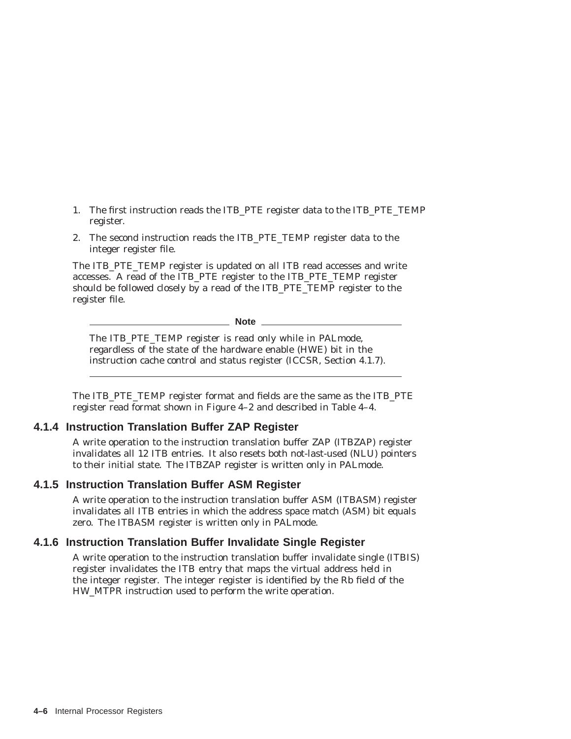- 1. The first instruction reads the ITB\_PTE register data to the ITB\_PTE\_TEMP register.
- 2. The second instruction reads the ITB\_PTE\_TEMP register data to the integer register file.

The ITB\_PTE\_TEMP register is updated on all ITB read accesses and write accesses. A read of the ITB\_PTE register to the ITB\_PTE\_TEMP register should be followed closely by a read of the ITB\_PTE\_TEMP register to the register file.

**Note**

The ITB\_PTE\_TEMP register is read only while in PALmode, regardless of the state of the hardware enable (HWE) bit in the instruction cache control and status register (ICCSR, Section 4.1.7).

The ITB\_PTE\_TEMP register format and fields are the same as the ITB\_PTE register read format shown in Figure 4–2 and described in Table 4–4.

# **4.1.4 Instruction Translation Buffer ZAP Register**

A write operation to the instruction translation buffer ZAP (ITBZAP) register invalidates all 12 ITB entries. It also resets both not-last-used (NLU) pointers to their initial state. The ITBZAP register is written only in PALmode.

## **4.1.5 Instruction Translation Buffer ASM Register**

A write operation to the instruction translation buffer ASM (ITBASM) register invalidates all ITB entries in which the address space match (ASM) bit equals zero. The ITBASM register is written only in PALmode.

# **4.1.6 Instruction Translation Buffer Invalidate Single Register**

A write operation to the instruction translation buffer invalidate single (ITBIS) register invalidates the ITB entry that maps the virtual address held in the integer register. The integer register is identified by the Rb field of the HW\_MTPR instruction used to perform the write operation.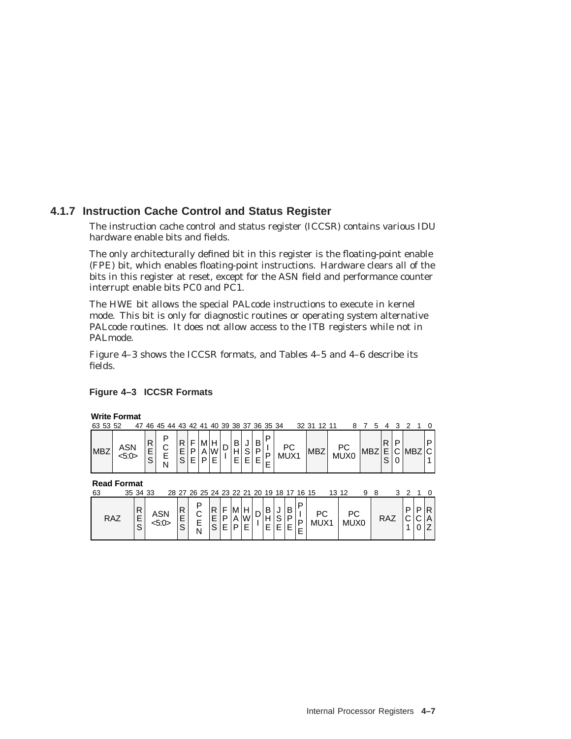# **4.1.7 Instruction Cache Control and Status Register**

The instruction cache control and status register (ICCSR) contains various IDU hardware enable bits and fields.

The only architecturally defined bit in this register is the floating-point enable (FPE) bit, which enables floating-point instructions. Hardware clears all of the bits in this register at reset, except for the ASN field and performance counter interrupt enable bits PC0 and PC1.

The HWE bit allows the special PALcode instructions to execute in kernel mode. This bit is only for diagnostic routines or operating system alternative PALcode routines. It does not allow access to the ITB registers while not in PALmode.

Figure 4–3 shows the ICCSR formats, and Tables 4–5 and 4–6 describe its fields.

## **Figure 4–3 ICCSR Formats**

#### **Write Format**

| 63 53 52   | 47           |             | 46 45 44 43 |             | 42          |   |         | 40 39 38 37 36 35 34 |                  |             |        |            | 32 31      | 12 11 |                        |     |  |  |        |
|------------|--------------|-------------|-------------|-------------|-------------|---|---------|----------------------|------------------|-------------|--------|------------|------------|-------|------------------------|-----|--|--|--------|
| <b>MBZ</b> | ASN<br><5:0> | R<br>E<br>ົ | ם<br>⌒<br>N | D<br>E<br>S | F<br>P<br>F | D | 1W<br>⊏ | . .<br>⊏             | ັ<br>ົ<br>F<br>┕ | в<br>D<br>- | □<br>▫ | PC<br>MUX1 | <b>MBZ</b> |       | РC<br>MUX <sub>0</sub> | MBZ |  |  | $\sim$ |

**Read Format**

| 63 |            | 35 34 33 |     |          | 28 27 26 25 24 23 22 21 20 19 18 17 16 15 |                |                                                                                  |   |        |        |         |        |                   |            |     |  |     |    |
|----|------------|----------|-----|----------|-------------------------------------------|----------------|----------------------------------------------------------------------------------|---|--------|--------|---------|--------|-------------------|------------|-----|--|-----|----|
|    | <b>RAZ</b> | −<br>-   | ASN | R.<br>ᄇ. | $\sim$<br>ັ<br>-<br>-<br>M                | R F <br>$\sim$ | $ M $ .<br>$\left  \begin{smallmatrix} P & A \\ F & P \end{smallmatrix} \right $ | H | B<br>E | $\sim$ | B,<br>D | ם<br>P | <b>DC</b><br>MUX1 | РC<br>MUX0 | RAZ |  | C A | R. |

E

N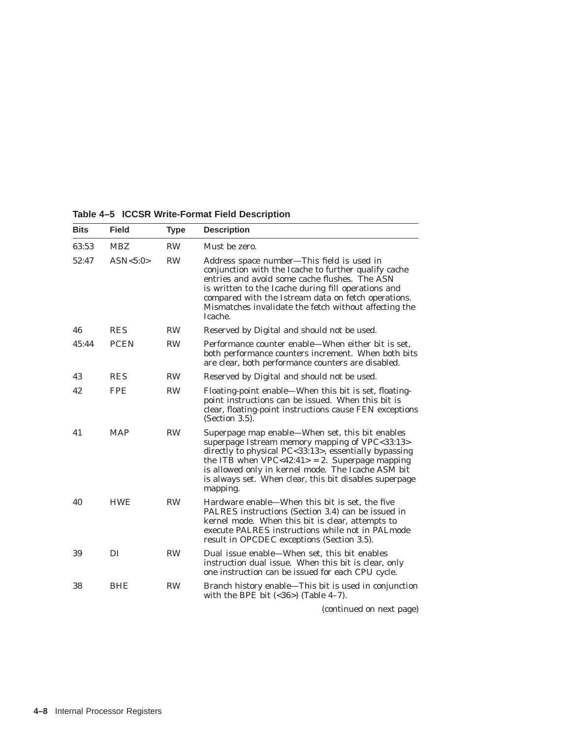| <b>Bits</b> | <b>Field</b> | Type      | <b>Description</b>                                                                                                                                                                                                                                                                                                                           |
|-------------|--------------|-----------|----------------------------------------------------------------------------------------------------------------------------------------------------------------------------------------------------------------------------------------------------------------------------------------------------------------------------------------------|
| 63:53       | <b>MBZ</b>   | <b>RW</b> | Must be zero.                                                                                                                                                                                                                                                                                                                                |
| 52:47       | ASN<5:0>     | <b>RW</b> | Address space number—This field is used in<br>conjunction with the Icache to further qualify cache<br>entries and avoid some cache flushes. The ASN<br>is written to the Icache during fill operations and<br>compared with the Istream data on fetch operations.<br>Mismatches invalidate the fetch without affecting the<br>Icache.        |
| 46          | <b>RES</b>   | <b>RW</b> | Reserved by Digital and should not be used.                                                                                                                                                                                                                                                                                                  |
| 45:44       | <b>PCEN</b>  | <b>RW</b> | Performance counter enable—When either bit is set.<br>both performance counters increment. When both bits<br>are clear, both performance counters are disabled.                                                                                                                                                                              |
| 43          | <b>RES</b>   | <b>RW</b> | Reserved by Digital and should not be used.                                                                                                                                                                                                                                                                                                  |
| 42          | <b>FPE</b>   | <b>RW</b> | Floating-point enable—When this bit is set, floating-<br>point instructions can be issued. When this bit is<br>clear, floating-point instructions cause FEN exceptions<br>(Section 3.5).                                                                                                                                                     |
| 41          | <b>MAP</b>   | <b>RW</b> | Superpage map enable—When set, this bit enables<br>superpage Istream memory mapping of VPC<33:13><br>directly to physical PC<33:13>, essentially bypassing<br>the ITB when $VPC < 42:41 > 2$ . Superpage mapping<br>is allowed only in kernel mode. The Icache ASM bit<br>is always set. When clear, this bit disables superpage<br>mapping. |
| 40          | <b>HWE</b>   | <b>RW</b> | Hardware enable—When this bit is set, the five<br>PALRES instructions (Section 3.4) can be issued in<br>kernel mode. When this bit is clear, attempts to<br>execute PALRES instructions while not in PALmode<br>result in OPCDEC exceptions (Section 3.5).                                                                                   |
| 39          | DI           | <b>RW</b> | Dual issue enable—When set, this bit enables<br>instruction dual issue. When this bit is clear, only<br>one instruction can be issued for each CPU cycle.                                                                                                                                                                                    |
| 38          | <b>BHE</b>   | <b>RW</b> | Branch history enable—This bit is used in conjunction<br>with the BPE bit $(<36)$ ) (Table 4-7).                                                                                                                                                                                                                                             |
|             |              |           | Continued on nort nogel                                                                                                                                                                                                                                                                                                                      |

**Table 4–5 ICCSR Write-Format Field Description**

(continued on next page)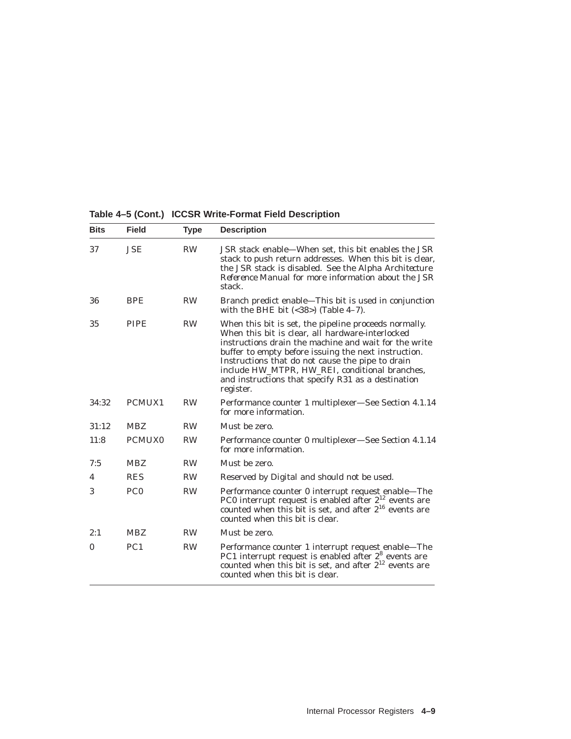| Table 4-5 (Cont.) ICCSR Write-Format Field Description |  |  |
|--------------------------------------------------------|--|--|
|--------------------------------------------------------|--|--|

| <b>Bits</b>  | <b>Field</b>    | Type      | <b>Description</b>                                                                                                                                                                                                                                                                                                                                                                                  |
|--------------|-----------------|-----------|-----------------------------------------------------------------------------------------------------------------------------------------------------------------------------------------------------------------------------------------------------------------------------------------------------------------------------------------------------------------------------------------------------|
| 37           | <b>JSE</b>      | <b>RW</b> | JSR stack enable—When set, this bit enables the JSR<br>stack to push return addresses. When this bit is clear,<br>the JSR stack is disabled. See the Alpha Architecture<br><i>Reference Manual</i> for more information about the JSR<br>stack.                                                                                                                                                     |
| 36           | <b>BPE</b>      | <b>RW</b> | Branch predict enable-This bit is used in conjunction<br>with the BHE bit $(<38)$ ) (Table 4-7).                                                                                                                                                                                                                                                                                                    |
| 35           | <b>PIPE</b>     | <b>RW</b> | When this bit is set, the pipeline proceeds normally.<br>When this bit is clear, all hardware-interlocked<br>instructions drain the machine and wait for the write<br>buffer to empty before issuing the next instruction.<br>Instructions that do not cause the pipe to drain<br>include HW_MTPR, HW_REI, conditional branches,<br>and instructions that specify R31 as a destination<br>register. |
| 34:32        | PCMUX1          | <b>RW</b> | Performance counter 1 multiplexer—See Section 4.1.14<br>for more information.                                                                                                                                                                                                                                                                                                                       |
| 31:12        | <b>MBZ</b>      | <b>RW</b> | Must be zero.                                                                                                                                                                                                                                                                                                                                                                                       |
| 11:8         | <b>PCMUX0</b>   | <b>RW</b> | Performance counter 0 multiplexer-See Section 4.1.14<br>for more information.                                                                                                                                                                                                                                                                                                                       |
| 7:5          | <b>MBZ</b>      | <b>RW</b> | Must be zero.                                                                                                                                                                                                                                                                                                                                                                                       |
| 4            | <b>RES</b>      | <b>RW</b> | Reserved by Digital and should not be used.                                                                                                                                                                                                                                                                                                                                                         |
| 3            | PC <sub>0</sub> | <b>RW</b> | Performance counter 0 interrupt request enable-The<br>PC0 interrupt request is enabled after $2^{12}$ events are<br>counted when this bit is set, and after $2^{16}$ events are<br>counted when this bit is clear.                                                                                                                                                                                  |
| 2:1          | <b>MBZ</b>      | <b>RW</b> | Must be zero.                                                                                                                                                                                                                                                                                                                                                                                       |
| $\mathbf{0}$ | PC <sub>1</sub> | <b>RW</b> | Performance counter 1 interrupt request enable-The<br>PC1 interrupt request is enabled after 2 <sup>8</sup> events are<br>counted when this bit is set, and after $2^{12}$ events are<br>counted when this bit is clear.                                                                                                                                                                            |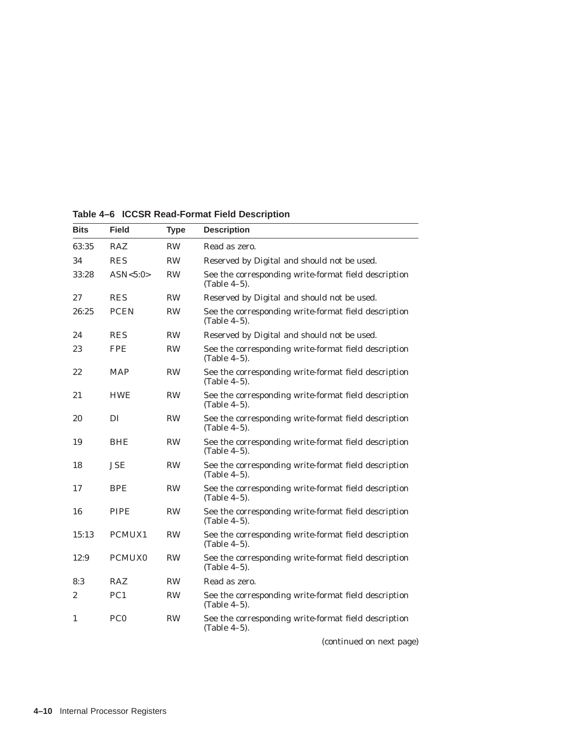| <b>Bits</b> | <b>Field</b>    | <b>Type</b> | <b>Description</b>                                                      |
|-------------|-----------------|-------------|-------------------------------------------------------------------------|
| 63:35       | <b>RAZ</b>      | <b>RW</b>   | Read as zero.                                                           |
| 34          | <b>RES</b>      | <b>RW</b>   | Reserved by Digital and should not be used.                             |
| 33:28       | ASN<5:0>        | <b>RW</b>   | See the corresponding write-format field description<br>(Table 4-5).    |
| 27          | <b>RES</b>      | <b>RW</b>   | Reserved by Digital and should not be used.                             |
| 26:25       | <b>PCEN</b>     | <b>RW</b>   | See the corresponding write-format field description<br>(Table 4-5).    |
| 24          | <b>RES</b>      | <b>RW</b>   | Reserved by Digital and should not be used.                             |
| 23          | <b>FPE</b>      | <b>RW</b>   | See the corresponding write-format field description<br>(Table 4-5).    |
| 22          | <b>MAP</b>      | <b>RW</b>   | See the corresponding write-format field description<br>(Table $4-5$ ). |
| 21          | <b>HWE</b>      | <b>RW</b>   | See the corresponding write-format field description<br>(Table 4-5).    |
| 20          | DI              | <b>RW</b>   | See the corresponding write-format field description<br>(Table 4-5).    |
| 19          | <b>BHE</b>      | <b>RW</b>   | See the corresponding write-format field description<br>$(Table 4-5)$ . |
| 18          | JSE             | <b>RW</b>   | See the corresponding write-format field description<br>$(Table 4-5)$ . |
| 17          | <b>BPE</b>      | <b>RW</b>   | See the corresponding write-format field description<br>(Table 4-5).    |
| 16          | <b>PIPE</b>     | <b>RW</b>   | See the corresponding write-format field description<br>(Table 4-5).    |
| 15:13       | PCMUX1          | <b>RW</b>   | See the corresponding write-format field description<br>(Table $4-5$ ). |
| 12:9        | <b>PCMUX0</b>   | <b>RW</b>   | See the corresponding write-format field description<br>(Table 4-5).    |
| 8:3         | <b>RAZ</b>      | <b>RW</b>   | Read as zero.                                                           |
| 2           | PC <sub>1</sub> | <b>RW</b>   | See the corresponding write-format field description<br>(Table 4-5).    |
| 1           | PC <sub>0</sub> | <b>RW</b>   | See the corresponding write-format field description<br>(Table 4-5).    |
|             |                 |             |                                                                         |

**Table 4–6 ICCSR Read-Format Field Description**

(continued on next page)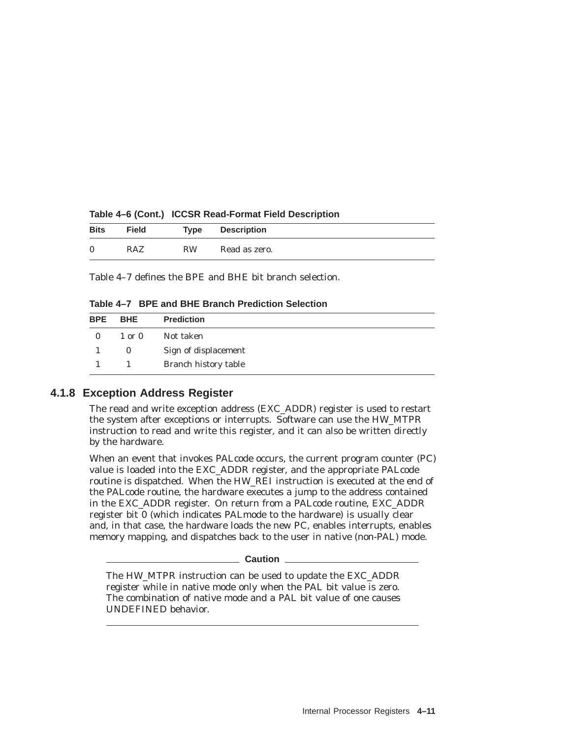| <b>Bits</b>  | <b>Field</b> | Type      | Description   |
|--------------|--------------|-----------|---------------|
| $\mathbf{0}$ | RAZ          | <b>RW</b> | Read as zero. |

**Table 4–6 (Cont.) ICCSR Read-Format Field Description**

Table 4–7 defines the BPE and BHE bit branch selection.

**Table 4–7 BPE and BHE Branch Prediction Selection**

| <b>BPE</b>   | <b>BHE</b>     | <b>Prediction</b>    |
|--------------|----------------|----------------------|
| $\mathbf{0}$ | $1$ or $0$     | Not taken            |
|              | $\bf{0}$       | Sign of displacement |
|              | $\overline{1}$ | Branch history table |

#### **4.1.8 Exception Address Register**

The read and write exception address (EXC\_ADDR) register is used to restart the system after exceptions or interrupts. Software can use the HW\_MTPR instruction to read and write this register, and it can also be written directly by the hardware.

When an event that invokes PALcode occurs, the current program counter (PC) value is loaded into the EXC\_ADDR register, and the appropriate PALcode routine is dispatched. When the HW\_REI instruction is executed at the end of the PALcode routine, the hardware executes a jump to the address contained in the EXC\_ADDR register. On return from a PALcode routine, EXC\_ADDR register bit 0 (which indicates PALmode to the hardware) is usually clear and, in that case, the hardware loads the new PC, enables interrupts, enables memory mapping, and dispatches back to the user in native (non-PAL) mode.

#### **Caution**

The HW\_MTPR instruction can be used to update the EXC\_ADDR register while in native mode only when the PAL bit value is zero. The combination of native mode and a PAL bit value of one causes UNDEFINED behavior.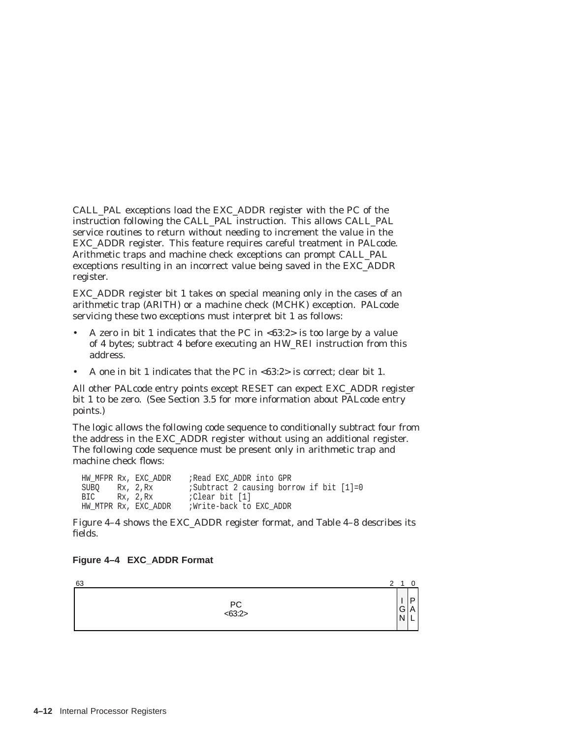CALL\_PAL exceptions load the EXC\_ADDR register with the PC of the instruction following the CALL\_PAL instruction. This allows CALL\_PAL service routines to return without needing to increment the value in the EXC\_ADDR register. This feature requires careful treatment in PALcode. Arithmetic traps and machine check exceptions can prompt CALL\_PAL exceptions resulting in an incorrect value being saved in the EXC\_ADDR register.

EXC\_ADDR register bit 1 takes on special meaning only in the cases of an arithmetic trap (ARITH) or a machine check (MCHK) exception. PALcode servicing these two exceptions must interpret bit 1 as follows:

- A zero in bit 1 indicates that the PC in <63:2> is too large by a value of 4 bytes; subtract 4 before executing an HW\_REI instruction from this address.
- A one in bit 1 indicates that the PC in <63:2> is correct; clear bit 1.

All other PALcode entry points except RESET can expect EXC\_ADDR register bit 1 to be zero. (See Section 3.5 for more information about PALcode entry points.)

The logic allows the following code sequence to conditionally subtract four from the address in the EXC\_ADDR register without using an additional register. The following code sequence must be present only in arithmetic trap and machine check flows:

HW\_MFPR Rx, EXC\_ADDR ;Read EXC\_ADDR into GPR SUBQ Rx, 2, Rx ;Subtract 2 causing borrow if bit [1]=0 BIC Rx, 2, Rx *;*Clear bit [1]<br>HW MTPR Rx, EXC ADDR *;Write-back to* ;Write-back to EXC ADDR

Figure 4–4 shows the EXC\_ADDR register format, and Table 4–8 describes its fields.

#### **Figure 4–4 EXC\_ADDR Format**

210 P A L 63 I G N PC <63:2>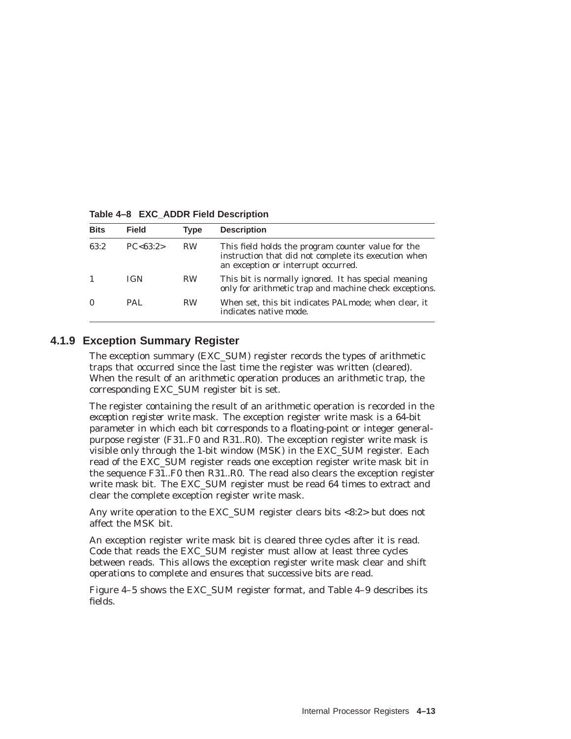| <b>Bits</b> | Field       | Type      | <b>Description</b>                                                                                                                                |
|-------------|-------------|-----------|---------------------------------------------------------------------------------------------------------------------------------------------------|
| 63:2        | PC < 63.2 > | <b>RW</b> | This field holds the program counter value for the<br>instruction that did not complete its execution when<br>an exception or interrupt occurred. |
|             | <b>IGN</b>  | <b>RW</b> | This bit is normally ignored. It has special meaning<br>only for arithmetic trap and machine check exceptions.                                    |
| $\Omega$    | PAL.        | <b>RW</b> | When set, this bit indicates PALmode; when clear, it<br>indicates native mode.                                                                    |

**Table 4–8 EXC\_ADDR Field Description**

# **4.1.9 Exception Summary Register**

The exception summary (EXC\_SUM) register records the types of arithmetic traps that occurred since the last time the register was written (cleared). When the result of an arithmetic operation produces an arithmetic trap, the corresponding EXC\_SUM register bit is set.

The register containing the result of an arithmetic operation is recorded in the *exception register write mask.* The exception register write mask is a 64-bit parameter in which each bit corresponds to a floating-point or integer generalpurpose register (F31..F0 and R31..R0). The exception register write mask is visible only through the 1-bit window (MSK) in the EXC\_SUM register. Each read of the EXC\_SUM register reads one exception register write mask bit in the sequence F31..F0 then R31..R0. The read also clears the exception register write mask bit. The EXC\_SUM register must be read 64 times to extract and clear the complete exception register write mask.

Any write operation to the EXC\_SUM register clears bits <8:2> but does not affect the MSK bit.

An exception register write mask bit is cleared three cycles after it is read. Code that reads the EXC\_SUM register must allow at least three cycles between reads. This allows the exception register write mask clear and shift operations to complete and ensures that successive bits are read.

Figure 4–5 shows the EXC\_SUM register format, and Table 4–9 describes its fields.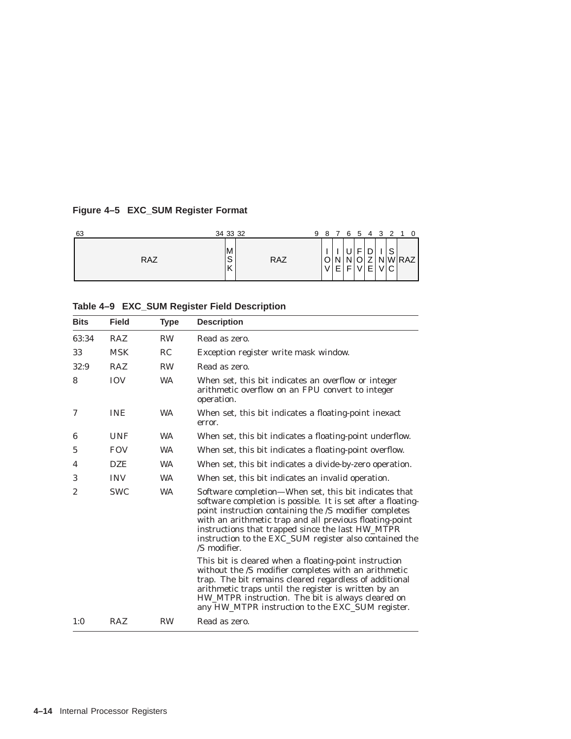# **Figure 4–5 EXC\_SUM Register Format**

| 63         | 34 33 32         | 9          |        | 8 7 6 5 4 3 2 1 0 |    |   |    |    |                                   |  |
|------------|------------------|------------|--------|-------------------|----|---|----|----|-----------------------------------|--|
| <b>RAZ</b> | M<br>c<br>◡<br>Κ | <b>RAZ</b> | ⌒<br>V | E                 | E. | - | E. | ΝI | S<br>WRAZI<br>V <sub>0</sub><br>◡ |  |

| Table 4-9 EXC_SUM Register Field Description |  |  |  |  |  |  |
|----------------------------------------------|--|--|--|--|--|--|
|----------------------------------------------|--|--|--|--|--|--|

| <b>Bits</b>    | <b>Field</b> | <b>Type</b> | <b>Description</b>                                                                                                                                                                                                                                                                                                                                                       |
|----------------|--------------|-------------|--------------------------------------------------------------------------------------------------------------------------------------------------------------------------------------------------------------------------------------------------------------------------------------------------------------------------------------------------------------------------|
| 63:34          | <b>RAZ</b>   | <b>RW</b>   | Read as zero.                                                                                                                                                                                                                                                                                                                                                            |
| 33             | <b>MSK</b>   | RC.         | Exception register write mask window.                                                                                                                                                                                                                                                                                                                                    |
| 32:9           | <b>RAZ</b>   | <b>RW</b>   | Read as zero.                                                                                                                                                                                                                                                                                                                                                            |
| 8              | <b>IOV</b>   | <b>WA</b>   | When set, this bit indicates an overflow or integer<br>arithmetic overflow on an FPU convert to integer<br>operation.                                                                                                                                                                                                                                                    |
| 7              | <b>INE</b>   | <b>WA</b>   | When set, this bit indicates a floating-point inexact<br>error.                                                                                                                                                                                                                                                                                                          |
| 6              | <b>UNF</b>   | <b>WA</b>   | When set, this bit indicates a floating-point underflow.                                                                                                                                                                                                                                                                                                                 |
| 5              | <b>FOV</b>   | <b>WA</b>   | When set, this bit indicates a floating-point overflow.                                                                                                                                                                                                                                                                                                                  |
| 4              | <b>DZE</b>   | <b>WA</b>   | When set, this bit indicates a divide-by-zero operation.                                                                                                                                                                                                                                                                                                                 |
| 3              | <b>INV</b>   | <b>WA</b>   | When set, this bit indicates an invalid operation.                                                                                                                                                                                                                                                                                                                       |
| $\overline{2}$ | <b>SWC</b>   | <b>WA</b>   | Software completion—When set, this bit indicates that<br>software completion is possible. It is set after a floating-<br>point instruction containing the /S modifier completes<br>with an arithmetic trap and all previous floating-point<br>instructions that trapped since the last HW_MTPR<br>instruction to the EXC_SUM register also contained the<br>/S modifier. |
|                |              |             | This bit is cleared when a floating-point instruction<br>without the /S modifier completes with an arithmetic<br>trap. The bit remains cleared regardless of additional<br>arithmetic traps until the register is written by an<br>HW_MTPR instruction. The bit is always cleared on<br>any HW_MTPR instruction to the EXC_SUM register.                                 |
| 1:0            | <b>RAZ</b>   | <b>RW</b>   | Read as zero.                                                                                                                                                                                                                                                                                                                                                            |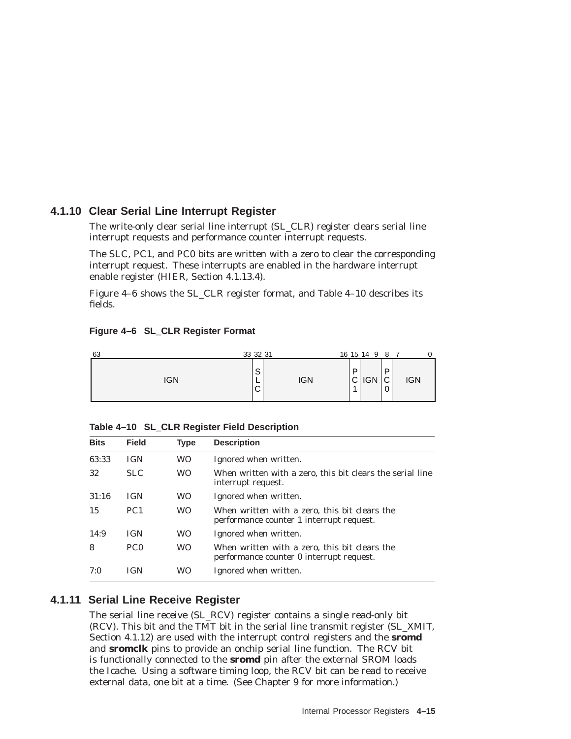# **4.1.10 Clear Serial Line Interrupt Register**

The write-only clear serial line interrupt (SL\_CLR) register clears serial line interrupt requests and performance counter interrupt requests.

The SLC, PC1, and PC0 bits are written with a zero to clear the corresponding interrupt request. These interrupts are enabled in the hardware interrupt enable register (HIER, Section 4.1.13.4).

Figure 4–6 shows the SL\_CLR register format, and Table 4–10 describes its fields.

| Figure 4-6 SL_CLR Register Format |  |  |  |  |
|-----------------------------------|--|--|--|--|
|-----------------------------------|--|--|--|--|

| 63  | 33 32 31                                    |        | 16 15 14 9 8 7 |                       |            |
|-----|---------------------------------------------|--------|----------------|-----------------------|------------|
| IGN | S<br><b>IGN</b><br><u>.</u><br>$\mathsf{C}$ | D<br>и | $C$ IGN        | P<br>$\sim$<br>ັ<br>0 | <b>IGN</b> |

| <b>Bits</b> | <b>Field</b>    | <b>Type</b> | <b>Description</b>                                                                        |
|-------------|-----------------|-------------|-------------------------------------------------------------------------------------------|
| 63:33       | <b>IGN</b>      | <b>WO</b>   | Ignored when written.                                                                     |
| 32          | <b>SLC</b>      | <b>WO</b>   | When written with a zero, this bit clears the serial line<br>interrupt request.           |
| 31:16       | <b>IGN</b>      | <b>WO</b>   | Ignored when written.                                                                     |
| 15          | PC <sub>1</sub> | <b>WO</b>   | When written with a zero, this bit clears the<br>performance counter 1 interrupt request. |
| 14:9        | <b>IGN</b>      | <b>WO</b>   | Ignored when written.                                                                     |
| 8           | PC <sub>0</sub> | WO.         | When written with a zero, this bit clears the<br>performance counter 0 interrupt request. |
| 7:0         | IGN             | WΟ          | Ignored when written.                                                                     |

**Table 4–10 SL\_CLR Register Field Description**

# **4.1.11 Serial Line Receive Register**

The serial line receive (SL\_RCV) register contains a single read-only bit (RCV). This bit and the TMT bit in the serial line transmit register (SL\_XMIT, Section 4.1.12) are used with the interrupt control registers and the **sromd** and **sromclk** pins to provide an onchip serial line function. The RCV bit is functionally connected to the **sromd** pin after the external SROM loads the Icache. Using a software timing loop, the RCV bit can be read to receive external data, one bit at a time. (See Chapter 9 for more information.)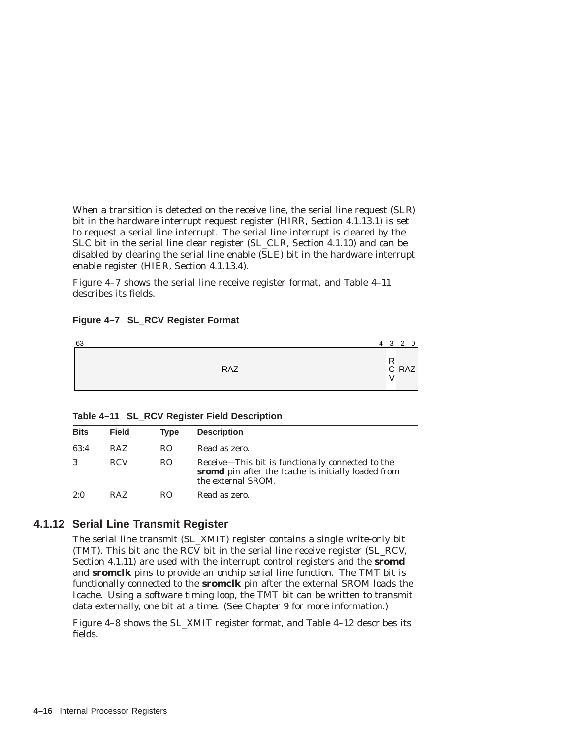When a transition is detected on the receive line, the serial line request (SLR) bit in the hardware interrupt request register (HIRR, Section 4.1.13.1) is set to request a serial line interrupt. The serial line interrupt is cleared by the SLC bit in the serial line clear register (SL\_CLR, Section 4.1.10) and can be disabled by clearing the serial line enable (SLE) bit in the hardware interrupt enable register (HIER, Section 4.1.13.4).

Figure 4–7 shows the serial line receive register format, and Table 4–11 describes its fields.

## **Figure 4–7 SL\_RCV Register Format**



| Table 4-11 SL_RCV Register Field Description |  |  |  |  |  |  |
|----------------------------------------------|--|--|--|--|--|--|
|----------------------------------------------|--|--|--|--|--|--|

| <b>Bits</b> | <b>Field</b> | <b>Type</b> | <b>Description</b>                                                                                                             |
|-------------|--------------|-------------|--------------------------------------------------------------------------------------------------------------------------------|
| 63:4        | <b>RAZ</b>   | RO.         | Read as zero.                                                                                                                  |
| 3           | <b>RCV</b>   | RO.         | Receive—This bit is functionally connected to the<br>sromd pin after the Icache is initially loaded from<br>the external SROM. |
| 2:0         | RAZ.         | RO.         | Read as zero.                                                                                                                  |

# **4.1.12 Serial Line Transmit Register**

The serial line transmit (SL\_XMIT) register contains a single write-only bit (TMT). This bit and the RCV bit in the serial line receive register (SL\_RCV, Section 4.1.11) are used with the interrupt control registers and the **sromd** and **sromclk** pins to provide an onchip serial line function. The TMT bit is functionally connected to the **sromclk** pin after the external SROM loads the Icache. Using a software timing loop, the TMT bit can be written to transmit data externally, one bit at a time. (See Chapter 9 for more information.)

Figure 4–8 shows the SL\_XMIT register format, and Table 4–12 describes its fields.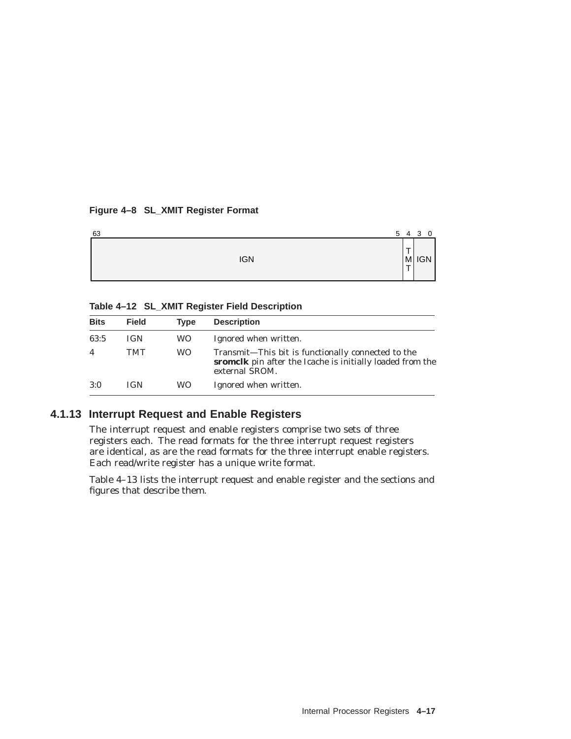## **Figure 4–8 SL\_XMIT Register Format**

| 63         | 5 | 4 3    | $\mathbf 0$ |
|------------|---|--------|-------------|
| <b>IGN</b> |   | ÷<br>┯ | $ M $ IGN   |

# **Table 4–12 SL\_XMIT Register Field Description**

| <b>Bits</b>    | <b>Field</b> | <b>Type</b> | <b>Description</b>                                                                                                                |
|----------------|--------------|-------------|-----------------------------------------------------------------------------------------------------------------------------------|
| 63:5           | <b>IGN</b>   | WO.         | Ignored when written.                                                                                                             |
| $\overline{4}$ | TMT          | WO.         | Transmit—This bit is functionally connected to the<br>sromclk pin after the Icache is initially loaded from the<br>external SROM. |
| 3:0            | <b>IGN</b>   | WO.         | Ignored when written.                                                                                                             |

# **4.1.13 Interrupt Request and Enable Registers**

The interrupt request and enable registers comprise two sets of three registers each. The read formats for the three interrupt request registers are identical, as are the read formats for the three interrupt enable registers. Each read/write register has a unique write format.

Table 4–13 lists the interrupt request and enable register and the sections and figures that describe them.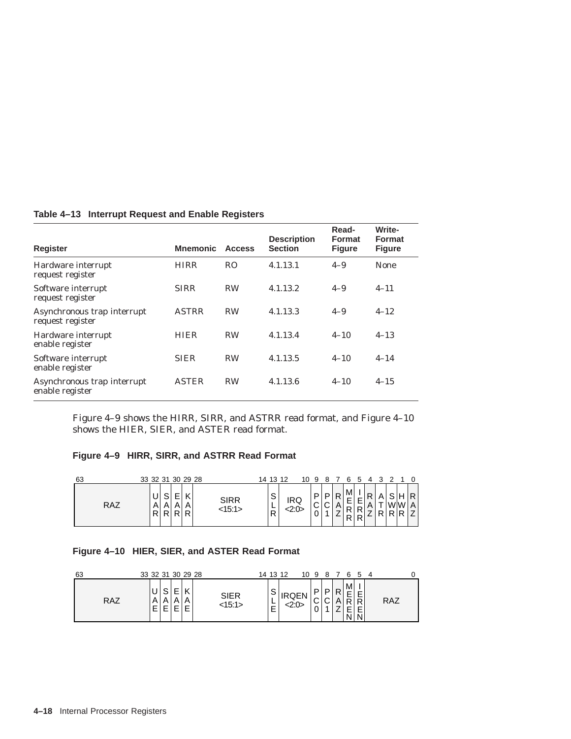| <b>Register</b>                                 | <b>Mnemonic</b> | <b>Access</b>  | <b>Description</b><br><b>Section</b> | Read-<br><b>Format</b><br><b>Figure</b> | Write-<br>Format<br><b>Figure</b> |
|-------------------------------------------------|-----------------|----------------|--------------------------------------|-----------------------------------------|-----------------------------------|
| Hardware interrupt<br>request register          | <b>HIRR</b>     | R <sub>O</sub> | 4.1.13.1                             | $4 - 9$                                 | <b>None</b>                       |
| Software interrupt<br>request register          | <b>SIRR</b>     | <b>RW</b>      | 4.1.13.2                             | $4 - 9$                                 | $4 - 11$                          |
| Asynchronous trap interrupt<br>request register | <b>ASTRR</b>    | <b>RW</b>      | 4.1.13.3                             | $4 - 9$                                 | $4 - 12$                          |
| Hardware interrupt<br>enable register           | <b>HIER</b>     | <b>RW</b>      | 4.1.13.4                             | $4 - 10$                                | $4 - 13$                          |
| Software interrupt<br>enable register           | <b>SIER</b>     | <b>RW</b>      | 4.1.13.5                             | $4 - 10$                                | $4 - 14$                          |
| Asynchronous trap interrupt<br>enable register  | <b>ASTER</b>    | <b>RW</b>      | 4.1.13.6                             | $4 - 10$                                | $4 - 15$                          |

#### **Table 4–13 Interrupt Request and Enable Registers**

Figure 4–9 shows the HIRR, SIRR, and ASTRR read format, and Figure 4–10 shows the HIER, SIER, and ASTER read format.

#### **Figure 4–9 HIRR, SIRR, and ASTRR Read Format**

| 63  | 33 32 31 30 29 28                                                     | 14 13 12<br>10                        | 9                            |                              | 5                                           |                   |   |                                 |     |
|-----|-----------------------------------------------------------------------|---------------------------------------|------------------------------|------------------------------|---------------------------------------------|-------------------|---|---------------------------------|-----|
| RAZ | –<br>c<br><b>SIRR</b><br>ت<br>A<br>Al<br>Α<br><15:1><br>R R<br>R<br>R | $\sim$<br>ت<br>IRQ<br><2:0><br>−<br>R | P<br>$\sim$<br>ັ<br>$\Omega$ | P<br>$\sim$<br>ັ<br><u>.</u> | M<br>Ε<br>−<br><u>.</u><br>D<br>R<br>D<br>R | R<br>$\mathsf{m}$ | D | $\sim$<br>н<br>lwiw i<br>D<br>D | R I |

## **Figure 4–10 HIER, SIER, and ASTER Read Format**

| 63  | 33 32 31 30 29 28 |                  |   |                | 14 13 12    |       |                  | 10 9 8 7 |                  |        | 654    |                  |     |  |
|-----|-------------------|------------------|---|----------------|-------------|-------|------------------|----------|------------------|--------|--------|------------------|-----|--|
| RAZ | ΑI<br>Е           | $\sim$<br>A<br>Е | − | SIER<br><15:1> | ت<br>-<br>- | <2:0> | D<br>$\sim$<br>ັ |          | D<br>$\sim$<br>◡ | D<br>A | M<br>D | E<br>R<br>E<br>N | RAZ |  |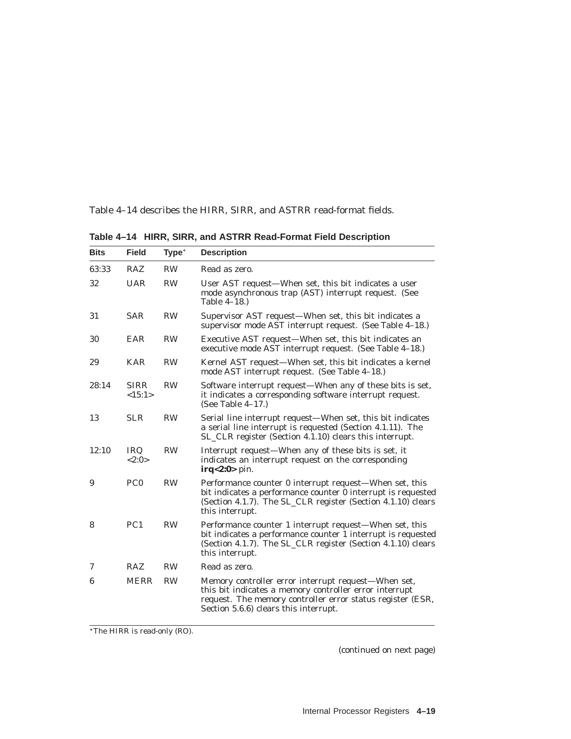Table 4–14 describes the HIRR, SIRR, and ASTRR read-format fields.

| <b>Bits</b> | <b>Field</b>          | Type <sup>*</sup> | <b>Description</b>                                                                                                                                                                                                   |
|-------------|-----------------------|-------------------|----------------------------------------------------------------------------------------------------------------------------------------------------------------------------------------------------------------------|
| 63:33       | <b>RAZ</b>            | <b>RW</b>         | Read as zero.                                                                                                                                                                                                        |
| 32          | <b>UAR</b>            | <b>RW</b>         | User AST request-When set, this bit indicates a user<br>mode asynchronous trap (AST) interrupt request. (See<br>Table 4–18.)                                                                                         |
| 31          | <b>SAR</b>            | <b>RW</b>         | Supervisor AST request—When set, this bit indicates a<br>supervisor mode AST interrupt request. (See Table 4–18.)                                                                                                    |
| 30          | EAR                   | <b>RW</b>         | Executive AST request—When set, this bit indicates an<br>executive mode AST interrupt request. (See Table 4–18.)                                                                                                     |
| 29          | <b>KAR</b>            | <b>RW</b>         | Kernel AST request—When set, this bit indicates a kernel<br>mode AST interrupt request. (See Table 4-18.)                                                                                                            |
| 28:14       | <b>SIRR</b><br><15:1> | <b>RW</b>         | Software interrupt request—When any of these bits is set,<br>it indicates a corresponding software interrupt request.<br>(See Table $4-17$ .)                                                                        |
| 13          | <b>SLR</b>            | <b>RW</b>         | Serial line interrupt request—When set, this bit indicates<br>a serial line interrupt is requested (Section 4.1.11). The<br>SL_CLR register (Section 4.1.10) clears this interrupt.                                  |
| 12:10       | <b>IRQ</b><br><2:0>   | <b>RW</b>         | Interrupt request-When any of these bits is set, it<br>indicates an interrupt request on the corresponding<br>$irq<2:0>$ pin.                                                                                        |
| 9           | PC <sub>0</sub>       | <b>RW</b>         | Performance counter 0 interrupt request-When set, this<br>bit indicates a performance counter 0 interrupt is requested<br>(Section 4.1.7). The SL_CLR register (Section 4.1.10) clears<br>this interrupt.            |
| 8           | PC1                   | <b>RW</b>         | Performance counter 1 interrupt request-When set, this<br>bit indicates a performance counter 1 interrupt is requested<br>(Section 4.1.7). The SL_CLR register (Section 4.1.10) clears<br>this interrupt.            |
| 7           | <b>RAZ</b>            | <b>RW</b>         | Read as zero.                                                                                                                                                                                                        |
| 6           | <b>MERR</b>           | <b>RW</b>         | Memory controller error interrupt request-When set,<br>this bit indicates a memory controller error interrupt<br>request. The memory controller error status register (ESR,<br>Section 5.6.6) clears this interrupt. |

**Table 4–14 HIRR, SIRR, and ASTRR Read-Format Field Description**

The HIRR is read-only (RO).

(continued on next page)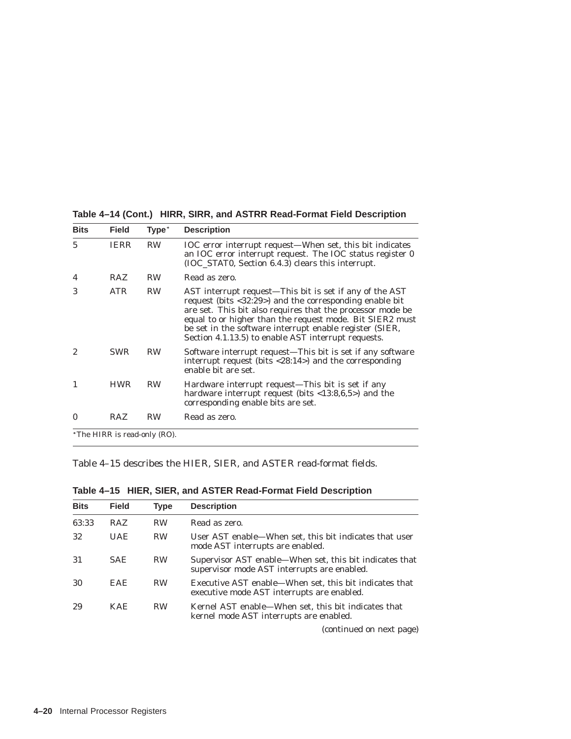| <b>Bits</b> | <b>Field</b>                 | Type <sup>*</sup> | <b>Description</b>                                                                                                                                                                                                                                                                                                                                             |
|-------------|------------------------------|-------------------|----------------------------------------------------------------------------------------------------------------------------------------------------------------------------------------------------------------------------------------------------------------------------------------------------------------------------------------------------------------|
| 5           | <b>IERR</b>                  | RW                | IOC error interrupt request—When set, this bit indicates<br>an IOC error interrupt request. The IOC status register 0<br>(IOC_STAT0, Section 6.4.3) clears this interrupt.                                                                                                                                                                                     |
| 4           | <b>RAZ</b>                   | <b>RW</b>         | Read as zero.                                                                                                                                                                                                                                                                                                                                                  |
| 3           | ATR                          | <b>RW</b>         | AST interrupt request—This bit is set if any of the AST<br>request (bits <32:29>) and the corresponding enable bit<br>are set. This bit also requires that the processor mode be<br>equal to or higher than the request mode. Bit SIER2 must<br>be set in the software interrupt enable register (SIER,<br>Section 4.1.13.5) to enable AST interrupt requests. |
| 2           | <b>SWR</b>                   | <b>RW</b>         | Software interrupt request—This bit is set if any software<br>interrupt request (bits $\langle 28:14 \rangle$ ) and the corresponding<br>enable bit are set.                                                                                                                                                                                                   |
|             | <b>HWR</b>                   | RW                | Hardware interrupt request—This bit is set if any<br>hardware interrupt request (bits $\langle 13:8,6,5 \rangle$ ) and the<br>corresponding enable bits are set.                                                                                                                                                                                               |
| 0           | <b>RAZ</b>                   | <b>RW</b>         | Read as zero.                                                                                                                                                                                                                                                                                                                                                  |
|             | *The HIRR is read-only (RO). |                   |                                                                                                                                                                                                                                                                                                                                                                |

**Table 4–14 (Cont.) HIRR, SIRR, and ASTRR Read-Format Field Description**

Table 4–15 describes the HIER, SIER, and ASTER read-format fields.

| <b>Bits</b> | <b>Field</b> | Type      | <b>Description</b>                                                                                     |
|-------------|--------------|-----------|--------------------------------------------------------------------------------------------------------|
| 63:33       | <b>RAZ</b>   | <b>RW</b> | Read as zero.                                                                                          |
| 32          | UAE.         | <b>RW</b> | User AST enable—When set, this bit indicates that user<br>mode AST interrupts are enabled.             |
| 31          | SAE.         | <b>RW</b> | Supervisor AST enable—When set, this bit indicates that<br>supervisor mode AST interrupts are enabled. |
| 30          | <b>EAE</b>   | <b>RW</b> | Executive AST enable—When set, this bit indicates that<br>executive mode AST interrupts are enabled.   |
| 29          | KAE.         | <b>RW</b> | Kernel AST enable—When set, this bit indicates that<br>kernel mode AST interrupts are enabled.         |

**Table 4–15 HIER, SIER, and ASTER Read-Format Field Description**

(continued on next page)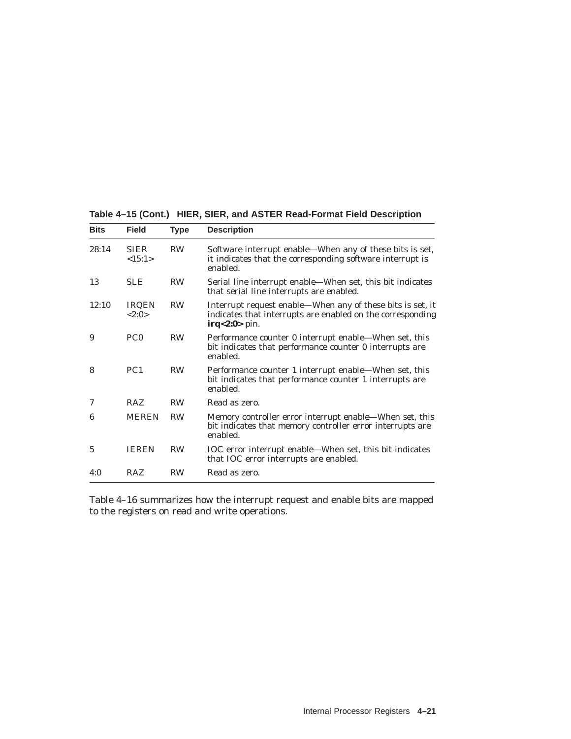| Table 4–15 (Cont.) HIER, SIER, and ASTER Read-Format Field Description |
|------------------------------------------------------------------------|
|------------------------------------------------------------------------|

| <b>Bits</b> | <b>Field</b>          | <b>Type</b> | <b>Description</b>                                                                                                                          |
|-------------|-----------------------|-------------|---------------------------------------------------------------------------------------------------------------------------------------------|
| 28:14       | <b>SIER</b><br><15:1> | <b>RW</b>   | Software interrupt enable—When any of these bits is set,<br>it indicates that the corresponding software interrupt is<br>enabled.           |
| 13          | <b>SLE</b>            | <b>RW</b>   | Serial line interrupt enable—When set, this bit indicates<br>that serial line interrupts are enabled.                                       |
| 12:10       | <b>IRQEN</b><br><2:0> | <b>RW</b>   | Interrupt request enable-When any of these bits is set, it<br>indicates that interrupts are enabled on the corresponding<br>$irq<2:0>$ pin. |
| 9           | PC <sub>0</sub>       | <b>RW</b>   | Performance counter 0 interrupt enable—When set, this<br>bit indicates that performance counter 0 interrupts are<br>enabled.                |
| 8           | PC <sub>1</sub>       | <b>RW</b>   | Performance counter 1 interrupt enable—When set, this<br>bit indicates that performance counter 1 interrupts are<br>enabled.                |
| 7           | <b>RAZ</b>            | <b>RW</b>   | Read as zero.                                                                                                                               |
| 6           | <b>MEREN</b>          | <b>RW</b>   | Memory controller error interrupt enable—When set, this<br>bit indicates that memory controller error interrupts are<br>enabled.            |
| 5           | <b>IEREN</b>          | <b>RW</b>   | IOC error interrupt enable—When set, this bit indicates<br>that IOC error interrupts are enabled.                                           |
| 4:0         | <b>RAZ</b>            | <b>RW</b>   | Read as zero.                                                                                                                               |

Table 4–16 summarizes how the interrupt request and enable bits are mapped to the registers on read and write operations.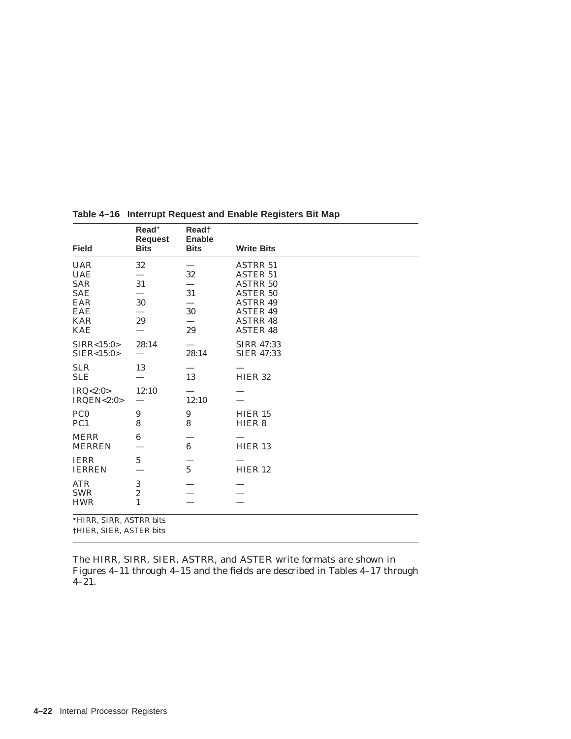| <b>Field</b>                                                                                   | Read*<br><b>Request</b><br><b>Bits</b> | Read†<br><b>Enable</b><br><b>Bits</b> | <b>Write Bits</b>                                                                                                                                    |  |  |  |  |
|------------------------------------------------------------------------------------------------|----------------------------------------|---------------------------------------|------------------------------------------------------------------------------------------------------------------------------------------------------|--|--|--|--|
| <b>UAR</b><br><b>UAE</b><br><b>SAR</b><br><b>SAE</b><br>EAR<br>EAE<br><b>KAR</b><br><b>KAE</b> | 32<br>31<br>30<br>29                   | 32<br>31<br>30<br>29                  | <b>ASTRR 51</b><br><b>ASTER 51</b><br><b>ASTRR 50</b><br><b>ASTER 50</b><br><b>ASTRR 49</b><br><b>ASTER 49</b><br><b>ASTRR 48</b><br><b>ASTER 48</b> |  |  |  |  |
| SIRR < 15:0><br>SIER < 15:0>                                                                   | 28:14                                  | 28:14                                 | <b>SIRR 47:33</b><br><b>SIER 47:33</b>                                                                                                               |  |  |  |  |
| <b>SLR</b><br><b>SLE</b>                                                                       | 13                                     | 13                                    | HIER <sub>32</sub>                                                                                                                                   |  |  |  |  |
| IRQ<2:0><br>IRQEN<2:0>                                                                         | 12:10                                  | 12:10                                 |                                                                                                                                                      |  |  |  |  |
| PC <sub>0</sub><br>PC <sub>1</sub>                                                             | 9<br>8                                 | 9<br>8                                | HIER 15<br>HIER <sub>8</sub>                                                                                                                         |  |  |  |  |
| <b>MERR</b><br><b>MERREN</b>                                                                   | 6                                      | $\bf{6}$                              | HIER <sub>13</sub>                                                                                                                                   |  |  |  |  |
| <b>IERR</b><br><b>IERREN</b>                                                                   | $\bf 5$                                | $5\overline{)}$                       | HIER 12                                                                                                                                              |  |  |  |  |
| <b>ATR</b><br><b>SWR</b><br><b>HWR</b>                                                         | 3<br>$\overline{c}$<br>$\mathbf{1}$    |                                       |                                                                                                                                                      |  |  |  |  |
| *HIRR, SIRR, ASTRR bits<br>†HIER, SIER, ASTER bits                                             |                                        |                                       |                                                                                                                                                      |  |  |  |  |

**Table 4–16 Interrupt Request and Enable Registers Bit Map**

The HIRR, SIRR, SIER, ASTRR, and ASTER write formats are shown in Figures 4–11 through 4–15 and the fields are described in Tables 4–17 through 4–21.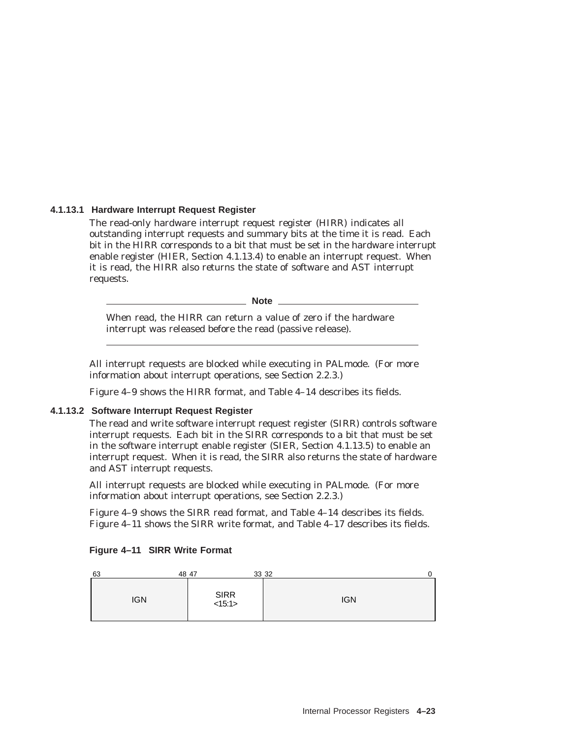## **4.1.13.1 Hardware Interrupt Request Register**

The read-only hardware interrupt request register (HIRR) indicates all outstanding interrupt requests and summary bits at the time it is read. Each bit in the HIRR corresponds to a bit that must be set in the hardware interrupt enable register (HIER, Section 4.1.13.4) to enable an interrupt request. When it is read, the HIRR also returns the state of software and AST interrupt requests.

**Note**

When read, the HIRR can return a value of zero if the hardware interrupt was released before the read (passive release).

All interrupt requests are blocked while executing in PALmode. (For more information about interrupt operations, see Section 2.2.3.)

Figure 4–9 shows the HIRR format, and Table 4–14 describes its fields.

#### **4.1.13.2 Software Interrupt Request Register**

The read and write software interrupt request register (SIRR) controls software interrupt requests. Each bit in the SIRR corresponds to a bit that must be set in the software interrupt enable register (SIER, Section 4.1.13.5) to enable an interrupt request. When it is read, the SIRR also returns the state of hardware and AST interrupt requests.

All interrupt requests are blocked while executing in PALmode. (For more information about interrupt operations, see Section 2.2.3.)

Figure 4–9 shows the SIRR read format, and Table 4–14 describes its fields. Figure 4–11 shows the SIRR write format, and Table 4–17 describes its fields.

| 63<br>48 47 |                          | 33 32<br>0 |
|-------------|--------------------------|------------|
| <b>IGN</b>  | SIRR <sub>15:1&gt;</sub> | <b>IGN</b> |

#### **Figure 4–11 SIRR Write Format**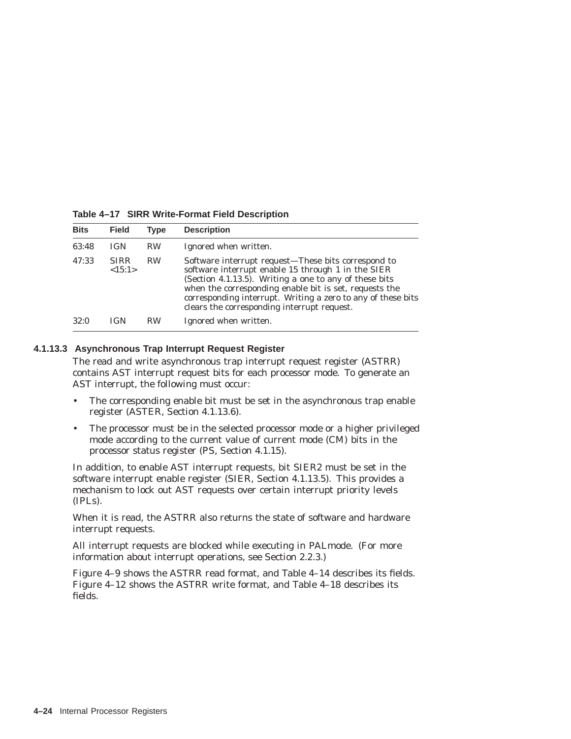| <b>Bits</b> | <b>Field</b>          | Type      | <b>Description</b>                                                                                                                                                                                                                                                                                                                           |
|-------------|-----------------------|-----------|----------------------------------------------------------------------------------------------------------------------------------------------------------------------------------------------------------------------------------------------------------------------------------------------------------------------------------------------|
| 63:48       | <b>IGN</b>            | <b>RW</b> | Ignored when written.                                                                                                                                                                                                                                                                                                                        |
| 47:33       | <b>SIRR</b><br><15:1> | <b>RW</b> | Software interrupt request-These bits correspond to<br>software interrupt enable 15 through 1 in the SIER<br>(Section 4.1.13.5). Writing a one to any of these bits<br>when the corresponding enable bit is set, requests the<br>corresponding interrupt. Writing a zero to any of these bits<br>clears the corresponding interrupt request. |
| 32:0        | IGN                   | <b>RW</b> | Ignored when written.                                                                                                                                                                                                                                                                                                                        |

**Table 4–17 SIRR Write-Format Field Description**

#### **4.1.13.3 Asynchronous Trap Interrupt Request Register**

The read and write asynchronous trap interrupt request register (ASTRR) contains AST interrupt request bits for each processor mode. To generate an AST interrupt, the following must occur:

- The corresponding enable bit must be set in the asynchronous trap enable register (ASTER, Section 4.1.13.6).
- The processor must be in the selected processor mode or a higher privileged mode according to the current value of current mode (CM) bits in the processor status register (PS, Section 4.1.15).

In addition, to enable AST interrupt requests, bit SIER2 must be set in the software interrupt enable register (SIER, Section 4.1.13.5). This provides a mechanism to lock out AST requests over certain interrupt priority levels (IPLs).

When it is read, the ASTRR also returns the state of software and hardware interrupt requests.

All interrupt requests are blocked while executing in PALmode. (For more information about interrupt operations, see Section 2.2.3.)

Figure 4–9 shows the ASTRR read format, and Table 4–14 describes its fields. Figure 4–12 shows the ASTRR write format, and Table 4–18 describes its fields.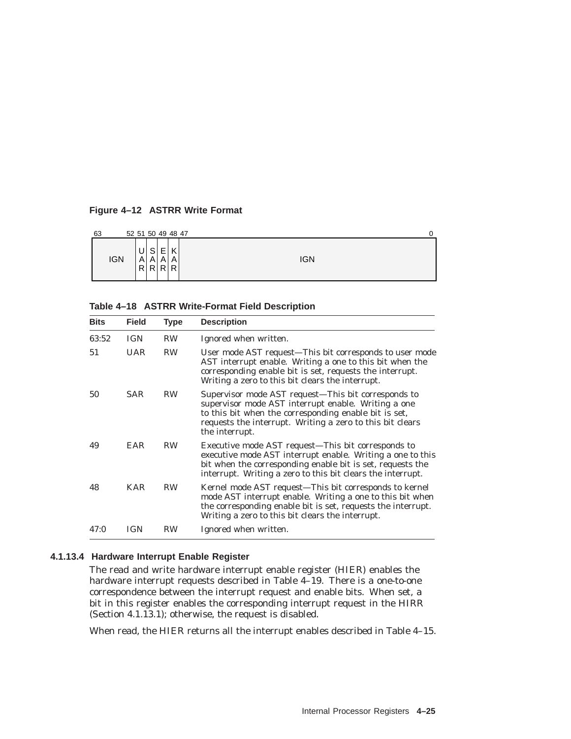### **Figure 4–12 ASTRR Write Format**

| 63 |            | 52 51 50 49 48 47 |                          |          |                            |            |  |
|----|------------|-------------------|--------------------------|----------|----------------------------|------------|--|
|    | <b>IGN</b> | U<br>A<br>R       | S<br>A<br>R <sub>l</sub> | AI<br>RI | $\sqrt{ }$<br>N<br>A<br>R. | <b>IGN</b> |  |

#### **Table 4–18 ASTRR Write-Format Field Description**

| <b>Bits</b> | <b>Field</b> | <b>Type</b> | <b>Description</b>                                                                                                                                                                                                                                 |
|-------------|--------------|-------------|----------------------------------------------------------------------------------------------------------------------------------------------------------------------------------------------------------------------------------------------------|
| 63:52       | <b>IGN</b>   | <b>RW</b>   | Ignored when written.                                                                                                                                                                                                                              |
| 51          | <b>UAR</b>   | <b>RW</b>   | User mode AST request—This bit corresponds to user mode<br>AST interrupt enable. Writing a one to this bit when the<br>corresponding enable bit is set, requests the interrupt.<br>Writing a zero to this bit clears the interrupt.                |
| 50          | <b>SAR</b>   | <b>RW</b>   | Supervisor mode AST request-This bit corresponds to<br>supervisor mode AST interrupt enable. Writing a one<br>to this bit when the corresponding enable bit is set,<br>requests the interrupt. Writing a zero to this bit clears<br>the interrupt. |
| 49          | EAR          | <b>RW</b>   | Executive mode AST request—This bit corresponds to<br>executive mode AST interrupt enable. Writing a one to this<br>bit when the corresponding enable bit is set, requests the<br>interrupt. Writing a zero to this bit clears the interrupt.      |
| 48          | <b>KAR</b>   | <b>RW</b>   | Kernel mode AST request—This bit corresponds to kernel<br>mode AST interrupt enable. Writing a one to this bit when<br>the corresponding enable bit is set, requests the interrupt.<br>Writing a zero to this bit clears the interrupt.            |
| 47:0        | IGN          | RW          | Ignored when written.                                                                                                                                                                                                                              |

### **4.1.13.4 Hardware Interrupt Enable Register**

The read and write hardware interrupt enable register (HIER) enables the hardware interrupt requests described in Table 4–19. There is a one-to-one correspondence between the interrupt request and enable bits. When set, a bit in this register enables the corresponding interrupt request in the HIRR (Section 4.1.13.1); otherwise, the request is disabled.

When read, the HIER returns all the interrupt enables described in Table 4–15.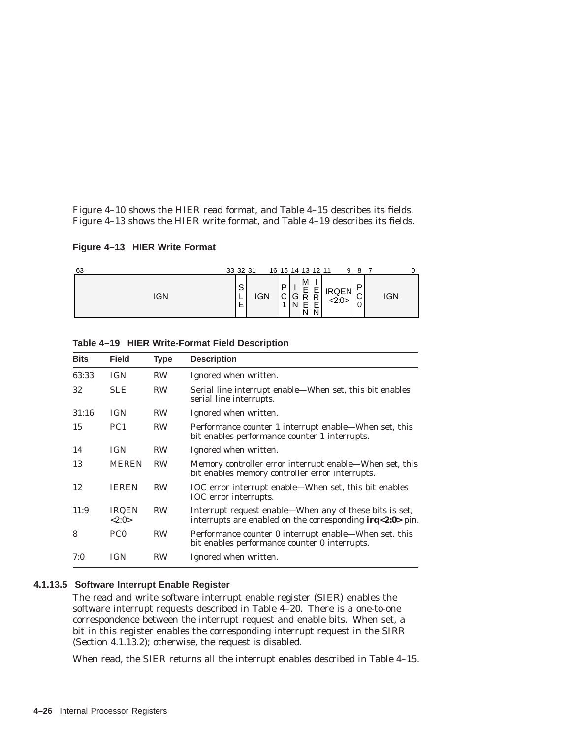Figure 4–10 shows the HIER read format, and Table 4–15 describes its fields. Figure 4–13 shows the HIER write format, and Table 4–19 describes its fields.

**Figure 4–13 HIER Write Format**

| 63  | 33 32 31         |     |                  | 16 15 14 13 12 11 |                              |                     | 9                     | -8                    |     |  |
|-----|------------------|-----|------------------|-------------------|------------------------------|---------------------|-----------------------|-----------------------|-----|--|
| IGN | S<br>-<br>-<br>ᄂ | IGN | D<br>$\sim$<br>◡ | G<br>N            | M<br>$\frac{E}{R}$<br>Е<br>N | -<br>$\bar{R}$<br>N | <b>IRQEN</b><br><2:0> | D<br>$\sim$<br>ັ<br>0 | IGN |  |

| Table 4-19 HIER Write-Format Field Description |
|------------------------------------------------|
|                                                |

| <b>Bits</b> | <b>Field</b>          | <b>Type</b> | <b>Description</b>                                                                                                      |
|-------------|-----------------------|-------------|-------------------------------------------------------------------------------------------------------------------------|
| 63:33       | <b>IGN</b>            | <b>RW</b>   | Ignored when written.                                                                                                   |
| 32          | <b>SLE</b>            | <b>RW</b>   | Serial line interrupt enable—When set, this bit enables<br>serial line interrupts.                                      |
| 31:16       | <b>IGN</b>            | <b>RW</b>   | Ignored when written.                                                                                                   |
| 15          | PC <sub>1</sub>       | <b>RW</b>   | Performance counter 1 interrupt enable—When set, this<br>bit enables performance counter 1 interrupts.                  |
| 14          | <b>IGN</b>            | <b>RW</b>   | Ignored when written.                                                                                                   |
| 13          | <b>MEREN</b>          | <b>RW</b>   | Memory controller error interrupt enable—When set, this<br>bit enables memory controller error interrupts.              |
| 12          | <b>IEREN</b>          | <b>RW</b>   | IOC error interrupt enable—When set, this bit enables<br>IOC error interrupts.                                          |
| 11:9        | <b>IRQEN</b><br><2:0> | <b>RW</b>   | Interrupt request enable—When any of these bits is set,<br>interrupts are enabled on the corresponding $irq < 2:0$ pin. |
| 8           | PC <sub>0</sub>       | <b>RW</b>   | Performance counter 0 interrupt enable—When set, this<br>bit enables performance counter 0 interrupts.                  |
| 7:0         | <b>IGN</b>            | <b>RW</b>   | Ignored when written.                                                                                                   |

### **4.1.13.5 Software Interrupt Enable Register**

The read and write software interrupt enable register (SIER) enables the software interrupt requests described in Table 4–20. There is a one-to-one correspondence between the interrupt request and enable bits. When set, a bit in this register enables the corresponding interrupt request in the SIRR (Section 4.1.13.2); otherwise, the request is disabled.

When read, the SIER returns all the interrupt enables described in Table 4–15.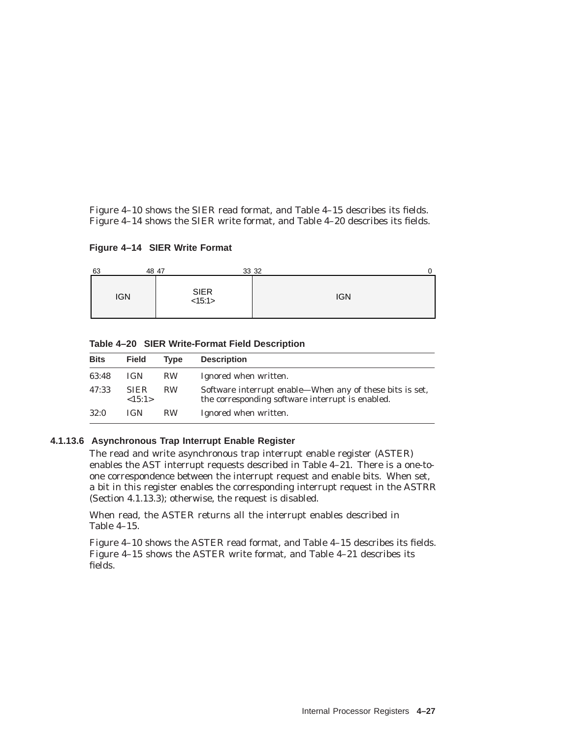Figure 4–10 shows the SIER read format, and Table 4–15 describes its fields. Figure 4–14 shows the SIER write format, and Table 4–20 describes its fields.

**Figure 4–14 SIER Write Format**

| 63         | 48 47                    | 33 32      |
|------------|--------------------------|------------|
| <b>IGN</b> | SIER <sub>15:1&gt;</sub> | <b>IGN</b> |

**Table 4–20 SIER Write-Format Field Description**

| <b>Bits</b> | <b>Field</b>          | Tvpe      | <b>Description</b>                                                                                           |
|-------------|-----------------------|-----------|--------------------------------------------------------------------------------------------------------------|
| 63:48       | <b>IGN</b>            | RW.       | Ignored when written.                                                                                        |
| 47:33       | <b>SIER</b><br><15:1> | <b>RW</b> | Software interrupt enable—When any of these bits is set,<br>the corresponding software interrupt is enabled. |
| 32:0        | <b>IGN</b>            | <b>RW</b> | Ignored when written.                                                                                        |

### **4.1.13.6 Asynchronous Trap Interrupt Enable Register**

The read and write asynchronous trap interrupt enable register (ASTER) enables the AST interrupt requests described in Table 4–21. There is a one-toone correspondence between the interrupt request and enable bits. When set, a bit in this register enables the corresponding interrupt request in the ASTRR (Section 4.1.13.3); otherwise, the request is disabled.

When read, the ASTER returns all the interrupt enables described in Table 4–15.

Figure 4–10 shows the ASTER read format, and Table 4–15 describes its fields. Figure 4–15 shows the ASTER write format, and Table 4–21 describes its fields.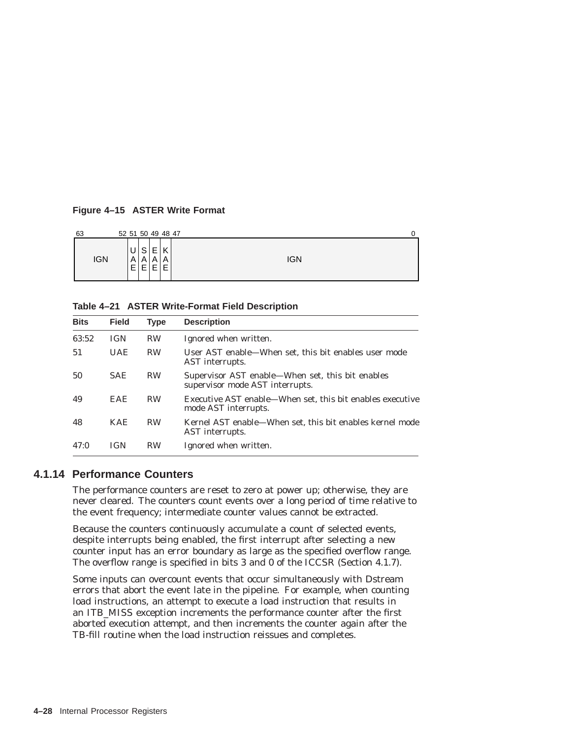### **Figure 4–15 ASTER Write Format**

| 63         | 52 51 50 49 48 47                                                                                      |     |
|------------|--------------------------------------------------------------------------------------------------------|-----|
| <b>IGN</b> | S<br>−<br>$\overline{ }$<br>$\mathsf{U}^+$<br>N<br>┕<br>A<br>A<br>A<br>A<br>┍<br>Е<br>F<br>Е<br>╺<br>- | IGN |

**Table 4–21 ASTER Write-Format Field Description**

| <b>Bits</b> | <b>Field</b> | <b>Type</b> | <b>Description</b>                                                                  |
|-------------|--------------|-------------|-------------------------------------------------------------------------------------|
| 63:52       | <b>IGN</b>   | <b>RW</b>   | Ignored when written.                                                               |
| 51          | <b>UAE</b>   | <b>RW</b>   | User AST enable—When set, this bit enables user mode<br>AST interrupts.             |
| 50          | <b>SAE</b>   | <b>RW</b>   | Supervisor AST enable-When set, this bit enables<br>supervisor mode AST interrupts. |
| 49          | EAE.         | <b>RW</b>   | Executive AST enable—When set, this bit enables executive<br>mode AST interrupts.   |
| 48          | KAE.         | <b>RW</b>   | Kernel AST enable—When set, this bit enables kernel mode<br>AST interrupts.         |
| 47:0        | <b>IGN</b>   | <b>RW</b>   | Ignored when written.                                                               |

### **4.1.14 Performance Counters**

The performance counters are reset to zero at power up; otherwise, they are never cleared. The counters count events over a long period of time relative to the event frequency; intermediate counter values cannot be extracted.

Because the counters continuously accumulate a count of selected events, despite interrupts being enabled, the first interrupt after selecting a new counter input has an error boundary as large as the specified overflow range. The overflow range is specified in bits 3 and 0 of the ICCSR (Section 4.1.7).

Some inputs can overcount events that occur simultaneously with Dstream errors that abort the event late in the pipeline. For example, when counting load instructions, an attempt to execute a load instruction that results in an ITB\_MISS exception increments the performance counter after the first aborted execution attempt, and then increments the counter again after the TB-fill routine when the load instruction reissues and completes.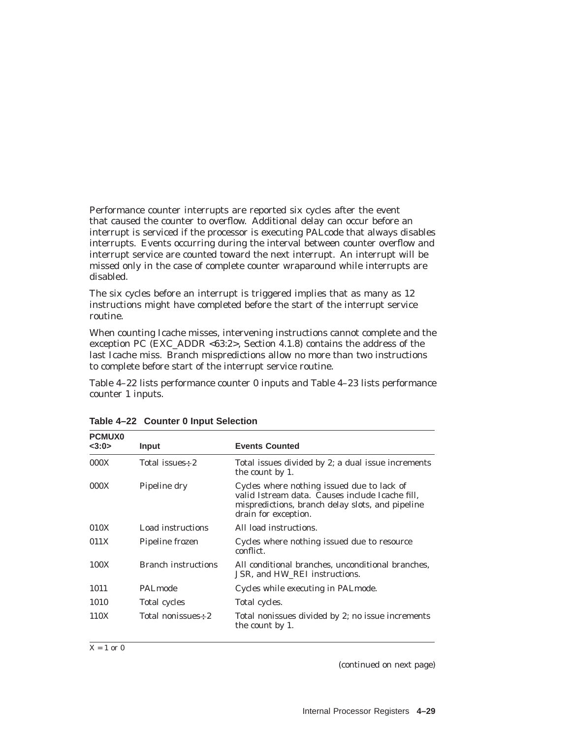Performance counter interrupts are reported six cycles after the event that caused the counter to overflow. Additional delay can occur before an interrupt is serviced if the processor is executing PALcode that always disables interrupts. Events occurring during the interval between counter overflow and interrupt service are counted toward the next interrupt. An interrupt will be missed only in the case of complete counter wraparound while interrupts are disabled.

The six cycles before an interrupt is triggered implies that as many as 12 instructions might have completed before the start of the interrupt service routine.

When counting Icache misses, intervening instructions cannot complete and the exception PC (EXC\_ADDR <63:2>, Section 4.1.8) contains the address of the last Icache miss. Branch mispredictions allow no more than two instructions to complete before start of the interrupt service routine.

Table 4–22 lists performance counter 0 inputs and Table 4–23 lists performance counter 1 inputs.

| <b>PCMUX0</b><br><3:0> | Input                      | <b>Events Counted</b>                                                                                                                                                     |
|------------------------|----------------------------|---------------------------------------------------------------------------------------------------------------------------------------------------------------------------|
| 000X                   | Total issues-2             | Total issues divided by 2; a dual issue increments<br>the count by 1.                                                                                                     |
| 000X                   | Pipeline dry               | Cycles where nothing issued due to lack of<br>valid Istream data. Causes include Icache fill,<br>mispredictions, branch delay slots, and pipeline<br>drain for exception. |
| 010X                   | Load instructions          | All load instructions.                                                                                                                                                    |
| 011X                   | Pipeline frozen            | Cycles where nothing issued due to resource<br>conflict.                                                                                                                  |
| 100X                   | <b>Branch instructions</b> | All conditional branches, unconditional branches,<br>JSR, and HW REI instructions.                                                                                        |
| 1011                   | PALmode                    | Cycles while executing in PAL mode.                                                                                                                                       |
| 1010                   | Total cycles               | Total cycles.                                                                                                                                                             |
| 110X                   | Total nonissues-2          | Total nonissues divided by 2; no issue increments<br>the count by 1.                                                                                                      |

**Table 4–22 Counter 0 Input Selection**

 $X = 1$  or 0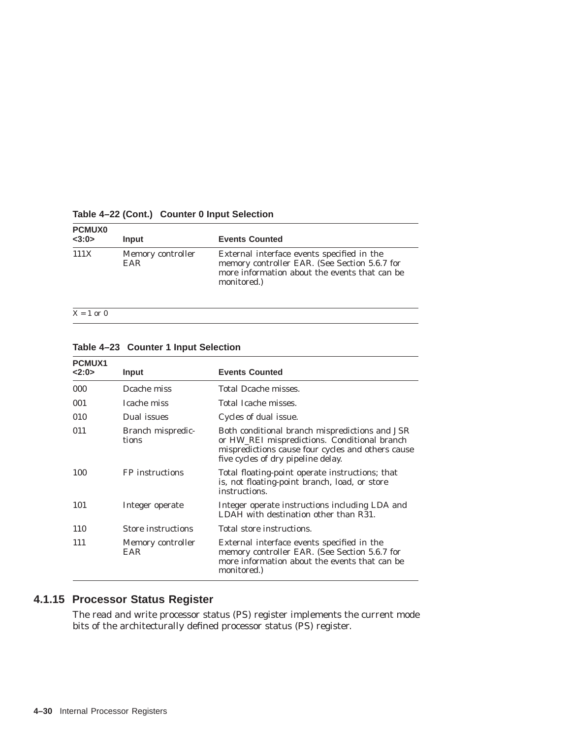| <b>PCMUX0</b><br><3:0> | Input                           | <b>Events Counted</b>                                                                                                                                       |
|------------------------|---------------------------------|-------------------------------------------------------------------------------------------------------------------------------------------------------------|
| 111X                   | Memory controller<br><b>EAR</b> | External interface events specified in the<br>memory controller EAR. (See Section 5.6.7 for<br>more information about the events that can be<br>monitored.) |

### **Table 4–22 (Cont.) Counter 0 Input Selection**

 $X = 1$  or 0

| Table 4-23 Counter 1 Input Selection |  |  |  |
|--------------------------------------|--|--|--|
|--------------------------------------|--|--|--|

| PCMUX1 |                            |                                                                                                                                                                                           |
|--------|----------------------------|-------------------------------------------------------------------------------------------------------------------------------------------------------------------------------------------|
| 2:0>   | Input                      | <b>Events Counted</b>                                                                                                                                                                     |
| 000    | Dcache miss                | Total Dcache misses.                                                                                                                                                                      |
| 001    | Icache miss                | Total Icache misses.                                                                                                                                                                      |
| 010    | Dual issues                | Cycles of dual issue.                                                                                                                                                                     |
| 011    | Branch mispredic-<br>tions | Both conditional branch mispredictions and JSR<br>or HW_REI mispredictions. Conditional branch<br>mispredictions cause four cycles and others cause<br>five cycles of dry pipeline delay. |
| 100    | FP instructions            | Total floating-point operate instructions; that<br>is, not floating-point branch, load, or store<br>instructions.                                                                         |
| 101    | Integer operate            | Integer operate instructions including LDA and<br>LDAH with destination other than R31.                                                                                                   |
| 110    | <b>Store instructions</b>  | Total store instructions.                                                                                                                                                                 |
| 111    | Memory controller<br>EAR   | External interface events specified in the<br>memory controller EAR. (See Section 5.6.7 for<br>more information about the events that can be<br>monitored.)                               |

# **4.1.15 Processor Status Register**

The read and write processor status (PS) register implements the current mode bits of the architecturally defined processor status (PS) register.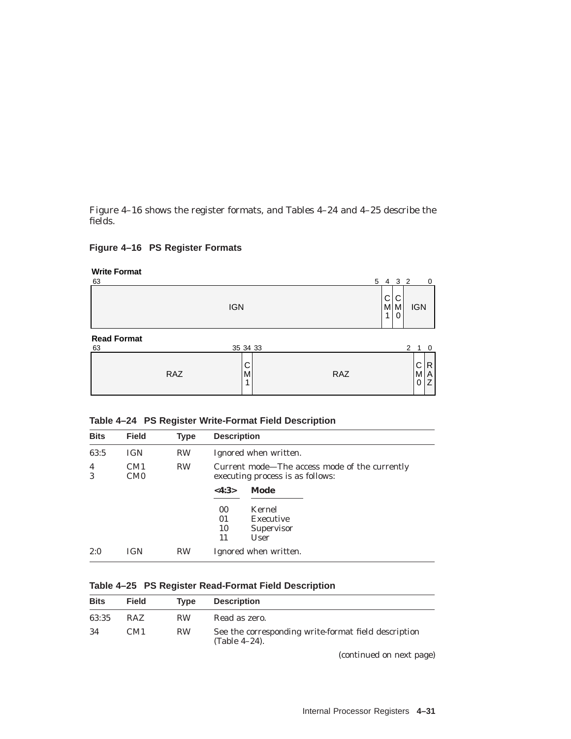Figure 4–16 shows the register formats, and Tables 4–24 and 4–25 describe the fields.

### **Figure 4–16 PS Register Formats**

| <b>Write Format</b><br>63 |            |             |     | 5 4 3 2     |             |                  | 0                        |
|---------------------------|------------|-------------|-----|-------------|-------------|------------------|--------------------------|
|                           |            | <b>IGN</b>  |     | C<br>M<br>1 | С<br>M<br>0 | <b>IGN</b>       |                          |
| <b>Read Format</b><br>63  |            | 35 34 33    |     |             |             | 2<br>$\mathbf 1$ | $\overline{\phantom{0}}$ |
|                           | <b>RAZ</b> | C<br>M<br>4 | RAZ |             |             | С<br>M<br>0      | R<br>A<br>Z              |

| <b>Bits</b>         | <b>Field</b>                       | <b>Type</b> | <b>Description</b>                                                                |  |  |  |  |  |
|---------------------|------------------------------------|-------------|-----------------------------------------------------------------------------------|--|--|--|--|--|
| 63:5                | <b>IGN</b>                         | <b>RW</b>   | Ignored when written.                                                             |  |  |  |  |  |
| $\overline{4}$<br>3 | CM <sub>1</sub><br>CM <sub>0</sub> | <b>RW</b>   | Current mode—The access mode of the currently<br>executing process is as follows: |  |  |  |  |  |
|                     |                                    |             | Mode<br>$<\!4:3\!>$                                                               |  |  |  |  |  |
|                     |                                    |             | Kernel<br>00 <sup>°</sup><br>01<br>Executive<br>10<br>Supervisor<br>11<br>User    |  |  |  |  |  |
| 2:0                 | <b>IGN</b>                         | <b>RW</b>   | Ignored when written.                                                             |  |  |  |  |  |

### **Table 4–25 PS Register Read-Format Field Description**

| <b>Bits</b> | <b>Field</b> | <b>Type</b> | <b>Description</b>                                                       |
|-------------|--------------|-------------|--------------------------------------------------------------------------|
| 63:35       | <b>RAZ</b>   | <b>RW</b>   | Read as zero.                                                            |
| -34         | CM1          | <b>RW</b>   | See the corresponding write-format field description<br>$(Table 4-24)$ . |
|             |              |             | (continued on next page)                                                 |

R A Z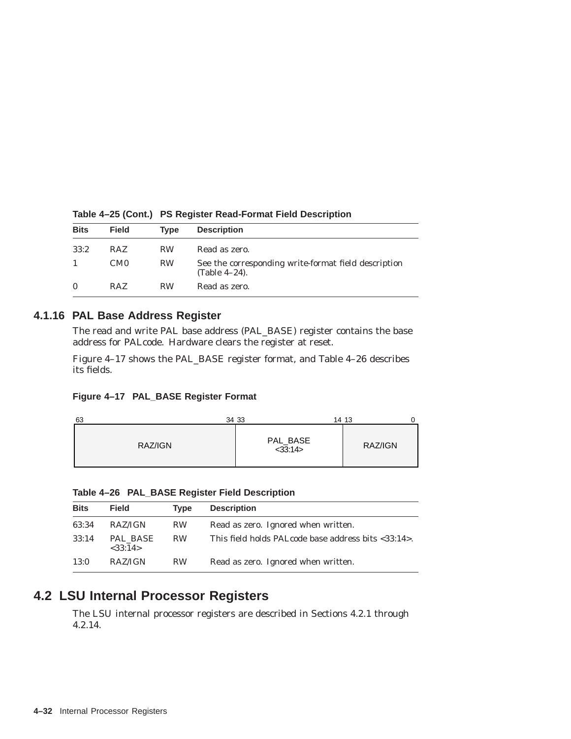| <b>Bits</b>  | <b>Field</b>    | <b>Type</b> | <b>Description</b>                                                       |
|--------------|-----------------|-------------|--------------------------------------------------------------------------|
| 33:2         | <b>RAZ</b>      | <b>RW</b>   | Read as zero.                                                            |
|              | CM <sub>0</sub> | <b>RW</b>   | See the corresponding write-format field description<br>$(Table 4-24)$ . |
| $\mathbf{0}$ | <b>RAZ</b>      | <b>RW</b>   | Read as zero.                                                            |

**Table 4–25 (Cont.) PS Register Read-Format Field Description**

### **4.1.16 PAL Base Address Register**

The read and write PAL base address (PAL\_BASE) register contains the base address for PALcode. Hardware clears the register at reset.

Figure 4–17 shows the PAL\_BASE register format, and Table 4–26 describes its fields.

**Figure 4–17 PAL\_BASE Register Format**

| 63<br>34 33 |                           | 14 13   |
|-------------|---------------------------|---------|
| RAZ/IGN     | PAL_BASE<br>$<$ 33:14 $>$ | RAZ/IGN |

**Table 4–26 PAL\_BASE Register Field Description**

| <b>Bits</b> | <b>Field</b>        | <b>Type</b> | <b>Description</b>                                  |
|-------------|---------------------|-------------|-----------------------------------------------------|
| 63:34       | RAZ/IGN             | <b>RW</b>   | Read as zero. Ignored when written.                 |
| 33:14       | PAL BASE<br><33:14> | <b>RW</b>   | This field holds PALcode base address bits <33:14>. |
| 13:0        | RAZ/IGN             | <b>RW</b>   | Read as zero. Ignored when written.                 |

# **4.2 LSU Internal Processor Registers**

The LSU internal processor registers are described in Sections 4.2.1 through 4.2.14.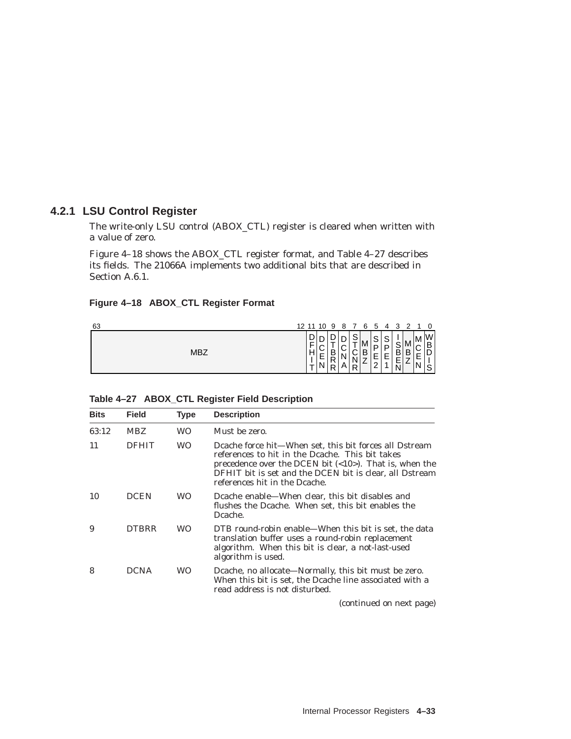# **4.2.1 LSU Control Register**

The write-only LSU control (ABOX\_CTL) register is cleared when written with a value of zero.

Figure 4–18 shows the ABOX\_CTL register format, and Table 4–27 describes its fields. The 21066A implements two additional bits that are described in Section A.6.1.

# **Figure 4–18 ABOX\_CTL Register Format**

| 63         |        | 12 11 10 9  |                  | 87               |                                 | 65               |                                   | 4                | ີ<br>ت                                 | ົ           |             |                                         |
|------------|--------|-------------|------------------|------------------|---------------------------------|------------------|-----------------------------------|------------------|----------------------------------------|-------------|-------------|-----------------------------------------|
| <b>MBZ</b> | ⊭<br>H | ⌒<br>E<br>N | ∓<br>B<br>R<br>R | ⌒<br>◡<br>Ν<br>A | ⌒<br>≚<br>$\sim$<br>◡<br>N<br>R | M<br>B<br>⇁<br>∸ | $\sim$<br>◡<br>D I<br>-<br>$\sim$ | ົ<br>پ<br>P<br>E | $\sim$<br>ب<br>B<br>Е<br><u>.</u><br>N | M<br>B<br>⇁ | M<br>E<br>- | W<br>B<br>$\overline{ }$<br>ш<br>⌒<br>◡ |

| <b>Bits</b> | <b>Field</b> | Type      | <b>Description</b>                                                                                                                                                                                                                                                                |
|-------------|--------------|-----------|-----------------------------------------------------------------------------------------------------------------------------------------------------------------------------------------------------------------------------------------------------------------------------------|
| 63:12       | <b>MBZ</b>   | WO.       | Must be zero.                                                                                                                                                                                                                                                                     |
| 11          | <b>DEHIT</b> | <b>WO</b> | Dcache force hit—When set, this bit forces all Dstream<br>references to hit in the Dcache. This bit takes<br>precedence over the DCEN bit $\left($ <10 $\right)$ ). That is, when the<br>DFHIT bit is set and the DCEN bit is clear, all Dstream<br>references hit in the Dcache. |
| 10          | <b>DCEN</b>  | <b>WO</b> | Dcache enable—When clear, this bit disables and<br>flushes the Dcache. When set, this bit enables the<br>Dcache.                                                                                                                                                                  |
| 9           | <b>DTBRR</b> | <b>WO</b> | DTB round-robin enable—When this bit is set, the data<br>translation buffer uses a round-robin replacement<br>algorithm. When this bit is clear, a not-last-used<br>algorithm is used.                                                                                            |
| 8           | <b>DCNA</b>  | <b>WO</b> | Dcache, no allocate—Normally, this bit must be zero.<br>When this bit is set, the Dcache line associated with a<br>read address is not disturbed.                                                                                                                                 |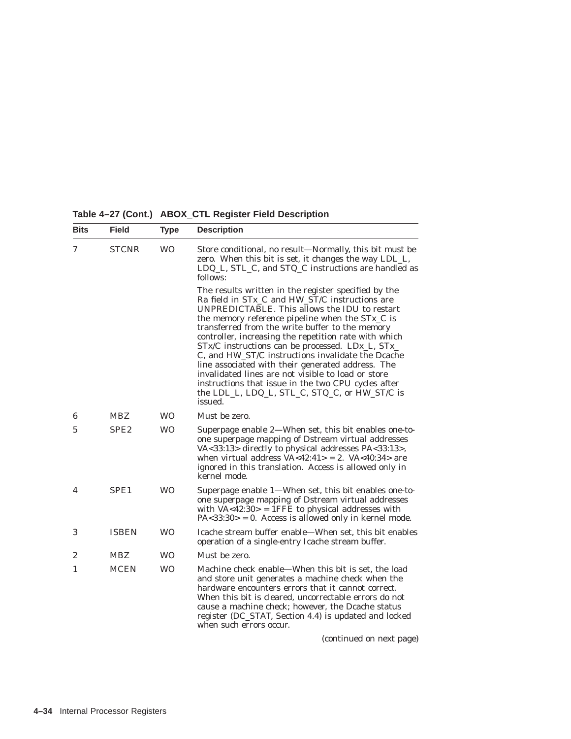**Table 4–27 (Cont.) ABOX\_CTL Register Field Description**

| <b>Bits</b> | <b>Field</b>     | <b>Type</b> | <b>Description</b>                                                                                                                                                                                                                                                                                                                                                                                                                                                                                                                                                                                                                                            |
|-------------|------------------|-------------|---------------------------------------------------------------------------------------------------------------------------------------------------------------------------------------------------------------------------------------------------------------------------------------------------------------------------------------------------------------------------------------------------------------------------------------------------------------------------------------------------------------------------------------------------------------------------------------------------------------------------------------------------------------|
| 7           | <b>STCNR</b>     | <b>WO</b>   | Store conditional, no result—Normally, this bit must be<br>zero. When this bit is set, it changes the way LDL_L,<br>LDQ_L, STL_C, and STQ_C instructions are handled as<br>follows:                                                                                                                                                                                                                                                                                                                                                                                                                                                                           |
|             |                  |             | The results written in the register specified by the<br>Ra field in STx_C and HW_ST/C instructions are<br>UNPREDICTABLE. This allows the IDU to restart<br>the memory reference pipeline when the STx_C is<br>transferred from the write buffer to the memory<br>controller, increasing the repetition rate with which<br>STx/C instructions can be processed. LDx_L, STx_<br>C, and HW_ST/C instructions invalidate the Dcache<br>line associated with their generated address. The<br>invalidated lines are not visible to load or store<br>instructions that issue in the two CPU cycles after<br>the LDL_L, LDQ_L, STL_C, STQ_C, or HW_ST/C is<br>issued. |
| 6           | <b>MBZ</b>       | <b>WO</b>   | Must be zero.                                                                                                                                                                                                                                                                                                                                                                                                                                                                                                                                                                                                                                                 |
| 5           | SPE <sub>2</sub> | <b>WO</b>   | Superpage enable 2—When set, this bit enables one-to-<br>one superpage mapping of Dstream virtual addresses<br>VA<33:13> directly to physical addresses PA<33:13>,<br>when virtual address $VA < 42:41 > = 2$ . $VA < 40:34 >$ are<br>ignored in this translation. Access is allowed only in<br>kernel mode.                                                                                                                                                                                                                                                                                                                                                  |
| 4           | SPE <sub>1</sub> | <b>WO</b>   | Superpage enable 1—When set, this bit enables one-to-<br>one superpage mapping of Dstream virtual addresses<br>with $VA < 42:30 > 1$ FFE to physical addresses with<br>$PA < 33:30 > 0$ . Access is allowed only in kernel mode.                                                                                                                                                                                                                                                                                                                                                                                                                              |
| 3           | <b>ISBEN</b>     | <b>WO</b>   | Icache stream buffer enable—When set, this bit enables<br>operation of a single-entry Icache stream buffer.                                                                                                                                                                                                                                                                                                                                                                                                                                                                                                                                                   |
| 2           | <b>MBZ</b>       | <b>WO</b>   | Must be zero.                                                                                                                                                                                                                                                                                                                                                                                                                                                                                                                                                                                                                                                 |
| 1           | <b>MCEN</b>      | <b>WO</b>   | Machine check enable—When this bit is set, the load<br>and store unit generates a machine check when the<br>hardware encounters errors that it cannot correct.<br>When this bit is cleared, uncorrectable errors do not<br>cause a machine check; however, the Dcache status<br>register (DC_STAT, Section 4.4) is updated and locked<br>when such errors occur.                                                                                                                                                                                                                                                                                              |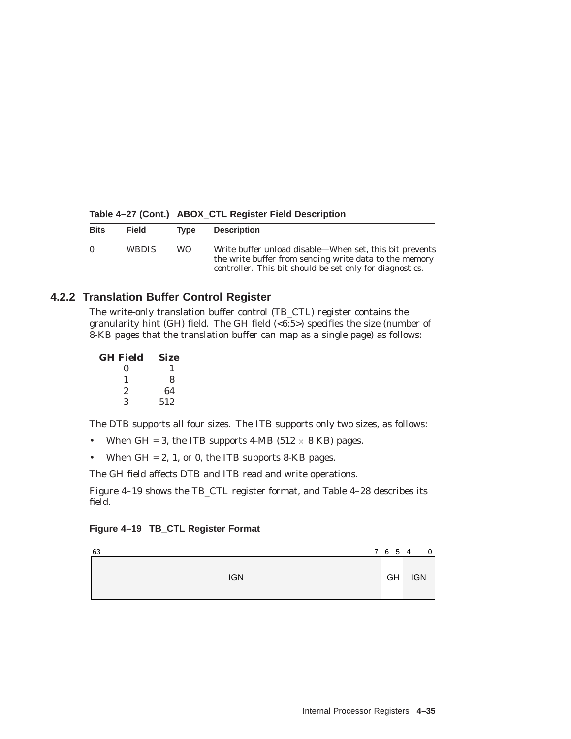| <b>Bits</b> | <b>Field</b> | Tvpe | <b>Description</b>                                                                                                                                                            |
|-------------|--------------|------|-------------------------------------------------------------------------------------------------------------------------------------------------------------------------------|
| $\Omega$    | <b>WBDIS</b> | WO.  | Write buffer unload disable—When set, this bit prevents<br>the write buffer from sending write data to the memory<br>controller. This bit should be set only for diagnostics. |

**Table 4–27 (Cont.) ABOX\_CTL Register Field Description**

### **4.2.2 Translation Buffer Control Register**

The write-only translation buffer control (TB\_CTL) register contains the granularity hint (GH) field. The GH field (<6:5>) specifies the size (number of 8-KB pages that the translation buffer can map as a single page) as follows:

| <b>GH Field</b> | <b>Size</b> |
|-----------------|-------------|
| 0               |             |
| 1               | 8           |
| 2               | 64          |
| 3               | 512         |

The DTB supports all four sizes. The ITB supports only two sizes, as follows:

- When GH = 3, the ITB supports 4-MB ( $512 \times 8$  KB) pages.
- When  $GH = 2$ , 1, or 0, the ITB supports 8-KB pages.

The GH field affects DTB and ITB read and write operations.

Figure 4–19 shows the TB\_CTL register format, and Table 4–28 describes its field.

| Figure 4-19 TB_CTL Register Format |  |  |  |
|------------------------------------|--|--|--|
|------------------------------------|--|--|--|

| 63         | 7 6 5 4 |            | 0 |
|------------|---------|------------|---|
| <b>IGN</b> | GH      | <b>IGN</b> |   |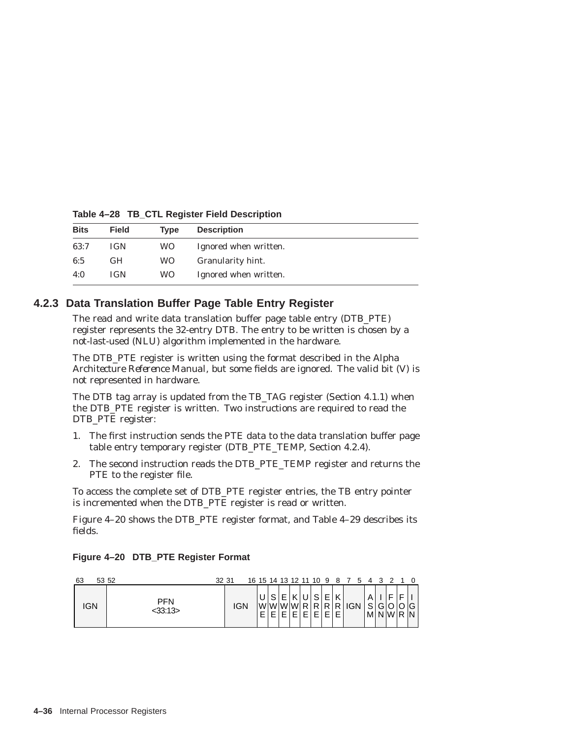| <b>Bits</b> | Field      | Tvpe | <b>Description</b>    |
|-------------|------------|------|-----------------------|
| 63:7        | <b>IGN</b> | WO.  | Ignored when written. |
| 6:5         | <b>GH</b>  | WO.  | Granularity hint.     |
| 4:0         | <b>IGN</b> | WO.  | Ignored when written. |

**Table 4–28 TB\_CTL Register Field Description**

### **4.2.3 Data Translation Buffer Page Table Entry Register**

The read and write data translation buffer page table entry (DTB\_PTE) register represents the 32-entry DTB. The entry to be written is chosen by a not-last-used (NLU) algorithm implemented in the hardware.

The DTB\_PTE register is written using the format described in the *Alpha Architecture Reference Manual*, but some fields are ignored. The valid bit (V) is not represented in hardware.

The DTB tag array is updated from the TB\_TAG register (Section 4.1.1) when the DTB\_PTE register is written. Two instructions are required to read the DTB\_PTE register:

- 1. The first instruction sends the PTE data to the data translation buffer page table entry temporary register (DTB\_PTE\_TEMP, Section 4.2.4).
- 2. The second instruction reads the DTB\_PTE\_TEMP register and returns the PTE to the register file.

To access the complete set of DTB\_PTE register entries, the TB entry pointer is incremented when the DTB\_PTE register is read or written.

Figure 4–20 shows the DTB PTE register format, and Table 4–29 describes its fields.

| Figure 4-20 DTB_PTE Register Format |  |  |
|-------------------------------------|--|--|
|                                     |  |  |

| 63  | 53 52                    | 32 31 |            |          |      |             |  |    | 16 15 14 13 12 11 10 9 8 7 5 4 3 |       | ົາ    |     |        |
|-----|--------------------------|-------|------------|----------|------|-------------|--|----|----------------------------------|-------|-------|-----|--------|
| IGN | <b>PFN</b><br>$<$ 33:13> |       | <b>IGN</b> | WWWWRRRI | ∪ISI | E K U S E ' |  | KI | $R$ $R$ $R$ $G$ $N$ $S$          | M N W | IGIOI | R N | ∣O G ! |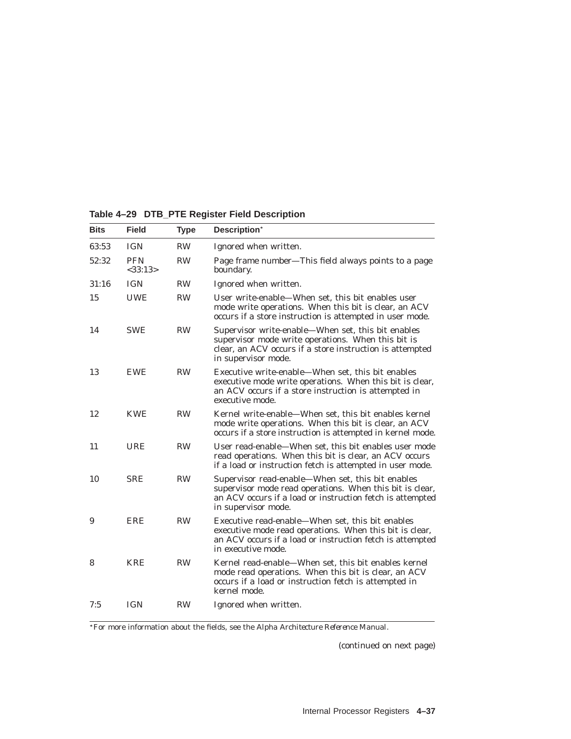| <b>Bits</b> | <b>Field</b>          | Type      | Description*                                                                                                                                                                                      |
|-------------|-----------------------|-----------|---------------------------------------------------------------------------------------------------------------------------------------------------------------------------------------------------|
| 63:53       | <b>IGN</b>            | <b>RW</b> | Ignored when written.                                                                                                                                                                             |
| 52:32       | <b>PFN</b><br><33:13> | <b>RW</b> | Page frame number-This field always points to a page<br>boundary.                                                                                                                                 |
| 31:16       | <b>IGN</b>            | <b>RW</b> | Ignored when written.                                                                                                                                                                             |
| 15          | <b>UWE</b>            | <b>RW</b> | User write-enable—When set, this bit enables user<br>mode write operations. When this bit is clear, an ACV<br>occurs if a store instruction is attempted in user mode.                            |
| 14          | <b>SWE</b>            | <b>RW</b> | Supervisor write-enable-When set, this bit enables<br>supervisor mode write operations. When this bit is<br>clear, an ACV occurs if a store instruction is attempted<br>in supervisor mode.       |
| 13          | <b>EWE</b>            | <b>RW</b> | Executive write-enable—When set, this bit enables<br>executive mode write operations. When this bit is clear,<br>an ACV occurs if a store instruction is attempted in<br>executive mode.          |
| 12          | <b>KWE</b>            | <b>RW</b> | Kernel write-enable—When set, this bit enables kernel<br>mode write operations. When this bit is clear, an ACV<br>occurs if a store instruction is attempted in kernel mode.                      |
| 11          | <b>URE</b>            | <b>RW</b> | User read-enable-When set, this bit enables user mode<br>read operations. When this bit is clear, an ACV occurs<br>if a load or instruction fetch is attempted in user mode.                      |
| 10          | <b>SRE</b>            | <b>RW</b> | Supervisor read-enable-When set, this bit enables<br>supervisor mode read operations. When this bit is clear,<br>an ACV occurs if a load or instruction fetch is attempted<br>in supervisor mode. |
| 9           | ERE                   | <b>RW</b> | Executive read-enable—When set, this bit enables<br>executive mode read operations. When this bit is clear,<br>an ACV occurs if a load or instruction fetch is attempted<br>in executive mode.    |
| 8           | <b>KRE</b>            | <b>RW</b> | Kernel read-enable-When set, this bit enables kernel<br>mode read operations. When this bit is clear, an ACV<br>occurs if a load or instruction fetch is attempted in<br>kernel mode.             |
| 7:5         | <b>IGN</b>            | <b>RW</b> | Ignored when written.                                                                                                                                                                             |

**Table 4–29 DTB\_PTE Register Field Description**

For more information about the fields, see the *Alpha Architecture Reference Manual*.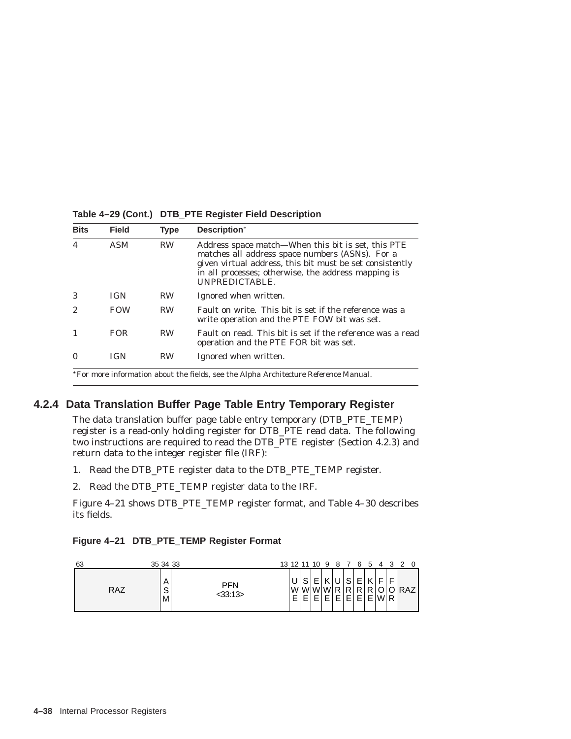| <b>Bits</b>    | <b>Field</b> | <b>Type</b> | Description*                                                                                                                                                                                                                               |
|----------------|--------------|-------------|--------------------------------------------------------------------------------------------------------------------------------------------------------------------------------------------------------------------------------------------|
| $\overline{4}$ | <b>ASM</b>   | <b>RW</b>   | Address space match—When this bit is set, this PTE<br>matches all address space numbers (ASNs). For a<br>given virtual address, this bit must be set consistently<br>in all processes; otherwise, the address mapping is<br>UNPREDICTABLE. |
| 3              | <b>IGN</b>   | <b>RW</b>   | Ignored when written.                                                                                                                                                                                                                      |
| 2              | <b>FOW</b>   | <b>RW</b>   | Fault on write. This bit is set if the reference was a<br>write operation and the PTE FOW bit was set.                                                                                                                                     |
|                | <b>FOR</b>   | <b>RW</b>   | Fault on read. This bit is set if the reference was a read<br>operation and the PTE FOR bit was set.                                                                                                                                       |
| $\Omega$       | <b>IGN</b>   | <b>RW</b>   | Ignored when written.                                                                                                                                                                                                                      |

**Table 4–29 (Cont.) DTB\_PTE Register Field Description**

For more information about the fields, see the *Alpha Architecture Reference Manual*.

# **4.2.4 Data Translation Buffer Page Table Entry Temporary Register**

The data translation buffer page table entry temporary (DTB\_PTE\_TEMP) register is a read-only holding register for DTB\_PTE read data. The following two instructions are required to read the DTB\_PTE register (Section 4.2.3) and return data to the integer register file (IRF):

- 1. Read the DTB\_PTE register data to the DTB\_PTE\_TEMP register.
- 2. Read the DTB\_PTE\_TEMP register data to the IRF.

Figure 4–21 shows DTB\_PTE\_TEMP register format, and Table 4–30 describes its fields.

|  |  | Figure 4-21 DTB_PTE_TEMP Register Format |  |
|--|--|------------------------------------------|--|
|  |  |                                          |  |

| 63         | 35 34 33     |                      | 13 12 11 10 9 8 7 6 5 |                |        |                |                                |                |        | $\overline{a}$ | 32 |       |
|------------|--------------|----------------------|-----------------------|----------------|--------|----------------|--------------------------------|----------------|--------|----------------|----|-------|
| <b>RAZ</b> | Α<br>S<br>M' | <b>PFN</b><br>33:13> | F.                    | c<br>lwlwlwlwl | −<br>− | R <sub>1</sub> | $\sim$<br>R.<br>$\blacksquare$ | F.<br>RI<br>F' | R<br>Е | $W \mathsf{R}$ | E. | ORAZI |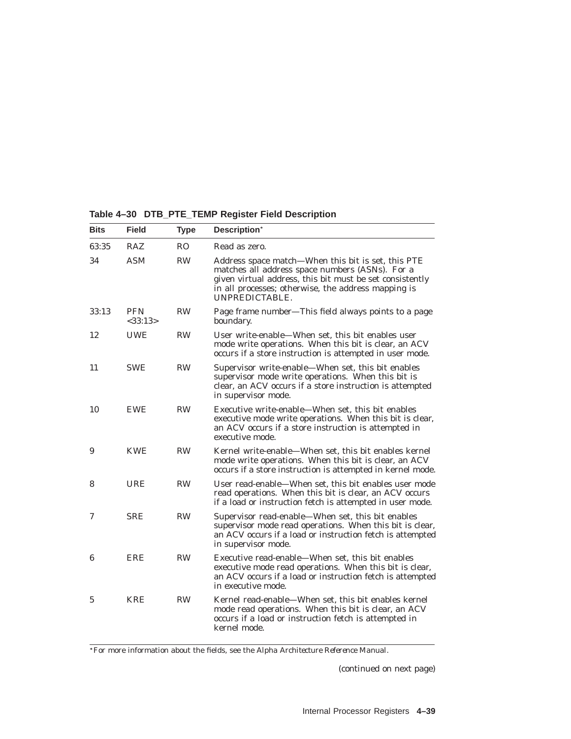| Table 4-30 DTB_PTE_TEMP Register Field Description |  |  |  |  |  |  |  |
|----------------------------------------------------|--|--|--|--|--|--|--|
|----------------------------------------------------|--|--|--|--|--|--|--|

| <b>Bits</b> | <b>Field</b>             | <b>Type</b> | Description*                                                                                                                                                                                                                               |
|-------------|--------------------------|-------------|--------------------------------------------------------------------------------------------------------------------------------------------------------------------------------------------------------------------------------------------|
| 63:35       | RAZ                      | RO.         | Read as zero.                                                                                                                                                                                                                              |
| 34          | <b>ASM</b>               | <b>RW</b>   | Address space match-When this bit is set, this PTE<br>matches all address space numbers (ASNs). For a<br>given virtual address, this bit must be set consistently<br>in all processes; otherwise, the address mapping is<br>UNPREDICTABLE. |
| 33:13       | <b>PFN</b><br>$<$ 33:13> | <b>RW</b>   | Page frame number-This field always points to a page<br>boundary.                                                                                                                                                                          |
| 12          | <b>UWE</b>               | <b>RW</b>   | User write-enable—When set, this bit enables user<br>mode write operations. When this bit is clear, an ACV<br>occurs if a store instruction is attempted in user mode.                                                                     |
| 11          | <b>SWE</b>               | <b>RW</b>   | Supervisor write-enable—When set, this bit enables<br>supervisor mode write operations. When this bit is<br>clear, an ACV occurs if a store instruction is attempted<br>in supervisor mode.                                                |
| 10          | <b>EWE</b>               | <b>RW</b>   | Executive write-enable—When set, this bit enables<br>executive mode write operations. When this bit is clear,<br>an ACV occurs if a store instruction is attempted in<br>executive mode.                                                   |
| 9           | <b>KWE</b>               | <b>RW</b>   | Kernel write-enable—When set, this bit enables kernel<br>mode write operations. When this bit is clear, an ACV<br>occurs if a store instruction is attempted in kernel mode.                                                               |
| 8           | URE                      | <b>RW</b>   | User read-enable—When set, this bit enables user mode<br>read operations. When this bit is clear, an ACV occurs<br>if a load or instruction fetch is attempted in user mode.                                                               |
| 7           | <b>SRE</b>               | <b>RW</b>   | Supervisor read-enable-When set, this bit enables<br>supervisor mode read operations. When this bit is clear,<br>an ACV occurs if a load or instruction fetch is attempted<br>in supervisor mode.                                          |
| 6           | <b>ERE</b>               | <b>RW</b>   | Executive read-enable—When set, this bit enables<br>executive mode read operations. When this bit is clear,<br>an ACV occurs if a load or instruction fetch is attempted<br>in executive mode.                                             |
| 5           | <b>KRE</b>               | <b>RW</b>   | Kernel read-enable—When set, this bit enables kernel<br>mode read operations. When this bit is clear, an ACV<br>occurs if a load or instruction fetch is attempted in<br>kernel mode.                                                      |

For more information about the fields, see the *Alpha Architecture Reference Manual*.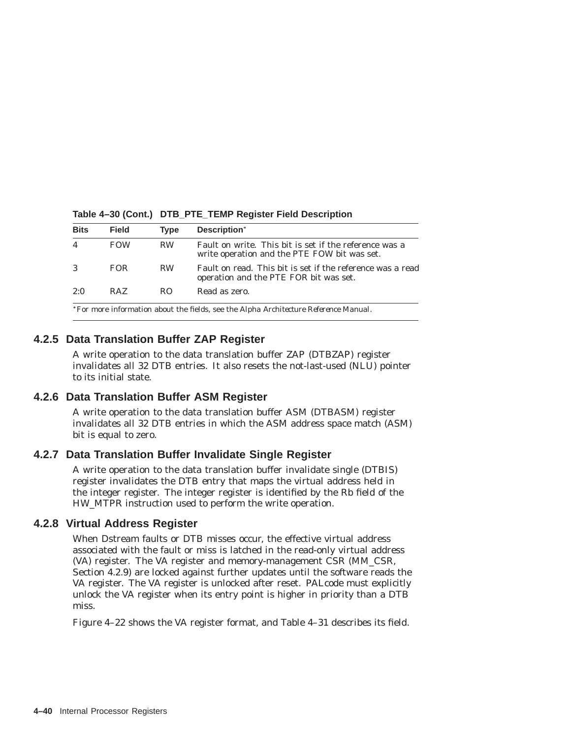| <b>Bits</b> | <b>Field</b>                                                                         | <b>Type</b> | Description*                                                                                           |  |  |  |
|-------------|--------------------------------------------------------------------------------------|-------------|--------------------------------------------------------------------------------------------------------|--|--|--|
|             | <b>FOW</b>                                                                           | <b>RW</b>   | Fault on write. This bit is set if the reference was a<br>write operation and the PTE FOW bit was set. |  |  |  |
| 3           | FOR.                                                                                 | <b>RW</b>   | Fault on read. This bit is set if the reference was a read<br>operation and the PTE FOR bit was set.   |  |  |  |
| 2:0         | RAZ.                                                                                 | RO.         | Read as zero.                                                                                          |  |  |  |
|             | *For more information about the fields, see the Alpha Architecture Reference Manual. |             |                                                                                                        |  |  |  |

**Table 4–30 (Cont.) DTB\_PTE\_TEMP Register Field Description**

# **4.2.5 Data Translation Buffer ZAP Register**

A write operation to the data translation buffer ZAP (DTBZAP) register invalidates all 32 DTB entries. It also resets the not-last-used (NLU) pointer to its initial state.

### **4.2.6 Data Translation Buffer ASM Register**

A write operation to the data translation buffer ASM (DTBASM) register invalidates all 32 DTB entries in which the ASM address space match (ASM) bit is equal to zero.

### **4.2.7 Data Translation Buffer Invalidate Single Register**

A write operation to the data translation buffer invalidate single (DTBIS) register invalidates the DTB entry that maps the virtual address held in the integer register. The integer register is identified by the Rb field of the HW\_MTPR instruction used to perform the write operation.

### **4.2.8 Virtual Address Register**

When Dstream faults or DTB misses occur, the effective virtual address associated with the fault or miss is latched in the read-only virtual address (VA) register. The VA register and memory-management CSR (MM\_CSR, Section 4.2.9) are locked against further updates until the software reads the VA register. The VA register is unlocked after reset. PALcode must explicitly unlock the VA register when its entry point is higher in priority than a DTB miss.

Figure 4–22 shows the VA register format, and Table 4–31 describes its field.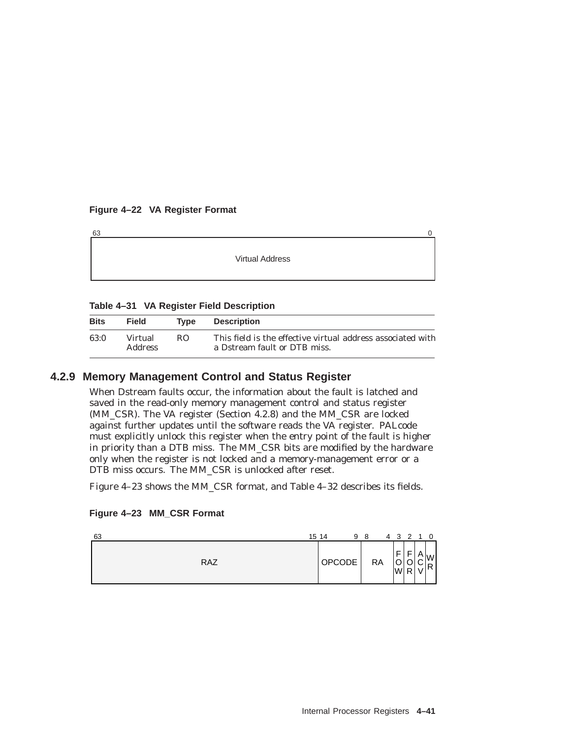### **Figure 4–22 VA Register Format**

| 63 |                        |  |
|----|------------------------|--|
|    |                        |  |
|    | <b>Virtual Address</b> |  |
|    |                        |  |
|    |                        |  |

### **Table 4–31 VA Register Field Description**

| <b>Bits</b> | <b>Field</b>              | Type | <b>Description</b>                                                                          |
|-------------|---------------------------|------|---------------------------------------------------------------------------------------------|
| 63:0        | Virtual<br><b>Address</b> | RO.  | This field is the effective virtual address associated with<br>a Dstream fault or DTB miss. |

### **4.2.9 Memory Management Control and Status Register**

When Dstream faults occur, the information about the fault is latched and saved in the read-only memory management control and status register (MM\_CSR). The VA register (Section 4.2.8) and the MM\_CSR are locked against further updates until the software reads the VA register. PALcode must explicitly unlock this register when the entry point of the fault is higher in priority than a DTB miss. The MM\_CSR bits are modified by the hardware only when the register is not locked and a memory-management error or a DTB miss occurs. The MM\_CSR is unlocked after reset.

Figure 4–23 shows the MM\_CSR format, and Table 4–32 describes its fields.

|  |  |  |  | Figure 4-23 MM_CSR Format |
|--|--|--|--|---------------------------|
|--|--|--|--|---------------------------|

| 63         | 15 14  | 9 | -8        | 4                           | 3 <sub>2</sub>   | $\Omega$                      |
|------------|--------|---|-----------|-----------------------------|------------------|-------------------------------|
| <b>RAZ</b> | OPCODE |   | <b>RA</b> | F<br>л.<br>$\sim$<br>◡<br>W | $\sim$<br>ັ<br>R | $\bigcap_{n=1}^{\infty}$<br>R |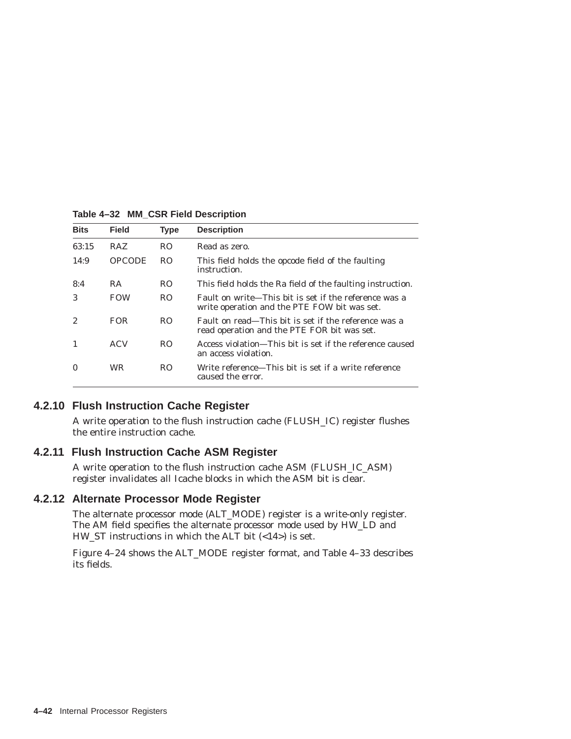| <b>Bits</b> | <b>Field</b>  | <b>Type</b>    | <b>Description</b>                                                                                    |
|-------------|---------------|----------------|-------------------------------------------------------------------------------------------------------|
| 63:15       | <b>RAZ</b>    | R <sub>O</sub> | Read as zero.                                                                                         |
| 14:9        | <b>OPCODE</b> | R <sub>O</sub> | This field holds the opcode field of the faulting<br>instruction.                                     |
| 8:4         | RA.           | R <sub>O</sub> | This field holds the Ra field of the faulting instruction.                                            |
| 3           | <b>FOW</b>    | R <sub>O</sub> | Fault on write—This bit is set if the reference was a<br>write operation and the PTE FOW bit was set. |
| 2           | <b>FOR</b>    | RO.            | Fault on read—This bit is set if the reference was a<br>read operation and the PTE FOR bit was set.   |
|             | ACV           | RO.            | Access violation—This bit is set if the reference caused<br>an access violation.                      |
| $\Omega$    | <b>WR</b>     | RO.            | Write reference—This bit is set if a write reference<br>caused the error.                             |

**Table 4–32 MM\_CSR Field Description**

### **4.2.10 Flush Instruction Cache Register**

A write operation to the flush instruction cache (FLUSH\_IC) register flushes the entire instruction cache.

### **4.2.11 Flush Instruction Cache ASM Register**

A write operation to the flush instruction cache ASM (FLUSH\_IC\_ASM) register invalidates all Icache blocks in which the ASM bit is clear.

### **4.2.12 Alternate Processor Mode Register**

The alternate processor mode (ALT\_MODE) register is a write-only register. The AM field specifies the alternate processor mode used by HW\_LD and HW\_ST instructions in which the ALT bit  $\langle$ <14> $\rangle$  is set.

Figure 4–24 shows the ALT\_MODE register format, and Table 4–33 describes its fields.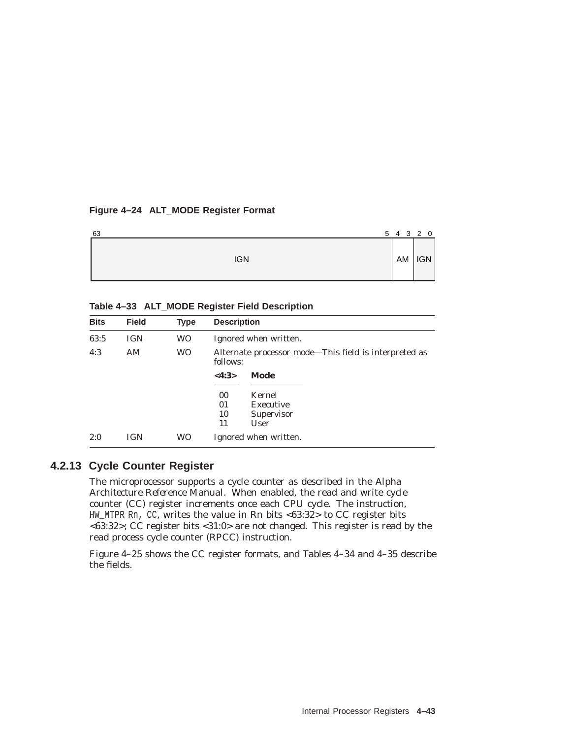### **Figure 4–24 ALT\_MODE Register Format**

| 63         |  |  | 5 4 3 2 0    |
|------------|--|--|--------------|
| <b>IGN</b> |  |  | $AM$ $ IGN $ |

### **Table 4–33 ALT\_MODE Register Field Description**

| <b>Bits</b> | <b>Field</b> | <b>Type</b> | <b>Description</b>                                                |
|-------------|--------------|-------------|-------------------------------------------------------------------|
| 63:5        | <b>IGN</b>   | WO.         | Ignored when written.                                             |
| 4:3         | AM           | <b>WO</b>   | Alternate processor mode-This field is interpreted as<br>follows: |
|             |              |             | Mode<br>$<\!4:3\!>$                                               |
|             |              |             | 00<br>Kernel                                                      |
|             |              |             | 01<br>Executive                                                   |
|             |              |             | 10<br>Supervisor                                                  |
|             |              |             | 11<br>User                                                        |
| 2:0         | <b>IGN</b>   | <b>WO</b>   | Ignored when written.                                             |

### **4.2.13 Cycle Counter Register**

The microprocessor supports a cycle counter as described in the *Alpha Architecture Reference Manual*. When enabled, the read and write cycle counter (CC) register increments once each CPU cycle. The instruction, HW\_MTPR Rn, CC, writes the value in Rn bits <63:32> to CC register bits <63:32>; CC register bits <31:0> are not changed. This register is read by the read process cycle counter (RPCC) instruction.

Figure 4–25 shows the CC register formats, and Tables 4–34 and 4–35 describe the fields.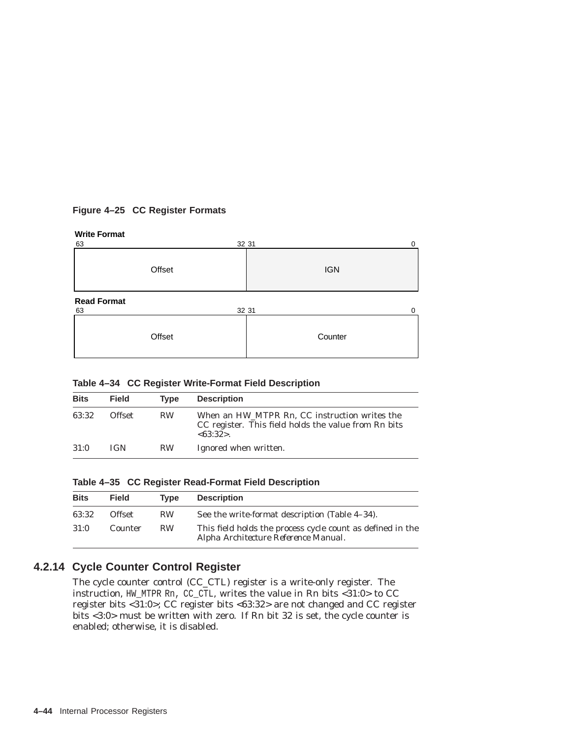### **Figure 4–25 CC Register Formats**

### **Write Format**

| 32 31<br>63                       | 0          |
|-----------------------------------|------------|
| Offset                            | <b>IGN</b> |
| <b>Read Format</b><br>63<br>32 31 | $\Omega$   |
| Offset                            | Counter    |

|  |  | Table 4-34 CC Register Write-Format Field Description |  |  |
|--|--|-------------------------------------------------------|--|--|
|--|--|-------------------------------------------------------|--|--|

| <b>Bits</b> | <b>Field</b>  | <b>Type</b> | <b>Description</b>                                                                                               |
|-------------|---------------|-------------|------------------------------------------------------------------------------------------------------------------|
| 63:32       | <b>Offset</b> | <b>RW</b>   | When an HW_MTPR Rn, CC instruction writes the<br>CC register. This field holds the value from Rn bits<br><63:32> |
| 31:0        | <b>IGN</b>    | <b>RW</b>   | Ignored when written.                                                                                            |

|  |  |  | Table 4-35 CC Register Read-Format Field Description |  |  |
|--|--|--|------------------------------------------------------|--|--|
|--|--|--|------------------------------------------------------|--|--|

| <b>Bits</b> | <b>Field</b> | <b>Type</b> | <b>Description</b>                                                                                 |
|-------------|--------------|-------------|----------------------------------------------------------------------------------------------------|
| 63:32       | Offset       | <b>RW</b>   | See the write-format description (Table 4–34).                                                     |
| 31:0        | Counter      | <b>RW</b>   | This field holds the process cycle count as defined in the<br>Alpha Architecture Reference Manual. |

# **4.2.14 Cycle Counter Control Register**

The cycle counter control (CC\_CTL) register is a write-only register. The instruction, HW\_MTPR Rn, CC\_CTL, writes the value in Rn bits <31:0> to CC register bits <31:0>; CC register bits <63:32> are not changed and CC register bits <3:0> must be written with zero. If Rn bit 32 is set, the cycle counter is enabled; otherwise, it is disabled.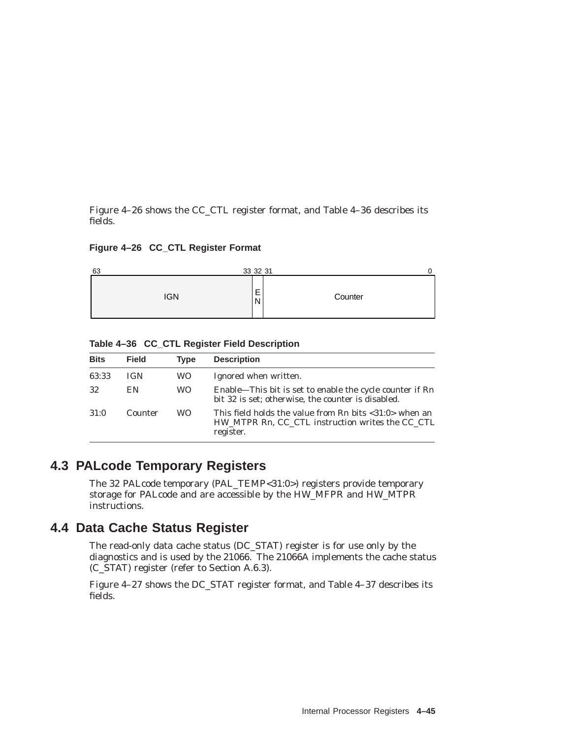Figure 4–26 shows the CC\_CTL register format, and Table 4–36 describes its fields.

**Figure 4–26 CC\_CTL Register Format**



**Table 4–36 CC\_CTL Register Field Description**

| <b>Bits</b> | <b>Field</b> | <b>Type</b> | <b>Description</b>                                                                                                            |
|-------------|--------------|-------------|-------------------------------------------------------------------------------------------------------------------------------|
| 63:33       | <b>IGN</b>   | WO          | Ignored when written.                                                                                                         |
| 32          | EN           | WO.         | Enable-This bit is set to enable the cycle counter if Rn<br>bit 32 is set; otherwise, the counter is disabled.                |
| 31:0        | Counter      | WO.         | This field holds the value from Rn bits $<$ 31:0 $>$ when an<br>HW MTPR Rn, CC CTL instruction writes the CC CTL<br>register. |

# **4.3 PALcode Temporary Registers**

The 32 PALcode temporary (PAL\_TEMP<31:0>) registers provide temporary storage for PALcode and are accessible by the HW\_MFPR and HW\_MTPR instructions.

# **4.4 Data Cache Status Register**

The read-only data cache status (DC\_STAT) register is for use only by the diagnostics and is used by the 21066. The 21066A implements the cache status (C\_STAT) register (refer to Section A.6.3).

Figure 4–27 shows the DC\_STAT register format, and Table 4–37 describes its fields.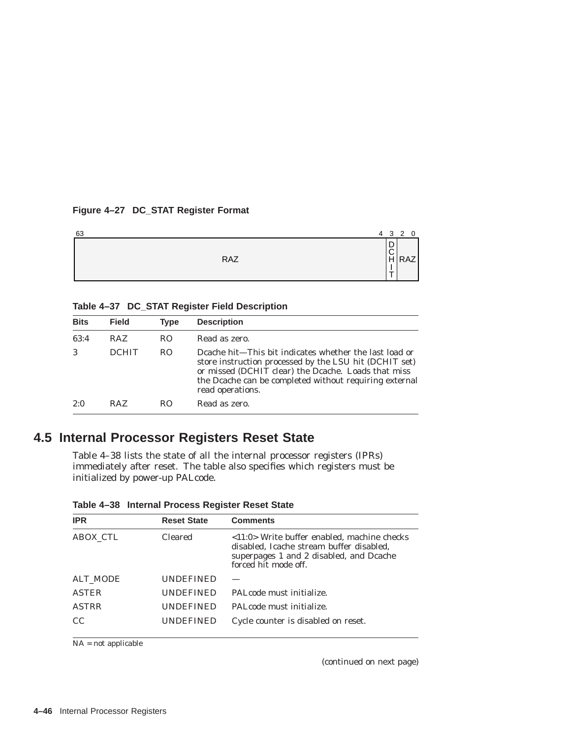### **Figure 4–27 DC\_STAT Register Format**

| 63 |     | 4 3 2                 | - 0               |
|----|-----|-----------------------|-------------------|
|    | RAZ | D<br>$\tilde{z}$<br>÷ | $\frac{1}{2}$ RAZ |

**Table 4–37 DC\_STAT Register Field Description**

| <b>Bits</b> | <b>Field</b> | <b>Type</b>    | <b>Description</b>                                                                                                                                                                                                                                    |
|-------------|--------------|----------------|-------------------------------------------------------------------------------------------------------------------------------------------------------------------------------------------------------------------------------------------------------|
| 63:4        | <b>RAZ</b>   | RO.            | Read as zero.                                                                                                                                                                                                                                         |
| 3           | <b>DCHIT</b> | R <sub>O</sub> | Deache hit—This bit indicates whether the last load or<br>store instruction processed by the LSU hit (DCHIT set)<br>or missed (DCHIT clear) the Deache. Loads that miss<br>the Deache can be completed without requiring external<br>read operations. |
| 2:0         | RAZ          | RO.            | Read as zero.                                                                                                                                                                                                                                         |

# **4.5 Internal Processor Registers Reset State**

Table 4–38 lists the state of all the internal processor registers (IPRs) immediately after reset. The table also specifies which registers must be initialized by power-up PALcode.

| <b>IPR</b>      | <b>Reset State</b> | <b>Comments</b>                                                                                                                                                            |
|-----------------|--------------------|----------------------------------------------------------------------------------------------------------------------------------------------------------------------------|
| <b>ABOX CTL</b> | <b>Cleared</b>     | $\langle 11:0 \rangle$ Write buffer enabled, machine checks<br>disabled, Icache stream buffer disabled,<br>superpages 1 and 2 disabled, and Dcache<br>forced hit mode off. |
| ALT MODE        | <b>UNDEFINED</b>   |                                                                                                                                                                            |
| <b>ASTER</b>    | <b>UNDEFINED</b>   | PALcode must initialize.                                                                                                                                                   |
| <b>ASTRR</b>    | <b>UNDEFINED</b>   | PAL code must initialize.                                                                                                                                                  |
| CC.             | <b>UNDEFINED</b>   | Cycle counter is disabled on reset.                                                                                                                                        |
|                 |                    |                                                                                                                                                                            |

**Table 4–38 Internal Process Register Reset State**

NA = not applicable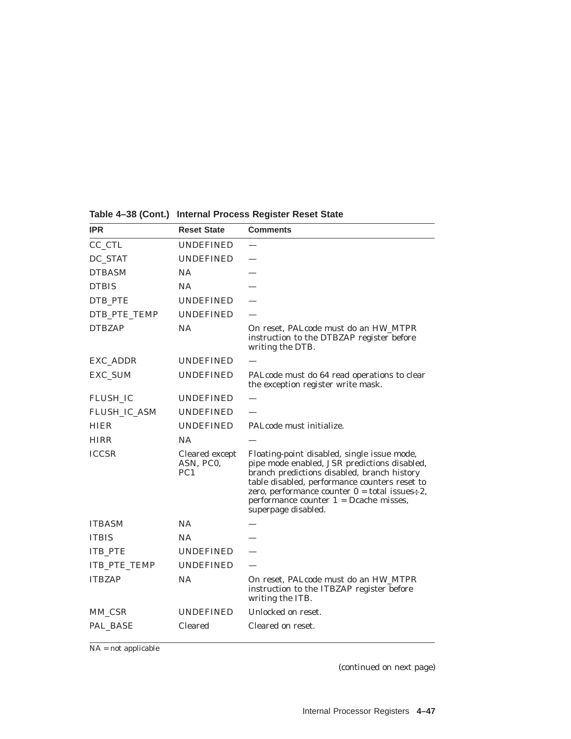| <b>IPR</b>          | <b>Reset State</b>                             | <b>Comments</b>                                                                                                                                                                                                                                                                                                       |
|---------------------|------------------------------------------------|-----------------------------------------------------------------------------------------------------------------------------------------------------------------------------------------------------------------------------------------------------------------------------------------------------------------------|
| $CC_C$ $CTL$        | <b>UNDEFINED</b>                               |                                                                                                                                                                                                                                                                                                                       |
| DC_STAT             | <b>UNDEFINED</b>                               |                                                                                                                                                                                                                                                                                                                       |
| <b>DTBASM</b>       | <b>NA</b>                                      |                                                                                                                                                                                                                                                                                                                       |
| <b>DTBIS</b>        | <b>NA</b>                                      |                                                                                                                                                                                                                                                                                                                       |
| DTB_PTE             | <b>UNDEFINED</b>                               |                                                                                                                                                                                                                                                                                                                       |
| DTB_PTE_TEMP        | <b>UNDEFINED</b>                               |                                                                                                                                                                                                                                                                                                                       |
| <b>DTBZAP</b>       | NA                                             | On reset, PALcode must do an HW_MTPR<br>instruction to the DTBZAP register before<br>writing the DTB.                                                                                                                                                                                                                 |
| EXC ADDR            | <b>UNDEFINED</b>                               |                                                                                                                                                                                                                                                                                                                       |
| EXC_SUM             | <b>UNDEFINED</b>                               | PALcode must do 64 read operations to clear<br>the exception register write mask.                                                                                                                                                                                                                                     |
| <b>FLUSH_IC</b>     | <b>UNDEFINED</b>                               |                                                                                                                                                                                                                                                                                                                       |
| FLUSH_IC_ASM        | <b>UNDEFINED</b>                               |                                                                                                                                                                                                                                                                                                                       |
| HIER                | <b>UNDEFINED</b>                               | PAL code must initialize.                                                                                                                                                                                                                                                                                             |
| HIRR                | <b>NA</b>                                      |                                                                                                                                                                                                                                                                                                                       |
| <b>ICCSR</b>        | Cleared except<br>ASN, PC0,<br>PC <sub>1</sub> | Floating-point disabled, single issue mode,<br>pipe mode enabled, JSR predictions disabled,<br>branch predictions disabled, branch history<br>table disabled, performance counters reset to<br>zero, performance counter $0 =$ total issues $-2$ ,<br>performance counter $1 =$ Dcache misses,<br>superpage disabled. |
| <b>ITBASM</b>       | NA.                                            |                                                                                                                                                                                                                                                                                                                       |
| <b>ITBIS</b>        | <b>NA</b>                                      |                                                                                                                                                                                                                                                                                                                       |
| <b>ITB_PTE</b>      | <b>UNDEFINED</b>                               |                                                                                                                                                                                                                                                                                                                       |
| <b>ITB PTE TEMP</b> | <b>UNDEFINED</b>                               |                                                                                                                                                                                                                                                                                                                       |
| <b>ITBZAP</b>       | <b>NA</b>                                      | On reset, PALcode must do an HW_MTPR<br>instruction to the ITBZAP register before<br>writing the ITB.                                                                                                                                                                                                                 |
| MM CSR              | UNDEFINED                                      | Unlocked on reset.                                                                                                                                                                                                                                                                                                    |
| PAL_BASE            | <b>Cleared</b>                                 | Cleared on reset.                                                                                                                                                                                                                                                                                                     |

# **Table 4–38 (Cont.) Internal Process Register Reset State**

NA = not applicable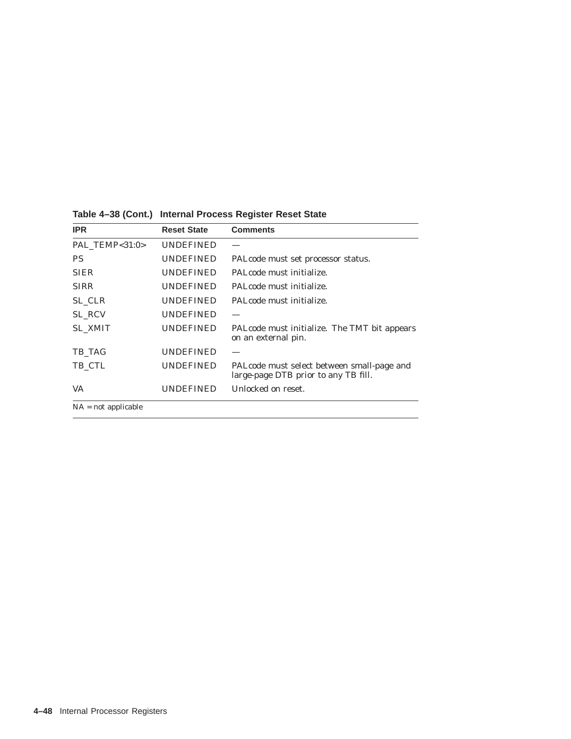| <b>IPR</b>     | <b>Reset State</b> | <b>Comments</b>                                                                    |
|----------------|--------------------|------------------------------------------------------------------------------------|
| PAL TEMP<31:0> | <b>UNDEFINED</b>   |                                                                                    |
| PS             | <b>UNDEFINED</b>   | PALcode must set processor status.                                                 |
| <b>SIER</b>    | <b>UNDEFINED</b>   | PALcode must initialize.                                                           |
| <b>SIRR</b>    | <b>UNDEFINED</b>   | PAL code must initialize.                                                          |
| SL_CLR         | UNDEFINED          | PAL code must initialize.                                                          |
| <b>SL RCV</b>  | <b>UNDEFINED</b>   |                                                                                    |
| <b>SL XMIT</b> | <b>UNDEFINED</b>   | PALcode must initialize. The TMT bit appears<br>on an external pin.                |
| TB TAG         | <b>UNDEFINED</b>   |                                                                                    |
| TB_CTL         | <b>UNDEFINED</b>   | PALcode must select between small-page and<br>large-page DTB prior to any TB fill. |
| VA             | <b>UNDEFINED</b>   | Unlocked on reset.                                                                 |

**Table 4–38 (Cont.) Internal Process Register Reset State**

NA = not applicable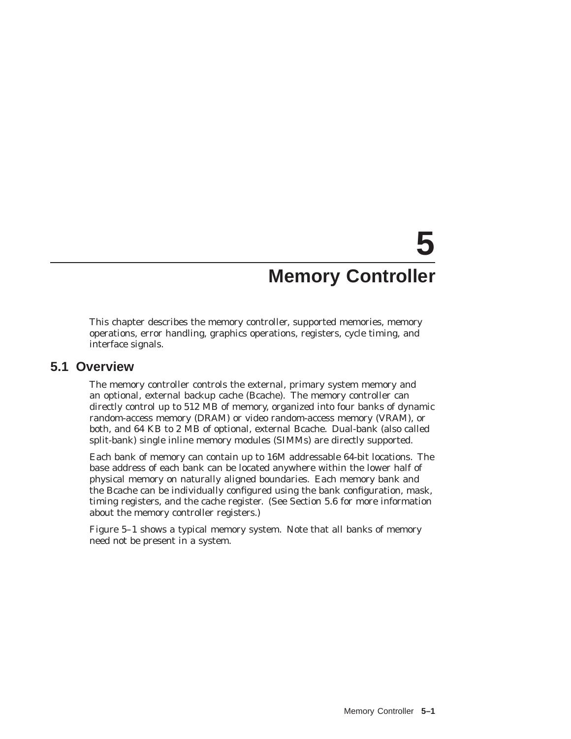# **5 Memory Controller**

This chapter describes the memory controller, supported memories, memory operations, error handling, graphics operations, registers, cycle timing, and interface signals.

### **5.1 Overview**

The memory controller controls the external, primary system memory and an optional, external backup cache (Bcache). The memory controller can directly control up to 512 MB of memory, organized into four banks of dynamic random-access memory (DRAM) or video random-access memory (VRAM), or both, and 64 KB to 2 MB of optional, external Bcache. Dual-bank (also called split-bank) single inline memory modules (SIMMs) are directly supported.

Each bank of memory can contain up to 16M addressable 64-bit locations. The base address of each bank can be located anywhere within the lower half of physical memory on naturally aligned boundaries. Each memory bank and the Bcache can be individually configured using the bank configuration, mask, timing registers, and the cache register. (See Section 5.6 for more information about the memory controller registers.)

Figure 5–1 shows a typical memory system. Note that all banks of memory need not be present in a system.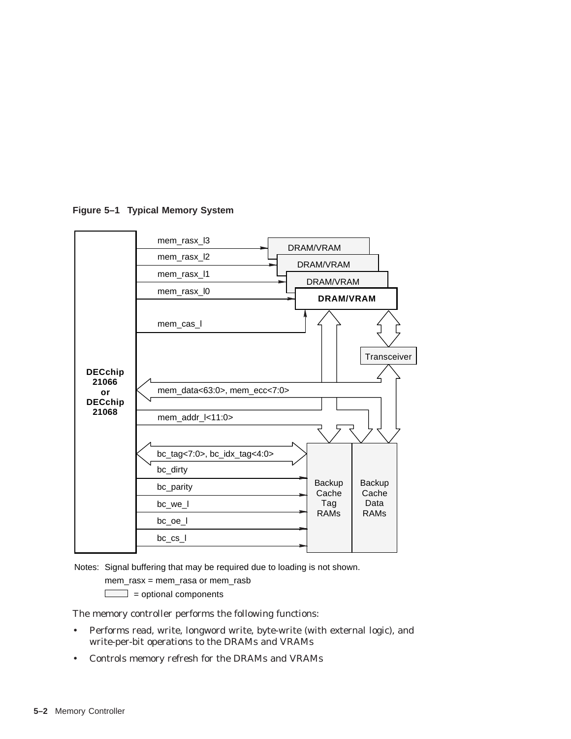



Notes: Signal buffering that may be required due to loading is not shown.

mem\_rasx = mem\_rasa or mem\_rasb

 $\boxed{\phantom{1}}$  = optional components

The memory controller performs the following functions:

- Performs read, write, longword write, byte-write (with external logic), and write-per-bit operations to the DRAMs and VRAMs
- Controls memory refresh for the DRAMs and VRAMs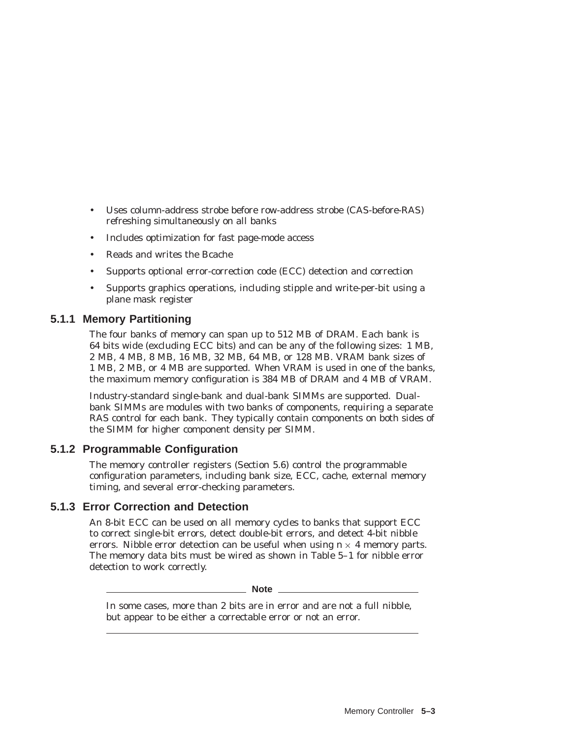- Uses column-address strobe before row-address strobe (CAS-before-RAS) refreshing simultaneously on all banks
- Includes optimization for fast page-mode access
- Reads and writes the Bcache
- Supports optional error-correction code (ECC) detection and correction
- Supports graphics operations, including stipple and write-per-bit using a plane mask register

### **5.1.1 Memory Partitioning**

The four banks of memory can span up to 512 MB of DRAM. Each bank is 64 bits wide (excluding ECC bits) and can be any of the following sizes: 1 MB, 2 MB, 4 MB, 8 MB, 16 MB, 32 MB, 64 MB, or 128 MB. VRAM bank sizes of 1 MB, 2 MB, or 4 MB are supported. When VRAM is used in one of the banks, the maximum memory configuration is 384 MB of DRAM and 4 MB of VRAM.

Industry-standard single-bank and dual-bank SIMMs are supported. Dualbank SIMMs are modules with two banks of components, requiring a separate RAS control for each bank. They typically contain components on both sides of the SIMM for higher component density per SIMM.

### **5.1.2 Programmable Configuration**

The memory controller registers (Section 5.6) control the programmable configuration parameters, including bank size, ECC, cache, external memory timing, and several error-checking parameters.

### **5.1.3 Error Correction and Detection**

An 8-bit ECC can be used on all memory cycles to banks that support ECC to correct single-bit errors, detect double-bit errors, and detect 4-bit nibble errors. Nibble error detection can be useful when using  $n \times 4$  memory parts. The memory data bits must be wired as shown in Table 5–1 for nibble error detection to work correctly.

**Note** \_\_\_\_\_

In some cases, more than 2 bits are in error and are not a full nibble, but appear to be either a correctable error or not an error.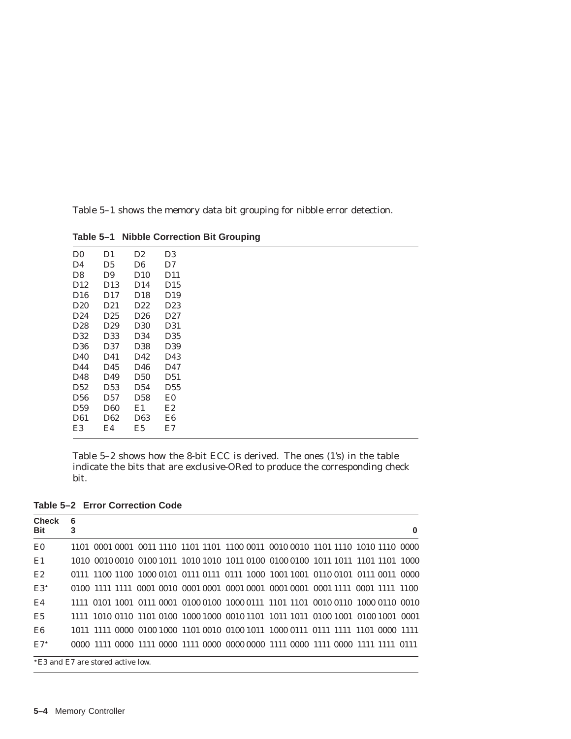Table 5–1 shows the memory data bit grouping for nibble error detection.

D0 D1 D2 D3 D4 D5 D6 D7 D9 D10 D12 D13 D14 D15 D16 D17 D18 D19 D20 D21 D22 D23 D24 D25 D26 D27 D28 D29 D30 D31 D32 D33 D34 D35 D36 D37 D38 D39 D40 D41 D42 D43 D44 D45 D46 D47 D48 D49 D50 D51 D52 D53 D54 D55 D56 D57 D58 E0 D59 D60 E1 E2 D61 D62 D63 E6 E3 E4 E5 E7

**Table 5–1 Nibble Correction Bit Grouping**

Table 5–2 shows how the 8-bit ECC is derived. The ones (1's) in the table indicate the bits that are exclusive-ORed to produce the corresponding check bit.

**Table 5–2 Error Correction Code**

| <b>Check</b><br><b>Bit</b> | 6<br>3<br>0                                                                     |  |  |  |
|----------------------------|---------------------------------------------------------------------------------|--|--|--|
| E0                         | 1101 0001 0001 0011 1110 1101 1101 1100 0011 0010 0010 1101 1110 1010 1110 0000 |  |  |  |
| E1                         | 1010 0010 0010 0100 1011 1010 1010 1011 0100 0100 0100 1011 1011 1101 1101 1000 |  |  |  |
| E2                         | 0111 1100 1100 1000 0101 0111 0111 0111 1000 1001 1001 0110 0101 0111 0011 0000 |  |  |  |
| $E3^*$                     | 0100 1111 1111 0001 0010 0001 0001 0001 0001 0001 0001 0001 1111 0001 1111 1100 |  |  |  |
| E4                         | 1111 0101 1001 0111 0001 0100 0100 1000 0111 1101 1101 0010 0110 1000 0110 0010 |  |  |  |
| E5                         | 1111 1010 0110 1101 0100 1000 1000 0010 1101 1011 1011 0100 1001 0100 1001 0001 |  |  |  |
| E6                         | 1011 1111 0000 0100 1000 1101 0010 0100 1011 1000 0111 0111 1111 1101 0000 1111 |  |  |  |
| $E7^*$                     | 0000 1111 0000 1111 0000 1111 0000 0000 0000 1111 0000 1111 0000 1111 1111 0111 |  |  |  |
|                            | *E3 and E7 are stored active low.                                               |  |  |  |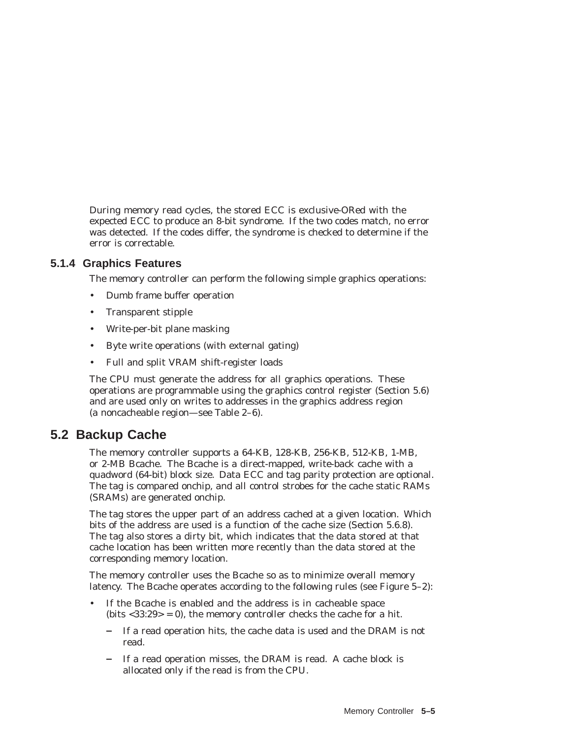During memory read cycles, the stored ECC is exclusive-ORed with the expected ECC to produce an 8-bit syndrome. If the two codes match, no error was detected. If the codes differ, the syndrome is checked to determine if the error is correctable.

### **5.1.4 Graphics Features**

The memory controller can perform the following simple graphics operations:

- Dumb frame buffer operation
- Transparent stipple
- Write-per-bit plane masking
- Byte write operations (with external gating)
- Full and split VRAM shift-register loads

The CPU must generate the address for all graphics operations. These operations are programmable using the graphics control register (Section 5.6) and are used only on writes to addresses in the graphics address region (a noncacheable region—see Table 2–6).

# **5.2 Backup Cache**

The memory controller supports a 64-KB, 128-KB, 256-KB, 512-KB, 1-MB, or 2-MB Bcache. The Bcache is a direct-mapped, write-back cache with a quadword (64-bit) block size. Data ECC and tag parity protection are optional. The tag is compared onchip, and all control strobes for the cache static RAMs (SRAMs) are generated onchip.

The tag stores the upper part of an address cached at a given location. Which bits of the address are used is a function of the cache size (Section 5.6.8). The tag also stores a dirty bit, which indicates that the data stored at that cache location has been written more recently than the data stored at the corresponding memory location.

The memory controller uses the Bcache so as to minimize overall memory latency. The Bcache operates according to the following rules (see Figure 5–2):

- If the Bcache is enabled and the address is in cacheable space (bits  $<$ 33:29 $>$  = 0), the memory controller checks the cache for a hit.
	- If a read operation hits, the cache data is used and the DRAM is not read.
	- If a read operation misses, the DRAM is read. A cache block is allocated only if the read is from the CPU.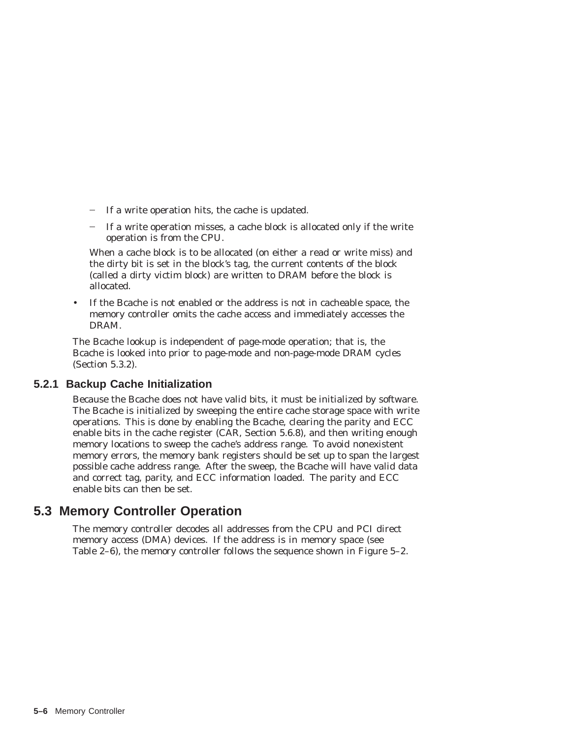- If a write operation hits, the cache is updated.
- If a write operation misses, a cache block is allocated only if the write operation is from the CPU.

When a cache block is to be allocated (on either a read or write miss) and the dirty bit is set in the block's tag, the current contents of the block (called a dirty victim block) are written to DRAM before the block is allocated.

• If the Bcache is not enabled or the address is not in cacheable space, the memory controller omits the cache access and immediately accesses the DRAM.

The Bcache lookup is independent of page-mode operation; that is, the Bcache is looked into prior to page-mode and non-page-mode DRAM cycles (Section 5.3.2).

### **5.2.1 Backup Cache Initialization**

Because the Bcache does not have valid bits, it must be initialized by software. The Bcache is initialized by sweeping the entire cache storage space with write operations. This is done by enabling the Bcache, clearing the parity and ECC enable bits in the cache register (CAR, Section 5.6.8), and then writing enough memory locations to sweep the cache's address range. To avoid nonexistent memory errors, the memory bank registers should be set up to span the largest possible cache address range. After the sweep, the Bcache will have valid data and correct tag, parity, and ECC information loaded. The parity and ECC enable bits can then be set.

# **5.3 Memory Controller Operation**

The memory controller decodes all addresses from the CPU and PCI direct memory access (DMA) devices. If the address is in memory space (see Table 2–6), the memory controller follows the sequence shown in Figure 5–2.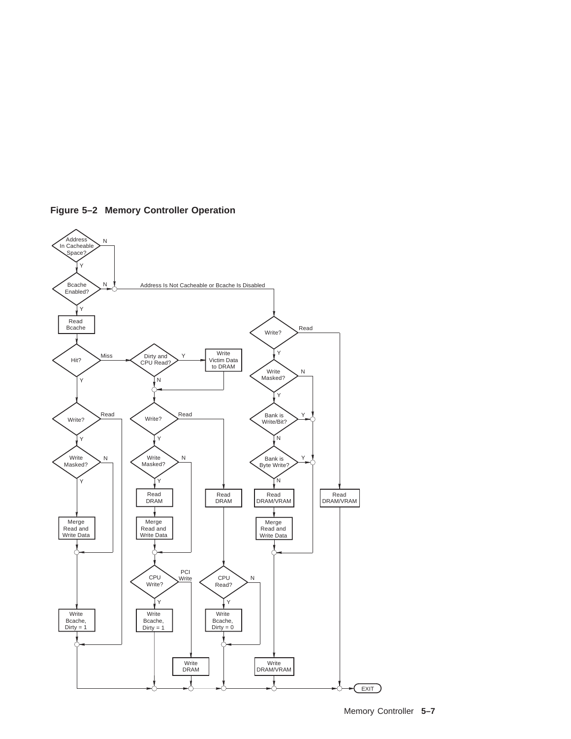

**Figure 5–2 Memory Controller Operation**

Memory Controller **5–7**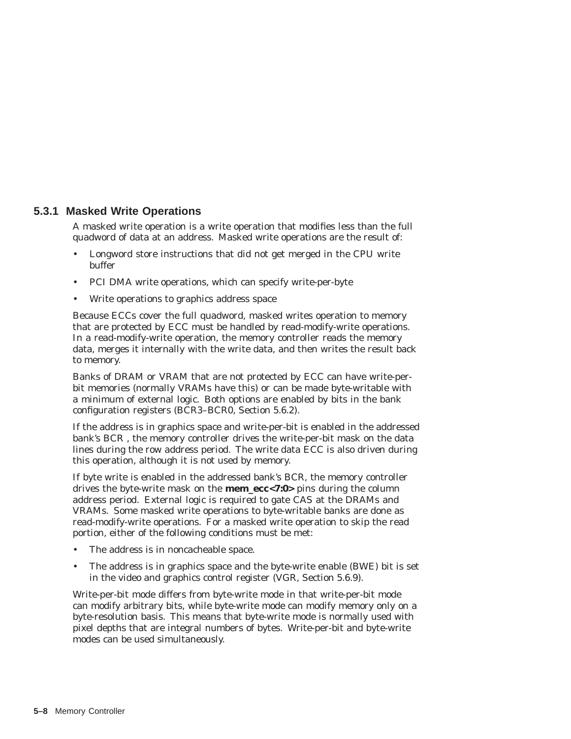### **5.3.1 Masked Write Operations**

A masked write operation is a write operation that modifies less than the full quadword of data at an address. Masked write operations are the result of:

- Longword store instructions that did not get merged in the CPU write buffer
- PCI DMA write operations, which can specify write-per-byte
- Write operations to graphics address space

Because ECCs cover the full quadword, masked writes operation to memory that are protected by ECC must be handled by read-modify-write operations. In a read-modify-write operation, the memory controller reads the memory data, merges it internally with the write data, and then writes the result back to memory.

Banks of DRAM or VRAM that are not protected by ECC can have write-perbit memories (normally VRAMs have this) or can be made byte-writable with a minimum of external logic. Both options are enabled by bits in the bank configuration registers (BCR3–BCR0, Section 5.6.2).

If the address is in graphics space and write-per-bit is enabled in the addressed bank's BCR , the memory controller drives the write-per-bit mask on the data lines during the row address period. The write data ECC is also driven during this operation, although it is not used by memory.

If byte write is enabled in the addressed bank's BCR, the memory controller drives the byte-write mask on the **mem\_ecc<7:0>** pins during the column address period. External logic is required to gate CAS at the DRAMs and VRAMs. Some masked write operations to byte-writable banks are done as read-modify-write operations. For a masked write operation to skip the read portion, either of the following conditions must be met:

- The address is in noncacheable space.
- The address is in graphics space and the byte-write enable (BWE) bit is set in the video and graphics control register (VGR, Section 5.6.9).

Write-per-bit mode differs from byte-write mode in that write-per-bit mode can modify arbitrary bits, while byte-write mode can modify memory only on a byte-resolution basis. This means that byte-write mode is normally used with pixel depths that are integral numbers of bytes. Write-per-bit and byte-write modes can be used simultaneously.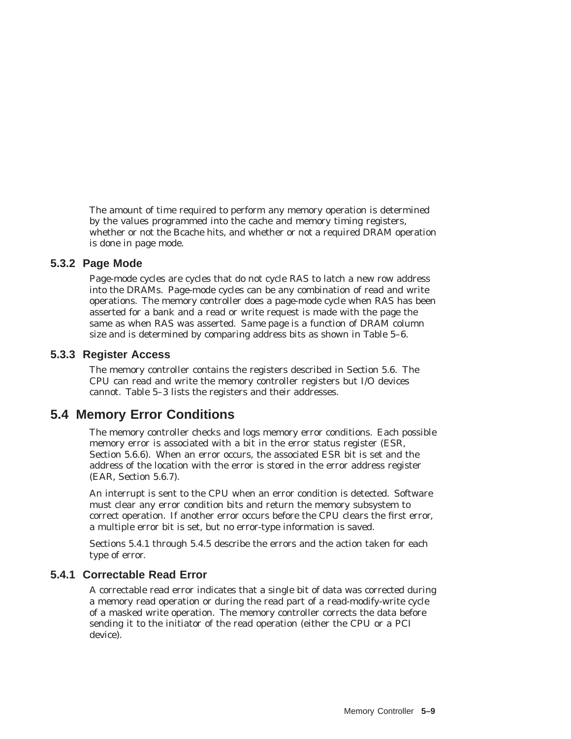The amount of time required to perform any memory operation is determined by the values programmed into the cache and memory timing registers, whether or not the Bcache hits, and whether or not a required DRAM operation is done in page mode.

### **5.3.2 Page Mode**

Page-mode cycles are cycles that do not cycle RAS to latch a new row address into the DRAMs. Page-mode cycles can be any combination of read and write operations. The memory controller does a page-mode cycle when RAS has been asserted for a bank and a read or write request is made with the page the same as when RAS was asserted. *Same page* is a function of DRAM column size and is determined by comparing address bits as shown in Table 5–6.

### **5.3.3 Register Access**

The memory controller contains the registers described in Section 5.6. The CPU can read and write the memory controller registers but I/O devices cannot. Table 5–3 lists the registers and their addresses.

# **5.4 Memory Error Conditions**

The memory controller checks and logs memory error conditions. Each possible memory error is associated with a bit in the error status register (ESR, Section 5.6.6). When an error occurs, the associated ESR bit is set and the address of the location with the error is stored in the error address register (EAR, Section 5.6.7).

An interrupt is sent to the CPU when an error condition is detected. Software must clear any error condition bits and return the memory subsystem to correct operation. If another error occurs before the CPU clears the first error, a multiple error bit is set, but no error-type information is saved.

Sections 5.4.1 through 5.4.5 describe the errors and the action taken for each type of error.

# **5.4.1 Correctable Read Error**

A correctable read error indicates that a single bit of data was corrected during a memory read operation or during the read part of a read-modify-write cycle of a masked write operation. The memory controller corrects the data before sending it to the initiator of the read operation (either the CPU or a PCI device).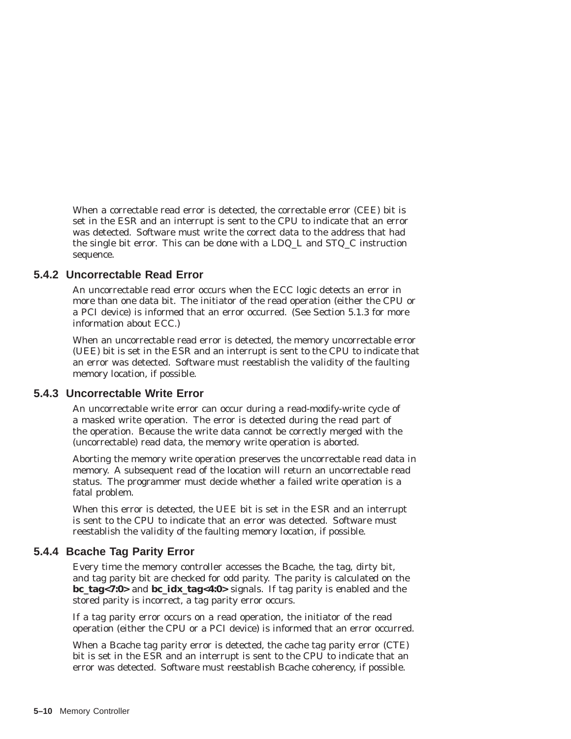When a correctable read error is detected, the correctable error (CEE) bit is set in the ESR and an interrupt is sent to the CPU to indicate that an error was detected. Software must write the correct data to the address that had the single bit error. This can be done with a LDQ\_L and STQ\_C instruction sequence.

### **5.4.2 Uncorrectable Read Error**

An uncorrectable read error occurs when the ECC logic detects an error in more than one data bit. The initiator of the read operation (either the CPU or a PCI device) is informed that an error occurred. (See Section 5.1.3 for more information about ECC.)

When an uncorrectable read error is detected, the memory uncorrectable error (UEE) bit is set in the ESR and an interrupt is sent to the CPU to indicate that an error was detected. Software must reestablish the validity of the faulting memory location, if possible.

### **5.4.3 Uncorrectable Write Error**

An uncorrectable write error can occur during a read-modify-write cycle of a masked write operation. The error is detected during the read part of the operation. Because the write data cannot be correctly merged with the (uncorrectable) read data, the memory write operation is aborted.

Aborting the memory write operation preserves the uncorrectable read data in memory. A subsequent read of the location will return an uncorrectable read status. The programmer must decide whether a failed write operation is a fatal problem.

When this error is detected, the UEE bit is set in the ESR and an interrupt is sent to the CPU to indicate that an error was detected. Software must reestablish the validity of the faulting memory location, if possible.

### **5.4.4 Bcache Tag Parity Error**

Every time the memory controller accesses the Bcache, the tag, dirty bit, and tag parity bit are checked for odd parity. The parity is calculated on the **bc\_tag<7:0>** and **bc\_idx\_tag<4:0>** signals. If tag parity is enabled and the stored parity is incorrect, a tag parity error occurs.

If a tag parity error occurs on a read operation, the initiator of the read operation (either the CPU or a PCI device) is informed that an error occurred.

When a Bcache tag parity error is detected, the cache tag parity error (CTE) bit is set in the ESR and an interrupt is sent to the CPU to indicate that an error was detected. Software must reestablish Bcache coherency, if possible.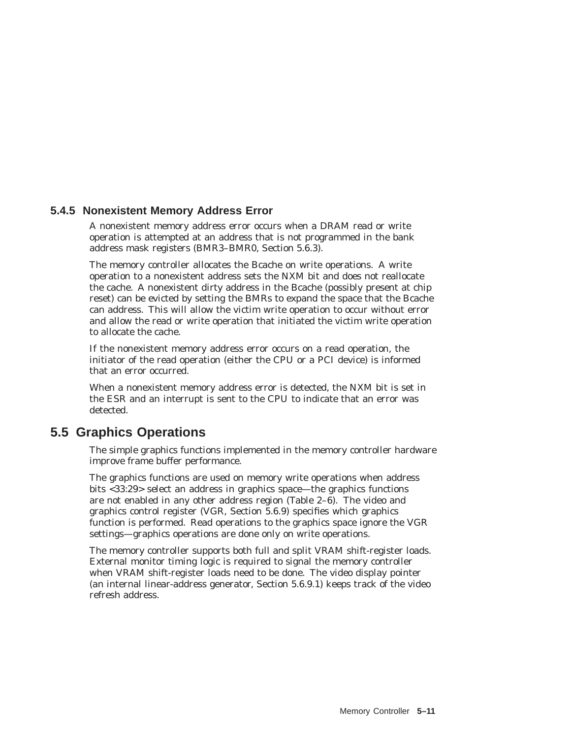### **5.4.5 Nonexistent Memory Address Error**

A nonexistent memory address error occurs when a DRAM read or write operation is attempted at an address that is not programmed in the bank address mask registers (BMR3–BMR0, Section 5.6.3).

The memory controller allocates the Bcache on write operations. A write operation to a nonexistent address sets the NXM bit and does not reallocate the cache. A nonexistent dirty address in the Bcache (possibly present at chip reset) can be evicted by setting the BMRs to expand the space that the Bcache can address. This will allow the victim write operation to occur without error and allow the read or write operation that initiated the victim write operation to allocate the cache.

If the nonexistent memory address error occurs on a read operation, the initiator of the read operation (either the CPU or a PCI device) is informed that an error occurred.

When a nonexistent memory address error is detected, the NXM bit is set in the ESR and an interrupt is sent to the CPU to indicate that an error was detected.

# **5.5 Graphics Operations**

The simple graphics functions implemented in the memory controller hardware improve frame buffer performance.

The graphics functions are used on memory write operations when address bits <33:29> select an address in graphics space—the graphics functions are not enabled in any other address region (Table 2–6). The video and graphics control register (VGR, Section 5.6.9) specifies which graphics function is performed. Read operations to the graphics space ignore the VGR settings—graphics operations are done only on write operations.

The memory controller supports both full and split VRAM shift-register loads. External monitor timing logic is required to signal the memory controller when VRAM shift-register loads need to be done. The video display pointer (an internal linear-address generator, Section 5.6.9.1) keeps track of the video refresh address.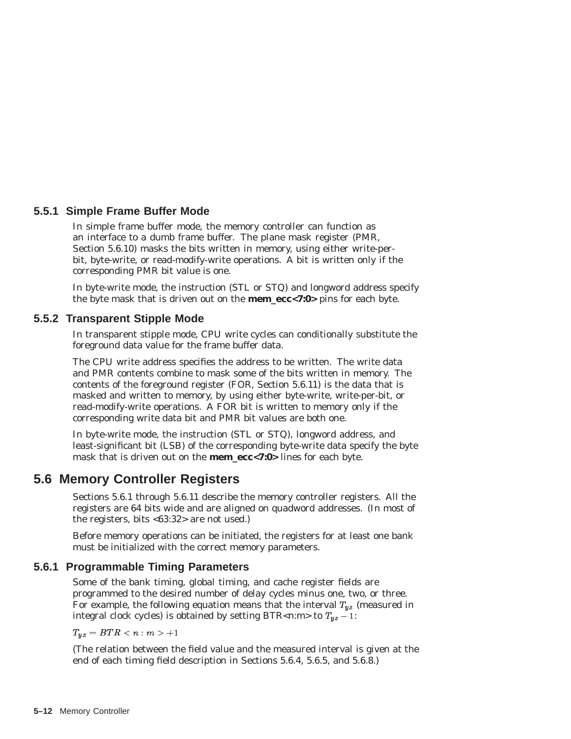### **5.5.1 Simple Frame Buffer Mode**

In simple frame buffer mode, the memory controller can function as an interface to a dumb frame buffer. The plane mask register (PMR, Section 5.6.10) masks the bits written in memory, using either write-perbit, byte-write, or read-modify-write operations. A bit is written only if the corresponding PMR bit value is one.

In byte-write mode, the instruction (STL or STQ) and longword address specify the byte mask that is driven out on the **mem\_ecc<7:0>** pins for each byte.

### **5.5.2 Transparent Stipple Mode**

In transparent stipple mode, CPU write cycles can conditionally substitute the foreground data value for the frame buffer data.

The CPU write address specifies the address to be written. The write data and PMR contents combine to mask some of the bits written in memory. The contents of the foreground register (FOR, Section 5.6.11) is the data that is masked and written to memory, by using either byte-write, write-per-bit, or read-modify-write operations. A FOR bit is written to memory only if the corresponding write data bit and PMR bit values are both one.

In byte-write mode, the instruction (STL or STQ), longword address, and least-significant bit (LSB) of the corresponding byte-write data specify the byte mask that is driven out on the **mem\_ecc<7:0>** lines for each byte.

# **5.6 Memory Controller Registers**

Sections 5.6.1 through 5.6.11 describe the memory controller registers. All the registers are 64 bits wide and are aligned on quadword addresses. (In most of the registers, bits <63:32> are not used.)

Before memory operations can be initiated, the registers for at least one bank must be initialized with the correct memory parameters.

### **5.6.1 Programmable Timing Parameters**

Some of the bank timing, global timing, and cache register fields are programmed to the desired number of delay cycles minus one, two, or three. For example, the following equation means that the interval  $T_{yz}$  (measured in integral clock cycles) is obtained by setting BTR<n:m> to  $T_{yz}$  – 1:

 $T_{yz} = BTR < n : m > +1$ 

(The relation between the field value and the measured interval is given at the end of each timing field description in Sections 5.6.4, 5.6.5, and 5.6.8.)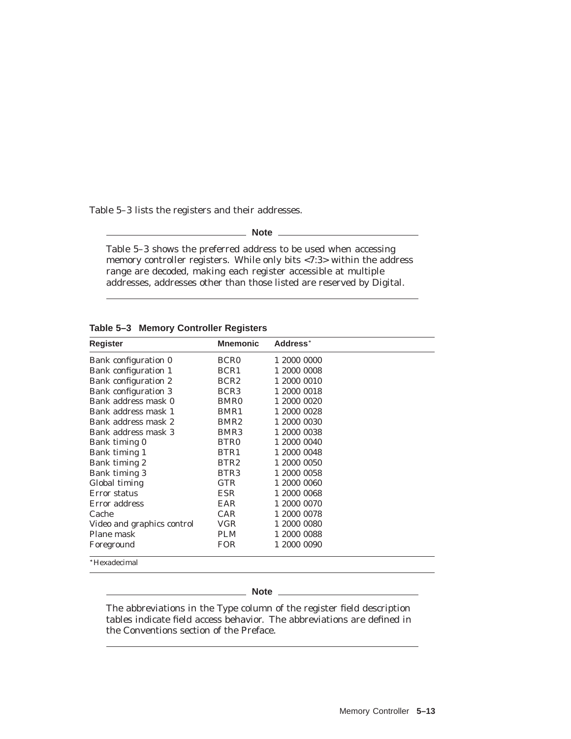Table 5–3 lists the registers and their addresses.

**Note**

Table 5–3 shows the preferred address to be used when accessing memory controller registers. While only bits <7:3> within the address range are decoded, making each register accessible at multiple addresses, addresses other than those listed are reserved by Digital.

**Table 5–3 Memory Controller Registers**

| Register                    | <b>Mnemonic</b>  | Address <sup>*</sup> |
|-----------------------------|------------------|----------------------|
|                             |                  |                      |
| Bank configuration 0        | <b>BCR0</b>      | 1 2000 0000          |
| Bank configuration 1        | BCR1             | 1 2000 0008          |
| Bank configuration 2        | BCR <sub>2</sub> | 1 2000 0010          |
| <b>Bank configuration 3</b> | BCR <sub>3</sub> | 1 2000 0018          |
| Bank address mask 0         | BMR <sub>0</sub> | 1 2000 0020          |
| Bank address mask 1         | BMR1             | 1 2000 0028          |
| Bank address mask 2         | BMR <sub>2</sub> | 1 2000 0030          |
| Bank address mask 3         | BMR <sub>3</sub> | 1 2000 0038          |
| Bank timing 0               | BTR <sub>0</sub> | 1 2000 0040          |
| Bank timing 1               | BTR1             | 1 2000 0048          |
| Bank timing 2               | BTR2             | 1 2000 0050          |
| Bank timing 3               | BTR <sub>3</sub> | 1 2000 0058          |
| Global timing               | <b>GTR</b>       | 1 2000 0060          |
| Error status                | ESR              | 1 2000 0068          |
| Error address               | EAR              | 1 2000 0070          |
| Cache                       | <b>CAR</b>       | 1 2000 0078          |
| Video and graphics control  | VGR              | 1 2000 0080          |
| Plane mask                  | <b>PLM</b>       | 1 2000 0088          |
| Foreground                  | <b>FOR</b>       | 1 2000 0090          |
| *Hexadecimal                |                  |                      |

**Note** 

The abbreviations in the Type column of the register field description tables indicate field access behavior. The abbreviations are defined in the Conventions section of the Preface.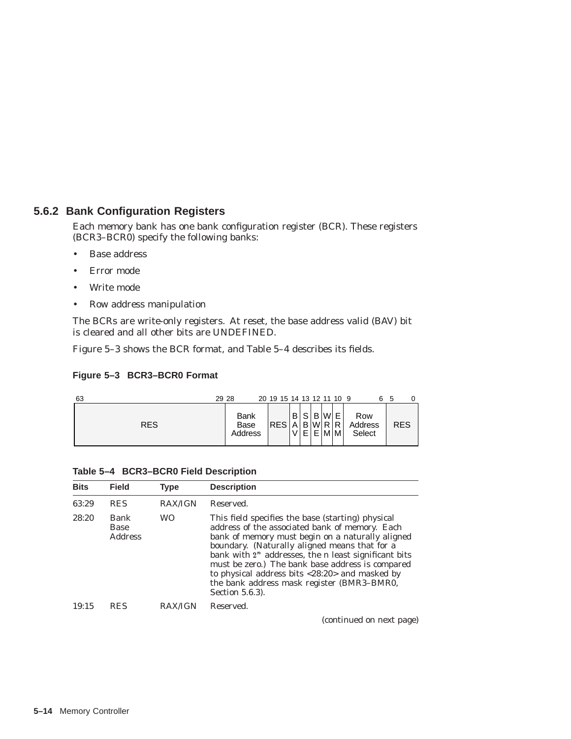## **5.6.2 Bank Configuration Registers**

Each memory bank has one bank configuration register (BCR). These registers (BCR3–BCR0) specify the following banks:

- Base address
- Error mode
- Write mode
- Row address manipulation

The BCRs are write-only registers. At reset, the base address valid (BAV) bit is cleared and all other bits are UNDEFINED.

Figure 5–3 shows the BCR format, and Table 5–4 describes its fields.

### **Figure 5–3 BCR3–BCR0 Format**

| 63         | 29 28                   | 20 19 15 14 13 12 11 10 9 |          |              |   |                     |             |                          | 5          |
|------------|-------------------------|---------------------------|----------|--------------|---|---------------------|-------------|--------------------------|------------|
| <b>RES</b> | Bank<br>Base<br>Address | <b>RESI</b>               | B l<br>A | S<br>В.<br>E | B | l Wl<br>IWIR I<br>M | Е<br>R<br>м | Row<br>Address<br>Select | <b>RES</b> |

|  |  | Table 5-4 BCR3-BCR0 Field Description |
|--|--|---------------------------------------|
|--|--|---------------------------------------|

| <b>Bits</b> | <b>Field</b>                          | <b>Type</b>    | <b>Description</b>                                                                                                                                                                                                                                                                                                                                                                                                                                  |
|-------------|---------------------------------------|----------------|-----------------------------------------------------------------------------------------------------------------------------------------------------------------------------------------------------------------------------------------------------------------------------------------------------------------------------------------------------------------------------------------------------------------------------------------------------|
| 63:29       | <b>RES</b>                            | <b>RAX/IGN</b> | Reserved.                                                                                                                                                                                                                                                                                                                                                                                                                                           |
| 28:20       | Bank<br><b>Base</b><br><b>Address</b> | <b>WO</b>      | This field specifies the base (starting) physical<br>address of the associated bank of memory. Each<br>bank of memory must begin on a naturally aligned<br>boundary. (Naturally aligned means that for a<br>bank with $2^n$ addresses, the <i>n</i> least significant bits<br>must be zero.) The bank base address is compared<br>to physical address bits $<28:20>$ and masked by<br>the bank address mask register (BMR3-BMR0,<br>Section 5.6.3). |
| 19:15       | <b>RES</b>                            | <b>RAX/IGN</b> | Reserved.<br>$\lambda$ $\lambda$ $\lambda$ $\lambda$                                                                                                                                                                                                                                                                                                                                                                                                |

(continued on next page)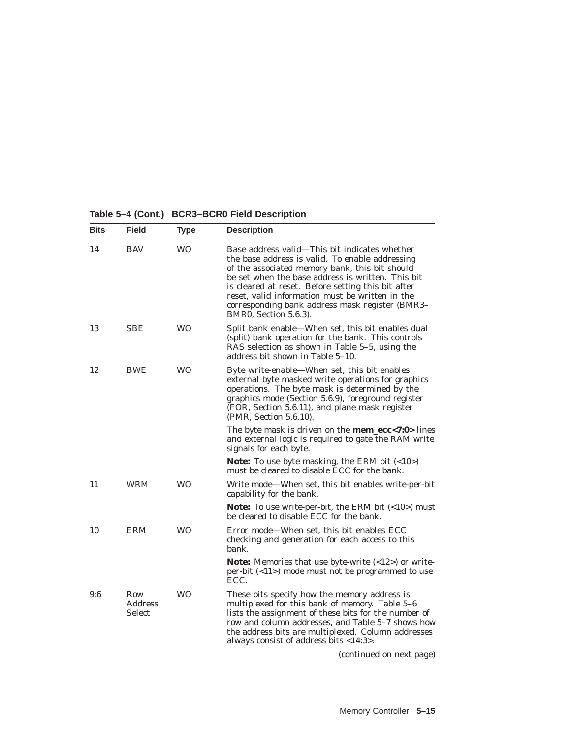# **Table 5–4 (Cont.) BCR3–BCR0 Field Description**

| <b>Bits</b> | <b>Field</b>                           | <b>Type</b> | <b>Description</b>                                                                                                                                                                                                                                                                                                                                                                           |
|-------------|----------------------------------------|-------------|----------------------------------------------------------------------------------------------------------------------------------------------------------------------------------------------------------------------------------------------------------------------------------------------------------------------------------------------------------------------------------------------|
| 14          | <b>BAV</b>                             | <b>WO</b>   | Base address valid-This bit indicates whether<br>the base address is valid. To enable addressing<br>of the associated memory bank, this bit should<br>be set when the base address is written. This bit<br>is cleared at reset. Before setting this bit after<br>reset, valid information must be written in the<br>corresponding bank address mask register (BMR3-<br>BMR0, Section 5.6.3). |
| 13          | <b>SBE</b>                             | <b>WO</b>   | Split bank enable-When set, this bit enables dual<br>(split) bank operation for the bank. This controls<br>RAS selection as shown in Table 5-5, using the<br>address bit shown in Table 5-10.                                                                                                                                                                                                |
| 12          | <b>BWE</b>                             | <b>WO</b>   | Byte write-enable—When set, this bit enables<br>external byte masked write operations for graphics<br>operations. The byte mask is determined by the<br>graphics mode (Section 5.6.9), foreground register<br>(FOR, Section 5.6.11), and plane mask register<br>(PMR, Section 5.6.10).                                                                                                       |
|             |                                        |             | The byte mask is driven on the <b>mem_ecc&lt;7:0&gt;</b> lines<br>and external logic is required to gate the RAM write<br>signals for each byte.                                                                                                                                                                                                                                             |
|             |                                        |             | Note: To use byte masking, the ERM bit $(<10>)$<br>must be cleared to disable ECC for the bank.                                                                                                                                                                                                                                                                                              |
| 11          | <b>WRM</b>                             | <b>WO</b>   | Write mode—When set, this bit enables write-per-bit<br>capability for the bank.                                                                                                                                                                                                                                                                                                              |
|             |                                        |             | Note: To use write-per-bit, the ERM bit $(<10)$ must<br>be cleared to disable ECC for the bank.                                                                                                                                                                                                                                                                                              |
| 10          | <b>ERM</b>                             | <b>WO</b>   | Error mode-When set, this bit enables ECC<br>checking and generation for each access to this<br>bank.                                                                                                                                                                                                                                                                                        |
|             |                                        |             | <b>Note:</b> Memories that use byte-write $($ <12> $)$ or write-<br>per-bit $(\langle 11 \rangle)$ mode must not be programmed to use<br>ECC.                                                                                                                                                                                                                                                |
| 9:6         | Row<br><b>Address</b><br><b>Select</b> | <b>WO</b>   | These bits specify how the memory address is<br>multiplexed for this bank of memory. Table 5-6<br>lists the assignment of these bits for the number of<br>row and column addresses, and Table 5-7 shows how<br>the address bits are multiplexed. Column addresses<br>always consist of address bits <14:3>.                                                                                  |
|             |                                        |             | (continued on next page)                                                                                                                                                                                                                                                                                                                                                                     |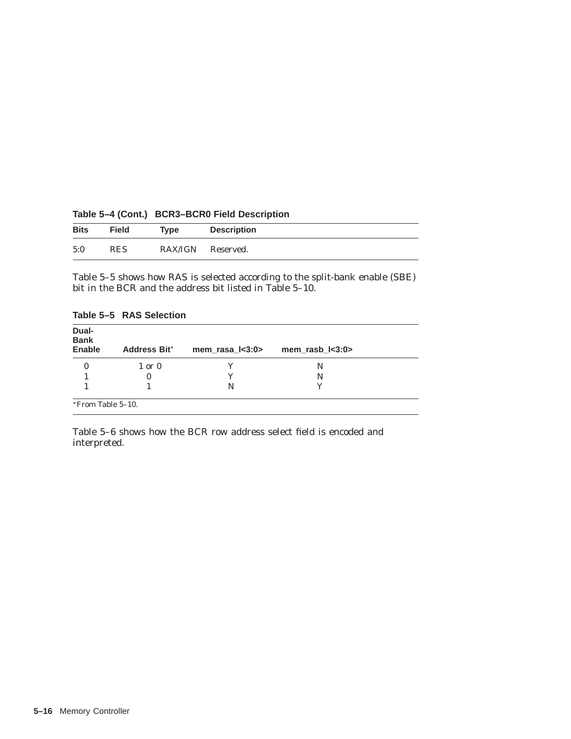|             |            |                   | the contract of the contract of the contract of the contract of the contract of the contract of the contract of |
|-------------|------------|-------------------|-----------------------------------------------------------------------------------------------------------------|
| <b>Bits</b> | Field      | <b>Type</b>       | <b>Description</b>                                                                                              |
| 5:0         | <b>RES</b> | RAX/IGN Reserved. |                                                                                                                 |

**Table 5–4 (Cont.) BCR3–BCR0 Field Description**

Table 5–5 shows how RAS is selected according to the split-bank enable (SBE) bit in the BCR and the address bit listed in Table 5–10.

| Dual-<br><b>Bank</b><br>Enable | <b>Address Bit*</b> | mem_rasa_l<3:0> | mem_rasb_l<3:0> |
|--------------------------------|---------------------|-----------------|-----------------|
|                                | $1$ or $0$          |                 | N               |
|                                | 0                   |                 | N               |
|                                |                     | N               |                 |

**Table 5–5 RAS Selection**

Table 5–6 shows how the BCR row address select field is encoded and interpreted.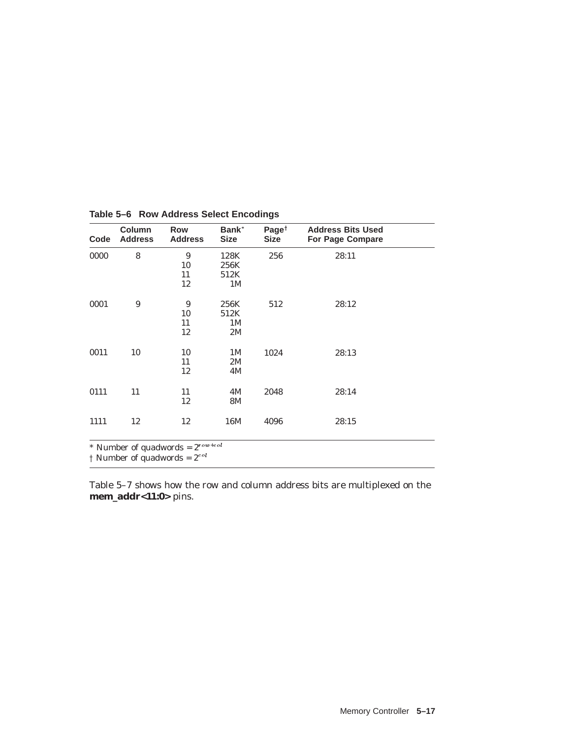| Code | Column<br><b>Address</b> | <b>Row</b><br><b>Address</b> | Bank*<br><b>Size</b> | Page <sup><math>\dagger</math></sup><br><b>Size</b> | <b>Address Bits Used</b><br><b>For Page Compare</b> |  |
|------|--------------------------|------------------------------|----------------------|-----------------------------------------------------|-----------------------------------------------------|--|
| 0000 | 8                        | 9                            | 128K                 | 256                                                 | 28:11                                               |  |
|      |                          | 10                           | 256K                 |                                                     |                                                     |  |
|      |                          | 11                           | 512K                 |                                                     |                                                     |  |
|      |                          | 12                           | 1 <sub>M</sub>       |                                                     |                                                     |  |
| 0001 | 9                        | 9                            | 256K                 | 512                                                 | 28:12                                               |  |
|      |                          | 10                           | 512K                 |                                                     |                                                     |  |
|      |                          | 11                           | 1M                   |                                                     |                                                     |  |
|      |                          | 12                           | 2M                   |                                                     |                                                     |  |
| 0011 | 10                       | 10                           | 1M                   | 1024                                                | 28:13                                               |  |
|      |                          | 11                           | 2M                   |                                                     |                                                     |  |
|      |                          | 12                           | 4M                   |                                                     |                                                     |  |
| 0111 | 11                       | 11                           | 4M                   | 2048                                                | 28:14                                               |  |
|      |                          | 12                           | 8M                   |                                                     |                                                     |  |
| 1111 | 12                       | 12                           | 16M                  | 4096                                                | 28:15                                               |  |

**Table 5–6 Row Address Select Encodings**

Table 5–7 shows how the row and column address bits are multiplexed on the **mem\_addr<11:0>** pins.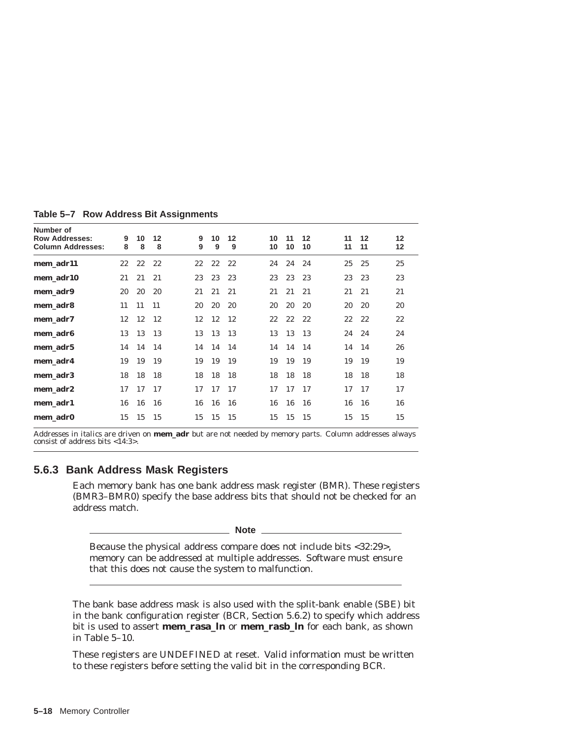| Number of<br><b>Row Addresses:</b><br><b>Column Addresses:</b> | 9<br>8    | 10<br>8 | 12<br>8 | 9<br>9 | 10<br>9 | 12<br>9       | 10<br>10 | 11<br>10 | 12<br>10 | 11<br>11 | 12<br>11 | $12 \overline{ }$<br>$12 \,$ |
|----------------------------------------------------------------|-----------|---------|---------|--------|---------|---------------|----------|----------|----------|----------|----------|------------------------------|
| mem_adr11                                                      | 22        | 22      | 22      | 22     | 22      | 22            | 24       | 24       | 24       | 25       | 25       | 25                           |
| mem adr10                                                      | 21        | 21      | 21      | 23     | 23      | 23            | 23       | 23       | 23       | 23       | 23       | 23                           |
| mem_adr9                                                       | <i>20</i> | 20      | 20      | 21     | 21      | 21            | 21       | 21       | 21       | 21       | 21       | 21                           |
| mem_adr8                                                       | 11        | 11      | 11      | 20     | 20      | - 20          | 20       | 20       | 20       | 20       | 20       | 20                           |
| mem_adr7                                                       | 12        | 12      | -12     | 12     | 12      | <sup>12</sup> | 22       | 22       | 22       | $22\,$   | 22       | $22\,$                       |
| mem_adr6                                                       | 13        | 13      | 13      | 13     | 13      | -13           | 13       | 13       | 13       | 24       | 24       | 24                           |
| mem_adr5                                                       | 14        | 14 14   |         | 14     | 14 14   |               | 14       | 14       | 14       | 14       | 14       | 26                           |
| mem adr4                                                       | 19        | 19      | 19      | 19     | 19      | 19            | 19       | 19       | 19       | 19       | 19       | 19                           |
| mem_adr3                                                       | 18        | 18      | 18      | 18     | 18      | - 18          | 18       | 18       | 18       | 18       | 18       | 18                           |
| mem_adr2                                                       | 17        | 17      | 17      | 17     | 17      | 17            | 17       | 17       | 17       | 17       | 17       | 17                           |
| mem adr1                                                       | 16        | 16      | 16      | 16     | 16      | 16            | 16       | 16       | 16       | 16       | 16       | 16                           |
| mem_adr0                                                       | 15        | 15      | 15      | 15     | 15      | 15            | 15       | 15       | 15       | 15       | 15       | 15                           |

**Table 5–7 Row Address Bit Assignments**

Addresses in *italics* are driven on **mem\_adr** but are not needed by memory parts. Column addresses always consist of address bits <14:3>.

## **5.6.3 Bank Address Mask Registers**

Each memory bank has one bank address mask register (BMR). These registers (BMR3–BMR0) specify the base address bits that should *not* be checked for an address match.

**Note**

Because the physical address compare does not include bits <32:29>, memory can be addressed at multiple addresses. Software must ensure that this does not cause the system to malfunction.

The bank base address mask is also used with the split-bank enable (SBE) bit in the bank configuration register (BCR, Section 5.6.2) to specify which address bit is used to assert **mem\_rasa\_l***n* or **mem\_rasb\_l***n* for each bank, as shown in Table 5–10.

These registers are UNDEFINED at reset. Valid information must be written to these registers before setting the valid bit in the corresponding BCR.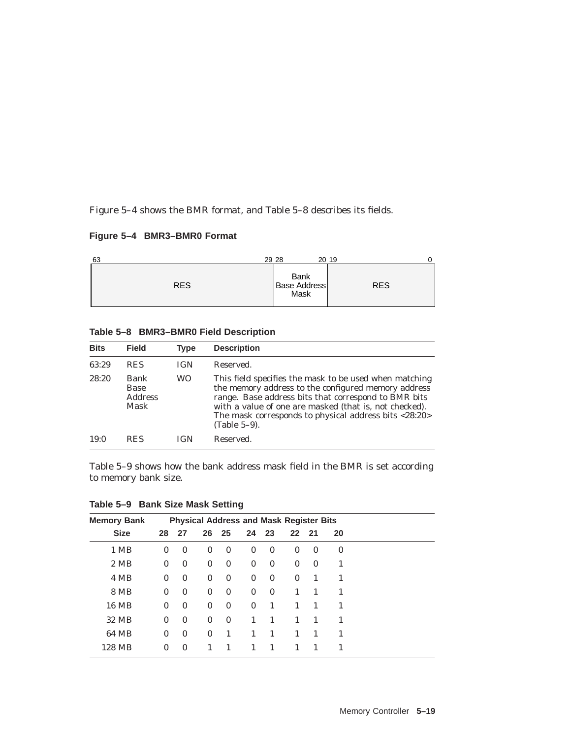Figure 5–4 shows the BMR format, and Table 5–8 describes its fields.

## **Figure 5–4 BMR3–BMR0 Format**



|  |  |  |  | Table 5-8 BMR3-BMR0 Field Description |
|--|--|--|--|---------------------------------------|
|--|--|--|--|---------------------------------------|

| <b>Bits</b> | <b>Field</b>                           | <b>Type</b> | <b>Description</b>                                                                                                                                                                                                                                                                                       |
|-------------|----------------------------------------|-------------|----------------------------------------------------------------------------------------------------------------------------------------------------------------------------------------------------------------------------------------------------------------------------------------------------------|
| 63:29       | <b>RES</b>                             | <b>IGN</b>  | Reserved.                                                                                                                                                                                                                                                                                                |
| 28:20       | Bank<br>Base<br><b>Address</b><br>Mask | WO          | This field specifies the mask to be used when matching<br>the memory address to the configured memory address<br>range. Base address bits that correspond to BMR bits<br>with a value of one are masked (that is, not checked).<br>The mask corresponds to physical address bits <28:20><br>(Table 5-9). |
| 19:0        | <b>RES</b>                             | IGN         | Reserved.                                                                                                                                                                                                                                                                                                |

Table 5–9 shows how the bank address mask field in the BMR is set according to memory bank size.

| <b>Memory Bank</b> | <b>Physical Address and Mask Register Bits</b> |              |              |              |              |              |              |                |              |
|--------------------|------------------------------------------------|--------------|--------------|--------------|--------------|--------------|--------------|----------------|--------------|
| <b>Size</b>        | 28                                             | 27           | 26           | 25           | 24 23        |              | 22           | 21             | 20           |
| 1 MB               | $\bf{0}$                                       | $\mathbf{0}$ | $\bf{0}$     | $\bf{0}$     | $\bf{0}$     | $\mathbf{0}$ | $\bf{0}$     | $\mathbf{0}$   | $\bf{0}$     |
| 2 MB               | $\mathbf{0}$                                   | $\bf{0}$     | $\bf{0}$     | $\bf{0}$     | $\bf{0}$     | $\bf{0}$     | $\mathbf{0}$ | $\mathbf{0}$   | 1            |
| 4 MB               | $\mathbf{0}$                                   | $\mathbf{0}$ | $\bf{0}$     | $\bf{0}$     | $\mathbf{0}$ | $\mathbf{0}$ | $\mathbf{0}$ | $\mathbf{1}$   | $\mathbf{1}$ |
| 8 MB               | $\theta$                                       | $\mathbf{0}$ | $\bf{0}$     | $\bf{0}$     | $\mathbf{0}$ | $\mathbf{0}$ | $\mathbf{1}$ | $\overline{1}$ | 1            |
| <b>16 MB</b>       | $\mathbf{0}$                                   | $\mathbf{0}$ | $\bf{0}$     | $\bf{0}$     | $\mathbf{0}$ | -1           | $\mathbf{1}$ | $\overline{1}$ | 1            |
| 32 MB              | $\mathbf{0}$                                   | $\mathbf{0}$ | $\bf{0}$     | $\mathbf{0}$ | 1            | 1            | 1            | $\overline{1}$ | $\mathbf{1}$ |
| 64 MB              | $\mathbf{0}$                                   | $\mathbf{0}$ | $\mathbf{0}$ | $\mathbf{1}$ | $\mathbf{1}$ | $\mathbf{1}$ | $\mathbf{1}$ | $\overline{1}$ | 1            |
| 128 MB             | $\mathbf{0}$                                   | $\mathbf{0}$ | 1            | 1            | 1            | 1            | 1            | $\mathbf{1}$   | 1            |

**Table 5–9 Bank Size Mask Setting**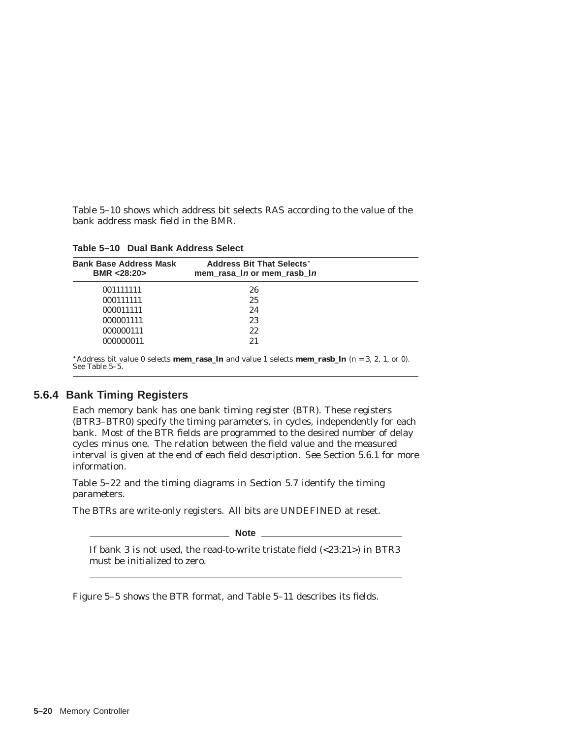Table 5–10 shows which address bit selects RAS according to the value of the bank address mask field in the BMR.

**Table 5–10 Dual Bank Address Select**

| <b>Bank Base Address Mask</b><br>BMR <28:20> | <b>Address Bit That Selects*</b><br>mem rasa In or mem rasb In |  |
|----------------------------------------------|----------------------------------------------------------------|--|
| 001111111                                    | 26                                                             |  |
| 000111111                                    | 25                                                             |  |
| 000011111                                    | 24                                                             |  |
| 000001111                                    | 23                                                             |  |
| 000000111                                    | 22                                                             |  |
| 000000011                                    | 21                                                             |  |

\*Address bit value 0 selects **mem\_rasa\_l***n* and value 1 selects **mem\_rasb\_l***n* ( $n = 3, 2, 1$ , or 0). See Table 5–5.

### **5.6.4 Bank Timing Registers**

Each memory bank has one bank timing register (BTR). These registers (BTR3–BTR0) specify the timing parameters, in cycles, independently for each bank. Most of the BTR fields are programmed to the desired number of delay cycles minus one. The relation between the field value and the measured interval is given at the end of each field description. See Section 5.6.1 for more information.

Table 5–22 and the timing diagrams in Section 5.7 identify the timing parameters.

The BTRs are write-only registers. All bits are UNDEFINED at reset.

**Note**

If bank 3 is not used, the read-to-write tristate field (<23:21>) in BTR3 must be initialized to zero.

Figure 5–5 shows the BTR format, and Table 5–11 describes its fields.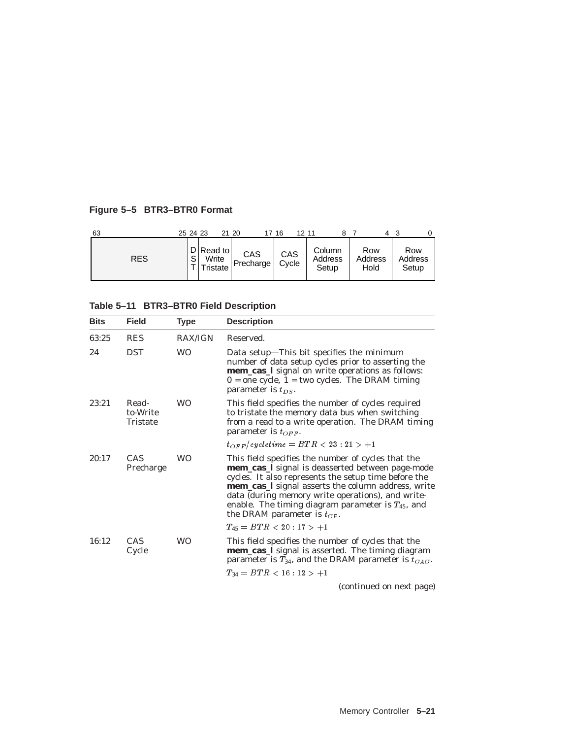## **Figure 5–5 BTR3–BTR0 Format**

| 63         | 25 24 23 |                                  | 21 20            | 17 16        | 12 11 |                            |                        |                         |
|------------|----------|----------------------------------|------------------|--------------|-------|----------------------------|------------------------|-------------------------|
| <b>RES</b> | S        | D Read to <br>Write<br>Tristate, | CAS<br>Precharge | CAS<br>Cycle |       | Column<br>Address<br>Setup | Row<br>Address<br>Hold | Row<br>Address<br>Setup |

# **Table 5–11 BTR3–BTR0 Field Description**

| <b>Bits</b> | <b>Field</b>                         | Type           | <b>Description</b>                                                                                                                                                                                                                                                                                                                                                      |
|-------------|--------------------------------------|----------------|-------------------------------------------------------------------------------------------------------------------------------------------------------------------------------------------------------------------------------------------------------------------------------------------------------------------------------------------------------------------------|
| 63:25       | <b>RES</b>                           | <b>RAX/IGN</b> | Reserved.                                                                                                                                                                                                                                                                                                                                                               |
| 24          | <b>DST</b>                           | <b>WO</b>      | Data setup—This bit specifies the minimum<br>number of data setup cycles prior to asserting the<br>mem_cas_l signal on write operations as follows:<br>$0 =$ one cycle, $1 =$ two cycles. The DRAM timing<br>parameter is $t_{DS}$ .                                                                                                                                    |
| 23:21       | Read-<br>to-Write<br><b>Tristate</b> | <b>WO</b>      | This field specifies the number of cycles required<br>to tristate the memory data bus when switching<br>from a read to a write operation. The DRAM timing<br>parameter is $t_{OFF}$ .                                                                                                                                                                                   |
|             |                                      |                | $t_{OFF}/cyclic time = BTR < 23: 21 > +1$                                                                                                                                                                                                                                                                                                                               |
| 20:17       | CAS<br>Precharge                     | <b>WO</b>      | This field specifies the number of cycles that the<br>mem_cas_l signal is deasserted between page-mode<br>cycles. It also represents the setup time before the<br>mem_cas_I signal asserts the column address, write<br>data (during memory write operations), and write-<br>enable. The timing diagram parameter is $T_{45}$ , and<br>the DRAM parameter is $t_{CP}$ . |
|             |                                      |                | $T_{45} = BTR < 20:17 > +1$                                                                                                                                                                                                                                                                                                                                             |
| 16:12       | <b>CAS</b><br>Cycle                  | <b>WO</b>      | This field specifies the number of cycles that the<br>mem_cas_l signal is asserted. The timing diagram<br>parameter is $T_{34}$ , and the DRAM parameter is $t_{CAC}$ .                                                                                                                                                                                                 |
|             |                                      |                | $T_{34} = BTR < 16:12>+1$                                                                                                                                                                                                                                                                                                                                               |
|             |                                      |                | (continued on next nage)                                                                                                                                                                                                                                                                                                                                                |

(continued on next page)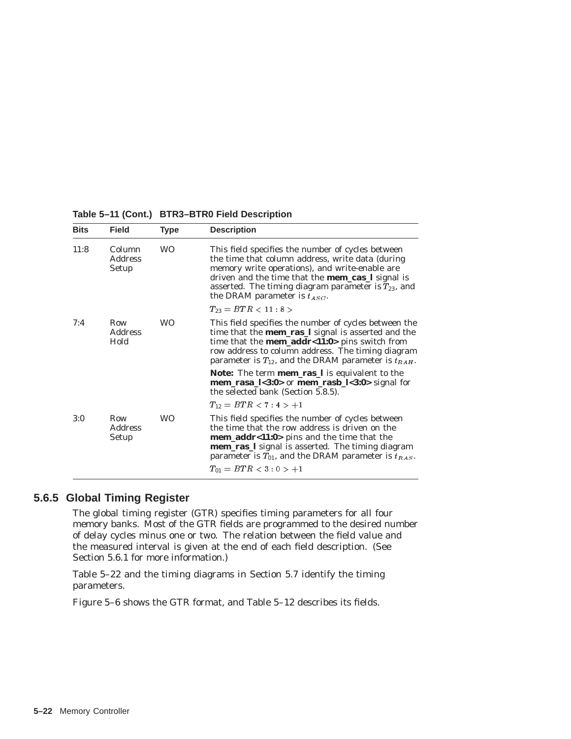| <b>Bits</b> | <b>Field</b>                      | <b>Type</b> | <b>Description</b>                                                                                                                                                                                                                                                                                                  |
|-------------|-----------------------------------|-------------|---------------------------------------------------------------------------------------------------------------------------------------------------------------------------------------------------------------------------------------------------------------------------------------------------------------------|
| 11:8        | Column<br><b>Address</b><br>Setup | <b>WO</b>   | This field specifies the number of cycles between<br>the time that column address, write data (during<br>memory write operations), and write-enable are<br>driven and the time that the <b>mem_cas_l</b> signal is<br>asserted. The timing diagram parameter is $T_{23}$ , and<br>the DRAM parameter is $t_{ASC}$ . |
|             |                                   |             | $T_{23} = BTR < 11:8>$                                                                                                                                                                                                                                                                                              |
| 7:4         | Row<br><b>Address</b><br>Hold     | <b>WO</b>   | This field specifies the number of cycles between the<br>time that the <b>mem_ras_l</b> signal is asserted and the<br>time that the <b>mem_addr&lt;11:0</b> > pins switch from<br>row address to column address. The timing diagram<br>parameter is $T_{12}$ , and the DRAM parameter is $t_{RAH}$ .                |
|             |                                   |             | Note: The term mem_ras_l is equivalent to the<br>mem_rasa_l<3:0> or mem_rasb_l<3:0> signal for<br>the selected bank (Section 5.8.5).                                                                                                                                                                                |
|             |                                   |             | $T_{12} = BTR < 7:4> +1$                                                                                                                                                                                                                                                                                            |
| 3:0         | Row<br><b>Address</b><br>Setup    | <b>WO</b>   | This field specifies the number of cycles between<br>the time that the row address is driven on the<br><b>mem_addr&lt;11:0&gt;</b> pins and the time that the<br>mem_ras_l signal is asserted. The timing diagram<br>parameter is $T_{01}$ , and the DRAM parameter is $t_{RAS}$ .<br>$T_{01} = BTR < 3:0 > +1$     |
|             |                                   |             |                                                                                                                                                                                                                                                                                                                     |

#### **Table 5–11 (Cont.) BTR3–BTR0 Field Description**

### **5.6.5 Global Timing Register**

The global timing register (GTR) specifies timing parameters for all four memory banks. Most of the GTR fields are programmed to the desired number of delay cycles minus one or two. The relation between the field value and the measured interval is given at the end of each field description. (See Section 5.6.1 for more information.)

Table 5–22 and the timing diagrams in Section 5.7 identify the timing parameters.

Figure 5–6 shows the GTR format, and Table 5–12 describes its fields.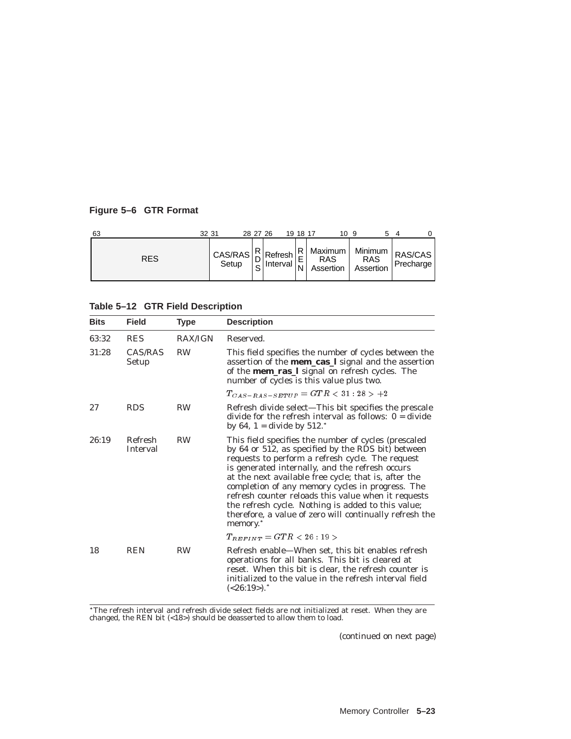## **Figure 5–6 GTR Format**

| 63         | 32 31 |  | 28 27 26 | 19 18 17 |  | 109                            |  |
|------------|-------|--|----------|----------|--|--------------------------------|--|
| <b>RES</b> |       |  |          |          |  | RAS RAS<br>Assertion Assertion |  |

### **Table 5–12 GTR Field Description**

| <b>Bits</b> | <b>Field</b>               | <b>Type</b>    | <b>Description</b>                                                                                                                                                                                                                                                                                                                                                                                                                                                                                                            |
|-------------|----------------------------|----------------|-------------------------------------------------------------------------------------------------------------------------------------------------------------------------------------------------------------------------------------------------------------------------------------------------------------------------------------------------------------------------------------------------------------------------------------------------------------------------------------------------------------------------------|
| 63:32       | <b>RES</b>                 | <b>RAX/IGN</b> | Reserved.                                                                                                                                                                                                                                                                                                                                                                                                                                                                                                                     |
| 31:28       | CAS/RAS<br>Setup           | <b>RW</b>      | This field specifies the number of cycles between the<br>assertion of the <b>mem_cas_l</b> signal and the assertion<br>of the <b>mem_ras_l</b> signal on refresh cycles. The<br>number of cycles is this value plus two.                                                                                                                                                                                                                                                                                                      |
|             |                            |                | $T_{CAS-RAS-SETUP} = GTR < 31:28 > +2$                                                                                                                                                                                                                                                                                                                                                                                                                                                                                        |
| 27          | <b>RDS</b>                 | <b>RW</b>      | Refresh divide select-This bit specifies the prescale<br>divide for the refresh interval as follows: $0 = \text{divide}$<br>by 64, $1 = \text{divide by } 512.$ *                                                                                                                                                                                                                                                                                                                                                             |
| 26:19       | Refresh<br><b>Interval</b> | <b>RW</b>      | This field specifies the number of cycles (prescaled<br>by 64 or 512, as specified by the RDS bit) between<br>requests to perform a refresh cycle. The request<br>is generated internally, and the refresh occurs<br>at the next available free cycle; that is, after the<br>completion of any memory cycles in progress. The<br>refresh counter reloads this value when it requests<br>the refresh cycle. Nothing is added to this value;<br>therefore, a value of zero will continually refresh the<br>memory. <sup>*</sup> |
|             |                            |                | $T_{REFINT} = GTR < 26:19>$                                                                                                                                                                                                                                                                                                                                                                                                                                                                                                   |
| 18          | <b>REN</b>                 | <b>RW</b>      | Refresh enable—When set, this bit enables refresh<br>operations for all banks. This bit is cleared at<br>reset. When this bit is clear, the refresh counter is<br>initialized to the value in the refresh interval field<br>$(<26:19)$ .                                                                                                                                                                                                                                                                                      |

 $^*$ The refresh interval and refresh divide select fields are not initialized at reset. When they are changed, the REN bit (<18>) should be deasserted to allow them to load.

(continued on next page)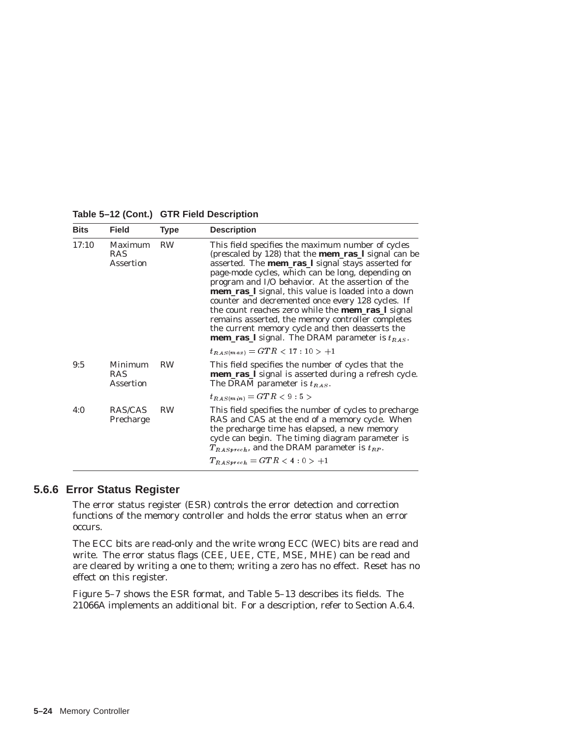| <b>Bits</b> | <b>Field</b>                              | <b>Type</b> | <b>Description</b>                                                                                                                                                                                                                                                                                                                                                                                                                                                                                                                                                                                                                 |
|-------------|-------------------------------------------|-------------|------------------------------------------------------------------------------------------------------------------------------------------------------------------------------------------------------------------------------------------------------------------------------------------------------------------------------------------------------------------------------------------------------------------------------------------------------------------------------------------------------------------------------------------------------------------------------------------------------------------------------------|
| 17:10       | Maximum<br><b>RAS</b><br><b>Assertion</b> | <b>RW</b>   | This field specifies the maximum number of cycles<br>(prescaled by 128) that the <b>mem_ras_l</b> signal can be<br>asserted. The <b>mem_ras_l</b> signal stays asserted for<br>page-mode cycles, which can be long, depending on<br>program and I/O behavior. At the assertion of the<br>mem_ras_l signal, this value is loaded into a down<br>counter and decremented once every 128 cycles. If<br>the count reaches zero while the <b>mem_ras_l</b> signal<br>remains asserted, the memory controller completes<br>the current memory cycle and then deasserts the<br><b>mem_ras_l</b> signal. The DRAM parameter is $t_{RAS}$ . |
|             |                                           |             | $t_{RAS(max)} = GTR < 17:10 > +1$                                                                                                                                                                                                                                                                                                                                                                                                                                                                                                                                                                                                  |
| 9:5         | Minimum<br><b>RAS</b><br>Assertion        | <b>RW</b>   | This field specifies the number of cycles that the<br>mem_ras_l signal is asserted during a refresh cycle.<br>The DRAM parameter is $t_{RAS}$ .                                                                                                                                                                                                                                                                                                                                                                                                                                                                                    |
|             |                                           |             | $t_{RAS(m in)} = GTR < 9:5>$                                                                                                                                                                                                                                                                                                                                                                                                                                                                                                                                                                                                       |
| 4:0         | RAS/CAS<br>Precharge                      | <b>RW</b>   | This field specifies the number of cycles to precharge<br>RAS and CAS at the end of a memory cycle. When<br>the precharge time has elapsed, a new memory<br>cycle can begin. The timing diagram parameter is<br>$T_{RAS\,prec h}$ , and the DRAM parameter is $t_{RP}$ .<br>$T_{RAS\,prec} = GTR < 4:0 > +1$                                                                                                                                                                                                                                                                                                                       |

**Table 5–12 (Cont.) GTR Field Description**

### **5.6.6 Error Status Register**

The error status register (ESR) controls the error detection and correction functions of the memory controller and holds the error status when an error occurs.

The ECC bits are read-only and the write wrong ECC (WEC) bits are read and write. The error status flags (CEE, UEE, CTE, MSE, MHE) can be read and are cleared by writing a one to them; writing a zero has no effect. Reset has no effect on this register.

Figure 5–7 shows the ESR format, and Table 5–13 describes its fields. The 21066A implements an additional bit. For a description, refer to Section A.6.4.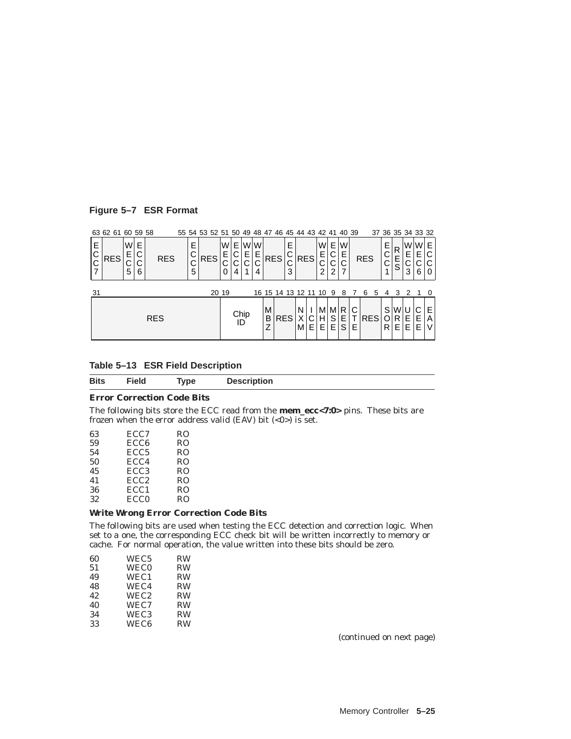### **Figure 5–7 ESR Format**

|             | 63 62 61 60 59 58 |             |                       |            |                            | 55 54 53 52 51 50 49 48 47 46 45 44 43 42 41 40 39 |                  |         |             |                   |                      |                       |         |            |                       |                       |                  |        |            |   |             |             | 37 36 35 34 33 32 |        |        |
|-------------|-------------------|-------------|-----------------------|------------|----------------------------|----------------------------------------------------|------------------|---------|-------------|-------------------|----------------------|-----------------------|---------|------------|-----------------------|-----------------------|------------------|--------|------------|---|-------------|-------------|-------------------|--------|--------|
| Е<br>С<br>C | <b>RES</b>        | W<br>◡<br>5 | E<br>С<br>⌒<br>ັ<br>6 | <b>RES</b> | Е<br>⌒<br>◡<br>⌒<br>◡<br>5 | <b>RES</b>                                         | W<br>Е<br>◡<br>0 | E.<br>4 | Е<br>U<br>4 | WW<br>E<br>C<br>4 | <b>RES</b>           | E<br>⌒<br>⌒<br>U<br>3 |         | <b>RES</b> | W<br>E<br>⌒<br>U<br>2 | Е<br>С<br>⌒<br>◡<br>2 | W<br>Е<br>$\sim$ |        | <b>RES</b> |   | Е<br>С      | R<br>E<br>S | W<br>E<br>3       | W<br>6 | E<br>0 |
| 31          |                   |             |                       |            |                            |                                                    | 20 19            |         |             |                   | 16 15 14 13 12 11 10 |                       |         |            |                       | -9                    | 8                |        | 6          | 5 | 4           | 3           | 2                 |        |        |
|             |                   |             |                       | <b>RES</b> |                            |                                                    |                  | ID      | Chip        |                   | M<br>B<br>Z          | <b>RES</b>            | N<br>МI | E.         | М<br>н<br>Е           | M R<br>S<br>Е         | E<br>S           | С<br>E | <b>RES</b> |   | S<br>O<br>R | W<br>R<br>Е | Е<br>Е            | E<br>E | Е<br>А |

| Table 5-13 ESR Field Description |
|----------------------------------|
|----------------------------------|

| <b>Bits</b> | <b>Field</b>                      | Tvpe | <b>Description</b> |
|-------------|-----------------------------------|------|--------------------|
|             | <b>Error Correction Code Bits</b> |      |                    |

The following bits store the ECC read from the **mem\_ecc<7:0>** pins. These bits are frozen when the error address valid (EAV) bit  $(<0)$ ) is set.

| 63 | ECC7             | RO             |
|----|------------------|----------------|
| 59 | ECC <sub>6</sub> | R <sub>O</sub> |
| 54 | ECC <sub>5</sub> | R <sub>O</sub> |
| 50 | ECC4             | R <sub>O</sub> |
| 45 | ECC <sub>3</sub> | R <sub>O</sub> |
| 41 | ECC <sub>2</sub> | R <sub>O</sub> |
| 36 | ECC <sub>1</sub> | R <sub>O</sub> |
| 32 | ECC <sub>0</sub> | R <sub>O</sub> |

#### **Write Wrong Error Correction Code Bits**

The following bits are used when testing the ECC detection and correction logic. When set to a one, the corresponding ECC check bit will be written incorrectly to memory or cache. For normal operation, the value written into these bits should be zero.

| 60 | WEC <sub>5</sub> | <b>RW</b> |
|----|------------------|-----------|
| 51 | <b>WEC0</b>      | <b>RW</b> |
| 49 | WEC1             | <b>RW</b> |
| 48 | WEC4             | <b>RW</b> |
| 42 | WEC <sub>2</sub> | <b>RW</b> |
| 40 | WEC7             | <b>RW</b> |
| 34 | WEC <sub>3</sub> | <b>RW</b> |
| 33 | WEC <sub>6</sub> | <b>RW</b> |
|    |                  |           |

(continued on next page)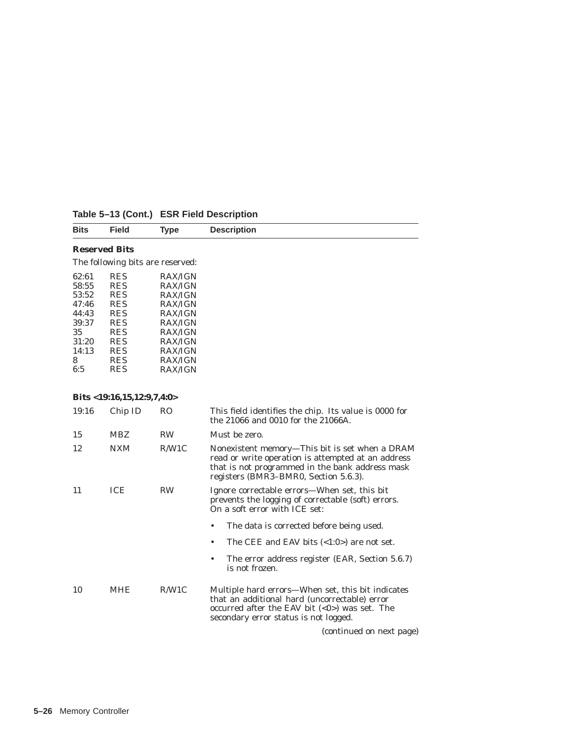| <b>Bits</b>                      | Field                | Type | <b>Description</b> |  |  |
|----------------------------------|----------------------|------|--------------------|--|--|
|                                  | <b>Reserved Bits</b> |      |                    |  |  |
| The following bits are reserved: |                      |      |                    |  |  |

| 62:61 | <b>RES</b> | <b>RAX/IGN</b> |
|-------|------------|----------------|
| 58:55 | <b>RES</b> | <b>RAX/IGN</b> |
| 53:52 | <b>RES</b> | <b>RAX/IGN</b> |
| 47:46 | <b>RES</b> | <b>RAX/IGN</b> |
| 44:43 | <b>RES</b> | <b>RAX/IGN</b> |
| 39:37 | <b>RES</b> | <b>RAX/IGN</b> |
| 35    | <b>RES</b> | <b>RAX/IGN</b> |
| 31:20 | <b>RES</b> | <b>RAX/IGN</b> |
| 14:13 | <b>RES</b> | <b>RAX/IGN</b> |
| 8     | <b>RES</b> | <b>RAX/IGN</b> |
| 6:5   | <b>RES</b> | <b>RAX/IGN</b> |

### **Bits <19:16,15,12:9,7,4:0>**

| 19:16 | Chip ID    | RO        | This field identifies the chip. Its value is 0000 for<br>the 21066 and 0010 for the 21066A.                                                                                                      |
|-------|------------|-----------|--------------------------------------------------------------------------------------------------------------------------------------------------------------------------------------------------|
| 15    | <b>MBZ</b> | <b>RW</b> | Must be zero.                                                                                                                                                                                    |
| 12    | <b>NXM</b> | R/W1C     | Nonexistent memory-This bit is set when a DRAM<br>read or write operation is attempted at an address<br>that is not programmed in the bank address mask<br>registers (BMR3–BMR0, Section 5.6.3). |
| 11    | ICE        | <b>RW</b> | Ignore correctable errors—When set, this bit<br>prevents the logging of correctable (soft) errors.<br>On a soft error with ICE set:                                                              |
|       |            |           | The data is corrected before being used.<br>٠                                                                                                                                                    |
|       |            |           | The CEE and EAV bits $\langle 1:0 \rangle$ are not set.<br>٠                                                                                                                                     |
|       |            |           | The error address register (EAR, Section 5.6.7)<br>٠<br>is not frozen.                                                                                                                           |
| 10    | <b>MHE</b> | R/W1C     | Multiple hard errors—When set, this bit indicates<br>that an additional hard (uncorrectable) error<br>occurred after the EAV bit $(0)$ was set. The<br>secondary error status is not logged.     |
|       |            |           | (continued on next page)                                                                                                                                                                         |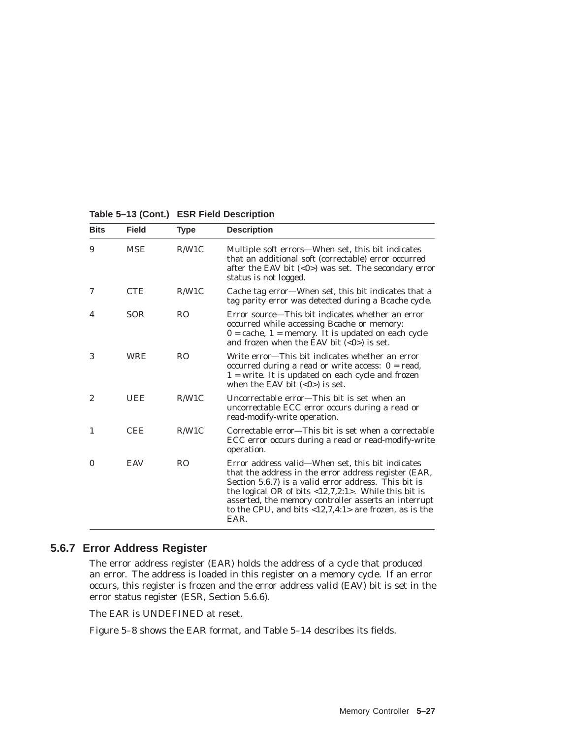| <b>Bits</b>    | <b>Field</b> | <b>Type</b>    | <b>Description</b>                                                                                                                                                                                                                                                                                                                                    |
|----------------|--------------|----------------|-------------------------------------------------------------------------------------------------------------------------------------------------------------------------------------------------------------------------------------------------------------------------------------------------------------------------------------------------------|
| 9              | <b>MSE</b>   | R/W1C          | Multiple soft errors-When set, this bit indicates<br>that an additional soft (correctable) error occurred<br>after the EAV bit $(0) was set. The secondary error$<br>status is not logged.                                                                                                                                                            |
| 7              | <b>CTE</b>   | R/W1C          | Cache tag error—When set, this bit indicates that a<br>tag parity error was detected during a Bcache cycle.                                                                                                                                                                                                                                           |
| 4              | <b>SOR</b>   | R <sub>O</sub> | Error source—This bit indicates whether an error<br>occurred while accessing Bcache or memory:<br>$0 = \text{cache}, 1 = \text{memory}$ . It is updated on each cycle<br>and frozen when the EAV bit $(<0>)$ is set.                                                                                                                                  |
| 3              | <b>WRE</b>   | R <sub>O</sub> | Write error—This bit indicates whether an error<br>occurred during a read or write access: $0 = read$ ,<br>$1 =$ write. It is updated on each cycle and frozen<br>when the EAV bit $(<0>)$ is set.                                                                                                                                                    |
| $\overline{c}$ | <b>UEE</b>   | R/W1C          | Uncorrectable error—This bit is set when an<br>uncorrectable ECC error occurs during a read or<br>read-modify-write operation.                                                                                                                                                                                                                        |
| 1              | <b>CEE</b>   | R/W1C          | Correctable error—This bit is set when a correctable<br>ECC error occurs during a read or read-modify-write<br>operation.                                                                                                                                                                                                                             |
| $\bf{0}$       | <b>EAV</b>   | R <sub>O</sub> | Error address valid-When set, this bit indicates<br>that the address in the error address register (EAR,<br>Section 5.6.7) is a valid error address. This bit is<br>the logical OR of bits $<12,7,2:1$ . While this bit is<br>asserted, the memory controller asserts an interrupt<br>to the CPU, and bits $<12,7,4:1>$ are frozen, as is the<br>EAR. |

**Table 5–13 (Cont.) ESR Field Description**

# **5.6.7 Error Address Register**

The error address register (EAR) holds the address of a cycle that produced an error. The address is loaded in this register on a memory cycle. If an error occurs, this register is frozen and the error address valid (EAV) bit is set in the error status register (ESR, Section 5.6.6).

The EAR is UNDEFINED at reset.

Figure 5–8 shows the EAR format, and Table 5–14 describes its fields.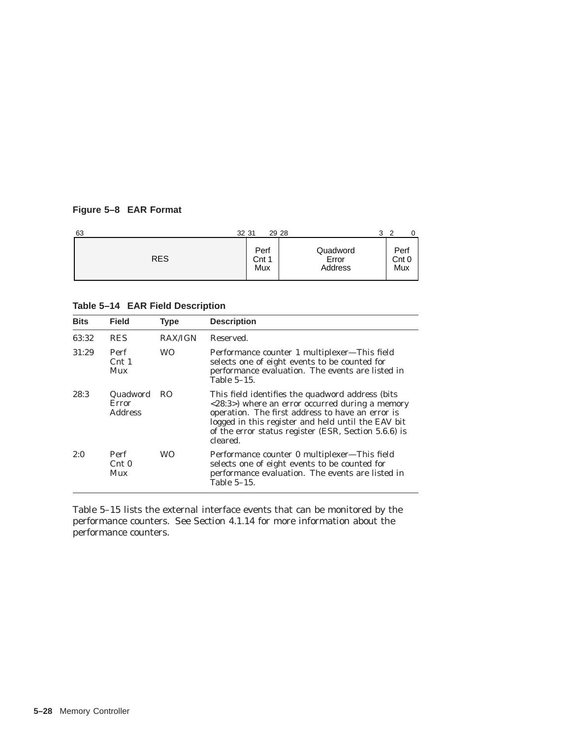## **Figure 5–8 EAR Format**

| 63         | 32 31                | 29 28                        | 3 | ◠                    |  |
|------------|----------------------|------------------------------|---|----------------------|--|
| <b>RES</b> | Perf<br>Cnt 1<br>Mux | Quadword<br>Error<br>Address |   | Perf<br>Cnt 0<br>Mux |  |

**Table 5–14 EAR Field Description**

| <b>Bits</b> | <b>Field</b>                               | <b>Type</b>    | <b>Description</b>                                                                                                                                                                                                                                                                                |
|-------------|--------------------------------------------|----------------|---------------------------------------------------------------------------------------------------------------------------------------------------------------------------------------------------------------------------------------------------------------------------------------------------|
| 63:32       | <b>RES</b>                                 | <b>RAX/IGN</b> | Reserved.                                                                                                                                                                                                                                                                                         |
| 31:29       | Perf<br>$\mathrm{Cnt}$ 1<br>Mux            | WO.            | Performance counter 1 multiplexer—This field<br>selects one of eight events to be counted for<br>performance evaluation. The events are listed in<br>Table 5-15.                                                                                                                                  |
| 28:3        | Quadword<br><b>Error</b><br><b>Address</b> | RO.            | This field identifies the quadword address (bits)<br>$\langle 28:3 \rangle$ where an error occurred during a memory<br>operation. The first address to have an error is<br>logged in this register and held until the EAV bit<br>of the error status register (ESR, Section 5.6.6) is<br>cleared. |
| 2:0         | Perf<br>$\mathrm{Cnt}0$<br>Mux             | WО             | Performance counter 0 multiplexer-This field<br>selects one of eight events to be counted for<br>performance evaluation. The events are listed in<br>Table 5-15.                                                                                                                                  |

Table 5–15 lists the external interface events that can be monitored by the performance counters. See Section 4.1.14 for more information about the performance counters.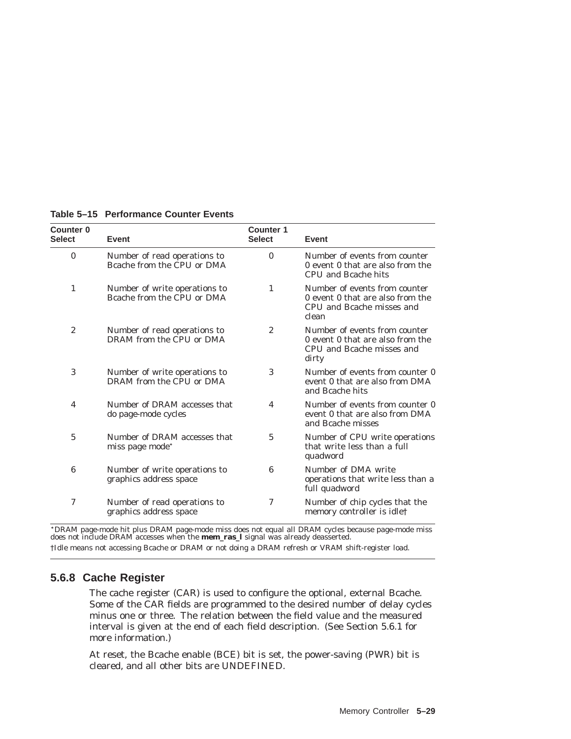| <b>Counter 0</b><br><b>Select</b> | Event                                                       | <b>Counter 1</b><br><b>Select</b> | Event                                                                                                   |
|-----------------------------------|-------------------------------------------------------------|-----------------------------------|---------------------------------------------------------------------------------------------------------|
| $\bf{0}$                          | Number of read operations to<br>Bcache from the CPU or DMA  | $\mathbf{0}$                      | Number of events from counter<br>0 event 0 that are also from the<br>CPU and Bcache hits                |
| 1                                 | Number of write operations to<br>Bcache from the CPU or DMA | 1                                 | Number of events from counter<br>0 event 0 that are also from the<br>CPU and Bcache misses and<br>clean |
| $\overline{2}$                    | Number of read operations to<br>DRAM from the CPU or DMA    | $\overline{c}$                    | Number of events from counter<br>0 event 0 that are also from the<br>CPU and Bcache misses and<br>dirty |
| 3                                 | Number of write operations to<br>DRAM from the CPU or DMA   | 3                                 | Number of events from counter 0<br>event 0 that are also from DMA<br>and Bcache hits                    |
| 4                                 | Number of DRAM accesses that<br>do page-mode cycles         | 4                                 | Number of events from counter 0<br>event 0 that are also from DMA<br>and Bcache misses                  |
| 5                                 | Number of DRAM accesses that<br>miss page mode*             | 5                                 | Number of CPU write operations<br>that write less than a full<br>quadword                               |
| 6                                 | Number of write operations to<br>graphics address space     | 6                                 | Number of DMA write<br>operations that write less than a<br>full quadword                               |
| 7                                 | Number of read operations to<br>graphics address space      | 7                                 | Number of chip cycles that the<br>memory controller is idle†                                            |

### **Table 5–15 Performance Counter Events**

DRAM page-mode hit plus DRAM page-mode miss does not equal all DRAM cycles because page-mode miss does not include DRAM accesses when the **mem\_ras\_l** signal was already deasserted.

†Idle means not accessing Bcache or DRAM or not doing a DRAM refresh or VRAM shift-register load.

## **5.6.8 Cache Register**

The cache register (CAR) is used to configure the optional, external Bcache. Some of the CAR fields are programmed to the desired number of delay cycles minus one or three. The relation between the field value and the measured interval is given at the end of each field description. (See Section 5.6.1 for more information.)

At reset, the Bcache enable (BCE) bit is set, the power-saving (PWR) bit is cleared, and all other bits are UNDEFINED.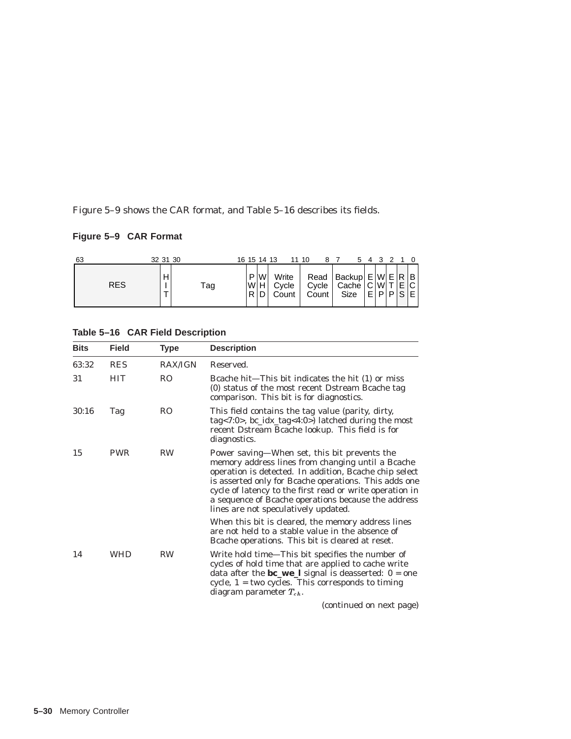Figure 5–9 shows the CAR format, and Table 5–16 describes its fields.

# **Figure 5–9 CAR Format**

| 63         | 32 31 30 |     | 16 15 14 13     |   |                         | 11 10 |                                                                | 54 |          |  |                |
|------------|----------|-----|-----------------|---|-------------------------|-------|----------------------------------------------------------------|----|----------|--|----------------|
| <b>RES</b> | н        | Tag | P<br> W H <br>R | W | Write<br>Cycle<br>Count | Count | Read   Backup $E[W E R B]$<br>Cycle   Cache   C W T E <br>Size |    | E[PIP S] |  | $\sim$ 1<br>ΕI |

**Table 5–16 CAR Field Description**

| <b>Bits</b> | <b>Field</b> | <b>Type</b>    | <b>Description</b>                                                                                                                                                                                                                                                                                                                                                              |
|-------------|--------------|----------------|---------------------------------------------------------------------------------------------------------------------------------------------------------------------------------------------------------------------------------------------------------------------------------------------------------------------------------------------------------------------------------|
| 63:32       | <b>RES</b>   | <b>RAX/IGN</b> | Reserved.                                                                                                                                                                                                                                                                                                                                                                       |
| 31          | <b>HIT</b>   | R <sub>O</sub> | Bcache hit—This bit indicates the hit (1) or miss<br>(0) status of the most recent Dstream Bcache tag<br>comparison. This bit is for diagnostics.                                                                                                                                                                                                                               |
| 30:16       | Tag          | R <sub>O</sub> | This field contains the tag value (parity, dirty,<br>tag<7:0>, $bc\_idx\_tag<4:0>$ latched during the most<br>recent Dstream Bcache lookup. This field is for<br>diagnostics.                                                                                                                                                                                                   |
| 15          | <b>PWR</b>   | <b>RW</b>      | Power saving-When set, this bit prevents the<br>memory address lines from changing until a Bcache<br>operation is detected. In addition, Bcache chip select<br>is asserted only for Bcache operations. This adds one<br>cycle of latency to the first read or write operation in<br>a sequence of Bcache operations because the address<br>lines are not speculatively updated. |
|             |              |                | When this bit is cleared, the memory address lines<br>are not held to a stable value in the absence of<br>Beache operations. This bit is cleared at reset.                                                                                                                                                                                                                      |
| 14          | <b>WHD</b>   | <b>RW</b>      | Write hold time—This bit specifies the number of<br>cycles of hold time that are applied to cache write<br>data after the $bc_{we}$ ] signal is deasserted: $0 = one$<br>cycle, $1 = two cycles. This corresponds to timing$<br>diagram parameter $T_{ch}$ .<br>$\lambda$ and $\lambda$ and $\lambda$ and $\lambda$                                                             |

(continued on next page)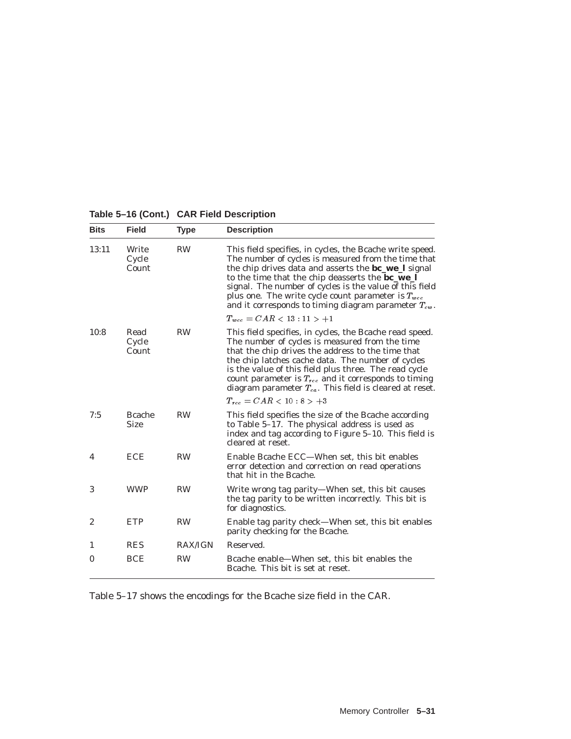|  |  |  |  | Table 5-16 (Cont.) CAR Field Description |
|--|--|--|--|------------------------------------------|
|--|--|--|--|------------------------------------------|

| <b>Bits</b>      | <b>Field</b>                  | <b>Type</b>    | <b>Description</b>                                                                                                                                                                                                                                                                                                                                                                                                        |
|------------------|-------------------------------|----------------|---------------------------------------------------------------------------------------------------------------------------------------------------------------------------------------------------------------------------------------------------------------------------------------------------------------------------------------------------------------------------------------------------------------------------|
| 13:11            | Write<br>Cycle<br>Count       | <b>RW</b>      | This field specifies, in cycles, the Bcache write speed.<br>The number of cycles is measured from the time that<br>the chip drives data and asserts the <b>bc_we_l</b> signal<br>to the time that the chip deasserts the <b>bc_we_l</b><br>signal. The number of cycles is the value of this field<br>plus one. The write cycle count parameter is $T_{wcc}$<br>and it corresponds to timing diagram parameter $T_{cw}$ . |
|                  |                               |                | $T_{wcc} = CAR < 13:11 > +1$                                                                                                                                                                                                                                                                                                                                                                                              |
| 10:8             | Read<br>Cycle<br>Count        | <b>RW</b>      | This field specifies, in cycles, the Bcache read speed.<br>The number of cycles is measured from the time<br>that the chip drives the address to the time that<br>the chip latches cache data. The number of cycles<br>is the value of this field plus three. The read cycle<br>count parameter is $T_{rec}$ and it corresponds to timing<br>diagram parameter $T_{ca}$ . This field is cleared at reset.                 |
|                  |                               |                | $T_{rec} = CAR < 10:8 > +3$                                                                                                                                                                                                                                                                                                                                                                                               |
| 7:5              | <b>B</b> cache<br><b>Size</b> | <b>RW</b>      | This field specifies the size of the Bcache according<br>to Table 5-17. The physical address is used as<br>index and tag according to Figure 5-10. This field is<br>cleared at reset.                                                                                                                                                                                                                                     |
| 4                | <b>ECE</b>                    | <b>RW</b>      | Enable Bcache ECC—When set, this bit enables<br>error detection and correction on read operations<br>that hit in the Bcache.                                                                                                                                                                                                                                                                                              |
| 3                | <b>WWP</b>                    | <b>RW</b>      | Write wrong tag parity—When set, this bit causes<br>the tag parity to be written incorrectly. This bit is<br>for diagnostics.                                                                                                                                                                                                                                                                                             |
| $\boldsymbol{2}$ | <b>ETP</b>                    | <b>RW</b>      | Enable tag parity check—When set, this bit enables<br>parity checking for the Bcache.                                                                                                                                                                                                                                                                                                                                     |
| 1                | <b>RES</b>                    | <b>RAX/IGN</b> | Reserved.                                                                                                                                                                                                                                                                                                                                                                                                                 |
| $\bf{0}$         | <b>BCE</b>                    | <b>RW</b>      | Bcache enable—When set, this bit enables the<br>Bcache. This bit is set at reset.                                                                                                                                                                                                                                                                                                                                         |

Table 5–17 shows the encodings for the Bcache size field in the CAR.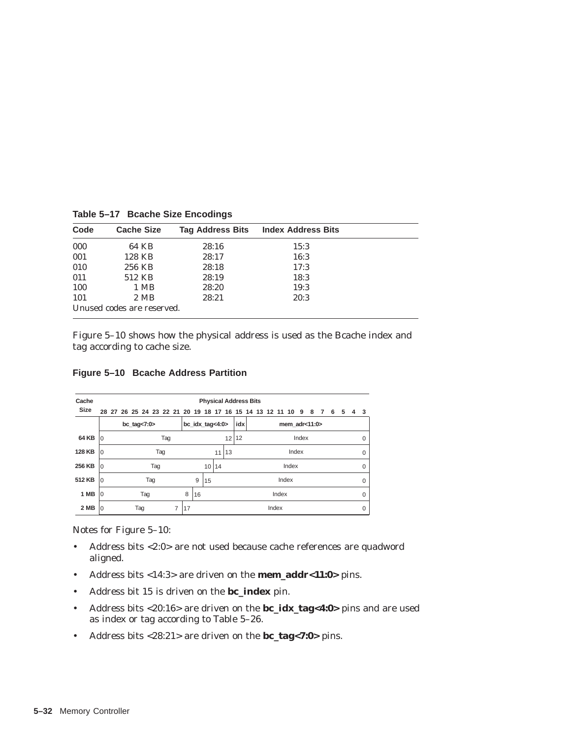| Code | <b>Cache Size</b>          | <b>Tag Address Bits</b> | <b>Index Address Bits</b> |
|------|----------------------------|-------------------------|---------------------------|
| 000  | 64 KB                      | 28:16                   | 15:3                      |
| 001  | 128 KB                     | 28:17                   | 16:3                      |
| 010  | 256 KB                     | 28:18                   | 17:3                      |
| 011  | 512 KB                     | 28:19                   | 18:3                      |
| 100  | 1 MB                       | 28:20                   | 19:3                      |
| 101  | 2 MB                       | 28:21                   | 20:3                      |
|      | Unused codes are reserved. |                         |                           |

**Table 5–17 Bcache Size Encodings**

Figure 5–10 shows how the physical address is used as the Bcache index and tag according to cache size.

**Figure 5–10 Bcache Address Partition**

| Cache         |          |          |  |                |  |     |    |    |    |    |                     |  | <b>Physical Address Bits</b>                               |       |       |                   |  |   |   |   |             |   |             |
|---------------|----------|----------|--|----------------|--|-----|----|----|----|----|---------------------|--|------------------------------------------------------------|-------|-------|-------------------|--|---|---|---|-------------|---|-------------|
| <b>Size</b>   |          |          |  |                |  |     |    |    |    |    |                     |  | 28 27 26 25 24 23 22 21 20 19 18 17 16 15 14 13 12 11 10 9 |       |       |                   |  | 8 | 7 | 6 | 5           | 4 | - 3         |
|               |          |          |  | bc_tag<7:0 $>$ |  |     |    |    |    |    | $bc\_idx\_tag<4:0>$ |  | idx                                                        |       |       | mem $adr < 11:0>$ |  |   |   |   |             |   |             |
| 64 KB         | ١O       | Tag      |  |                |  |     |    |    |    |    | 12 12               |  |                                                            |       | Index |                   |  |   |   |   | $\Omega$    |   |             |
| <b>128 KB</b> | $\Omega$ | Tag      |  |                |  |     |    |    | 11 | 13 |                     |  |                                                            |       | Index |                   |  |   |   |   | $\mathbf 0$ |   |             |
| 256 KB        | $\Omega$ |          |  |                |  | Tag |    |    |    | 10 | 14                  |  |                                                            |       |       | Index             |  |   |   |   |             |   | $\mathbf 0$ |
| 512 KB        | $\Omega$ | Tag      |  |                |  |     | 9  | 15 |    |    |                     |  |                                                            | Index |       |                   |  |   |   |   | $\Omega$    |   |             |
| 1 MB          | l0       | Tag      |  |                |  | 8   | 16 |    |    |    |                     |  | Index                                                      |       |       |                   |  |   |   |   | 0           |   |             |
| 2 MB          | $\Omega$ | Tag<br>7 |  |                |  | 17  |    |    |    |    |                     |  | Index                                                      |       |       |                   |  |   |   |   | 0           |   |             |

Notes for Figure 5–10:

- Address bits <2:0> are not used because cache references are quadword aligned.
- Address bits <14:3> are driven on the **mem\_addr<11:0>** pins.
- Address bit 15 is driven on the **bc\_index** pin.
- Address bits <20:16> are driven on the **bc\_idx\_tag<4:0>** pins and are used as index or tag according to Table 5–26.
- Address bits <28:21> are driven on the **bc\_tag<7:0>** pins.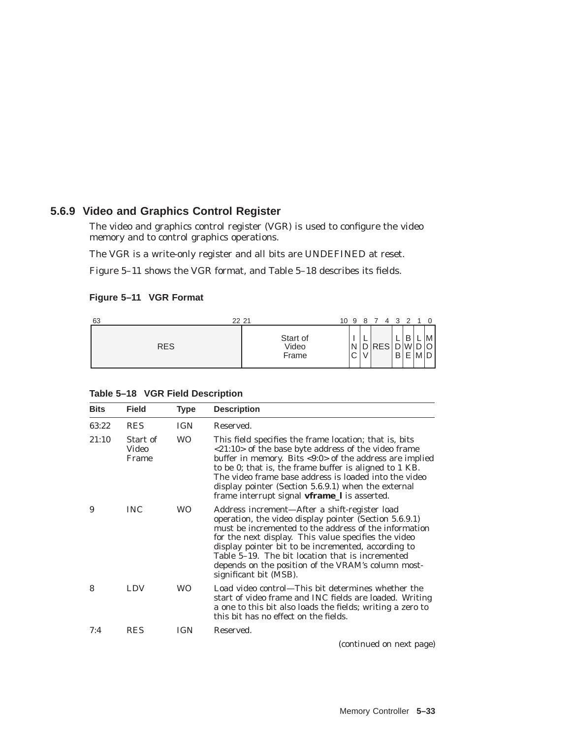## **5.6.9 Video and Graphics Control Register**

The video and graphics control register (VGR) is used to configure the video memory and to control graphics operations.

The VGR is a write-only register and all bits are UNDEFINED at reset.

Figure 5–11 shows the VGR format, and Table 5–18 describes its fields.

#### **Figure 5–11 VGR Format**

| 22 21<br>63 |                            | 10 9             | 4<br>87    |        | 3 2    | -1 | $\Omega$ |
|-------------|----------------------------|------------------|------------|--------|--------|----|----------|
| <b>RES</b>  | Start of<br>Video<br>Frame | N<br>$\sim$<br>◡ | <b>RES</b> | ⌒<br>B | B<br>F | M  | M<br>D   |

| Table 5-18 VGR Field Description |  |
|----------------------------------|--|
|----------------------------------|--|

| <b>Bits</b> | <b>Field</b>               | Type       | <b>Description</b>                                                                                                                                                                                                                                                                                                                                                                                                  |
|-------------|----------------------------|------------|---------------------------------------------------------------------------------------------------------------------------------------------------------------------------------------------------------------------------------------------------------------------------------------------------------------------------------------------------------------------------------------------------------------------|
| 63:22       | <b>RES</b>                 | <b>IGN</b> | Reserved.                                                                                                                                                                                                                                                                                                                                                                                                           |
| 21:10       | Start of<br>Video<br>Frame | <b>WO</b>  | This field specifies the frame location; that is, bits<br><21:10> of the base byte address of the video frame<br>buffer in memory. Bits <9:0> of the address are implied<br>to be 0; that is, the frame buffer is aligned to 1 KB.<br>The video frame base address is loaded into the video<br>display pointer (Section 5.6.9.1) when the external<br>frame interrupt signal vframe_I is asserted.                  |
| 9           | <b>INC</b>                 | WO.        | Address increment—After a shift-register load<br>operation, the video display pointer (Section 5.6.9.1)<br>must be incremented to the address of the information<br>for the next display. This value specifies the video<br>display pointer bit to be incremented, according to<br>Table 5–19. The bit location that is incremented<br>depends on the position of the VRAM's column most-<br>significant bit (MSB). |
| 8           | <b>LDV</b>                 | WO         | Load video control—This bit determines whether the<br>start of video frame and INC fields are loaded. Writing<br>a one to this bit also loads the fields; writing a zero to<br>this bit has no effect on the fields.                                                                                                                                                                                                |
| 7:4         | <b>RES</b>                 | IGN        | Reserved.                                                                                                                                                                                                                                                                                                                                                                                                           |
|             |                            |            | (continued on next page)                                                                                                                                                                                                                                                                                                                                                                                            |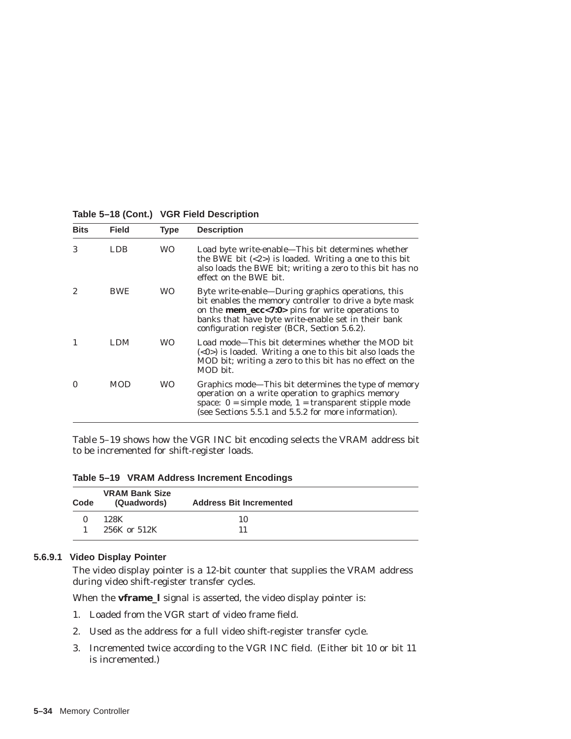| <b>Bits</b> | <b>Field</b> | <b>Type</b> | <b>Description</b>                                                                                                                                                                                                                                                                   |
|-------------|--------------|-------------|--------------------------------------------------------------------------------------------------------------------------------------------------------------------------------------------------------------------------------------------------------------------------------------|
| 3           | LDB.         | <b>WO</b>   | Load byte write-enable—This bit determines whether<br>the BWE bit $\langle 2 \rangle$ is loaded. Writing a one to this bit<br>also loads the BWE bit; writing a zero to this bit has no<br>effect on the BWE bit.                                                                    |
| 2           | <b>BWE</b>   | WO.         | Byte write-enable—During graphics operations, this<br>bit enables the memory controller to drive a byte mask<br>on the <b>mem_ecc&lt;7:0&gt;</b> pins for write operations to<br>banks that have byte write-enable set in their bank<br>configuration register (BCR, Section 5.6.2). |
|             | LDM          | WO.         | Load mode—This bit determines whether the MOD bit<br>$(\langle 0 \rangle)$ is loaded. Writing a one to this bit also loads the<br>MOD bit; writing a zero to this bit has no effect on the<br>MOD bit.                                                                               |
| 0           | <b>MOD</b>   | WO          | Graphics mode—This bit determines the type of memory<br>operation on a write operation to graphics memory<br>space: $0 =$ simple mode, $1 =$ transparent stipple mode<br>(see Sections 5.5.1 and 5.5.2 for more information).                                                        |

**Table 5–18 (Cont.) VGR Field Description**

Table 5–19 shows how the VGR INC bit encoding selects the VRAM address bit to be incremented for shift-register loads.

**Table 5–19 VRAM Address Increment Encodings**

| Code | <b>VRAM Bank Size</b><br>(Quadwords) | <b>Address Bit Incremented</b> |  |
|------|--------------------------------------|--------------------------------|--|
|      | 128K                                 | 10                             |  |
|      | 256K or 512K                         | 11                             |  |

### **5.6.9.1 Video Display Pointer**

The video display pointer is a 12-bit counter that supplies the VRAM address during video shift-register transfer cycles.

When the **vframe\_l** signal is asserted, the video display pointer is:

- 1. Loaded from the VGR start of video frame field.
- 2. Used as the address for a full video shift-register transfer cycle.
- 3. Incremented twice according to the VGR INC field. (Either bit 10 or bit 11 is incremented.)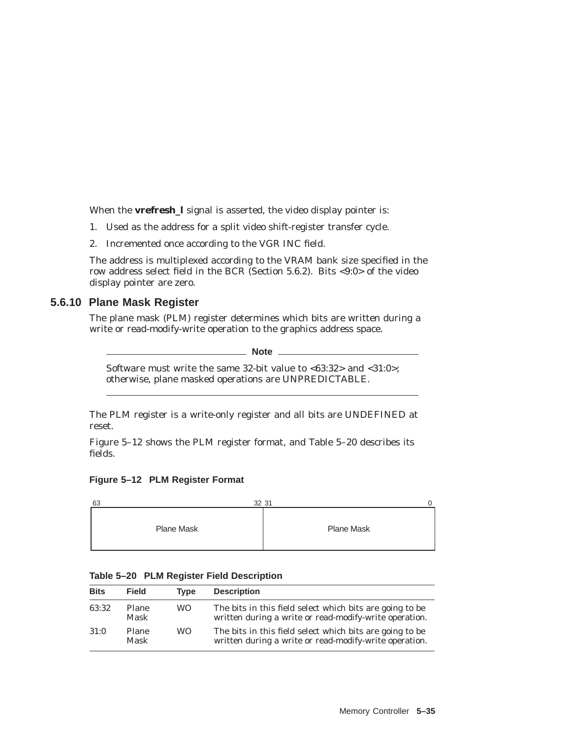When the **vrefresh\_l** signal is asserted, the video display pointer is:

- 1. Used as the address for a split video shift-register transfer cycle.
- 2. Incremented once according to the VGR INC field.

The address is multiplexed according to the VRAM bank size specified in the row address select field in the BCR (Section 5.6.2). Bits <9:0> of the video display pointer are zero.

## **5.6.10 Plane Mask Register**

The plane mask (PLM) register determines which bits are written during a write or read-modify-write operation to the graphics address space.

**Note**

Software must write the same 32-bit value to <63:32> and <31:0>; otherwise, plane masked operations are UNPREDICTABLE.

The PLM register is a write-only register and all bits are UNDEFINED at reset.

Figure 5–12 shows the PLM register format, and Table 5–20 describes its fields.

#### **Figure 5–12 PLM Register Format**

| 63         | 32 31             |
|------------|-------------------|
| Plane Mask | <b>Plane Mask</b> |

|       |       | Table 5-20 PLM Register Field Description |  |
|-------|-------|-------------------------------------------|--|
| Dita. | Eiold | Tung Deceription                          |  |

| <b>Bits</b> | <b>Field</b>         | <b>Type</b> | <b>Description</b>                                                                                                 |
|-------------|----------------------|-------------|--------------------------------------------------------------------------------------------------------------------|
| 63:32       | Plane<br><b>Mask</b> | WO.         | The bits in this field select which bits are going to be<br>written during a write or read-modify-write operation. |
| 31:0        | Plane<br><b>Mask</b> | WO.         | The bits in this field select which bits are going to be<br>written during a write or read-modify-write operation. |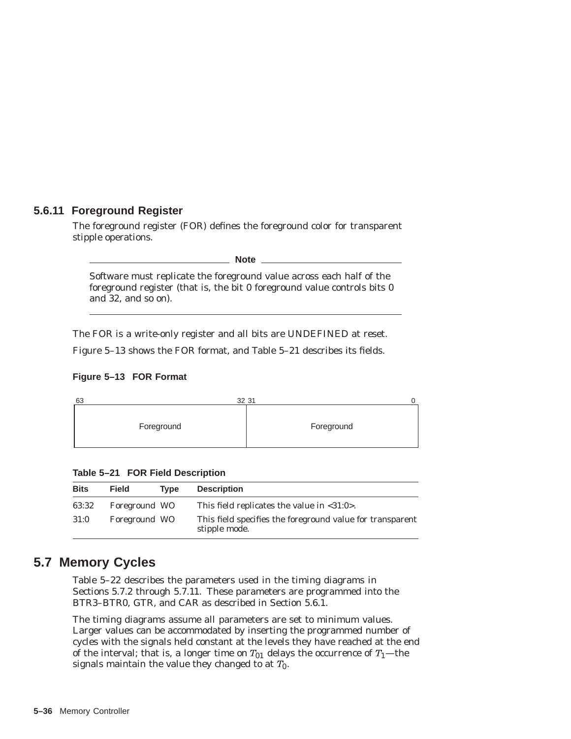## **5.6.11 Foreground Register**

The foreground register (FOR) defines the foreground color for transparent stipple operations.

\_ Note \_

Software must replicate the foreground value across each half of the foreground register (that is, the bit 0 foreground value controls bits 0 and 32, and so on).

The FOR is a write-only register and all bits are UNDEFINED at reset.

Figure 5–13 shows the FOR format, and Table 5–21 describes its fields.





**Table 5–21 FOR Field Description**

| <b>Bits</b> | <b>Field</b>  | <b>Type</b> | <b>Description</b>                                                         |
|-------------|---------------|-------------|----------------------------------------------------------------------------|
| 63:32       | Foreground WO |             | This field replicates the value in $\langle 31:0 \rangle$ .                |
| 31:0        | Foreground WO |             | This field specifies the foreground value for transparent<br>stipple mode. |

# **5.7 Memory Cycles**

Table 5–22 describes the parameters used in the timing diagrams in Sections 5.7.2 through 5.7.11. These parameters are programmed into the BTR3–BTR0, GTR, and CAR as described in Section 5.6.1.

The timing diagrams assume all parameters are set to minimum values. Larger values can be accommodated by inserting the programmed number of cycles with the signals held constant at the levels they have reached at the end of the interval; that is, a longer time on  $T_{01}$  delays the occurrence of  $T_1$ —the signals maintain the value they changed to at  $T_0$ .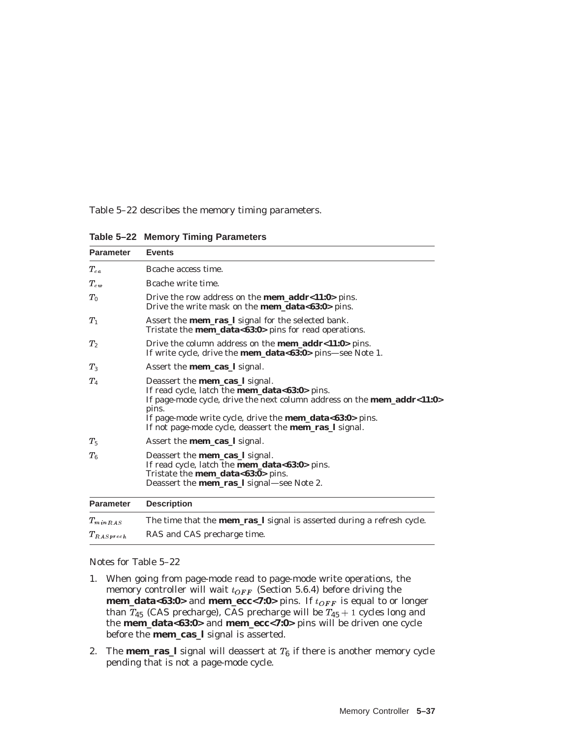Table 5–22 describes the memory timing parameters.

| <b>Parameter</b> | <b>Events</b>                                                                                                                                                                                                                                                                                                                              |
|------------------|--------------------------------------------------------------------------------------------------------------------------------------------------------------------------------------------------------------------------------------------------------------------------------------------------------------------------------------------|
| $T_{ea}$         | Beache access time.                                                                                                                                                                                                                                                                                                                        |
| $T_{\text{cm}}$  | Bcache write time.                                                                                                                                                                                                                                                                                                                         |
| $T_0$            | Drive the row address on the <b>mem_addr&lt;11:0</b> > pins.<br>Drive the write mask on the <b>mem_data&lt;63:0</b> > pins.                                                                                                                                                                                                                |
| $T_1$            | Assert the <b>mem_ras_l</b> signal for the selected bank.<br>Tristate the <b>mem_data&lt;63:0</b> > pins for read operations.                                                                                                                                                                                                              |
| T <sub>2</sub>   | Drive the column address on the <b>mem_addr</b> < $11:0$ > pins.<br>If write cycle, drive the <b>mem_data&lt;63:0&gt;</b> pins—see Note 1.                                                                                                                                                                                                 |
| $T_3$            | Assert the <b>mem_cas_l</b> signal.                                                                                                                                                                                                                                                                                                        |
| $T_{4}$          | Deassert the <b>mem_cas_l</b> signal.<br>If read cycle, latch the <b>mem_data&lt;63:0</b> > pins.<br>If page-mode cycle, drive the next column address on the <b>mem_addr&lt;11:0&gt;</b><br>pins.<br>If page-mode write cycle, drive the <b>mem_data&lt;63:0</b> > pins.<br>If not page-mode cycle, deassert the <b>mem_ras_l</b> signal. |
| $T_5$            | Assert the <b>mem_cas_l</b> signal.                                                                                                                                                                                                                                                                                                        |
| $T_{6}$          | Deassert the <b>mem_cas_l</b> signal.<br>If read cycle, latch the <b>mem_data&lt;63:0</b> > pins.<br>Tristate the <b>mem_data&lt;63:0</b> > pins.<br>Deassert the <b>mem_ras_l</b> signal—see Note 2.                                                                                                                                      |
| <b>Parameter</b> | <b>Description</b>                                                                                                                                                                                                                                                                                                                         |
| $T_{minRAS}$     | The time that the <b>mem_ras_l</b> signal is asserted during a refresh cycle.                                                                                                                                                                                                                                                              |
| $T_{RAS\, <}$    | RAS and CAS precharge time.                                                                                                                                                                                                                                                                                                                |

**Table 5–22 Memory Timing Parameters**

Notes for Table 5–22

- 1. When going from page-mode read to page-mode write operations, the memory controller will wait  $t_{OFF}$  (Section 5.6.4) before driving the **mem\_data<63:0>** and **mem\_ecc<7:0>** pins. If  $t_{OFF}$  is equal to or longer than  $T_{45}$  (CAS precharge), CAS precharge will be  $T_{45}$  + 1 cycles long and the **mem\_data<63:0>** and **mem\_ecc<7:0>** pins will be driven one cycle before the **mem\_cas\_l** signal is asserted.
- 2. The **mem\_ras\_l** signal will deassert at  $T_6$  if there is another memory cycle pending that is not a page-mode cycle.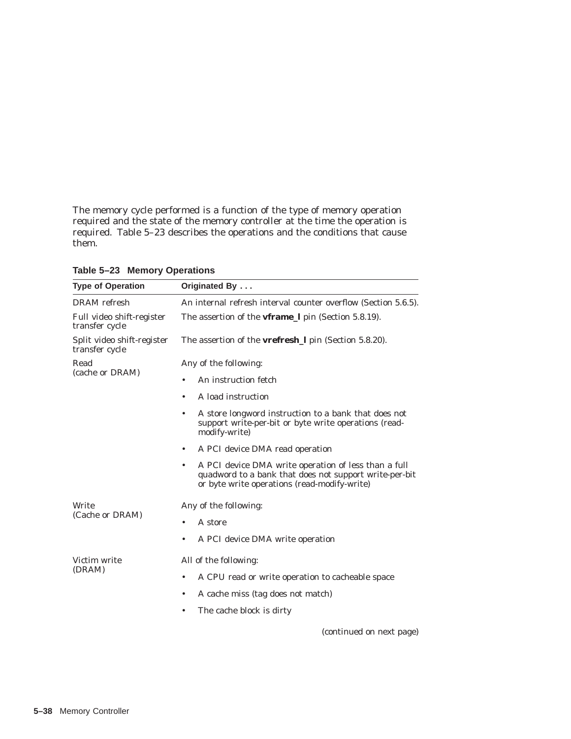The memory cycle performed is a function of the type of memory operation required and the state of the memory controller at the time the operation is required. Table 5–23 describes the operations and the conditions that cause them.

| <b>Type of Operation</b>                     | Originated By                                                                                                                                                               |
|----------------------------------------------|-----------------------------------------------------------------------------------------------------------------------------------------------------------------------------|
| <b>DRAM</b> refresh                          | An internal refresh interval counter overflow (Section 5.6.5).                                                                                                              |
| Full video shift-register<br>transfer cycle  | The assertion of the <b>vframe</b> <i>I</i> pin (Section 5.8.19).                                                                                                           |
| Split video shift-register<br>transfer cycle | The assertion of the <b>vrefresh</b> <i>pin</i> (Section 5.8.20).                                                                                                           |
| Read<br>(cache or DRAM)                      | Any of the following:                                                                                                                                                       |
|                                              | An instruction fetch<br>$\bullet$                                                                                                                                           |
|                                              | A load instruction<br>٠                                                                                                                                                     |
|                                              | A store longword instruction to a bank that does not<br>٠<br>support write-per-bit or byte write operations (read-<br>modify-write)                                         |
|                                              | A PCI device DMA read operation<br>$\bullet$                                                                                                                                |
|                                              | A PCI device DMA write operation of less than a full<br>$\bullet$<br>quadword to a bank that does not support write-per-bit<br>or byte write operations (read-modify-write) |
| Write<br>(Cache or DRAM)                     | Any of the following:                                                                                                                                                       |
|                                              | A store<br>$\bullet$                                                                                                                                                        |
|                                              | A PCI device DMA write operation<br>$\bullet$                                                                                                                               |
| Victim write<br>(DRAM)                       | All of the following:                                                                                                                                                       |
|                                              | A CPU read or write operation to cacheable space<br>$\bullet$                                                                                                               |
|                                              | A cache miss (tag does not match)<br>$\bullet$                                                                                                                              |
|                                              | The cache block is dirty<br>$\bullet$                                                                                                                                       |
|                                              | (continued on next page)                                                                                                                                                    |

**Table 5–23 Memory Operations**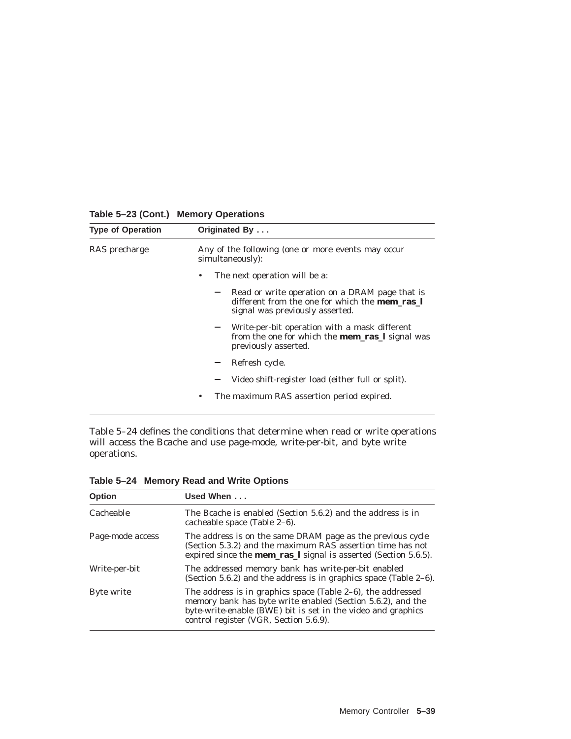| <b>Type of Operation</b> | Originated By                                                                                                                              |
|--------------------------|--------------------------------------------------------------------------------------------------------------------------------------------|
| RAS precharge            | Any of the following (one or more events may occur<br>simultaneously):                                                                     |
|                          | The next operation will be a:<br>٠                                                                                                         |
|                          | Read or write operation on a DRAM page that is<br>different from the one for which the <b>mem ras</b> 1<br>signal was previously asserted. |
|                          | Write-per-bit operation with a mask different<br>from the one for which the <b>mem_ras_l</b> signal was<br>previously asserted.            |
|                          | Refresh cycle.                                                                                                                             |
|                          | Video shift-register load (either full or split).                                                                                          |
|                          | The maximum RAS assertion period expired.<br>٠                                                                                             |

**Table 5–23 (Cont.) Memory Operations**

Table 5–24 defines the conditions that determine when read or write operations will access the Bcache and use page-mode, write-per-bit, and byte write operations.

**Table 5–24 Memory Read and Write Options**

| <b>Option</b>    | Used When                                                                                                                                                                                                                               |
|------------------|-----------------------------------------------------------------------------------------------------------------------------------------------------------------------------------------------------------------------------------------|
| Cacheable        | The Bcache is enabled (Section 5.6.2) and the address is in<br>cacheable space (Table 2-6).                                                                                                                                             |
| Page-mode access | The address is on the same DRAM page as the previous cycle<br>(Section 5.3.2) and the maximum RAS assertion time has not<br>expired since the <b>mem_ras_l</b> signal is asserted (Section 5.6.5).                                      |
| Write-per-bit    | The addressed memory bank has write-per-bit enabled<br>(Section 5.6.2) and the address is in graphics space (Table $2-6$ ).                                                                                                             |
| Byte write       | The address is in graphics space (Table $2-6$ ), the addressed<br>memory bank has byte write enabled (Section 5.6.2), and the<br>byte-write-enable (BWE) bit is set in the video and graphics<br>control register (VGR, Section 5.6.9). |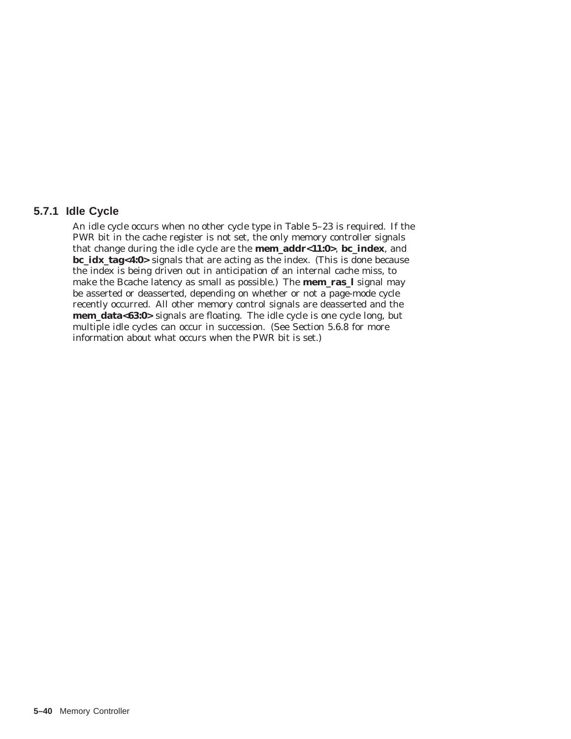## **5.7.1 Idle Cycle**

An idle cycle occurs when no other cycle type in Table 5–23 is required. If the PWR bit in the cache register is not set, the only memory controller signals that change during the idle cycle are the **mem\_addr<11:0>**, **bc\_index**, and **bc\_idx\_tag<4:0>** signals that are acting as the index. (This is done because the index is being driven out in anticipation of an internal cache miss, to make the Bcache latency as small as possible.) The **mem\_ras\_l** signal may be asserted or deasserted, depending on whether or not a page-mode cycle recently occurred. All other memory control signals are deasserted and the **mem\_data<63:0>** signals are floating. The idle cycle is one cycle long, but multiple idle cycles can occur in succession. (See Section 5.6.8 for more information about what occurs when the PWR bit is set.)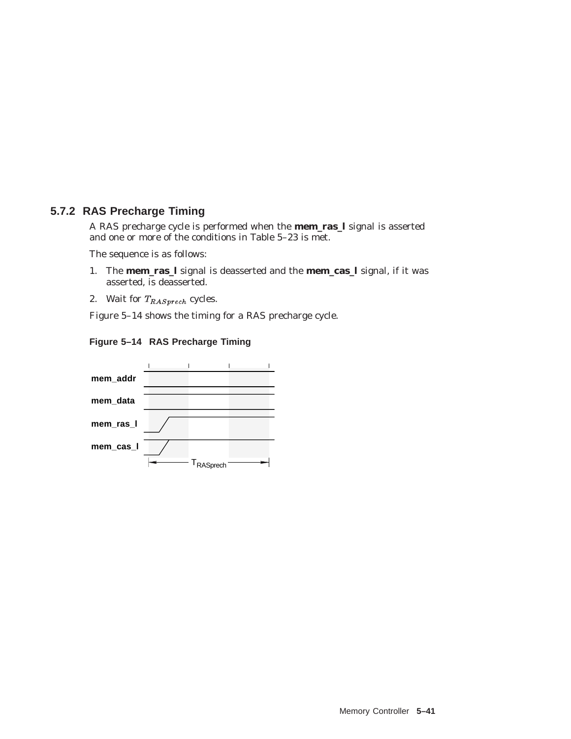# **5.7.2 RAS Precharge Timing**

A RAS precharge cycle is performed when the **mem\_ras\_l** signal is asserted and one or more of the conditions in Table 5–23 is met.

The sequence is as follows:

- 1. The **mem\_ras\_l** signal is deasserted and the **mem\_cas\_l** signal, if it was asserted, is deasserted.
- 2. Wait for  $T_{RAS\,prech}$  cycles.

Figure 5–14 shows the timing for a RAS precharge cycle.



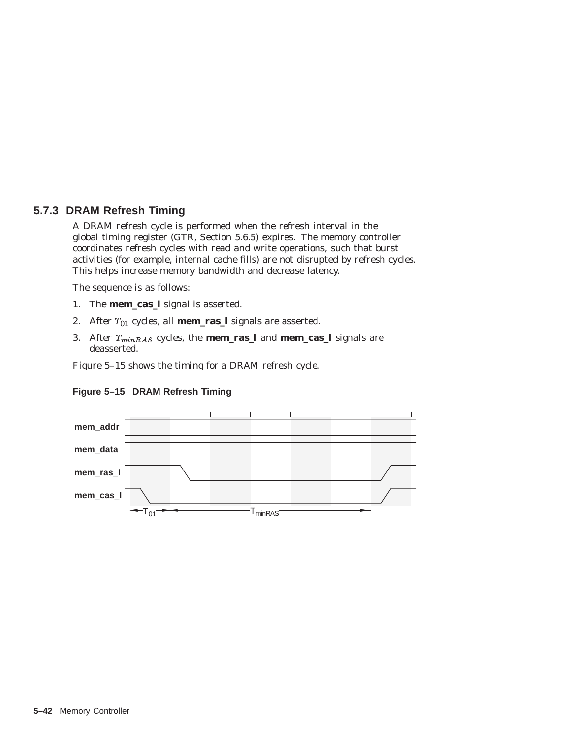## **5.7.3 DRAM Refresh Timing**

A DRAM refresh cycle is performed when the refresh interval in the global timing register (GTR, Section 5.6.5) expires. The memory controller coordinates refresh cycles with read and write operations, such that burst activities (for example, internal cache fills) are not disrupted by refresh cycles. This helps increase memory bandwidth and decrease latency.

The sequence is as follows:

- 1. The **mem\_cas\_l** signal is asserted.
- 2. After  $T_{01}$  cycles, all **mem\_ras\_l** signals are asserted.
- 3. After  $T_{minRAS}$  cycles, the **mem\_ras\_l** and **mem\_cas\_l** signals are deasserted.

Figure 5–15 shows the timing for a DRAM refresh cycle.



#### **Figure 5–15 DRAM Refresh Timing**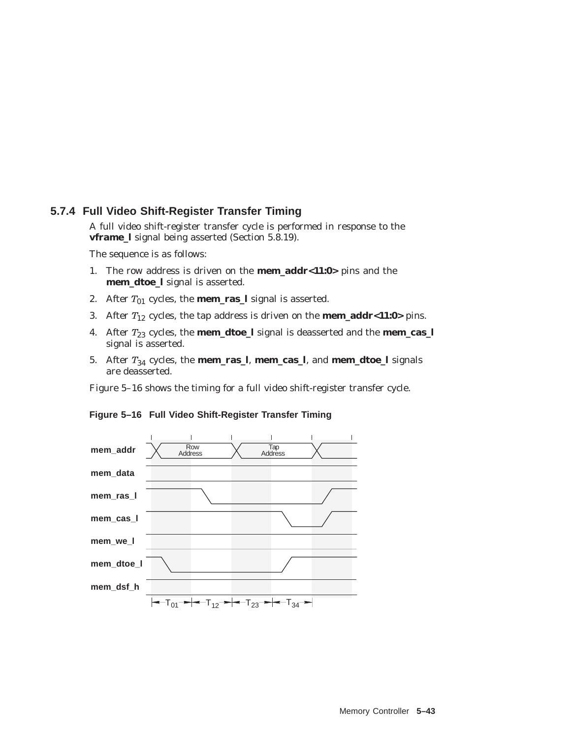## **5.7.4 Full Video Shift-Register Transfer Timing**

A full video shift-register transfer cycle is performed in response to the **vframe\_l** signal being asserted (Section 5.8.19).

The sequence is as follows:

- 1. The row address is driven on the **mem\_addr<11:0>** pins and the **mem\_dtoe\_l** signal is asserted.
- 2. After  $T_{01}$  cycles, the **mem\_ras\_l** signal is asserted.
- 3. After T<sup>12</sup> cycles, the tap address is driven on the **mem\_addr<11:0>** pins.
- 4. After  $T_{23}$  cycles, the **mem\_dtoe\_l** signal is deasserted and the **mem\_cas\_l** signal is asserted.
- 5. After  $T_{34}$  cycles, the **mem\_ras\_l**, **mem\_cas\_l**, and **mem\_dtoe\_l** signals are deasserted.

Figure 5–16 shows the timing for a full video shift-register transfer cycle.



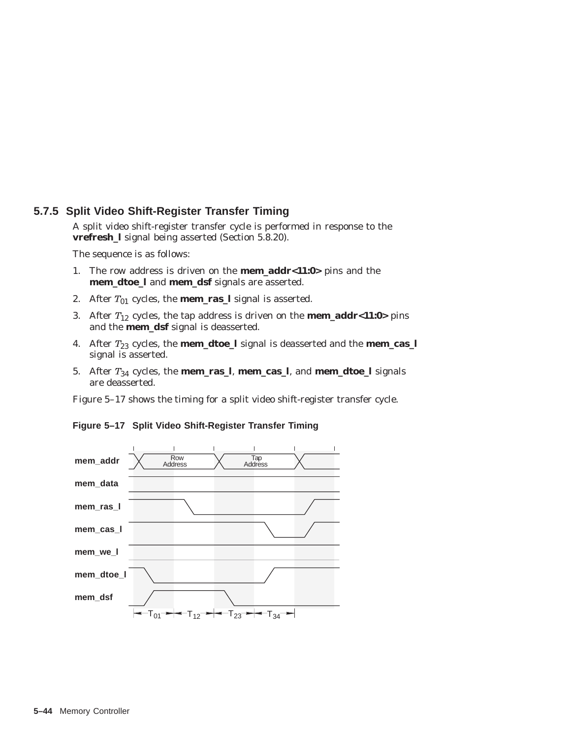## **5.7.5 Split Video Shift-Register Transfer Timing**

A split video shift-register transfer cycle is performed in response to the **vrefresh\_l** signal being asserted (Section 5.8.20).

The sequence is as follows:

- 1. The row address is driven on the **mem\_addr<11:0>** pins and the **mem\_dtoe\_l** and **mem\_dsf** signals are asserted.
- 2. After  $T_{01}$  cycles, the **mem\_ras\_l** signal is asserted.
- 3. After  $T_{12}$  cycles, the tap address is driven on the **mem\_addr<11:0>** pins and the **mem\_dsf** signal is deasserted.
- 4. After  $T_{23}$  cycles, the **mem\_dtoe\_l** signal is deasserted and the **mem\_cas\_l** signal is asserted.
- 5. After  $T_{34}$  cycles, the **mem\_ras\_l**, **mem\_cas\_l**, and **mem\_dtoe\_l** signals are deasserted.

Figure 5–17 shows the timing for a split video shift-register transfer cycle.



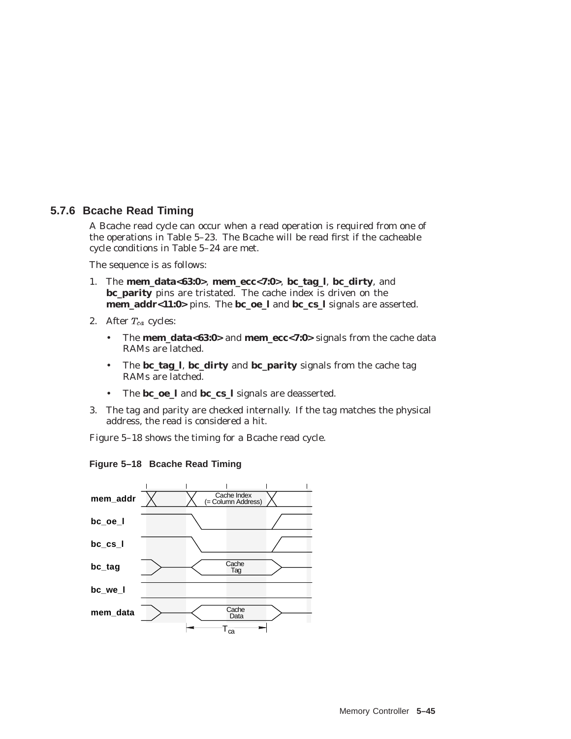## **5.7.6 Bcache Read Timing**

A Bcache read cycle can occur when a read operation is required from one of the operations in Table 5–23. The Bcache will be read first if the cacheable cycle conditions in Table 5–24 are met.

The sequence is as follows:

- 1. The **mem\_data<63:0>**, **mem\_ecc<7:0>**, **bc\_tag\_l**, **bc\_dirty**, and **bc\_parity** pins are tristated. The cache index is driven on the **mem\_addr<11:0>** pins. The **bc\_oe\_l** and **bc\_cs\_l** signals are asserted.
- 2. After  $T_{ca}$  cycles:
	- The **mem\_data<63:0>** and **mem\_ecc<7:0>** signals from the cache data RAMs are latched.
	- The **bc\_tag\_l**, **bc\_dirty** and **bc\_parity** signals from the cache tag RAMs are latched.
	- The **bc\_oe\_l** and **bc\_cs\_l** signals are deasserted.
- 3. The tag and parity are checked internally. If the tag matches the physical address, the read is considered a hit.

Figure 5–18 shows the timing for a Bcache read cycle.



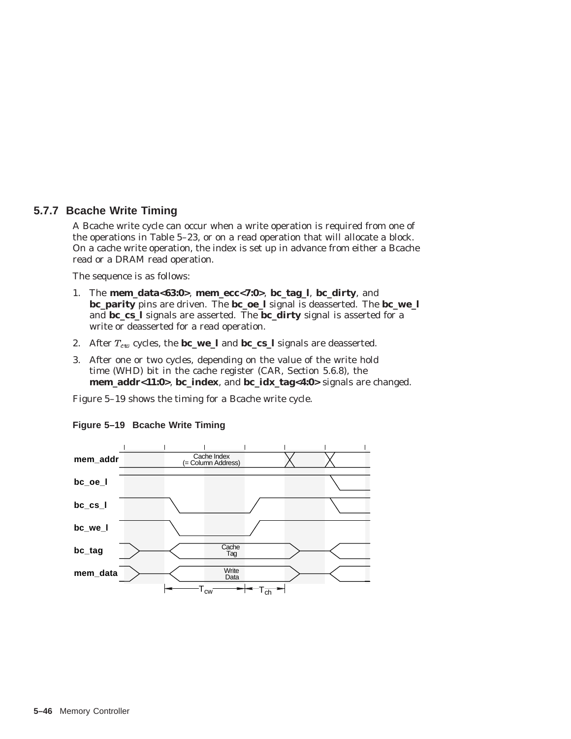## **5.7.7 Bcache Write Timing**

A Bcache write cycle can occur when a write operation is required from one of the operations in Table 5–23, or on a read operation that will allocate a block. On a cache write operation, the index is set up in advance from either a Bcache read or a DRAM read operation.

The sequence is as follows:

- 1. The **mem\_data<63:0>**, **mem\_ecc<7:0>**, **bc\_tag\_l**, **bc\_dirty**, and **bc\_parity** pins are driven. The **bc\_oe\_l** signal is deasserted. The **bc\_we\_l** and **bc\_cs\_l** signals are asserted. The **bc\_dirty** signal is asserted for a write or deasserted for a read operation.
- 2. After  $T_{cw}$  cycles, the **bc\_we\_l** and **bc\_cs\_l** signals are deasserted.
- 3. After one or two cycles, depending on the value of the write hold time (WHD) bit in the cache register (CAR, Section 5.6.8), the **mem\_addr<11:0>**, **bc\_index**, and **bc\_idx\_tag<4:0>** signals are changed.

Figure 5–19 shows the timing for a Bcache write cycle.



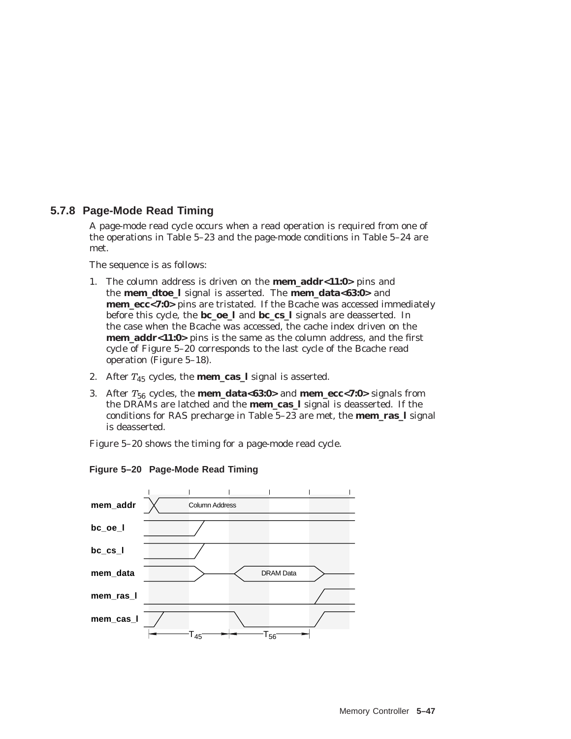## **5.7.8 Page-Mode Read Timing**

A page-mode read cycle occurs when a read operation is required from one of the operations in Table 5–23 and the page-mode conditions in Table 5–24 are met.

The sequence is as follows:

- 1. The column address is driven on the **mem\_addr<11:0>** pins and the **mem\_dtoe\_l** signal is asserted. The **mem\_data<63:0>** and **mem\_ecc<7:0>** pins are tristated. If the Bcache was accessed immediately before this cycle, the **bc\_oe\_l** and **bc\_cs\_l** signals are deasserted. In the case when the Bcache was accessed, the cache index driven on the **mem\_addr<11:0>** pins is the same as the column address, and the first cycle of Figure 5–20 corresponds to the last cycle of the Bcache read operation (Figure 5–18).
- 2. After  $T_{45}$  cycles, the **mem\_cas\_l** signal is asserted.
- 3. After T<sup>56</sup> cycles, the **mem\_data<63:0>** and **mem\_ecc<7:0>** signals from the DRAMs are latched and the **mem\_cas\_l** signal is deasserted. If the conditions for RAS precharge in Table 5–23 are met, the **mem\_ras\_l** signal is deasserted.

Figure 5–20 shows the timing for a page-mode read cycle.



**Figure 5–20 Page-Mode Read Timing**

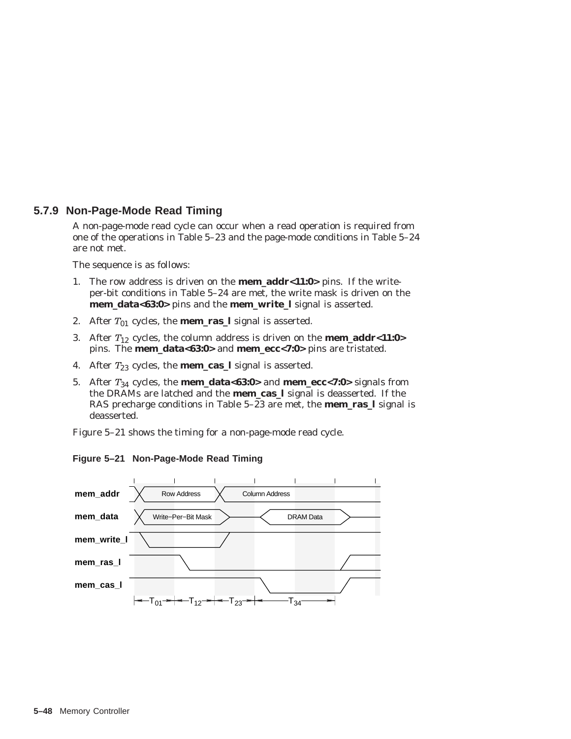## **5.7.9 Non-Page-Mode Read Timing**

A non-page-mode read cycle can occur when a read operation is required from one of the operations in Table 5–23 and the page-mode conditions in Table 5–24 are not met.

The sequence is as follows:

- 1. The row address is driven on the **mem\_addr<11:0>** pins. If the writeper-bit conditions in Table 5–24 are met, the write mask is driven on the **mem\_data<63:0>** pins and the **mem\_write\_l** signal is asserted.
- 2. After  $T_{01}$  cycles, the **mem\_ras\_l** signal is asserted.
- 3. After  $T_{12}$  cycles, the column address is driven on the **mem\_addr<11:0>** pins. The **mem\_data<63:0>** and **mem\_ecc<7:0>** pins are tristated.
- 4. After  $T_{23}$  cycles, the **mem\_cas\_l** signal is asserted.
- 5. After T<sup>34</sup> cycles, the **mem\_data<63:0>** and **mem\_ecc<7:0>** signals from the DRAMs are latched and the **mem\_cas\_l** signal is deasserted. If the RAS precharge conditions in Table 5–23 are met, the **mem\_ras\_l** signal is deasserted.

Figure 5–21 shows the timing for a non-page-mode read cycle.

**Figure 5–21 Non-Page-Mode Read Timing**

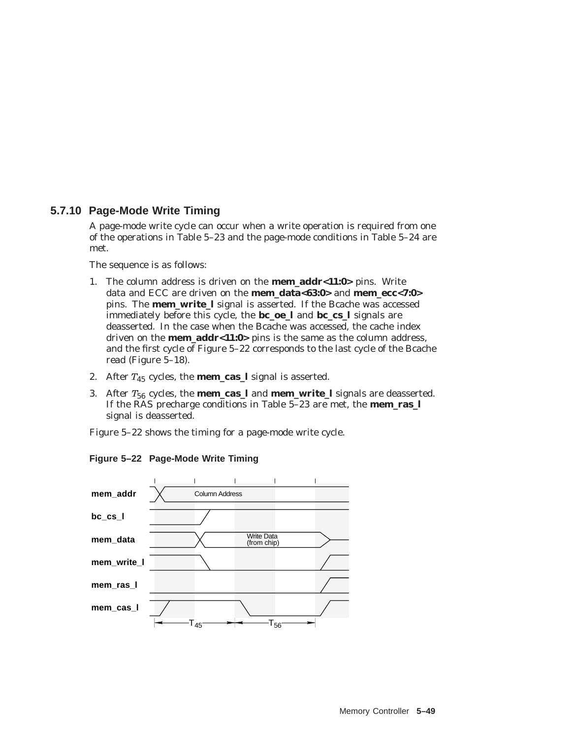# **5.7.10 Page-Mode Write Timing**

A page-mode write cycle can occur when a write operation is required from one of the operations in Table 5–23 and the page-mode conditions in Table 5–24 are met.

The sequence is as follows:

- 1. The column address is driven on the **mem\_addr<11:0>** pins. Write data and ECC are driven on the **mem\_data<63:0>** and **mem\_ecc<7:0>** pins. The **mem write 1** signal is asserted. If the Bcache was accessed immediately before this cycle, the **bc\_oe\_l** and **bc\_cs\_l** signals are deasserted. In the case when the Bcache was accessed, the cache index driven on the **mem\_addr<11:0>** pins is the same as the column address, and the first cycle of Figure 5–22 corresponds to the last cycle of the Bcache read (Figure 5–18).
- 2. After  $T_{45}$  cycles, the **mem\_cas\_l** signal is asserted.
- 3. After  $T_{56}$  cycles, the **mem\_cas\_l** and **mem\_write\_l** signals are deasserted. If the RAS precharge conditions in Table 5–23 are met, the **mem\_ras\_l** signal is deasserted.

Figure 5–22 shows the timing for a page-mode write cycle.

**Figure 5–22 Page-Mode Write Timing**

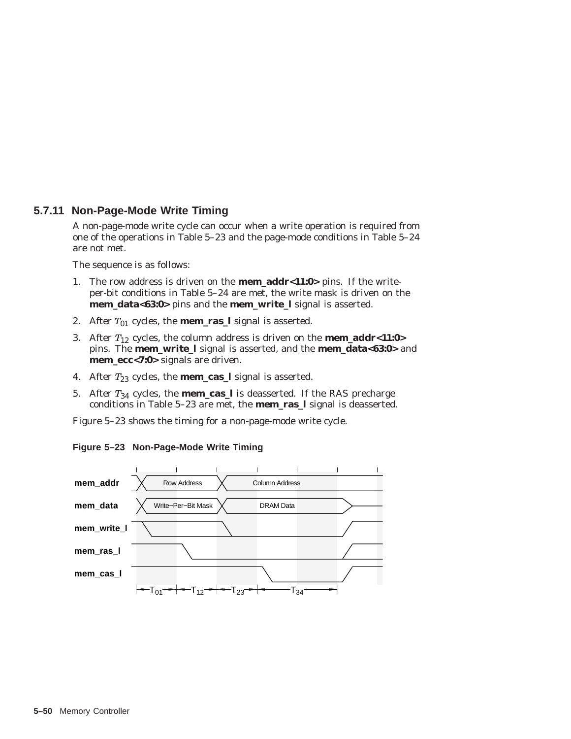# **5.7.11 Non-Page-Mode Write Timing**

A non-page-mode write cycle can occur when a write operation is required from one of the operations in Table 5–23 and the page-mode conditions in Table 5–24 are not met.

The sequence is as follows:

- 1. The row address is driven on the **mem\_addr<11:0>** pins. If the writeper-bit conditions in Table 5–24 are met, the write mask is driven on the **mem\_data<63:0>** pins and the **mem\_write\_l** signal is asserted.
- 2. After  $T_{01}$  cycles, the **mem\_ras\_l** signal is asserted.
- 3. After  $T_{12}$  cycles, the column address is driven on the **mem\_addr<11:0>** pins. The **mem\_write\_l** signal is asserted, and the **mem\_data<63:0>** and **mem\_ecc<7:0>** signals are driven.
- 4. After  $T_{23}$  cycles, the **mem\_cas\_l** signal is asserted.
- 5. After  $T_{34}$  cycles, the **mem\_cas\_l** is deasserted. If the RAS precharge conditions in Table 5–23 are met, the **mem\_ras\_l** signal is deasserted.

Figure 5–23 shows the timing for a non-page-mode write cycle.



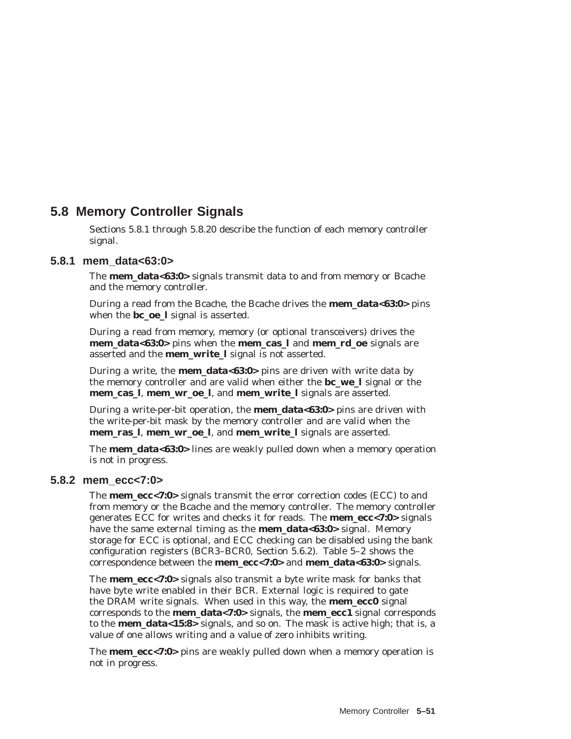# **5.8 Memory Controller Signals**

Sections 5.8.1 through 5.8.20 describe the function of each memory controller signal.

# **5.8.1 mem\_data<63:0>**

The **mem\_data<63:0>** signals transmit data to and from memory or Bcache and the memory controller.

During a read from the Bcache, the Bcache drives the **mem\_data<63:0>** pins when the **bc\_oe\_l** signal is asserted.

During a read from memory, memory (or optional transceivers) drives the **mem\_data<63:0>** pins when the **mem\_cas\_l** and **mem\_rd\_oe** signals are asserted and the **mem\_write\_l** signal is not asserted.

During a write, the **mem\_data<63:0>** pins are driven with write data by the memory controller and are valid when either the **bc\_we\_l** signal or the **mem\_cas\_l**, **mem\_wr\_oe\_l**, and **mem\_write\_l** signals are asserted.

During a write-per-bit operation, the **mem\_data<63:0>** pins are driven with the write-per-bit mask by the memory controller and are valid when the **mem\_ras\_l**, **mem\_wr\_oe\_l**, and **mem\_write\_l** signals are asserted.

The **mem\_data<63:0>** lines are weakly pulled down when a memory operation is not in progress.

# **5.8.2 mem\_ecc<7:0>**

The **mem\_ecc<7:0>** signals transmit the error correction codes (ECC) to and from memory or the Bcache and the memory controller. The memory controller generates ECC for writes and checks it for reads. The **mem\_ecc<7:0>** signals have the same external timing as the **mem\_data<63:0>** signal. Memory storage for ECC is optional, and ECC checking can be disabled using the bank configuration registers (BCR3–BCR0, Section 5.6.2). Table 5–2 shows the correspondence between the **mem\_ecc<7:0>** and **mem\_data<63:0>** signals.

The **mem\_ecc<7:0>** signals also transmit a byte write mask for banks that have byte write enabled in their BCR. External logic is required to gate the DRAM write signals. When used in this way, the **mem\_ecc0** signal corresponds to the **mem\_data<7:0>** signals, the **mem\_ecc1** signal corresponds to the **mem\_data<15:8>** signals, and so on. The mask is active high; that is, a value of one allows writing and a value of zero inhibits writing.

The **mem\_ecc<7:0>** pins are weakly pulled down when a memory operation is not in progress.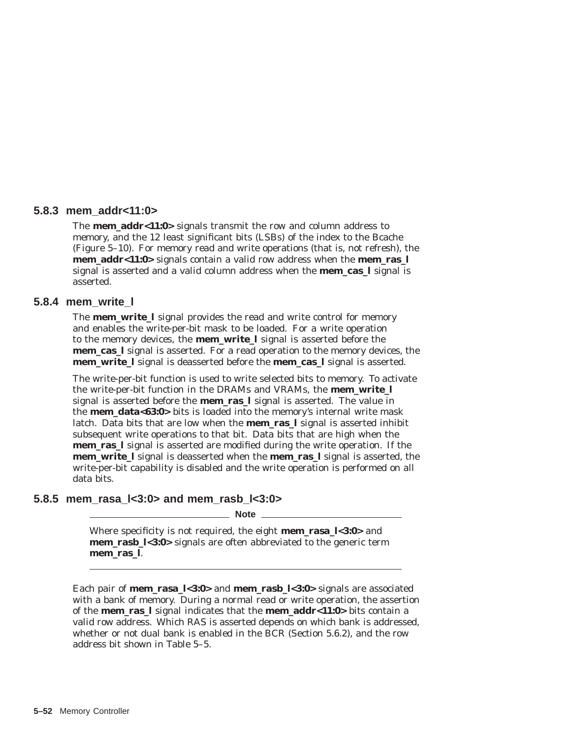#### **5.8.3 mem\_addr<11:0>**

The **mem\_addr<11:0>** signals transmit the row and column address to memory, and the 12 least significant bits (LSBs) of the index to the Bcache (Figure 5–10). For memory read and write operations (that is, not refresh), the **mem\_addr<11:0>** signals contain a valid row address when the **mem\_ras\_l** signal is asserted and a valid column address when the **mem\_cas\_l** signal is asserted.

#### **5.8.4 mem\_write\_l**

The **mem\_write\_l** signal provides the read and write control for memory and enables the write-per-bit mask to be loaded. For a write operation to the memory devices, the **mem\_write\_l** signal is asserted before the **mem\_cas\_l** signal is asserted. For a read operation to the memory devices, the **mem\_write\_l** signal is deasserted before the **mem\_cas\_l** signal is asserted.

The write-per-bit function is used to write selected bits to memory. To activate the write-per-bit function in the DRAMs and VRAMs, the **mem\_write\_l** signal is asserted before the **mem\_ras\_l** signal is asserted. The value in the **mem\_data<63:0>** bits is loaded into the memory's internal write mask latch. Data bits that are low when the **mem\_ras\_l** signal is asserted inhibit subsequent write operations to that bit. Data bits that are high when the **mem\_ras\_l** signal is asserted are modified during the write operation. If the **mem\_write\_l** signal is deasserted when the **mem\_ras\_l** signal is asserted, the write-per-bit capability is disabled and the write operation is performed on all data bits.

#### **5.8.5 mem\_rasa\_l<3:0> and mem\_rasb\_l<3:0>**

**Note**

Where specificity is not required, the eight **mem\_rasa\_l<3:0>** and **mem rasb**  $\frac{1}{3}$ **:0**> signals are often abbreviated to the generic term **mem\_ras\_l**.

Each pair of **mem\_rasa\_l<3:0>** and **mem\_rasb\_l<3:0>** signals are associated with a bank of memory. During a normal read or write operation, the assertion of the **mem\_ras\_l** signal indicates that the **mem\_addr<11:0>** bits contain a valid row address. Which RAS is asserted depends on which bank is addressed, whether or not dual bank is enabled in the BCR (Section 5.6.2), and the row address bit shown in Table 5–5.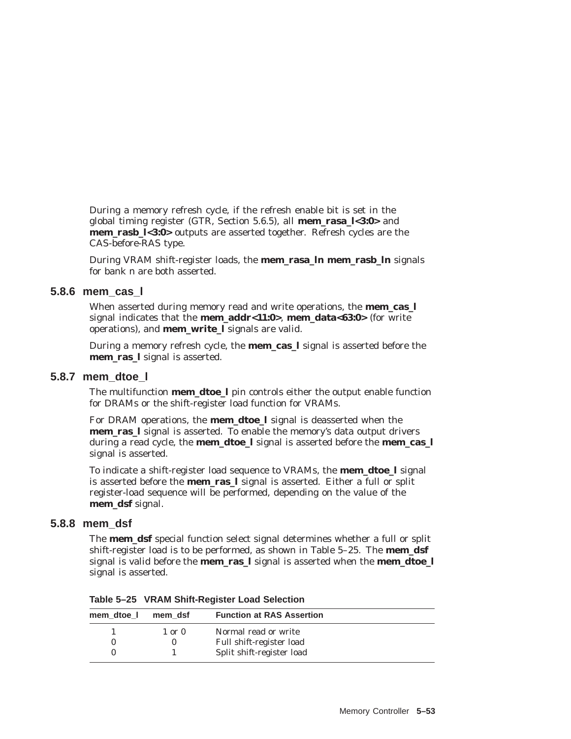During a memory refresh cycle, if the refresh enable bit is set in the global timing register (GTR, Section 5.6.5), all **mem\_rasa\_l<3:0>** and **mem\_rasb\_l<3:0>** outputs are asserted together. Refresh cycles are the CAS-before-RAS type.

During VRAM shift-register loads, the **mem\_rasa\_l***n* **mem\_rasb\_l***n* signals for bank *n* are both asserted.

#### **5.8.6 mem\_cas\_l**

When asserted during memory read and write operations, the **mem\_cas\_l** signal indicates that the **mem\_addr<11:0>**, **mem\_data<63:0>** (for write operations), and **mem\_write\_l** signals are valid.

During a memory refresh cycle, the **mem\_cas\_l** signal is asserted before the **mem\_ras\_l** signal is asserted.

#### **5.8.7 mem\_dtoe\_l**

The multifunction **mem\_dtoe\_l** pin controls either the output enable function for DRAMs or the shift-register load function for VRAMs.

For DRAM operations, the **mem\_dtoe\_l** signal is deasserted when the **mem\_ras\_l** signal is asserted. To enable the memory's data output drivers during a read cycle, the **mem\_dtoe\_l** signal is asserted before the **mem\_cas\_l** signal is asserted.

To indicate a shift-register load sequence to VRAMs, the **mem\_dtoe\_l** signal is asserted before the **mem\_ras\_l** signal is asserted. Either a full or split register-load sequence will be performed, depending on the value of the **mem\_dsf** signal.

#### **5.8.8 mem\_dsf**

The **mem\_dsf** special function select signal determines whether a full or split shift-register load is to be performed, as shown in Table 5–25. The **mem\_dsf** signal is valid before the **mem\_ras\_l** signal is asserted when the **mem\_dtoe\_l** signal is asserted.

**Table 5–25 VRAM Shift-Register Load Selection**

| mem dtoe I | mem dsf    | <b>Function at RAS Assertion</b> |
|------------|------------|----------------------------------|
|            | $1$ or $0$ | Normal read or write             |
|            |            | Full shift-register load         |
|            |            | Split shift-register load        |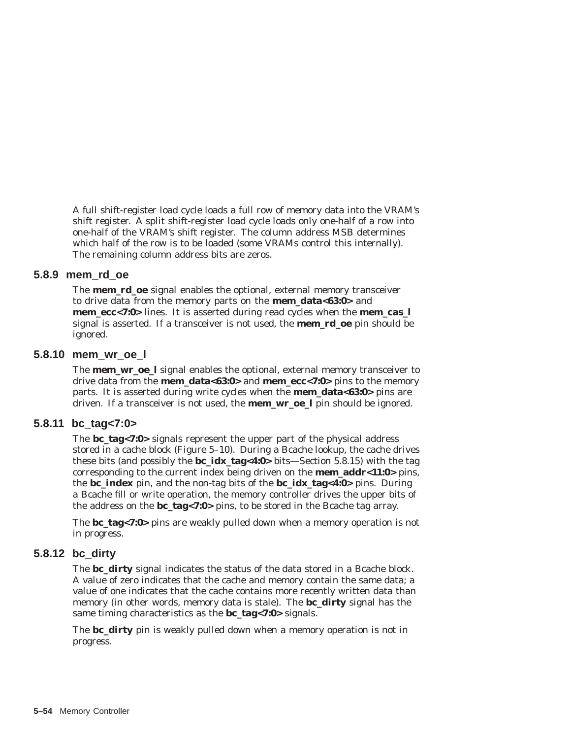A full shift-register load cycle loads a full row of memory data into the VRAM's shift register. A split shift-register load cycle loads only one-half of a row into one-half of the VRAM's shift register. The column address MSB determines which half of the row is to be loaded (some VRAMs control this internally). The remaining column address bits are zeros.

#### **5.8.9 mem\_rd\_oe**

The **mem\_rd\_oe** signal enables the optional, external memory transceiver to drive data from the memory parts on the **mem\_data<63:0>** and **mem\_ecc<7:0>** lines. It is asserted during read cycles when the **mem\_cas\_l** signal is asserted. If a transceiver is not used, the **mem\_rd\_oe** pin should be ignored.

#### **5.8.10 mem\_wr\_oe\_l**

The **mem\_wr\_oe\_l** signal enables the optional, external memory transceiver to drive data from the **mem\_data<63:0>** and **mem\_ecc<7:0>** pins to the memory parts. It is asserted during write cycles when the **mem\_data<63:0>** pins are driven. If a transceiver is not used, the **mem\_wr\_oe\_l** pin should be ignored.

# **5.8.11 bc\_tag<7:0>**

The **bc\_tag<7:0>** signals represent the upper part of the physical address stored in a cache block (Figure 5–10). During a Bcache lookup, the cache drives these bits (and possibly the **bc\_idx\_tag<4:0>** bits—Section 5.8.15) with the tag corresponding to the current index being driven on the **mem\_addr<11:0>** pins, the **bc\_index** pin, and the non-tag bits of the **bc\_idx\_tag<4:0>** pins. During a Bcache fill or write operation, the memory controller drives the upper bits of the address on the **bc** tag<7:0> pins, to be stored in the Bcache tag array.

The **bc\_tag<7:0>** pins are weakly pulled down when a memory operation is not in progress.

# **5.8.12 bc\_dirty**

The **bc\_dirty** signal indicates the status of the data stored in a Bcache block. A value of zero indicates that the cache and memory contain the same data; a value of one indicates that the cache contains more recently written data than memory (in other words, memory data is stale). The **bc\_dirty** signal has the same timing characteristics as the **bc** tag<7:0> signals.

The **bc** dirty pin is weakly pulled down when a memory operation is not in progress.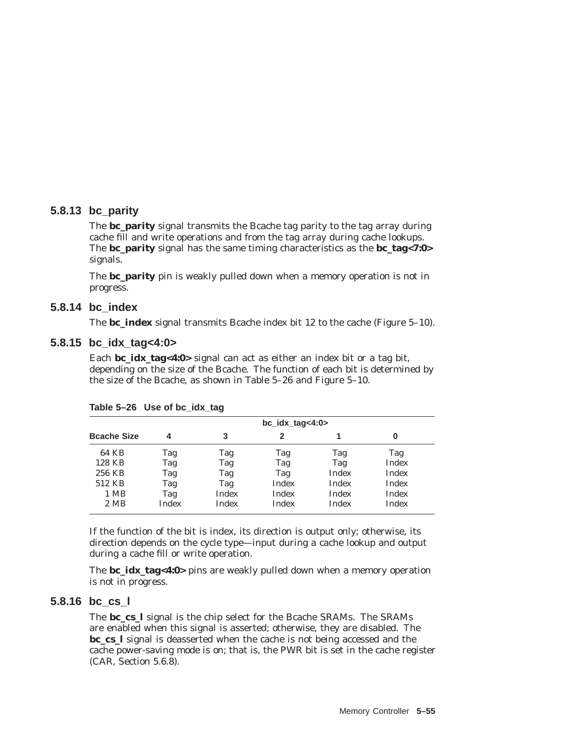# **5.8.13 bc\_parity**

The **bc\_parity** signal transmits the Bcache tag parity to the tag array during cache fill and write operations and from the tag array during cache lookups. The **bc\_parity** signal has the same timing characteristics as the **bc\_tag<7:0>** signals.

The **bc\_parity** pin is weakly pulled down when a memory operation is not in progress.

# **5.8.14 bc\_index**

The **bc\_index** signal transmits Bcache index bit 12 to the cache (Figure 5–10).

# **5.8.15 bc\_idx\_tag<4:0>**

Each **bc\_idx\_tag<4:0>** signal can act as either an index bit or a tag bit, depending on the size of the Bcache. The function of each bit is determined by the size of the Bcache, as shown in Table 5–26 and Figure 5–10.

|                    | $bc\_idx\_tag<4:0>$ |              |              |              |              |  |  |
|--------------------|---------------------|--------------|--------------|--------------|--------------|--|--|
| <b>Bcache Size</b> | 4                   | 3            | 2            |              | 0            |  |  |
| 64 KB              | Tag                 | Tag          | Tag          | Tag          | Tag          |  |  |
| 128 KB             | Tag                 | Tag          | Tag          | Tag          | Index        |  |  |
| 256 KB             | Tag                 | Tag          | Tag          | Index        | Index        |  |  |
| 512 KB             | Tag                 | Tag          | <b>Index</b> | Index        | Index        |  |  |
| 1 MB               | Tag                 | <b>Index</b> | Index        | Index        | Index        |  |  |
| 2 MB               | Index               | Index        | Index        | <b>Index</b> | <b>Index</b> |  |  |

**Table 5–26 Use of bc\_idx\_tag**

If the function of the bit is index, its direction is output only; otherwise, its direction depends on the cycle type—input during a cache lookup and output during a cache fill or write operation.

The **bc\_idx\_tag<4:0>** pins are weakly pulled down when a memory operation is not in progress.

### **5.8.16 bc\_cs\_l**

The **bc** cs I signal is the chip select for the Bcache SRAMs. The SRAMs are enabled when this signal is asserted; otherwise, they are disabled. The **bc\_cs\_l** signal is deasserted when the cache is not being accessed and the cache power-saving mode is on; that is, the PWR bit is set in the cache register (CAR, Section 5.6.8).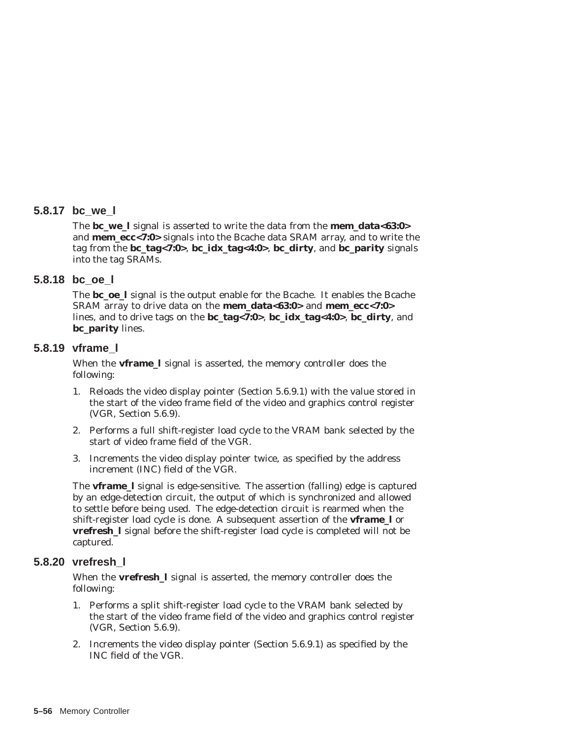#### **5.8.17 bc\_we\_l**

The **bc\_we\_l** signal is asserted to write the data from the **mem\_data<63:0>** and **mem\_ecc<7:0>** signals into the Bcache data SRAM array, and to write the tag from the **bc\_tag<7:0>**, **bc\_idx\_tag<4:0>**, **bc\_dirty**, and **bc\_parity** signals into the tag SRAMs.

#### **5.8.18 bc\_oe\_l**

The **bc\_oe\_l** signal is the output enable for the Bcache. It enables the Bcache SRAM array to drive data on the **mem\_data<63:0>** and **mem\_ecc<7:0>** lines, and to drive tags on the **bc\_tag<7:0>**, **bc\_idx\_tag<4:0>**, **bc\_dirty**, and **bc\_parity** lines.

#### **5.8.19 vframe\_l**

When the **vframe\_l** signal is asserted, the memory controller does the following:

- 1. Reloads the video display pointer (Section 5.6.9.1) with the value stored in the start of the video frame field of the video and graphics control register (VGR, Section 5.6.9).
- 2. Performs a full shift-register load cycle to the VRAM bank selected by the start of video frame field of the VGR.
- 3. Increments the video display pointer twice, as specified by the address increment (INC) field of the VGR.

The **vframe\_l** signal is edge-sensitive. The assertion (falling) edge is captured by an edge-detection circuit, the output of which is synchronized and allowed to settle before being used. The edge-detection circuit is rearmed when the shift-register load cycle is done. A subsequent assertion of the **vframe\_l** or **vrefresh\_l** signal before the shift-register load cycle is completed will not be captured.

#### **5.8.20 vrefresh\_l**

When the **vrefresh\_l** signal is asserted, the memory controller does the following:

- 1. Performs a split shift-register load cycle to the VRAM bank selected by the start of the video frame field of the video and graphics control register (VGR, Section 5.6.9).
- 2. Increments the video display pointer (Section 5.6.9.1) as specified by the INC field of the VGR.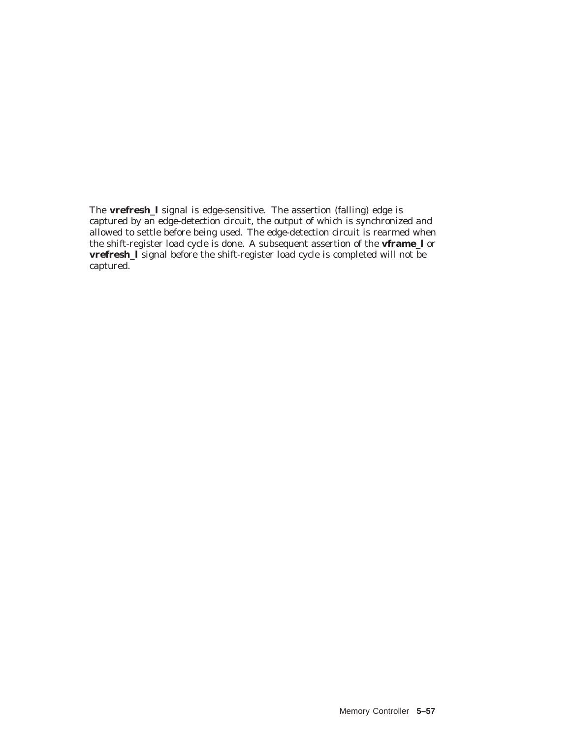The **vrefresh\_l** signal is edge-sensitive. The assertion (falling) edge is captured by an edge-detection circuit, the output of which is synchronized and allowed to settle before being used. The edge-detection circuit is rearmed when the shift-register load cycle is done. A subsequent assertion of the **vframe\_l** or **vrefresh\_l** signal before the shift-register load cycle is completed will not be captured.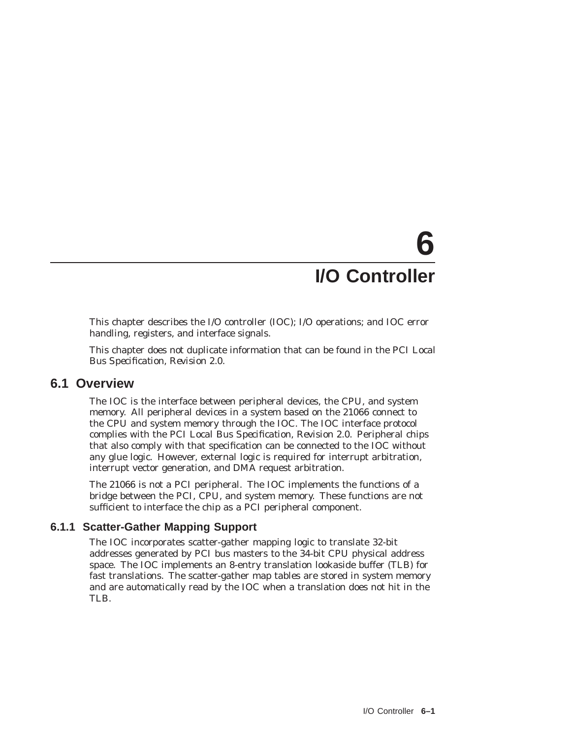# **6 I/O Controller**

This chapter describes the I/O controller (IOC); I/O operations; and IOC error handling, registers, and interface signals.

This chapter does not duplicate information that can be found in the *PCI Local Bus Specification, Revision 2.0*.

# **6.1 Overview**

The IOC is the interface between peripheral devices, the CPU, and system memory. All peripheral devices in a system based on the 21066 connect to the CPU and system memory through the IOC. The IOC interface protocol complies with the *PCI Local Bus Specification, Revision 2.0*. Peripheral chips that also comply with that specification can be connected to the IOC without any glue logic. However, external logic is required for interrupt arbitration, interrupt vector generation, and DMA request arbitration.

The 21066 is *not* a PCI peripheral. The IOC implements the functions of a bridge between the PCI, CPU, and system memory. These functions are not sufficient to interface the chip as a PCI peripheral component.

# **6.1.1 Scatter-Gather Mapping Support**

The IOC incorporates scatter-gather mapping logic to translate 32-bit addresses generated by PCI bus masters to the 34-bit CPU physical address space. The IOC implements an 8-entry translation lookaside buffer (TLB) for fast translations. The scatter-gather map tables are stored in system memory and are automatically read by the IOC when a translation does not hit in the TLB.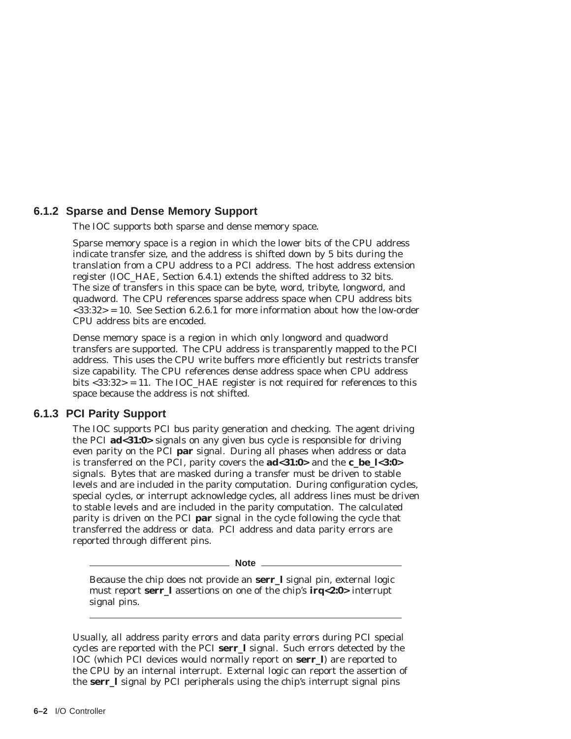# **6.1.2 Sparse and Dense Memory Support**

The IOC supports both sparse and dense memory space.

Sparse memory space is a region in which the lower bits of the CPU address indicate transfer size, and the address is shifted down by 5 bits during the translation from a CPU address to a PCI address. The host address extension register (IOC\_HAE, Section 6.4.1) extends the shifted address to 32 bits. The size of transfers in this space can be byte, word, tribyte, longword, and quadword. The CPU references sparse address space when CPU address bits  $\langle 33:32 \rangle = 10$ . See Section 6.2.6.1 for more information about how the low-order CPU address bits are encoded.

Dense memory space is a region in which only longword and quadword transfers are supported. The CPU address is transparently mapped to the PCI address. This uses the CPU write buffers more efficiently but restricts transfer size capability. The CPU references dense address space when CPU address bits <33:32> = 11. The IOC\_HAE register is not required for references to this space because the address is not shifted.

# **6.1.3 PCI Parity Support**

The IOC supports PCI bus parity generation and checking. The agent driving the PCI **ad<31:0>** signals on any given bus cycle is responsible for driving even parity on the PCI **par** signal. During all phases when address or data is transferred on the PCI, parity covers the **ad<31:0>** and the **c\_be\_l<3:0>** signals. Bytes that are masked during a transfer must be driven to stable levels and are included in the parity computation. During configuration cycles, special cycles, or interrupt acknowledge cycles, all address lines must be driven to stable levels and are included in the parity computation. The calculated parity is driven on the PCI **par** signal in the cycle following the cycle that transferred the address or data. PCI address and data parity errors are reported through different pins.

**Note**

Because the chip does not provide an **serr\_l** signal pin, external logic must report **serr\_l** assertions on one of the chip's **irq<2:0>** interrupt signal pins.

Usually, all address parity errors and data parity errors during PCI special cycles are reported with the PCI **serr\_l** signal. Such errors detected by the IOC (which PCI devices would normally report on **serr\_l**) are reported to the CPU by an internal interrupt. External logic can report the assertion of the **serr\_l** signal by PCI peripherals using the chip's interrupt signal pins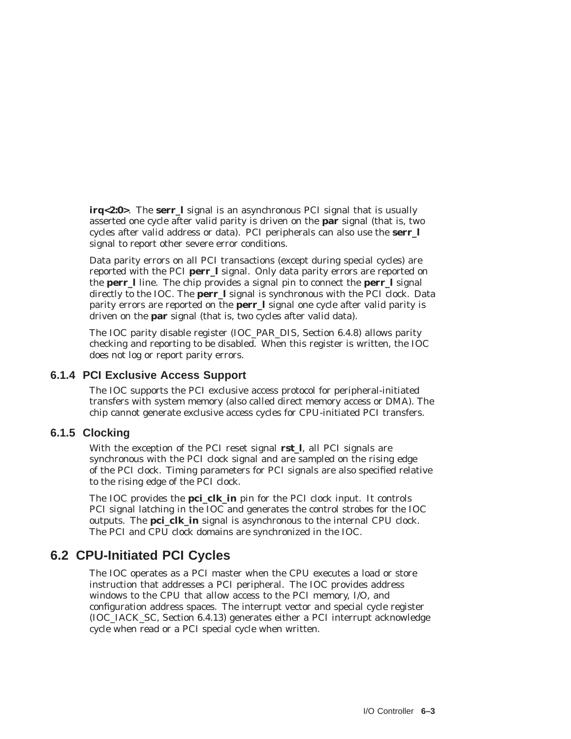**irq<2:0>**. The **serr\_l** signal is an asynchronous PCI signal that is usually asserted one cycle after valid parity is driven on the **par** signal (that is, two cycles after valid address or data). PCI peripherals can also use the **serr\_l** signal to report other severe error conditions.

Data parity errors on all PCI transactions (except during special cycles) are reported with the PCI **perr\_l** signal. Only data parity errors are reported on the **perr\_l** line. The chip provides a signal pin to connect the **perr\_l** signal directly to the IOC. The **perr\_l** signal is synchronous with the PCI clock. Data parity errors are reported on the **perr\_l** signal one cycle after valid parity is driven on the **par** signal (that is, two cycles after valid data).

The IOC parity disable register (IOC\_PAR\_DIS, Section 6.4.8) allows parity checking and reporting to be disabled. When this register is written, the IOC does not log or report parity errors.

# **6.1.4 PCI Exclusive Access Support**

The IOC supports the PCI exclusive access protocol for peripheral-initiated transfers with system memory (also called direct memory access or DMA). The chip cannot generate exclusive access cycles for CPU-initiated PCI transfers.

# **6.1.5 Clocking**

With the exception of the PCI reset signal **rst\_l**, all PCI signals are synchronous with the PCI clock signal and are sampled on the rising edge of the PCI clock. Timing parameters for PCI signals are also specified relative to the rising edge of the PCI clock.

The IOC provides the **pci\_clk\_in** pin for the PCI clock input. It controls PCI signal latching in the IOC and generates the control strobes for the IOC outputs. The **pci\_clk\_in** signal is asynchronous to the internal CPU clock. The PCI and CPU clock domains are synchronized in the IOC.

# **6.2 CPU-Initiated PCI Cycles**

The IOC operates as a PCI master when the CPU executes a load or store instruction that addresses a PCI peripheral. The IOC provides address windows to the CPU that allow access to the PCI memory, I/O, and configuration address spaces. The interrupt vector and special cycle register (IOC\_IACK\_SC, Section 6.4.13) generates either a PCI interrupt acknowledge cycle when read or a PCI special cycle when written.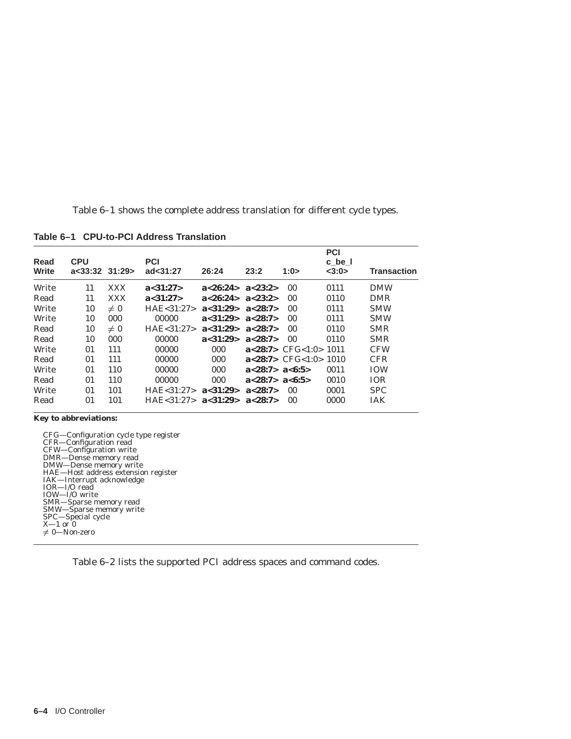Table 6–1 shows the complete address translation for different cycle types.

| Read<br>Write | <b>CPU</b><br>$a<33:32$ $31:29>$ |            | <b>PCI</b><br>ad<31:27 | 26:24    | 23:2               | 1:0>                            | <b>PCI</b><br>c be I<br><3:0> | Transaction |
|---------------|----------------------------------|------------|------------------------|----------|--------------------|---------------------------------|-------------------------------|-------------|
| Write         | 11                               | <b>XXX</b> | a<31:27>               | a<26:24> | a<23:2>            | 0 <sub>0</sub>                  | 0111                          | <b>DMW</b>  |
|               |                                  |            |                        |          |                    |                                 |                               |             |
| Read          | 11                               | <b>XXX</b> | a<31:27>               | a<26:24> | a<23:2>            | 0 <sub>0</sub>                  | 0110                          | <b>DMR</b>  |
| Write         | 10                               | $\neq 0$   | HAE < 31:27>           | a<31:29  | a<28:7>            | 00                              | 0111                          | <b>SMW</b>  |
| Write         | 10                               | 000        | 00000                  | a<31:29  | a < 28:7>          | 0 <sub>0</sub>                  | 0111                          | <b>SMW</b>  |
| Read          | 10                               | $\neq 0$   | HAE < 31:27            | a<31:29  | a < 28:7>          | 0 <sub>0</sub>                  | 0110                          | <b>SMR</b>  |
| Read          | 10                               | 000        | 00000                  | a<31:29  | a < 28:7>          | 0 <sup>0</sup>                  | 0110                          | <b>SMR</b>  |
| Write         | 01                               | 111        | 00000                  | 000      |                    | $a < 28:7$ > CFG $< 1:0$ > 1011 |                               | <b>CFW</b>  |
| Read          | 01                               | 111        | 00000                  | 000      |                    | $a < 28:7$ > CFG $< 1:0$ > 1010 |                               | <b>CFR</b>  |
| Write         | 01                               | 110        | 00000                  | 000      | a < 28:7> a < 6:5> |                                 | 0011                          | <b>TOW</b>  |
| Read          | 01                               | 110        | 00000                  | 000      | a < 28:7> a < 6:5> |                                 | 0010                          | <b>TOR</b>  |
| Write         | 01                               | 101        | HAE < 31:27            | a<31:29  | a < 28:7>          | -00                             | 0001                          | <b>SPC</b>  |
| Read          | 01                               | 101        | HAF < 31:27            | a<31:29  | a < 28:7>          | 00                              | 0000                          | <b>IAK</b>  |

**Table 6–1 CPU-to-PCI Address Translation**

**Key to abbreviations:**

CFG—Configuration cycle type register CFR—Configuration read CFW—Configuration write DMR—Dense memory read DMW—Dense memory write HAE—Host address extension register IAK—Interrupt acknowledge IOR—I/O read IOW—I/O write SMR—Sparse memory read SMW—Sparse memory write SPC—Special cycle X—1 or 0  $\neq 0$ —Non-zero

Table 6–2 lists the supported PCI address spaces and command codes.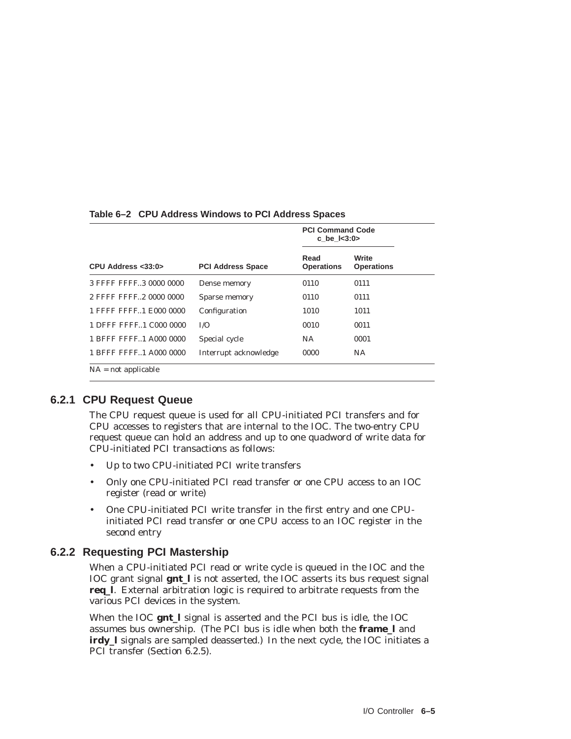|                          |                          | <b>PCI Command Code</b><br>c be $1 < 3:0>$ |                            |
|--------------------------|--------------------------|--------------------------------------------|----------------------------|
| CPU Address $<$ 33:0 $>$ | <b>PCI Address Space</b> | Read<br><b>Operations</b>                  | Write<br><b>Operations</b> |
| 3 FFFF FFFF3 0000 0000   | Dense memory             | 0110                                       | 0111                       |
| 2 FFFF FFFF2 0000 0000   | Sparse memory            | 0110                                       | 0111                       |
| 1 FFFF FFFF1 E000 0000   | Configuration            | 1010                                       | 1011                       |
| 1 DFFF FFFF. 1 C000 0000 | I/O                      | 0010                                       | 0011                       |
| 1 BFFF FFFF1 A000 0000   | Special cycle            | <b>NA</b>                                  | 0001                       |
| 1 BFFF FFFF1 A000 0000   | Interrupt acknowledge    | 0000                                       | <b>NA</b>                  |
| $NA = not applicable$    |                          |                                            |                            |

#### **Table 6–2 CPU Address Windows to PCI Address Spaces**

#### **6.2.1 CPU Request Queue**

The CPU request queue is used for all CPU-initiated PCI transfers and for CPU accesses to registers that are internal to the IOC. The two-entry CPU request queue can hold an address and up to one quadword of write data for CPU-initiated PCI transactions as follows:

- Up to two CPU-initiated PCI write transfers
- Only one CPU-initiated PCI read transfer or one CPU access to an IOC register (read or write)
- One CPU-initiated PCI write transfer in the first entry and one CPUinitiated PCI read transfer or one CPU access to an IOC register in the second entry

#### **6.2.2 Requesting PCI Mastership**

When a CPU-initiated PCI read or write cycle is queued in the IOC and the IOC grant signal **gnt\_l** is not asserted, the IOC asserts its bus request signal **req\_l**. External arbitration logic is required to arbitrate requests from the various PCI devices in the system.

When the IOC **gnt\_l** signal is asserted and the PCI bus is idle, the IOC assumes bus ownership. (The PCI bus is idle when both the **frame\_l** and **irdy** I signals are sampled deasserted.) In the next cycle, the IOC initiates a PCI transfer (Section 6.2.5).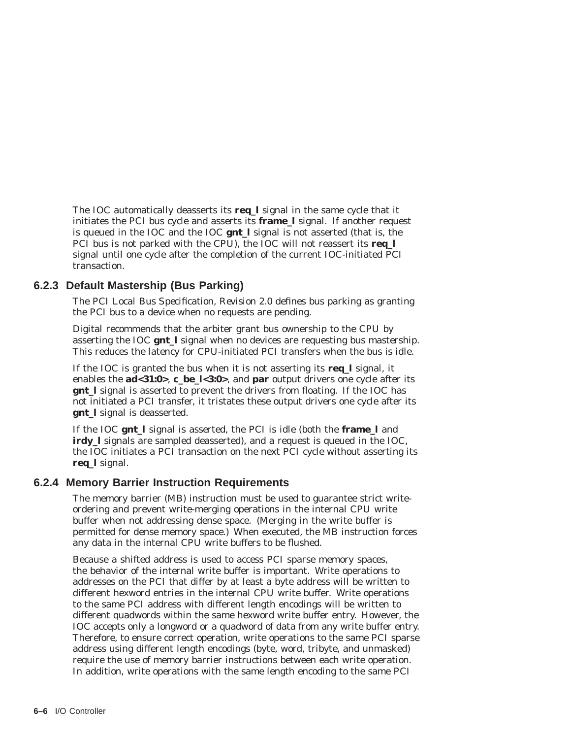The IOC automatically deasserts its **req\_l** signal in the same cycle that it initiates the PCI bus cycle and asserts its **frame\_l** signal. If another request is queued in the IOC and the IOC **gnt\_l** signal is not asserted (that is, the PCI bus is not parked with the CPU), the IOC will not reassert its **req\_l** signal until one cycle after the completion of the current IOC-initiated PCI transaction.

# **6.2.3 Default Mastership (Bus Parking)**

The *PCI Local Bus Specification, Revision 2.0* defines bus parking as granting the PCI bus to a device when no requests are pending.

Digital recommends that the arbiter grant bus ownership to the CPU by asserting the IOC **gnt\_l** signal when no devices are requesting bus mastership. This reduces the latency for CPU-initiated PCI transfers when the bus is idle.

If the IOC is granted the bus when it is not asserting its **req\_l** signal, it enables the **ad<31:0>**, **c\_be\_l<3:0>**, and **par** output drivers one cycle after its **gnt\_l** signal is asserted to prevent the drivers from floating. If the IOC has not initiated a PCI transfer, it tristates these output drivers one cycle after its **gnt\_l** signal is deasserted.

If the IOC **gnt\_l** signal is asserted, the PCI is idle (both the **frame\_l** and **irdy** 1 signals are sampled deasserted), and a request is queued in the IOC, the IOC initiates a PCI transaction on the next PCI cycle without asserting its **req\_l** signal.

# **6.2.4 Memory Barrier Instruction Requirements**

The memory barrier (MB) instruction must be used to guarantee strict writeordering and prevent write-merging operations in the internal CPU write buffer when not addressing dense space. (Merging in the write buffer is permitted for dense memory space.) When executed, the MB instruction forces any data in the internal CPU write buffers to be flushed.

Because a shifted address is used to access PCI sparse memory spaces, the behavior of the internal write buffer is important. Write operations to addresses on the PCI that differ by at least a byte address will be written to different hexword entries in the internal CPU write buffer. Write operations to the same PCI address with different length encodings will be written to different quadwords within the same hexword write buffer entry. However, the IOC accepts only a longword or a quadword of data from any write buffer entry. Therefore, to ensure correct operation, write operations to the same PCI sparse address using different length encodings (byte, word, tribyte, and unmasked) require the use of memory barrier instructions between each write operation. In addition, write operations with the same length encoding to the same PCI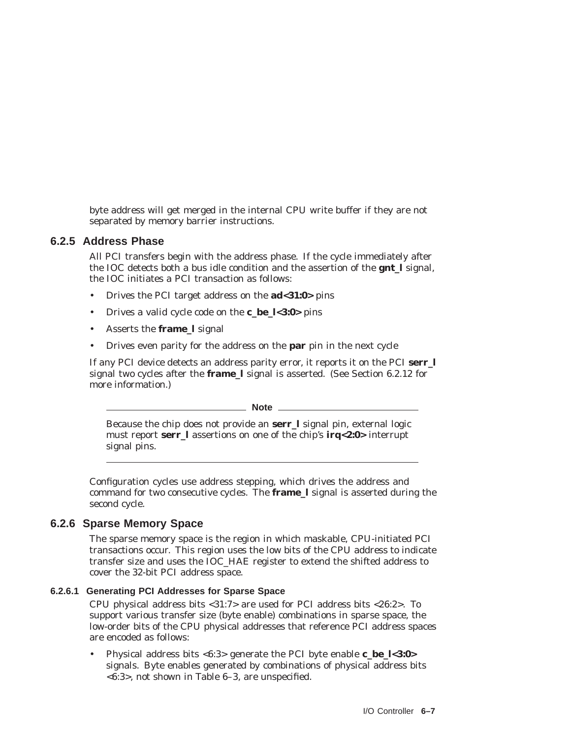byte address will get merged in the internal CPU write buffer if they are not separated by memory barrier instructions.

# **6.2.5 Address Phase**

All PCI transfers begin with the address phase. If the cycle immediately after the IOC detects both a bus idle condition and the assertion of the **gnt\_l** signal, the IOC initiates a PCI transaction as follows:

- Drives the PCI target address on the **ad<31:0>** pins
- Drives a valid cycle code on the **c\_be\_l<3:0>** pins
- Asserts the **frame\_l** signal
- Drives even parity for the address on the **par** pin in the next cycle

If any PCI device detects an address parity error, it reports it on the PCI **serr\_l** signal two cycles after the **frame\_l** signal is asserted. (See Section 6.2.12 for more information.)

**Note**

Because the chip does not provide an **serr\_l** signal pin, external logic must report **serr\_l** assertions on one of the chip's **irq<2:0>** interrupt signal pins.

Configuration cycles use address stepping, which drives the address and command for two consecutive cycles. The **frame\_l** signal is asserted during the second cycle.

# **6.2.6 Sparse Memory Space**

The sparse memory space is the region in which maskable, CPU-initiated PCI transactions occur. This region uses the low bits of the CPU address to indicate transfer size and uses the IOC\_HAE register to extend the shifted address to cover the 32-bit PCI address space.

#### **6.2.6.1 Generating PCI Addresses for Sparse Space**

CPU physical address bits <31:7> are used for PCI address bits <26:2>. To support various transfer size (byte enable) combinations in sparse space, the low-order bits of the CPU physical addresses that reference PCI address spaces are encoded as follows:

• Physical address bits <6:3> generate the PCI byte enable **c\_be\_l<3:0>** signals. Byte enables generated by combinations of physical address bits <6:3>, not shown in Table 6–3, are unspecified.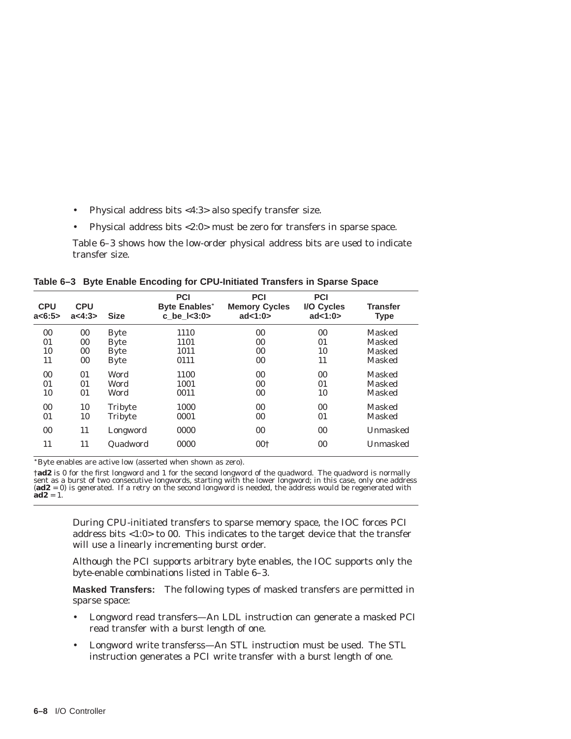- Physical address bits <4:3> also specify transfer size.
- Physical address bits <2:0> must be zero for transfers in sparse space.

Table 6–3 shows how the low-order physical address bits are used to indicate transfer size.

|  |  |  |  |  | Table 6-3 Byte Enable Encoding for CPU-Initiated Transfers in Sparse Space |  |  |  |  |
|--|--|--|--|--|----------------------------------------------------------------------------|--|--|--|--|
|--|--|--|--|--|----------------------------------------------------------------------------|--|--|--|--|

| <b>CPU</b><br>a < 6:5 | <b>CPU</b><br>a < 4:3> | <b>Size</b> | <b>PCI</b><br><b>Byte Enables*</b><br>c_be_l<3:0> | <b>PCI</b><br><b>Memory Cycles</b><br>ad < 1:0> | <b>PCI</b><br>I/O Cycles<br>ad < 1:0> | <b>Transfer</b><br><b>Type</b> |
|-----------------------|------------------------|-------------|---------------------------------------------------|-------------------------------------------------|---------------------------------------|--------------------------------|
| 00                    | 00                     | <b>Byte</b> | 1110                                              | 00                                              | 00                                    | <b>Masked</b>                  |
| 01                    | 00                     | <b>Byte</b> | 1101                                              | 00                                              | 01                                    | <b>Masked</b>                  |
| 10                    | $00\,$                 | <b>Byte</b> | 1011                                              | 00                                              | 10                                    | Masked                         |
| 11                    | $00\,$                 | <b>Byte</b> | 0111                                              | 00                                              | 11                                    | <b>Masked</b>                  |
| $00\,$                | 01                     | Word        | 1100                                              | 00                                              | 00                                    | <b>Masked</b>                  |
| 01                    | 01                     | Word        | 1001                                              | 00                                              | 01                                    | <b>Masked</b>                  |
| 10                    | 01                     | Word        | 0011                                              | 00                                              | 10                                    | <b>Masked</b>                  |
| 0 <sub>0</sub>        | 10                     | Tribyte     | 1000                                              | 00                                              | 00                                    | <b>Masked</b>                  |
| 01                    | 10                     | Tribyte     | 0001                                              | 00                                              | 01                                    | Masked                         |
| 00                    | 11                     | Longword    | 0000                                              | 00                                              | 00                                    | Unmasked                       |
| 11                    | 11                     | Quadword    | 0000                                              | 00 <sup>†</sup>                                 | 00                                    | Unmasked                       |

Byte enables are active low (asserted when shown as zero).

†**ad2** is 0 for the first longword and 1 for the second longword of the quadword. The quadword is normally sent as a burst of two consecutive longwords, starting with the lower longword; in this case, only one address (**ad2** = 0) is generated. If a retry on the second longword is needed, the address would be regenerated with  $\mathbf{a} \mathbf{d} \mathbf{2} = 1$ .

> During CPU-initiated transfers to sparse memory space, the IOC forces PCI address bits <1:0> to 00. This indicates to the target device that the transfer will use a linearly incrementing burst order.

> Although the PCI supports arbitrary byte enables, the IOC supports only the byte-enable combinations listed in Table 6–3.

> **Masked Transfers:** The following types of masked transfers are permitted in sparse space:

- Longword read transfers—An LDL instruction can generate a masked PCI read transfer with a burst length of one.
- Longword write transferss—An STL instruction must be used. The STL instruction generates a PCI write transfer with a burst length of one.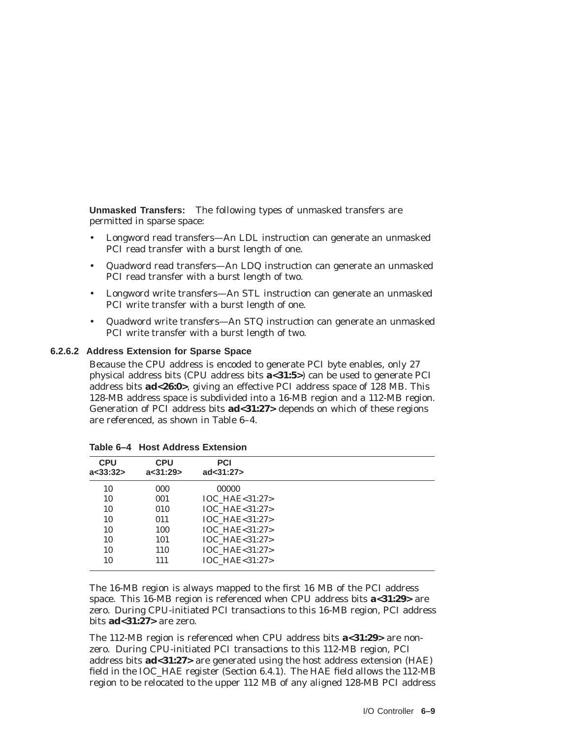**Unmasked Transfers:** The following types of unmasked transfers are permitted in sparse space:

- Longword read transfers—An LDL instruction can generate an unmasked PCI read transfer with a burst length of one.
- Quadword read transfers—An LDQ instruction can generate an unmasked PCI read transfer with a burst length of two.
- Longword write transfers—An STL instruction can generate an unmasked PCI write transfer with a burst length of one.
- Quadword write transfers—An STQ instruction can generate an unmasked PCI write transfer with a burst length of two.

#### **6.2.6.2 Address Extension for Sparse Space**

Because the CPU address is encoded to generate PCI byte enables, only 27 physical address bits (CPU address bits **a<31:5>**) can be used to generate PCI address bits **ad<26:0>**, giving an effective PCI address space of 128 MB. This 128-MB address space is subdivided into a 16-MB region and a 112-MB region. Generation of PCI address bits **ad<31:27>** depends on which of these regions are referenced, as shown in Table 6–4.

| <b>CPU</b><br>a<33:32> | <b>CPU</b><br>a<31:29 | <b>PCI</b><br>ad < 31:27 |  |
|------------------------|-----------------------|--------------------------|--|
| 10                     | 000                   | 00000                    |  |
| 10                     | 001                   | $IOC$ HAE $< 31:27$      |  |
| 10                     | 010                   | IOC HAE<31:27>           |  |
| 10                     | 011                   | IOC HAE<31:27>           |  |
| 10                     | 100                   | IOC HAE<31:27>           |  |
| 10                     | 101                   | IOC HAE<31:27>           |  |
| 10                     | 110                   | IOC HAE<31:27>           |  |
| 10                     | 111                   | $IOC$ HAE $< 31:27$      |  |

**Table 6–4 Host Address Extension**

The 16-MB region is always mapped to the first 16 MB of the PCI address space. This 16-MB region is referenced when CPU address bits **a<31:29>** are zero. During CPU-initiated PCI transactions to this 16-MB region, PCI address bits **ad<31:27>** are zero.

The 112-MB region is referenced when CPU address bits **a<31:29>** are nonzero. During CPU-initiated PCI transactions to this 112-MB region, PCI address bits **ad<31:27>** are generated using the host address extension (HAE) field in the IOC\_HAE register (Section 6.4.1). The HAE field allows the 112-MB region to be relocated to the upper 112 MB of any aligned 128-MB PCI address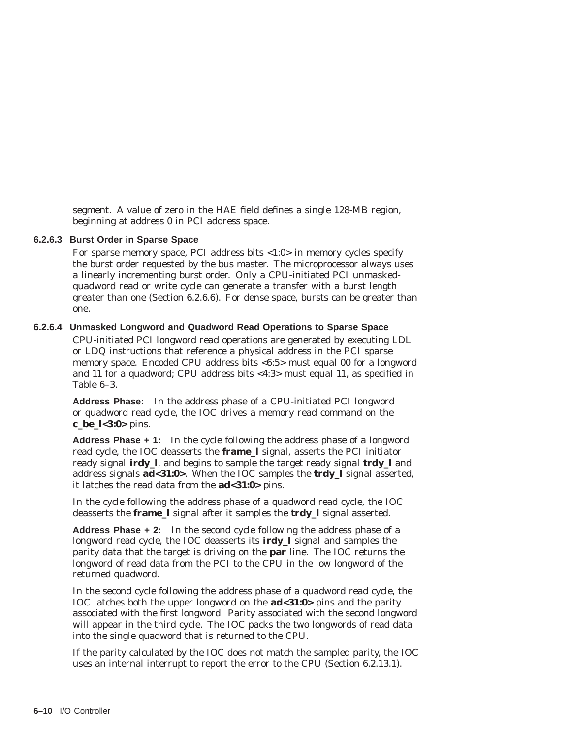segment. A value of zero in the HAE field defines a single 128-MB region, beginning at address 0 in PCI address space.

#### **6.2.6.3 Burst Order in Sparse Space**

For sparse memory space, PCI address bits <1:0> in memory cycles specify the burst order requested by the bus master. The microprocessor always uses a linearly incrementing burst order. Only a CPU-initiated PCI unmaskedquadword read or write cycle can generate a transfer with a burst length greater than one (Section 6.2.6.6). For dense space, bursts can be greater than one.

#### **6.2.6.4 Unmasked Longword and Quadword Read Operations to Sparse Space**

CPU-initiated PCI longword read operations are generated by executing LDL or LDQ instructions that reference a physical address in the PCI sparse memory space. Encoded CPU address bits <6:5> must equal 00 for a longword and 11 for a quadword; CPU address bits <4:3> must equal 11, as specified in Table 6–3.

**Address Phase:** In the address phase of a CPU-initiated PCI longword or quadword read cycle, the IOC drives a memory read command on the **c\_be\_l<3:0>** pins.

**Address Phase + 1:** In the cycle following the address phase of a longword read cycle, the IOC deasserts the **frame\_l** signal, asserts the PCI initiator ready signal **irdy\_l**, and begins to sample the target ready signal **trdy\_l** and address signals **ad<31:0>**. When the IOC samples the **trdy\_l** signal asserted, it latches the read data from the **ad<31:0>** pins.

In the cycle following the address phase of a quadword read cycle, the IOC deasserts the **frame\_l** signal after it samples the **trdy\_l** signal asserted.

**Address Phase + 2:** In the second cycle following the address phase of a longword read cycle, the IOC deasserts its **irdy\_l** signal and samples the parity data that the target is driving on the **par** line. The IOC returns the longword of read data from the PCI to the CPU in the low longword of the returned quadword.

In the second cycle following the address phase of a quadword read cycle, the IOC latches both the upper longword on the **ad<31:0>** pins and the parity associated with the first longword. Parity associated with the second longword will appear in the third cycle. The IOC packs the two longwords of read data into the single quadword that is returned to the CPU.

If the parity calculated by the IOC does not match the sampled parity, the IOC uses an internal interrupt to report the error to the CPU (Section 6.2.13.1).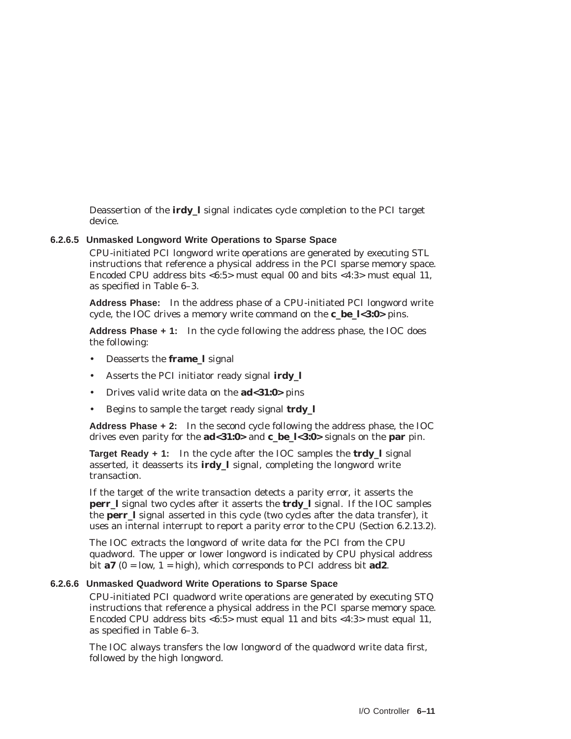Deassertion of the **irdy\_l** signal indicates cycle completion to the PCI target device.

#### **6.2.6.5 Unmasked Longword Write Operations to Sparse Space**

CPU-initiated PCI longword write operations are generated by executing STL instructions that reference a physical address in the PCI sparse memory space. Encoded CPU address bits <6:5> must equal 00 and bits <4:3> must equal 11, as specified in Table 6–3.

**Address Phase:** In the address phase of a CPU-initiated PCI longword write cycle, the IOC drives a memory write command on the **c\_be\_l<3:0>** pins.

**Address Phase + 1:** In the cycle following the address phase, the IOC does the following:

- Deasserts the **frame\_l** signal
- Asserts the PCI initiator ready signal **irdy\_l**
- Drives valid write data on the **ad<31:0>** pins
- Begins to sample the target ready signal **trdy\_l**

**Address Phase + 2:** In the second cycle following the address phase, the IOC drives even parity for the **ad<31:0>** and **c\_be\_l<3:0>** signals on the **par** pin.

**Target Ready + 1:** In the cycle after the IOC samples the **trdy\_l** signal asserted, it deasserts its **irdy\_l** signal, completing the longword write transaction.

If the target of the write transaction detects a parity error, it asserts the **perr\_l** signal two cycles after it asserts the **trdy\_l** signal. If the IOC samples the **perr\_l** signal asserted in this cycle (two cycles after the data transfer), it uses an internal interrupt to report a parity error to the CPU (Section 6.2.13.2).

The IOC extracts the longword of write data for the PCI from the CPU quadword. The upper or lower longword is indicated by CPU physical address bit  $a7$  ( $0 = \text{low}, 1 = \text{high}$ ), which corresponds to PCI address bit  $ad2$ .

#### **6.2.6.6 Unmasked Quadword Write Operations to Sparse Space**

CPU-initiated PCI quadword write operations are generated by executing STQ instructions that reference a physical address in the PCI sparse memory space. Encoded CPU address bits <6:5> must equal 11 and bits <4:3> must equal 11, as specified in Table 6–3.

The IOC always transfers the low longword of the quadword write data first, followed by the high longword.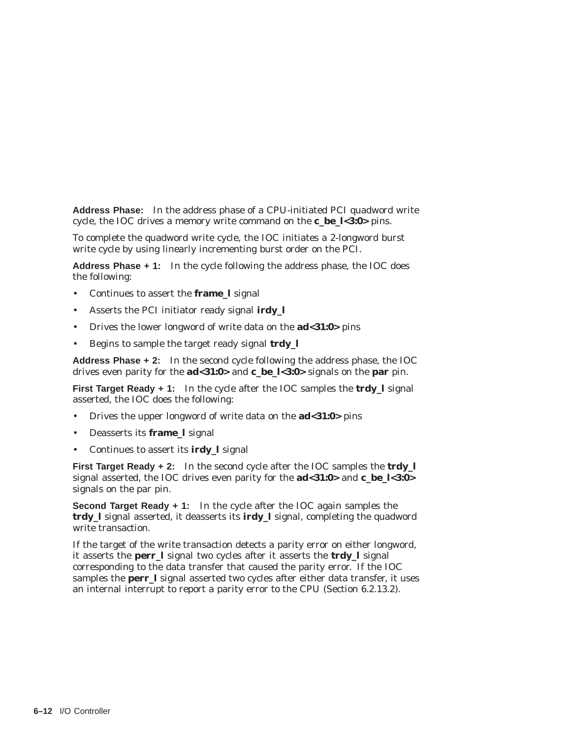**Address Phase:** In the address phase of a CPU-initiated PCI quadword write cycle, the IOC drives a memory write command on the **c\_be\_l<3:0>** pins.

To complete the quadword write cycle, the IOC initiates a 2-longword burst write cycle by using linearly incrementing burst order on the PCI.

**Address Phase + 1:** In the cycle following the address phase, the IOC does the following:

- Continues to assert the **frame\_l** signal
- Asserts the PCI initiator ready signal **irdy\_l**
- Drives the lower longword of write data on the **ad<31:0>** pins
- Begins to sample the target ready signal **trdy\_l**

**Address Phase + 2:** In the second cycle following the address phase, the IOC drives even parity for the **ad<31:0>** and **c\_be\_l<3:0>** signals on the **par** pin.

**First Target Ready + 1:** In the cycle after the IOC samples the **trdy\_l** signal asserted, the IOC does the following:

- Drives the upper longword of write data on the **ad<31:0>** pins
- Deasserts its **frame\_l** signal
- Continues to assert its **irdy\_l** signal

**First Target Ready + 2:** In the second cycle after the IOC samples the **trdy\_l** signal asserted, the IOC drives even parity for the **ad<31:0>** and **c\_be\_l<3:0>** signals on the par pin.

**Second Target Ready + 1:** In the cycle after the IOC again samples the **trdy\_l** signal asserted, it deasserts its **irdy\_l** signal, completing the quadword write transaction.

If the target of the write transaction detects a parity error on either longword, it asserts the **perr\_l** signal two cycles after it asserts the **trdy\_l** signal corresponding to the data transfer that caused the parity error. If the IOC samples the **perr** 1 signal asserted two cycles after either data transfer, it uses an internal interrupt to report a parity error to the CPU (Section 6.2.13.2).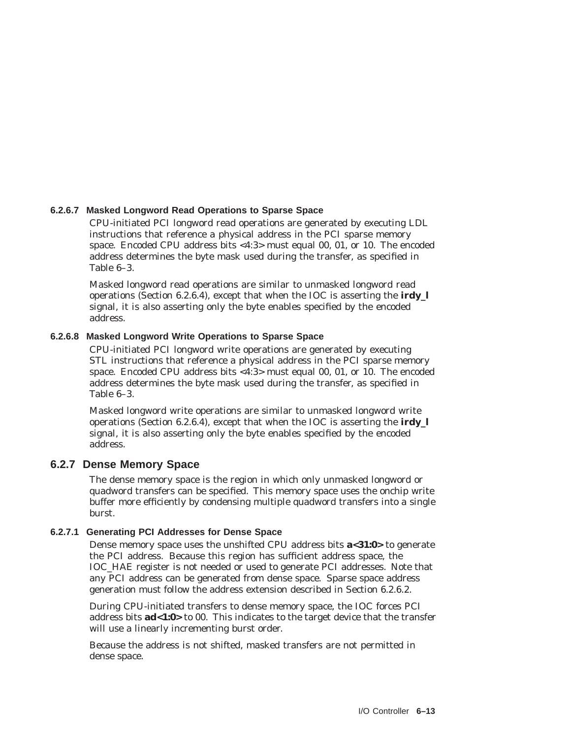#### **6.2.6.7 Masked Longword Read Operations to Sparse Space**

CPU-initiated PCI longword read operations are generated by executing LDL instructions that reference a physical address in the PCI sparse memory space. Encoded CPU address bits <4:3> must equal 00, 01, or 10. The encoded address determines the byte mask used during the transfer, as specified in Table 6–3.

Masked longword read operations are similar to unmasked longword read operations (Section 6.2.6.4), except that when the IOC is asserting the **irdy\_l** signal, it is also asserting only the byte enables specified by the encoded address.

#### **6.2.6.8 Masked Longword Write Operations to Sparse Space**

CPU-initiated PCI longword write operations are generated by executing STL instructions that reference a physical address in the PCI sparse memory space. Encoded CPU address bits <4:3> must equal 00, 01, or 10. The encoded address determines the byte mask used during the transfer, as specified in Table 6–3.

Masked longword write operations are similar to unmasked longword write operations (Section 6.2.6.4), except that when the IOC is asserting the **irdy\_l** signal, it is also asserting only the byte enables specified by the encoded address.

#### **6.2.7 Dense Memory Space**

The dense memory space is the region in which only unmasked longword or quadword transfers can be specified. This memory space uses the onchip write buffer more efficiently by condensing multiple quadword transfers into a single burst.

#### **6.2.7.1 Generating PCI Addresses for Dense Space**

Dense memory space uses the unshifted CPU address bits **a<31:0>** to generate the PCI address. Because this region has sufficient address space, the IOC\_HAE register is not needed or used to generate PCI addresses. Note that any PCI address can be generated from dense space. Sparse space address generation must follow the address extension described in Section 6.2.6.2.

During CPU-initiated transfers to dense memory space, the IOC forces PCI address bits **ad<1:0>** to 00. This indicates to the target device that the transfer will use a linearly incrementing burst order.

Because the address is not shifted, masked transfers are not permitted in dense space.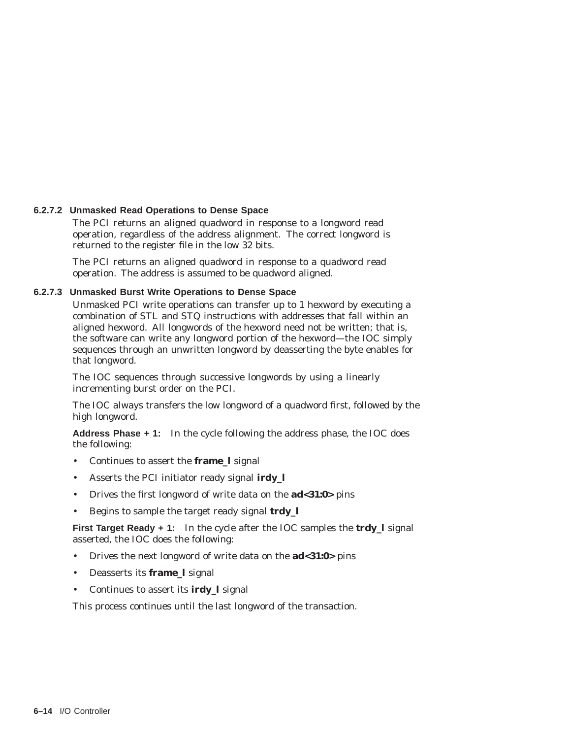#### **6.2.7.2 Unmasked Read Operations to Dense Space**

The PCI returns an aligned quadword in response to a longword read operation, regardless of the address alignment. The correct longword is returned to the register file in the low 32 bits.

The PCI returns an aligned quadword in response to a quadword read operation. The address is assumed to be quadword aligned.

#### **6.2.7.3 Unmasked Burst Write Operations to Dense Space**

Unmasked PCI write operations can transfer up to 1 hexword by executing a combination of STL and STQ instructions with addresses that fall within an aligned hexword. All longwords of the hexword need not be written; that is, the software can write any longword portion of the hexword—the IOC simply sequences through an unwritten longword by deasserting the byte enables for that longword.

The IOC sequences through successive longwords by using a linearly incrementing burst order on the PCI.

The IOC always transfers the low longword of a quadword first, followed by the high longword.

**Address Phase + 1:** In the cycle following the address phase, the IOC does the following:

- Continues to assert the **frame\_l** signal
- Asserts the PCI initiator ready signal **irdy\_l**
- Drives the first longword of write data on the **ad<31:0>** pins
- Begins to sample the target ready signal **trdy\_l**

**First Target Ready + 1:** In the cycle after the IOC samples the **trdy\_l** signal asserted, the IOC does the following:

- Drives the next longword of write data on the **ad<31:0>** pins
- Deasserts its **frame\_l** signal
- Continues to assert its **irdy\_l** signal

This process continues until the last longword of the transaction.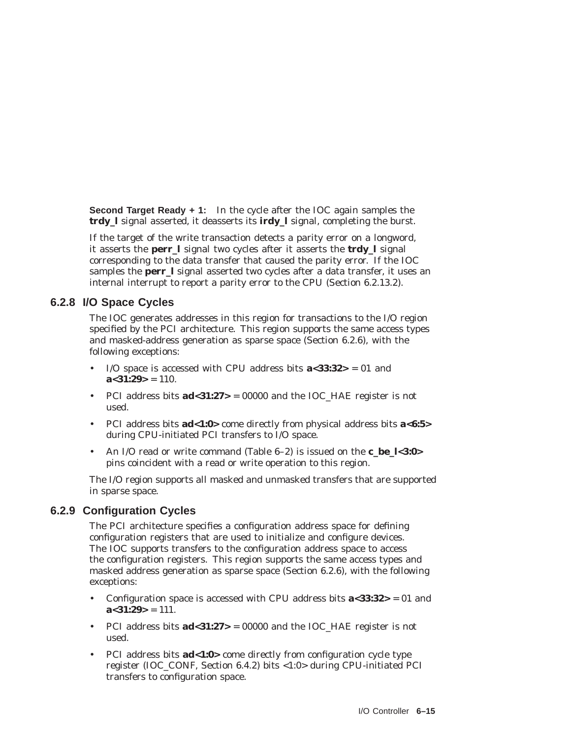**Second Target Ready + 1:** In the cycle after the IOC again samples the **trdy\_l** signal asserted, it deasserts its **irdy\_l** signal, completing the burst.

If the target of the write transaction detects a parity error on a longword, it asserts the **perr\_l** signal two cycles after it asserts the **trdy\_l** signal corresponding to the data transfer that caused the parity error. If the IOC samples the **perr\_l** signal asserted two cycles after a data transfer, it uses an internal interrupt to report a parity error to the CPU (Section 6.2.13.2).

# **6.2.8 I/O Space Cycles**

The IOC generates addresses in this region for transactions to the I/O region specified by the PCI architecture. This region supports the same access types and masked-address generation as sparse space (Section 6.2.6), with the following exceptions:

- I/O space is accessed with CPU address bits **a<33:32>** = 01 and  $a < 31:29$  = 110.
- PCI address bits **ad<31:27>** = 00000 and the IOC\_HAE register is not used.
- PCI address bits **ad<1:0>** come directly from physical address bits **a<6:5>** during CPU-initiated PCI transfers to I/O space.
- An I/O read or write command (Table 6–2) is issued on the **c\_be\_l<3:0>** pins coincident with a read or write operation to this region.

The I/O region supports all masked and unmasked transfers that are supported in sparse space.

# **6.2.9 Configuration Cycles**

The PCI architecture specifies a configuration address space for defining configuration registers that are used to initialize and configure devices. The IOC supports transfers to the configuration address space to access the configuration registers. This region supports the same access types and masked address generation as sparse space (Section 6.2.6), with the following exceptions:

- Configuration space is accessed with CPU address bits  $a < 33:32 > 01$  and  $a < 31:29$  = 111.
- PCI address bits **ad<31:27>** = 00000 and the IOC\_HAE register is not used.
- PCI address bits **ad<1:0>** come directly from configuration cycle type register (IOC\_CONF, Section 6.4.2) bits <1:0> during CPU-initiated PCI transfers to configuration space.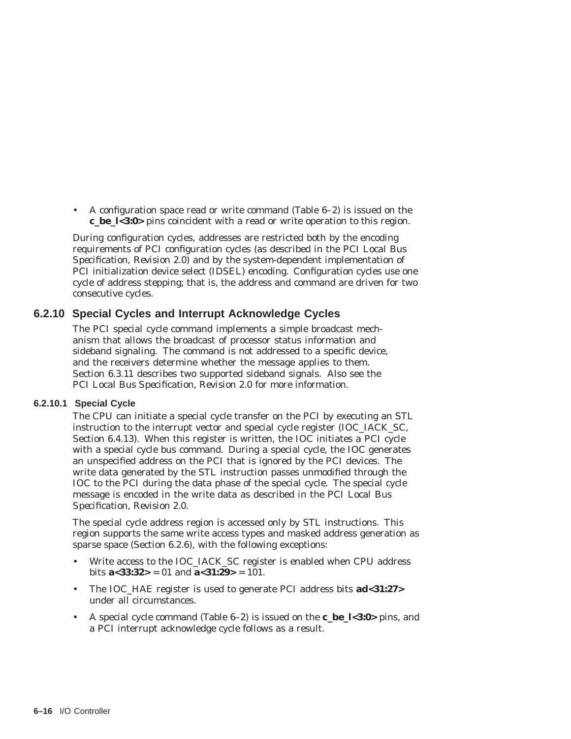• A configuration space read or write command (Table 6–2) is issued on the **c\_be\_l<3:0>** pins coincident with a read or write operation to this region.

During configuration cycles, addresses are restricted both by the encoding requirements of PCI configuration cycles (as described in the *PCI Local Bus Specification, Revision 2.0*) and by the system-dependent implementation of PCI initialization device select (IDSEL) encoding. Configuration cycles use one cycle of address stepping; that is, the address and command are driven for two consecutive cycles.

# **6.2.10 Special Cycles and Interrupt Acknowledge Cycles**

The PCI special cycle command implements a simple broadcast mechanism that allows the broadcast of processor status information and sideband signaling. The command is not addressed to a specific device, and the receivers determine whether the message applies to them. Section 6.3.11 describes two supported sideband signals. Also see the *PCI Local Bus Specification, Revision 2.0* for more information.

#### **6.2.10.1 Special Cycle**

The CPU can initiate a special cycle transfer on the PCI by executing an STL instruction to the interrupt vector and special cycle register (IOC\_IACK\_SC, Section 6.4.13). When this register is written, the IOC initiates a PCI cycle with a special cycle bus command. During a special cycle, the IOC generates an unspecified address on the PCI that is ignored by the PCI devices. The write data generated by the STL instruction passes unmodified through the IOC to the PCI during the data phase of the special cycle. The special cycle message is encoded in the write data as described in the *PCI Local Bus Specification, Revision 2.0*.

The special cycle address region is accessed only by STL instructions. This region supports the same write access types and masked address generation as sparse space (Section 6.2.6), with the following exceptions:

- Write access to the IOC\_IACK\_SC register is enabled when CPU address bits  $a < 33:32 > 01$  and  $a < 31:29 > 101$ .
- The IOC\_HAE register is used to generate PCI address bits **ad<31:27>** under all circumstances.
- A special cycle command (Table 6–2) is issued on the **c\_be\_l<3:0>** pins, and a PCI interrupt acknowledge cycle follows as a result.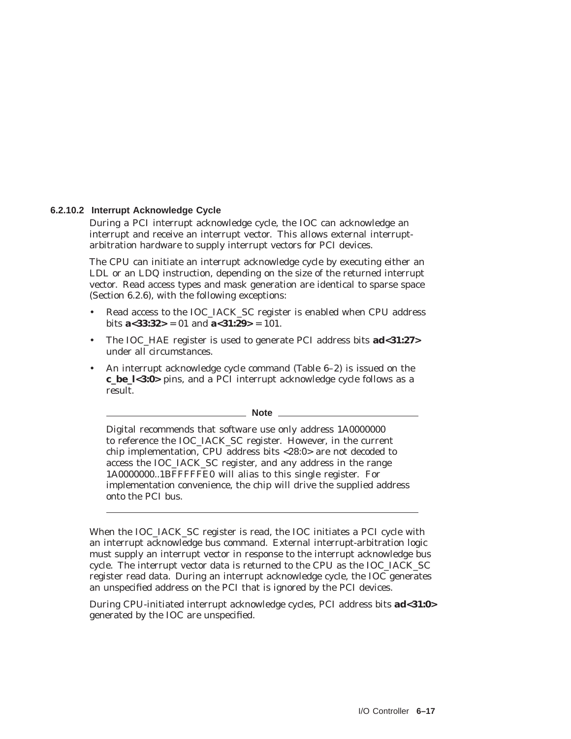#### **6.2.10.2 Interrupt Acknowledge Cycle**

During a PCI interrupt acknowledge cycle, the IOC can acknowledge an interrupt and receive an interrupt vector. This allows external interruptarbitration hardware to supply interrupt vectors for PCI devices.

The CPU can initiate an interrupt acknowledge cycle by executing either an LDL or an LDQ instruction, depending on the size of the returned interrupt vector. Read access types and mask generation are identical to sparse space (Section 6.2.6), with the following exceptions:

- Read access to the IOC\_IACK\_SC register is enabled when CPU address bits  $a < 33:32 > 01$  and  $a < 31:29 > 101$ .
- The IOC\_HAE register is used to generate PCI address bits **ad<31:27>** under all circumstances.
- An interrupt acknowledge cycle command (Table 6–2) is issued on the **c\_be\_l<3:0>** pins, and a PCI interrupt acknowledge cycle follows as a result.

#### **Note** 2008

Digital recommends that software use only address 1A0000000 to reference the IOC\_IACK\_SC register. However, in the current chip implementation, CPU address bits <28:0> are not decoded to access the IOC\_IACK\_SC register, and any address in the range 1A0000000..1BFFFFFE0 will alias to this single register. For implementation convenience, the chip will drive the supplied address onto the PCI bus.

When the IOC\_IACK\_SC register is read, the IOC initiates a PCI cycle with an interrupt acknowledge bus command. External interrupt-arbitration logic must supply an interrupt vector in response to the interrupt acknowledge bus cycle. The interrupt vector data is returned to the CPU as the IOC\_IACK\_SC register read data. During an interrupt acknowledge cycle, the IOC generates an unspecified address on the PCI that is ignored by the PCI devices.

During CPU-initiated interrupt acknowledge cycles, PCI address bits **ad<31:0>** generated by the IOC are unspecified.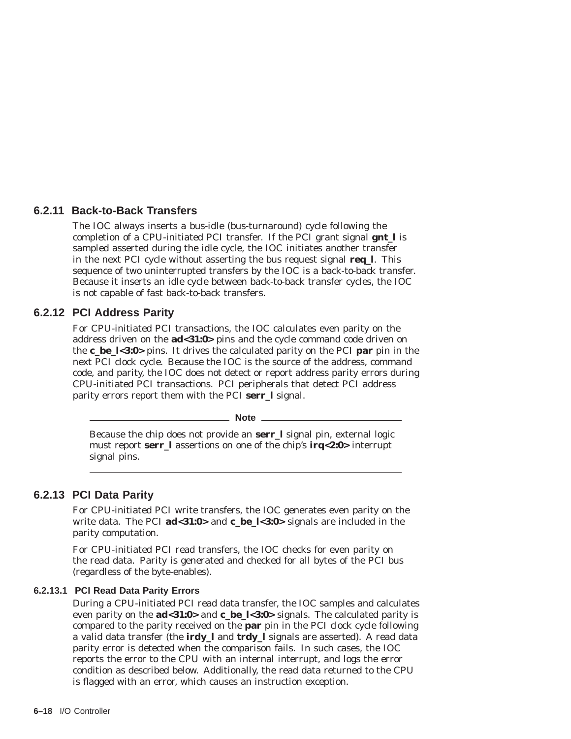# **6.2.11 Back-to-Back Transfers**

The IOC always inserts a bus-idle (bus-turnaround) cycle following the completion of a CPU-initiated PCI transfer. If the PCI grant signal **gnt\_l** is sampled asserted during the idle cycle, the IOC initiates another transfer in the next PCI cycle without asserting the bus request signal **req\_l**. This sequence of two uninterrupted transfers by the IOC is a back-to-back transfer. Because it inserts an idle cycle between back-to-back transfer cycles, the IOC is not capable of fast back-to-back transfers.

# **6.2.12 PCI Address Parity**

For CPU-initiated PCI transactions, the IOC calculates even parity on the address driven on the **ad<31:0>** pins and the cycle command code driven on the **c\_be\_l<3:0>** pins. It drives the calculated parity on the PCI **par** pin in the next PCI clock cycle. Because the IOC is the source of the address, command code, and parity, the IOC does not detect or report address parity errors during CPU-initiated PCI transactions. PCI peripherals that detect PCI address parity errors report them with the PCI **serr\_l** signal.

**Note** 2008

Because the chip does not provide an **serr\_l** signal pin, external logic must report **serr\_l** assertions on one of the chip's **irq<2:0>** interrupt signal pins.

# **6.2.13 PCI Data Parity**

For CPU-initiated PCI write transfers, the IOC generates even parity on the write data. The PCI **ad<31:0>** and **c\_be\_l<3:0>** signals are included in the parity computation.

For CPU-initiated PCI read transfers, the IOC checks for even parity on the read data. Parity is generated and checked for all bytes of the PCI bus (regardless of the byte-enables).

#### **6.2.13.1 PCI Read Data Parity Errors**

During a CPU-initiated PCI read data transfer, the IOC samples and calculates even parity on the **ad<31:0>** and **c\_be\_l<3:0>** signals. The calculated parity is compared to the parity received on the **par** pin in the PCI clock cycle following a valid data transfer (the **irdy\_l** and **trdy\_l** signals are asserted). A read data parity error is detected when the comparison fails. In such cases, the IOC reports the error to the CPU with an internal interrupt, and logs the error condition as described below. Additionally, the read data returned to the CPU is flagged with an error, which causes an instruction exception.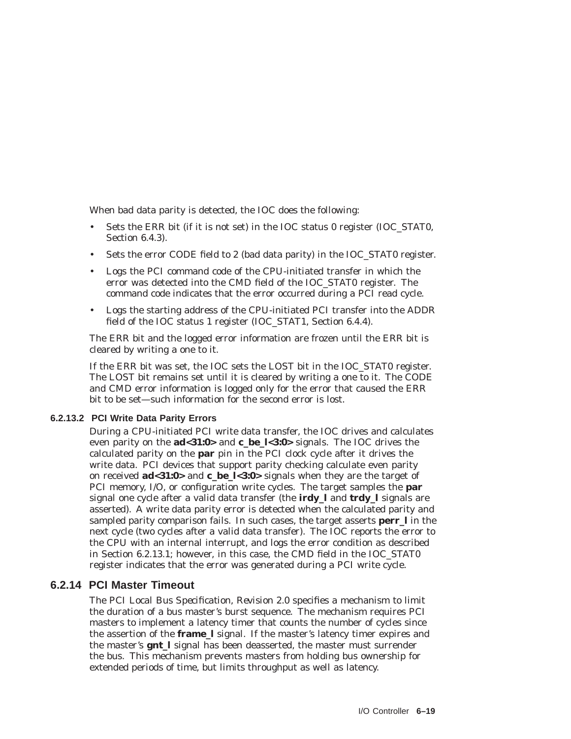When bad data parity is detected, the IOC does the following:

- Sets the ERR bit (if it is not set) in the IOC status 0 register (IOC\_STAT0, Section 6.4.3).
- Sets the error CODE field to 2 (bad data parity) in the IOC\_STAT0 register.
- Logs the PCI command code of the CPU-initiated transfer in which the error was detected into the CMD field of the IOC\_STAT0 register. The command code indicates that the error occurred during a PCI read cycle.
- Logs the starting address of the CPU-initiated PCI transfer into the ADDR field of the IOC status 1 register (IOC\_STAT1, Section 6.4.4).

The ERR bit and the logged error information are frozen until the ERR bit is cleared by writing a one to it.

If the ERR bit was set, the IOC sets the LOST bit in the IOC\_STAT0 register. The LOST bit remains set until it is cleared by writing a one to it. The CODE and CMD error information is logged only for the error that caused the ERR bit to be set—such information for the second error is lost.

#### **6.2.13.2 PCI Write Data Parity Errors**

During a CPU-initiated PCI write data transfer, the IOC drives and calculates even parity on the **ad<31:0>** and **c\_be\_l<3:0>** signals. The IOC drives the calculated parity on the **par** pin in the PCI clock cycle after it drives the write data. PCI devices that support parity checking calculate even parity on received **ad<31:0>** and **c\_be\_l<3:0>** signals when they are the target of PCI memory, I/O, or configuration write cycles. The target samples the **par** signal one cycle after a valid data transfer (the **irdy\_l** and **trdy\_l** signals are asserted). A write data parity error is detected when the calculated parity and sampled parity comparison fails. In such cases, the target asserts **perr\_l** in the next cycle (two cycles after a valid data transfer). The IOC reports the error to the CPU with an internal interrupt, and logs the error condition as described in Section 6.2.13.1; however, in this case, the CMD field in the IOC\_STAT0 register indicates that the error was generated during a PCI write cycle.

# **6.2.14 PCI Master Timeout**

The *PCI Local Bus Specification, Revision 2.0* specifies a mechanism to limit the duration of a bus master's burst sequence. The mechanism requires PCI masters to implement a latency timer that counts the number of cycles since the assertion of the **frame\_l** signal. If the master's latency timer expires and the master's **gnt\_l** signal has been deasserted, the master must surrender the bus. This mechanism prevents masters from holding bus ownership for extended periods of time, but limits throughput as well as latency.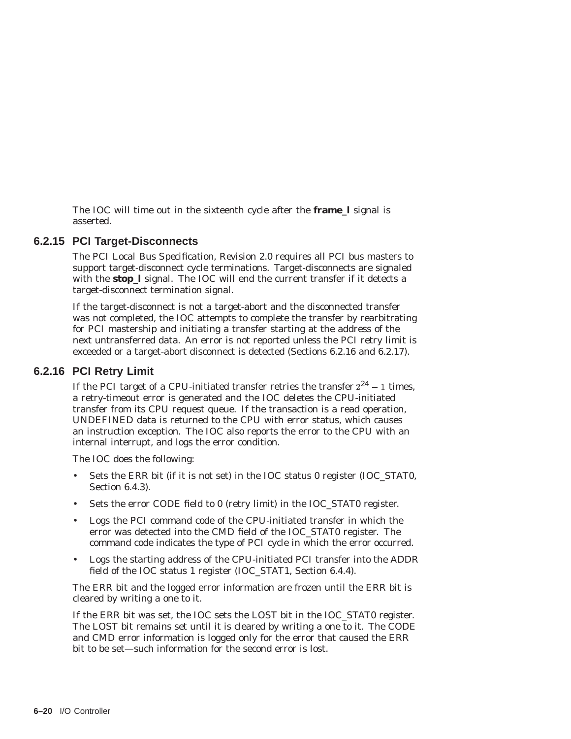The IOC will time out in the sixteenth cycle after the **frame\_l** signal is asserted.

# **6.2.15 PCI Target-Disconnects**

The *PCI Local Bus Specification, Revision 2.0* requires all PCI bus masters to support target-disconnect cycle terminations. Target-disconnects are signaled with the **stop** I signal. The IOC will end the current transfer if it detects a target-disconnect termination signal.

If the target-disconnect is not a target-abort and the disconnected transfer was not completed, the IOC attempts to complete the transfer by rearbitrating for PCI mastership and initiating a transfer starting at the address of the next untransferred data. An error is not reported unless the PCI retry limit is exceeded or a target-abort disconnect is detected (Sections 6.2.16 and 6.2.17).

#### **6.2.16 PCI Retry Limit**

If the PCI target of a CPU-initiated transfer retries the transfer  $2^{24} - 1$  times, a retry-timeout error is generated and the IOC deletes the CPU-initiated transfer from its CPU request queue. If the transaction is a read operation, UNDEFINED data is returned to the CPU with error status, which causes an instruction exception. The IOC also reports the error to the CPU with an internal interrupt, and logs the error condition.

The IOC does the following:

- Sets the ERR bit (if it is not set) in the IOC status 0 register (IOC\_STAT0, Section 6.4.3).
- Sets the error CODE field to 0 (retry limit) in the IOC\_STAT0 register.
- Logs the PCI command code of the CPU-initiated transfer in which the error was detected into the CMD field of the IOC\_STAT0 register. The command code indicates the type of PCI cycle in which the error occurred.
- Logs the starting address of the CPU-initiated PCI transfer into the ADDR field of the IOC status 1 register (IOC STAT1, Section 6.4.4).

The ERR bit and the logged error information are frozen until the ERR bit is cleared by writing a one to it.

If the ERR bit was set, the IOC sets the LOST bit in the IOC\_STAT0 register. The LOST bit remains set until it is cleared by writing a one to it. The CODE and CMD error information is logged only for the error that caused the ERR bit to be set—such information for the second error is lost.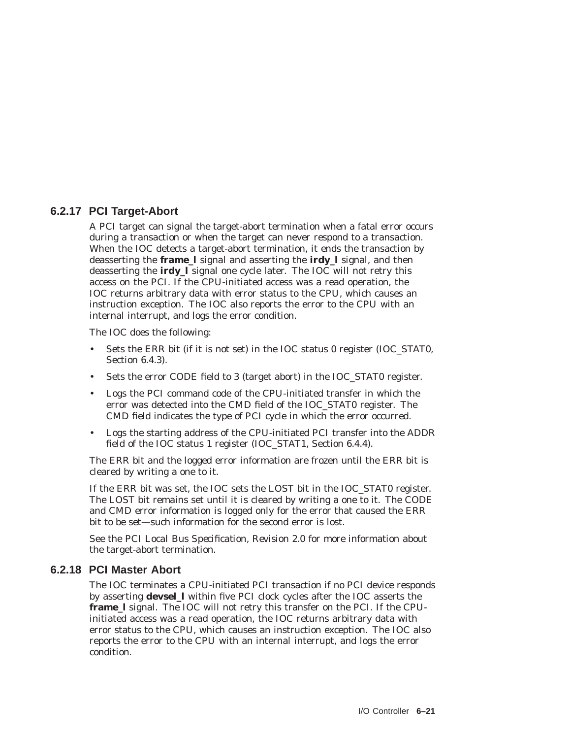# **6.2.17 PCI Target-Abort**

A PCI target can signal the target-abort termination when a fatal error occurs during a transaction or when the target can never respond to a transaction. When the IOC detects a target-abort termination, it ends the transaction by deasserting the **frame\_l** signal and asserting the **irdy\_l** signal, and then deasserting the **irdy\_l** signal one cycle later. The IOC will not retry this access on the PCI. If the CPU-initiated access was a read operation, the IOC returns arbitrary data with error status to the CPU, which causes an instruction exception. The IOC also reports the error to the CPU with an internal interrupt, and logs the error condition.

The IOC does the following:

- Sets the ERR bit (if it is not set) in the IOC status 0 register (IOC\_STAT0, Section 6.4.3).
- Sets the error CODE field to 3 (target abort) in the IOC\_STAT0 register.
- Logs the PCI command code of the CPU-initiated transfer in which the error was detected into the CMD field of the IOC\_STAT0 register. The CMD field indicates the type of PCI cycle in which the error occurred.
- Logs the starting address of the CPU-initiated PCI transfer into the ADDR field of the IOC status 1 register (IOC\_STAT1, Section 6.4.4).

The ERR bit and the logged error information are frozen until the ERR bit is cleared by writing a one to it.

If the ERR bit was set, the IOC sets the LOST bit in the IOC\_STAT0 register. The LOST bit remains set until it is cleared by writing a one to it. The CODE and CMD error information is logged only for the error that caused the ERR bit to be set—such information for the second error is lost.

See the *PCI Local Bus Specification, Revision 2.0* for more information about the target-abort termination.

# **6.2.18 PCI Master Abort**

The IOC terminates a CPU-initiated PCI transaction if no PCI device responds by asserting **devsel\_l** within five PCI clock cycles after the IOC asserts the **frame\_l** signal. The IOC will not retry this transfer on the PCI. If the CPUinitiated access was a read operation, the IOC returns arbitrary data with error status to the CPU, which causes an instruction exception. The IOC also reports the error to the CPU with an internal interrupt, and logs the error condition.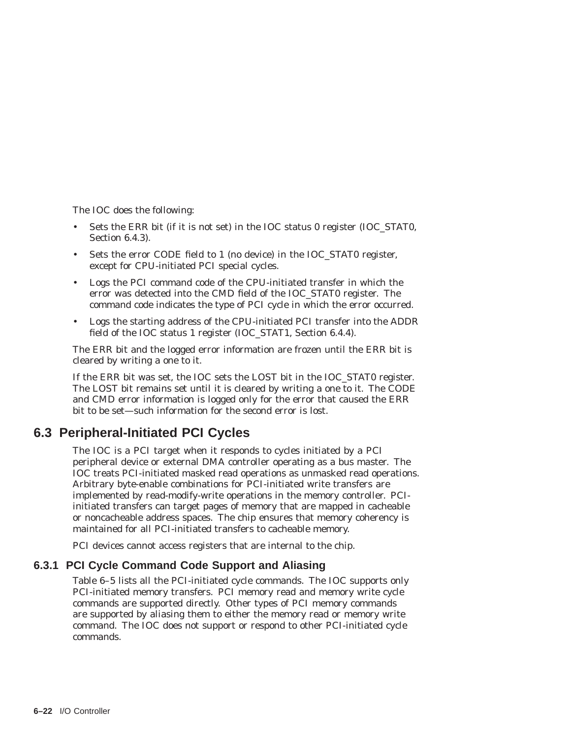The IOC does the following:

- Sets the ERR bit (if it is not set) in the IOC status 0 register (IOC\_STAT0, Section 6.4.3).
- Sets the error CODE field to 1 (no device) in the IOC\_STAT0 register, except for CPU-initiated PCI special cycles.
- Logs the PCI command code of the CPU-initiated transfer in which the error was detected into the CMD field of the IOC\_STAT0 register. The command code indicates the type of PCI cycle in which the error occurred.
- Logs the starting address of the CPU-initiated PCI transfer into the ADDR field of the IOC status 1 register (IOC\_STAT1, Section 6.4.4).

The ERR bit and the logged error information are frozen until the ERR bit is cleared by writing a one to it.

If the ERR bit was set, the IOC sets the LOST bit in the IOC\_STAT0 register. The LOST bit remains set until it is cleared by writing a one to it. The CODE and CMD error information is logged only for the error that caused the ERR bit to be set—such information for the second error is lost.

# **6.3 Peripheral-Initiated PCI Cycles**

The IOC is a PCI target when it responds to cycles initiated by a PCI peripheral device or external DMA controller operating as a bus master. The IOC treats PCI-initiated masked read operations as unmasked read operations. Arbitrary byte-enable combinations for PCI-initiated write transfers are implemented by read-modify-write operations in the memory controller. PCIinitiated transfers can target pages of memory that are mapped in cacheable or noncacheable address spaces. The chip ensures that memory coherency is maintained for all PCI-initiated transfers to cacheable memory.

PCI devices cannot access registers that are internal to the chip.

# **6.3.1 PCI Cycle Command Code Support and Aliasing**

Table 6–5 lists all the PCI-initiated cycle commands. The IOC supports only PCI-initiated memory transfers. PCI memory read and memory write cycle commands are supported directly. Other types of PCI memory commands are supported by aliasing them to either the memory read or memory write command. The IOC does not support or respond to other PCI-initiated cycle commands.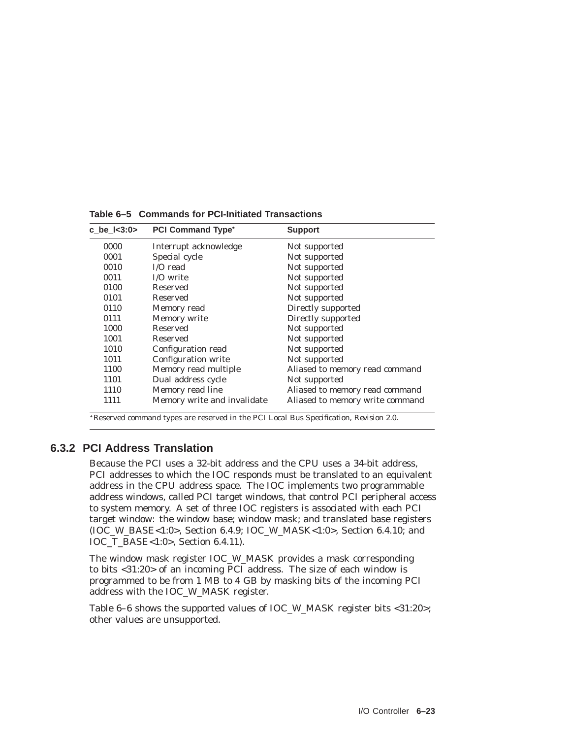| c be $1 < 3:0>$ | <b>PCI Command Type*</b>    | <b>Support</b>                  |
|-----------------|-----------------------------|---------------------------------|
| 0000            | Interrupt acknowledge       | Not supported                   |
| 0001            | Special cycle               | Not supported                   |
| 0010            | $I/O$ read                  | Not supported                   |
| 0011            | I/O write                   | Not supported                   |
| 0100            | Reserved                    | Not supported                   |
| 0101            | Reserved                    | Not supported                   |
| 0110            | Memory read                 | Directly supported              |
| 0111            | Memory write                | Directly supported              |
| 1000            | Reserved                    | Not supported                   |
| 1001            | Reserved                    | Not supported                   |
| 1010            | Configuration read          | Not supported                   |
| 1011            | Configuration write         | Not supported                   |
| 1100            | Memory read multiple        | Aliased to memory read command  |
| 1101            | Dual address cycle          | Not supported                   |
| 1110            | Memory read line            | Aliased to memory read command  |
| 1111            | Memory write and invalidate | Aliased to memory write command |

**Table 6–5 Commands for PCI-Initiated Transactions**

Reserved command types are reserved in the *PCI Local Bus Specification, Revision 2.0*.

# **6.3.2 PCI Address Translation**

Because the PCI uses a 32-bit address and the CPU uses a 34-bit address, PCI addresses to which the IOC responds must be translated to an equivalent address in the CPU address space. The IOC implements two programmable address windows, called PCI target windows, that control PCI peripheral access to system memory. A set of three IOC registers is associated with each PCI target window: the window base; window mask; and translated base registers (IOC\_W\_BASE<1:0>, Section 6.4.9; IOC\_W\_MASK<1:0>, Section 6.4.10; and IOC\_T\_BASE<1:0>, Section 6.4.11).

The window mask register IOC\_W\_MASK provides a mask corresponding to bits <31:20> of an incoming PCI address. The size of each window is programmed to be from 1 MB to 4 GB by masking bits of the incoming PCI address with the IOC\_W\_MASK register.

Table 6–6 shows the supported values of IOC\_W\_MASK register bits <31:20>; other values are unsupported.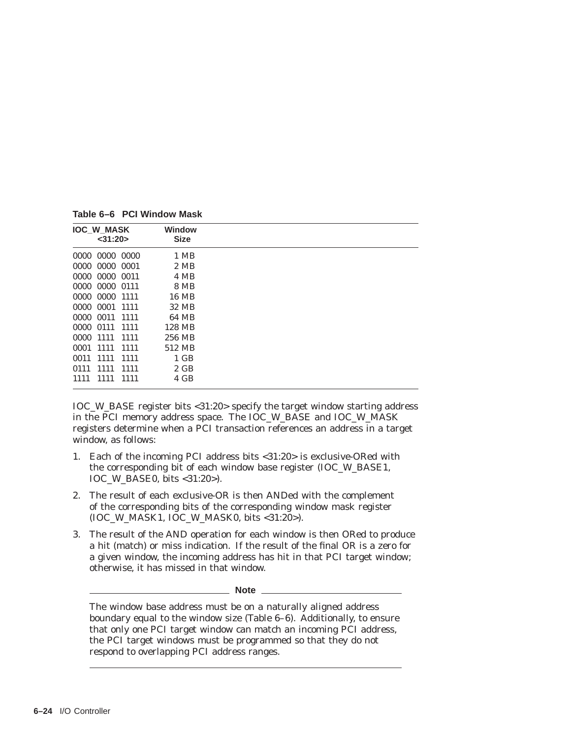**IOC\_W\_MASK <31:20> Window Size** 0000 0000 0000 1 MB 0000 0000 0001 2 MB 0000 0000 00011 4 MB 0000 0000 0111 8 MB 0000 0000 1111 16 MB 0000 0001 1111 32 MB 0000 0011 1111 64 MB 0000 0111 1111 128 MB 0000 1111 1111 256 MB 0001 1111 1111 512 MB 0011 1111 1111 1 GB 0111 1111 1111 2 GB 1111 1111 1111 4 GB

**Table 6–6 PCI Window Mask**

IOC\_W\_BASE register bits <31:20> specify the target window starting address in the PCI memory address space. The IOC\_W\_BASE and IOC\_W\_MASK registers determine when a PCI transaction references an address in a target window, as follows:

- 1. Each of the incoming PCI address bits <31:20> is exclusive-ORed with the corresponding bit of each window base register (IOC\_W\_BASE1, IOC\_W\_BASE0, bits <31:20>).
- 2. The result of each exclusive-OR is then ANDed with the complement of the corresponding bits of the corresponding window mask register (IOC\_W\_MASK1, IOC\_W\_MASK0, bits <31:20>).
- 3. The result of the AND operation for each window is then ORed to produce a hit (match) or miss indication. If the result of the final OR is a zero for a given window, the incoming address has hit in that PCI target window; otherwise, it has missed in that window.

**Note**

The window base address must be on a naturally aligned address boundary equal to the window size (Table 6–6). Additionally, to ensure that only one PCI target window can match an incoming PCI address, the PCI target windows must be programmed so that they do not respond to overlapping PCI address ranges.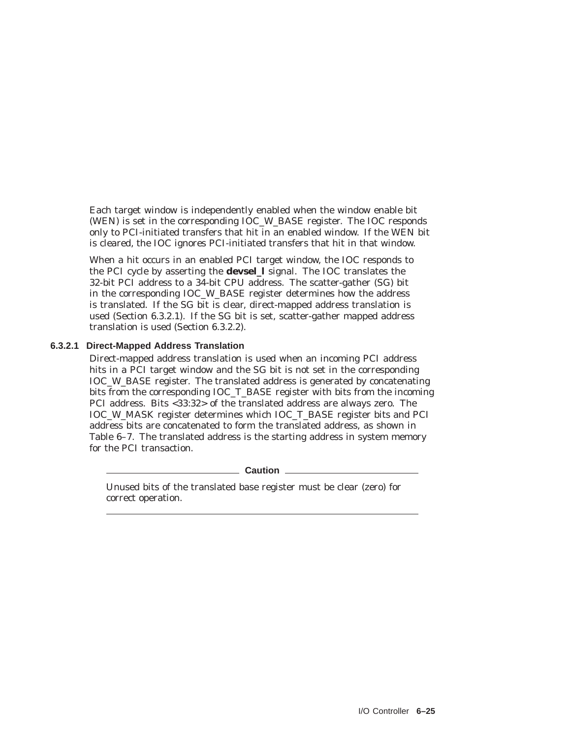Each target window is independently enabled when the window enable bit (WEN) is set in the corresponding IOC\_W\_BASE register. The IOC responds only to PCI-initiated transfers that hit in an enabled window. If the WEN bit is cleared, the IOC ignores PCI-initiated transfers that hit in that window.

When a hit occurs in an enabled PCI target window, the IOC responds to the PCI cycle by asserting the **devsel\_l** signal. The IOC translates the 32-bit PCI address to a 34-bit CPU address. The scatter-gather (SG) bit in the corresponding IOC\_W\_BASE register determines how the address is translated. If the SG bit is clear, direct-mapped address translation is used (Section 6.3.2.1). If the SG bit is set, scatter-gather mapped address translation is used (Section 6.3.2.2).

#### **6.3.2.1 Direct-Mapped Address Translation**

Direct-mapped address translation is used when an incoming PCI address hits in a PCI target window and the SG bit is not set in the corresponding IOC\_W\_BASE register. The translated address is generated by concatenating bits from the corresponding IOC\_T\_BASE register with bits from the incoming PCI address. Bits <33:32> of the translated address are always zero. The IOC\_W\_MASK register determines which IOC\_T\_BASE register bits and PCI address bits are concatenated to form the translated address, as shown in Table 6–7. The translated address is the starting address in system memory for the PCI transaction.

**Caution**

Unused bits of the translated base register must be clear (zero) for correct operation.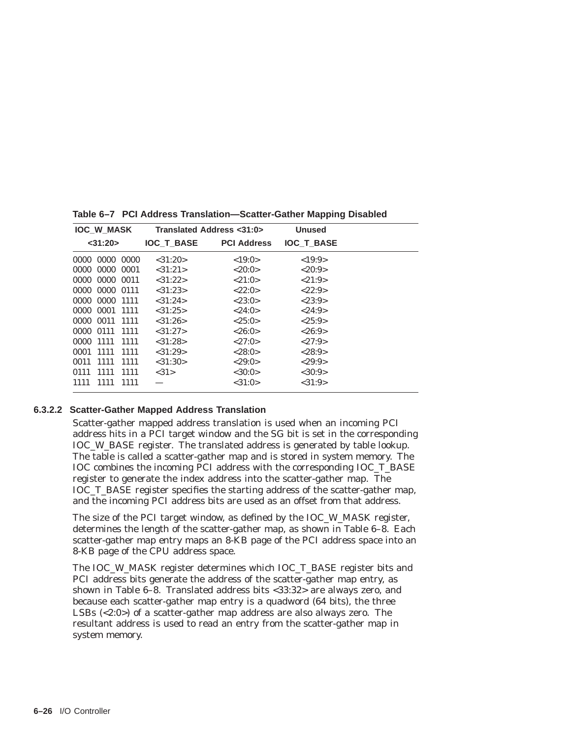| <b>IOC W MASK</b> |                |       |                   | Translated Address <31:0> | <b>Unused</b>     |  |
|-------------------|----------------|-------|-------------------|---------------------------|-------------------|--|
|                   | $<$ 31:20 $>$  |       | <b>IOC T BASE</b> | <b>PCI Address</b>        | <b>IOC T BASE</b> |  |
|                   | 0000 0000 0000 |       | $<$ 31:20 $>$     | <19:0>                    | <19:9>            |  |
|                   | 0000 0000 0001 |       | <31:21>           | <20:0>                    | <20:9>            |  |
|                   | 0000 0000 0011 |       | $<$ 31:22>        | <21:0>                    | <21:9>            |  |
|                   | 0000 0000 0111 |       | $<$ 31:23>        | <22:0>                    | <22:9>            |  |
|                   | 0000 0000 1111 |       | $<$ 31:24 $>$     | $<\!\!23:0\!\!>$          | $<\!\!23.9\!\!>$  |  |
|                   | 0000 0001 1111 |       | $<$ 31:25>        | <24:0>                    | <24:9>            |  |
|                   | 0000 0011 1111 |       | $<$ 31:26 $>$     | <25:0>                    | <25:9>            |  |
|                   | 0000 0111 1111 |       | $<$ 31:27>        | <26:0>                    | <26:9>            |  |
|                   | 0000 1111 1111 |       | $<$ 31:28>        | <27:0>                    | <27:9>            |  |
|                   | 0001 1111      | -1111 | $<$ 31:29>        | <28:0>                    | <28.9>            |  |
|                   | 0011 1111      | 1111  | $<$ 31:30 $>$     | <29:0>                    | <29:9>            |  |
|                   | 0111 1111 1111 |       | <31>              | $<$ 30:0 $>$              | <30:9>            |  |
| 1111              | 1111           | 1111  |                   | <31:0>                    | <31:9>            |  |

**Table 6–7 PCI Address Translation—Scatter-Gather Mapping Disabled**

#### **6.3.2.2 Scatter-Gather Mapped Address Translation**

Scatter-gather mapped address translation is used when an incoming PCI address hits in a PCI target window and the SG bit is set in the corresponding IOC\_W\_BASE register. The translated address is generated by table lookup. The table is called a scatter-gather map and is stored in system memory. The IOC combines the incoming PCI address with the corresponding IOC\_T\_BASE register to generate the index address into the scatter-gather map. The IOC\_T\_BASE register specifies the starting address of the scatter-gather map, and the incoming PCI address bits are used as an offset from that address.

The size of the PCI target window, as defined by the IOC\_W\_MASK register, determines the length of the scatter-gather map, as shown in Table 6–8. Each scatter-gather map entry maps an 8-KB page of the PCI address space into an 8-KB page of the CPU address space.

The IOC\_W\_MASK register determines which IOC\_T\_BASE register bits and PCI address bits generate the address of the scatter-gather map entry, as shown in Table 6–8. Translated address bits <33:32> are always zero, and because each scatter-gather map entry is a quadword (64 bits), the three LSBs (<2:0>) of a scatter-gather map address are also always zero. The resultant address is used to read an entry from the scatter-gather map in system memory.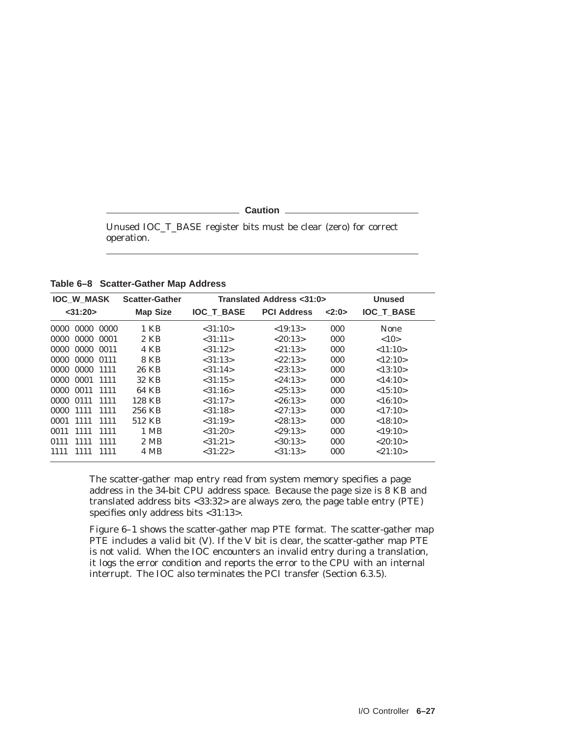**Caution** 

Unused IOC\_T\_BASE register bits must be clear (zero) for correct operation.

**Table 6–8 Scatter-Gather Map Address**

| <b>IOC_W_MASK</b>    | <b>Scatter-Gather</b> |                   | Translated Address <31:0> |      | <b>Unused</b>     |
|----------------------|-----------------------|-------------------|---------------------------|------|-------------------|
| $<$ 31:20 $>$        | <b>Map Size</b>       | <b>IOC T BASE</b> | <b>PCI Address</b>        | 2:0> | <b>IOC T BASE</b> |
| 0000 0000<br>0000    | 1 KB                  | < 31:10>          | <19:13>                   | 000  | <b>None</b>       |
| 0000 0000 0001       | 2 KB                  | <31:11>           | < 20:13>                  | 000  | <10>              |
| 0000 0000 0011       | 4 KB                  | <31:12>           | <21:13>                   | 000  | <11:10>           |
| 0000 0111<br>0000    | 8 KB                  | < 31:13>          | < 22:13>                  | 000  | <12:10>           |
| 0000 0000 1111       | 26 KB                 | < 31:14>          | < 23:13>                  | 000  | <13:10>           |
| 0000 0001 1111       | 32 KB                 | <31:15>           | < 24:13>                  | 000  | <14:10>           |
| 0000 0011 1111       | 64 KB                 | $<$ 31:16 $>$     | <25:13>                   | 000  | <15:10>           |
| 0000<br>0111<br>1111 | 128 KB                | <31:17>           | < 26:13>                  | 000  | <16:10>           |
| 0000 1111<br>1111    | 256 KB                | < 31:18>          | <27:13>                   | 000  | <17:10>           |
| 0001 1111<br>1111    | 512 KB                | < 31:19>          | < 28:13>                  | 000  | <18:10>           |
| 1111<br>1111<br>0011 | 1 MB                  | $<$ 31:20 $>$     | < 29:13>                  | 000  | <19:10>           |
| 1111<br>0111<br>1111 | 2 MB                  | <31:21>           | <30:13>                   | 000  | < 20:10>          |
| 1111<br>1111<br>1111 | 4 MB                  | < 31:22>          | < 31:13>                  | 000  | < 21:10>          |

The scatter-gather map entry read from system memory specifies a page address in the 34-bit CPU address space. Because the page size is 8 KB and translated address bits <33:32> are always zero, the page table entry (PTE) specifies only address bits <31:13>.

Figure 6–1 shows the scatter-gather map PTE format. The scatter-gather map PTE includes a valid bit (V). If the V bit is clear, the scatter-gather map PTE is not valid. When the IOC encounters an invalid entry during a translation, it logs the error condition and reports the error to the CPU with an internal interrupt. The IOC also terminates the PCI transfer (Section 6.3.5).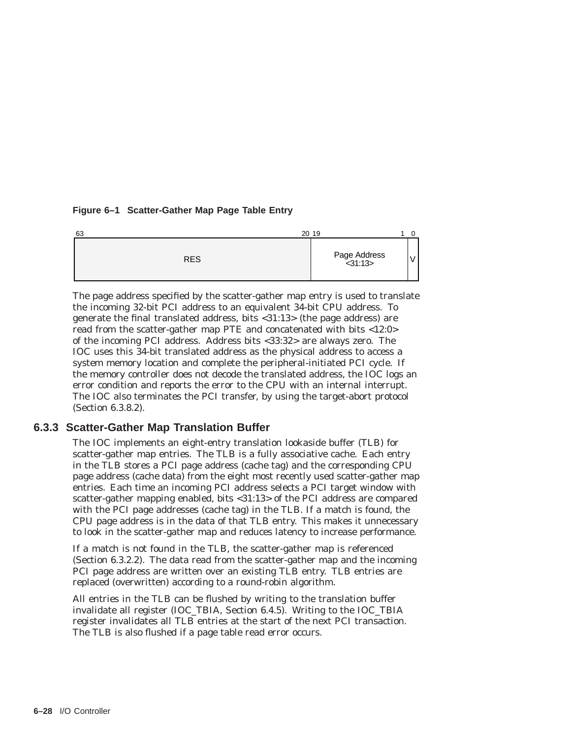#### **Figure 6–1 Scatter-Gather Map Page Table Entry**



The page address specified by the scatter-gather map entry is used to translate the incoming 32-bit PCI address to an equivalent 34-bit CPU address. To generate the final translated address, bits <31:13> (the page address) are read from the scatter-gather map PTE and concatenated with bits <12:0> of the incoming PCI address. Address bits <33:32> are always zero. The IOC uses this 34-bit translated address as the physical address to access a system memory location and complete the peripheral-initiated PCI cycle. If the memory controller does not decode the translated address, the IOC logs an error condition and reports the error to the CPU with an internal interrupt. The IOC also terminates the PCI transfer, by using the target-abort protocol (Section 6.3.8.2).

## **6.3.3 Scatter-Gather Map Translation Buffer**

The IOC implements an eight-entry translation lookaside buffer (TLB) for scatter-gather map entries. The TLB is a fully associative cache. Each entry in the TLB stores a PCI page address (cache tag) and the corresponding CPU page address (cache data) from the eight most recently used scatter-gather map entries. Each time an incoming PCI address selects a PCI target window with scatter-gather mapping enabled, bits <31:13> of the PCI address are compared with the PCI page addresses (cache tag) in the TLB. If a match is found, the CPU page address is in the data of that TLB entry. This makes it unnecessary to look in the scatter-gather map and reduces latency to increase performance.

If a match is not found in the TLB, the scatter-gather map is referenced (Section 6.3.2.2). The data read from the scatter-gather map and the incoming PCI page address are written over an existing TLB entry. TLB entries are replaced (overwritten) according to a round-robin algorithm.

All entries in the TLB can be flushed by writing to the translation buffer invalidate all register (IOC\_TBIA, Section 6.4.5). Writing to the IOC\_TBIA register invalidates all TLB entries at the start of the next PCI transaction. The TLB is also flushed if a page table read error occurs.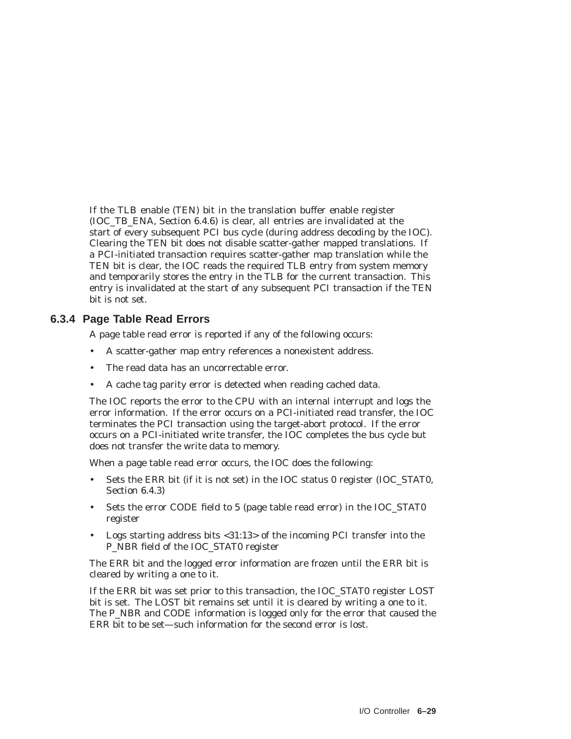If the TLB enable (TEN) bit in the translation buffer enable register (IOC\_TB\_ENA, Section 6.4.6) is clear, all entries are invalidated at the start of every subsequent PCI bus cycle (during address decoding by the IOC). Clearing the TEN bit does not disable scatter-gather mapped translations. If a PCI-initiated transaction requires scatter-gather map translation while the TEN bit is clear, the IOC reads the required TLB entry from system memory and temporarily stores the entry in the TLB for the current transaction. This entry is invalidated at the start of any subsequent PCI transaction if the TEN bit is not set.

#### **6.3.4 Page Table Read Errors**

A page table read error is reported if any of the following occurs:

- A scatter-gather map entry references a nonexistent address.
- The read data has an uncorrectable error.
- A cache tag parity error is detected when reading cached data.

The IOC reports the error to the CPU with an internal interrupt and logs the error information. If the error occurs on a PCI-initiated read transfer, the IOC terminates the PCI transaction using the target-abort protocol. If the error occurs on a PCI-initiated write transfer, the IOC completes the bus cycle but does not transfer the write data to memory.

When a page table read error occurs, the IOC does the following:

- Sets the ERR bit (if it is not set) in the IOC status 0 register (IOC\_STAT0, Section 6.4.3)
- Sets the error CODE field to 5 (page table read error) in the IOC\_STAT0 register
- Logs starting address bits <31:13> of the incoming PCI transfer into the P\_NBR field of the IOC\_STAT0 register

The ERR bit and the logged error information are frozen until the ERR bit is cleared by writing a one to it.

If the ERR bit was set prior to this transaction, the IOC\_STAT0 register LOST bit is set. The LOST bit remains set until it is cleared by writing a one to it. The P\_NBR and CODE information is logged only for the error that caused the ERR bit to be set—such information for the second error is lost.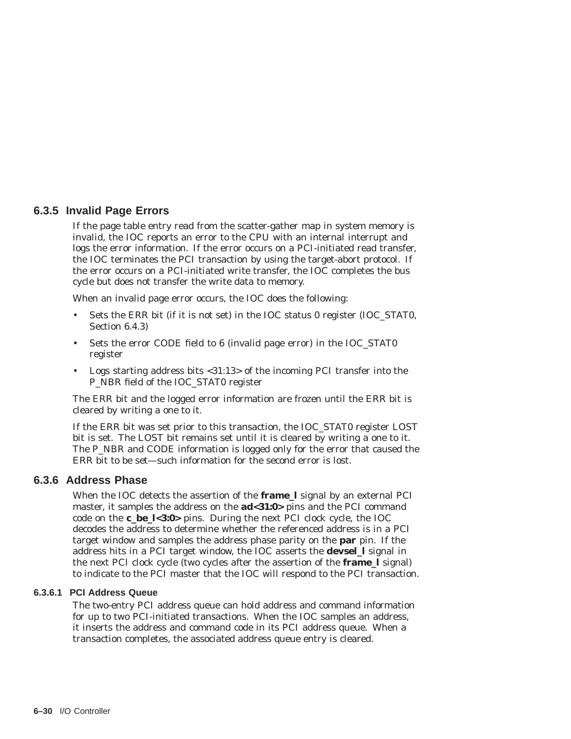#### **6.3.5 Invalid Page Errors**

If the page table entry read from the scatter-gather map in system memory is invalid, the IOC reports an error to the CPU with an internal interrupt and logs the error information. If the error occurs on a PCI-initiated read transfer, the IOC terminates the PCI transaction by using the target-abort protocol. If the error occurs on a PCI-initiated write transfer, the IOC completes the bus cycle but does not transfer the write data to memory.

When an invalid page error occurs, the IOC does the following:

- Sets the ERR bit (if it is not set) in the IOC status 0 register (IOC\_STAT0, Section 6.4.3)
- Sets the error CODE field to 6 (invalid page error) in the IOC\_STAT0 register
- Logs starting address bits <31:13> of the incoming PCI transfer into the P\_NBR field of the IOC\_STAT0 register

The ERR bit and the logged error information are frozen until the ERR bit is cleared by writing a one to it.

If the ERR bit was set prior to this transaction, the IOC\_STAT0 register LOST bit is set. The LOST bit remains set until it is cleared by writing a one to it. The P\_NBR and CODE information is logged only for the error that caused the ERR bit to be set—such information for the second error is lost.

# **6.3.6 Address Phase**

When the IOC detects the assertion of the **frame\_l** signal by an external PCI master, it samples the address on the **ad<31:0>** pins and the PCI command code on the **c\_be\_l<3:0>** pins. During the next PCI clock cycle, the IOC decodes the address to determine whether the referenced address is in a PCI target window and samples the address phase parity on the **par** pin. If the address hits in a PCI target window, the IOC asserts the **devsel\_l** signal in the next PCI clock cycle (two cycles after the assertion of the **frame\_l** signal) to indicate to the PCI master that the IOC will respond to the PCI transaction.

#### **6.3.6.1 PCI Address Queue**

The two-entry PCI address queue can hold address and command information for up to two PCI-initiated transactions. When the IOC samples an address, it inserts the address and command code in its PCI address queue. When a transaction completes, the associated address queue entry is cleared.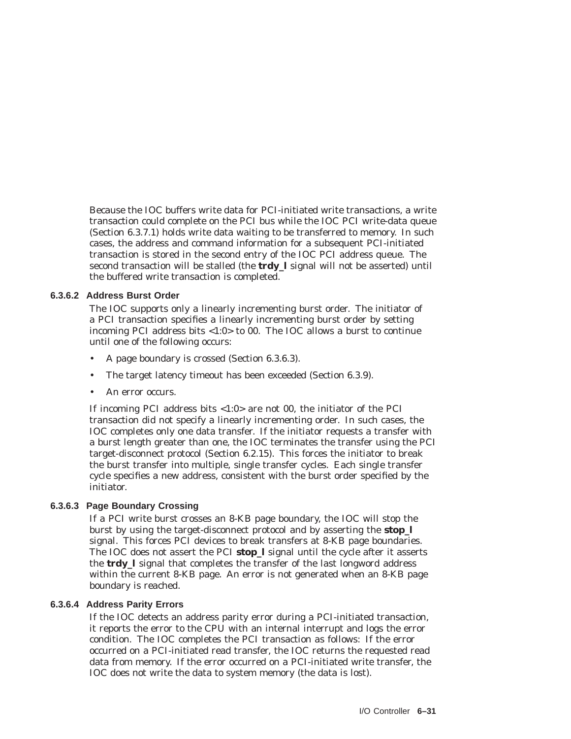Because the IOC buffers write data for PCI-initiated write transactions, a write transaction could complete on the PCI bus while the IOC PCI write-data queue (Section 6.3.7.1) holds write data waiting to be transferred to memory. In such cases, the address and command information for a subsequent PCI-initiated transaction is stored in the second entry of the IOC PCI address queue. The second transaction will be stalled (the **trdy\_l** signal will not be asserted) until the buffered write transaction is completed.

#### **6.3.6.2 Address Burst Order**

The IOC supports only a linearly incrementing burst order. The initiator of a PCI transaction specifies a linearly incrementing burst order by setting incoming PCI address bits <1:0> to 00. The IOC allows a burst to continue until one of the following occurs:

- A page boundary is crossed (Section 6.3.6.3).
- The target latency timeout has been exceeded (Section 6.3.9).
- An error occurs.

If incoming PCI address bits  $<1:0>$  are not 00, the initiator of the PCI transaction did not specify a linearly incrementing order. In such cases, the IOC completes only one data transfer. If the initiator requests a transfer with a burst length greater than one, the IOC terminates the transfer using the PCI target-disconnect protocol (Section 6.2.15). This forces the initiator to break the burst transfer into multiple, single transfer cycles. Each single transfer cycle specifies a new address, consistent with the burst order specified by the initiator.

#### **6.3.6.3 Page Boundary Crossing**

If a PCI write burst crosses an 8-KB page boundary, the IOC will stop the burst by using the target-disconnect protocol and by asserting the **stop\_l** signal. This forces PCI devices to break transfers at 8-KB page boundaries. The IOC does not assert the PCI **stop\_l** signal until the cycle after it asserts the **trdy\_l** signal that completes the transfer of the last longword address within the current 8-KB page. An error is not generated when an 8-KB page boundary is reached.

#### **6.3.6.4 Address Parity Errors**

If the IOC detects an address parity error during a PCI-initiated transaction, it reports the error to the CPU with an internal interrupt and logs the error condition. The IOC completes the PCI transaction as follows: If the error occurred on a PCI-initiated read transfer, the IOC returns the requested read data from memory. If the error occurred on a PCI-initiated write transfer, the IOC does not write the data to system memory (the data is lost).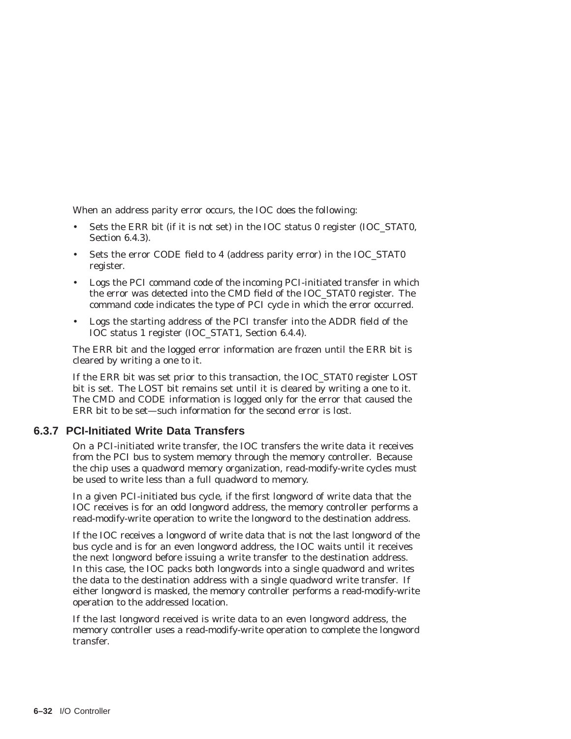When an address parity error occurs, the IOC does the following:

- Sets the ERR bit (if it is not set) in the IOC status 0 register (IOC\_STAT0, Section 6.4.3).
- Sets the error CODE field to 4 (address parity error) in the IOC\_STAT0 register.
- Logs the PCI command code of the incoming PCI-initiated transfer in which the error was detected into the CMD field of the IOC\_STAT0 register. The command code indicates the type of PCI cycle in which the error occurred.
- Logs the starting address of the PCI transfer into the ADDR field of the IOC status 1 register (IOC\_STAT1, Section 6.4.4).

The ERR bit and the logged error information are frozen until the ERR bit is cleared by writing a one to it.

If the ERR bit was set prior to this transaction, the IOC\_STAT0 register LOST bit is set. The LOST bit remains set until it is cleared by writing a one to it. The CMD and CODE information is logged only for the error that caused the ERR bit to be set—such information for the second error is lost.

#### **6.3.7 PCI-Initiated Write Data Transfers**

On a PCI-initiated write transfer, the IOC transfers the write data it receives from the PCI bus to system memory through the memory controller. Because the chip uses a quadword memory organization, read-modify-write cycles must be used to write less than a full quadword to memory.

In a given PCI-initiated bus cycle, if the first longword of write data that the IOC receives is for an odd longword address, the memory controller performs a read-modify-write operation to write the longword to the destination address.

If the IOC receives a longword of write data that is not the last longword of the bus cycle and is for an even longword address, the IOC waits until it receives the next longword before issuing a write transfer to the destination address. In this case, the IOC packs both longwords into a single quadword and writes the data to the destination address with a single quadword write transfer. If either longword is masked, the memory controller performs a read-modify-write operation to the addressed location.

If the last longword received is write data to an even longword address, the memory controller uses a read-modify-write operation to complete the longword transfer.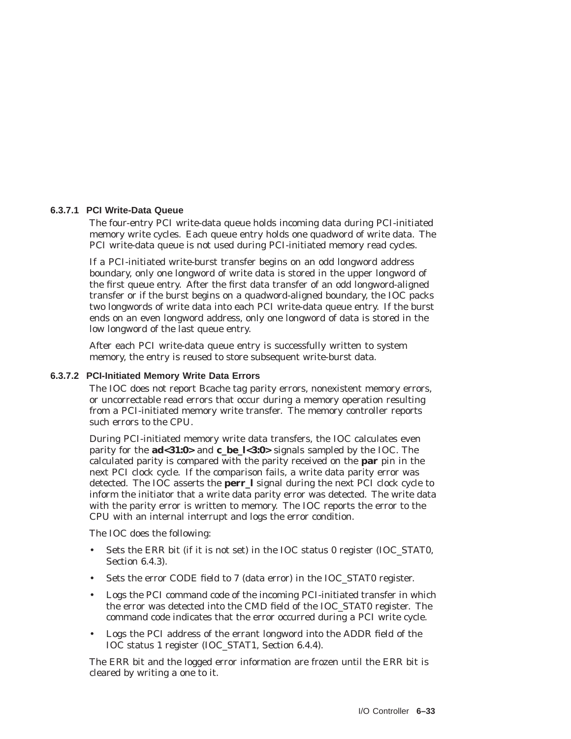#### **6.3.7.1 PCI Write-Data Queue**

The four-entry PCI write-data queue holds incoming data during PCI-initiated memory write cycles. Each queue entry holds one quadword of write data. The PCI write-data queue is not used during PCI-initiated memory read cycles.

If a PCI-initiated write-burst transfer begins on an odd longword address boundary, only one longword of write data is stored in the upper longword of the first queue entry. After the first data transfer of an odd longword-aligned transfer or if the burst begins on a quadword-aligned boundary, the IOC packs two longwords of write data into each PCI write-data queue entry. If the burst ends on an even longword address, only one longword of data is stored in the low longword of the last queue entry.

After each PCI write-data queue entry is successfully written to system memory, the entry is reused to store subsequent write-burst data.

#### **6.3.7.2 PCI-Initiated Memory Write Data Errors**

The IOC does not report Bcache tag parity errors, nonexistent memory errors, or uncorrectable read errors that occur during a memory operation resulting from a PCI-initiated memory write transfer. The memory controller reports such errors to the CPU.

During PCI-initiated memory write data transfers, the IOC calculates even parity for the **ad<31:0>** and **c\_be\_l<3:0>** signals sampled by the IOC. The calculated parity is compared with the parity received on the **par** pin in the next PCI clock cycle. If the comparison fails, a write data parity error was detected. The IOC asserts the **perr\_l** signal during the next PCI clock cycle to inform the initiator that a write data parity error was detected. The write data with the parity error is written to memory. The IOC reports the error to the CPU with an internal interrupt and logs the error condition.

The IOC does the following:

- Sets the ERR bit (if it is not set) in the IOC status 0 register (IOC\_STAT0, Section 6.4.3).
- Sets the error CODE field to 7 (data error) in the IOC\_STAT0 register.
- Logs the PCI command code of the incoming PCI-initiated transfer in which the error was detected into the CMD field of the IOC\_STAT0 register. The command code indicates that the error occurred during a PCI write cycle.
- Logs the PCI address of the errant longword into the ADDR field of the IOC status 1 register (IOC\_STAT1, Section 6.4.4).

The ERR bit and the logged error information are frozen until the ERR bit is cleared by writing a one to it.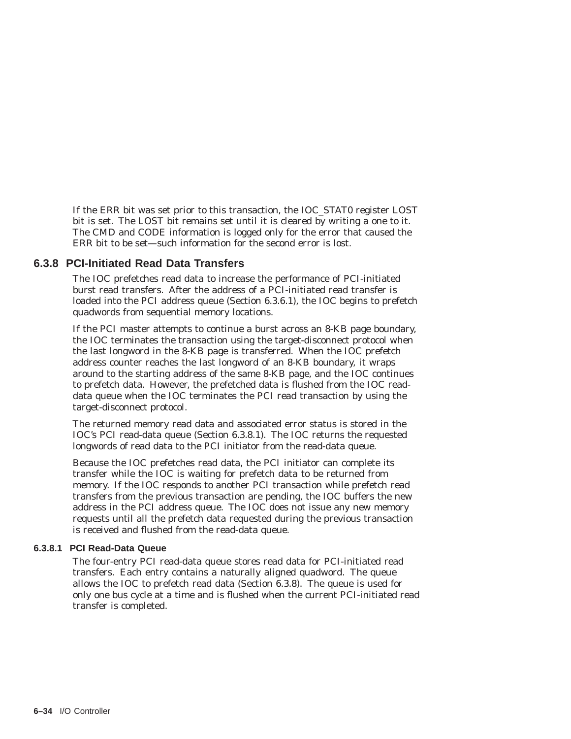If the ERR bit was set prior to this transaction, the IOC\_STAT0 register LOST bit is set. The LOST bit remains set until it is cleared by writing a one to it. The CMD and CODE information is logged only for the error that caused the ERR bit to be set—such information for the second error is lost.

#### **6.3.8 PCI-Initiated Read Data Transfers**

The IOC prefetches read data to increase the performance of PCI-initiated burst read transfers. After the address of a PCI-initiated read transfer is loaded into the PCI address queue (Section 6.3.6.1), the IOC begins to prefetch quadwords from sequential memory locations.

If the PCI master attempts to continue a burst across an 8-KB page boundary, the IOC terminates the transaction using the target-disconnect protocol when the last longword in the 8-KB page is transferred. When the IOC prefetch address counter reaches the last longword of an 8-KB boundary, it wraps around to the starting address of the same 8-KB page, and the IOC continues to prefetch data. However, the prefetched data is flushed from the IOC readdata queue when the IOC terminates the PCI read transaction by using the target-disconnect protocol.

The returned memory read data and associated error status is stored in the IOC's PCI read-data queue (Section 6.3.8.1). The IOC returns the requested longwords of read data to the PCI initiator from the read-data queue.

Because the IOC prefetches read data, the PCI initiator can complete its transfer while the IOC is waiting for prefetch data to be returned from memory. If the IOC responds to another PCI transaction while prefetch read transfers from the previous transaction are pending, the IOC buffers the new address in the PCI address queue. The IOC does not issue any new memory requests until all the prefetch data requested during the previous transaction is received and flushed from the read-data queue.

#### **6.3.8.1 PCI Read-Data Queue**

The four-entry PCI read-data queue stores read data for PCI-initiated read transfers. Each entry contains a naturally aligned quadword. The queue allows the IOC to prefetch read data (Section 6.3.8). The queue is used for only one bus cycle at a time and is flushed when the current PCI-initiated read transfer is completed.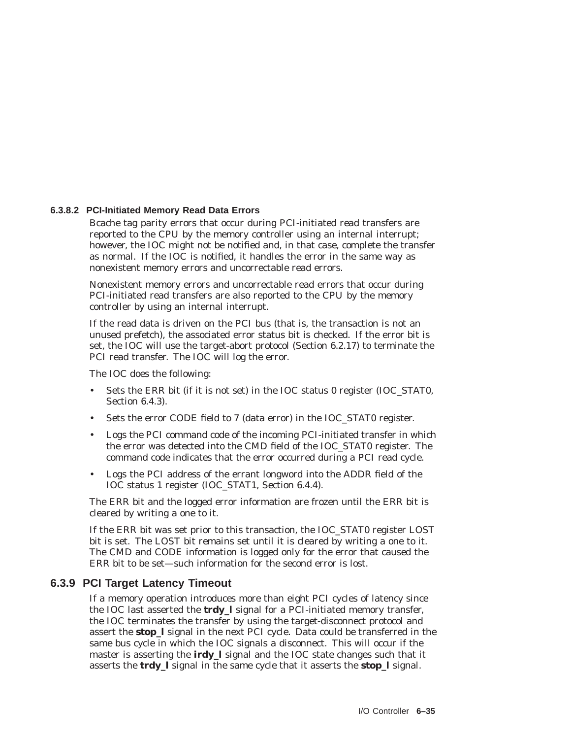#### **6.3.8.2 PCI-Initiated Memory Read Data Errors**

Bcache tag parity errors that occur during PCI-initiated read transfers are reported to the CPU by the memory controller using an internal interrupt; however, the IOC might not be notified and, in that case, complete the transfer as normal. If the IOC is notified, it handles the error in the same way as nonexistent memory errors and uncorrectable read errors.

Nonexistent memory errors and uncorrectable read errors that occur during PCI-initiated read transfers are also reported to the CPU by the memory controller by using an internal interrupt.

If the read data is driven on the PCI bus (that is, the transaction is not an unused prefetch), the associated error status bit is checked. If the error bit is set, the IOC will use the target-abort protocol (Section 6.2.17) to terminate the PCI read transfer. The IOC will log the error.

The IOC does the following:

- Sets the ERR bit (if it is not set) in the IOC status 0 register (IOC\_STAT0, Section 6.4.3).
- Sets the error CODE field to 7 (data error) in the IOC\_STAT0 register.
- Logs the PCI command code of the incoming PCI-initiated transfer in which the error was detected into the CMD field of the IOC\_STAT0 register. The command code indicates that the error occurred during a PCI read cycle.
- Logs the PCI address of the errant longword into the ADDR field of the IOC status 1 register (IOC\_STAT1, Section 6.4.4).

The ERR bit and the logged error information are frozen until the ERR bit is cleared by writing a one to it.

If the ERR bit was set prior to this transaction, the IOC\_STAT0 register LOST bit is set. The LOST bit remains set until it is cleared by writing a one to it. The CMD and CODE information is logged only for the error that caused the ERR bit to be set—such information for the second error is lost.

#### **6.3.9 PCI Target Latency Timeout**

If a memory operation introduces more than eight PCI cycles of latency since the IOC last asserted the **trdy\_l** signal for a PCI-initiated memory transfer, the IOC terminates the transfer by using the target-disconnect protocol and assert the **stop\_l** signal in the next PCI cycle. Data could be transferred in the same bus cycle in which the IOC signals a disconnect. This will occur if the master is asserting the **irdy\_l** signal and the IOC state changes such that it asserts the **trdy\_l** signal in the same cycle that it asserts the **stop\_l** signal.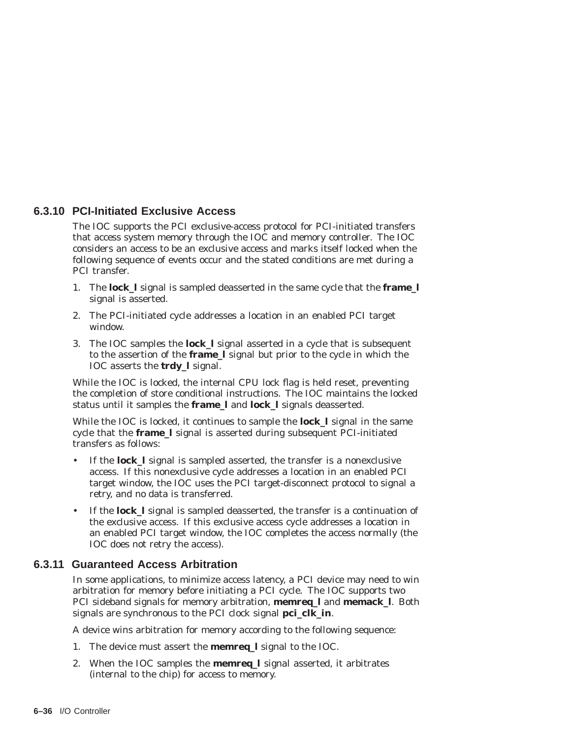## **6.3.10 PCI-Initiated Exclusive Access**

The IOC supports the PCI exclusive-access protocol for PCI-initiated transfers that access system memory through the IOC and memory controller. The IOC considers an access to be an exclusive access and marks itself locked when the following sequence of events occur and the stated conditions are met during a PCI transfer.

- 1. The **lock\_l** signal is sampled deasserted in the same cycle that the **frame\_l** signal is asserted.
- 2. The PCI-initiated cycle addresses a location in an enabled PCI target window.
- 3. The IOC samples the **lock\_l** signal asserted in a cycle that is subsequent to the assertion of the **frame\_l** signal but prior to the cycle in which the IOC asserts the **trdy\_l** signal.

While the IOC is locked, the internal CPU lock flag is held reset, preventing the completion of store conditional instructions. The IOC maintains the locked status until it samples the **frame\_l** and **lock\_l** signals deasserted.

While the IOC is locked, it continues to sample the **lock\_l** signal in the same cycle that the **frame\_l** signal is asserted during subsequent PCI-initiated transfers as follows:

- If the **lock\_l** signal is sampled asserted, the transfer is a nonexclusive access. If this nonexclusive cycle addresses a location in an enabled PCI target window, the IOC uses the PCI target-disconnect protocol to signal a retry, and no data is transferred.
- If the **lock\_l** signal is sampled deasserted, the transfer is a continuation of the exclusive access. If this exclusive access cycle addresses a location in an enabled PCI target window, the IOC completes the access normally (the IOC does not retry the access).

## **6.3.11 Guaranteed Access Arbitration**

In some applications, to minimize access latency, a PCI device may need to win arbitration for memory before initiating a PCI cycle. The IOC supports two PCI sideband signals for memory arbitration, **memreq\_l** and **memack\_l**. Both signals are synchronous to the PCI clock signal **pci\_clk\_in**.

A device wins arbitration for memory according to the following sequence:

- 1. The device must assert the **memreq\_l** signal to the IOC.
- 2. When the IOC samples the **memreq\_l** signal asserted, it arbitrates (internal to the chip) for access to memory.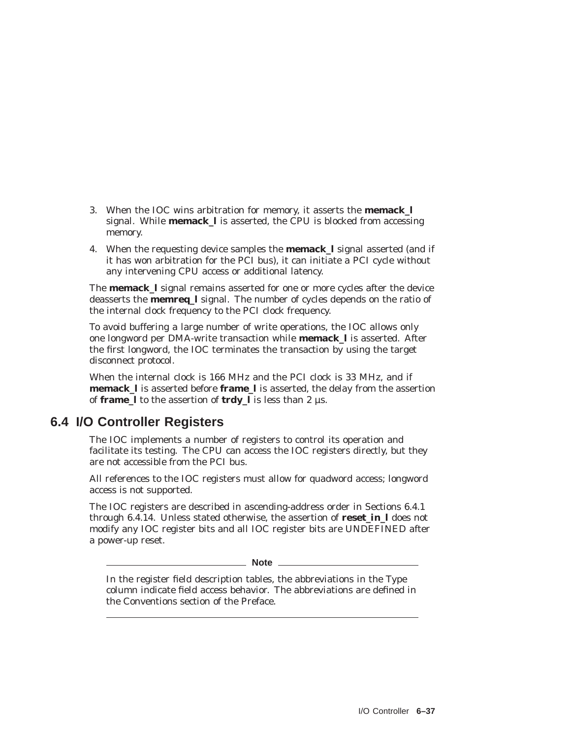- 3. When the IOC wins arbitration for memory, it asserts the **memack\_l** signal. While **memack\_l** is asserted, the CPU is blocked from accessing memory.
- 4. When the requesting device samples the **memack\_l** signal asserted (and if it has won arbitration for the PCI bus), it can initiate a PCI cycle without any intervening CPU access or additional latency.

The **memack\_l** signal remains asserted for one or more cycles after the device deasserts the **memreq\_l** signal. The number of cycles depends on the ratio of the internal clock frequency to the PCI clock frequency.

To avoid buffering a large number of write operations, the IOC allows only one longword per DMA-write transaction while **memack\_l** is asserted. After the first longword, the IOC terminates the transaction by using the target disconnect protocol.

When the internal clock is 166 MHz and the PCI clock is 33 MHz, and if **memack\_l** is asserted before **frame\_l** is asserted, the delay from the assertion of **frame\_l** to the assertion of **trdy\_l** is less than 2 µs.

# **6.4 I/O Controller Registers**

The IOC implements a number of registers to control its operation and facilitate its testing. The CPU can access the IOC registers directly, but they are not accessible from the PCI bus.

All references to the IOC registers must allow for quadword access; longword access is not supported.

The IOC registers are described in ascending-address order in Sections 6.4.1 through 6.4.14. Unless stated otherwise, the assertion of **reset\_in\_l** does not modify any IOC register bits and all IOC register bits are UNDEFINED after a power-up reset.

**Note**

In the register field description tables, the abbreviations in the Type column indicate field access behavior. The abbreviations are defined in the Conventions section of the Preface.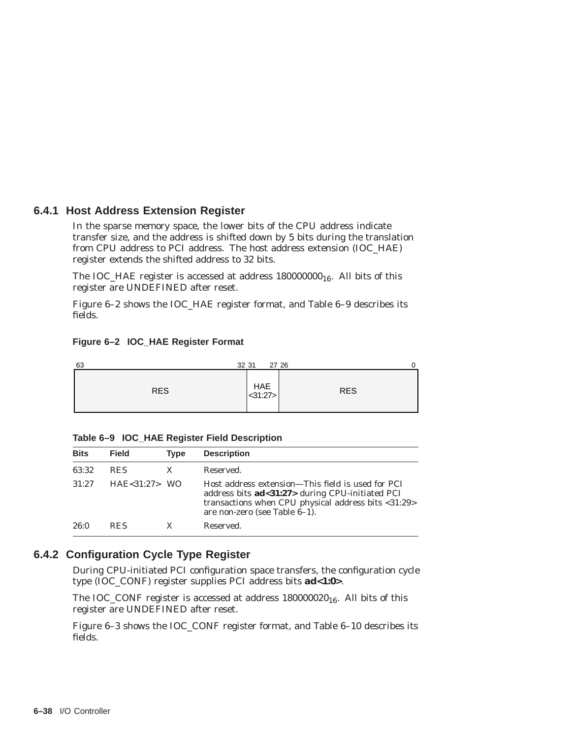## **6.4.1 Host Address Extension Register**

In the sparse memory space, the lower bits of the CPU address indicate transfer size, and the address is shifted down by 5 bits during the translation from CPU address to PCI address. The host address extension (IOC\_HAE) register extends the shifted address to 32 bits.

The IOC\_HAE register is accessed at address  $180000000_{16}$ . All bits of this register are UNDEFINED after reset.

Figure 6–2 shows the IOC\_HAE register format, and Table 6–9 describes its fields.

| 63         | 32 31<br>27 26 | 0          |
|------------|----------------|------------|
| <b>RES</b> | HAE < 31:27    | <b>RES</b> |

#### **Figure 6–2 IOC\_HAE Register Format**

| Table 6-9 IOC_HAE Register Field Description |  |  |  |
|----------------------------------------------|--|--|--|
|                                              |  |  |  |

| <b>Bits</b> | <b>Field</b>     | <b>Type</b> | <b>Description</b>                                                                                                                                                                                      |
|-------------|------------------|-------------|---------------------------------------------------------------------------------------------------------------------------------------------------------------------------------------------------------|
| 63:32       | <b>RES</b>       | X           | Reserved.                                                                                                                                                                                               |
| 31:27       | $HAE < 31:27$ WO |             | Host address extension—This field is used for PCI<br>address bits <b>ad</b> <31:27> during CPU-initiated PCI<br>transactions when CPU physical address bits <31:29><br>are non-zero (see Table $6-1$ ). |
| 26:0        | <b>RES</b>       |             | Reserved.                                                                                                                                                                                               |

## **6.4.2 Configuration Cycle Type Register**

During CPU-initiated PCI configuration space transfers, the configuration cycle type (IOC\_CONF) register supplies PCI address bits **ad<1:0>**.

The IOC\_CONF register is accessed at address  $180000020_{16}$ . All bits of this register are UNDEFINED after reset.

Figure 6–3 shows the IOC\_CONF register format, and Table 6–10 describes its fields.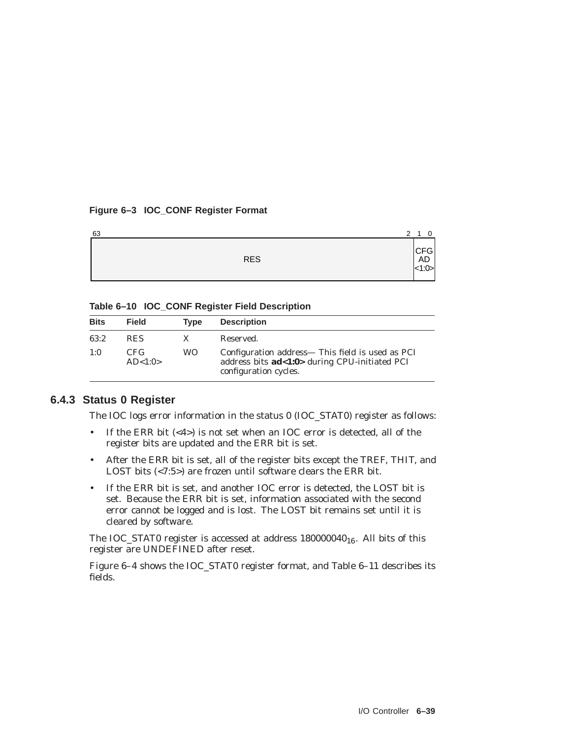#### **Figure 6–3 IOC\_CONF Register Format**

| 63 |            | 2 <sub>1</sub> | $\overline{0}$       |  |
|----|------------|----------------|----------------------|--|
|    | <b>RES</b> |                | $CFG$<br>AD<br><1:0> |  |

**Table 6–10 IOC\_CONF Register Field Description**

| <b>Bits</b> | <b>Field</b>      | Type      | <b>Description</b>                                                                                                         |
|-------------|-------------------|-----------|----------------------------------------------------------------------------------------------------------------------------|
| 63:2        | <b>RES</b>        |           | Reserved.                                                                                                                  |
| 1:0         | CFG.<br>AD < 1:0> | <b>WO</b> | Configuration address— This field is used as PCI<br>address bits ad<1:0> during CPU-initiated PCI<br>configuration cycles. |

#### **6.4.3 Status 0 Register**

The IOC logs error information in the status 0 (IOC\_STAT0) register as follows:

- If the ERR bit (<4>) is not set when an IOC error is detected, all of the register bits are updated and the ERR bit is set.
- After the ERR bit is set, all of the register bits except the TREF, THIT, and LOST bits (<7:5>) are frozen until software clears the ERR bit.
- If the ERR bit is set, and another IOC error is detected, the LOST bit is set. Because the ERR bit is set, information associated with the second error cannot be logged and is lost. The LOST bit remains set until it is cleared by software.

The IOC\_STAT0 register is accessed at address  $180000040_{16}$ . All bits of this register are UNDEFINED after reset.

Figure 6–4 shows the IOC\_STAT0 register format, and Table 6–11 describes its fields.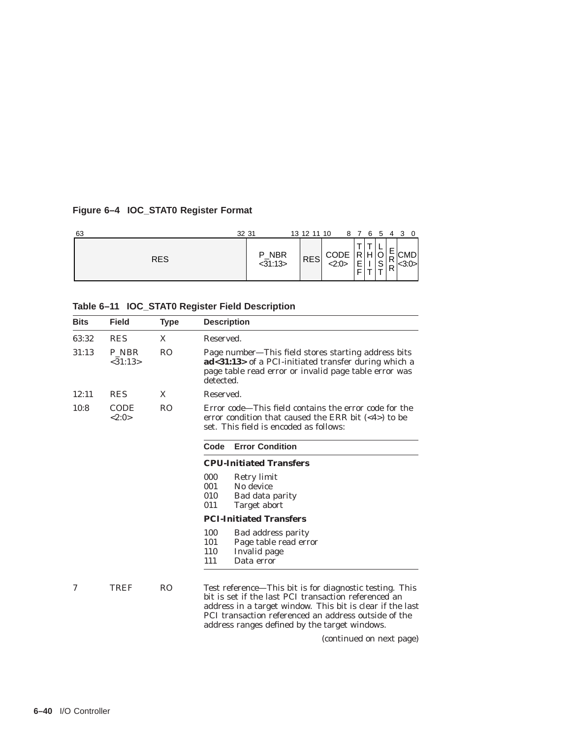# **Figure 6–4 IOC\_STAT0 Register Format**

| 63         | 32 31            | 13 12 11 10 |                |             |                              |        | 8 7 6 5 4 3 0 |  |
|------------|------------------|-------------|----------------|-------------|------------------------------|--------|---------------|--|
| <b>RES</b> | P_NBR<br><31:13> | <b>RES</b>  | CODE<br>< 2:0> | Ŧ<br>Þ<br>F | <u>.</u><br>O<br>$\mathbf C$ | R<br>⋼ | CMD           |  |

| Table 6-11 IOC_STAT0 Register Field Description |  |  |  |  |  |  |
|-------------------------------------------------|--|--|--|--|--|--|
|-------------------------------------------------|--|--|--|--|--|--|

| Field                | <b>Type</b>    | <b>Description</b>                                                                                                                                                                                                                                                                                                |
|----------------------|----------------|-------------------------------------------------------------------------------------------------------------------------------------------------------------------------------------------------------------------------------------------------------------------------------------------------------------------|
| <b>RES</b>           | X              | Reserved.                                                                                                                                                                                                                                                                                                         |
| P NBR<br>< 31:13>    | R <sub>O</sub> | Page number—This field stores starting address bits<br>ad<31:13> of a PCI-initiated transfer during which a<br>page table read error or invalid page table error was<br>detected.                                                                                                                                 |
| <b>RES</b>           | X              | Reserved.                                                                                                                                                                                                                                                                                                         |
| <b>CODE</b><br><2:0> | R <sub>O</sub> | Error code—This field contains the error code for the<br>error condition that caused the ERR bit $(\langle 4 \rangle)$ to be<br>set. This field is encoded as follows:                                                                                                                                            |
|                      |                | <b>Error Condition</b><br>Code                                                                                                                                                                                                                                                                                    |
|                      |                | <b>CPU-Initiated Transfers</b>                                                                                                                                                                                                                                                                                    |
|                      |                | 000<br>Retry limit<br>001<br>No device<br>010<br>Bad data parity<br>011<br>Target abort                                                                                                                                                                                                                           |
|                      |                | <b>PCI-Initiated Transfers</b>                                                                                                                                                                                                                                                                                    |
|                      |                | 100<br>Bad address parity<br>101<br>Page table read error<br>110<br>Invalid page<br>111<br>Data error                                                                                                                                                                                                             |
| TREF                 | R <sub>O</sub> | Test reference—This bit is for diagnostic testing. This<br>bit is set if the last PCI transaction referenced an<br>address in a target window. This bit is clear if the last<br>PCI transaction referenced an address outside of the<br>address ranges defined by the target windows.<br>(continued on nove name) |
|                      |                |                                                                                                                                                                                                                                                                                                                   |

(continued on next page)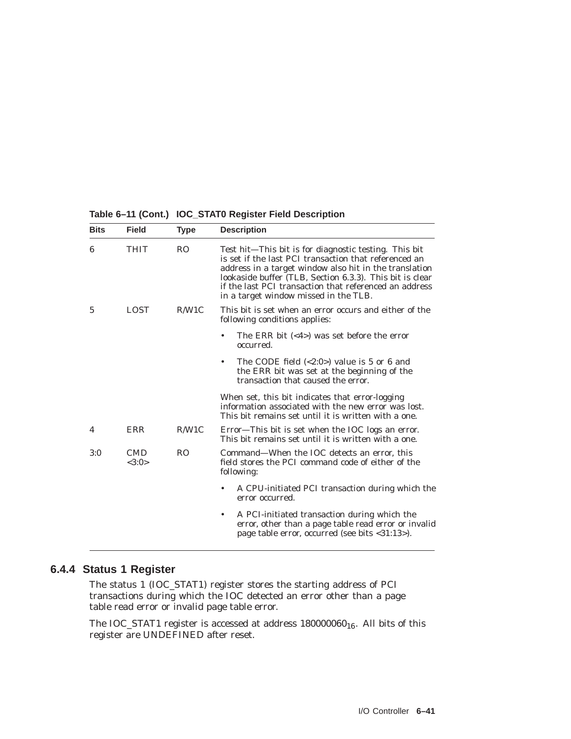**Table 6–11 (Cont.) IOC\_STAT0 Register Field Description**

| <b>Bits</b> | <b>Field</b>        | <b>Type</b>    | <b>Description</b>                                                                                                                                                                                                                                                                                                                      |
|-------------|---------------------|----------------|-----------------------------------------------------------------------------------------------------------------------------------------------------------------------------------------------------------------------------------------------------------------------------------------------------------------------------------------|
| 6           | THIT                | <b>RO</b>      | Test hit-This bit is for diagnostic testing. This bit<br>is set if the last PCI transaction that referenced an<br>address in a target window also hit in the translation<br>lookaside buffer (TLB, Section 6.3.3). This bit is clear<br>if the last PCI transaction that referenced an address<br>in a target window missed in the TLB. |
| 5           | <b>LOST</b>         | R/W1C          | This bit is set when an error occurs and either of the<br>following conditions applies:                                                                                                                                                                                                                                                 |
|             |                     |                | The ERR bit $(\leq 4)$ was set before the error<br>occurred.                                                                                                                                                                                                                                                                            |
|             |                     |                | The CODE field $\langle 2:0 \rangle$ value is 5 or 6 and<br>the ERR bit was set at the beginning of the<br>transaction that caused the error.                                                                                                                                                                                           |
|             |                     |                | When set, this bit indicates that error-logging<br>information associated with the new error was lost.<br>This bit remains set until it is written with a one.                                                                                                                                                                          |
| 4           | ERR                 | R/W1C          | Error—This bit is set when the IOC logs an error.<br>This bit remains set until it is written with a one.                                                                                                                                                                                                                               |
| 3:0         | <b>CMD</b><br><3:0> | R <sub>O</sub> | Command—When the IOC detects an error, this<br>field stores the PCI command code of either of the<br>following:                                                                                                                                                                                                                         |
|             |                     |                | A CPU-initiated PCI transaction during which the<br>$\bullet$<br>error occurred.                                                                                                                                                                                                                                                        |
|             |                     |                | A PCI-initiated transaction during which the<br>$\bullet$<br>error, other than a page table read error or invalid<br>page table error, occurred (see bits <31:13>).                                                                                                                                                                     |

# **6.4.4 Status 1 Register**

The status 1 (IOC\_STAT1) register stores the starting address of PCI transactions during which the IOC detected an error other than a page table read error or invalid page table error.

The IOC\_STAT1 register is accessed at address  $180000060_{16}$ . All bits of this register are UNDEFINED after reset.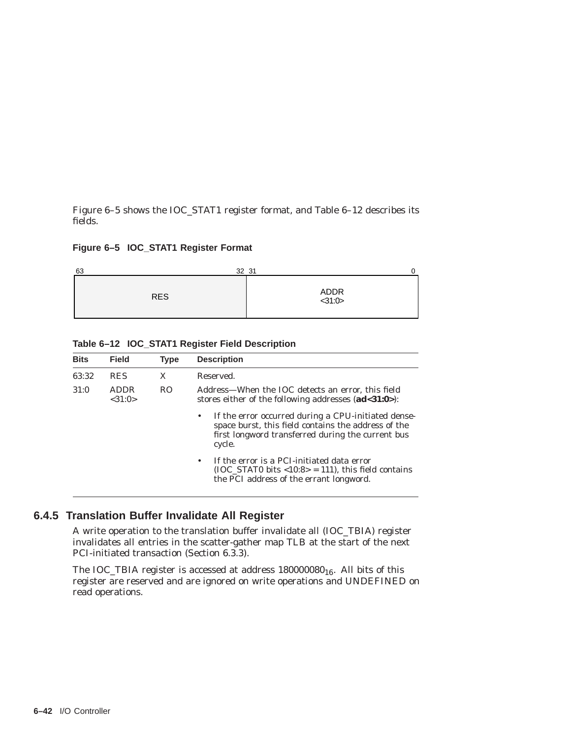Figure 6–5 shows the IOC\_STAT1 register format, and Table 6–12 describes its fields.

#### **Figure 6–5 IOC\_STAT1 Register Format**



| <b>Bits</b> | <b>Field</b>           | <b>Type</b>    | <b>Description</b>                                                                                                                                                             |
|-------------|------------------------|----------------|--------------------------------------------------------------------------------------------------------------------------------------------------------------------------------|
| 63:32       | <b>RES</b>             | X              | Reserved.                                                                                                                                                                      |
| 31:0        | <b>ADDR</b><br>< 31:0> | R <sub>O</sub> | Address—When the IOC detects an error, this field<br>stores either of the following addresses $(ad<31:0>)$ :                                                                   |
|             |                        |                | If the error occurred during a CPU-initiated dense-<br>٠<br>space burst, this field contains the address of the<br>first longword transferred during the current bus<br>cycle. |
|             |                        |                | If the error is a PCI-initiated data error<br>$\bullet$<br>$(IOC STAT0 bits < 10:8> = 111)$ , this field contains<br>the PCI address of the errant longword.                   |

**Table 6–12 IOC\_STAT1 Register Field Description**

# **6.4.5 Translation Buffer Invalidate All Register**

A write operation to the translation buffer invalidate all (IOC\_TBIA) register invalidates all entries in the scatter-gather map TLB at the start of the next PCI-initiated transaction (Section 6.3.3).

The IOC\_TBIA register is accessed at address  $180000080_{16}$ . All bits of this register are reserved and are ignored on write operations and UNDEFINED on read operations.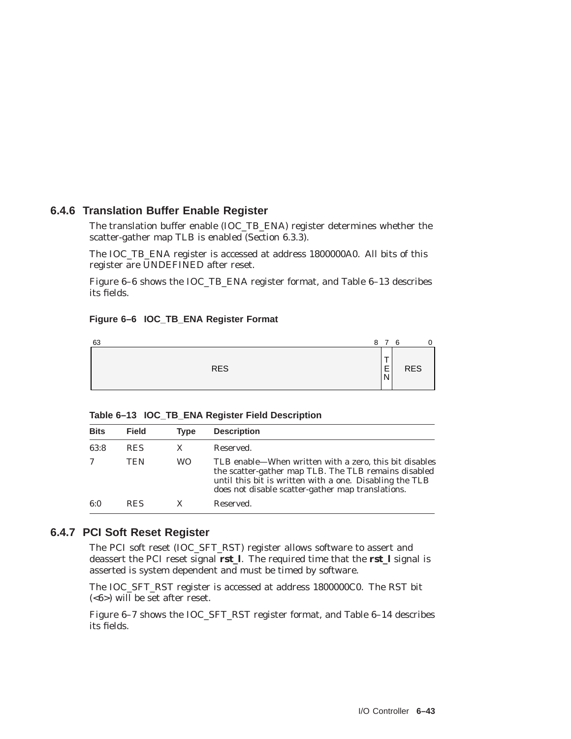## **6.4.6 Translation Buffer Enable Register**

The translation buffer enable (IOC\_TB\_ENA) register determines whether the scatter-gather map TLB is enabled (Section 6.3.3).

The IOC\_TB\_ENA register is accessed at address 1800000A0. All bits of this register are UNDEFINED after reset.

Figure 6–6 shows the IOC\_TB\_ENA register format, and Table 6–13 describes its fields.

#### **Figure 6–6 IOC\_TB\_ENA Register Format**



| <b>Bits</b> | <b>Field</b> | <b>Type</b> | <b>Description</b>                                                                                                                                                                                                             |
|-------------|--------------|-------------|--------------------------------------------------------------------------------------------------------------------------------------------------------------------------------------------------------------------------------|
| 63:8        | <b>RES</b>   | X           | Reserved.                                                                                                                                                                                                                      |
|             | TEN          | WO.         | TLB enable—When written with a zero, this bit disables<br>the scatter-gather map TLB. The TLB remains disabled<br>until this bit is written with a one. Disabling the TLB<br>does not disable scatter-gather map translations. |
| 6:0         | <b>RES</b>   | X           | Reserved.                                                                                                                                                                                                                      |

#### **6.4.7 PCI Soft Reset Register**

The PCI soft reset (IOC\_SFT\_RST) register allows software to assert and deassert the PCI reset signal **rst\_l**. The required time that the **rst\_l** signal is asserted is system dependent and must be timed by software.

The IOC\_SFT\_RST register is accessed at address 1800000C0. The RST bit (<6>) will be set after reset.

Figure 6–7 shows the IOC\_SFT\_RST register format, and Table 6–14 describes its fields.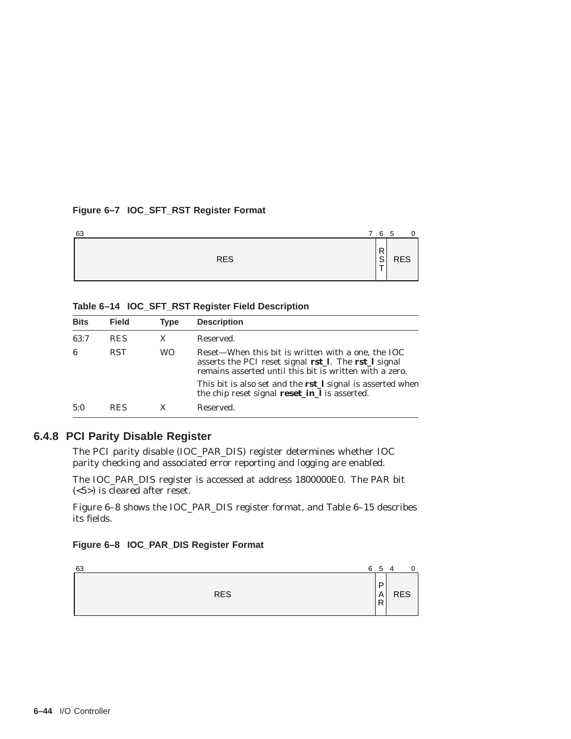#### **Figure 6–7 IOC\_SFT\_RST Register Format**

| 63         | 6<br>7  | - 5        |
|------------|---------|------------|
| <b>RES</b> | R<br> S | <b>RES</b> |

#### **Table 6–14 IOC\_SFT\_RST Register Field Description**

| <b>Bits</b> | <b>Field</b> | <b>Type</b> | <b>Description</b>                                                                                                                                                    |
|-------------|--------------|-------------|-----------------------------------------------------------------------------------------------------------------------------------------------------------------------|
| 63:7        | <b>RES</b>   | X           | Reserved.                                                                                                                                                             |
| 6           | <b>RST</b>   | WO.         | Reset—When this bit is written with a one, the IOC<br>asserts the PCI reset signal rst_l. The rst_l signal<br>remains asserted until this bit is written with a zero. |
|             |              |             | This bit is also set and the <b>rstl</b> signal is asserted when<br>the chip reset signal <b>reset_in_l</b> is asserted.                                              |
| 5:0         | <b>RES</b>   | X           | Reserved.                                                                                                                                                             |

#### **6.4.8 PCI Parity Disable Register**

The PCI parity disable (IOC\_PAR\_DIS) register determines whether IOC parity checking and associated error reporting and logging are enabled.

The IOC\_PAR\_DIS register is accessed at address 1800000E0. The PAR bit (<5>) is cleared after reset.

Figure 6–8 shows the IOC\_PAR\_DIS register format, and Table 6–15 describes its fields.

#### **Figure 6–8 IOC\_PAR\_DIS Register Format**

| 63 |            | 6 | 5           | $\overline{4}$ | $\mathbf 0$ |
|----|------------|---|-------------|----------------|-------------|
|    | <b>RES</b> |   | D<br>A<br>R | <b>RES</b>     |             |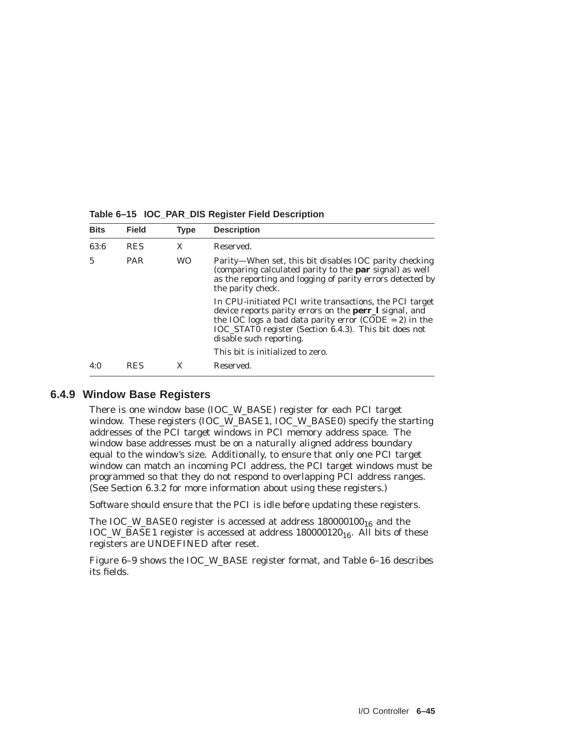| <b>Bits</b> | <b>Field</b> | <b>Type</b> | <b>Description</b>                                                                                                                                                                                                                                              |
|-------------|--------------|-------------|-----------------------------------------------------------------------------------------------------------------------------------------------------------------------------------------------------------------------------------------------------------------|
| 63:6        | <b>RES</b>   | X           | Reserved.                                                                                                                                                                                                                                                       |
| 5           | <b>PAR</b>   | <b>WO</b>   | Parity—When set, this bit disables IOC parity checking<br>(comparing calculated parity to the par signal) as well<br>as the reporting and logging of parity errors detected by<br>the parity check.                                                             |
|             |              |             | In CPU-initiated PCI write transactions, the PCI target<br>device reports parity errors on the perr_l signal, and<br>the IOC logs a bad data parity error (CODE = 2) in the<br>IOC_STAT0 register (Section 6.4.3). This bit does not<br>disable such reporting. |
|             |              |             | This bit is initialized to zero.                                                                                                                                                                                                                                |
| 4:0         | RES          |             | Reserved.                                                                                                                                                                                                                                                       |

**Table 6–15 IOC\_PAR\_DIS Register Field Description**

#### **6.4.9 Window Base Registers**

There is one window base (IOC\_W\_BASE) register for each PCI target window. These registers (IOC\_W\_BASE1, IOC\_W\_BASE0) specify the starting addresses of the PCI target windows in PCI memory address space. The window base addresses must be on a naturally aligned address boundary equal to the window's size. Additionally, to ensure that only one PCI target window can match an incoming PCI address, the PCI target windows must be programmed so that they do not respond to overlapping PCI address ranges. (See Section 6.3.2 for more information about using these registers.)

Software should ensure that the PCI is idle before updating these registers.

The IOC\_W\_BASE0 register is accessed at address  $180000100_{16}$  and the IOC\_W\_BASE1 register is accessed at address 180000120<sub>16</sub>. All bits of these registers are UNDEFINED after reset.

Figure 6–9 shows the IOC\_W\_BASE register format, and Table 6–16 describes its fields.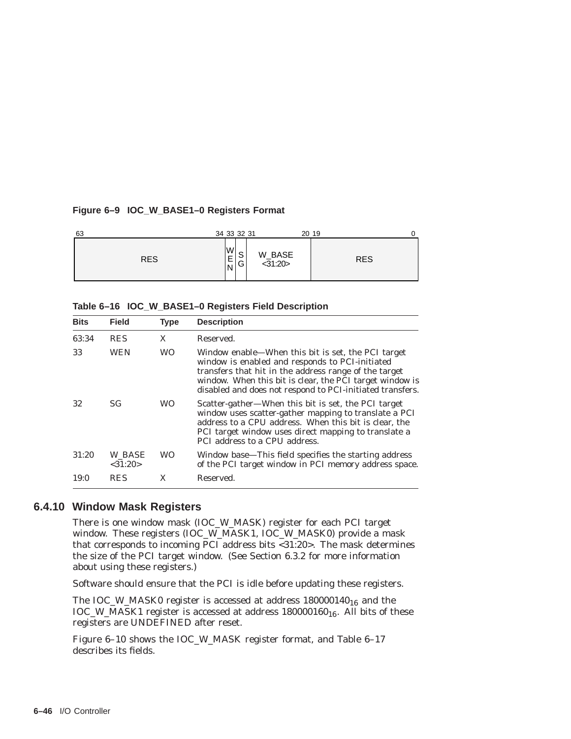#### **Figure 6–9 IOC\_W\_BASE1–0 Registers Format**

| 63         | 34 33 32 31                                 |                   | 20 19      |
|------------|---------------------------------------------|-------------------|------------|
| <b>RES</b> | W<br>$\sim$<br>E<br>ٮ<br><u>.</u><br>G<br>N | W_BASE<br><31:20> | <b>RES</b> |

| Table 6-16 IOC_W_BASE1-0 Registers Field Description |  |  |  |  |  |  |
|------------------------------------------------------|--|--|--|--|--|--|
|------------------------------------------------------|--|--|--|--|--|--|

| <b>Bits</b> | <b>Field</b>            | <b>Type</b> | <b>Description</b>                                                                                                                                                                                                                                                                      |
|-------------|-------------------------|-------------|-----------------------------------------------------------------------------------------------------------------------------------------------------------------------------------------------------------------------------------------------------------------------------------------|
| 63:34       | <b>RES</b>              | X           | Reserved.                                                                                                                                                                                                                                                                               |
| 33          | <b>WEN</b>              | <b>WO</b>   | Window enable—When this bit is set, the PCI target<br>window is enabled and responds to PCI-initiated<br>transfers that hit in the address range of the target<br>window. When this bit is clear, the PCI target window is<br>disabled and does not respond to PCI-initiated transfers. |
| 32          | SG.                     | WO          | Scatter-gather-When this bit is set, the PCI target<br>window uses scatter-gather mapping to translate a PCI<br>address to a CPU address. When this bit is clear, the<br>PCI target window uses direct mapping to translate a<br>PCI address to a CPU address.                          |
| 31:20       | W BASE<br>$<$ 31:20 $>$ | <b>WO</b>   | Window base—This field specifies the starting address<br>of the PCI target window in PCI memory address space.                                                                                                                                                                          |
| 19:0        | <b>RES</b>              | X           | Reserved.                                                                                                                                                                                                                                                                               |

#### **6.4.10 Window Mask Registers**

There is one window mask (IOC\_W\_MASK) register for each PCI target window. These registers (IOC\_W\_MASK1, IOC\_W\_MASK0) provide a mask that corresponds to incoming PCI address bits <31:20>. The mask determines the size of the PCI target window. (See Section 6.3.2 for more information about using these registers.)

Software should ensure that the PCI is idle before updating these registers.

The IOC\_W\_MASK0 register is accessed at address  $180000140_{16}$  and the  $\text{LOC\_W\_MASK1}$  register is accessed at address  $180000160_{16}$ . All bits of these registers are UNDEFINED after reset.

Figure 6–10 shows the IOC\_W\_MASK register format, and Table 6–17 describes its fields.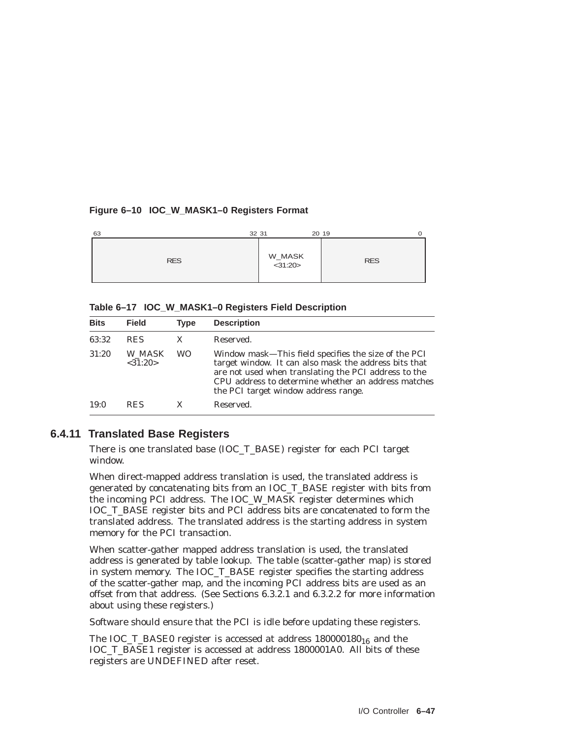#### **Figure 6–10 IOC\_W\_MASK1–0 Registers Format**

| 63         | 32 31             | 20 19<br>O |
|------------|-------------------|------------|
| <b>RES</b> | W_MASK<br><31:20> | <b>RES</b> |

**Table 6–17 IOC\_W\_MASK1–0 Registers Field Description**

| <b>Bits</b> | <b>Field</b>            | <b>Type</b> | <b>Description</b>                                                                                                                                                                                                                                                   |
|-------------|-------------------------|-------------|----------------------------------------------------------------------------------------------------------------------------------------------------------------------------------------------------------------------------------------------------------------------|
| 63:32       | <b>RES</b>              | X           | Reserved.                                                                                                                                                                                                                                                            |
| 31:20       | W MASK<br>$<$ 31:20 $>$ | <b>WO</b>   | Window mask—This field specifies the size of the PCI<br>target window. It can also mask the address bits that<br>are not used when translating the PCI address to the<br>CPU address to determine whether an address matches<br>the PCI target window address range. |
| 19:0        | <b>RES</b>              |             | Reserved.                                                                                                                                                                                                                                                            |

# **6.4.11 Translated Base Registers**

There is one translated base (IOC\_T\_BASE) register for each PCI target window.

When direct-mapped address translation is used, the translated address is generated by concatenating bits from an IOC\_T\_BASE register with bits from the incoming PCI address. The IOC\_W\_MASK register determines which IOC\_T\_BASE register bits and PCI address bits are concatenated to form the translated address. The translated address is the starting address in system memory for the PCI transaction.

When scatter-gather mapped address translation is used, the translated address is generated by table lookup. The table (scatter-gather map) is stored in system memory. The IOC\_T\_BASE register specifies the starting address of the scatter-gather map, and the incoming PCI address bits are used as an offset from that address. (See Sections 6.3.2.1 and 6.3.2.2 for more information about using these registers.)

Software should ensure that the PCI is idle before updating these registers.

The IOC\_T\_BASE0 register is accessed at address  $180000180_{16}$  and the IOC\_T\_BASE1 register is accessed at address 1800001A0. All bits of these registers are UNDEFINED after reset.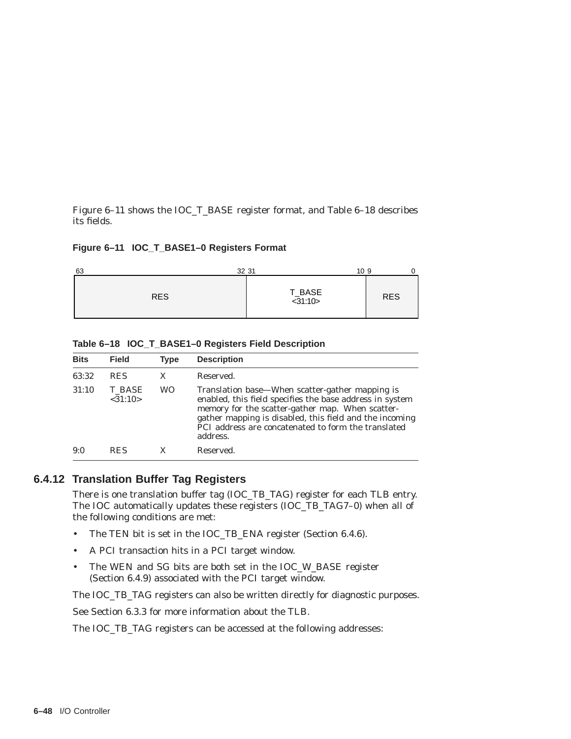Figure 6–11 shows the IOC\_T\_BASE register format, and Table 6–18 describes its fields.

#### **Figure 6–11 IOC\_T\_BASE1–0 Registers Format**

| 63<br>32 31 | 10 9              |            |
|-------------|-------------------|------------|
| <b>RES</b>  | T_BASE<br><31:10> | <b>RES</b> |

| Table 6-18 IOC_T_BASE1-0 Registers Field Description |
|------------------------------------------------------|
|------------------------------------------------------|

| <b>Bits</b> | <b>Field</b>       | Type | <b>Description</b>                                                                                                                                                                                                                                                                            |
|-------------|--------------------|------|-----------------------------------------------------------------------------------------------------------------------------------------------------------------------------------------------------------------------------------------------------------------------------------------------|
| 63:32       | <b>RES</b>         | X    | Reserved.                                                                                                                                                                                                                                                                                     |
| 31:10       | T BASE<br>< 31:10> | WO   | Translation base—When scatter-gather mapping is<br>enabled, this field specifies the base address in system<br>memory for the scatter-gather map. When scatter-<br>gather mapping is disabled, this field and the incoming<br>PCI address are concatenated to form the translated<br>address. |
| 9:0         | <b>RES</b>         |      | Reserved.                                                                                                                                                                                                                                                                                     |

## **6.4.12 Translation Buffer Tag Registers**

There is one translation buffer tag (IOC\_TB\_TAG) register for each TLB entry. The IOC automatically updates these registers (IOC\_TB\_TAG7–0) when all of the following conditions are met:

- The TEN bit is set in the IOC\_TB\_ENA register (Section 6.4.6).
- A PCI transaction hits in a PCI target window.
- The WEN and SG bits are both set in the IOC\_W\_BASE register (Section 6.4.9) associated with the PCI target window.

The IOC\_TB\_TAG registers can also be written directly for diagnostic purposes.

See Section 6.3.3 for more information about the TLB.

The IOC\_TB\_TAG registers can be accessed at the following addresses: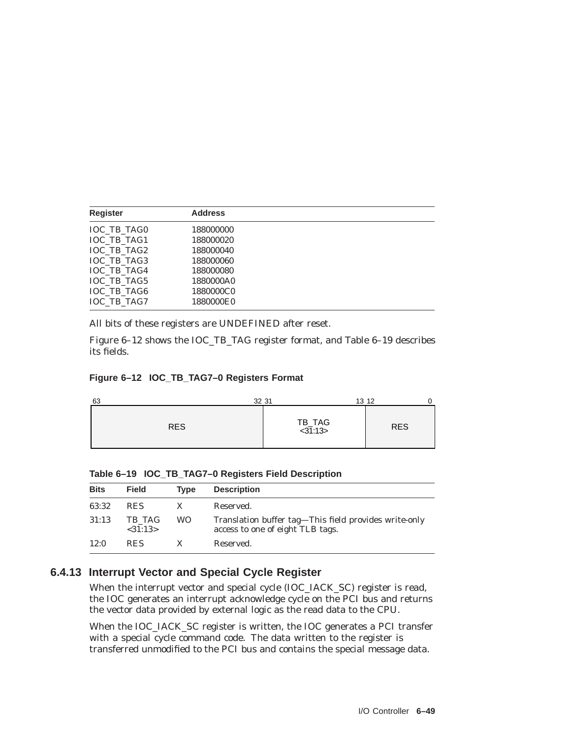| <b>Register</b>    | <b>Address</b> |  |
|--------------------|----------------|--|
| <b>IOC TB TAG0</b> | 188000000      |  |
| <b>IOC TB TAG1</b> | 188000020      |  |
| IOC TB TAG2        | 188000040      |  |
| <b>IOC TB TAG3</b> | 188000060      |  |
| <b>IOC TB TAG4</b> | 188000080      |  |
| <b>IOC TB TAG5</b> | 1880000A0      |  |
| <b>IOC TB TAG6</b> | 1880000C0      |  |
| <b>IOC TB TAG7</b> | 1880000E0      |  |

All bits of these registers are UNDEFINED after reset.

Figure 6–12 shows the IOC\_TB\_TAG register format, and Table 6–19 describes its fields.

#### **Figure 6–12 IOC\_TB\_TAG7–0 Registers Format**

| 32 31<br>63 |                   | 13 12      |
|-------------|-------------------|------------|
| <b>RES</b>  | TB_TAG<br><31:13> | <b>RES</b> |

**Table 6–19 IOC\_TB\_TAG7–0 Registers Field Description**

| <b>Bits</b> | <b>Field</b>      | <b>Type</b> | <b>Description</b>                                                                        |
|-------------|-------------------|-------------|-------------------------------------------------------------------------------------------|
| 63:32       | <b>RES</b>        |             | Reserved.                                                                                 |
| 31:13       | TB TAG<br><31:13> | WO.         | Translation buffer tag—This field provides write-only<br>access to one of eight TLB tags. |
| 12:0        | <b>RES</b>        |             | Reserved.                                                                                 |

# **6.4.13 Interrupt Vector and Special Cycle Register**

When the interrupt vector and special cycle (IOC\_IACK\_SC) register is read, the IOC generates an interrupt acknowledge cycle on the PCI bus and returns the vector data provided by external logic as the read data to the CPU.

When the IOC\_IACK\_SC register is written, the IOC generates a PCI transfer with a special cycle command code. The data written to the register is transferred unmodified to the PCI bus and contains the special message data.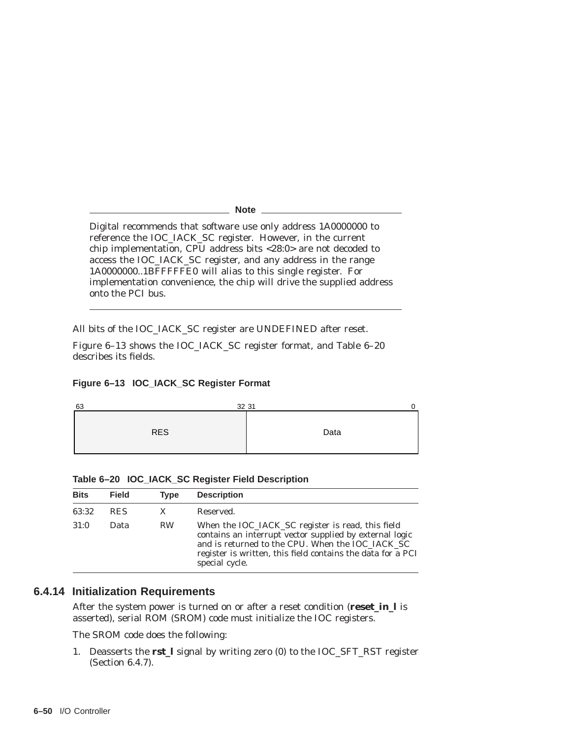**Note**

Digital recommends that software use only address 1A0000000 to reference the IOC\_IACK\_SC register. However, in the current chip implementation, CPU address bits <28:0> are not decoded to access the IOC\_IACK\_SC register, and any address in the range 1A0000000..1BFFFFFE0 will alias to this single register. For implementation convenience, the chip will drive the supplied address onto the PCI bus.

All bits of the IOC\_IACK\_SC register are UNDEFINED after reset.

Figure 6–13 shows the IOC\_IACK\_SC register format, and Table 6–20 describes its fields.

#### **Figure 6–13 IOC\_IACK\_SC Register Format**



| <b>Bits</b> | <b>Field</b> | Tvpe      | <b>Description</b>                                                                                                                                                                                                                                |
|-------------|--------------|-----------|---------------------------------------------------------------------------------------------------------------------------------------------------------------------------------------------------------------------------------------------------|
| 63:32       | <b>RES</b>   | X         | Reserved.                                                                                                                                                                                                                                         |
| 31:0        | Data         | <b>RW</b> | When the IOC_IACK_SC register is read, this field<br>contains an interrupt vector supplied by external logic<br>and is returned to the CPU. When the IOC_IACK_SC<br>register is written, this field contains the data for a PCI<br>special cycle. |

**Table 6–20 IOC\_IACK\_SC Register Field Description**

## **6.4.14 Initialization Requirements**

After the system power is turned on or after a reset condition (**reset\_in\_l** is asserted), serial ROM (SROM) code must initialize the IOC registers.

The SROM code does the following:

1. Deasserts the **rst\_l** signal by writing zero (0) to the IOC\_SFT\_RST register (Section 6.4.7).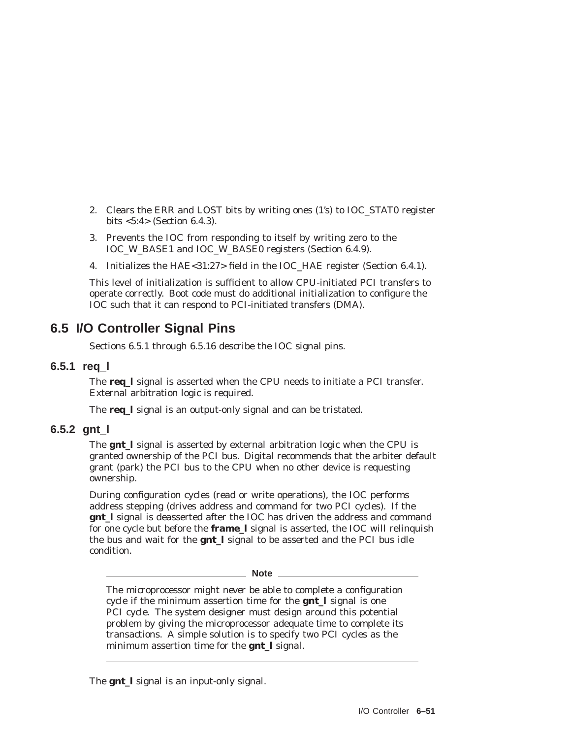- 2. Clears the ERR and LOST bits by writing ones (1's) to IOC\_STAT0 register bits <5:4> (Section 6.4.3).
- 3. Prevents the IOC from responding to itself by writing zero to the IOC\_W\_BASE1 and IOC\_W\_BASE0 registers (Section 6.4.9).
- 4. Initializes the HAE<31:27> field in the IOC\_HAE register (Section 6.4.1).

This level of initialization is sufficient to allow CPU-initiated PCI transfers to operate correctly. Boot code must do additional initialization to configure the IOC such that it can respond to PCI-initiated transfers (DMA).

# **6.5 I/O Controller Signal Pins**

Sections 6.5.1 through 6.5.16 describe the IOC signal pins.

#### **6.5.1 req\_l**

The **req\_l** signal is asserted when the CPU needs to initiate a PCI transfer. External arbitration logic is required.

The **req\_l** signal is an output-only signal and can be tristated.

#### **6.5.2 gnt\_l**

The **gnt\_l** signal is asserted by external arbitration logic when the CPU is granted ownership of the PCI bus. Digital recommends that the arbiter default grant (park) the PCI bus to the CPU when no other device is requesting ownership.

During configuration cycles (read or write operations), the IOC performs address stepping (drives address and command for two PCI cycles). If the **gnt\_l** signal is deasserted after the IOC has driven the address and command for one cycle but before the **frame\_l** signal is asserted, the IOC will relinquish the bus and wait for the **gnt\_l** signal to be asserted and the PCI bus idle condition.

**Note** \_\_\_\_\_\_\_

The microprocessor might *never* be able to complete a configuration cycle if the minimum assertion time for the **gnt\_l** signal is one PCI cycle. The system designer must design around this potential problem by giving the microprocessor adequate time to complete its transactions. A simple solution is to specify two PCI cycles as the minimum assertion time for the **gnt\_l** signal.

The **gnt\_l** signal is an input-only signal.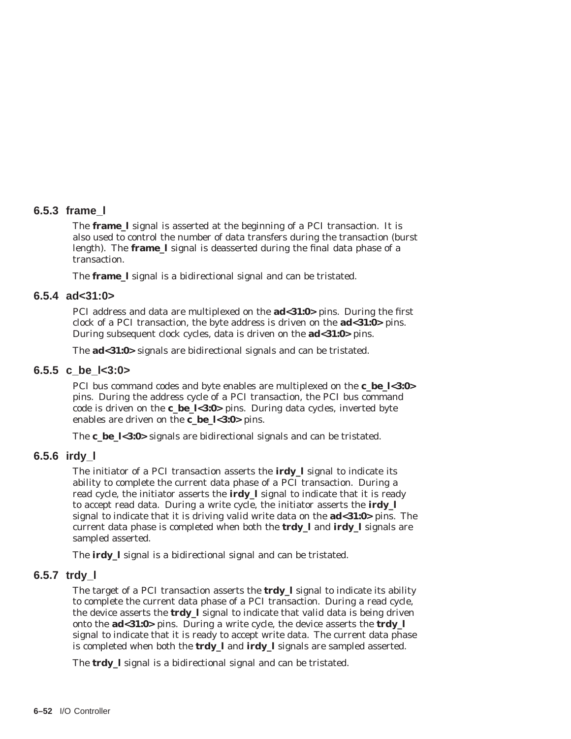#### **6.5.3 frame\_l**

The **frame\_l** signal is asserted at the beginning of a PCI transaction. It is also used to control the number of data transfers during the transaction (burst length). The **frame\_l** signal is deasserted during the final data phase of a transaction.

The **frame\_l** signal is a bidirectional signal and can be tristated.

#### **6.5.4 ad<31:0>**

PCI address and data are multiplexed on the **ad<31:0>** pins. During the first clock of a PCI transaction, the byte address is driven on the **ad<31:0>** pins. During subsequent clock cycles, data is driven on the **ad<31:0>** pins.

The **ad<31:0>** signals are bidirectional signals and can be tristated.

#### **6.5.5 c\_be\_l<3:0>**

PCI bus command codes and byte enables are multiplexed on the **c\_be\_l<3:0>** pins. During the address cycle of a PCI transaction, the PCI bus command code is driven on the **c\_be\_l<3:0>** pins. During data cycles, inverted byte enables are driven on the **c\_be\_l<3:0>** pins.

The **c\_be\_l<3:0>** signals are bidirectional signals and can be tristated.

## **6.5.6 irdy\_l**

The initiator of a PCI transaction asserts the **irdy\_l** signal to indicate its ability to complete the current data phase of a PCI transaction. During a read cycle, the initiator asserts the **irdy\_l** signal to indicate that it is ready to accept read data. During a write cycle, the initiator asserts the **irdy\_l** signal to indicate that it is driving valid write data on the **ad<31:0>** pins. The current data phase is completed when both the **trdy\_l** and **irdy\_l** signals are sampled asserted.

The **irdy\_l** signal is a bidirectional signal and can be tristated.

## **6.5.7 trdy\_l**

The target of a PCI transaction asserts the **trdy\_l** signal to indicate its ability to complete the current data phase of a PCI transaction. During a read cycle, the device asserts the **trdy** I signal to indicate that valid data is being driven onto the **ad<31:0>** pins. During a write cycle, the device asserts the **trdy\_l** signal to indicate that it is ready to accept write data. The current data phase is completed when both the **trdy\_l** and **irdy\_l** signals are sampled asserted.

The **trdy\_l** signal is a bidirectional signal and can be tristated.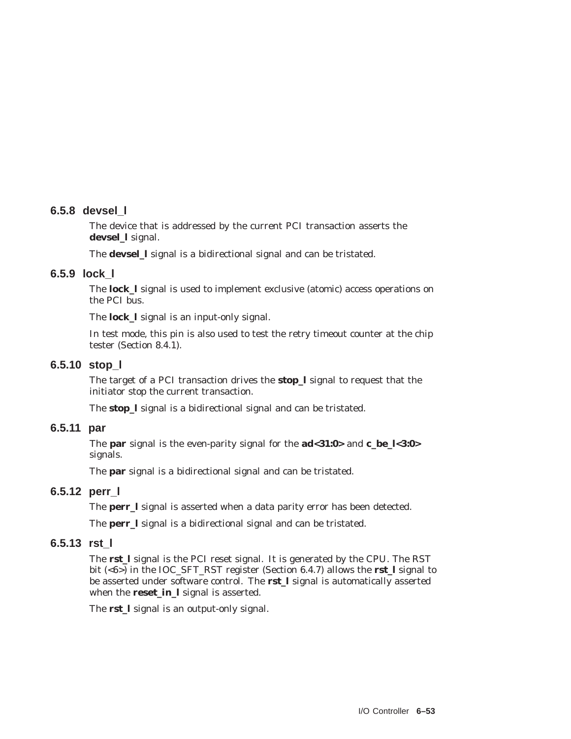#### **6.5.8 devsel\_l**

The device that is addressed by the current PCI transaction asserts the **devsel\_l** signal.

The **devsel\_l** signal is a bidirectional signal and can be tristated.

#### **6.5.9 lock\_l**

The **lock\_l** signal is used to implement exclusive (atomic) access operations on the PCI bus.

The **lock\_l** signal is an input-only signal.

In test mode, this pin is also used to test the retry timeout counter at the chip tester (Section 8.4.1).

#### **6.5.10 stop\_l**

The target of a PCI transaction drives the **stop\_l** signal to request that the initiator stop the current transaction.

The **stop\_l** signal is a bidirectional signal and can be tristated.

#### **6.5.11 par**

The **par** signal is the even-parity signal for the **ad<31:0>** and **c\_be\_l<3:0>** signals.

The **par** signal is a bidirectional signal and can be tristated.

## **6.5.12 perr\_l**

The **perr\_l** signal is asserted when a data parity error has been detected.

The **perr\_l** signal is a bidirectional signal and can be tristated.

#### **6.5.13 rst\_l**

The **rst\_l** signal is the PCI reset signal. It is generated by the CPU. The RST bit (<6>) in the IOC\_SFT\_RST register (Section 6.4.7) allows the **rst\_l** signal to be asserted under software control. The **rst\_l** signal is automatically asserted when the **reset\_in\_l** signal is asserted.

The **rst\_l** signal is an output-only signal.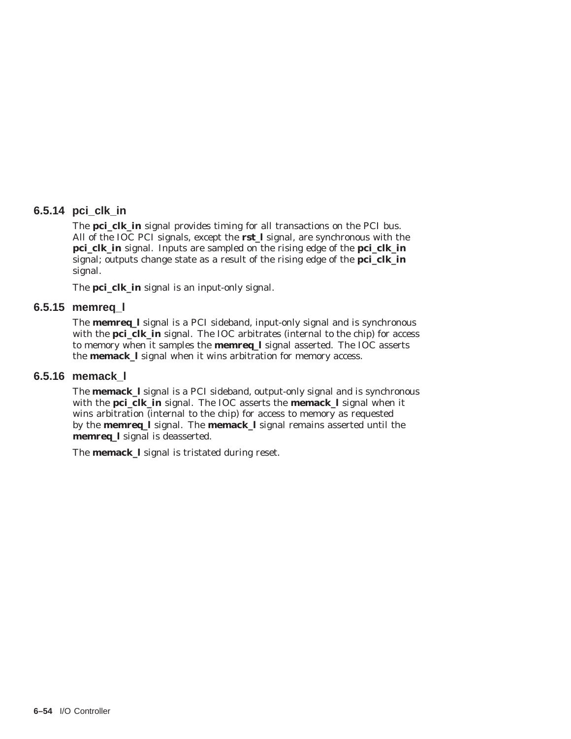## **6.5.14 pci\_clk\_in**

The **pci\_clk\_in** signal provides timing for all transactions on the PCI bus. All of the IOC PCI signals, except the **rst\_l** signal, are synchronous with the **pci\_clk\_in** signal. Inputs are sampled on the rising edge of the **pci\_clk\_in** signal; outputs change state as a result of the rising edge of the **pci\_clk\_in** signal.

The **pci\_clk\_in** signal is an input-only signal.

#### **6.5.15 memreq\_l**

The **memreq\_l** signal is a PCI sideband, input-only signal and is synchronous with the **pci\_clk\_in** signal. The IOC arbitrates (internal to the chip) for access to memory when it samples the **memreq\_l** signal asserted. The IOC asserts the **memack\_l** signal when it wins arbitration for memory access.

# **6.5.16 memack\_l**

The **memack\_l** signal is a PCI sideband, output-only signal and is synchronous with the **pci\_clk\_in** signal. The IOC asserts the **memack\_l** signal when it wins arbitration (internal to the chip) for access to memory as requested by the **memreq\_l** signal. The **memack\_l** signal remains asserted until the **memreq\_l** signal is deasserted.

The **memack\_l** signal is tristated during reset.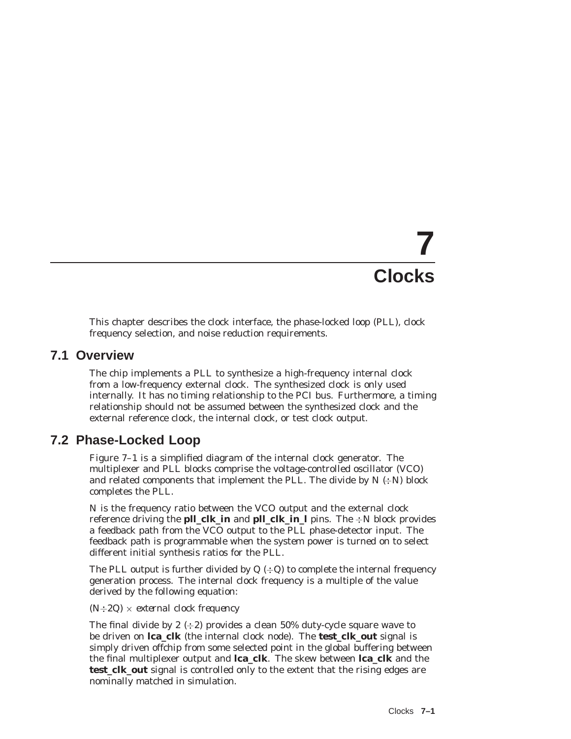# **7 Clocks**

This chapter describes the clock interface, the phase-locked loop (PLL), clock frequency selection, and noise reduction requirements.

# **7.1 Overview**

The chip implements a PLL to synthesize a high-frequency internal clock from a low-frequency external clock. The synthesized clock is only used internally. It has no timing relationship to the PCI bus. Furthermore, a timing relationship should not be assumed between the synthesized clock and the external reference clock, the internal clock, or test clock output.

# **7.2 Phase-Locked Loop**

Figure 7–1 is a simplified diagram of the internal clock generator. The multiplexer and PLL blocks comprise the voltage-controlled oscillator (VCO) and related components that implement the PLL. The divide by  $N \div N$  block completes the PLL.

N is the frequency ratio between the VCO output and the external clock reference driving the **pll\_clk\_in** and **pll\_clk\_in\_l** pins. The  $\div N$  block provides a feedback path from the VCO output to the PLL phase-detector input. The feedback path is programmable when the system power is turned on to select different initial synthesis ratios for the PLL.

The PLL output is further divided by  $Q$  ( $\div Q$ ) to complete the internal frequency generation process. The internal clock frequency is a multiple of the value derived by the following equation:

#### *(N2Q)* - *external clock frequency*

The final divide by 2  $(\div 2)$  provides a clean 50% duty-cycle square wave to be driven on **lca\_clk** (the internal clock node). The **test\_clk\_out** signal is simply driven offchip from some selected point in the global buffering between the final multiplexer output and **lca\_clk**. The skew between **lca\_clk** and the **test\_clk\_out** signal is controlled only to the extent that the rising edges are nominally matched in simulation.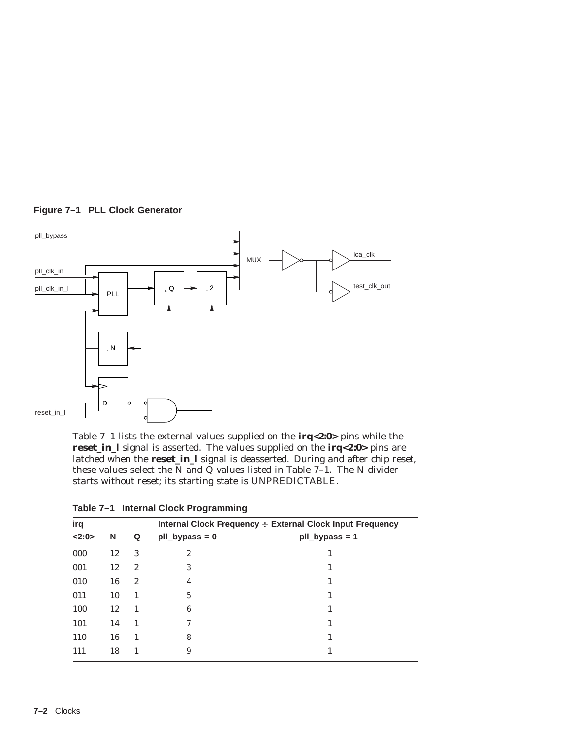

**Figure 7–1 PLL Clock Generator**

Table 7–1 lists the external values supplied on the **irq<2:0>** pins while the **reset\_in\_l** signal is asserted. The values supplied on the **irq<2:0>** pins are latched when the **reset\_in\_l** signal is deasserted. During and after chip reset, these values select the N and Q values listed in Table  $7-1$ . The N divider starts without reset; its starting state is UNPREDICTABLE.

| irq   |    |                  | Internal Clock Frequency : External Clock Input Frequency |                  |  |  |
|-------|----|------------------|-----------------------------------------------------------|------------------|--|--|
| <2:0> | N  | Q                | $pII_bypass = 0$                                          | $pII_bypass = 1$ |  |  |
| 000   | 12 | 3                | 2                                                         |                  |  |  |
| 001   | 12 | $\boldsymbol{2}$ | 3                                                         |                  |  |  |
| 010   | 16 | $\boldsymbol{2}$ | 4                                                         |                  |  |  |
| 011   | 10 | 1                | 5                                                         |                  |  |  |
| 100   | 12 | 1                | 6                                                         |                  |  |  |
| 101   | 14 | 1                | 7                                                         |                  |  |  |
| 110   | 16 | 1                | 8                                                         |                  |  |  |
| 111   | 18 |                  | 9                                                         |                  |  |  |

**Table 7–1 Internal Clock Programming**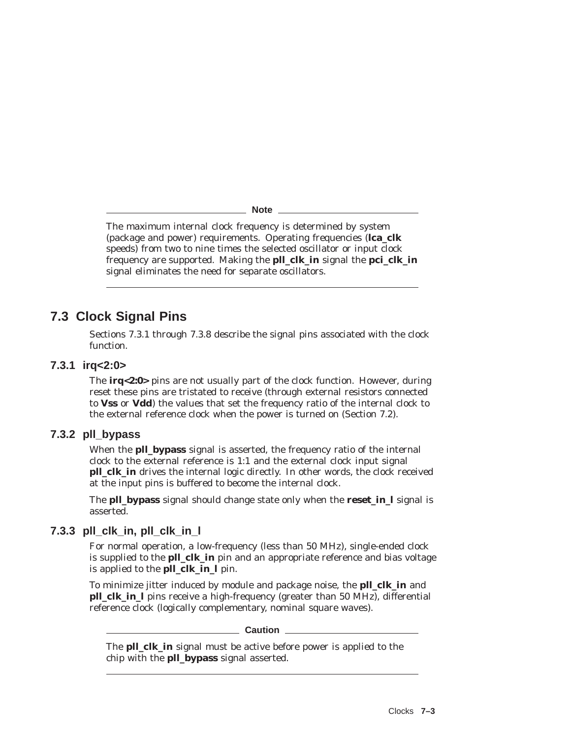**Note**

The maximum internal clock frequency is determined by system (package and power) requirements. Operating frequencies (**lca\_clk** speeds) from two to nine times the selected oscillator or input clock frequency are supported. Making the **pll\_clk\_in** signal the **pci\_clk\_in** signal eliminates the need for separate oscillators.

# **7.3 Clock Signal Pins**

Sections 7.3.1 through 7.3.8 describe the signal pins associated with the clock function.

#### **7.3.1 irq<2:0>**

The **irq<2:0>** pins are not usually part of the clock function. However, during reset these pins are tristated to receive (through external resistors connected to **Vss** or **Vdd**) the values that set the frequency ratio of the internal clock to the external reference clock when the power is turned on (Section 7.2).

## **7.3.2 pll\_bypass**

When the **pll bypass** signal is asserted, the frequency ratio of the internal clock to the external reference is 1:1 and the external clock input signal **pll\_clk\_in** drives the internal logic directly. In other words, the clock received at the input pins is buffered to become the internal clock.

The **pll\_bypass** signal should change state only when the **reset\_in\_l** signal is asserted.

## **7.3.3 pll\_clk\_in, pll\_clk\_in\_l**

For normal operation, a low-frequency (less than 50 MHz), single-ended clock is supplied to the **pll clk in** pin and an appropriate reference and bias voltage is applied to the **pll\_clk\_in\_l** pin.

To minimize jitter induced by module and package noise, the **pll\_clk\_in** and **pll clk in** I pins receive a high-frequency (greater than 50 MHz), differential reference clock (logically complementary, nominal square waves).

#### **Caution** 2008

The **pll\_clk\_in** signal must be active before power is applied to the chip with the **pll\_bypass** signal asserted.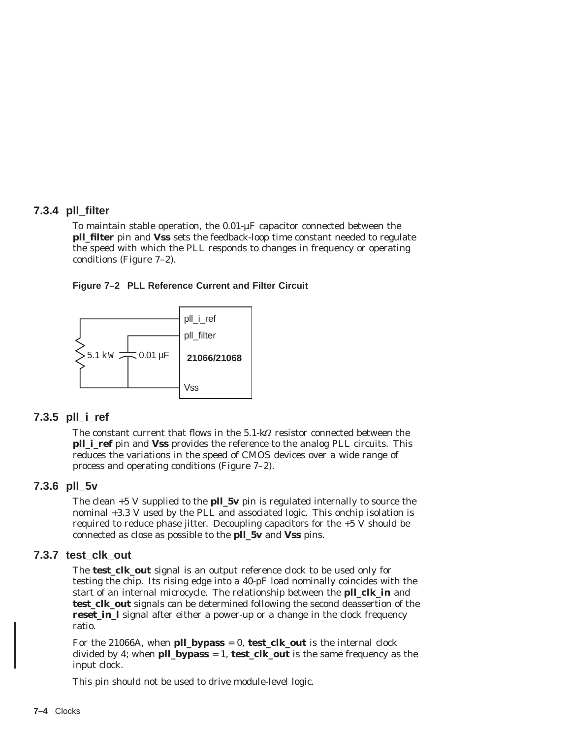## **7.3.4 pll\_filter**

To maintain stable operation, the 0.01-µF capacitor connected between the **pll\_filter** pin and **Vss** sets the feedback-loop time constant needed to regulate the speed with which the PLL responds to changes in frequency or operating conditions (Figure 7–2).





## **7.3.5 pll\_i\_ref**

The constant current that flows in the  $5.1$ -k $\Omega$  resistor connected between the **pll i ref** pin and **Vss** provides the reference to the analog PLL circuits. This reduces the variations in the speed of CMOS devices over a wide range of process and operating conditions (Figure 7–2).

#### **7.3.6 pll\_5v**

The clean +5 V supplied to the **pll\_5v** pin is regulated internally to source the nominal +3.3 V used by the PLL and associated logic. This onchip isolation is required to reduce phase jitter. Decoupling capacitors for the  $+5\bar{V}$  should be connected as close as possible to the **pll\_5v** and **Vss** pins.

#### **7.3.7 test\_clk\_out**

The **test\_clk\_out** signal is an output reference clock to be used only for testing the chip. Its rising edge into a 40-pF load nominally coincides with the start of an internal microcycle. The relationship between the **pll\_clk\_in** and **test\_clk\_out** signals can be determined following the second deassertion of the **reset\_in\_l** signal after either a power-up or a change in the clock frequency ratio.

For the 21066A, when **pll bypass** = 0, **test clk out** is the internal clock divided by 4; when **pll\_bypass** = 1, **test\_clk\_out** is the same frequency as the input clock.

This pin should not be used to drive module-level logic.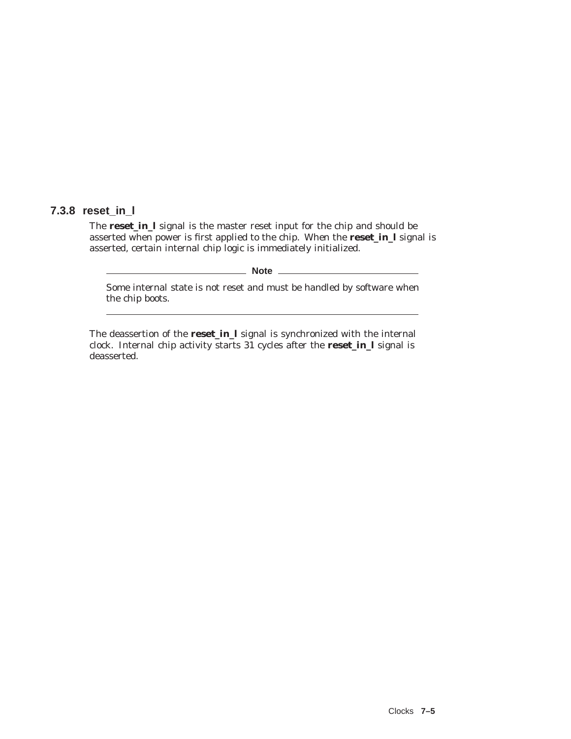# **7.3.8 reset\_in\_l**

The **reset\_in\_l** signal is the master reset input for the chip and should be asserted when power is first applied to the chip. When the **reset\_in\_l** signal is asserted, certain internal chip logic is immediately initialized.

**Note** \_\_\_\_

Some internal state is not reset and must be handled by software when the chip boots.

The deassertion of the **reset\_in\_l** signal is synchronized with the internal clock. Internal chip activity starts 31 cycles after the **reset\_in\_l** signal is deasserted.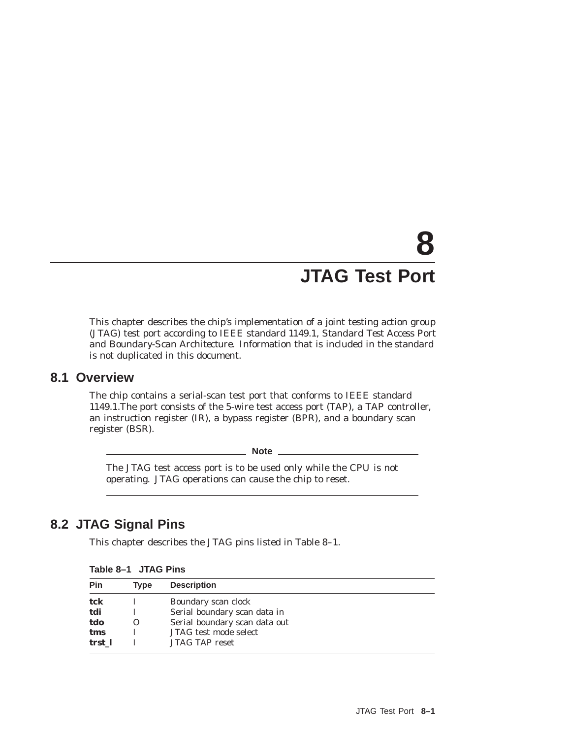# **8 JTAG Test Port**

This chapter describes the chip's implementation of a joint testing action group (JTAG) test port according to IEEE standard *1149.1, Standard Test Access Port and Boundary-Scan Architecture.* Information that is included in the standard is not duplicated in this document.

# **8.1 Overview**

The chip contains a serial-scan test port that conforms to IEEE standard 1149.1.The port consists of the 5-wire test access port (TAP), a TAP controller, an instruction register (IR), a bypass register (BPR), and a boundary scan register (BSR).

**Note**

The JTAG test access port is to be used only while the CPU is not operating. JTAG operations can cause the chip to reset.

# **8.2 JTAG Signal Pins**

This chapter describes the JTAG pins listed in Table 8–1.

| Table 8-1 JTAG Pins |  |  |  |  |
|---------------------|--|--|--|--|
|---------------------|--|--|--|--|

| Pin    | Tvpe     | <b>Description</b>            |
|--------|----------|-------------------------------|
| tck    |          | Boundary scan clock           |
| tdi    |          | Serial boundary scan data in  |
| tdo    | $\Omega$ | Serial boundary scan data out |
| tms    |          | JTAG test mode select         |
| trst 1 |          | <b>JTAG TAP reset</b>         |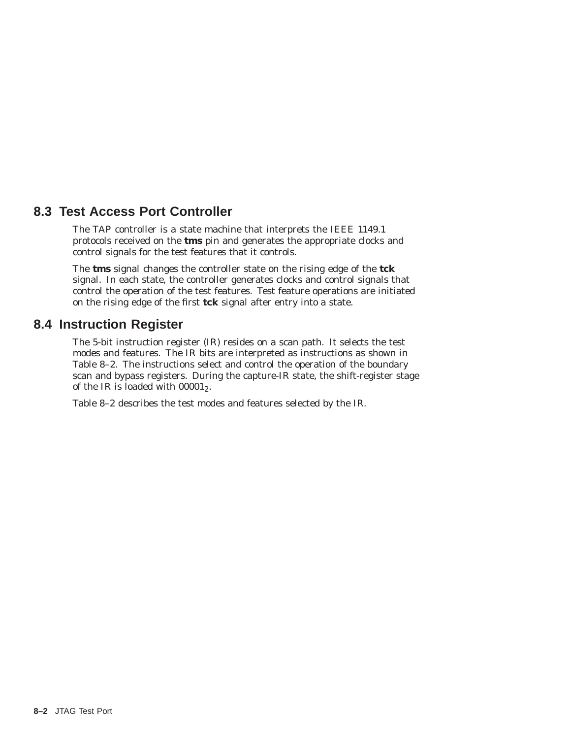# **8.3 Test Access Port Controller**

The TAP controller is a state machine that interprets the IEEE 1149.1 protocols received on the **tms** pin and generates the appropriate clocks and control signals for the test features that it controls.

The **tms** signal changes the controller state on the rising edge of the **tck** signal. In each state, the controller generates clocks and control signals that control the operation of the test features. Test feature operations are initiated on the rising edge of the first **tck** signal after entry into a state.

# **8.4 Instruction Register**

The 5-bit instruction register (IR) resides on a scan path. It selects the test modes and features. The IR bits are interpreted as instructions as shown in Table 8–2. The instructions select and control the operation of the boundary scan and bypass registers. During the capture-IR state, the shift-register stage of the IR is loaded with  $00001<sub>2</sub>$ .

Table 8–2 describes the test modes and features selected by the IR.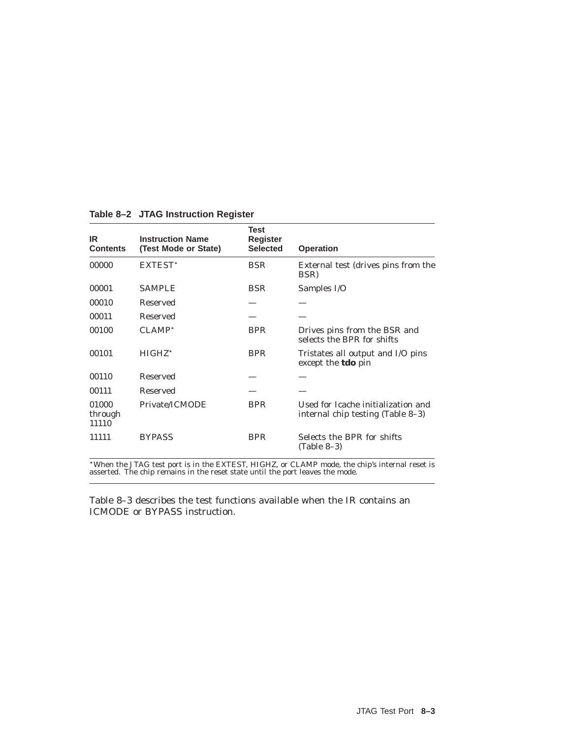| IR.<br><b>Contents</b>    | <b>Instruction Name</b><br>(Test Mode or State) | Test<br><b>Register</b><br><b>Selected</b> | <b>Operation</b>                                                        |
|---------------------------|-------------------------------------------------|--------------------------------------------|-------------------------------------------------------------------------|
| 00000                     | EXTEST*                                         | <b>BSR</b>                                 | External test (drives pins from the<br>BSR)                             |
| 00001                     | <b>SAMPLE</b>                                   | <b>BSR</b>                                 | Samples I/O                                                             |
| 00010                     | Reserved                                        |                                            |                                                                         |
| 00011                     | Reserved                                        |                                            |                                                                         |
| 00100                     | CLAMP <sup>*</sup>                              | <b>BPR</b>                                 | Drives pins from the BSR and<br>selects the BPR for shifts              |
| 00101                     | HIGHZ <sup>*</sup>                              | <b>BPR</b>                                 | Tristates all output and I/O pins<br>except the <b>tdo</b> pin          |
| 00110                     | <b>Reserved</b>                                 |                                            |                                                                         |
| 00111                     | Reserved                                        |                                            |                                                                         |
| 01000<br>through<br>11110 | Private/ICMODE                                  | <b>BPR</b>                                 | Used for Icache initialization and<br>internal chip testing (Table 8–3) |
| 11111                     | <b>BYPASS</b>                                   | <b>BPR</b>                                 | Selects the BPR for shifts<br>$(Table 8-3)$                             |

**Table 8–2 JTAG Instruction Register**

When the JTAG test port is in the EXTEST, HIGHZ, or CLAMP mode, the chip's internal reset is asserted. The chip remains in the reset state until the port leaves the mode.

Table 8–3 describes the test functions available when the IR contains an ICMODE or BYPASS instruction.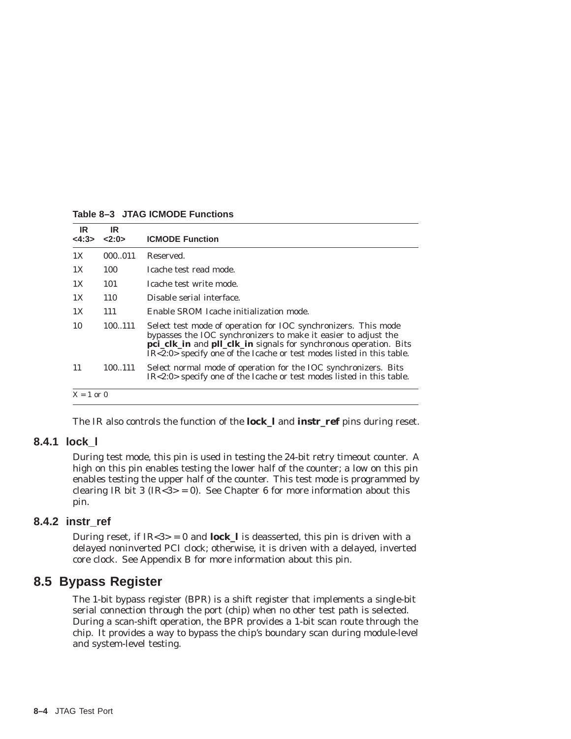| IR.<br><4:3> | IR<br>2:0> | <b>ICMODE Function</b>                                                                                                                                                                                                                                                            |
|--------------|------------|-----------------------------------------------------------------------------------------------------------------------------------------------------------------------------------------------------------------------------------------------------------------------------------|
| 1X           | 000011     | Reserved.                                                                                                                                                                                                                                                                         |
| 1X           | 100        | Icache test read mode.                                                                                                                                                                                                                                                            |
| 1X           | 101        | Icache test write mode.                                                                                                                                                                                                                                                           |
| 1X           | 110        | Disable serial interface.                                                                                                                                                                                                                                                         |
| 1X           | 111        | Enable SROM Icache initialization mode.                                                                                                                                                                                                                                           |
| 10           | 100111     | Select test mode of operation for IOC synchronizers. This mode<br>bypasses the IOC synchronizers to make it easier to adjust the<br>pci_clk_in and pll_clk_in signals for synchronous operation. Bits<br>$IR < 2.0$ specify one of the Icache or test modes listed in this table. |
| 11           | 100111     | Select normal mode of operation for the IOC synchronizers. Bits<br>$IR < 2:0$ specify one of the Icache or test modes listed in this table.                                                                                                                                       |
| $X = 1$ or 0 |            |                                                                                                                                                                                                                                                                                   |

**Table 8–3 JTAG ICMODE Functions**

The IR also controls the function of the **lock\_l** and **instr\_ref** pins during reset.

### **8.4.1 lock\_l**

During test mode, this pin is used in testing the 24-bit retry timeout counter. A high on this pin enables testing the lower half of the counter; a low on this pin enables testing the upper half of the counter. This test mode is programmed by clearing IR bit 3 (IR<3> = 0). See Chapter 6 for more information about this pin.

#### **8.4.2 instr\_ref**

During reset, if  $IR < 3 > 0$  and **lock\_l** is deasserted, this pin is driven with a delayed noninverted PCI clock; otherwise, it is driven with a delayed, inverted core clock. See Appendix B for more information about this pin.

## **8.5 Bypass Register**

The 1-bit bypass register (BPR) is a shift register that implements a single-bit serial connection through the port (chip) when no other test path is selected. During a scan-shift operation, the BPR provides a 1-bit scan route through the chip. It provides a way to bypass the chip's boundary scan during module-level and system-level testing.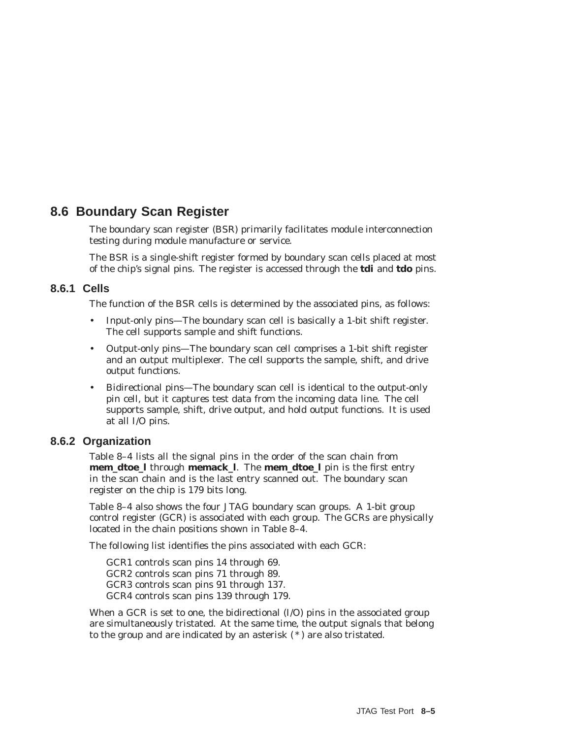## **8.6 Boundary Scan Register**

The boundary scan register (BSR) primarily facilitates module interconnection testing during module manufacture or service.

The BSR is a single-shift register formed by boundary scan cells placed at most of the chip's signal pins. The register is accessed through the **tdi** and **tdo** pins.

### **8.6.1 Cells**

The function of the BSR cells is determined by the associated pins, as follows:

- Input-only pins—The boundary scan cell is basically a 1-bit shift register. The cell supports sample and shift functions.
- Output-only pins—The boundary scan cell comprises a 1-bit shift register and an output multiplexer. The cell supports the sample, shift, and drive output functions.
- Bidirectional pins—The boundary scan cell is identical to the output-only pin cell, but it captures test data from the incoming data line. The cell supports sample, shift, drive output, and hold output functions. It is used at all I/O pins.

### **8.6.2 Organization**

Table 8–4 lists all the signal pins in the order of the scan chain from **mem\_dtoe\_l** through **memack\_l**. The **mem\_dtoe\_l** pin is the first entry in the scan chain and is the last entry scanned out. The boundary scan register on the chip is 179 bits long.

Table 8–4 also shows the four JTAG boundary scan groups. A 1-bit group control register (GCR) is associated with each group. The GCRs are physically located in the chain positions shown in Table 8–4.

The following list identifies the pins associated with each GCR:

GCR1 controls scan pins 14 through 69. GCR2 controls scan pins 71 through 89. GCR3 controls scan pins 91 through 137. GCR4 controls scan pins 139 through 179.

When a GCR is set to one, the bidirectional (I/O) pins in the associated group are simultaneously tristated. At the same time, the output signals that belong to the group and are indicated by an asterisk  $(*)$  are also tristated.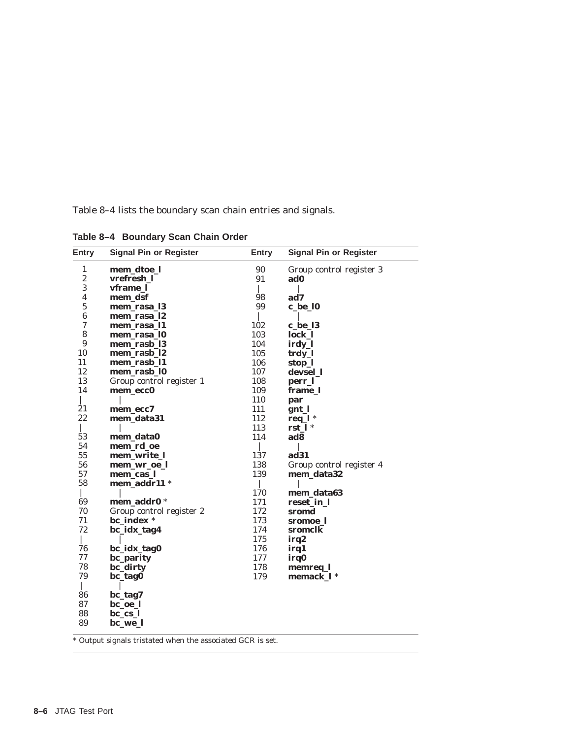Table 8–4 lists the boundary scan chain entries and signals.

| Entry            | <b>Signal Pin or Register</b> | Entry | <b>Signal Pin or Register</b> |
|------------------|-------------------------------|-------|-------------------------------|
| $\mathbf{1}$     | mem_dtoe_l                    | 90    | Group control register 3      |
| $\boldsymbol{2}$ | vrefresh_l                    | 91    | ad0                           |
| 3                | vframe 1                      |       |                               |
| 4                | mem_dsf                       | 98    | ad7                           |
| $\mathbf 5$      | mem_rasa_13                   | 99    | c_be_10                       |
| 6                | mem_rasa_l2                   |       |                               |
| 7                | mem_rasa_11                   | 102   | c be 13                       |
| 8                | mem_rasa_10                   | 103   | lock_l                        |
| 9                | mem_rasb_l3                   | 104   | irdy_l                        |
| 10               | mem_rasb_l2                   | 105   | trdy_l                        |
| 11               | mem_rasb_11                   | 106   | stop_l                        |
| 12               | mem_rasb_l0                   | 107   | devsel 1                      |
| 13               | Group control register 1      | 108   | perr_l                        |
| 14               | mem_ecc0                      | 109   | frame_l                       |
|                  |                               | 110   | par                           |
| 21               | mem ecc7                      | 111   | gnt 1                         |
| 22               | mem_data31                    | 112   | req_ $l^*$                    |
|                  |                               | 113   | $rst_l$                       |
| 53               | mem_data0                     | 114   | ad8                           |
| 54               | mem rd oe                     |       |                               |
| 55               | mem_write_l                   | 137   | ad31                          |
| 56               | mem_wr_oe_l                   | 138   | Group control register 4      |
| 57               | mem_cas_l                     | 139   | mem_data32                    |
| 58               | mem_addr11 *                  |       |                               |
|                  |                               | 170   | mem_data63                    |
| 69               | mem addr0 *                   | 171   | reset_in_l                    |
| 70               | Group control register 2      | 172   | sromd                         |
| 71               | bc_index *                    | 173   | sromoe 1                      |
| 72               | bc_idx_tag4                   | 174   | sromclk                       |
|                  |                               | 175   | irq2                          |
| 76               | bc_idx_tag0                   | 176   | irq1                          |
| 77               | bc_parity                     | 177   | irq0                          |
| 78               | bc_dirty                      | 178   | memreq_l                      |
| 79               | bc_tag0                       | 179   | memack 1 *                    |
|                  |                               |       |                               |
| 86               | bc_tag7                       |       |                               |
| 87               | bc_oe_l                       |       |                               |
| 88               | $bc_{cs}$                     |       |                               |
| 89               | bc_we_l                       |       |                               |

**Table 8–4 Boundary Scan Chain Order**

 $^\ast$  Output signals tristated when the associated GCR is set.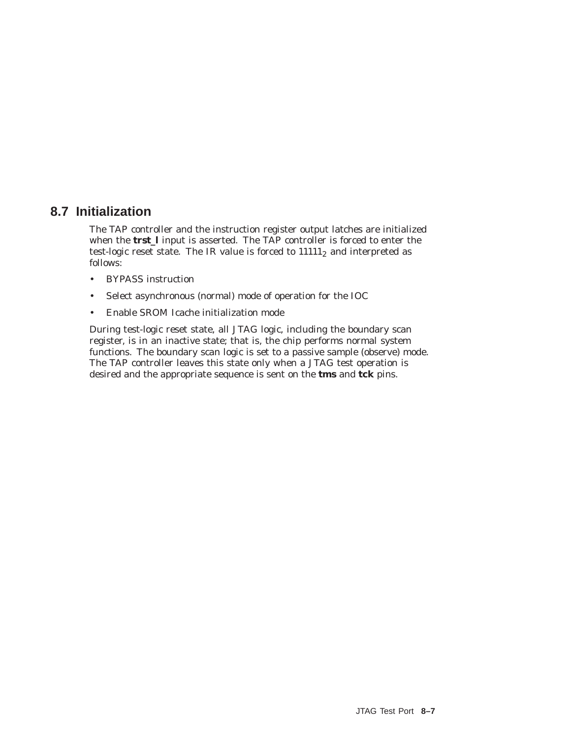## **8.7 Initialization**

The TAP controller and the instruction register output latches are initialized when the **trst\_l** input is asserted. The TAP controller is forced to enter the test-logic reset state. The IR value is forced to  $11111<sub>2</sub>$  and interpreted as follows:

- BYPASS instruction
- Select asynchronous (normal) mode of operation for the IOC
- Enable SROM Icache initialization mode

During test-logic reset state, all JTAG logic, including the boundary scan register, is in an inactive state; that is, the chip performs normal system functions. The boundary scan logic is set to a passive sample (observe) mode. The TAP controller leaves this state only when a JTAG test operation is desired and the appropriate sequence is sent on the **tms** and **tck** pins.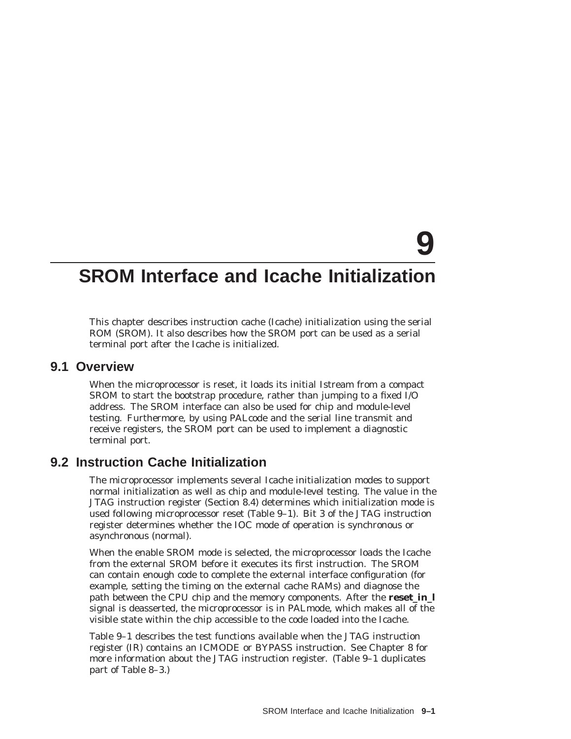# **9**

## **SROM Interface and Icache Initialization**

This chapter describes instruction cache (Icache) initialization using the serial ROM (SROM). It also describes how the SROM port can be used as a serial terminal port after the Icache is initialized.

## **9.1 Overview**

When the microprocessor is reset, it loads its initial Istream from a compact SROM to start the bootstrap procedure, rather than jumping to a fixed I/O address. The SROM interface can also be used for chip and module-level testing. Furthermore, by using PALcode and the serial line transmit and receive registers, the SROM port can be used to implement a diagnostic terminal port.

## **9.2 Instruction Cache Initialization**

The microprocessor implements several Icache initialization modes to support normal initialization as well as chip and module-level testing. The value in the JTAG instruction register (Section 8.4) determines which initialization mode is used following microprocessor reset (Table 9–1). Bit 3 of the JTAG instruction register determines whether the IOC mode of operation is synchronous or asynchronous (normal).

When the enable SROM mode is selected, the microprocessor loads the Icache from the external SROM before it executes its first instruction. The SROM can contain enough code to complete the external interface configuration (for example, setting the timing on the external cache RAMs) and diagnose the path between the CPU chip and the memory components. After the **reset in 1** signal is deasserted, the microprocessor is in PALmode, which makes all of the visible state within the chip accessible to the code loaded into the Icache.

Table 9–1 describes the test functions available when the JTAG instruction register (IR) contains an ICMODE or BYPASS instruction. See Chapter 8 for more information about the JTAG instruction register. (Table 9–1 duplicates part of Table 8–3.)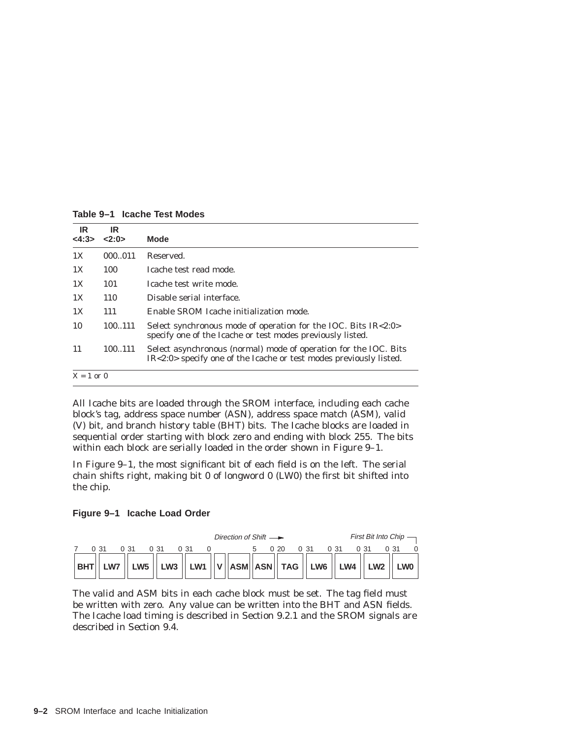| IR.<br><4:3> | IR<br>2:0> | <b>Mode</b>                                                                                                                            |
|--------------|------------|----------------------------------------------------------------------------------------------------------------------------------------|
| 1X           | 000011     | Reserved.                                                                                                                              |
| 1X           | 100        | Icache test read mode.                                                                                                                 |
| 1X           | 101        | Icache test write mode.                                                                                                                |
| 1X           | 110        | Disable serial interface.                                                                                                              |
| 1X           | 111        | Enable SROM Icache initialization mode.                                                                                                |
| 10           | 100.111    | Select synchronous mode of operation for the IOC. Bits $IR < 2:0>$<br>specify one of the Icache or test modes previously listed.       |
| 11           | 100111     | Select asynchronous (normal) mode of operation for the IOC. Bits<br>IR<2:0> specify one of the Icache or test modes previously listed. |

**Table 9–1 Icache Test Modes**

All Icache bits are loaded through the SROM interface, including each cache block's tag, address space number (ASN), address space match (ASM), valid (V) bit, and branch history table (BHT) bits. The Icache blocks are loaded in sequential order starting with block zero and ending with block 255. The bits within each block are serially loaded in the order shown in Figure 9–1.

In Figure 9–1, the most significant bit of each field is on the left. The serial chain shifts right, making bit 0 of longword 0 (LW0) the first bit shifted into the chip.

#### **Figure 9–1 Icache Load Order**

|            | Direction of Shift $\longrightarrow$                                                                                                                                                                      | First Bit Into Chip $\longrightarrow$ |
|------------|-----------------------------------------------------------------------------------------------------------------------------------------------------------------------------------------------------------|---------------------------------------|
|            |                                                                                                                                                                                                           | 0.31<br>0.31                          |
| <b>BHT</b> | $\parallel$ LW7 $\parallel$ LW5 $\parallel$ LW3 $\parallel$ LW1 $\parallel$ V $\parallel$ ASM $\parallel$ ASN $\parallel$ TAG $\parallel$ LW6 $\parallel$ LW4 $\parallel$ LW2 $\parallel$ LW0 $\parallel$ |                                       |

The valid and ASM bits in each cache block must be set. The tag field must be written with zero. Any value can be written into the BHT and ASN fields. The Icache load timing is described in Section 9.2.1 and the SROM signals are described in Section 9.4.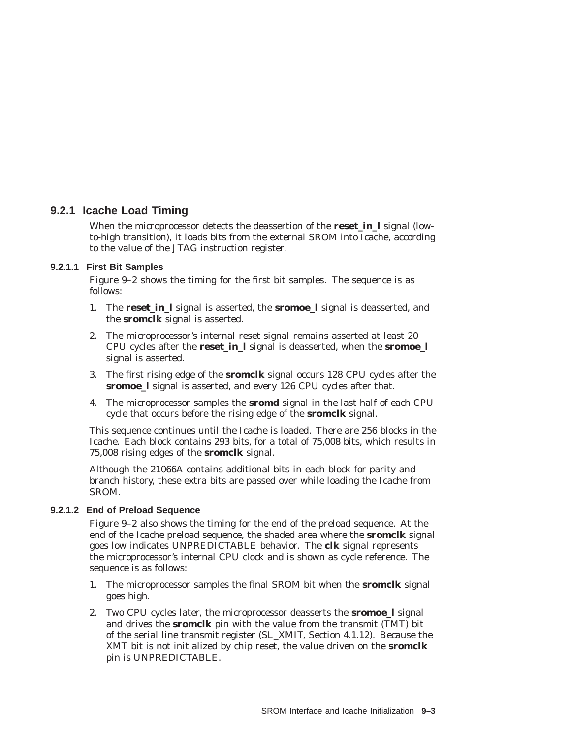### **9.2.1 Icache Load Timing**

When the microprocessor detects the deassertion of the **reset in 1** signal (lowto-high transition), it loads bits from the external SROM into Icache, according to the value of the JTAG instruction register.

#### **9.2.1.1 First Bit Samples**

Figure 9–2 shows the timing for the first bit samples. The sequence is as follows:

- 1. The **reset\_in\_l** signal is asserted, the **sromoe\_l** signal is deasserted, and the **sromclk** signal is asserted.
- 2. The microprocessor's internal reset signal remains asserted at least 20 CPU cycles after the **reset\_in\_l** signal is deasserted, when the **sromoe\_l** signal is asserted.
- 3. The first rising edge of the **sromclk** signal occurs 128 CPU cycles after the **sromoe\_l** signal is asserted, and every 126 CPU cycles after that.
- 4. The microprocessor samples the **sromd** signal in the last half of each CPU cycle that occurs before the rising edge of the **sromclk** signal.

This sequence continues until the Icache is loaded. There are 256 blocks in the Icache. Each block contains 293 bits, for a total of 75,008 bits, which results in 75,008 rising edges of the **sromclk** signal.

Although the 21066A contains additional bits in each block for parity and branch history, these extra bits are passed over while loading the Icache from SROM.

#### **9.2.1.2 End of Preload Sequence**

Figure 9–2 also shows the timing for the end of the preload sequence. At the end of the Icache preload sequence, the shaded area where the **sromclk** signal goes low indicates UNPREDICTABLE behavior. The **clk** signal represents the microprocessor's internal CPU clock and is shown as cycle reference. The sequence is as follows:

- 1. The microprocessor samples the final SROM bit when the **sromclk** signal goes high.
- 2. Two CPU cycles later, the microprocessor deasserts the **sromoe\_l** signal and drives the **sromclk** pin with the value from the transmit (TMT) bit of the serial line transmit register (SL\_XMIT, Section 4.1.12). Because the XMT bit is not initialized by chip reset, the value driven on the **sromclk** pin is UNPREDICTABLE.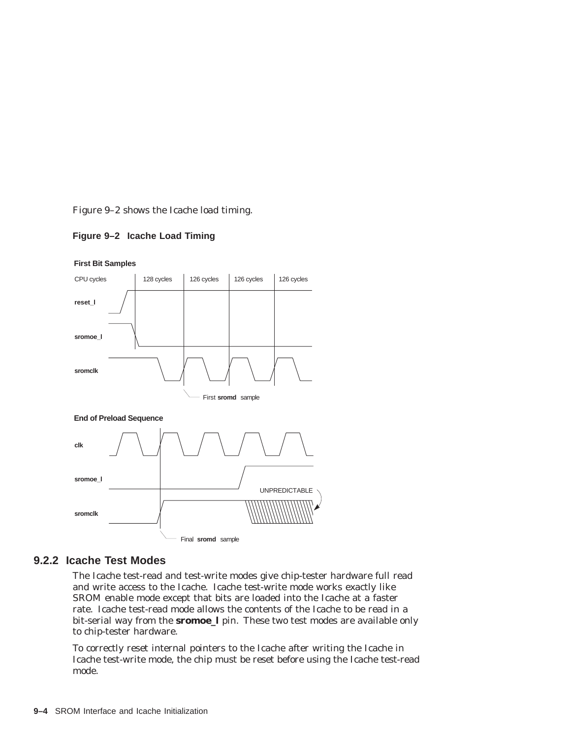Figure 9–2 shows the Icache load timing.

**Figure 9–2 Icache Load Timing**



#### **First Bit Samples**

## **9.2.2 Icache Test Modes**

The Icache test-read and test-write modes give chip-tester hardware full read and write access to the Icache. Icache test-write mode works exactly like SROM enable mode except that bits are loaded into the Icache at a faster rate. Icache test-read mode allows the contents of the Icache to be read in a bit-serial way from the **sromoe\_l** pin. These two test modes are available only to chip-tester hardware.

To correctly reset internal pointers to the Icache after writing the Icache in Icache test-write mode, the chip must be reset before using the Icache test-read mode.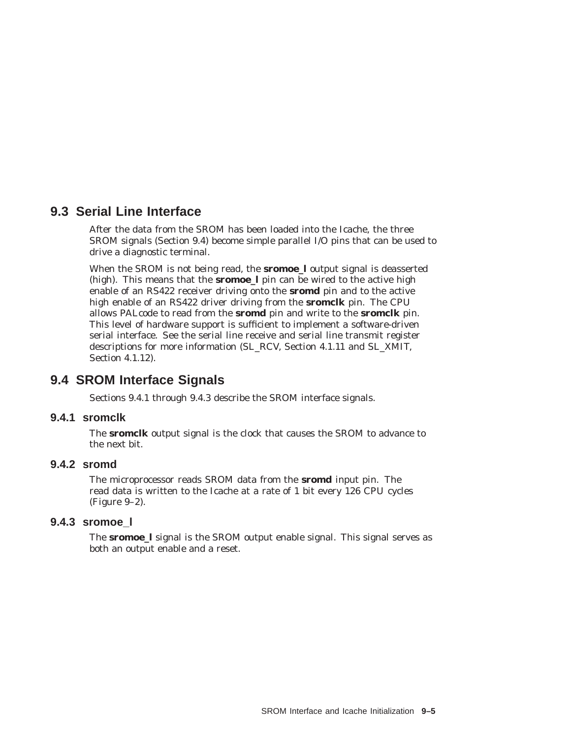## **9.3 Serial Line Interface**

After the data from the SROM has been loaded into the Icache, the three SROM signals (Section 9.4) become simple parallel I/O pins that can be used to drive a diagnostic terminal.

When the SROM is not being read, the **sromoe\_l** output signal is deasserted (high). This means that the **sromoe\_l** pin can be wired to the active high enable of an RS422 receiver driving onto the **sromd** pin and to the active high enable of an RS422 driver driving from the **sromclk** pin. The CPU allows PALcode to read from the **sromd** pin and write to the **sromclk** pin. This level of hardware support is sufficient to implement a software-driven serial interface. See the serial line receive and serial line transmit register descriptions for more information (SL\_RCV, Section 4.1.11 and SL\_XMIT, Section 4.1.12).

## **9.4 SROM Interface Signals**

Sections 9.4.1 through 9.4.3 describe the SROM interface signals.

### **9.4.1 sromclk**

The **sromclk** output signal is the clock that causes the SROM to advance to the next bit.

#### **9.4.2 sromd**

The microprocessor reads SROM data from the **sromd** input pin. The read data is written to the Icache at a rate of 1 bit every 126 CPU cycles (Figure 9–2).

## **9.4.3 sromoe\_l**

The **sromoe\_l** signal is the SROM output enable signal. This signal serves as both an output enable and a reset.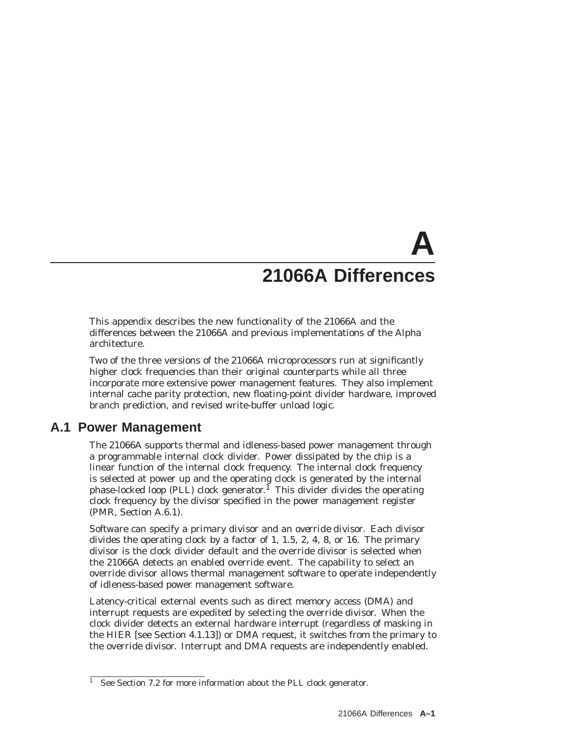# **A 21066A Differences**

This appendix describes the new functionality of the 21066A and the differences between the 21066A and previous implementations of the Alpha architecture.

Two of the three versions of the 21066A microprocessors run at significantly higher clock frequencies than their original counterparts while all three incorporate more extensive power management features. They also implement internal cache parity protection, new floating-point divider hardware, improved branch prediction, and revised write-buffer unload logic.

## **A.1 Power Management**

The 21066A supports thermal and idleness-based power management through a programmable internal clock divider. Power dissipated by the chip is a linear function of the internal clock frequency. The internal clock frequency is selected at power up and the operating clock is generated by the internal phase-locked loop (PLL) clock generator.<sup>1</sup> This divider divides the operating clock frequency by the divisor specified in the power management register (PMR, Section A.6.1).

Software can specify a *primary divisor* and an *override divisor.* Each divisor divides the operating clock by a factor of 1, 1.5, 2, 4, 8, or 16. The primary divisor is the clock divider default and the override divisor is selected when the 21066A detects an enabled override event. The capability to select an override divisor allows thermal management software to operate independently of idleness-based power management software.

Latency-critical external events such as direct memory access (DMA) and interrupt requests are expedited by selecting the override divisor. When the clock divider detects an external hardware interrupt (regardless of masking in the HIER [see Section 4.1.13]) or DMA request, it switches from the primary to the override divisor. Interrupt and DMA requests are independently enabled.

 $\frac{1}{1}$  See Section 7.2 for more information about the PLL clock generator.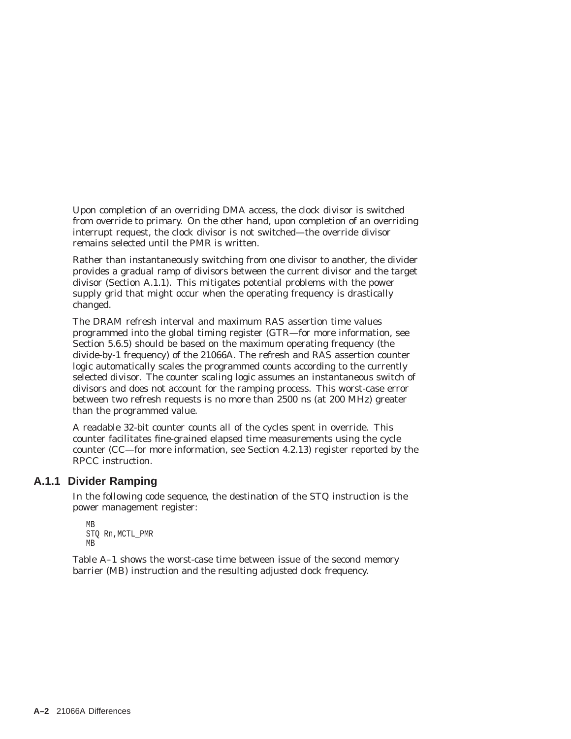Upon completion of an overriding DMA access, the clock divisor is switched from override to primary. On the other hand, upon completion of an overriding interrupt request, the clock divisor is not switched—the override divisor remains selected until the PMR is written.

Rather than instantaneously switching from one divisor to another, the divider provides a gradual ramp of divisors between the current divisor and the target divisor (Section A.1.1). This mitigates potential problems with the power supply grid that might occur when the operating frequency is drastically changed.

The DRAM refresh interval and maximum RAS assertion time values programmed into the global timing register (GTR—for more information, see Section 5.6.5) should be based on the maximum operating frequency (the divide-by-1 frequency) of the 21066A. The refresh and RAS assertion counter logic automatically scales the programmed counts according to the currently selected divisor. The counter scaling logic assumes an instantaneous switch of divisors and does not account for the ramping process. This worst-case error between two refresh requests is no more than 2500 ns (at 200 MHz) greater than the programmed value.

A readable 32-bit counter counts all of the cycles spent in override. This counter facilitates fine-grained elapsed time measurements using the cycle counter (CC—for more information, see Section 4.2.13) register reported by the RPCC instruction.

## **A.1.1 Divider Ramping**

In the following code sequence, the destination of the STQ instruction is the power management register:

```
MB
STQ Rn,MCTL_PMR
MB
```
Table A–1 shows the worst-case time between issue of the second memory barrier (MB) instruction and the resulting adjusted clock frequency.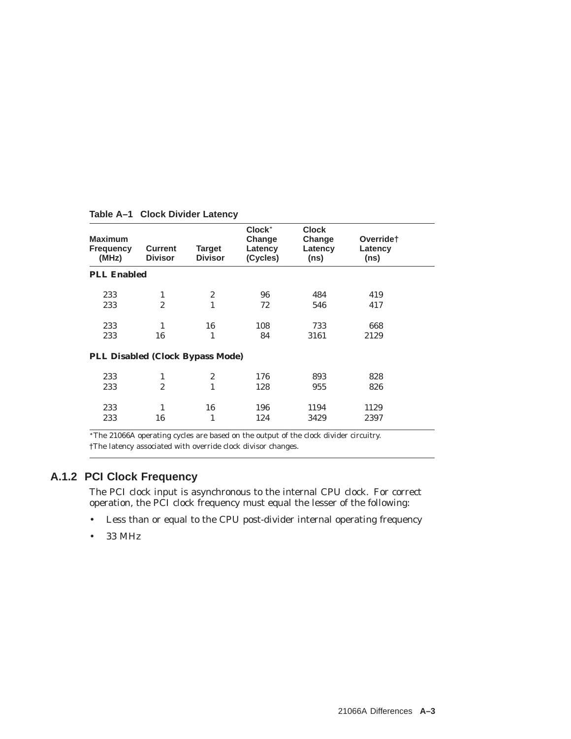| <b>Maximum</b><br><b>Frequency</b><br>(MHz) | <b>Current</b><br><b>Divisor</b> | <b>Target</b><br><b>Divisor</b> | Clock <sup>*</sup><br>Change<br>Latency<br>(Cycles) | <b>Clock</b><br>Change<br>Latency<br>(ns) | Overridet<br>Latency<br>(ns) |  |
|---------------------------------------------|----------------------------------|---------------------------------|-----------------------------------------------------|-------------------------------------------|------------------------------|--|
| <b>PLL Enabled</b>                          |                                  |                                 |                                                     |                                           |                              |  |
| 233                                         | 1                                | $\boldsymbol{2}$                | 96                                                  | 484                                       | 419                          |  |
| 233                                         | $\overline{2}$                   | $\mathbf{1}$                    | 72                                                  | 546                                       | 417                          |  |
| 233                                         | 1                                | 16                              | 108                                                 | 733                                       | 668                          |  |
| 233                                         | 16                               | 1                               | 84                                                  | 3161                                      | 2129                         |  |
| PLL Disabled (Clock Bypass Mode)            |                                  |                                 |                                                     |                                           |                              |  |
| 233                                         | 1                                | $\overline{c}$                  | 176                                                 | 893                                       | 828                          |  |
| 233                                         | $\overline{2}$                   | 1                               | 128                                                 | 955                                       | 826                          |  |
| 233                                         | 1                                | 16                              | 196                                                 | 1194                                      | 1129                         |  |
| 233                                         | 16                               | 1                               | 124                                                 | 3429                                      | 2397                         |  |

**Table A–1 Clock Divider Latency**

The 21066A operating cycles are based on the output of the clock divider circuitry. †The latency associated with override clock divisor changes.

## **A.1.2 PCI Clock Frequency**

The PCI clock input is asynchronous to the internal CPU clock. For correct operation, the PCI clock frequency must equal the lesser of the following:

- Less than or equal to the CPU post-divider internal operating frequency
- 33 MHz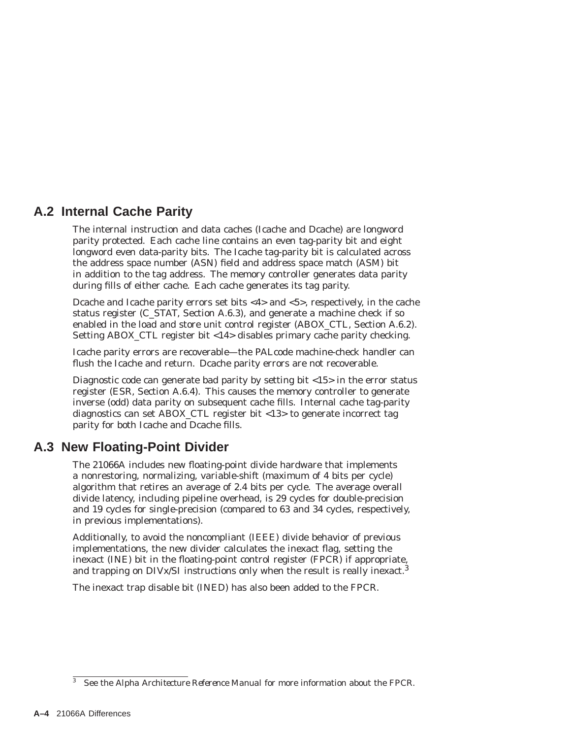## **A.2 Internal Cache Parity**

The internal instruction and data caches (Icache and Dcache) are longword parity protected. Each cache line contains an even tag-parity bit and eight longword even data-parity bits. The Icache tag-parity bit is calculated across the address space number (ASN) field and address space match (ASM) bit in addition to the tag address. The memory controller generates data parity during fills of either cache. Each cache generates its tag parity.

Dcache and Icache parity errors set bits <4> and <5>, respectively, in the cache status register (C\_STAT, Section A.6.3), and generate a machine check if so enabled in the load and store unit control register (ABOX\_CTL, Section A.6.2). Setting ABOX\_CTL register bit <14> disables primary cache parity checking.

Icache parity errors are recoverable—the PALcode machine-check handler can flush the Icache and return. Dcache parity errors are not recoverable.

Diagnostic code can generate bad parity by setting bit <15> in the error status register (ESR, Section A.6.4). This causes the memory controller to generate inverse (odd) data parity on subsequent cache fills. Internal cache tag-parity diagnostics can set ABOX\_CTL register bit <13> to generate incorrect tag parity for both Icache and Dcache fills.

## **A.3 New Floating-Point Divider**

The 21066A includes new floating-point divide hardware that implements a nonrestoring, normalizing, variable-shift (maximum of 4 bits per cycle) algorithm that retires an average of 2.4 bits per cycle. The average overall divide latency, including pipeline overhead, is 29 cycles for double-precision and 19 cycles for single-precision (compared to 63 and 34 cycles, respectively, in previous implementations).

Additionally, to avoid the noncompliant (IEEE) divide behavior of previous implementations, the new divider calculates the inexact flag, setting the inexact (INE) bit in the floating-point control register (FPCR) if appropriate, and trapping on DIVx/SI instructions only when the result is really inexact.<sup>3</sup>

The inexact trap disable bit (INED) has also been added to the FPCR.

<sup>3</sup> See the *Alpha Architecture Reference Manual* for more information about the FPCR.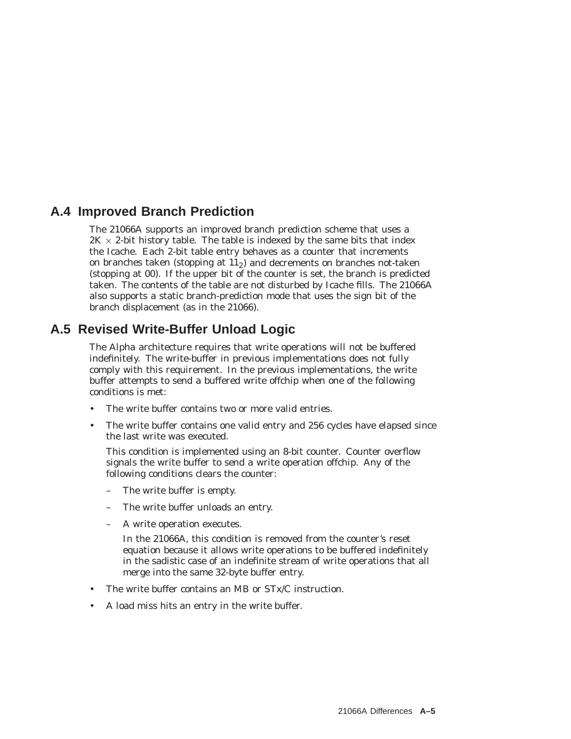## **A.4 Improved Branch Prediction**

The 21066A supports an improved branch prediction scheme that uses a  $2K \times 2$ -bit history table. The table is indexed by the same bits that index the Icache. Each 2-bit table entry behaves as a counter that increments on branches taken (stopping at  $11<sub>2</sub>$ ) and decrements on branches not-taken (stopping at 00). If the upper bit of the counter is set, the branch is predicted taken. The contents of the table are not disturbed by Icache fills. The 21066A also supports a static branch-prediction mode that uses the sign bit of the branch displacement (as in the 21066).

## **A.5 Revised Write-Buffer Unload Logic**

The Alpha architecture requires that write operations will not be buffered indefinitely. The write-buffer in previous implementations does not fully comply with this requirement. In the previous implementations, the write buffer attempts to send a buffered write offchip when one of the following conditions is met:

- The write buffer contains two or more valid entries.
- The write buffer contains one valid entry and 256 cycles have elapsed since the last write was executed.

This condition is implemented using an 8-bit counter. Counter overflow signals the write buffer to send a write operation offchip. Any of the following conditions clears the counter:

- The write buffer is empty.
- The write buffer unloads an entry.
- A write operation executes.

In the 21066A, this condition is removed from the counter's reset equation because it allows write operations to be buffered indefinitely in the sadistic case of an indefinite stream of write operations that all merge into the same 32-byte buffer entry.

- The write buffer contains an MB or STx/C instruction.
- A load miss hits an entry in the write buffer.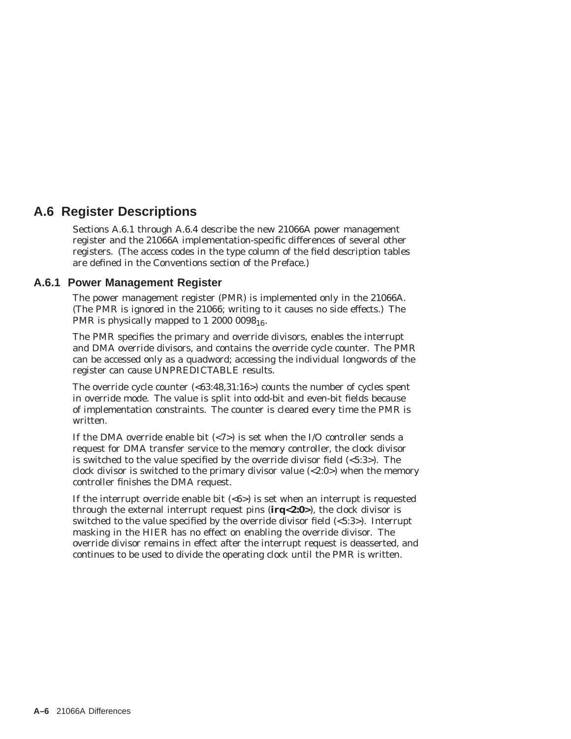## **A.6 Register Descriptions**

Sections A.6.1 through A.6.4 describe the new 21066A power management register and the 21066A implementation-specific differences of several other registers. (The access codes in the type column of the field description tables are defined in the Conventions section of the Preface.)

### **A.6.1 Power Management Register**

The power management register (PMR) is implemented only in the 21066A. (The PMR is ignored in the 21066; writing to it causes no side effects.) The PMR is physically mapped to 1 2000 0098 $_{16}$ .

The PMR specifies the primary and override divisors, enables the interrupt and DMA override divisors, and contains the override cycle counter. The PMR can be accessed only as a quadword; accessing the individual longwords of the register can cause UNPREDICTABLE results.

The override cycle counter  $\langle 63:48,31:16 \rangle$  counts the number of cycles spent in override mode. The value is split into odd-bit and even-bit fields because of implementation constraints. The counter is cleared every time the PMR is written.

If the DMA override enable bit  $\langle \langle 7 \rangle$  is set when the I/O controller sends a request for DMA transfer service to the memory controller, the clock divisor is switched to the value specified by the override divisor field (<5:3>). The clock divisor is switched to the primary divisor value (<2:0>) when the memory controller finishes the DMA request.

If the interrupt override enable bit  $\langle 6 \rangle$  is set when an interrupt is requested through the external interrupt request pins (**irq<2:0>**), the clock divisor is switched to the value specified by the override divisor field (<5:3>). Interrupt masking in the HIER has no effect on enabling the override divisor. The override divisor remains in effect after the interrupt request is deasserted, and continues to be used to divide the operating clock until the PMR is written.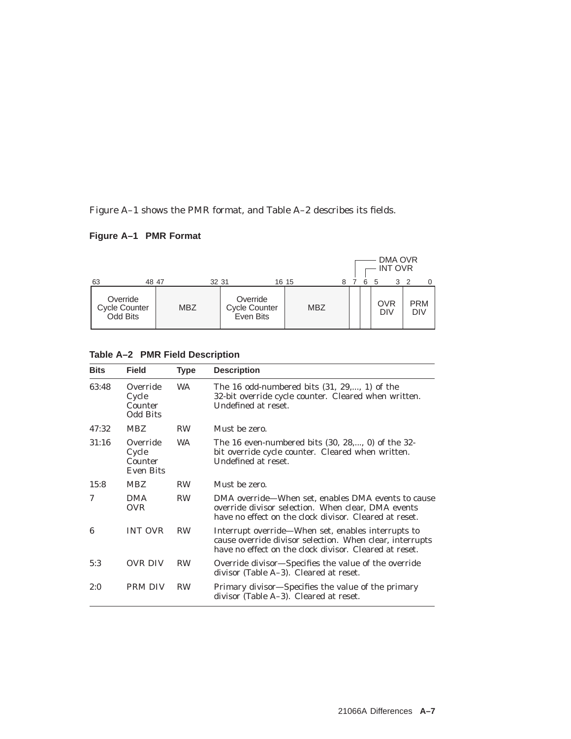Figure A–1 shows the PMR format, and Table A–2 describes its fields.

## **Figure A–1 PMR Format**

|                                              |            |                                               |            |   |   | DMA OVR<br><b>INT OVR</b> |                          |
|----------------------------------------------|------------|-----------------------------------------------|------------|---|---|---------------------------|--------------------------|
| 63<br>48 47                                  |            | 32 31                                         | 16 15      | 8 | 6 | 3<br>5                    |                          |
| Override<br><b>Cycle Counter</b><br>Odd Bits | <b>MBZ</b> | Override<br><b>Cycle Counter</b><br>Even Bits | <b>MBZ</b> |   |   | OVR<br><b>DIV</b>         | <b>PRM</b><br><b>DIV</b> |

## **Table A–2 PMR Field Description**

| <b>Bits</b> | <b>Field</b>                                     | Type      | <b>Description</b>                                                                                                                                                       |
|-------------|--------------------------------------------------|-----------|--------------------------------------------------------------------------------------------------------------------------------------------------------------------------|
| 63:48       | Override<br>Cycle<br>Counter<br><b>Odd Bits</b>  | <b>WA</b> | The 16 odd-numbered bits $(31, 29,, 1)$ of the<br>32-bit override cycle counter. Cleared when written.<br>Undefined at reset.                                            |
| 47:32       | <b>MBZ</b>                                       | <b>RW</b> | Must be zero.                                                                                                                                                            |
| 31:16       | Override<br>Cycle<br>Counter<br><b>Even Bits</b> | <b>WA</b> | The 16 even-numbered bits $(30, 28,, 0)$ of the 32-<br>bit override cycle counter. Cleared when written.<br>Undefined at reset.                                          |
| 15:8        | <b>MBZ</b>                                       | <b>RW</b> | Must be zero.                                                                                                                                                            |
| 7           | <b>DMA</b><br><b>OVR</b>                         | <b>RW</b> | DMA override—When set, enables DMA events to cause<br>override divisor selection. When clear, DMA events<br>have no effect on the clock divisor. Cleared at reset.       |
| 6           | <b>INT OVR</b>                                   | <b>RW</b> | Interrupt override—When set, enables interrupts to<br>cause override divisor selection. When clear, interrupts<br>have no effect on the clock divisor. Cleared at reset. |
| 5:3         | OVR DIV                                          | <b>RW</b> | Override divisor—Specifies the value of the override<br>divisor (Table A–3). Cleared at reset.                                                                           |
| 2:0         | <b>PRM DIV</b>                                   | <b>RW</b> | Primary divisor—Specifies the value of the primary<br>divisor (Table A–3). Cleared at reset.                                                                             |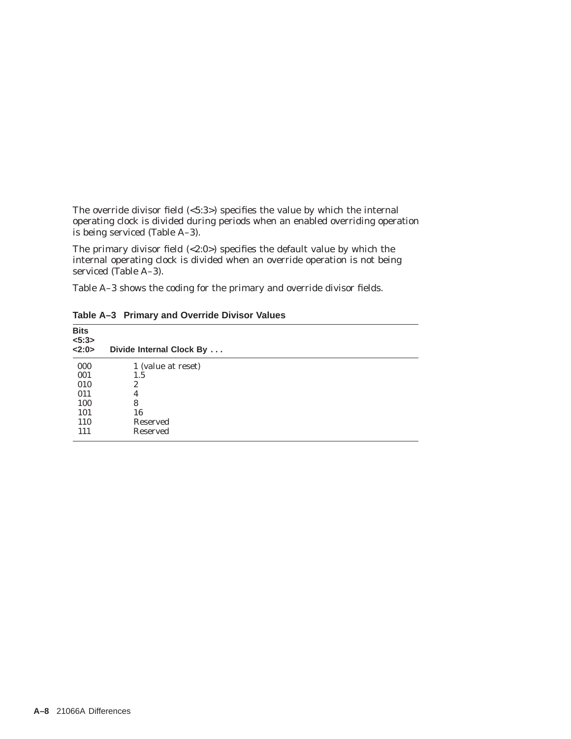The override divisor field (<5:3>) specifies the value by which the internal operating clock is divided during periods when an enabled overriding operation is being serviced (Table A–3).

The primary divisor field (<2:0>) specifies the default value by which the internal operating clock is divided when an override operation is not being serviced (Table A–3).

Table A–3 shows the coding for the primary and override divisor fields.

| Bits<br>$5:3>$<br>2:0> | Divide Internal Clock By |  |
|------------------------|--------------------------|--|
| 000                    | 1 (value at reset)       |  |
| 001                    | 1.5                      |  |
| 010                    | 2                        |  |
| 011                    | 4                        |  |
| 100                    | 8                        |  |
| 101                    | 16                       |  |
| <b>110</b>             | Reserved                 |  |
| 111                    | Reserved                 |  |

**Table A–3 Primary and Override Divisor Values**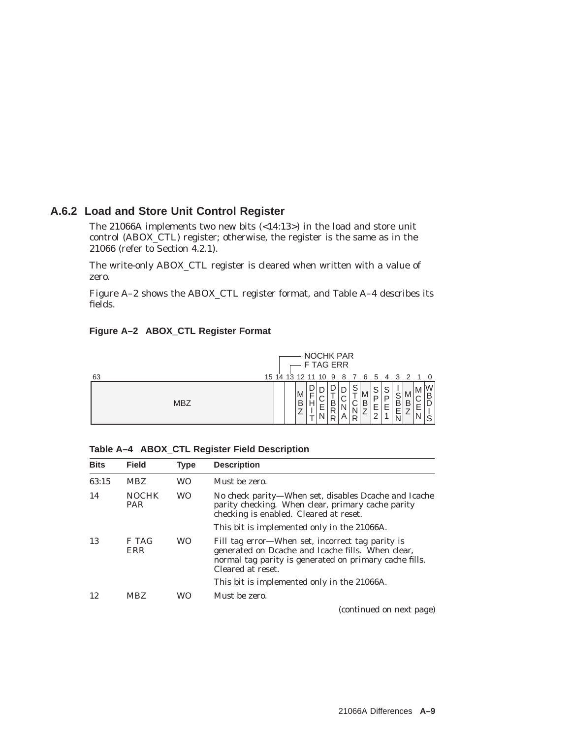## **A.6.2 Load and Store Unit Control Register**

The 21066A implements two new bits (<14:13>) in the load and store unit control (ABOX\_CTL) register; otherwise, the register is the same as in the 21066 (refer to Section 4.2.1).

The write-only ABOX\_CTL register is cleared when written with a value of zero.

Figure A–2 shows the ABOX\_CTL register format, and Table A–4 describes its fields.

| Figure A-2 ABOX_CTL Register Format |  |  |
|-------------------------------------|--|--|
|                                     |  |  |



|  |  |  |  |  | Table A-4 ABOX_CTL Register Field Description |
|--|--|--|--|--|-----------------------------------------------|
|--|--|--|--|--|-----------------------------------------------|

| <b>Bits</b> | <b>Field</b>               | <b>Type</b> | <b>Description</b>                                                                                                                                                                   |
|-------------|----------------------------|-------------|--------------------------------------------------------------------------------------------------------------------------------------------------------------------------------------|
| 63:15       | <b>MBZ</b>                 | WO          | Must be zero.                                                                                                                                                                        |
| 14          | <b>NOCHK</b><br><b>PAR</b> | <b>WO</b>   | No check parity—When set, disables Dcache and Icache<br>parity checking. When clear, primary cache parity<br>checking is enabled. Cleared at reset.                                  |
|             |                            |             | This bit is implemented only in the 21066A.                                                                                                                                          |
| 13          | F TAG<br>ERR               | <b>WO</b>   | Fill tag error—When set, incorrect tag parity is<br>generated on Dcache and Icache fills. When clear,<br>normal tag parity is generated on primary cache fills.<br>Cleared at reset. |
|             |                            |             | This bit is implemented only in the 21066A.                                                                                                                                          |
| 12          | <b>MBZ</b>                 | WО          | Must be zero.                                                                                                                                                                        |
|             |                            |             |                                                                                                                                                                                      |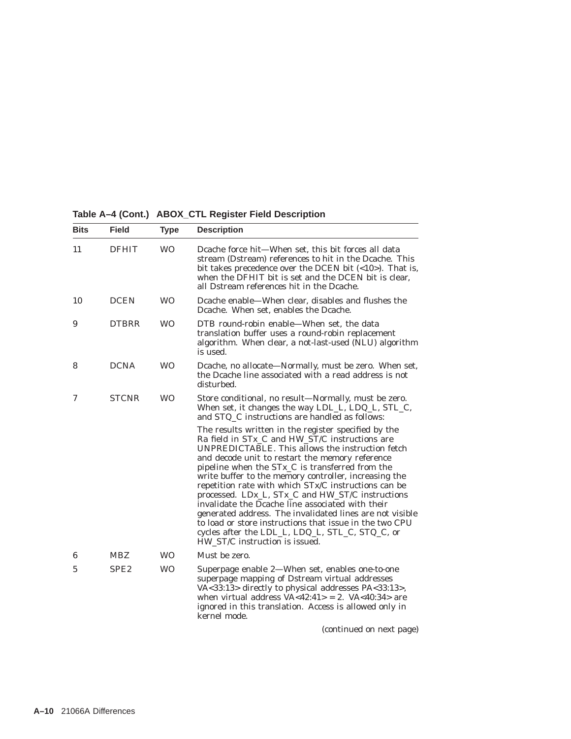**Table A–4 (Cont.) ABOX\_CTL Register Field Description**

| <b>Bits</b>    | <b>Field</b>     | <b>Type</b> | <b>Description</b>                                                                                                                                                                                                                                                                                                                                                                                                                                                                                                                                                                                                                                                                                                |
|----------------|------------------|-------------|-------------------------------------------------------------------------------------------------------------------------------------------------------------------------------------------------------------------------------------------------------------------------------------------------------------------------------------------------------------------------------------------------------------------------------------------------------------------------------------------------------------------------------------------------------------------------------------------------------------------------------------------------------------------------------------------------------------------|
| 11             | <b>DFHIT</b>     | <b>WO</b>   | Dcache force hit-When set, this bit forces all data<br>stream (Dstream) references to hit in the Dcache. This<br>bit takes precedence over the DCEN bit $\langle$ <10> $\rangle$ . That is,<br>when the DFHIT bit is set and the DCEN bit is clear,<br>all Dstream references hit in the Dcache.                                                                                                                                                                                                                                                                                                                                                                                                                  |
| 10             | <b>DCEN</b>      | <b>WO</b>   | Dcache enable—When clear, disables and flushes the<br>Dcache. When set, enables the Dcache.                                                                                                                                                                                                                                                                                                                                                                                                                                                                                                                                                                                                                       |
| 9              | <b>DTBRR</b>     | <b>WO</b>   | DTB round-robin enable-When set, the data<br>translation buffer uses a round-robin replacement<br>algorithm. When clear, a not-last-used (NLU) algorithm<br>is used.                                                                                                                                                                                                                                                                                                                                                                                                                                                                                                                                              |
| 8              | <b>DCNA</b>      | <b>WO</b>   | Dcache, no allocate—Normally, must be zero. When set,<br>the Dcache line associated with a read address is not<br>disturbed.                                                                                                                                                                                                                                                                                                                                                                                                                                                                                                                                                                                      |
| 7              | <b>STCNR</b>     | <b>WO</b>   | Store conditional, no result-Normally, must be zero.<br>When set, it changes the way LDL_L, LDQ_L, STL_C,<br>and STQ_C instructions are handled as follows:                                                                                                                                                                                                                                                                                                                                                                                                                                                                                                                                                       |
|                |                  |             | The results written in the register specified by the<br>Ra field in STx_C and HW_ST/C instructions are<br>UNPREDICTABLE. This allows the instruction fetch<br>and decode unit to restart the memory reference<br>pipeline when the STx <sub>_C</sub> is transferred from the<br>write buffer to the memory controller, increasing the<br>repetition rate with which STx/C instructions can be<br>processed. LDx_L, STx_C and HW_ST/C instructions<br>invalidate the Dcache line associated with their<br>generated address. The invalidated lines are not visible<br>to load or store instructions that issue in the two CPU<br>cycles after the LDL_L, LDQ_L, STL_C, STQ_C, or<br>HW ST/C instruction is issued. |
| 6              | <b>MBZ</b>       | <b>WO</b>   | Must be zero.                                                                                                                                                                                                                                                                                                                                                                                                                                                                                                                                                                                                                                                                                                     |
| $\overline{5}$ | SPE <sub>2</sub> | <b>WO</b>   | Superpage enable 2-When set, enables one-to-one<br>superpage mapping of Dstream virtual addresses<br>VA<33:13> directly to physical addresses PA<33:13>,<br>when virtual address $VA < 42:41 > 2$ . $VA < 40:34 >$ are<br>ignored in this translation. Access is allowed only in<br>kernel mode.                                                                                                                                                                                                                                                                                                                                                                                                                  |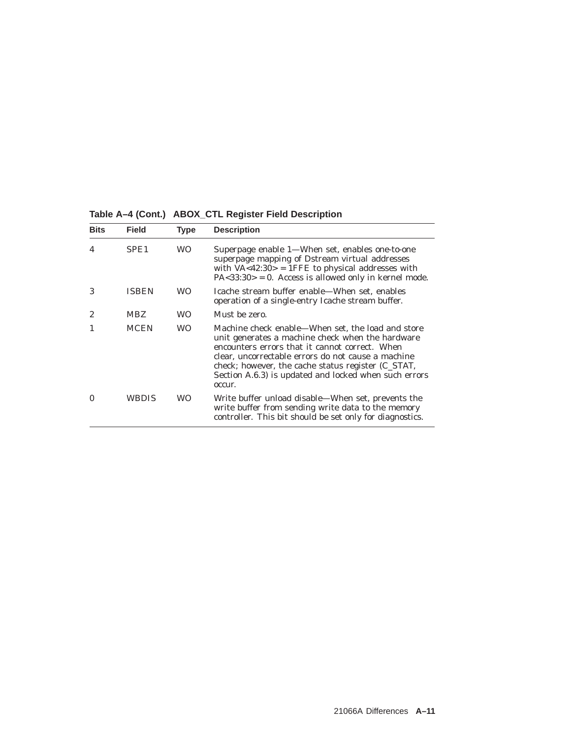**Table A–4 (Cont.) ABOX\_CTL Register Field Description**

| <b>Bits</b>    | Field            | <b>Type</b> | <b>Description</b>                                                                                                                                                                                                                                                                                                                     |
|----------------|------------------|-------------|----------------------------------------------------------------------------------------------------------------------------------------------------------------------------------------------------------------------------------------------------------------------------------------------------------------------------------------|
| 4              | SPE <sub>1</sub> | WO.         | Superpage enable 1—When set, enables one-to-one<br>superpage mapping of Dstream virtual addresses<br>with $VA < 42:30 > 1$ FFE to physical addresses with<br>$PA < 33:30 > 0$ . Access is allowed only in kernel mode.                                                                                                                 |
| 3              | <b>ISBEN</b>     | WO.         | Icache stream buffer enable—When set, enables<br>operation of a single-entry Icache stream buffer.                                                                                                                                                                                                                                     |
| $\overline{2}$ | <b>MBZ</b>       | <b>WO</b>   | Must be zero.                                                                                                                                                                                                                                                                                                                          |
|                | <b>MCEN</b>      | WO.         | Machine check enable—When set, the load and store<br>unit generates a machine check when the hardware<br>encounters errors that it cannot correct. When<br>clear, uncorrectable errors do not cause a machine<br>check; however, the cache status register (C_STAT,<br>Section A.6.3) is updated and locked when such errors<br>occur. |
| 0              | WBDIS            | WO.         | Write buffer unload disable—When set, prevents the<br>write buffer from sending write data to the memory<br>controller. This bit should be set only for diagnostics.                                                                                                                                                                   |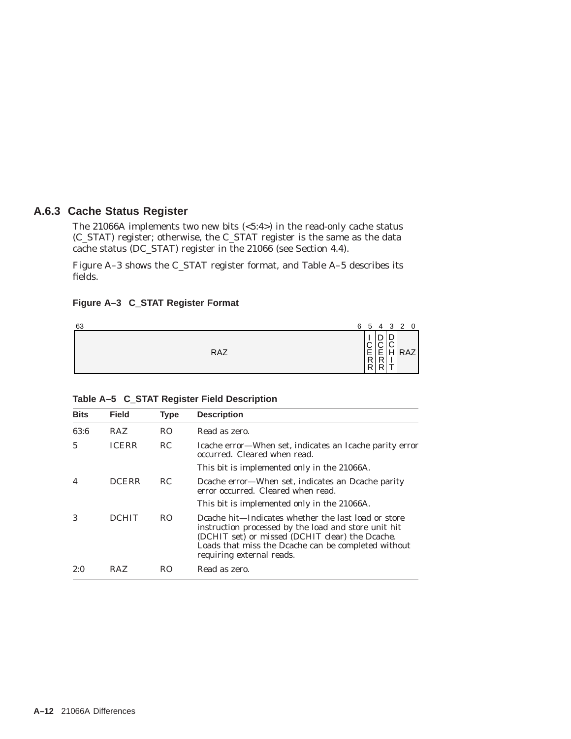## **A.6.3 Cache Status Register**

The 21066A implements two new bits (<5:4>) in the read-only cache status (C\_STAT) register; otherwise, the C\_STAT register is the same as the data cache status (DC\_STAT) register in the 21066 (see Section 4.4).

Figure A–3 shows the C\_STAT register format, and Table A–5 describes its fields.

#### **Figure A–3 C\_STAT Register Format**

| 63 |            | 6 5                               | $\overline{4}$    |                            | 3 2 0 |
|----|------------|-----------------------------------|-------------------|----------------------------|-------|
|    | <b>RAZ</b> | $\dot{\wedge}$<br><b>LER</b><br>R | ┍<br>'≍<br>ъ<br>D | r<br>≍<br>ັ<br>н<br>.<br>÷ | RAZ   |

| <b>Bits</b> | <b>Field</b> | <b>Type</b>    | <b>Description</b>                                                                                                                                                                                                                                 |
|-------------|--------------|----------------|----------------------------------------------------------------------------------------------------------------------------------------------------------------------------------------------------------------------------------------------------|
| 63:6        | <b>RAZ</b>   | R <sub>O</sub> | Read as zero.                                                                                                                                                                                                                                      |
| 5           | <b>ICERR</b> | RC.            | Icache error—When set, indicates an Icache parity error<br>occurred. Cleared when read.                                                                                                                                                            |
|             |              |                | This bit is implemented only in the 21066A.                                                                                                                                                                                                        |
| 4           | <b>DCERR</b> | RC.            | Deache error—When set, indicates an Deache parity<br>error occurred. Cleared when read.                                                                                                                                                            |
|             |              |                | This bit is implemented only in the 21066A.                                                                                                                                                                                                        |
| 3           | <b>DCHIT</b> | RO.            | Deache hit—Indicates whether the last load or store<br>instruction processed by the load and store unit hit<br>(DCHIT set) or missed (DCHIT clear) the Dcache.<br>Loads that miss the Dcache can be completed without<br>requiring external reads. |
| 2:0         | RAZ.         | RO             | Read as zero.                                                                                                                                                                                                                                      |

#### **Table A–5 C\_STAT Register Field Description**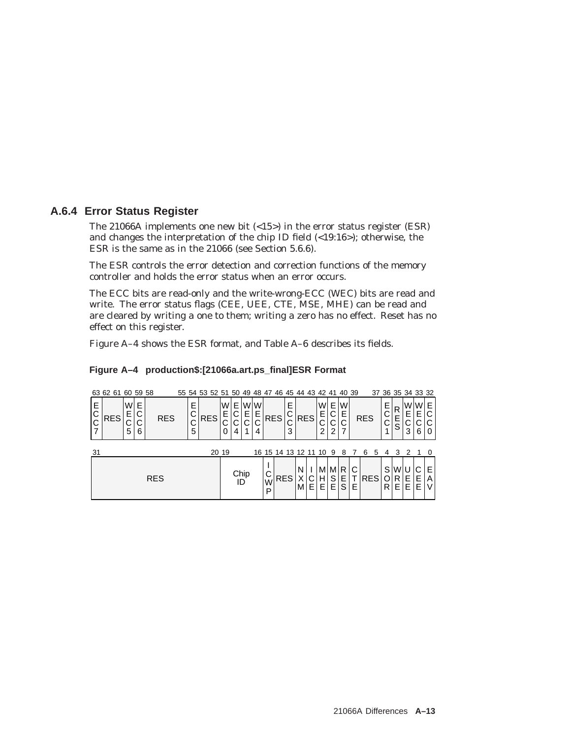## **A.6.4 Error Status Register**

The 21066A implements one new bit  $\langle$ <15>) in the error status register (ESR) and changes the interpretation of the chip ID field (<19:16>); otherwise, the ESR is the same as in the 21066 (see Section 5.6.6).

The ESR controls the error detection and correction functions of the memory controller and holds the error status when an error occurs.

The ECC bits are read-only and the write-wrong-ECC (WEC) bits are read and write. The error status flags (CEE, UEE, CTE, MSE, MHE) can be read and are cleared by writing a one to them; writing a zero has no effect. Reset has no effect on this register.

Figure A–4 shows the ESR format, and Table A–6 describes its fields.

#### **Figure A–4 production\$:[21066a.art.ps\_final]ESR Format**

|             | 63 62 61 60 59 58 |        |                  |            |            |                       | 55 54 53 52 51 50 49 48 47 46 45 44 43 42 41 40 39 |       |               |                    |                     |             |            |            |   |            |   |                        |                     |             |        |            |   |                   |                      |             | 37 36 35 34 33 32 |              |
|-------------|-------------------|--------|------------------|------------|------------|-----------------------|----------------------------------------------------|-------|---------------|--------------------|---------------------|-------------|------------|------------|---|------------|---|------------------------|---------------------|-------------|--------|------------|---|-------------------|----------------------|-------------|-------------------|--------------|
| Е<br>С<br>C | <b>RES</b>        | W<br>5 | Е<br>С<br>ັ<br>6 |            | <b>RES</b> | E<br>С<br>⌒<br>ັ<br>5 | <b>RES</b>                                         |       | W١<br>Е.<br>0 | E I<br>С<br>◡<br>4 | W <sub>W</sub><br>Е | Е<br>⌒<br>4 | <b>RES</b> |            | 3 | <b>RES</b> |   | W<br>Е.<br>ັ<br>2      | E I<br>'C<br>⌒<br>◡ | W<br>Ε<br>С |        | <b>RES</b> |   | E<br>⌒<br>◡       | R<br>S               | W<br>E<br>3 | W E<br>E.<br>6    | C<br>C<br>0  |
| 31          |                   |        |                  |            |            |                       |                                                    | 20 19 |               |                    |                     |             |            |            |   |            |   | 16 15 14 13 12 11 10 9 |                     | 8           |        | 6          | 5 | 4                 |                      | 2           |                   | - 0          |
|             |                   |        |                  | <b>RES</b> |            |                       |                                                    |       |               | Chip<br>ID         |                     |             | W<br>D     | <b>RES</b> |   | N<br>M     | E | M<br>Н<br>E.           | M R<br>S<br>Е.      | E.<br>S     | C<br>Е | <b>RES</b> |   | S<br>$\circ$<br>R | WI<br>$R \mid$<br>ΕI | Е<br>Е      | E.<br>Е           | E.<br>A<br>V |

W P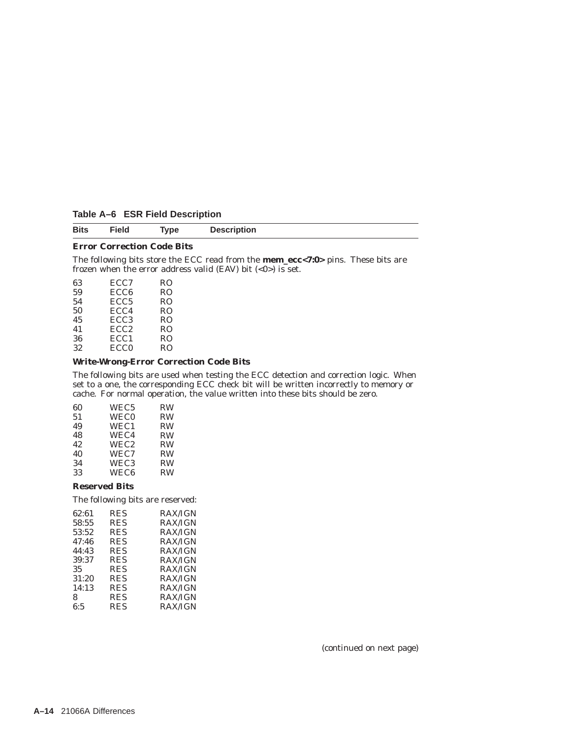| Table A-6 ESR Field Description |  |
|---------------------------------|--|
|---------------------------------|--|

#### **Error Correction Code Bits**

The following bits store the ECC read from the **mem\_ecc<7:0>** pins. These bits are frozen when the error address valid (EAV) bit  $(<0)$ ) is set.

| 63 | ECC <sub>7</sub> | RO             |
|----|------------------|----------------|
| 59 | ECC <sub>6</sub> | RO             |
| 54 | ECC <sub>5</sub> | RO             |
| 50 | ECC4             | R <sub>O</sub> |
| 45 | ECC <sub>3</sub> | R <sub>O</sub> |
| 41 | ECC <sub>2</sub> | R <sub>O</sub> |
| 36 | ECC <sub>1</sub> | R <sub>O</sub> |
| 32 | ECC <sub>0</sub> | R <sub>O</sub> |
|    |                  |                |

#### **Write-Wrong-Error Correction Code Bits**

The following bits are used when testing the ECC detection and correction logic. When set to a one, the corresponding ECC check bit will be written incorrectly to memory or cache. For normal operation, the value written into these bits should be zero.

| 60 | WEC <sub>5</sub> | <b>RW</b> |
|----|------------------|-----------|
| 51 | <b>WEC0</b>      | <b>RW</b> |
| 49 | WEC1             | <b>RW</b> |
| 48 | WEC4             | <b>RW</b> |
| 42 | WEC <sub>2</sub> | <b>RW</b> |
| 40 | WEC7             | <b>RW</b> |
| 34 | WEC <sub>3</sub> | <b>RW</b> |
| 33 | WEC <sub>6</sub> | <b>RW</b> |
|    |                  |           |

#### **Reserved Bits**

The following bits are reserved:

| 62:61 | <b>RES</b> | RAX/IGN        |
|-------|------------|----------------|
| 58:55 | <b>RES</b> | <b>RAX/IGN</b> |
| 53:52 | <b>RES</b> | <b>RAX/IGN</b> |
| 47:46 | <b>RES</b> | <b>RAX/IGN</b> |
| 44:43 | <b>RES</b> | <b>RAX/IGN</b> |
| 39:37 | <b>RES</b> | <b>RAX/IGN</b> |
| 35    | <b>RES</b> | <b>RAX/IGN</b> |
| 31:20 | <b>RES</b> | <b>RAX/IGN</b> |
| 14:13 | <b>RES</b> | <b>RAX/IGN</b> |
| 8     | <b>RES</b> | <b>RAX/IGN</b> |
| 6:5   | <b>RES</b> | <b>RAX/IGN</b> |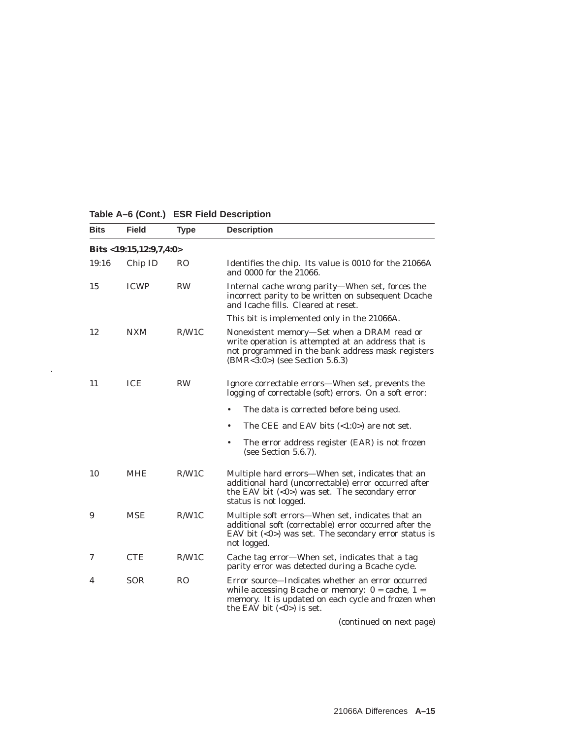| <b>Bits</b> | <b>Field</b>              | <b>Type</b>    | <b>Description</b>                                                                                                                                                                                |
|-------------|---------------------------|----------------|---------------------------------------------------------------------------------------------------------------------------------------------------------------------------------------------------|
|             | Bits $<19:15,12:9,7,4:0>$ |                |                                                                                                                                                                                                   |
| 19:16       | Chip ID                   | R <sub>O</sub> | Identifies the chip. Its value is 0010 for the 21066A<br>and 0000 for the 21066.                                                                                                                  |
| 15          | <b>ICWP</b>               | <b>RW</b>      | Internal cache wrong parity—When set, forces the<br>incorrect parity to be written on subsequent Dcache<br>and Icache fills. Cleared at reset.                                                    |
|             |                           |                | This bit is implemented only in the 21066A.                                                                                                                                                       |
| 12          | <b>NXM</b>                | R/W1C          | Nonexistent memory—Set when a DRAM read or<br>write operation is attempted at an address that is<br>not programmed in the bank address mask registers<br>(BMR<3:0>) (see Section 5.6.3)           |
| 11          | <b>ICE</b>                | <b>RW</b>      | Ignore correctable errors—When set, prevents the<br>logging of correctable (soft) errors. On a soft error:                                                                                        |
|             |                           |                | The data is corrected before being used.<br>$\bullet$                                                                                                                                             |
|             |                           |                | The CEE and EAV bits $( <1:0> )$ are not set.<br>٠                                                                                                                                                |
|             |                           |                | The error address register (EAR) is not frozen<br>٠<br>(see Section $5.6.7$ ).                                                                                                                    |
| 10          | MHE                       | R/W1C          | Multiple hard errors-When set, indicates that an<br>additional hard (uncorrectable) error occurred after<br>the EAV bit $(0) was set. The secondary error$<br>status is not logged.               |
| 9           | <b>MSE</b>                | R/W1C          | Multiple soft errors—When set, indicates that an<br>additional soft (correctable) error occurred after the<br>EAV bit $(0) was set. The secondary error status is$<br>not logged.                 |
| 7           | <b>CTE</b>                | R/W1C          | Cache tag error-When set, indicates that a tag<br>parity error was detected during a Bcache cycle.                                                                                                |
| 4           | <b>SOR</b>                | R <sub>O</sub> | Error source—Indicates whether an error occurred<br>while accessing Bcache or memory: $0 = \text{cache}, 1 =$<br>memory. It is updated on each cycle and frozen when<br>the EAV bit $(0)$ is set. |
|             |                           |                |                                                                                                                                                                                                   |

## **Table A–6 (Cont.) ESR Field Description**

.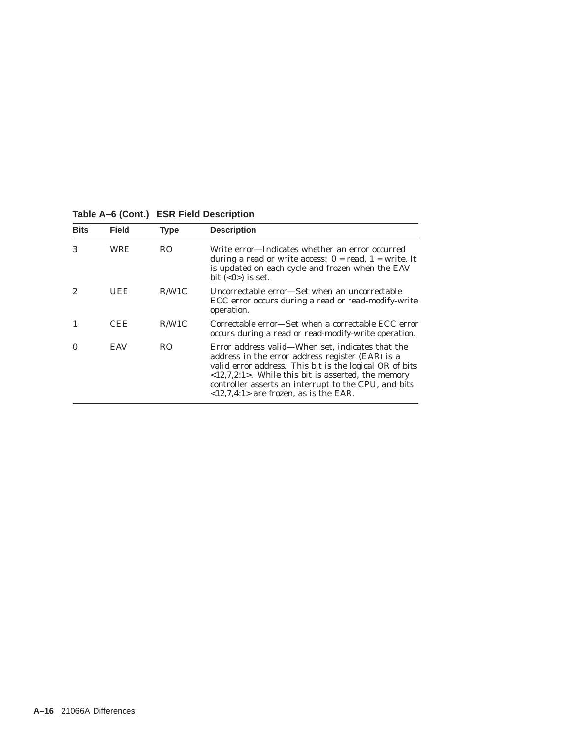| <b>Bits</b> | <b>Field</b> | <b>Type</b>    | <b>Description</b>                                                                                                                                                                                                                                                                                                                                         |
|-------------|--------------|----------------|------------------------------------------------------------------------------------------------------------------------------------------------------------------------------------------------------------------------------------------------------------------------------------------------------------------------------------------------------------|
| 3           | WRE          | R <sub>O</sub> | Write error—Indicates whether an error occurred<br>during a read or write access: $0 = read$ , $1 = write$ . It<br>is updated on each cycle and frozen when the EAV<br>bit $(0)$ is set.                                                                                                                                                                   |
|             | UEE          | R/W1C          | Uncorrectable error—Set when an uncorrectable<br>ECC error occurs during a read or read-modify-write<br>operation.                                                                                                                                                                                                                                         |
|             | CEE          | R/W1C          | Correctable error—Set when a correctable ECC error<br>occurs during a read or read-modify-write operation.                                                                                                                                                                                                                                                 |
|             | EAV          | R <sub>O</sub> | Error address valid—When set, indicates that the<br>address in the error address register (EAR) is a<br>valid error address. This bit is the logical OR of bits<br>$\langle 12,7,2:1 \rangle$ . While this bit is asserted, the memory<br>controller asserts an interrupt to the CPU, and bits<br>$\langle 12, 7, 4: 1 \rangle$ are frozen, as is the EAR. |

**Table A–6 (Cont.) ESR Field Description**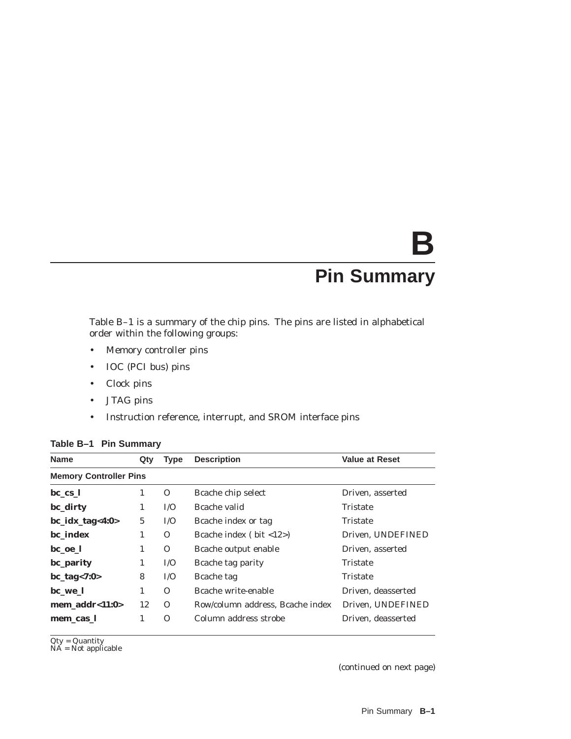# **B**

# **Pin Summary**

Table B–1 is a summary of the chip pins. The pins are listed in alphabetical order within the following groups:

- Memory controller pins
- IOC (PCI bus) pins
- Clock pins
- JTAG pins
- Instruction reference, interrupt, and SROM interface pins

| <b>Value at Reset</b> |
|-----------------------|
|                       |
|                       |
| Driven, asserted      |
| Tristate              |
| Tristate              |
| Driven. UNDEFINED     |
| Driven, asserted      |
| Tristate              |
| Tristate              |
| Driven, deasserted    |
| Driven, UNDEFINED     |
| Driven. deasserted    |
|                       |

#### **Table B–1 Pin Summary**

Qty = Quantity NA = Not applicable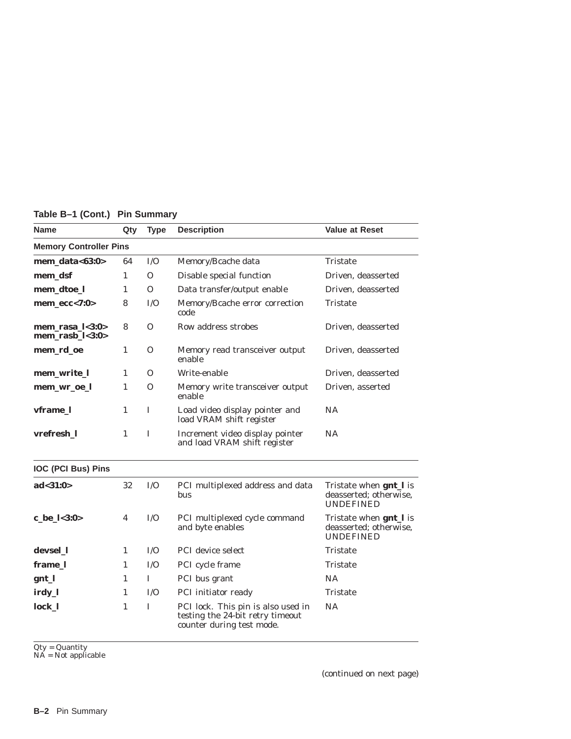| <b>Name</b>                                 | Qty          | <b>Type</b> | <b>Description</b>                                                                                  | <b>Value at Reset</b>                                                        |  |  |
|---------------------------------------------|--------------|-------------|-----------------------------------------------------------------------------------------------------|------------------------------------------------------------------------------|--|--|
| <b>Memory Controller Pins</b>               |              |             |                                                                                                     |                                                                              |  |  |
| $mem\_data<63:0>$                           | 64           | I/O         | Memory/Bcache data                                                                                  | Tristate                                                                     |  |  |
| mem_dsf                                     | 1            | $\Omega$    | Disable special function                                                                            | Driven, deasserted                                                           |  |  |
| mem_dtoe_l                                  | 1            | $\Omega$    | Data transfer/output enable                                                                         | Driven, deasserted                                                           |  |  |
| $mem\_ecc<7:0>$                             | 8            | I/O         | Memory/Bcache error correction<br>code                                                              | Tristate                                                                     |  |  |
| mem_rasa_ $l$ <3:0><br>$mem\_rasb_1 < 3:0>$ | 8            | $\Omega$    | Row address strobes                                                                                 | Driven, deasserted                                                           |  |  |
| mem_rd_oe                                   | 1            | 0           | Memory read transceiver output<br>enable                                                            | Driven, deasserted                                                           |  |  |
| mem_write_l                                 | 1            | $\Omega$    | Write-enable                                                                                        | Driven. deasserted                                                           |  |  |
| mem_wr_oe_l                                 | $\mathbf{1}$ | 0           | Memory write transceiver output<br>enable                                                           | Driven, asserted                                                             |  |  |
| vframe_l                                    | 1            | I           | Load video display pointer and<br>load VRAM shift register                                          | <b>NA</b>                                                                    |  |  |
| vrefresh_1                                  | 1            | I           | Increment video display pointer<br>and load VRAM shift register                                     | <b>NA</b>                                                                    |  |  |
| <b>IOC (PCI Bus) Pins</b>                   |              |             |                                                                                                     |                                                                              |  |  |
| ad < 31:0>                                  | 32           | I/O         | PCI multiplexed address and data<br><b>bus</b>                                                      | Tristate when <b>gnt</b> _l is<br>deasserted; otherwise,<br><b>UNDEFINED</b> |  |  |
| c_be_l<3:0>                                 | 4            | I/O         | PCI multiplexed cycle command<br>and byte enables                                                   | Tristate when <b>gnt</b> _l is<br>deasserted; otherwise,<br><b>UNDEFINED</b> |  |  |
| devsel_1                                    | $\mathbf{1}$ | I/O         | <b>PCI</b> device select                                                                            | Tristate                                                                     |  |  |
| frame_l                                     | 1            | I/O         | PCI cycle frame                                                                                     | Tristate                                                                     |  |  |
| gnt_l                                       | $\mathbf{1}$ | L           | PCI bus grant                                                                                       | <b>NA</b>                                                                    |  |  |
| irdy_l                                      | $\mathbf{1}$ | I/O         | PCI initiator ready                                                                                 | <b>Tristate</b>                                                              |  |  |
| lock_l                                      | 1            | L           | PCI lock. This pin is also used in<br>testing the 24-bit retry timeout<br>counter during test mode. | NA                                                                           |  |  |

**Table B–1 (Cont.) Pin Summary**

Qty = Quantity NA = Not applicable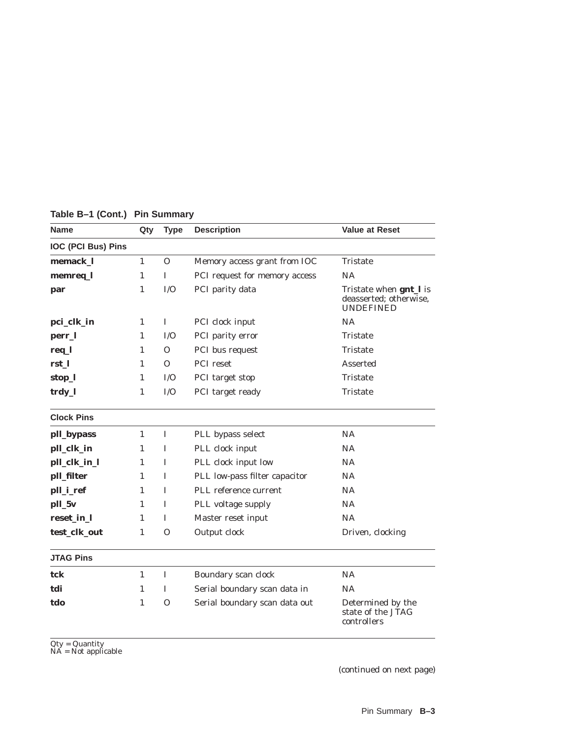| <b>Name</b>               | Qty          | <b>Type</b> | <b>Description</b>            | <b>Value at Reset</b>                                                |
|---------------------------|--------------|-------------|-------------------------------|----------------------------------------------------------------------|
| <b>IOC (PCI Bus) Pins</b> |              |             |                               |                                                                      |
| memack_l                  | $\mathbf{1}$ | 0           | Memory access grant from IOC  | <b>Tristate</b>                                                      |
| memreq_l                  | $\mathbf{1}$ | I           | PCI request for memory access | NA                                                                   |
| par                       | $\mathbf{1}$ | I/O         | PCI parity data               | Tristate when gnt_l is<br>deasserted; otherwise,<br><b>UNDEFINED</b> |
| pci_clk_in                | 1            | 1           | PCI clock input               | <b>NA</b>                                                            |
| perr_l                    | 1            | I/O         | PCI parity error              | Tristate                                                             |
| req_l                     | 1            | $\Omega$    | PCI bus request               | Tristate                                                             |
| rst_l                     | 1            | $\Omega$    | PCI reset                     | Asserted                                                             |
| stop_l                    | 1            | I/O         | PCI target stop               | Tristate                                                             |
| trdy_l                    | 1            | I/O         | PCI target ready              | Tristate                                                             |
| <b>Clock Pins</b>         |              |             |                               |                                                                      |
| pll_bypass                | $\mathbf{1}$ | I           | PLL bypass select             | NA                                                                   |
| pll_clk_in                | 1            | I           | PLL clock input               | NA.                                                                  |
| pll_clk_in_l              | 1            | L           | PLL clock input low           | <b>NA</b>                                                            |
| pll_filter                | 1            | T           | PLL low-pass filter capacitor | NA                                                                   |
| pll_i_ref                 | 1            | I           | PLL reference current         | NA                                                                   |
| pll_5v                    | $\mathbf{1}$ | I           | PLL voltage supply            | <b>NA</b>                                                            |
| reset in 1                | 1            | L           | Master reset input            | NA                                                                   |
| test_clk_out              | $\mathbf{1}$ | O           | Output clock                  | Driven, clocking                                                     |
| <b>JTAG Pins</b>          |              |             |                               |                                                                      |
| tck                       | $\mathbf{1}$ | Ι.          | Boundary scan clock           | <b>NA</b>                                                            |
| tdi                       | $\mathbf{1}$ | I           | Serial boundary scan data in  | NA                                                                   |
| tdo                       | 1            | $\Omega$    | Serial boundary scan data out | Determined by the<br>state of the JTAG<br>controllers                |

**Table B–1 (Cont.) Pin Summary**

Qty = Quantity NA = Not applicable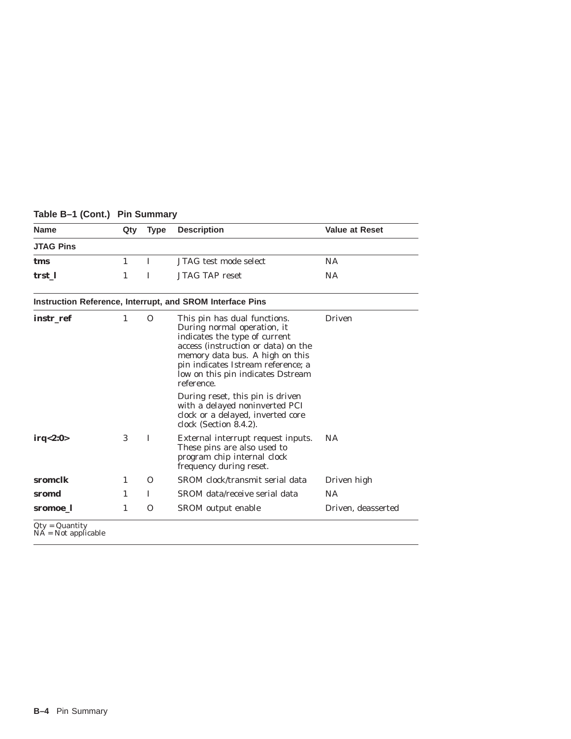| <b>Name</b>      | Qty | <b>Type</b>  | <b>Description</b>                                                                                                                                                                                                                                              | <b>Value at Reset</b> |
|------------------|-----|--------------|-----------------------------------------------------------------------------------------------------------------------------------------------------------------------------------------------------------------------------------------------------------------|-----------------------|
| <b>JTAG Pins</b> |     |              |                                                                                                                                                                                                                                                                 |                       |
| tms              | 1   | L            | JTAG test mode select                                                                                                                                                                                                                                           | <b>NA</b>             |
| trst 1           | 1   | I            | <b>JTAG TAP reset</b>                                                                                                                                                                                                                                           | <b>NA</b>             |
|                  |     |              | Instruction Reference, Interrupt, and SROM Interface Pins                                                                                                                                                                                                       |                       |
| instr_ref        | 1   | $\Omega$     | This pin has dual functions.<br>During normal operation, it<br>indicates the type of current<br>access (instruction or data) on the<br>memory data bus. A high on this<br>pin indicates Istream reference; a<br>low on this pin indicates Dstream<br>reference. | <b>Driven</b>         |
|                  |     |              | During reset, this pin is driven<br>with a delayed noninverted PCI<br>clock or a delayed, inverted core<br>clock (Section 8.4.2).                                                                                                                               |                       |
| irq<2:0>         | 3   | $\mathbf{I}$ | External interrupt request inputs.<br>These pins are also used to<br>program chip internal clock<br>frequency during reset.                                                                                                                                     | <b>NA</b>             |
| sromclk          | 1   | $\Omega$     | SROM clock/transmit serial data                                                                                                                                                                                                                                 | Driven high           |
| sromd            | 1   | I            | SROM data/receive serial data                                                                                                                                                                                                                                   | <b>NA</b>             |
| sromoe 1         | 1   | 0            | SROM output enable                                                                                                                                                                                                                                              | Driven, deasserted    |

ц,

#### **Table B–1 (Cont.) Pin Summary**

**B–4** Pin Summary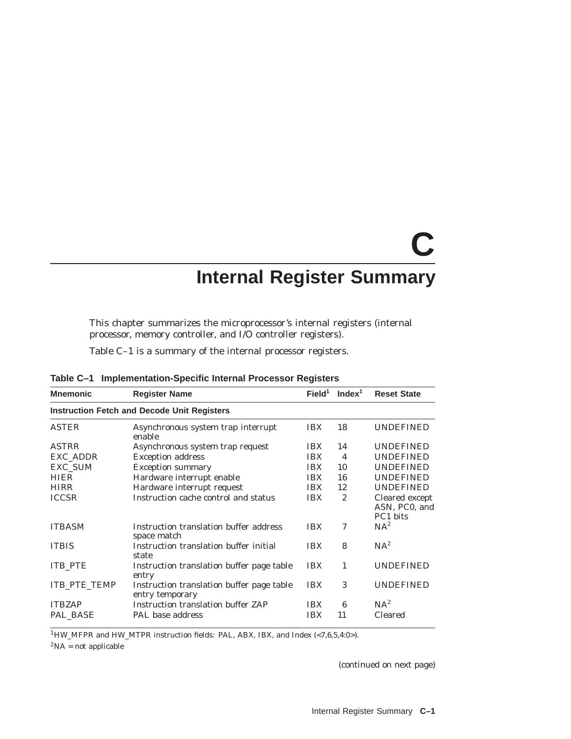# **C Internal Register Summary**

This chapter summarizes the microprocessor's internal registers (internal processor, memory controller, and I/O controller registers).

Table C–1 is a summary of the internal processor registers.

| <b>Mnemonic</b>                                    | <b>Register Name</b>                                         | Field <sup>1</sup> | Index <sup>1</sup> | <b>Reset State</b>                          |  |  |  |
|----------------------------------------------------|--------------------------------------------------------------|--------------------|--------------------|---------------------------------------------|--|--|--|
| <b>Instruction Fetch and Decode Unit Registers</b> |                                                              |                    |                    |                                             |  |  |  |
| <b>ASTER</b>                                       | Asynchronous system trap interrupt<br>enable                 | <b>IBX</b>         | 18                 | <b>UNDEFINED</b>                            |  |  |  |
| <b>ASTRR</b>                                       | Asynchronous system trap request                             | <b>IBX</b>         | 14                 | <b>UNDEFINED</b>                            |  |  |  |
| <b>EXC ADDR</b>                                    | <b>Exception address</b>                                     | <b>IBX</b>         | $\overline{4}$     | <b>UNDEFINED</b>                            |  |  |  |
| <b>EXC SUM</b>                                     | <b>Exception summary</b>                                     | <b>IBX</b>         | 10                 | <b>UNDEFINED</b>                            |  |  |  |
| <b>HIER</b>                                        | Hardware interrupt enable                                    | <b>IBX</b>         | 16                 | <b>UNDEFINED</b>                            |  |  |  |
| <b>HIRR</b>                                        | Hardware interrupt request                                   | <b>IBX</b>         | 12                 | <b>UNDEFINED</b>                            |  |  |  |
| <b>ICCSR</b>                                       | Instruction cache control and status                         | <b>IBX</b>         | $\mathbf{2}$       | Cleared except<br>ASN, PC0, and<br>PC1 bits |  |  |  |
| <b>ITBASM</b>                                      | Instruction translation buffer address<br>space match        | <b>IBX</b>         | $\tau$             | $NA^2$                                      |  |  |  |
| <b>TTBIS</b>                                       | Instruction translation buffer initial<br>state              | <b>IBX</b>         | 8                  | $NA^2$                                      |  |  |  |
| <b>ITB PTE</b>                                     | Instruction translation buffer page table<br>entry           | <b>IBX</b>         | 1                  | <b>UNDEFINED</b>                            |  |  |  |
| <b>ITB PTE TEMP</b>                                | Instruction translation buffer page table<br>entry temporary | <b>IBX</b>         | 3                  | <b>UNDEFINED</b>                            |  |  |  |
| <b>ITBZAP</b>                                      | Instruction translation buffer ZAP                           | <b>IBX</b>         | 6                  | $NA^2$                                      |  |  |  |
| PAL BASE                                           | PAL base address                                             | <b>IBX</b>         | 11                 | <b>Cleared</b>                              |  |  |  |

**Table C–1 Implementation-Specific Internal Processor Registers**

 $^1 \text{HW\_MFPR}$  and  $\text{HW\_MTPR}$  instruction fields: PAL, ABX, IBX, and Index (<7,6,5,4:0>).

 ${}^{2}NA$  = not applicable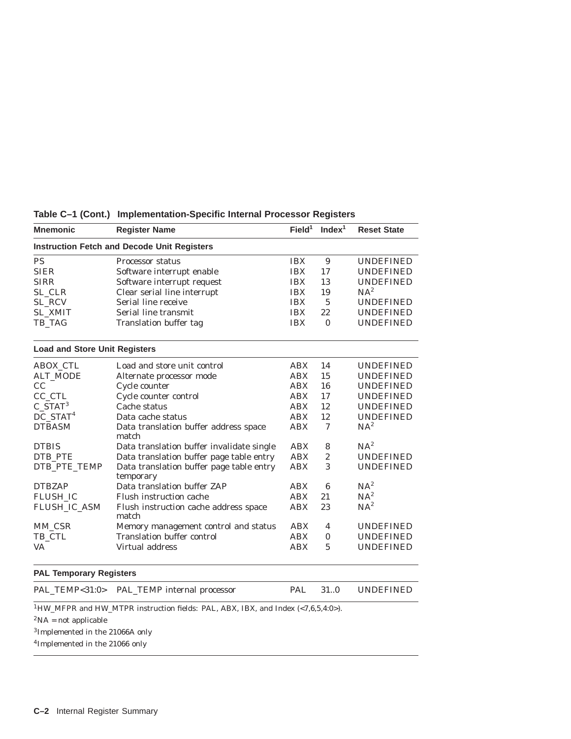| <b>Mnemonic</b>                                    | <b>Register Name</b>                                  | Field <sup>1</sup> | Index <sup>1</sup> | <b>Reset State</b> |  |  |
|----------------------------------------------------|-------------------------------------------------------|--------------------|--------------------|--------------------|--|--|
| <b>Instruction Fetch and Decode Unit Registers</b> |                                                       |                    |                    |                    |  |  |
| <b>PS</b>                                          | <b>Processor status</b>                               | <b>IBX</b>         | 9                  | <b>UNDEFINED</b>   |  |  |
| <b>SIER</b>                                        | Software interrupt enable                             | <b>IBX</b>         | 17                 | <b>UNDEFINED</b>   |  |  |
| <b>SIRR</b>                                        | Software interrupt request                            | <b>IBX</b>         | 13                 | <b>UNDEFINED</b>   |  |  |
| SL_CLR                                             | Clear serial line interrupt                           | <b>IBX</b>         | 19                 | $NA^2$             |  |  |
| SL_RCV                                             | Serial line receive                                   | <b>IBX</b>         | $\overline{5}$     | <b>UNDEFINED</b>   |  |  |
| <b>SL_XMIT</b>                                     | Serial line transmit                                  | <b>IBX</b>         | 22                 | <b>UNDEFINED</b>   |  |  |
| TB_TAG                                             | <b>Translation buffer tag</b>                         | <b>IBX</b>         | $\mathbf{0}$       | <b>UNDEFINED</b>   |  |  |
| <b>Load and Store Unit Registers</b>               |                                                       |                    |                    |                    |  |  |
| <b>ABOX_CTL</b>                                    | Load and store unit control                           | <b>ABX</b>         | 14                 | <b>UNDEFINED</b>   |  |  |
| <b>ALT_MODE</b>                                    | Alternate processor mode                              | <b>ABX</b>         | 15                 | <b>UNDEFINED</b>   |  |  |
| CC                                                 | Cycle counter                                         | <b>ABX</b>         | 16                 | <b>UNDEFINED</b>   |  |  |
| CC_CTL                                             | Cycle counter control                                 | <b>ABX</b>         | 17                 | <b>UNDEFINED</b>   |  |  |
| $C_{STAT}^3$                                       | Cache status                                          | <b>ABX</b>         | 12                 | <b>UNDEFINED</b>   |  |  |
| $DC_$ STAT <sup>4</sup>                            | Data cache status                                     | <b>ABX</b>         | 12                 | <b>UNDEFINED</b>   |  |  |
| <b>DTBASM</b>                                      | Data translation buffer address space<br>match        | <b>ABX</b>         | 7                  | $NA^2$             |  |  |
| <b>DTBIS</b>                                       | Data translation buffer invalidate single             | <b>ABX</b>         | 8                  | $NA^2$             |  |  |
| DTB_PTE                                            | Data translation buffer page table entry              | <b>ABX</b>         | $\overline{2}$     | <b>UNDEFINED</b>   |  |  |
| DTB_PTE_TEMP                                       | Data translation buffer page table entry<br>temporary | <b>ABX</b>         | 3                  | <b>UNDEFINED</b>   |  |  |
| <b>DTBZAP</b>                                      | Data translation buffer ZAP                           | <b>ABX</b>         | 6                  | $NA^2$             |  |  |
| <b>FLUSH IC</b>                                    | Flush instruction cache                               | <b>ABX</b>         | 21                 | $NA^2$             |  |  |
| FLUSH_IC_ASM                                       | Flush instruction cache address space<br>match        | <b>ABX</b>         | 23                 | $NA^2$             |  |  |
| MM_CSR                                             | Memory management control and status                  | <b>ABX</b>         | $\overline{4}$     | <b>UNDEFINED</b>   |  |  |
| TB_CTL                                             | <b>Translation buffer control</b>                     | <b>ABX</b>         | $\Omega$           | <b>UNDEFINED</b>   |  |  |
| <b>VA</b>                                          | Virtual address                                       | <b>ABX</b>         | $\overline{5}$     | <b>UNDEFINED</b>   |  |  |
| <b>PAL Temporary Registers</b>                     |                                                       |                    |                    |                    |  |  |
|                                                    | PAL_TEMP<31:0> PAL_TEMP internal processor            | <b>PAL</b>         | 31.0               | <b>UNDEFINED</b>   |  |  |

**Table C–1 (Cont.) Implementation-Specific Internal Processor Registers**

 $^1\rm{HW\_MFPR}$  and  $\rm{HW\_MTPR}$  instruction fields: PAL, ABX, IBX, and Index (<7,6,5,4:0>).

 $\rm ^2NA$  = not applicable

3Implemented in the 21066A only

4Implemented in the 21066 only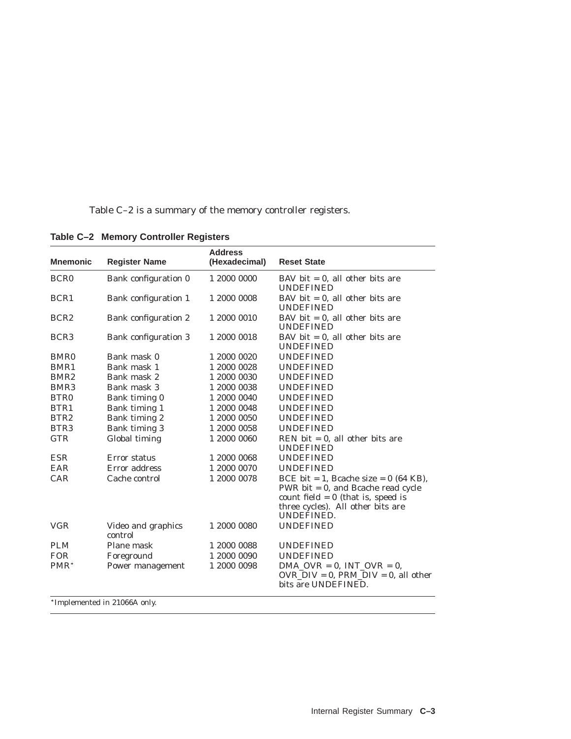Table C–2 is a summary of the memory controller registers.

| <b>Mnemonic</b>  | <b>Register Name</b>          | <b>Address</b><br>(Hexadecimal) | <b>Reset State</b>                                                                                                                                                          |
|------------------|-------------------------------|---------------------------------|-----------------------------------------------------------------------------------------------------------------------------------------------------------------------------|
| BCR <sub>0</sub> | Bank configuration 0          | 1 2000 0000                     | BAV bit $= 0$ , all other bits are<br><b>UNDEFINED</b>                                                                                                                      |
| BCR <sub>1</sub> | Bank configuration 1          | 1 2000 0008                     | BAV bit $= 0$ , all other bits are<br><b>UNDEFINED</b>                                                                                                                      |
| BCR <sub>2</sub> | Bank configuration 2          | 1 2000 0010                     | BAV bit $= 0$ , all other bits are<br><b>UNDEFINED</b>                                                                                                                      |
| BCR <sub>3</sub> | Bank configuration 3          | 1 2000 0018                     | BAV bit $= 0$ , all other bits are<br><b>UNDEFINED</b>                                                                                                                      |
| BMR <sub>0</sub> | Bank mask 0                   | 1 2000 0020                     | <b>UNDEFINED</b>                                                                                                                                                            |
| BMR1             | Bank mask 1                   | 1 2000 0028                     | <b>UNDEFINED</b>                                                                                                                                                            |
| BMR <sub>2</sub> | Bank mask 2                   | 1 2000 0030                     | <b>UNDEFINED</b>                                                                                                                                                            |
| BMR <sub>3</sub> | Bank mask 3                   | 1 2000 0038                     | <b>UNDEFINED</b>                                                                                                                                                            |
| BTR <sub>0</sub> | Bank timing 0                 | 1 2000 0040                     | <b>UNDEFINED</b>                                                                                                                                                            |
| BTR1             | Bank timing 1                 | 1 2000 0048                     | UNDEFINED                                                                                                                                                                   |
| BTR <sub>2</sub> | Bank timing 2                 | 1 2000 0050                     | <b>UNDEFINED</b>                                                                                                                                                            |
| BTR <sub>3</sub> | Bank timing 3                 | 1 2000 0058                     | <b>UNDEFINED</b>                                                                                                                                                            |
| <b>GTR</b>       | Global timing                 | 1 2000 0060                     | REN bit $= 0$ , all other bits are<br><b>UNDEFINED</b>                                                                                                                      |
| <b>ESR</b>       | Error status                  | 1 2000 0068                     | <b>UNDEFINED</b>                                                                                                                                                            |
| EAR              | Error address                 | 1 2000 0070                     | <b>UNDEFINED</b>                                                                                                                                                            |
| CAR              | Cache control                 | 1 2000 0078                     | BCE bit = 1, Bcache size = $0$ (64 KB),<br>PWR bit $= 0$ , and Bcache read cycle<br>count field $= 0$ (that is, speed is<br>three cycles). All other bits are<br>UNDEFINED. |
| <b>VGR</b>       | Video and graphics<br>control | 1 2000 0080                     | <b>UNDEFINED</b>                                                                                                                                                            |
| <b>PLM</b>       | Plane mask                    | 1 2000 0088                     | <b>UNDEFINED</b>                                                                                                                                                            |
| <b>FOR</b>       | Foreground                    | 1 2000 0090                     | <b>UNDEFINED</b>                                                                                                                                                            |
| PMR <sup>*</sup> | Power management              | 1 2000 0098                     | $DMA_OVR = 0$ , $INT_OVR = 0$ ,<br>$OVR_DIV = 0$ , PRM_DIV = 0, all other<br>bits are UNDEFINED.                                                                            |
|                  | *Implemented in 21066A only.  |                                 |                                                                                                                                                                             |

**Table C–2 Memory Controller Registers**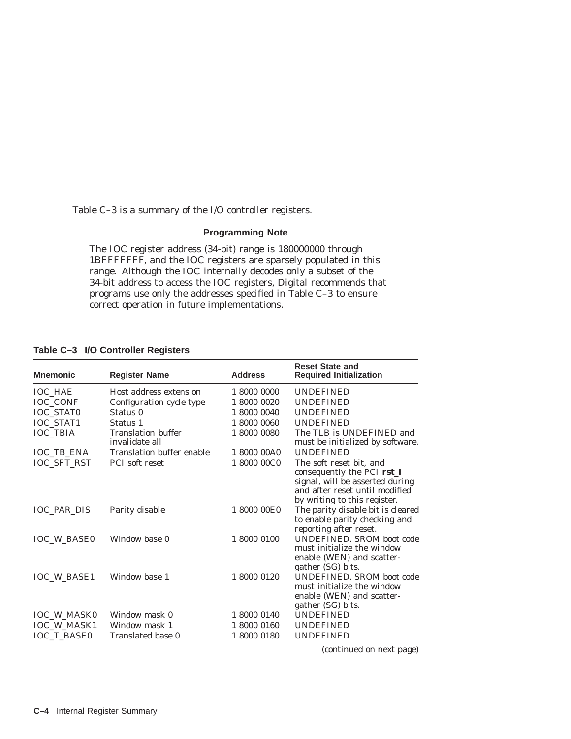Table C–3 is a summary of the I/O controller registers.

#### **Programming Note**

The IOC register address (34-bit) range is 180000000 through 1BFFFFFFF, and the IOC registers are sparsely populated in this range. Although the IOC internally decodes only a subset of the 34-bit address to access the IOC registers, Digital recommends that programs use only the addresses specified in Table C–3 to ensure correct operation in future implementations.

#### **Table C–3 I/O Controller Registers**

| <b>Mnemonic</b>    | <b>Register Name</b>             | <b>Address</b> | <b>Reset State and</b><br><b>Required Initialization</b>                                                                                                   |
|--------------------|----------------------------------|----------------|------------------------------------------------------------------------------------------------------------------------------------------------------------|
| <b>IOC HAE</b>     | Host address extension           | 1 8000 0000    | <b>UNDEFINED</b>                                                                                                                                           |
| IOC_CONF           | Configuration cycle type         | 1 8000 0020    | <b>UNDEFINED</b>                                                                                                                                           |
| IOC_STAT0          | Status 0                         | 1 8000 0040    | <b>UNDEFINED</b>                                                                                                                                           |
| IOC_STAT1          | Status 1                         | 1 8000 0060    | <b>UNDEFINED</b>                                                                                                                                           |
| <b>IOC TBIA</b>    | <b>Translation buffer</b>        | 1 8000 0080    | The TLB is UNDEFINED and                                                                                                                                   |
|                    | invalidate all                   |                | must be initialized by software.                                                                                                                           |
| <b>IOC TB ENA</b>  | <b>Translation buffer enable</b> | 1 8000 00A0    | <b>UNDEFINED</b>                                                                                                                                           |
| <b>IOC_SFT_RST</b> | <b>PCI</b> soft reset            | 1 8000 00C0    | The soft reset bit, and<br>consequently the PCI rst_I<br>signal, will be asserted during<br>and after reset until modified<br>by writing to this register. |
| <b>IOC PAR DIS</b> | Parity disable                   | 1 8000 00E0    | The parity disable bit is cleared<br>to enable parity checking and<br>reporting after reset.                                                               |
| <b>IOC W BASE0</b> | Window base 0                    | 1 8000 0100    | <b>UNDEFINED. SROM boot code</b><br>must initialize the window<br>enable (WEN) and scatter-<br>gather (SG) bits.                                           |
| <b>IOC W BASE1</b> | Window base 1                    | 1 8000 0120    | <b>UNDEFINED. SROM boot code</b><br>must initialize the window<br>enable (WEN) and scatter-<br>gather (SG) bits.                                           |
| <b>IOC_W_MASK0</b> | Window mask 0                    | 1 8000 0140    | <b>UNDEFINED</b>                                                                                                                                           |
| IOC_W_MASK1        | Window mask 1                    | 1 8000 0160    | <b>UNDEFINED</b>                                                                                                                                           |
| <b>IOC_T_BASE0</b> | Translated base 0                | 1 8000 0180    | <b>UNDEFINED</b>                                                                                                                                           |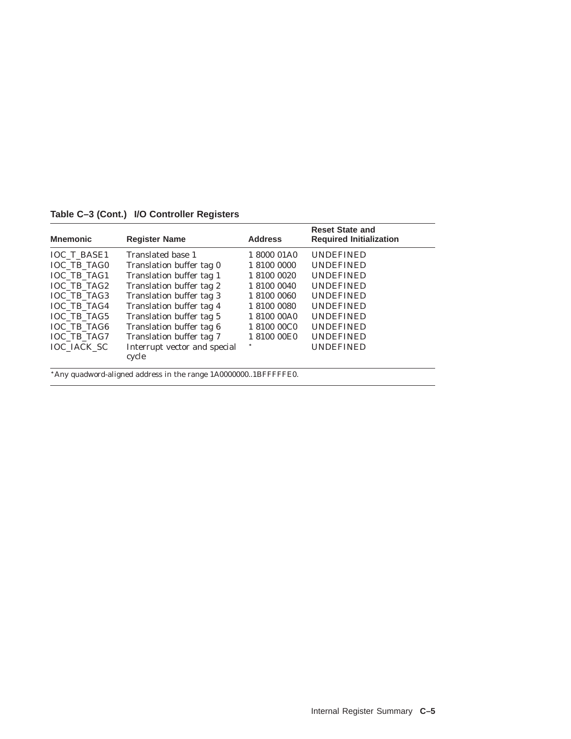**Table C–3 (Cont.) I/O Controller Registers**

| <b>Mnemonic</b>    | <b>Register Name</b>                                           | <b>Address</b> | <b>Reset State and</b><br><b>Required Initialization</b> |
|--------------------|----------------------------------------------------------------|----------------|----------------------------------------------------------|
| <b>IOC T BASE1</b> | Translated base 1                                              | 1 8000 01A0    | <b>UNDEFINED</b>                                         |
| <b>IOC TB TAG0</b> | Translation buffer tag 0                                       | 1 8100 0000    | <b>UNDEFINED</b>                                         |
| <b>IOC TB TAG1</b> | Translation buffer tag 1                                       | 1 8100 0020    | <b>UNDEFINED</b>                                         |
| IOC TB TAG2        | Translation buffer tag 2                                       | 1 8100 0040    | <b>UNDEFINED</b>                                         |
| <b>IOC TB TAG3</b> | Translation buffer tag 3                                       | 1 8100 0060    | <b>UNDEFINED</b>                                         |
| <b>IOC TB TAG4</b> | Translation buffer tag 4                                       | 1 8100 0080    | <b>UNDEFINED</b>                                         |
| <b>IOC TB TAG5</b> | Translation buffer tag 5                                       | 1 8100 00A0    | <b>UNDEFINED</b>                                         |
| <b>IOC TB TAG6</b> | Translation buffer tag 6                                       | 18100 00C0     | <b>UNDEFINED</b>                                         |
| <b>IOC TB TAG7</b> | Translation buffer tag 7                                       | 1 8100 00E0    | <b>UNDEFINED</b>                                         |
| <b>IOC IACK SC</b> | Interrupt vector and special<br>cycle                          |                | <b>UNDEFINED</b>                                         |
|                    | *Any quadword-aligned address in the range 1A00000001BFFFFFE0. |                |                                                          |

Internal Register Summary **C–5**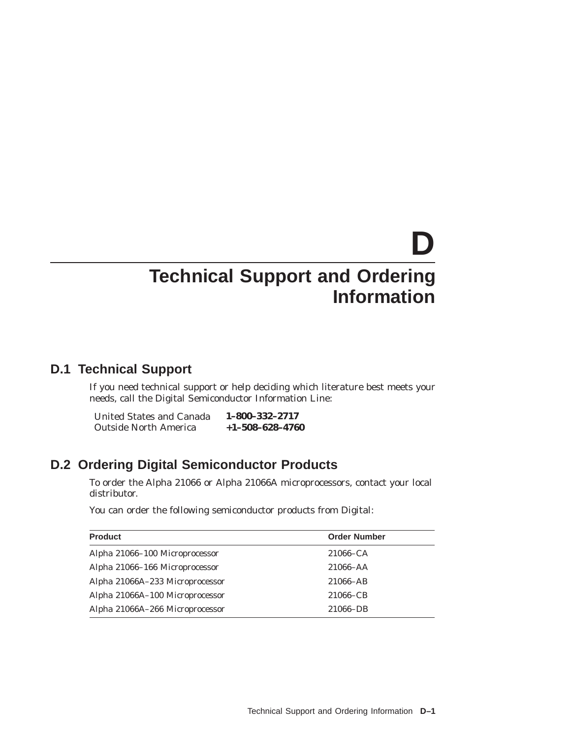# **D Technical Support and Ordering Information**

### **D.1 Technical Support**

If you need technical support or help deciding which literature best meets your needs, call the Digital Semiconductor Information Line:

| United States and Canada     | 1-800-332-2717          |
|------------------------------|-------------------------|
| <b>Outside North America</b> | $+1 - 508 - 628 - 4760$ |

### **D.2 Ordering Digital Semiconductor Products**

To order the Alpha 21066 or Alpha 21066A microprocessors, contact your local distributor.

You can order the following semiconductor products from Digital:

| <b>Product</b>                  | <b>Order Number</b> |
|---------------------------------|---------------------|
| Alpha 21066–100 Microprocessor  | $21066 - CA$        |
| Alpha 21066-166 Microprocessor  | $21066 - AA$        |
| Alpha 21066A-233 Microprocessor | $21066 - AB$        |
| Alpha 21066A-100 Microprocessor | 21066–CB            |
| Alpha 21066A-266 Microprocessor | 21066-DB            |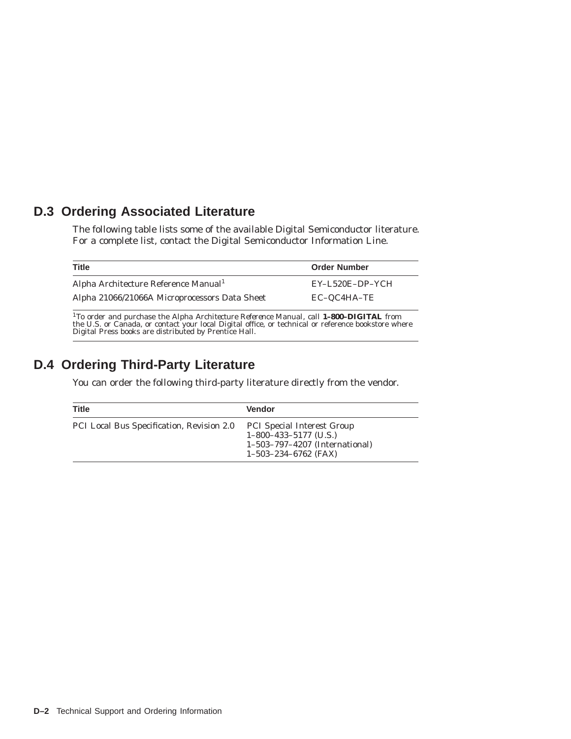## **D.3 Ordering Associated Literature**

The following table lists some of the available Digital Semiconductor literature. For a complete list, contact the Digital Semiconductor Information Line.

| <b>Title</b>                                                                                                                                                                                                           | <b>Order Number</b> |
|------------------------------------------------------------------------------------------------------------------------------------------------------------------------------------------------------------------------|---------------------|
| Alpha Architecture Reference Manual <sup>1</sup>                                                                                                                                                                       | EY-L520E-DP-YCH     |
| Alpha 21066/21066A Microprocessors Data Sheet                                                                                                                                                                          | EC-QC4HA-TE         |
| <sup>1</sup> To order and purchase the <i>Alpha Architecture Reference Manual</i> , call <b>1-800-DIGITAL</b> from the U.S. or Canada, or contact your local Digital office, or technical or reference bookstore where |                     |

the U.S. or Canada, or contact your local Digital office, or technical or reference bookstore where Digital Press books are distributed by Prentice Hall.

# **D.4 Ordering Third-Party Literature**

You can order the following third-party literature directly from the vendor.

| <b>Title</b>                              | <b>Vendor</b>                                                                                                            |
|-------------------------------------------|--------------------------------------------------------------------------------------------------------------------------|
| PCI Local Bus Specification, Revision 2.0 | <b>PCI Special Interest Group</b><br>$1-800-433-5177$ (U.S.)<br>1-503-797-4207 (International)<br>$1-503-234-6762$ (FAX) |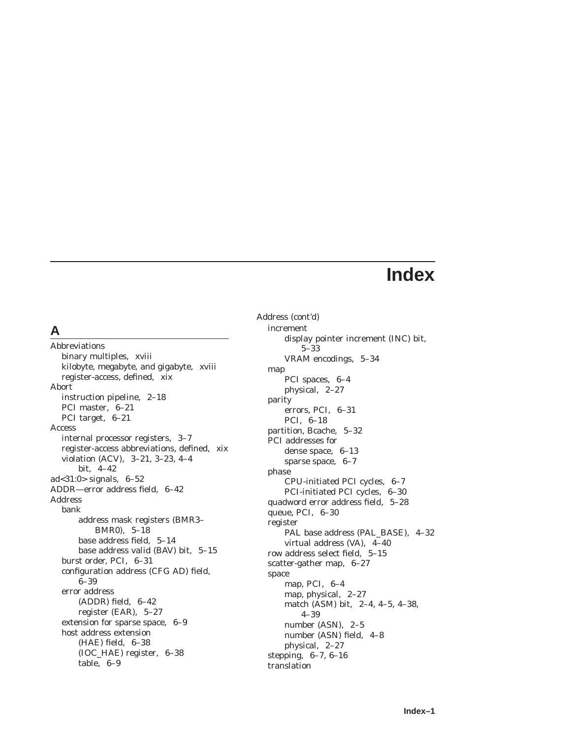# **Index**

### **A**

Abbreviations binary multiples, xviii kilobyte, megabyte, and gigabyte, xviii register-access, defined, xix Abort instruction pipeline, 2–18 PCI master, 6–21 PCI target, 6–21 Access internal processor registers, 3–7 register-access abbreviations, defined, xix violation (ACV), 3–21, 3–23, 4–4 bit, 4–42 ad<31:0> signals, 6–52 ADDR—error address field, 6–42 Address bank address mask registers (BMR3– BMR0), 5–18 base address field, 5–14 base address valid (BAV) bit, 5–15 burst order, PCI, 6–31 configuration address (CFG AD) field, 6–39 error address (ADDR) field, 6–42 register (EAR), 5–27 extension for sparse space, 6–9 host address extension (HAE) field, 6–38 (IOC\_HAE) register, 6–38 table, 6–9

Address (cont'd) increment display pointer increment (INC) bit, 5–33 VRAM encodings, 5–34 map PCI spaces, 6–4 physical, 2–27 parity errors, PCI, 6–31 PCI, 6–18 partition, Bcache, 5–32 PCI addresses for dense space, 6–13 sparse space, 6–7 phase CPU-initiated PCI cycles, 6–7 PCI-initiated PCI cycles, 6–30 quadword error address field, 5–28 queue, PCI, 6–30 register PAL base address (PAL\_BASE), 4–32 virtual address (VA), 4–40 row address select field, 5–15 scatter-gather map, 6–27 space map, PCI, 6–4 map, physical, 2–27 match (ASM) bit, 2–4, 4–5, 4–38, 4–39 number (ASN), 2–5 number (ASN) field, 4–8 physical, 2–27 stepping, 6–7, 6–16 translation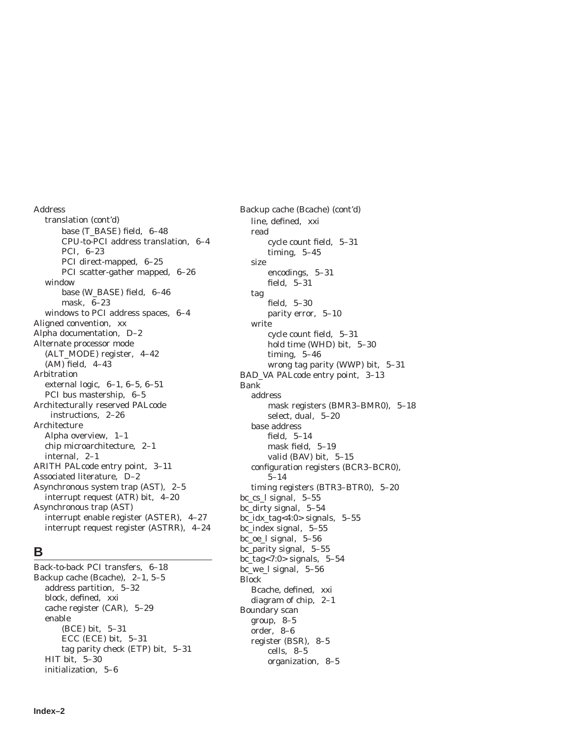Address translation (cont'd) base (T\_BASE) field, 6–48 CPU-to-PCI address translation, 6–4 PCI, 6–23 PCI direct-mapped, 6–25 PCI scatter-gather mapped, 6–26 window base (W\_BASE) field, 6–46 mask, 6–23 windows to PCI address spaces, 6–4 Aligned convention, xx Alpha documentation, D–2 Alternate processor mode (ALT\_MODE) register, 4–42 (AM) field, 4–43 Arbitration external logic, 6–1, 6–5, 6–51 PCI bus mastership, 6–5 Architecturally reserved PALcode instructions, 2–26 Architecture Alpha overview, 1–1 chip microarchitecture, 2–1 internal, 2–1 ARITH PALcode entry point, 3–11 Associated literature, D–2 Asynchronous system trap (AST), 2–5 interrupt request (ATR) bit, 4–20 Asynchronous trap (AST) interrupt enable register (ASTER), 4–27 interrupt request register (ASTRR), 4–24

### **B**

Back-to-back PCI transfers, 6–18 Backup cache (Bcache), 2–1, 5–5 address partition, 5–32 block, defined, xxi cache register (CAR), 5–29 enable (BCE) bit, 5–31 ECC (ECE) bit, 5–31 tag parity check (ETP) bit, 5–31 HIT bit, 5–30 initialization, 5–6

Backup cache (Bcache) (cont'd) line, defined, xxi read cycle count field, 5–31 timing, 5–45 size encodings, 5–31 field, 5–31 tag field, 5–30 parity error, 5–10 write cycle count field, 5–31 hold time (WHD) bit, 5–30 timing, 5–46 wrong tag parity (WWP) bit, 5–31 BAD\_VA PALcode entry point, 3–13 Bank address mask registers (BMR3–BMR0), 5–18 select, dual, 5–20 base address field, 5–14 mask field, 5–19 valid (BAV) bit, 5–15 configuration registers (BCR3–BCR0), 5–14 timing registers (BTR3–BTR0), 5–20 bc\_cs\_l signal, 5–55 bc\_dirty signal, 5–54 bc\_idx\_tag<4:0> signals, 5–55 bc\_index signal, 5–55 bc\_oe\_l signal, 5–56 bc\_parity signal, 5–55 bc\_tag<7:0> signals, 5–54 bc\_we\_l signal, 5–56 Block Bcache, defined, xxi diagram of chip, 2–1 Boundary scan group, 8–5 order, 8–6 register (BSR), 8–5 cells, 8–5 organization, 8–5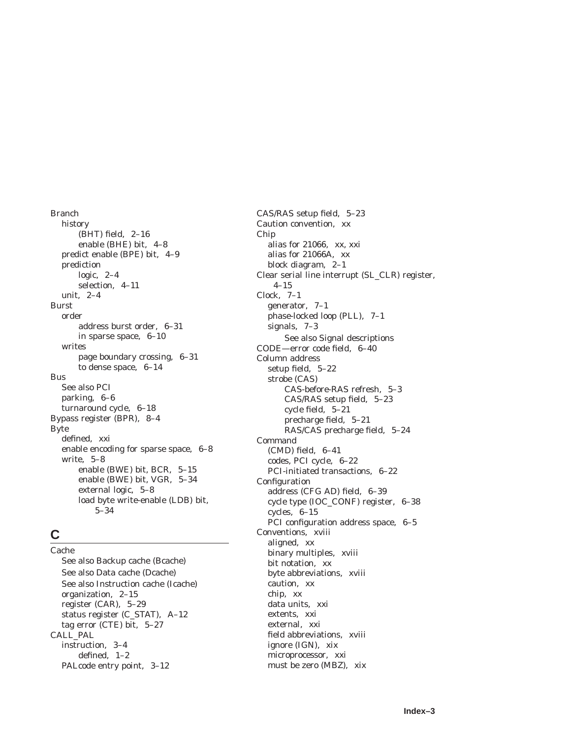Branch history (BHT) field, 2–16 enable (BHE) bit, 4–8 predict enable (BPE) bit, 4–9 prediction logic, 2–4 selection, 4–11 unit, 2–4 Burst order address burst order, 6–31 in sparse space, 6–10 writes page boundary crossing, 6–31 to dense space, 6–14 Bus See also PCI parking, 6–6 turnaround cycle, 6–18 Bypass register (BPR), 8–4 Byte defined, xxi enable encoding for sparse space, 6–8 write, 5–8 enable (BWE) bit, BCR, 5–15 enable (BWE) bit, VGR, 5–34 external logic, 5–8 load byte write-enable (LDB) bit, 5–34

### **C**

Cache See also Backup cache (Bcache) See also Data cache (Dcache) See also Instruction cache (Icache) organization, 2–15 register (CAR), 5–29 status register (C\_STAT), A–12 tag error (CTE) bit, 5–27 CALL\_PAL instruction, 3–4 defined, 1–2 PALcode entry point, 3–12

CAS/RAS setup field, 5–23 Caution convention, xx Chip alias for 21066, xx, xxi alias for 21066A, xx block diagram, 2–1 Clear serial line interrupt (SL\_CLR) register, 4–15 Clock, 7–1 generator, 7–1 phase-locked loop (PLL), 7–1 signals, 7–3 See also Signal descriptions CODE—error code field, 6–40 Column address setup field, 5–22 strobe (CAS) CAS-before-RAS refresh, 5–3 CAS/RAS setup field, 5–23 cycle field, 5–21 precharge field, 5–21 RAS/CAS precharge field, 5–24 Command (CMD) field, 6–41 codes, PCI cycle, 6–22 PCI-initiated transactions, 6–22 Configuration address (CFG AD) field, 6–39 cycle type (IOC\_CONF) register, 6–38 cycles, 6–15 PCI configuration address space, 6–5 Conventions, xviii aligned, xx binary multiples, xviii bit notation, xx byte abbreviations, xviii caution, xx chip, xx data units, xxi extents, xxi external, xxi field abbreviations, xviii ignore (IGN), xix microprocessor, xxi must be zero (MBZ), xix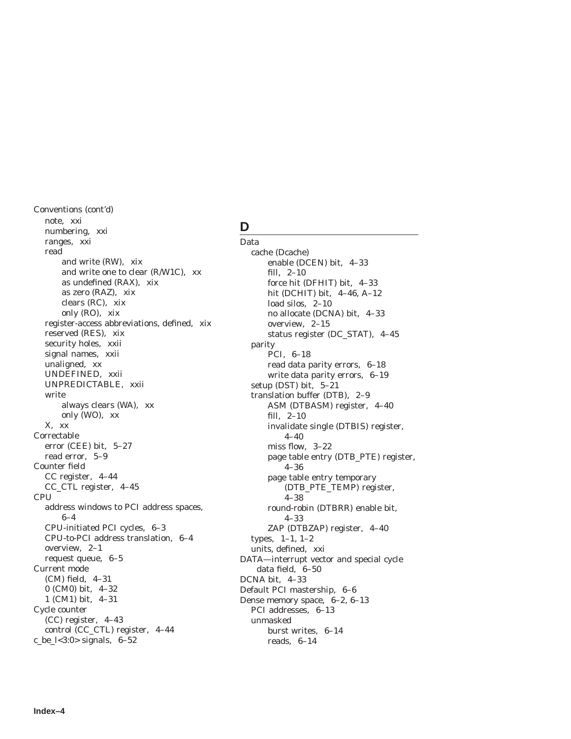Conventions (cont'd) note, xxi numbering, xxi ranges, xxi read and write (RW), xix and write one to clear (R/W1C), xx as undefined (RAX), xix as zero (RAZ), xix clears (RC), xix only (RO), xix register-access abbreviations, defined, xix reserved (RES), xix security holes, xxii signal names, xxii unaligned, xx UNDEFINED, xxii UNPREDICTABLE, xxii write always clears (WA), xx only (WO), xx X, xx Correctable error (CEE) bit, 5–27 read error, 5–9 Counter field CC register, 4–44 CC\_CTL register, 4–45 CPU address windows to PCI address spaces, 6–4 CPU-initiated PCI cycles, 6–3 CPU-to-PCI address translation, 6–4 overview, 2–1 request queue, 6–5 Current mode (CM) field, 4–31 0 (CM0) bit, 4–32 1 (CM1) bit, 4–31 Cycle counter (CC) register, 4–43 control (CC\_CTL) register, 4–44 c\_be\_l<3:0> signals, 6–52

### **D**

Data cache (Dcache) enable (DCEN) bit, 4–33 fill, 2–10 force hit (DFHIT) bit, 4–33 hit (DCHIT) bit, 4–46, A–12 load silos, 2–10 no allocate (DCNA) bit, 4–33 overview, 2–15 status register (DC\_STAT), 4–45 parity PCI, 6–18 read data parity errors, 6–18 write data parity errors, 6–19 setup (DST) bit, 5–21 translation buffer (DTB), 2–9 ASM (DTBASM) register, 4–40 fill, 2–10 invalidate single (DTBIS) register, 4–40 miss flow, 3–22 page table entry (DTB\_PTE) register, 4–36 page table entry temporary (DTB\_PTE\_TEMP) register, 4–38 round-robin (DTBRR) enable bit, 4–33 ZAP (DTBZAP) register, 4–40 types, 1–1, 1–2 units, defined, xxi DATA—interrupt vector and special cycle data field, 6–50 DCNA bit, 4–33 Default PCI mastership, 6–6 Dense memory space, 6–2, 6–13 PCI addresses, 6–13 unmasked burst writes, 6–14 reads, 6–14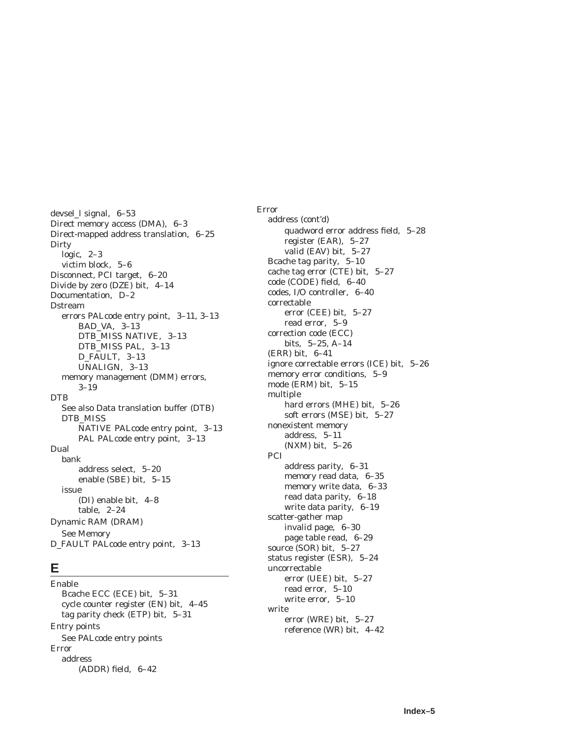devsel\_l signal, 6–53 Direct memory access (DMA), 6–3 Direct-mapped address translation, 6–25 **Dirty** logic, 2–3 victim block, 5–6 Disconnect, PCI target, 6–20 Divide by zero (DZE) bit, 4–14 Documentation, D–2 Dstream errors PALcode entry point, 3–11, 3–13 BAD\_VA, 3–13 DTB\_MISS NATIVE, 3–13 DTB\_MISS PAL, 3–13 D\_FAULT, 3–13 UNALIGN, 3–13 memory management (DMM) errors, 3–19 DTB See also Data translation buffer (DTB) DTB\_MISS NATIVE PALcode entry point, 3–13 PAL PALcode entry point, 3–13 Dual bank address select, 5–20 enable (SBE) bit, 5–15 issue (DI) enable bit, 4–8 table, 2–24 Dynamic RAM (DRAM) See Memory D\_FAULT PALcode entry point, 3–13

### **E**

Enable Bcache ECC (ECE) bit, 5–31 cycle counter register (EN) bit, 4–45 tag parity check (ETP) bit, 5–31 Entry points See PALcode entry points Error address (ADDR) field, 6–42

Error address (cont'd) quadword error address field, 5–28 register (EAR), 5–27 valid (EAV) bit, 5–27 Bcache tag parity, 5–10 cache tag error (CTE) bit, 5–27 code (CODE) field, 6–40 codes, I/O controller, 6–40 correctable error (CEE) bit, 5–27 read error, 5–9 correction code (ECC) bits, 5–25, A–14 (ERR) bit, 6–41 ignore correctable errors (ICE) bit, 5–26 memory error conditions, 5–9 mode (ERM) bit, 5–15 multiple hard errors (MHE) bit, 5–26 soft errors (MSE) bit, 5–27 nonexistent memory address, 5–11 (NXM) bit, 5–26 PCI address parity, 6–31 memory read data, 6–35 memory write data, 6–33 read data parity, 6–18 write data parity, 6–19 scatter-gather map invalid page, 6–30 page table read, 6–29 source (SOR) bit, 5–27 status register (ESR), 5–24 uncorrectable error (UEE) bit, 5–27 read error, 5–10 write error, 5–10 write error (WRE) bit, 5–27 reference (WR) bit, 4–42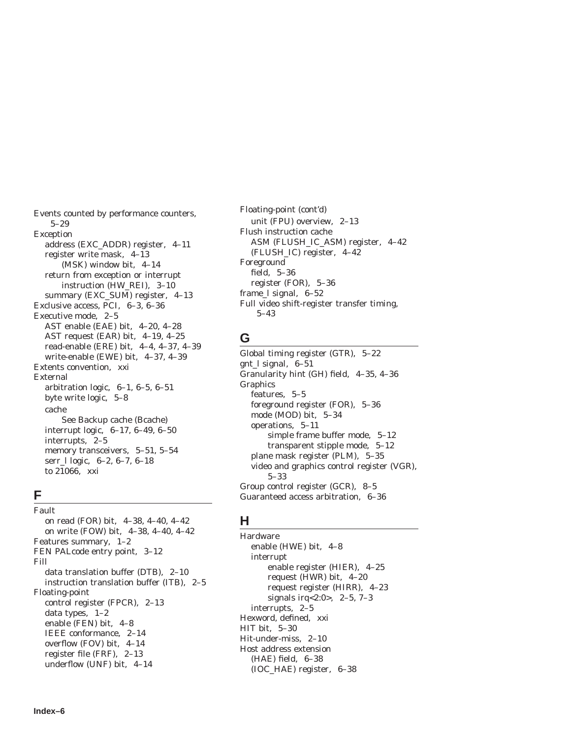Events counted by performance counters, 5–29 Exception address (EXC\_ADDR) register, 4–11 register write mask, 4–13 (MSK) window bit, 4–14 return from exception or interrupt instruction (HW\_REI), 3–10 summary (EXC\_SUM) register, 4–13 Exclusive access, PCI, 6–3, 6–36 Executive mode, 2–5 AST enable (EAE) bit, 4–20, 4–28 AST request (EAR) bit, 4–19, 4–25 read-enable (ERE) bit, 4–4, 4–37, 4–39 write-enable (EWE) bit, 4–37, 4–39 Extents convention, xxi External arbitration logic, 6–1, 6–5, 6–51 byte write logic, 5–8 cache See Backup cache (Bcache) interrupt logic, 6–17, 6–49, 6–50 interrupts, 2–5 memory transceivers, 5–51, 5–54 serr\_l logic, 6–2, 6–7, 6–18 to 21066, xxi

### **F**

Fault on read (FOR) bit, 4–38, 4–40, 4–42 on write (FOW) bit, 4–38, 4–40, 4–42 Features summary, 1–2 FEN PALcode entry point, 3–12 Fill data translation buffer (DTB), 2–10 instruction translation buffer (ITB), 2–5 Floating-point control register (FPCR), 2–13 data types, 1–2 enable (FEN) bit, 4–8 IEEE conformance, 2–14 overflow (FOV) bit, 4–14 register file (FRF), 2–13 underflow (UNF) bit, 4–14

Floating-point (cont'd) unit (FPU) overview, 2–13 Flush instruction cache ASM (FLUSH\_IC\_ASM) register, 4–42 (FLUSH\_IC) register, 4–42 Foreground field, 5–36 register (FOR), 5–36 frame\_l signal, 6–52 Full video shift-register transfer timing, 5–43

### **G**

Global timing register (GTR), 5–22 gnt\_l signal, 6–51 Granularity hint (GH) field, 4–35, 4–36 **Graphics** features, 5–5 foreground register (FOR), 5–36 mode (MOD) bit, 5–34 operations, 5–11 simple frame buffer mode, 5–12 transparent stipple mode, 5–12 plane mask register (PLM), 5–35 video and graphics control register (VGR), 5–33 Group control register (GCR), 8–5 Guaranteed access arbitration, 6–36

### **H**

Hardware enable (HWE) bit, 4–8 interrupt enable register (HIER), 4–25 request (HWR) bit, 4–20 request register (HIRR), 4–23 signals irq<2:0>, 2–5, 7–3 interrupts, 2–5 Hexword, defined, xxi HIT bit, 5–30 Hit-under-miss, 2–10 Host address extension (HAE) field, 6–38 (IOC\_HAE) register, 6–38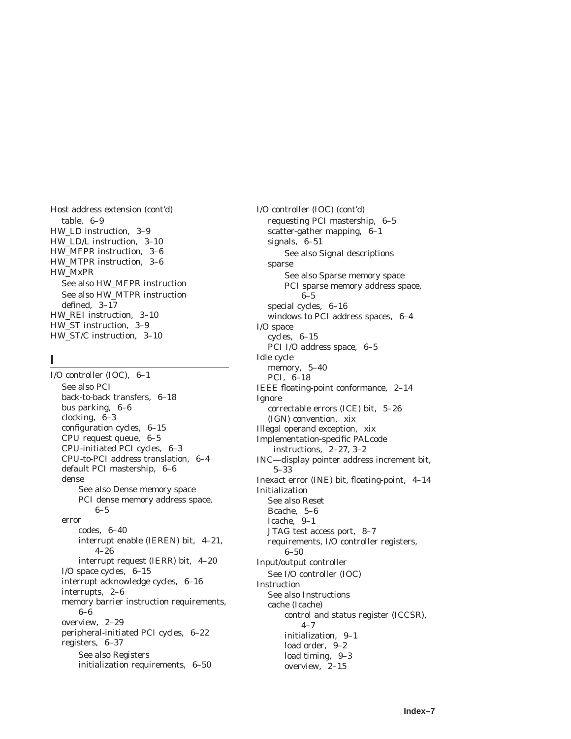Host address extension (cont'd) table, 6–9 HW\_LD instruction, 3–9 HW\_LD/L instruction, 3–10 HW\_MFPR instruction, 3–6 HW\_MTPR instruction, 3–6 HW\_MxPR See also HW\_MFPR instruction See also HW\_MTPR instruction defined, 3–17 HW\_REI instruction, 3–10 HW\_ST instruction, 3–9 HW\_ST/C instruction, 3–10

### **I**

I/O controller (IOC), 6–1 See also PCI back-to-back transfers, 6–18 bus parking, 6–6 clocking, 6–3 configuration cycles, 6–15 CPU request queue, 6–5 CPU-initiated PCI cycles, 6–3 CPU-to-PCI address translation, 6–4 default PCI mastership, 6–6 dense See also Dense memory space PCI dense memory address space, 6–5 error codes, 6–40 interrupt enable (IEREN) bit, 4–21, 4–26 interrupt request (IERR) bit, 4–20 I/O space cycles, 6–15 interrupt acknowledge cycles, 6–16 interrupts, 2–6 memory barrier instruction requirements, 6–6 overview, 2–29 peripheral-initiated PCI cycles, 6–22 registers, 6–37 See also Registers initialization requirements, 6–50

I/O controller (IOC) (cont'd) requesting PCI mastership, 6–5 scatter-gather mapping, 6–1 signals, 6–51 See also Signal descriptions sparse See also Sparse memory space PCI sparse memory address space, 6–5 special cycles, 6–16 windows to PCI address spaces, 6–4 I/O space cycles, 6–15 PCI I/O address space, 6–5 Idle cycle memory, 5–40 PCI, 6–18 IEEE floating-point conformance, 2–14 Ignore correctable errors (ICE) bit, 5–26 (IGN) convention, xix Illegal operand exception, xix Implementation-specific PALcode instructions, 2–27, 3–2 INC—display pointer address increment bit, 5–33 Inexact error (INE) bit, floating-point, 4–14 Initialization See also Reset Bcache, 5–6 Icache, 9–1 JTAG test access port, 8–7 requirements, I/O controller registers, 6–50 Input/output controller See I/O controller (IOC) **Instruction** See also Instructions cache (Icache) control and status register (ICCSR),  $4 - 7$ initialization, 9–1 load order, 9–2 load timing, 9–3 overview, 2–15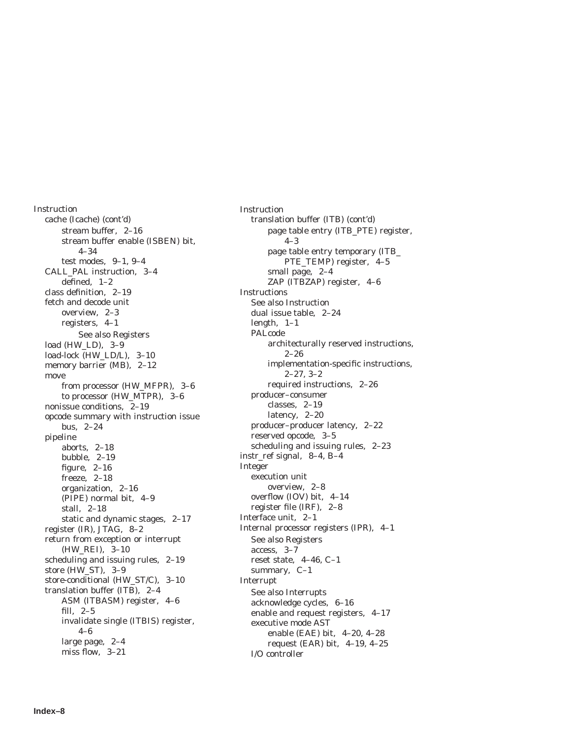Instruction cache (Icache) (cont'd) stream buffer, 2–16 stream buffer enable (ISBEN) bit, 4–34 test modes, 9–1, 9–4 CALL\_PAL instruction, 3–4 defined, 1–2 class definition, 2–19 fetch and decode unit overview, 2–3 registers, 4–1 See also Registers load (HW\_LD), 3-9 load-lock (HW\_LD/L), 3–10 memory barrier (MB), 2–12 move from processor (HW\_MFPR), 3–6 to processor (HW\_MTPR), 3–6 nonissue conditions, 2–19 opcode summary with instruction issue bus, 2–24 pipeline aborts, 2–18 bubble, 2–19 figure, 2–16 freeze, 2–18 organization, 2–16 (PIPE) normal bit, 4–9 stall, 2–18 static and dynamic stages, 2–17 register (IR), JTAG, 8–2 return from exception or interrupt (HW\_REI), 3–10 scheduling and issuing rules, 2–19 store (HW\_ST), 3–9 store-conditional (HW\_ST/C), 3–10 translation buffer (ITB), 2–4 ASM (ITBASM) register, 4–6 fill, 2–5 invalidate single (ITBIS) register, 4–6 large page, 2–4 miss flow, 3–21

Instruction translation buffer (ITB) (cont'd) page table entry (ITB\_PTE) register, 4–3 page table entry temporary (ITB\_ PTE\_TEMP) register, 4–5 small page, 2–4 ZAP (ITBZAP) register, 4–6 Instructions See also Instruction dual issue table, 2–24 length, 1–1 PALcode architecturally reserved instructions,  $2 - 26$ implementation-specific instructions, 2–27, 3–2 required instructions, 2–26 producer–consumer classes, 2–19 latency, 2–20 producer–producer latency, 2–22 reserved opcode, 3–5 scheduling and issuing rules, 2–23 instr\_ref signal, 8–4, B–4 Integer execution unit overview, 2–8 overflow (IOV) bit, 4–14 register file (IRF), 2–8 Interface unit, 2–1 Internal processor registers (IPR), 4–1 See also Registers access, 3–7 reset state, 4–46, C–1 summary, C–1 Interrupt See also Interrupts acknowledge cycles, 6–16 enable and request registers, 4–17 executive mode AST enable (EAE) bit, 4–20, 4–28 request (EAR) bit, 4–19, 4–25 I/O controller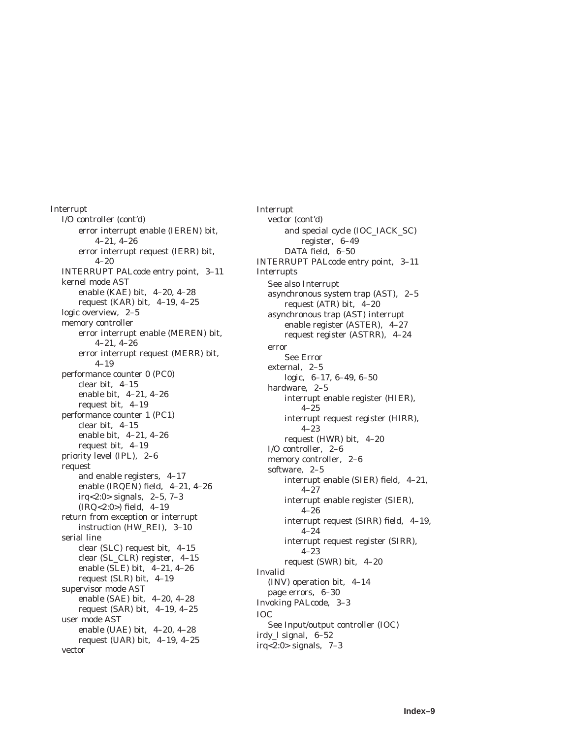Interrupt I/O controller (cont'd) error interrupt enable (IEREN) bit, 4–21, 4–26 error interrupt request (IERR) bit, 4–20 INTERRUPT PALcode entry point, 3–11 kernel mode AST enable (KAE) bit, 4–20, 4–28 request (KAR) bit, 4–19, 4–25 logic overview, 2–5 memory controller error interrupt enable (MEREN) bit, 4–21, 4–26 error interrupt request (MERR) bit, 4–19 performance counter 0 (PC0) clear bit, 4–15 enable bit, 4–21, 4–26 request bit, 4–19 performance counter 1 (PC1) clear bit, 4–15 enable bit, 4–21, 4–26 request bit, 4–19 priority level (IPL), 2–6 request and enable registers, 4–17 enable (IRQEN) field, 4–21, 4–26 irq<2:0> signals, 2–5, 7–3 (IRQ<2:0>) field, 4–19 return from exception or interrupt instruction (HW\_REI), 3–10 serial line clear (SLC) request bit, 4–15 clear (SL\_CLR) register, 4–15 enable (SLE) bit, 4–21, 4–26 request (SLR) bit, 4–19 supervisor mode AST enable (SAE) bit, 4–20, 4–28 request (SAR) bit, 4–19, 4–25 user mode AST enable (UAE) bit, 4–20, 4–28 request (UAR) bit, 4–19, 4–25 vector

Interrupt vector (cont'd) and special cycle (IOC\_IACK\_SC) register, 6–49 DATA field, 6–50 INTERRUPT PALcode entry point, 3–11 Interrupts See also Interrupt asynchronous system trap (AST), 2–5 request (ATR) bit, 4–20 asynchronous trap (AST) interrupt enable register (ASTER), 4–27 request register (ASTRR), 4–24 error See Error external, 2–5 logic, 6–17, 6–49, 6–50 hardware, 2–5 interrupt enable register (HIER), 4–25 interrupt request register (HIRR), 4–23 request (HWR) bit, 4–20 I/O controller, 2–6 memory controller, 2–6 software, 2–5 interrupt enable (SIER) field, 4–21, 4–27 interrupt enable register (SIER), 4–26 interrupt request (SIRR) field, 4–19,  $4 - 24$ interrupt request register (SIRR), 4–23 request (SWR) bit, 4–20 Invalid (INV) operation bit, 4–14 page errors, 6–30 Invoking PALcode, 3–3 IOC See Input/output controller (IOC) irdy\_l signal, 6–52 irq<2:0> signals, 7–3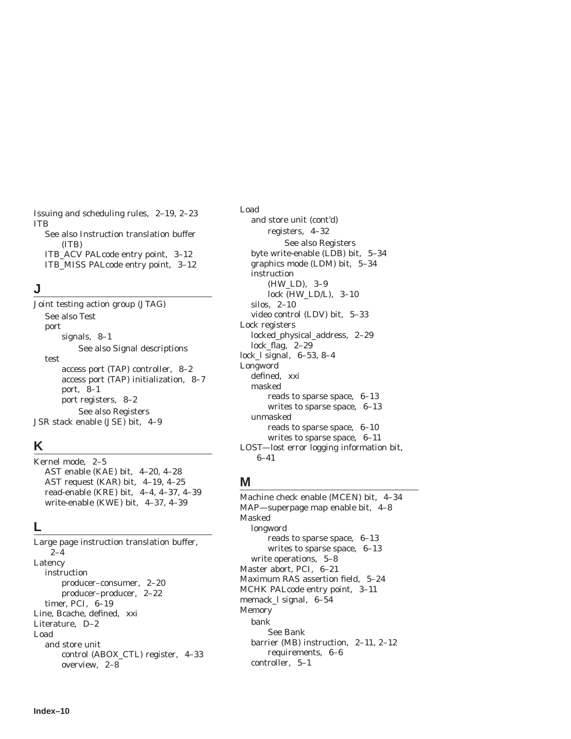Issuing and scheduling rules, 2–19, 2–23 ITB See also Instruction translation buffer (ITB) ITB\_ACV PALcode entry point, 3–12 ITB\_MISS PALcode entry point, 3–12

### **J**

Joint testing action group (JTAG) See also Test port signals, 8–1 See also Signal descriptions test access port (TAP) controller, 8–2 access port (TAP) initialization, 8–7 port, 8–1 port registers, 8–2 See also Registers JSR stack enable (JSE) bit, 4–9

# **K**

Kernel mode, 2–5 AST enable (KAE) bit, 4–20, 4–28 AST request (KAR) bit, 4–19, 4–25 read-enable (KRE) bit, 4–4, 4–37, 4–39 write-enable (KWE) bit, 4–37, 4–39

### **L**

Large page instruction translation buffer, 2–4 Latency instruction producer–consumer, 2–20 producer–producer, 2–22 timer, PCI, 6–19 Line, Bcache, defined, xxi Literature, D–2 Load and store unit control (ABOX\_CTL) register, 4–33 overview, 2–8

Load and store unit (cont'd) registers, 4–32 See also Registers byte write-enable (LDB) bit, 5–34 graphics mode (LDM) bit, 5–34 instruction (HW\_LD), 3–9 lock (HW\_LD/L), 3–10 silos, 2–10 video control (LDV) bit, 5–33 Lock registers locked\_physical\_address, 2–29 lock\_flag, 2–29 lock\_l signal, 6–53, 8–4 Longword defined, xxi masked reads to sparse space, 6–13 writes to sparse space, 6–13 unmasked reads to sparse space, 6–10 writes to sparse space, 6–11 LOST—lost error logging information bit, 6–41

# **M**

Machine check enable (MCEN) bit, 4–34 MAP—superpage map enable bit, 4–8 Masked longword reads to sparse space, 6–13 writes to sparse space, 6–13 write operations, 5–8 Master abort, PCI, 6–21 Maximum RAS assertion field, 5–24 MCHK PALcode entry point, 3–11 memack\_l signal, 6–54 Memory bank See Bank barrier (MB) instruction, 2–11, 2–12 requirements, 6–6 controller, 5–1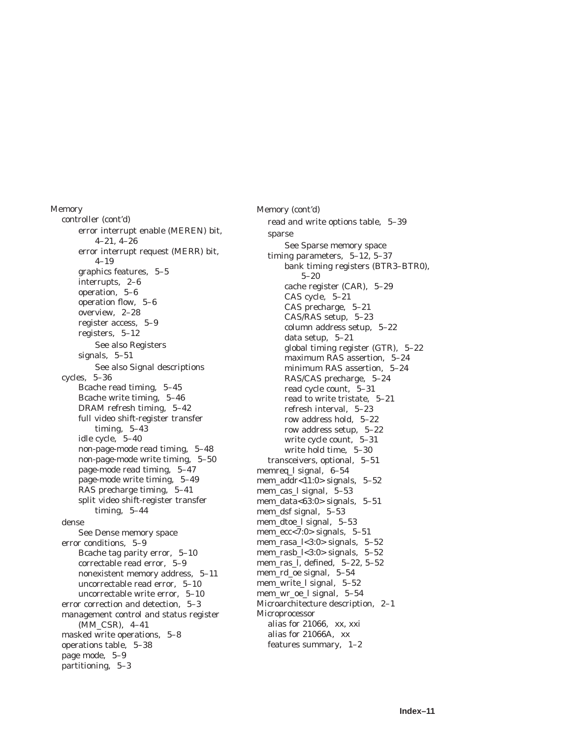Memory controller (cont'd) error interrupt enable (MEREN) bit, 4–21, 4–26 error interrupt request (MERR) bit, 4–19 graphics features, 5–5 interrupts, 2–6 operation, 5–6 operation flow, 5–6 overview, 2–28 register access, 5–9 registers, 5–12 See also Registers signals, 5–51 See also Signal descriptions cycles, 5–36 Bcache read timing, 5–45 Bcache write timing, 5–46 DRAM refresh timing, 5–42 full video shift-register transfer timing, 5–43 idle cycle, 5–40 non-page-mode read timing, 5–48 non-page-mode write timing, 5–50 page-mode read timing, 5–47 page-mode write timing, 5–49 RAS precharge timing, 5–41 split video shift-register transfer timing, 5–44 dense See Dense memory space error conditions, 5–9 Bcache tag parity error, 5–10 correctable read error, 5–9 nonexistent memory address, 5–11 uncorrectable read error, 5–10 uncorrectable write error, 5–10 error correction and detection, 5–3 management control and status register (MM\_CSR), 4–41 masked write operations, 5–8 operations table, 5–38 page mode, 5–9 partitioning, 5–3

Memory (cont'd) read and write options table, 5–39 sparse See Sparse memory space timing parameters, 5–12, 5–37 bank timing registers (BTR3–BTR0), 5–20 cache register (CAR), 5–29 CAS cycle, 5–21 CAS precharge, 5–21 CAS/RAS setup, 5–23 column address setup, 5–22 data setup, 5–21 global timing register (GTR), 5–22 maximum RAS assertion, 5–24 minimum RAS assertion, 5–24 RAS/CAS precharge, 5–24 read cycle count, 5–31 read to write tristate, 5–21 refresh interval, 5–23 row address hold, 5–22 row address setup, 5–22 write cycle count, 5–31 write hold time, 5–30 transceivers, optional, 5–51 memreq\_l signal, 6–54 mem\_addr<11:0> signals, 5–52 mem\_cas\_l signal, 5–53 mem\_data<63:0> signals, 5–51 mem\_dsf signal, 5–53 mem\_dtoe\_l signal, 5–53 mem  $ecc<7:0>$  signals, 5–51 mem\_rasa\_l<3:0> signals, 5–52 mem\_rasb\_l<3:0> signals, 5–52 mem\_ras\_l, defined, 5–22, 5–52 mem\_rd\_oe signal, 5–54 mem\_write\_l signal, 5–52 mem\_wr\_oe\_l signal, 5–54 Microarchitecture description, 2–1 Microprocessor alias for 21066, xx, xxi alias for 21066A, xx features summary, 1–2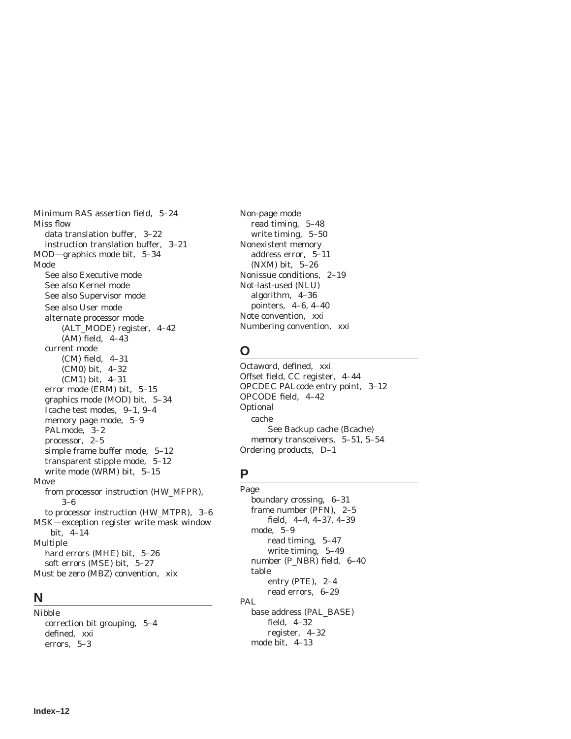Minimum RAS assertion field, 5–24 Miss flow data translation buffer, 3–22 instruction translation buffer, 3–21 MOD—graphics mode bit, 5–34 Mode See also Executive mode See also Kernel mode See also Supervisor mode See also User mode alternate processor mode (ALT\_MODE) register, 4–42 (AM) field, 4–43 current mode (CM) field, 4–31 (CM0) bit, 4–32 (CM1) bit, 4–31 error mode (ERM) bit, 5–15 graphics mode (MOD) bit, 5–34 Icache test modes, 9–1, 9–4 memory page mode, 5–9 PALmode, 3–2 processor, 2–5 simple frame buffer mode, 5–12 transparent stipple mode, 5–12 write mode (WRM) bit, 5–15 Move from processor instruction (HW\_MFPR), 3–6 to processor instruction (HW\_MTPR), 3–6 MSK—exception register write mask window bit, 4–14 Multiple hard errors (MHE) bit, 5–26 soft errors (MSE) bit, 5–27 Must be zero (MBZ) convention, xix

#### **N**

Nibble correction bit grouping, 5–4 defined, xxi errors, 5–3

Non-page mode read timing, 5–48 write timing, 5–50 Nonexistent memory address error, 5–11 (NXM) bit, 5–26 Nonissue conditions, 2–19 Not-last-used (NLU) algorithm, 4–36 pointers, 4–6, 4–40 Note convention, xxi Numbering convention, xxi

# **O**

Octaword, defined, xxi Offset field, CC register, 4–44 OPCDEC PALcode entry point, 3–12 OPCODE field, 4–42 Optional cache See Backup cache (Bcache) memory transceivers, 5–51, 5–54 Ordering products, D–1

### **P**

Page boundary crossing, 6–31 frame number (PFN), 2–5 field, 4–4, 4–37, 4–39 mode, 5–9 read timing, 5–47 write timing, 5–49 number (P\_NBR) field, 6–40 table entry (PTE), 2–4 read errors, 6–29 PAL base address (PAL\_BASE) field, 4–32 register, 4–32 mode bit, 4–13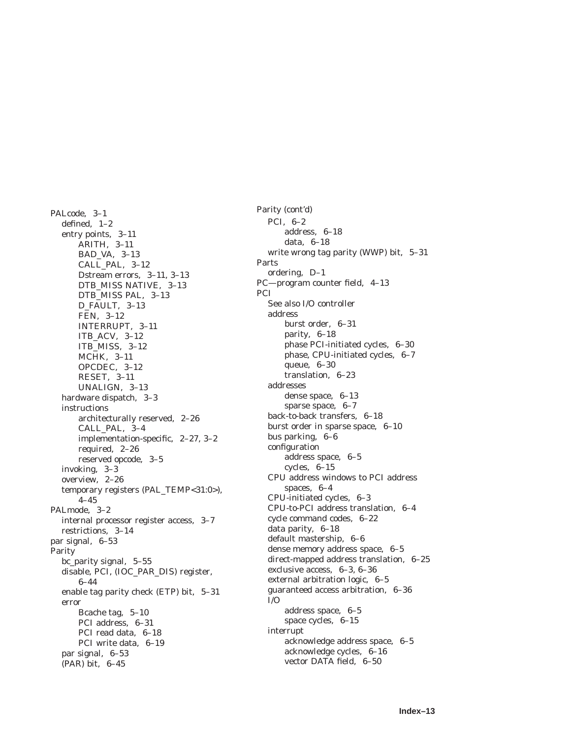PALcode, 3–1 defined, 1–2 entry points, 3–11 ARITH, 3–11 BAD\_VA, 3–13 CALL\_PAL, 3–12 Dstream errors, 3–11, 3–13 DTB\_MISS NATIVE, 3–13 DTB\_MISS PAL, 3–13 D\_FAULT, 3–13 FEN, 3–12 INTERRUPT, 3–11 ITB\_ACV, 3–12 ITB\_MISS, 3–12 MCHK, 3–11 OPCDEC, 3–12 RESET, 3–11 UNALIGN, 3–13 hardware dispatch, 3–3 instructions architecturally reserved, 2–26 CALL\_PAL, 3–4 implementation-specific, 2–27, 3–2 required, 2–26 reserved opcode, 3–5 invoking, 3–3 overview, 2–26 temporary registers (PAL\_TEMP<31:0>), 4–45 PALmode, 3–2 internal processor register access, 3–7 restrictions, 3–14 par signal, 6–53 Parity bc\_parity signal, 5–55 disable, PCI, (IOC\_PAR\_DIS) register, 6–44 enable tag parity check (ETP) bit, 5–31 error Bcache tag, 5–10 PCI address, 6–31 PCI read data, 6–18 PCI write data, 6–19 par signal, 6–53 (PAR) bit, 6–45

Parity (cont'd) PCI, 6–2 address, 6–18 data, 6–18 write wrong tag parity (WWP) bit, 5–31 Parts ordering, D–1 PC—program counter field, 4–13 **PCI** See also I/O controller address burst order, 6–31 parity, 6–18 phase PCI-initiated cycles, 6–30 phase, CPU-initiated cycles, 6–7 queue, 6–30 translation, 6–23 addresses dense space, 6–13 sparse space, 6–7 back-to-back transfers, 6–18 burst order in sparse space, 6–10 bus parking, 6–6 configuration address space, 6–5 cycles, 6–15 CPU address windows to PCI address spaces, 6–4 CPU-initiated cycles, 6–3 CPU-to-PCI address translation, 6–4 cycle command codes, 6–22 data parity, 6–18 default mastership, 6–6 dense memory address space, 6–5 direct-mapped address translation, 6–25 exclusive access, 6–3, 6–36 external arbitration logic, 6–5 guaranteed access arbitration, 6–36  $I/O$ address space, 6–5 space cycles, 6–15 interrupt acknowledge address space, 6–5 acknowledge cycles, 6–16 vector DATA field, 6–50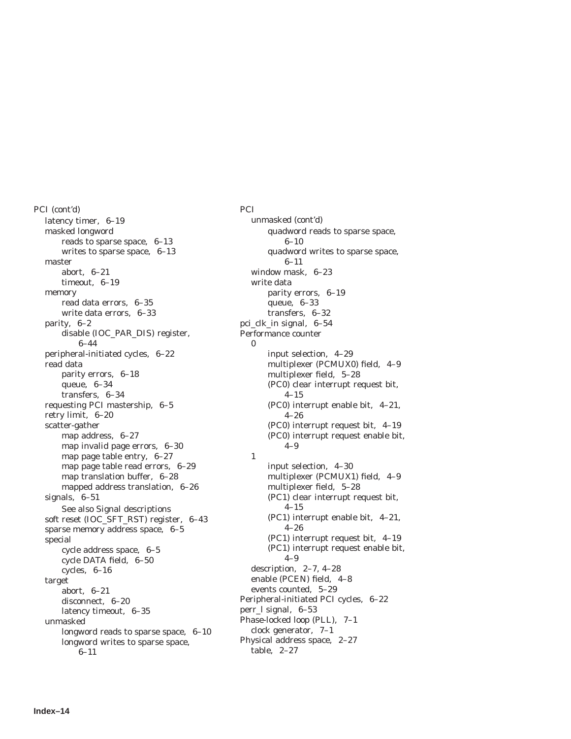PCI (cont'd) latency timer, 6–19 masked longword reads to sparse space, 6–13 writes to sparse space, 6–13 master abort, 6–21 timeout, 6–19 memory read data errors, 6–35 write data errors, 6–33 parity, 6–2 disable (IOC\_PAR\_DIS) register, 6–44 peripheral-initiated cycles, 6–22 read data parity errors, 6–18 queue, 6–34 transfers, 6–34 requesting PCI mastership, 6–5 retry limit, 6–20 scatter-gather map address, 6–27 map invalid page errors, 6–30 map page table entry, 6–27 map page table read errors, 6–29 map translation buffer, 6–28 mapped address translation, 6–26 signals, 6–51 See also Signal descriptions soft reset (IOC\_SFT\_RST) register, 6–43 sparse memory address space, 6–5 special cycle address space, 6–5 cycle DATA field, 6–50 cycles, 6–16 target abort, 6–21 disconnect, 6–20 latency timeout, 6–35 unmasked longword reads to sparse space, 6–10 longword writes to sparse space, 6–11

**PCI** unmasked (cont'd) quadword reads to sparse space, 6–10 quadword writes to sparse space, 6–11 window mask, 6–23 write data parity errors, 6–19 queue, 6–33 transfers, 6–32 pci\_clk\_in signal, 6–54 Performance counter  $\Omega$ input selection, 4–29 multiplexer (PCMUX0) field, 4–9 multiplexer field, 5–28 (PC0) clear interrupt request bit, 4–15 (PC0) interrupt enable bit, 4–21, 4–26 (PC0) interrupt request bit, 4–19 (PC0) interrupt request enable bit, 4–9 1 input selection, 4–30 multiplexer (PCMUX1) field, 4–9 multiplexer field, 5–28 (PC1) clear interrupt request bit, 4–15 (PC1) interrupt enable bit, 4–21, 4–26 (PC1) interrupt request bit, 4–19 (PC1) interrupt request enable bit, 4–9 description, 2–7, 4–28 enable (PCEN) field, 4–8 events counted, 5–29 Peripheral-initiated PCI cycles, 6–22 perr\_l signal, 6–53 Phase-locked loop (PLL), 7–1 clock generator, 7–1 Physical address space, 2–27 table, 2–27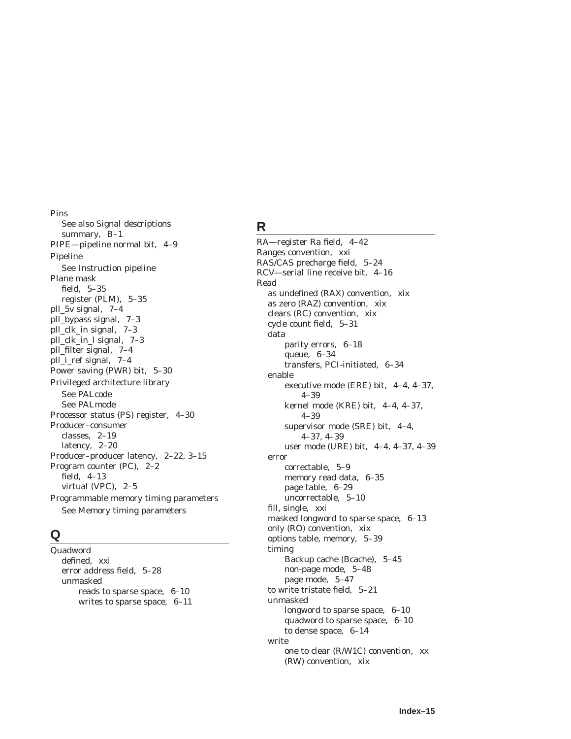Pins See also Signal descriptions summary, B–1 PIPE—pipeline normal bit, 4–9 Pipeline See Instruction pipeline Plane mask field, 5–35 register (PLM), 5–35 pll\_5v signal, 7–4 pll\_bypass signal, 7–3 pll clk in signal, 7–3 pll\_clk\_in\_l signal, 7–3 pll\_filter signal, 7–4 pll\_i\_ref signal, 7–4 Power saving (PWR) bit, 5–30 Privileged architecture library See PALcode See PALmode Processor status (PS) register, 4–30 Producer–consumer classes, 2–19 latency, 2–20 Producer–producer latency, 2–22, 3–15 Program counter (PC), 2–2 field, 4–13 virtual (VPC), 2–5 Programmable memory timing parameters See Memory timing parameters

### **Q**

Quadword defined, xxi error address field, 5–28 unmasked reads to sparse space, 6–10 writes to sparse space, 6–11

# **R**

RA—register Ra field, 4–42 Ranges convention, xxi RAS/CAS precharge field, 5–24 RCV—serial line receive bit, 4–16 Read as undefined (RAX) convention, xix as zero (RAZ) convention, xix clears (RC) convention, xix cycle count field, 5–31 data parity errors, 6–18 queue, 6–34 transfers, PCI-initiated, 6–34 enable executive mode (ERE) bit, 4–4, 4–37, 4–39 kernel mode (KRE) bit, 4–4, 4–37, 4–39 supervisor mode (SRE) bit, 4–4, 4–37, 4–39 user mode (URE) bit, 4–4, 4–37, 4–39 error correctable, 5–9 memory read data, 6–35 page table, 6–29 uncorrectable, 5–10 fill, single, xxi masked longword to sparse space, 6–13 only (RO) convention, xix options table, memory, 5–39 timing Backup cache (Bcache), 5–45 non-page mode, 5–48 page mode, 5–47 to write tristate field, 5–21 unmasked longword to sparse space, 6–10 quadword to sparse space, 6–10 to dense space, 6–14 write one to clear (R/W1C) convention, xx (RW) convention, xix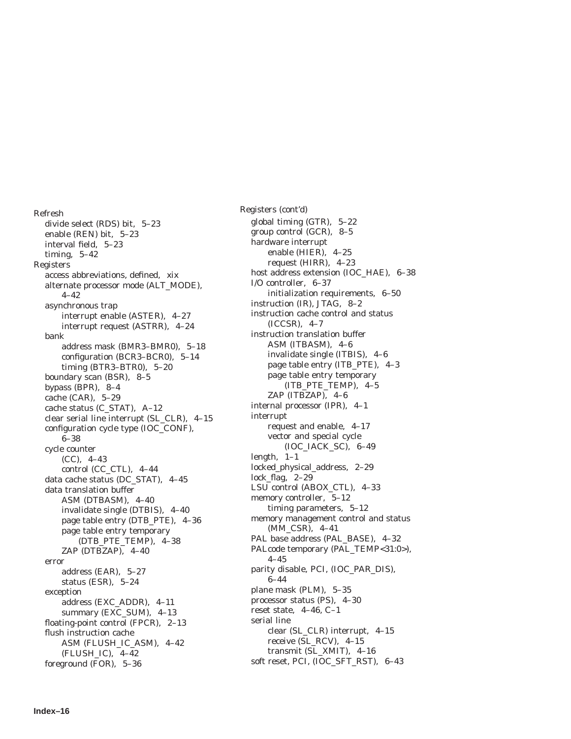Refresh divide select (RDS) bit, 5–23 enable (REN) bit, 5–23 interval field, 5–23 timing, 5–42 Registers access abbreviations, defined, xix alternate processor mode (ALT\_MODE), 4–42 asynchronous trap interrupt enable (ASTER), 4–27 interrupt request (ASTRR), 4–24 bank address mask (BMR3–BMR0), 5–18 configuration (BCR3–BCR0), 5–14 timing (BTR3–BTR0), 5–20 boundary scan (BSR), 8–5 bypass (BPR), 8–4 cache (CAR), 5–29 cache status (C\_STAT), A–12 clear serial line interrupt (SL\_CLR), 4–15 configuration cycle type (IOC\_CONF), 6–38 cycle counter (CC), 4–43 control (CC\_CTL), 4–44 data cache status (DC\_STAT), 4–45 data translation buffer ASM (DTBASM), 4–40 invalidate single (DTBIS), 4–40 page table entry (DTB\_PTE), 4–36 page table entry temporary (DTB\_PTE\_TEMP), 4–38 ZAP (DTBZAP), 4–40 error address (EAR), 5–27 status (ESR), 5–24 exception address (EXC\_ADDR), 4–11 summary (EXC\_SUM), 4–13 floating-point control (FPCR), 2–13 flush instruction cache ASM (FLUSH\_IC\_ASM), 4–42 (FLUSH\_IC), 4–42 foreground (FOR), 5–36

Registers (cont'd) global timing (GTR), 5–22 group control (GCR), 8–5 hardware interrupt enable (HIER), 4–25 request (HIRR), 4–23 host address extension (IOC\_HAE), 6–38 I/O controller, 6–37 initialization requirements, 6–50 instruction (IR), JTAG, 8–2 instruction cache control and status (ICCSR), 4–7 instruction translation buffer ASM (ITBASM), 4–6 invalidate single (ITBIS), 4–6 page table entry (ITB\_PTE), 4–3 page table entry temporary (ITB\_PTE\_TEMP), 4–5 ZAP (ITBZAP), 4–6 internal processor (IPR), 4–1 interrupt request and enable, 4–17 vector and special cycle (IOC\_IACK\_SC), 6–49 length, 1–1 locked\_physical\_address, 2–29 lock\_flag, 2–29 LSU control (ABOX\_CTL), 4–33 memory controller, 5–12 timing parameters, 5–12 memory management control and status (MM\_CSR), 4–41 PAL base address (PAL\_BASE), 4–32 PALcode temporary (PAL\_TEMP<31:0>), 4–45 parity disable, PCI, (IOC\_PAR\_DIS), 6–44 plane mask (PLM), 5–35 processor status (PS), 4–30 reset state, 4–46, C–1 serial line clear (SL\_CLR) interrupt, 4–15 receive (SL\_RCV), 4–15 transmit (SL\_XMIT), 4–16 soft reset, PCI, (IOC\_SFT\_RST), 6–43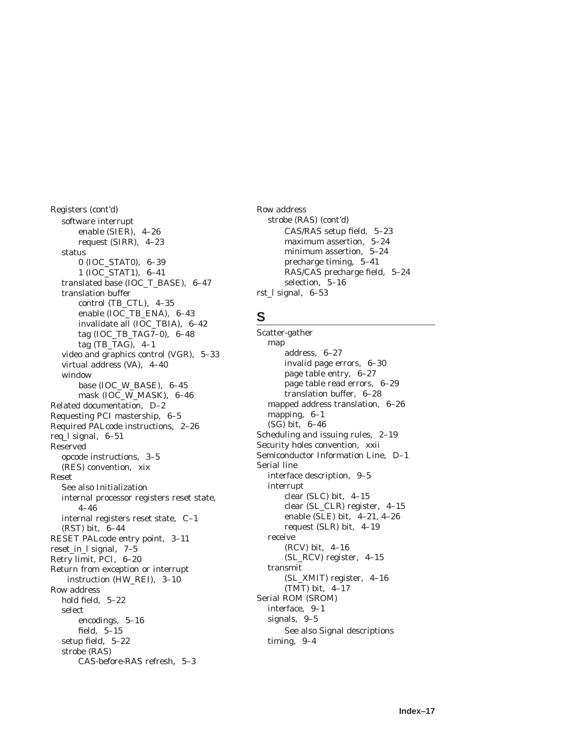Registers (cont'd) software interrupt enable (SIER), 4–26 request (SIRR), 4–23 status 0 (IOC\_STAT0), 6–39 1 (IOC\_STAT1), 6–41 translated base (IOC\_T\_BASE), 6–47 translation buffer control (TB\_CTL), 4–35 enable (IOC\_TB\_ENA), 6–43 invalidate all (IOC\_TBIA), 6–42 tag (IOC\_TB\_TAG7–0), 6–48 tag (TB\_TAG), 4–1 video and graphics control (VGR), 5–33 virtual address (VA), 4–40 window base (IOC\_W\_BASE), 6–45 mask (IOC\_W\_MASK), 6–46 Related documentation, D–2 Requesting PCI mastership, 6–5 Required PALcode instructions, 2–26 req\_l signal, 6–51 Reserved opcode instructions, 3–5 (RES) convention, xix Reset See also Initialization internal processor registers reset state, 4–46 internal registers reset state, C–1 (RST) bit, 6–44 RESET PALcode entry point, 3–11 reset\_in\_l signal, 7–5 Retry limit, PCI, 6–20 Return from exception or interrupt instruction (HW\_REI), 3–10 Row address hold field, 5–22 select encodings, 5–16 field, 5–15 setup field, 5–22 strobe (RAS) CAS-before-RAS refresh, 5–3

Row address strobe (RAS) (cont'd) CAS/RAS setup field, 5–23 maximum assertion, 5–24 minimum assertion, 5–24 precharge timing, 5–41 RAS/CAS precharge field, 5–24 selection, 5–16 rst\_l signal, 6–53

### **S**

Scatter-gather map address, 6–27 invalid page errors, 6–30 page table entry, 6–27 page table read errors, 6–29 translation buffer, 6–28 mapped address translation, 6–26 mapping, 6–1 (SG) bit, 6–46 Scheduling and issuing rules, 2–19 Security holes convention, xxii Semiconductor Information Line, D–1 Serial line interface description, 9–5 interrupt clear (SLC) bit, 4–15 clear (SL\_CLR) register, 4–15 enable (SLE) bit, 4–21, 4–26 request (SLR) bit, 4–19 receive (RCV) bit, 4–16 (SL\_RCV) register, 4–15 transmit (SL\_XMIT) register, 4–16 (TMT) bit, 4–17 Serial ROM (SROM) interface, 9–1 signals, 9–5 See also Signal descriptions timing, 9–4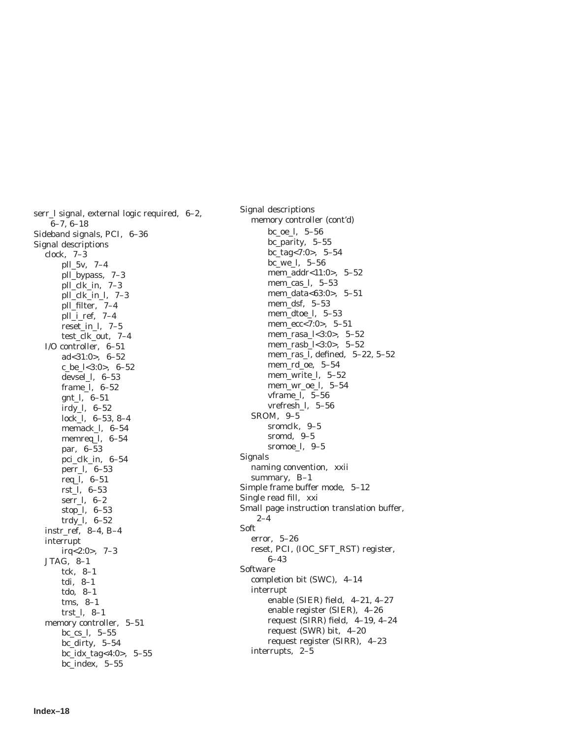serr\_l signal, external logic required, 6–2, 6–7, 6–18 Sideband signals, PCI, 6–36 Signal descriptions clock, 7–3 pll\_5v, 7–4 pll\_bypass, 7–3 pll\_clk\_in, 7–3 pll\_clk\_in\_l, 7–3 pll\_filter, 7–4 pll\_i\_ref, 7–4 reset\_in\_l, 7–5 test\_clk\_out, 7–4 I/O controller, 6–51 ad<31:0>, 6–52 c\_be\_l<3:0>, 6–52 devsel\_l, 6–53 frame\_l, 6–52 gnt\_l, 6–51 irdy\_l, 6–52 lock\_l, 6–53, 8–4 memack\_l, 6–54 memreq\_l, 6–54 par, 6–53 pci\_clk\_in, 6–54 perr\_l, 6–53 req\_l, 6–51 rst\_l, 6–53 serr\_l, 6–2 stop\_l, 6–53 trdy\_l, 6–52 instr\_ref, 8–4, B–4 interrupt  $irq<2:0>7-3$ JTAG, 8–1 tck, 8–1 tdi, 8–1 tdo, 8–1 tms, 8–1 trst\_l, 8–1 memory controller, 5–51 bc\_cs\_l, 5–55 bc dirty,  $5-54$ bc\_idx\_tag<4:0>, 5–55 bc\_index, 5–55

Signal descriptions memory controller (cont'd) bc\_oe\_l, 5–56 bc\_parity, 5–55 bc\_tag<7:0>, 5–54 bc\_we\_l, 5–56 mem\_addr<11:0>, 5–52 mem\_cas\_l, 5–53 mem\_data<63:0>, 5–51 mem\_dsf, 5–53 mem\_dtoe\_l, 5–53 mem\_ecc<7:0>, 5–51 mem\_rasa\_l<3:0>, 5–52 mem\_rasb\_l<3:0>, 5–52 mem\_ras\_l, defined, 5–22, 5–52 mem\_rd\_oe, 5–54 mem\_write\_l, 5–52 mem\_wr\_oe\_l, 5–54 vframe\_l, 5–56 vrefresh\_l, 5–56 SROM, 9–5 sromclk, 9–5 sromd, 9–5 sromoe\_l, 9–5 Signals naming convention, xxii summary, B–1 Simple frame buffer mode, 5–12 Single read fill, xxi Small page instruction translation buffer, 2–4 Soft error, 5–26 reset, PCI, (IOC\_SFT\_RST) register, 6–43 **Software** completion bit (SWC), 4–14 interrupt enable (SIER) field, 4–21, 4–27 enable register (SIER), 4–26 request (SIRR) field, 4–19, 4–24 request (SWR) bit, 4–20 request register (SIRR), 4–23 interrupts, 2–5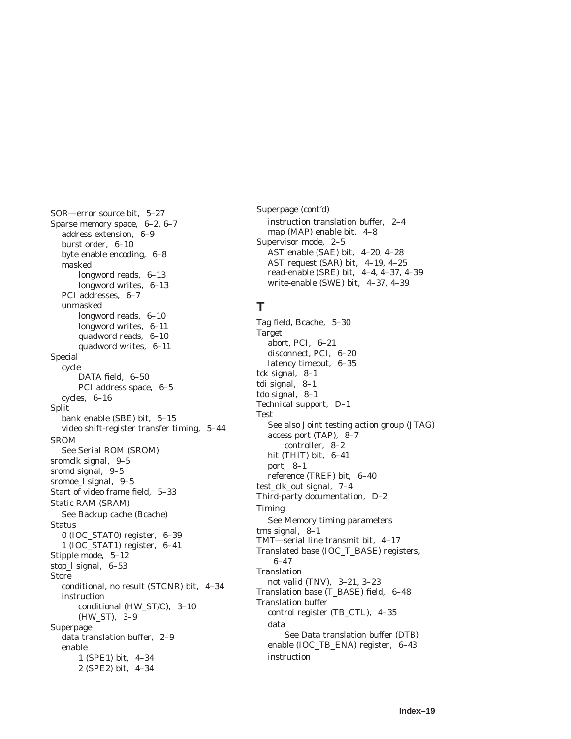SOR—error source bit, 5–27 Sparse memory space, 6–2, 6–7 address extension, 6–9 burst order, 6–10 byte enable encoding, 6–8 masked longword reads, 6–13 longword writes, 6–13 PCI addresses, 6–7 unmasked longword reads, 6–10 longword writes, 6–11 quadword reads, 6–10 quadword writes, 6–11 Special cycle DATA field, 6–50 PCI address space, 6–5 cycles, 6–16 Split bank enable (SBE) bit, 5–15 video shift-register transfer timing, 5–44 SROM See Serial ROM (SROM) sromclk signal, 9–5 sromd signal, 9–5 sromoe\_l signal, 9–5 Start of video frame field, 5–33 Static RAM (SRAM) See Backup cache (Bcache) Status 0 (IOC\_STAT0) register, 6–39 1 (IOC\_STAT1) register, 6–41 Stipple mode, 5–12 stop\_l signal, 6–53 Store conditional, no result (STCNR) bit, 4–34 instruction conditional (HW\_ST/C), 3–10 (HW\_ST), 3–9 Superpage data translation buffer, 2–9 enable 1 (SPE1) bit, 4–34 2 (SPE2) bit, 4–34

Superpage (cont'd) instruction translation buffer, 2–4 map (MAP) enable bit, 4–8 Supervisor mode, 2–5 AST enable (SAE) bit, 4–20, 4–28 AST request (SAR) bit, 4–19, 4–25 read-enable (SRE) bit, 4–4, 4–37, 4–39 write-enable (SWE) bit, 4–37, 4–39

#### **T**

Tag field, Bcache, 5–30 Target abort, PCI, 6–21 disconnect, PCI, 6–20 latency timeout, 6–35 tck signal, 8–1 tdi signal, 8–1 tdo signal, 8–1 Technical support, D–1 Test See also Joint testing action group (JTAG) access port (TAP), 8–7 controller, 8–2 hit (THIT) bit, 6–41 port, 8–1 reference (TREF) bit, 6–40 test\_clk\_out signal, 7–4 Third-party documentation, D–2 Timing See Memory timing parameters tms signal, 8–1 TMT—serial line transmit bit, 4–17 Translated base (IOC\_T\_BASE) registers, 6–47 **Translation** not valid (TNV), 3–21, 3–23 Translation base (T\_BASE) field, 6–48 Translation buffer control register (TB\_CTL), 4–35 data See Data translation buffer (DTB) enable (IOC\_TB\_ENA) register, 6–43 instruction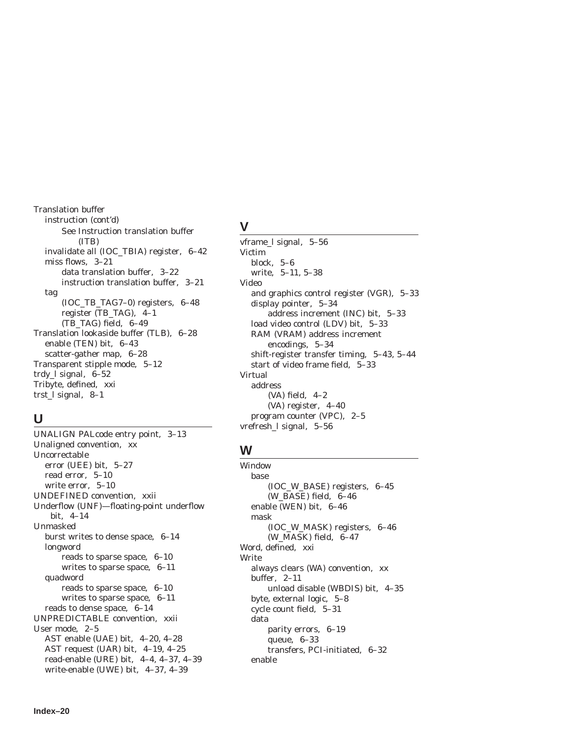Translation buffer instruction (cont'd) See Instruction translation buffer (ITB) invalidate all (IOC\_TBIA) register, 6–42 miss flows, 3–21 data translation buffer, 3–22 instruction translation buffer, 3–21 tag (IOC\_TB\_TAG7–0) registers, 6–48 register (TB\_TAG), 4–1 (TB\_TAG) field, 6–49 Translation lookaside buffer (TLB), 6–28 enable (TEN) bit, 6–43 scatter-gather map, 6–28 Transparent stipple mode, 5–12 trdy\_l signal, 6–52 Tribyte, defined, xxi trst\_l signal, 8–1

### **U**

UNALIGN PALcode entry point, 3–13 Unaligned convention, xx Uncorrectable error (UEE) bit, 5–27 read error, 5–10 write error, 5–10 UNDEFINED convention, xxii Underflow (UNF)—floating-point underflow bit, 4–14 Unmasked burst writes to dense space, 6–14 longword reads to sparse space, 6–10 writes to sparse space, 6–11 quadword reads to sparse space, 6–10 writes to sparse space, 6–11 reads to dense space, 6–14 UNPREDICTABLE convention, xxii User mode, 2–5 AST enable (UAE) bit, 4–20, 4–28 AST request (UAR) bit, 4–19, 4–25 read-enable (URE) bit, 4–4, 4–37, 4–39 write-enable (UWE) bit, 4–37, 4–39

### **V**

vframe\_l signal, 5–56 Victim block, 5–6 write, 5–11, 5–38 Video and graphics control register (VGR), 5–33 display pointer, 5–34 address increment (INC) bit, 5–33 load video control (LDV) bit, 5–33 RAM (VRAM) address increment encodings, 5–34 shift-register transfer timing, 5–43, 5–44 start of video frame field, 5–33 Virtual address (VA) field, 4–2 (VA) register, 4–40 program counter (VPC), 2–5 vrefresh\_l signal, 5–56

# **W**

Window base (IOC\_W\_BASE) registers, 6–45 (W\_BASE) field, 6–46 enable (WEN) bit, 6–46 mask (IOC\_W\_MASK) registers, 6–46 (W\_MASK) field, 6–47 Word, defined, xxi Write always clears (WA) convention, xx buffer, 2–11 unload disable (WBDIS) bit, 4–35 byte, external logic, 5–8 cycle count field, 5–31 data parity errors, 6–19 queue, 6–33 transfers, PCI-initiated, 6–32 enable